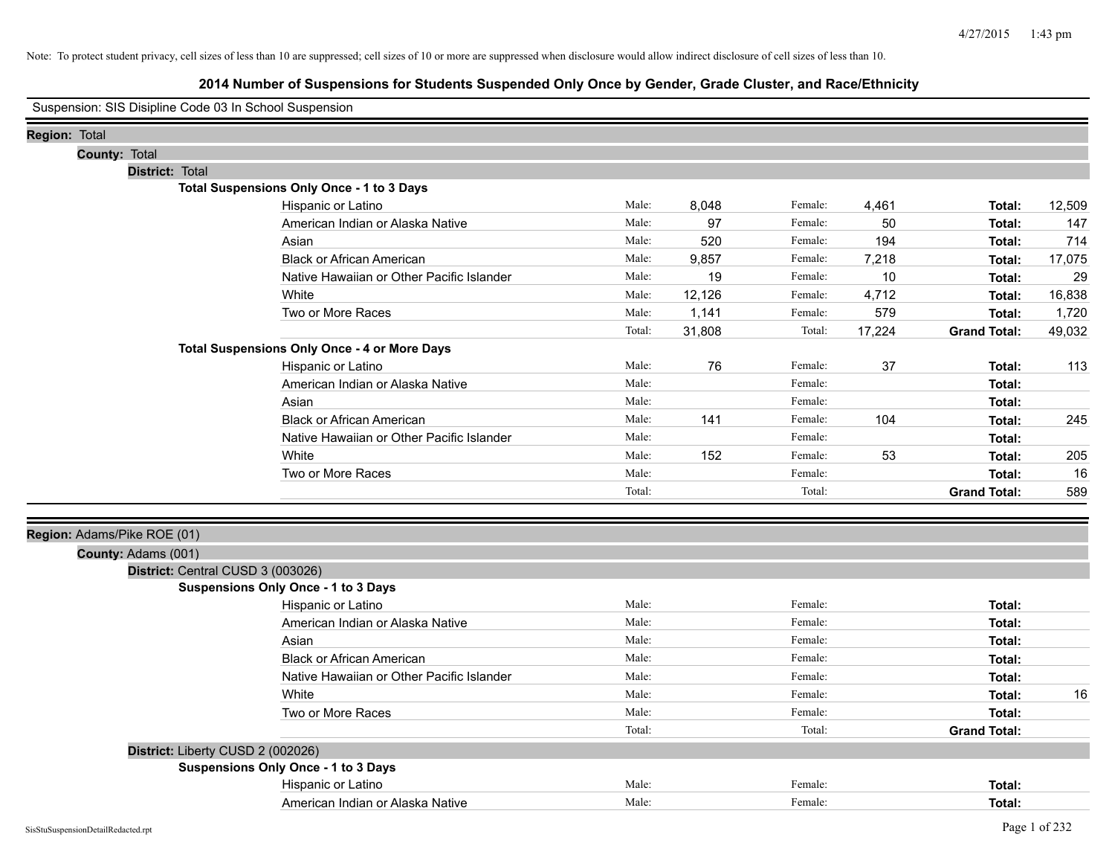|                             | Suspension: SIS Disipline Code 03 In School Suspension |                                                     |        |        |         |        |                     |        |
|-----------------------------|--------------------------------------------------------|-----------------------------------------------------|--------|--------|---------|--------|---------------------|--------|
| <b>Region: Total</b>        |                                                        |                                                     |        |        |         |        |                     |        |
|                             | County: Total                                          |                                                     |        |        |         |        |                     |        |
|                             | District: Total                                        |                                                     |        |        |         |        |                     |        |
|                             |                                                        | Total Suspensions Only Once - 1 to 3 Days           |        |        |         |        |                     |        |
|                             |                                                        | Hispanic or Latino                                  | Male:  | 8,048  | Female: | 4,461  | Total:              | 12,509 |
|                             |                                                        | American Indian or Alaska Native                    | Male:  | 97     | Female: | 50     | Total:              | 147    |
|                             |                                                        | Asian                                               | Male:  | 520    | Female: | 194    | Total:              | 714    |
|                             |                                                        | <b>Black or African American</b>                    | Male:  | 9,857  | Female: | 7,218  | Total:              | 17,075 |
|                             |                                                        | Native Hawaiian or Other Pacific Islander           | Male:  | 19     | Female: | 10     | Total:              | 29     |
|                             |                                                        | White                                               | Male:  | 12,126 | Female: | 4,712  | Total:              | 16,838 |
|                             |                                                        | Two or More Races                                   | Male:  | 1,141  | Female: | 579    | Total:              | 1,720  |
|                             |                                                        |                                                     | Total: | 31,808 | Total:  | 17,224 | <b>Grand Total:</b> | 49,032 |
|                             |                                                        | <b>Total Suspensions Only Once - 4 or More Days</b> |        |        |         |        |                     |        |
|                             |                                                        | Hispanic or Latino                                  | Male:  | 76     | Female: | 37     | Total:              | 113    |
|                             |                                                        | American Indian or Alaska Native                    | Male:  |        | Female: |        | Total:              |        |
|                             |                                                        | Asian                                               | Male:  |        | Female: |        | Total:              |        |
|                             |                                                        | <b>Black or African American</b>                    | Male:  | 141    | Female: | 104    | Total:              | 245    |
|                             |                                                        | Native Hawaiian or Other Pacific Islander           | Male:  |        | Female: |        | Total:              |        |
|                             |                                                        | White                                               | Male:  | 152    | Female: | 53     | Total:              | 205    |
|                             |                                                        | Two or More Races                                   | Male:  |        | Female: |        | Total:              | 16     |
|                             |                                                        |                                                     | Total: |        | Total:  |        | <b>Grand Total:</b> | 589    |
| Region: Adams/Pike ROE (01) |                                                        |                                                     |        |        |         |        |                     |        |
|                             | County: Adams (001)                                    |                                                     |        |        |         |        |                     |        |
|                             | District: Central CUSD 3 (003026)                      |                                                     |        |        |         |        |                     |        |
|                             |                                                        | Suspensions Only Once - 1 to 3 Days                 |        |        |         |        |                     |        |
|                             |                                                        | Hispanic or Latino                                  | Male:  |        | Female: |        | Total:              |        |
|                             |                                                        | American Indian or Alaska Native                    | Male:  |        | Female: |        | Total:              |        |
|                             |                                                        | Asian                                               | Male:  |        | Female: |        | Total:              |        |
|                             |                                                        | <b>Black or African American</b>                    | Male:  |        | Female: |        | Total:              |        |
|                             |                                                        | Native Hawaiian or Other Pacific Islander           | Male:  |        | Female: |        | Total:              |        |
|                             |                                                        | White                                               | Male:  |        | Female: |        | Total:              | 16     |
|                             |                                                        | Two or More Races                                   | Male:  |        | Female: |        | Total:              |        |
|                             |                                                        |                                                     | Total: |        | Total:  |        | <b>Grand Total:</b> |        |
|                             | District: Liberty CUSD 2 (002026)                      |                                                     |        |        |         |        |                     |        |
|                             |                                                        | Suspensions Only Once - 1 to 3 Days                 |        |        |         |        |                     |        |
|                             |                                                        | Hispanic or Latino                                  | Male:  |        | Female: |        | Total:              |        |
|                             |                                                        | American Indian or Alaska Native                    | Male:  |        | Female: |        | Total:              |        |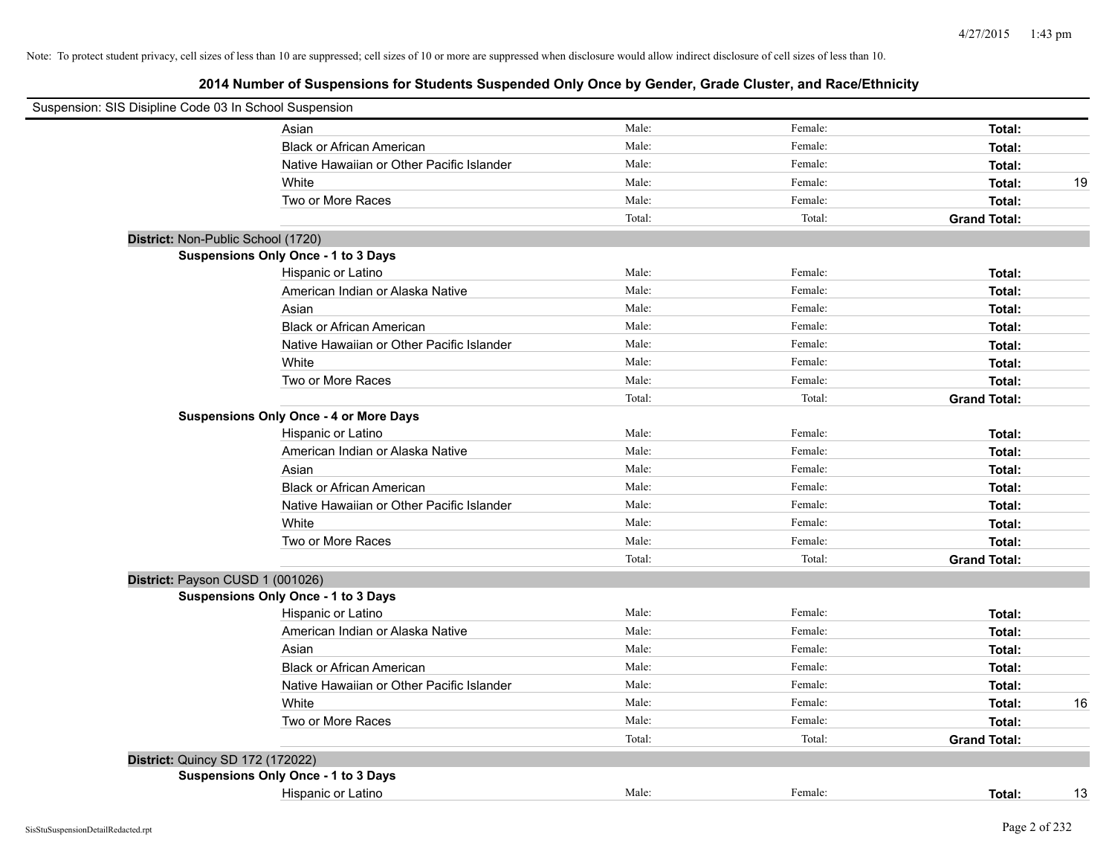| Suspension: SIS Disipline Code 03 In School Suspension |                                               |        |         |                     |    |
|--------------------------------------------------------|-----------------------------------------------|--------|---------|---------------------|----|
|                                                        | Asian                                         | Male:  | Female: | Total:              |    |
|                                                        | <b>Black or African American</b>              | Male:  | Female: | Total:              |    |
|                                                        | Native Hawaiian or Other Pacific Islander     | Male:  | Female: | Total:              |    |
|                                                        | White                                         | Male:  | Female: | Total:              | 19 |
|                                                        | Two or More Races                             | Male:  | Female: | Total:              |    |
|                                                        |                                               | Total: | Total:  | <b>Grand Total:</b> |    |
| District: Non-Public School (1720)                     |                                               |        |         |                     |    |
|                                                        | Suspensions Only Once - 1 to 3 Days           |        |         |                     |    |
|                                                        | Hispanic or Latino                            | Male:  | Female: | Total:              |    |
|                                                        | American Indian or Alaska Native              | Male:  | Female: | Total:              |    |
|                                                        | Asian                                         | Male:  | Female: | Total:              |    |
|                                                        | <b>Black or African American</b>              | Male:  | Female: | Total:              |    |
|                                                        | Native Hawaiian or Other Pacific Islander     | Male:  | Female: | Total:              |    |
|                                                        | White                                         | Male:  | Female: | Total:              |    |
|                                                        | Two or More Races                             | Male:  | Female: | Total:              |    |
|                                                        |                                               | Total: | Total:  | <b>Grand Total:</b> |    |
|                                                        | <b>Suspensions Only Once - 4 or More Days</b> |        |         |                     |    |
|                                                        | Hispanic or Latino                            | Male:  | Female: | Total:              |    |
|                                                        | American Indian or Alaska Native              | Male:  | Female: | Total:              |    |
|                                                        | Asian                                         | Male:  | Female: | Total:              |    |
|                                                        | <b>Black or African American</b>              | Male:  | Female: | Total:              |    |
|                                                        | Native Hawaiian or Other Pacific Islander     | Male:  | Female: | Total:              |    |
|                                                        | White                                         | Male:  | Female: | Total:              |    |
|                                                        | Two or More Races                             | Male:  | Female: | Total:              |    |
|                                                        |                                               | Total: | Total:  | <b>Grand Total:</b> |    |
| District: Payson CUSD 1 (001026)                       |                                               |        |         |                     |    |
|                                                        | Suspensions Only Once - 1 to 3 Days           |        |         |                     |    |
|                                                        | Hispanic or Latino                            | Male:  | Female: | Total:              |    |
|                                                        | American Indian or Alaska Native              | Male:  | Female: | Total:              |    |
|                                                        | Asian                                         | Male:  | Female: | Total:              |    |
|                                                        | <b>Black or African American</b>              | Male:  | Female: | Total:              |    |
|                                                        | Native Hawaiian or Other Pacific Islander     | Male:  | Female: | Total:              |    |
|                                                        | White                                         | Male:  | Female: | Total:              | 16 |
|                                                        | Two or More Races                             | Male:  | Female: | Total:              |    |
|                                                        |                                               | Total: | Total:  | <b>Grand Total:</b> |    |
| District: Quincy SD 172 (172022)                       |                                               |        |         |                     |    |
|                                                        | Suspensions Only Once - 1 to 3 Days           |        |         |                     |    |
|                                                        | Hispanic or Latino                            | Male:  | Female: | Total:              | 13 |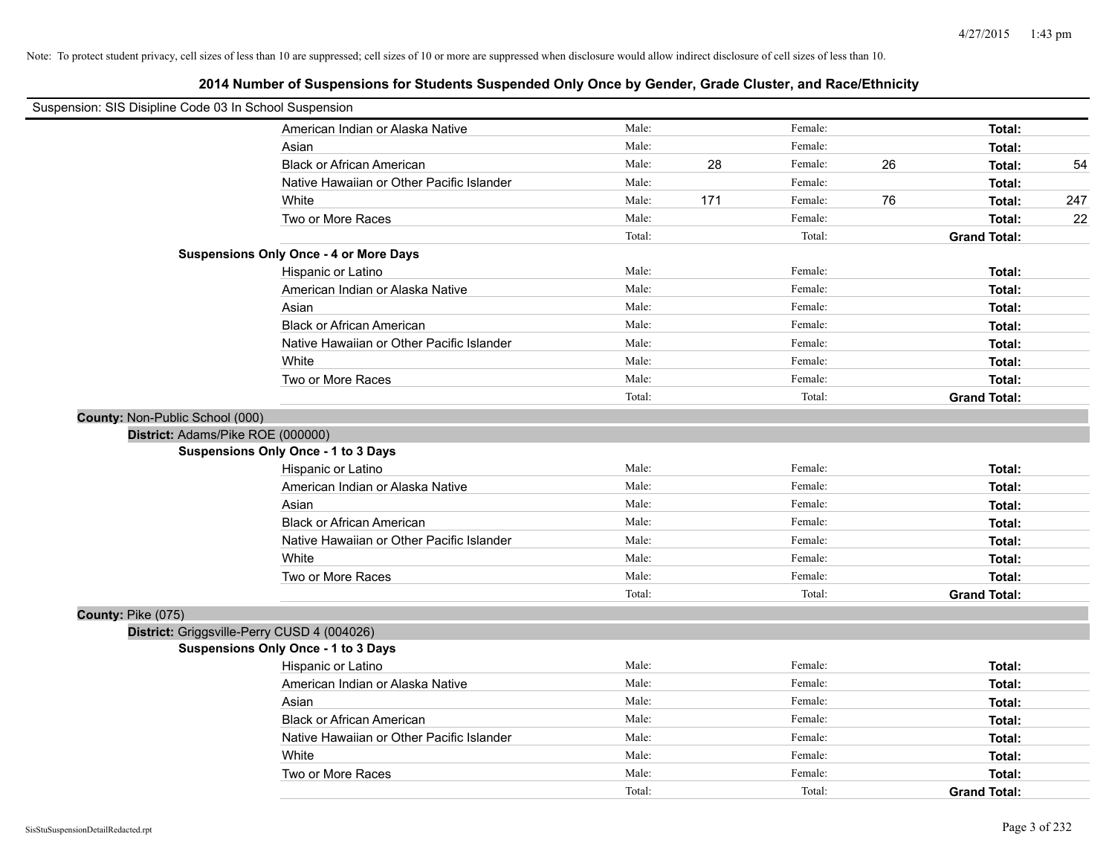| Suspension: SIS Disipline Code 03 In School Suspension |                                               |        |     |         |    |                     |     |
|--------------------------------------------------------|-----------------------------------------------|--------|-----|---------|----|---------------------|-----|
|                                                        | American Indian or Alaska Native              | Male:  |     | Female: |    | Total:              |     |
|                                                        | Asian                                         | Male:  |     | Female: |    | Total:              |     |
|                                                        | <b>Black or African American</b>              | Male:  | 28  | Female: | 26 | Total:              | 54  |
|                                                        | Native Hawaiian or Other Pacific Islander     | Male:  |     | Female: |    | Total:              |     |
|                                                        | White                                         | Male:  | 171 | Female: | 76 | Total:              | 247 |
|                                                        | Two or More Races                             | Male:  |     | Female: |    | Total:              | 22  |
|                                                        |                                               | Total: |     | Total:  |    | <b>Grand Total:</b> |     |
|                                                        | <b>Suspensions Only Once - 4 or More Days</b> |        |     |         |    |                     |     |
|                                                        | Hispanic or Latino                            | Male:  |     | Female: |    | Total:              |     |
|                                                        | American Indian or Alaska Native              | Male:  |     | Female: |    | Total:              |     |
|                                                        | Asian                                         | Male:  |     | Female: |    | Total:              |     |
|                                                        | <b>Black or African American</b>              | Male:  |     | Female: |    | Total:              |     |
|                                                        | Native Hawaiian or Other Pacific Islander     | Male:  |     | Female: |    | Total:              |     |
|                                                        | White                                         | Male:  |     | Female: |    | Total:              |     |
|                                                        | Two or More Races                             | Male:  |     | Female: |    | Total:              |     |
|                                                        |                                               | Total: |     | Total:  |    | <b>Grand Total:</b> |     |
| County: Non-Public School (000)                        |                                               |        |     |         |    |                     |     |
| District: Adams/Pike ROE (000000)                      |                                               |        |     |         |    |                     |     |
|                                                        | <b>Suspensions Only Once - 1 to 3 Days</b>    |        |     |         |    |                     |     |
|                                                        | Hispanic or Latino                            | Male:  |     | Female: |    | Total:              |     |
|                                                        | American Indian or Alaska Native              | Male:  |     | Female: |    | Total:              |     |
|                                                        | Asian                                         | Male:  |     | Female: |    | Total:              |     |
|                                                        | <b>Black or African American</b>              | Male:  |     | Female: |    | Total:              |     |
|                                                        | Native Hawaiian or Other Pacific Islander     | Male:  |     | Female: |    | Total:              |     |
|                                                        | White                                         | Male:  |     | Female: |    | Total:              |     |
|                                                        | Two or More Races                             | Male:  |     | Female: |    | Total:              |     |
|                                                        |                                               | Total: |     | Total:  |    | <b>Grand Total:</b> |     |
| County: Pike (075)                                     |                                               |        |     |         |    |                     |     |
|                                                        | District: Griggsville-Perry CUSD 4 (004026)   |        |     |         |    |                     |     |
|                                                        | <b>Suspensions Only Once - 1 to 3 Days</b>    |        |     |         |    |                     |     |
|                                                        | Hispanic or Latino                            | Male:  |     | Female: |    | Total:              |     |
|                                                        | American Indian or Alaska Native              | Male:  |     | Female: |    | Total:              |     |
|                                                        | Asian                                         | Male:  |     | Female: |    | Total:              |     |
|                                                        | <b>Black or African American</b>              | Male:  |     | Female: |    | Total:              |     |
|                                                        | Native Hawaiian or Other Pacific Islander     | Male:  |     | Female: |    | Total:              |     |
|                                                        | White                                         | Male:  |     | Female: |    | Total:              |     |
|                                                        | Two or More Races                             | Male:  |     | Female: |    | Total:              |     |
|                                                        |                                               | Total: |     | Total:  |    | <b>Grand Total:</b> |     |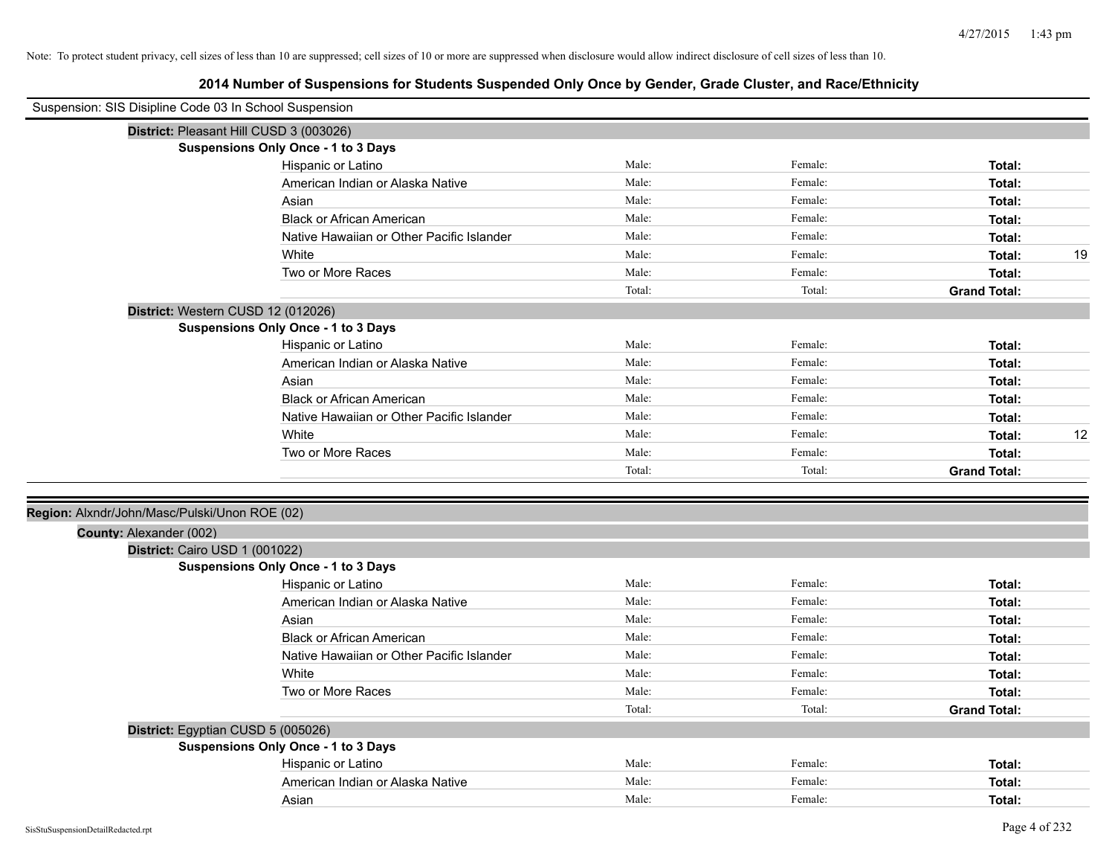| Suspension: SIS Disipline Code 03 In School Suspension |                                            |        |         |                     |    |
|--------------------------------------------------------|--------------------------------------------|--------|---------|---------------------|----|
|                                                        | District: Pleasant Hill CUSD 3 (003026)    |        |         |                     |    |
|                                                        | Suspensions Only Once - 1 to 3 Days        |        |         |                     |    |
|                                                        | Hispanic or Latino                         | Male:  | Female: | Total:              |    |
|                                                        | American Indian or Alaska Native           | Male:  | Female: | Total:              |    |
|                                                        | Asian                                      | Male:  | Female: | Total:              |    |
|                                                        | <b>Black or African American</b>           | Male:  | Female: | Total:              |    |
|                                                        | Native Hawaiian or Other Pacific Islander  | Male:  | Female: | Total:              |    |
|                                                        | White                                      | Male:  | Female: | Total:              | 19 |
|                                                        | Two or More Races                          | Male:  | Female: | Total:              |    |
|                                                        |                                            | Total: | Total:  | <b>Grand Total:</b> |    |
|                                                        | District: Western CUSD 12 (012026)         |        |         |                     |    |
|                                                        | <b>Suspensions Only Once - 1 to 3 Days</b> |        |         |                     |    |
|                                                        | Hispanic or Latino                         | Male:  | Female: | Total:              |    |
|                                                        | American Indian or Alaska Native           | Male:  | Female: | Total:              |    |
|                                                        | Asian                                      | Male:  | Female: | Total:              |    |
|                                                        | <b>Black or African American</b>           | Male:  | Female: | Total:              |    |
|                                                        | Native Hawaiian or Other Pacific Islander  | Male:  | Female: | Total:              |    |
|                                                        | White                                      | Male:  | Female: | Total:              | 12 |
|                                                        | Two or More Races                          | Male:  | Female: | Total:              |    |
|                                                        |                                            | Total: | Total:  | <b>Grand Total:</b> |    |
|                                                        |                                            |        |         |                     |    |
| Region: Alxndr/John/Masc/Pulski/Unon ROE (02)          |                                            |        |         |                     |    |
| County: Alexander (002)                                |                                            |        |         |                     |    |
| District: Cairo USD 1 (001022)                         |                                            |        |         |                     |    |
|                                                        | <b>Suspensions Only Once - 1 to 3 Days</b> |        |         |                     |    |
|                                                        | Hispanic or Latino                         | Male:  | Female: | Total:              |    |
|                                                        | American Indian or Alaska Native           | Male:  | Female: | Total:              |    |
|                                                        | Asian                                      | Male:  | Female: | Total:              |    |
|                                                        | <b>Black or African American</b>           | Male:  | Female: | Total:              |    |
|                                                        | Native Hawaiian or Other Pacific Islander  | Male:  | Female: | Total:              |    |
|                                                        | White                                      | Male:  | Female: | Total:              |    |
|                                                        | Two or More Races                          | Male:  | Female: | Total:              |    |
|                                                        |                                            | Total: | Total:  | <b>Grand Total:</b> |    |
|                                                        | District: Egyptian CUSD 5 (005026)         |        |         |                     |    |
|                                                        | <b>Suspensions Only Once - 1 to 3 Days</b> |        |         |                     |    |
|                                                        | Hispanic or Latino                         | Male:  | Female: | Total:              |    |
|                                                        | American Indian or Alaska Native           | Male:  | Female: | Total:              |    |
|                                                        | Asian                                      | Male:  | Female: | Total:              |    |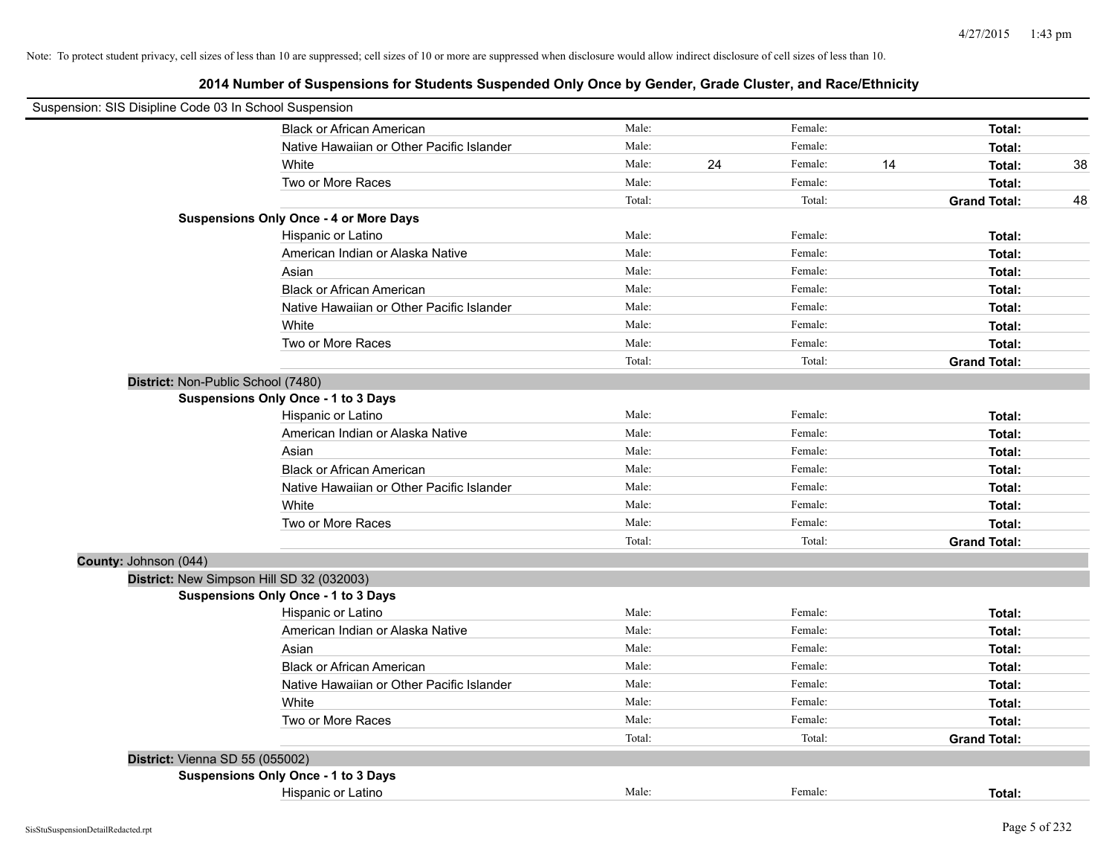| Suspension: SIS Disipline Code 03 In School Suspension |                                               |        |    |         |    |                     |    |
|--------------------------------------------------------|-----------------------------------------------|--------|----|---------|----|---------------------|----|
|                                                        | <b>Black or African American</b>              | Male:  |    | Female: |    | Total:              |    |
|                                                        | Native Hawaiian or Other Pacific Islander     | Male:  |    | Female: |    | Total:              |    |
|                                                        | White                                         | Male:  | 24 | Female: | 14 | Total:              | 38 |
|                                                        | Two or More Races                             | Male:  |    | Female: |    | Total:              |    |
|                                                        |                                               | Total: |    | Total:  |    | <b>Grand Total:</b> | 48 |
|                                                        | <b>Suspensions Only Once - 4 or More Days</b> |        |    |         |    |                     |    |
|                                                        | Hispanic or Latino                            | Male:  |    | Female: |    | Total:              |    |
|                                                        | American Indian or Alaska Native              | Male:  |    | Female: |    | Total:              |    |
|                                                        | Asian                                         | Male:  |    | Female: |    | Total:              |    |
|                                                        | <b>Black or African American</b>              | Male:  |    | Female: |    | Total:              |    |
|                                                        | Native Hawaiian or Other Pacific Islander     | Male:  |    | Female: |    | Total:              |    |
|                                                        | White                                         | Male:  |    | Female: |    | Total:              |    |
|                                                        | Two or More Races                             | Male:  |    | Female: |    | Total:              |    |
|                                                        |                                               | Total: |    | Total:  |    | <b>Grand Total:</b> |    |
| District: Non-Public School (7480)                     |                                               |        |    |         |    |                     |    |
|                                                        | <b>Suspensions Only Once - 1 to 3 Days</b>    |        |    |         |    |                     |    |
|                                                        | Hispanic or Latino                            | Male:  |    | Female: |    | Total:              |    |
|                                                        | American Indian or Alaska Native              | Male:  |    | Female: |    | Total:              |    |
|                                                        | Asian                                         | Male:  |    | Female: |    | Total:              |    |
|                                                        | <b>Black or African American</b>              | Male:  |    | Female: |    | Total:              |    |
|                                                        | Native Hawaiian or Other Pacific Islander     | Male:  |    | Female: |    | Total:              |    |
|                                                        | White                                         | Male:  |    | Female: |    | Total:              |    |
|                                                        | Two or More Races                             | Male:  |    | Female: |    | Total:              |    |
|                                                        |                                               | Total: |    | Total:  |    | <b>Grand Total:</b> |    |
| County: Johnson (044)                                  |                                               |        |    |         |    |                     |    |
| District: New Simpson Hill SD 32 (032003)              |                                               |        |    |         |    |                     |    |
|                                                        | <b>Suspensions Only Once - 1 to 3 Days</b>    |        |    |         |    |                     |    |
|                                                        | Hispanic or Latino                            | Male:  |    | Female: |    | Total:              |    |
|                                                        | American Indian or Alaska Native              | Male:  |    | Female: |    | Total:              |    |
|                                                        | Asian                                         | Male:  |    | Female: |    | Total:              |    |
|                                                        | <b>Black or African American</b>              | Male:  |    | Female: |    | Total:              |    |
|                                                        | Native Hawaiian or Other Pacific Islander     | Male:  |    | Female: |    | Total:              |    |
|                                                        | White                                         | Male:  |    | Female: |    | Total:              |    |
|                                                        | Two or More Races                             | Male:  |    | Female: |    | Total:              |    |
|                                                        |                                               | Total: |    | Total:  |    | <b>Grand Total:</b> |    |
| District: Vienna SD 55 (055002)                        |                                               |        |    |         |    |                     |    |
|                                                        | <b>Suspensions Only Once - 1 to 3 Days</b>    |        |    |         |    |                     |    |
|                                                        | Hispanic or Latino                            | Male:  |    | Female: |    | Total:              |    |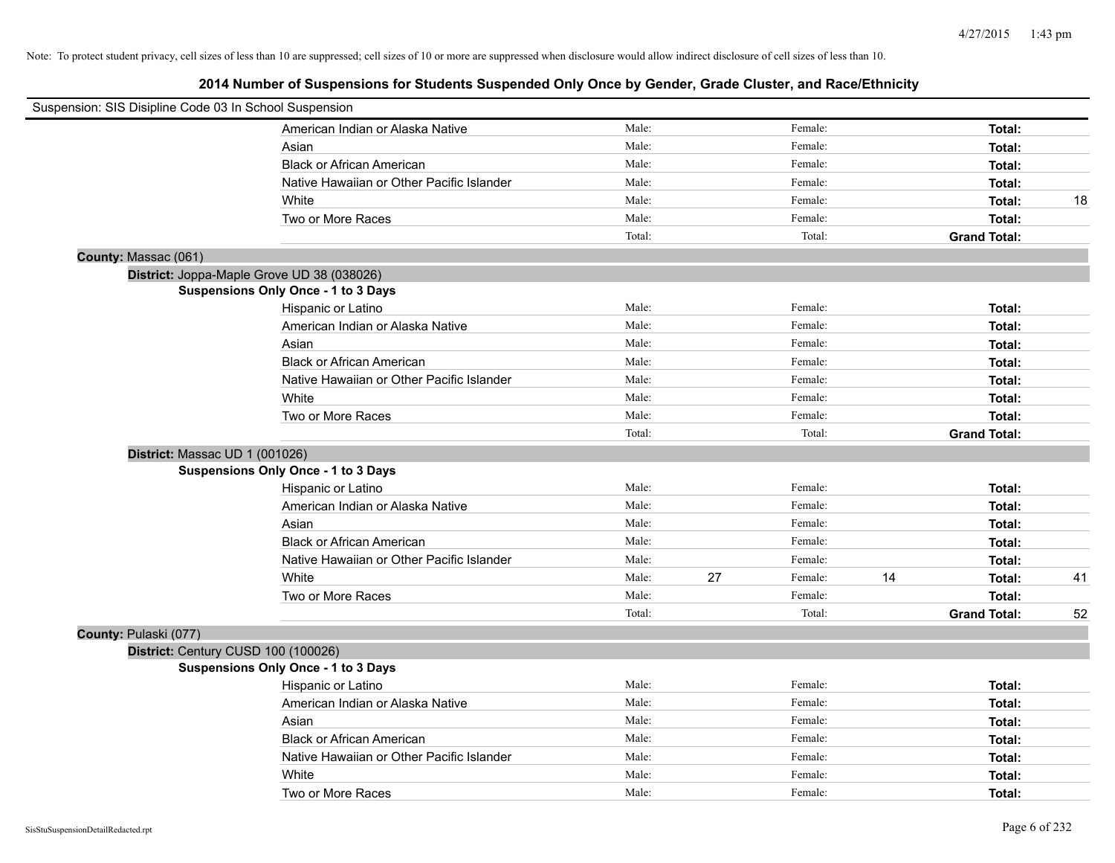|                       | Suspension: SIS Disipline Code 03 In School Suspension |        |    |         |    |                     |    |
|-----------------------|--------------------------------------------------------|--------|----|---------|----|---------------------|----|
|                       | American Indian or Alaska Native                       | Male:  |    | Female: |    | Total:              |    |
|                       | Asian                                                  | Male:  |    | Female: |    | Total:              |    |
|                       | <b>Black or African American</b>                       | Male:  |    | Female: |    | Total:              |    |
|                       | Native Hawaiian or Other Pacific Islander              | Male:  |    | Female: |    | Total:              |    |
|                       | White                                                  | Male:  |    | Female: |    | Total:              | 18 |
|                       | Two or More Races                                      | Male:  |    | Female: |    | Total:              |    |
|                       |                                                        | Total: |    | Total:  |    | <b>Grand Total:</b> |    |
| County: Massac (061)  |                                                        |        |    |         |    |                     |    |
|                       | District: Joppa-Maple Grove UD 38 (038026)             |        |    |         |    |                     |    |
|                       | <b>Suspensions Only Once - 1 to 3 Days</b>             |        |    |         |    |                     |    |
|                       | Hispanic or Latino                                     | Male:  |    | Female: |    | Total:              |    |
|                       | American Indian or Alaska Native                       | Male:  |    | Female: |    | Total:              |    |
|                       | Asian                                                  | Male:  |    | Female: |    | Total:              |    |
|                       | <b>Black or African American</b>                       | Male:  |    | Female: |    | Total:              |    |
|                       | Native Hawaiian or Other Pacific Islander              | Male:  |    | Female: |    | Total:              |    |
|                       | White                                                  | Male:  |    | Female: |    | Total:              |    |
|                       | Two or More Races                                      | Male:  |    | Female: |    | Total:              |    |
|                       |                                                        | Total: |    | Total:  |    | <b>Grand Total:</b> |    |
|                       | District: Massac UD 1 (001026)                         |        |    |         |    |                     |    |
|                       | <b>Suspensions Only Once - 1 to 3 Days</b>             |        |    |         |    |                     |    |
|                       | Hispanic or Latino                                     | Male:  |    | Female: |    | Total:              |    |
|                       | American Indian or Alaska Native                       | Male:  |    | Female: |    | Total:              |    |
|                       | Asian                                                  | Male:  |    | Female: |    | Total:              |    |
|                       | <b>Black or African American</b>                       | Male:  |    | Female: |    | Total:              |    |
|                       | Native Hawaiian or Other Pacific Islander              | Male:  |    | Female: |    | Total:              |    |
|                       | White                                                  | Male:  | 27 | Female: | 14 | Total:              | 41 |
|                       | Two or More Races                                      | Male:  |    | Female: |    | Total:              |    |
|                       |                                                        | Total: |    | Total:  |    | <b>Grand Total:</b> | 52 |
| County: Pulaski (077) |                                                        |        |    |         |    |                     |    |
|                       | District: Century CUSD 100 (100026)                    |        |    |         |    |                     |    |
|                       | <b>Suspensions Only Once - 1 to 3 Days</b>             |        |    |         |    |                     |    |
|                       | Hispanic or Latino                                     | Male:  |    | Female: |    | Total:              |    |
|                       | American Indian or Alaska Native                       | Male:  |    | Female: |    | Total:              |    |
|                       | Asian                                                  | Male:  |    | Female: |    | Total:              |    |
|                       | <b>Black or African American</b>                       | Male:  |    | Female: |    | Total:              |    |
|                       | Native Hawaiian or Other Pacific Islander              | Male:  |    | Female: |    | Total:              |    |
|                       | White                                                  | Male:  |    | Female: |    | Total:              |    |
|                       | Two or More Races                                      | Male:  |    | Female: |    | Total:              |    |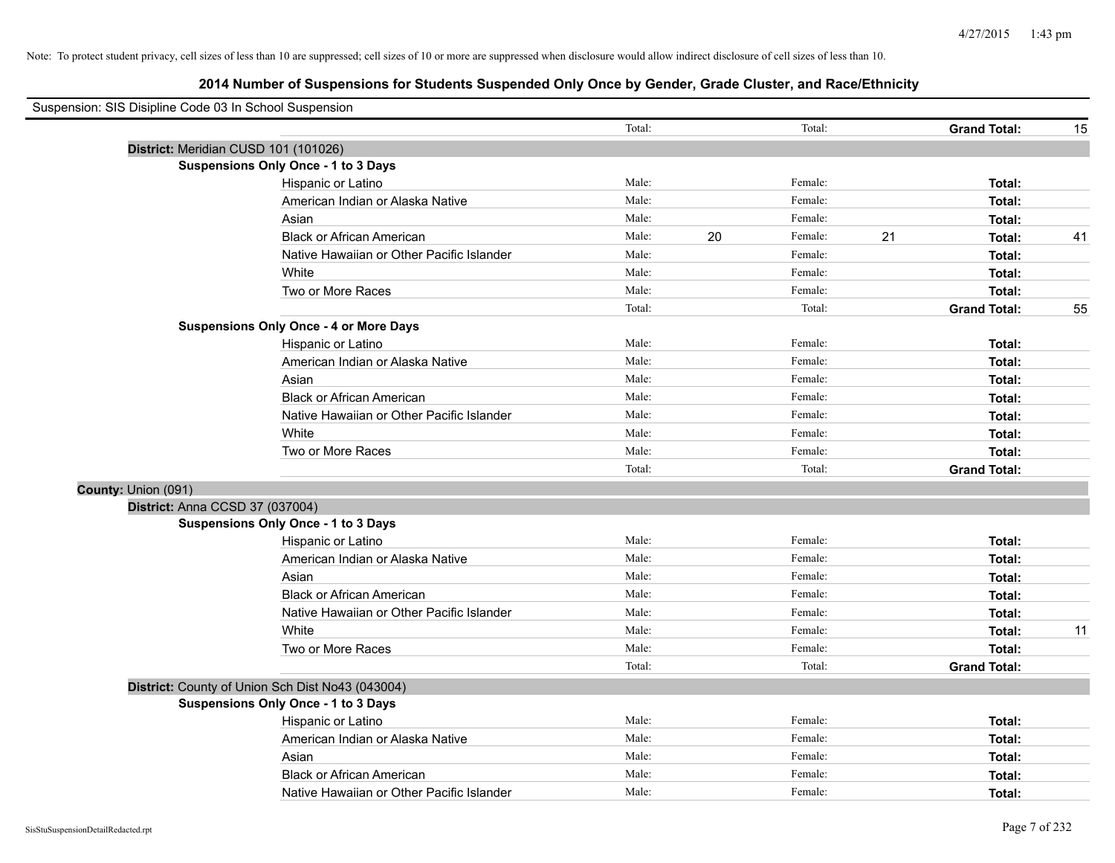| Suspension: SIS Disipline Code 03 In School Suspension |                                                  |        |    |         |    |                     |    |
|--------------------------------------------------------|--------------------------------------------------|--------|----|---------|----|---------------------|----|
|                                                        |                                                  | Total: |    | Total:  |    | <b>Grand Total:</b> | 15 |
|                                                        | District: Meridian CUSD 101 (101026)             |        |    |         |    |                     |    |
|                                                        | <b>Suspensions Only Once - 1 to 3 Days</b>       |        |    |         |    |                     |    |
|                                                        | Hispanic or Latino                               | Male:  |    | Female: |    | Total:              |    |
|                                                        | American Indian or Alaska Native                 | Male:  |    | Female: |    | Total:              |    |
|                                                        | Asian                                            | Male:  |    | Female: |    | Total:              |    |
|                                                        | <b>Black or African American</b>                 | Male:  | 20 | Female: | 21 | Total:              | 41 |
|                                                        | Native Hawaiian or Other Pacific Islander        | Male:  |    | Female: |    | Total:              |    |
|                                                        | White                                            | Male:  |    | Female: |    | Total:              |    |
|                                                        | Two or More Races                                | Male:  |    | Female: |    | Total:              |    |
|                                                        |                                                  | Total: |    | Total:  |    | <b>Grand Total:</b> | 55 |
|                                                        | <b>Suspensions Only Once - 4 or More Days</b>    |        |    |         |    |                     |    |
|                                                        | Hispanic or Latino                               | Male:  |    | Female: |    | Total:              |    |
|                                                        | American Indian or Alaska Native                 | Male:  |    | Female: |    | Total:              |    |
|                                                        | Asian                                            | Male:  |    | Female: |    | Total:              |    |
|                                                        | <b>Black or African American</b>                 | Male:  |    | Female: |    | Total:              |    |
|                                                        | Native Hawaiian or Other Pacific Islander        | Male:  |    | Female: |    | Total:              |    |
|                                                        | White                                            | Male:  |    | Female: |    | Total:              |    |
|                                                        | Two or More Races                                | Male:  |    | Female: |    | Total:              |    |
|                                                        |                                                  | Total: |    | Total:  |    | <b>Grand Total:</b> |    |
| County: Union (091)                                    |                                                  |        |    |         |    |                     |    |
|                                                        | District: Anna CCSD 37 (037004)                  |        |    |         |    |                     |    |
|                                                        | <b>Suspensions Only Once - 1 to 3 Days</b>       |        |    |         |    |                     |    |
|                                                        | Hispanic or Latino                               | Male:  |    | Female: |    | Total:              |    |
|                                                        | American Indian or Alaska Native                 | Male:  |    | Female: |    | Total:              |    |
|                                                        | Asian                                            | Male:  |    | Female: |    | Total:              |    |
|                                                        | <b>Black or African American</b>                 | Male:  |    | Female: |    | Total:              |    |
|                                                        | Native Hawaiian or Other Pacific Islander        | Male:  |    | Female: |    | Total:              |    |
|                                                        | White                                            | Male:  |    | Female: |    | Total:              | 11 |
|                                                        | Two or More Races                                | Male:  |    | Female: |    | Total:              |    |
|                                                        |                                                  | Total: |    | Total:  |    | <b>Grand Total:</b> |    |
|                                                        | District: County of Union Sch Dist No43 (043004) |        |    |         |    |                     |    |
|                                                        | <b>Suspensions Only Once - 1 to 3 Days</b>       |        |    |         |    |                     |    |
|                                                        | Hispanic or Latino                               | Male:  |    | Female: |    | Total:              |    |
|                                                        | American Indian or Alaska Native                 | Male:  |    | Female: |    | Total:              |    |
|                                                        | Asian                                            | Male:  |    | Female: |    | Total:              |    |
|                                                        | <b>Black or African American</b>                 | Male:  |    | Female: |    | Total:              |    |
|                                                        | Native Hawaiian or Other Pacific Islander        | Male:  |    | Female: |    | Total:              |    |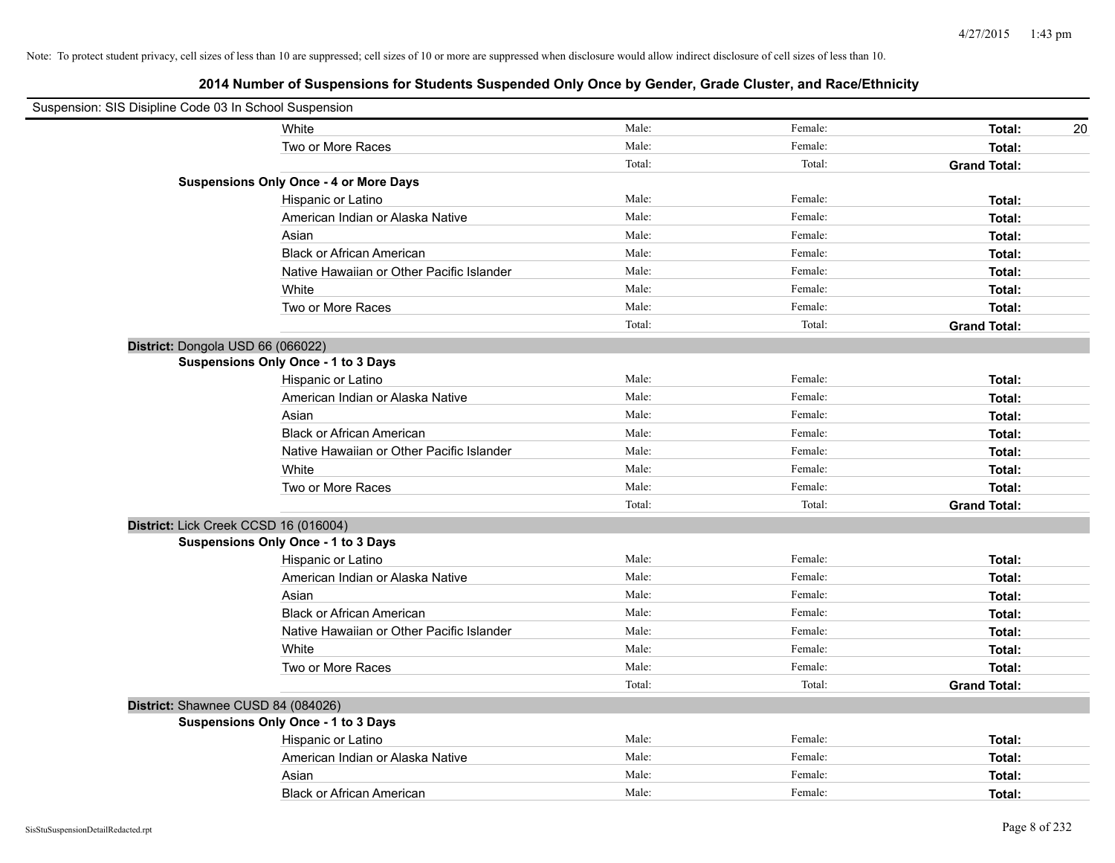| Suspension: SIS Disipline Code 03 In School Suspension |        |         |                     |
|--------------------------------------------------------|--------|---------|---------------------|
| White                                                  | Male:  | Female: | Total:<br>20        |
| Two or More Races                                      | Male:  | Female: | Total:              |
|                                                        | Total: | Total:  | <b>Grand Total:</b> |
| <b>Suspensions Only Once - 4 or More Days</b>          |        |         |                     |
| Hispanic or Latino                                     | Male:  | Female: | Total:              |
| American Indian or Alaska Native                       | Male:  | Female: | Total:              |
| Asian                                                  | Male:  | Female: | Total:              |
| <b>Black or African American</b>                       | Male:  | Female: | Total:              |
| Native Hawaiian or Other Pacific Islander              | Male:  | Female: | Total:              |
| White                                                  | Male:  | Female: | Total:              |
| Two or More Races                                      | Male:  | Female: | Total:              |
|                                                        | Total: | Total:  | <b>Grand Total:</b> |
| District: Dongola USD 66 (066022)                      |        |         |                     |
| <b>Suspensions Only Once - 1 to 3 Days</b>             |        |         |                     |
| Hispanic or Latino                                     | Male:  | Female: | Total:              |
| American Indian or Alaska Native                       | Male:  | Female: | Total:              |
| Asian                                                  | Male:  | Female: | Total:              |
| <b>Black or African American</b>                       | Male:  | Female: | Total:              |
| Native Hawaiian or Other Pacific Islander              | Male:  | Female: | Total:              |
| White                                                  | Male:  | Female: | Total:              |
| Two or More Races                                      | Male:  | Female: | Total:              |
|                                                        | Total: | Total:  | <b>Grand Total:</b> |
| District: Lick Creek CCSD 16 (016004)                  |        |         |                     |
| Suspensions Only Once - 1 to 3 Days                    |        |         |                     |
| Hispanic or Latino                                     | Male:  | Female: | Total:              |
| American Indian or Alaska Native                       | Male:  | Female: | Total:              |
| Asian                                                  | Male:  | Female: | Total:              |
| <b>Black or African American</b>                       | Male:  | Female: | Total:              |
| Native Hawaiian or Other Pacific Islander              | Male:  | Female: | Total:              |
| White                                                  | Male:  | Female: | Total:              |
| Two or More Races                                      | Male:  | Female: | Total:              |
|                                                        | Total: | Total:  | <b>Grand Total:</b> |
| District: Shawnee CUSD 84 (084026)                     |        |         |                     |
| <b>Suspensions Only Once - 1 to 3 Days</b>             |        |         |                     |
| Hispanic or Latino                                     | Male:  | Female: | Total:              |
| American Indian or Alaska Native                       | Male:  | Female: | Total:              |
| Asian                                                  | Male:  | Female: | Total:              |
| <b>Black or African American</b>                       | Male:  | Female: | Total:              |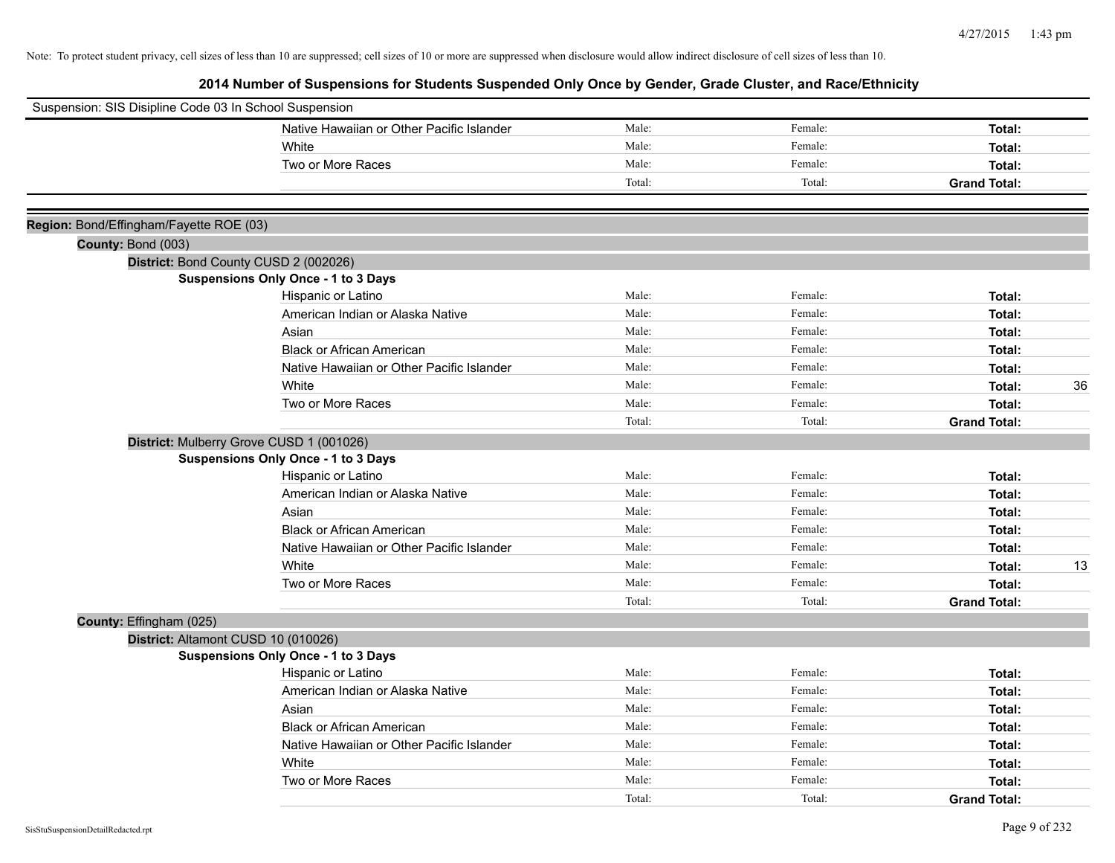| Suspension: SIS Disipline Code 03 In School Suspension |                                            |        |         |                     |    |
|--------------------------------------------------------|--------------------------------------------|--------|---------|---------------------|----|
|                                                        | Native Hawaiian or Other Pacific Islander  | Male:  | Female: | Total:              |    |
|                                                        | White                                      | Male:  | Female: | Total:              |    |
|                                                        | Two or More Races                          | Male:  | Female: | Total:              |    |
|                                                        |                                            | Total: | Total:  | <b>Grand Total:</b> |    |
|                                                        |                                            |        |         |                     |    |
| Region: Bond/Effingham/Fayette ROE (03)                |                                            |        |         |                     |    |
| County: Bond (003)                                     |                                            |        |         |                     |    |
|                                                        | District: Bond County CUSD 2 (002026)      |        |         |                     |    |
|                                                        | <b>Suspensions Only Once - 1 to 3 Days</b> |        |         |                     |    |
|                                                        | Hispanic or Latino                         | Male:  | Female: | Total:              |    |
|                                                        | American Indian or Alaska Native           | Male:  | Female: | Total:              |    |
|                                                        | Asian                                      | Male:  | Female: | Total:              |    |
|                                                        | <b>Black or African American</b>           | Male:  | Female: | Total:              |    |
|                                                        | Native Hawaiian or Other Pacific Islander  | Male:  | Female: | Total:              |    |
|                                                        | White                                      | Male:  | Female: | Total:              | 36 |
|                                                        | Two or More Races                          | Male:  | Female: | Total:              |    |
|                                                        |                                            | Total: | Total:  | <b>Grand Total:</b> |    |
|                                                        | District: Mulberry Grove CUSD 1 (001026)   |        |         |                     |    |
|                                                        | Suspensions Only Once - 1 to 3 Days        |        |         |                     |    |
|                                                        | Hispanic or Latino                         | Male:  | Female: | Total:              |    |
|                                                        | American Indian or Alaska Native           | Male:  | Female: | Total:              |    |
|                                                        | Asian                                      | Male:  | Female: | Total:              |    |
|                                                        | <b>Black or African American</b>           | Male:  | Female: | Total:              |    |
|                                                        | Native Hawaiian or Other Pacific Islander  | Male:  | Female: | Total:              |    |
|                                                        | White                                      | Male:  | Female: | Total:              | 13 |
|                                                        | Two or More Races                          | Male:  | Female: | Total:              |    |
|                                                        |                                            | Total: | Total:  | <b>Grand Total:</b> |    |
| County: Effingham (025)                                |                                            |        |         |                     |    |
|                                                        | District: Altamont CUSD 10 (010026)        |        |         |                     |    |
|                                                        | <b>Suspensions Only Once - 1 to 3 Days</b> |        |         |                     |    |
|                                                        | Hispanic or Latino                         | Male:  | Female: | Total:              |    |
|                                                        | American Indian or Alaska Native           | Male:  | Female: | Total:              |    |
|                                                        | Asian                                      | Male:  | Female: | Total:              |    |
|                                                        | <b>Black or African American</b>           | Male:  | Female: | Total:              |    |
|                                                        | Native Hawaiian or Other Pacific Islander  | Male:  | Female: | Total:              |    |
|                                                        | White                                      | Male:  | Female: | Total:              |    |
|                                                        | Two or More Races                          | Male:  | Female: | Total:              |    |
|                                                        |                                            | Total: | Total:  | <b>Grand Total:</b> |    |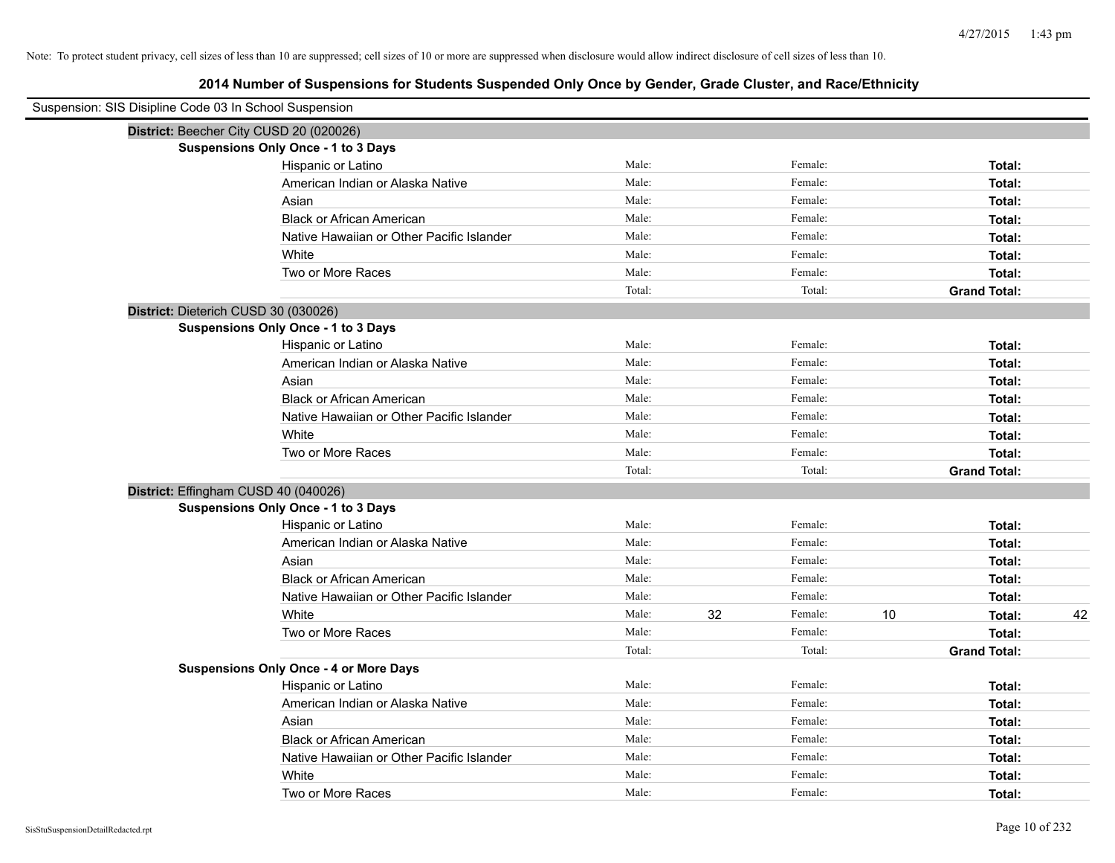| Suspension: SIS Disipline Code 03 In School Suspension |                                               |        |    |         |    |                     |    |
|--------------------------------------------------------|-----------------------------------------------|--------|----|---------|----|---------------------|----|
|                                                        | District: Beecher City CUSD 20 (020026)       |        |    |         |    |                     |    |
|                                                        | Suspensions Only Once - 1 to 3 Days           |        |    |         |    |                     |    |
|                                                        | Hispanic or Latino                            | Male:  |    | Female: |    | Total:              |    |
|                                                        | American Indian or Alaska Native              | Male:  |    | Female: |    | Total:              |    |
|                                                        | Asian                                         | Male:  |    | Female: |    | Total:              |    |
|                                                        | <b>Black or African American</b>              | Male:  |    | Female: |    | Total:              |    |
|                                                        | Native Hawaiian or Other Pacific Islander     | Male:  |    | Female: |    | Total:              |    |
|                                                        | White                                         | Male:  |    | Female: |    | Total:              |    |
|                                                        | Two or More Races                             | Male:  |    | Female: |    | Total:              |    |
|                                                        |                                               | Total: |    | Total:  |    | <b>Grand Total:</b> |    |
| District: Dieterich CUSD 30 (030026)                   |                                               |        |    |         |    |                     |    |
|                                                        | Suspensions Only Once - 1 to 3 Days           |        |    |         |    |                     |    |
|                                                        | Hispanic or Latino                            | Male:  |    | Female: |    | Total:              |    |
|                                                        | American Indian or Alaska Native              | Male:  |    | Female: |    | Total:              |    |
|                                                        | Asian                                         | Male:  |    | Female: |    | Total:              |    |
|                                                        | <b>Black or African American</b>              | Male:  |    | Female: |    | Total:              |    |
|                                                        | Native Hawaiian or Other Pacific Islander     | Male:  |    | Female: |    | Total:              |    |
|                                                        | White                                         | Male:  |    | Female: |    | Total:              |    |
|                                                        | Two or More Races                             | Male:  |    | Female: |    | Total:              |    |
|                                                        |                                               | Total: |    | Total:  |    | <b>Grand Total:</b> |    |
|                                                        | District: Effingham CUSD 40 (040026)          |        |    |         |    |                     |    |
|                                                        | Suspensions Only Once - 1 to 3 Days           |        |    |         |    |                     |    |
|                                                        | Hispanic or Latino                            | Male:  |    | Female: |    | Total:              |    |
|                                                        | American Indian or Alaska Native              | Male:  |    | Female: |    | Total:              |    |
|                                                        | Asian                                         | Male:  |    | Female: |    | Total:              |    |
|                                                        | <b>Black or African American</b>              | Male:  |    | Female: |    | Total:              |    |
|                                                        | Native Hawaiian or Other Pacific Islander     | Male:  |    | Female: |    | Total:              |    |
|                                                        | White                                         | Male:  | 32 | Female: | 10 | Total:              | 42 |
|                                                        | Two or More Races                             | Male:  |    | Female: |    | Total:              |    |
|                                                        |                                               | Total: |    | Total:  |    | <b>Grand Total:</b> |    |
|                                                        | <b>Suspensions Only Once - 4 or More Days</b> |        |    |         |    |                     |    |
|                                                        | Hispanic or Latino                            | Male:  |    | Female: |    | Total:              |    |
|                                                        | American Indian or Alaska Native              | Male:  |    | Female: |    | Total:              |    |
|                                                        | Asian                                         | Male:  |    | Female: |    | Total:              |    |
|                                                        | <b>Black or African American</b>              | Male:  |    | Female: |    | Total:              |    |
|                                                        | Native Hawaiian or Other Pacific Islander     | Male:  |    | Female: |    | Total:              |    |
|                                                        | White                                         | Male:  |    | Female: |    | Total:              |    |
|                                                        | Two or More Races                             | Male:  |    | Female: |    | Total:              |    |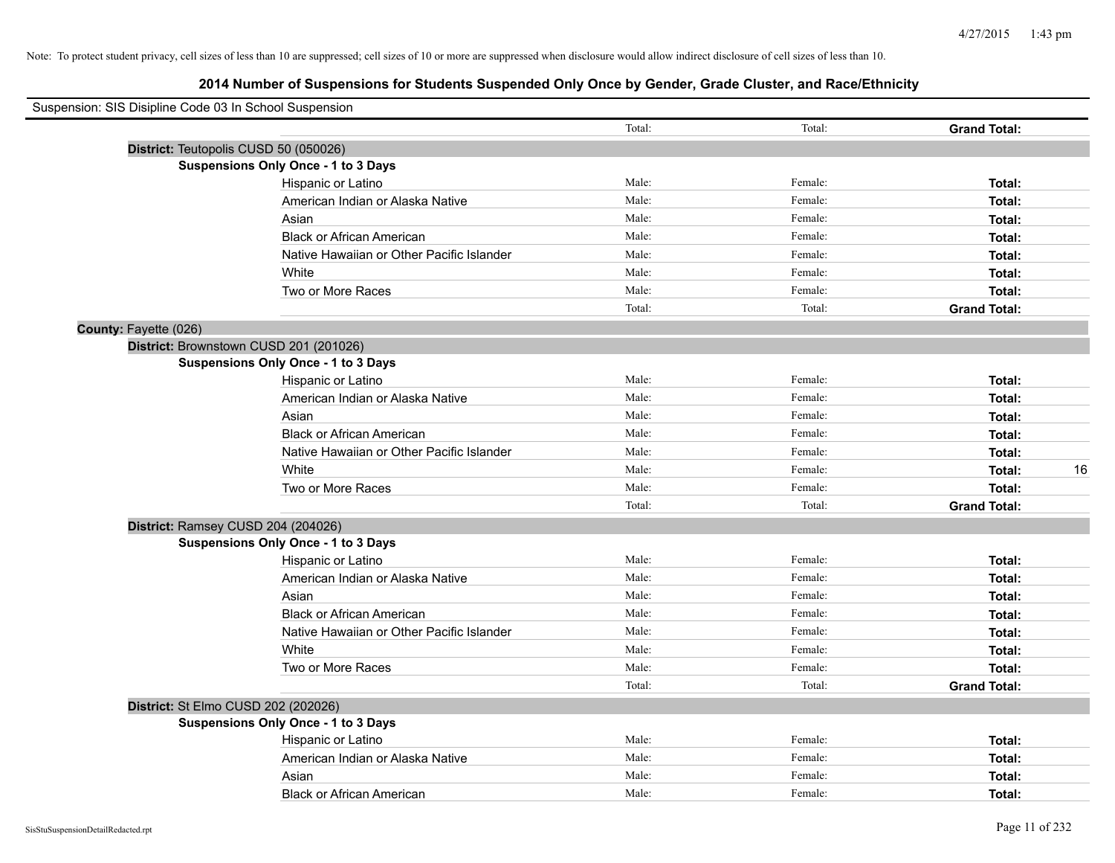| Total: | Total:  | <b>Grand Total:</b> |    |
|--------|---------|---------------------|----|
|        |         |                     |    |
|        |         |                     |    |
| Male:  | Female: | Total:              |    |
| Male:  | Female: | Total:              |    |
| Male:  | Female: | Total:              |    |
| Male:  | Female: | Total:              |    |
| Male:  | Female: | Total:              |    |
| Male:  | Female: | Total:              |    |
| Male:  | Female: | Total:              |    |
| Total: | Total:  | <b>Grand Total:</b> |    |
|        |         |                     |    |
|        |         |                     |    |
|        |         |                     |    |
| Male:  | Female: | Total:              |    |
| Male:  | Female: | Total:              |    |
| Male:  | Female: | Total:              |    |
| Male:  | Female: | Total:              |    |
| Male:  | Female: | Total:              |    |
| Male:  | Female: | Total:              | 16 |
| Male:  | Female: | Total:              |    |
| Total: | Total:  | <b>Grand Total:</b> |    |
|        |         |                     |    |
|        |         |                     |    |
| Male:  | Female: | Total:              |    |
| Male:  | Female: | Total:              |    |
| Male:  | Female: | Total:              |    |
| Male:  | Female: | Total:              |    |
| Male:  | Female: | Total:              |    |
| Male:  | Female: | Total:              |    |
| Male:  | Female: | Total:              |    |
| Total: | Total:  | <b>Grand Total:</b> |    |
|        |         |                     |    |
|        |         |                     |    |
| Male:  | Female: | Total:              |    |
| Male:  | Female: | Total:              |    |
| Male:  | Female: | Total:              |    |
| Male:  | Female: | Total:              |    |
|        |         |                     |    |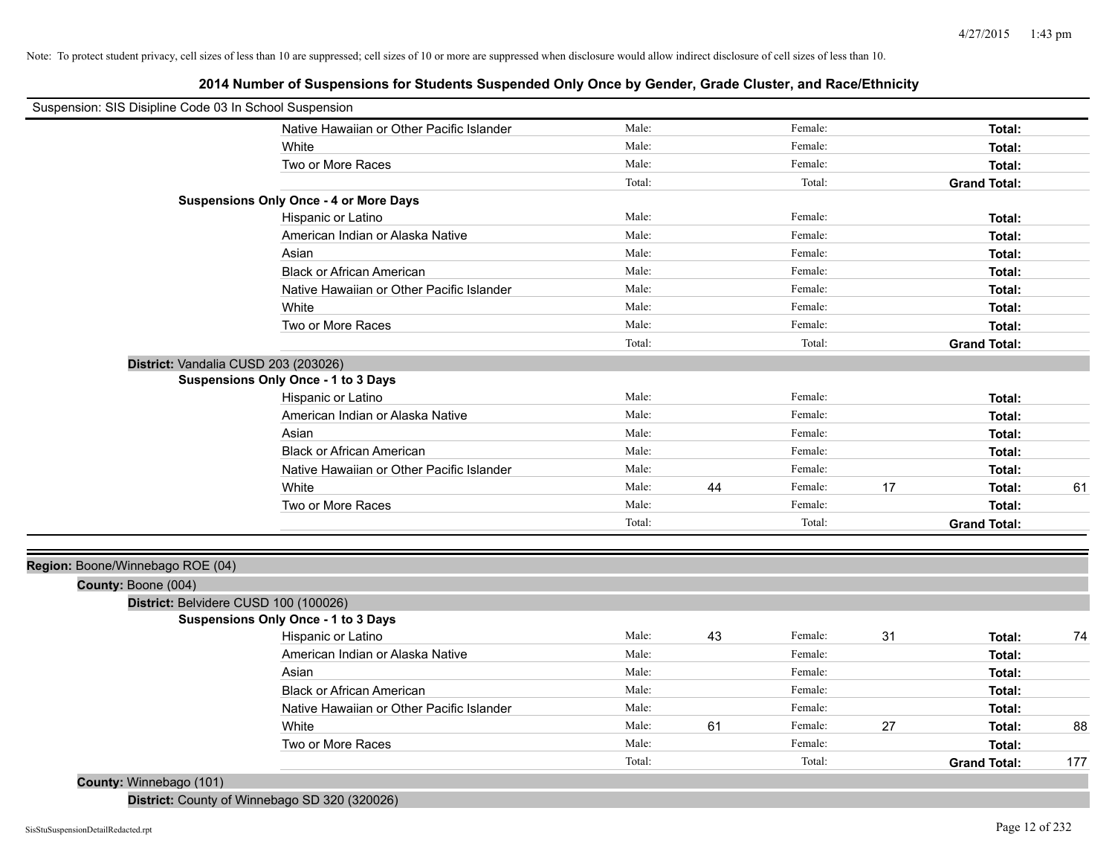**2014 Number of Suspensions for Students Suspended Only Once by Gender, Grade Cluster, and Race/Ethnicity**

| Suspension: SIS Disipline Code 03 In School Suspension |                                               |        |    |         |    |                     |     |
|--------------------------------------------------------|-----------------------------------------------|--------|----|---------|----|---------------------|-----|
|                                                        | Native Hawaiian or Other Pacific Islander     | Male:  |    | Female: |    | Total:              |     |
|                                                        | White                                         | Male:  |    | Female: |    | Total:              |     |
|                                                        | Two or More Races                             | Male:  |    | Female: |    | Total:              |     |
|                                                        |                                               | Total: |    | Total:  |    | <b>Grand Total:</b> |     |
|                                                        | <b>Suspensions Only Once - 4 or More Days</b> |        |    |         |    |                     |     |
|                                                        | Hispanic or Latino                            | Male:  |    | Female: |    | Total:              |     |
|                                                        | American Indian or Alaska Native              | Male:  |    | Female: |    | Total:              |     |
|                                                        | Asian                                         | Male:  |    | Female: |    | Total:              |     |
|                                                        | <b>Black or African American</b>              | Male:  |    | Female: |    | Total:              |     |
|                                                        | Native Hawaiian or Other Pacific Islander     | Male:  |    | Female: |    | Total:              |     |
|                                                        | White                                         | Male:  |    | Female: |    | Total:              |     |
|                                                        | Two or More Races                             | Male:  |    | Female: |    | Total:              |     |
|                                                        |                                               | Total: |    | Total:  |    | <b>Grand Total:</b> |     |
|                                                        | District: Vandalia CUSD 203 (203026)          |        |    |         |    |                     |     |
|                                                        | <b>Suspensions Only Once - 1 to 3 Days</b>    |        |    |         |    |                     |     |
|                                                        | Hispanic or Latino                            | Male:  |    | Female: |    | Total:              |     |
|                                                        | American Indian or Alaska Native              | Male:  |    | Female: |    | Total:              |     |
|                                                        | Asian                                         | Male:  |    | Female: |    | Total:              |     |
|                                                        | <b>Black or African American</b>              | Male:  |    | Female: |    | Total:              |     |
|                                                        | Native Hawaiian or Other Pacific Islander     | Male:  |    | Female: |    | Total:              |     |
|                                                        | White                                         | Male:  | 44 | Female: | 17 | Total:              | 61  |
|                                                        | Two or More Races                             | Male:  |    | Female: |    | Total:              |     |
|                                                        |                                               | Total: |    | Total:  |    | <b>Grand Total:</b> |     |
|                                                        |                                               |        |    |         |    |                     |     |
| Region: Boone/Winnebago ROE (04)                       |                                               |        |    |         |    |                     |     |
| County: Boone (004)                                    |                                               |        |    |         |    |                     |     |
|                                                        | District: Belvidere CUSD 100 (100026)         |        |    |         |    |                     |     |
|                                                        | <b>Suspensions Only Once - 1 to 3 Days</b>    |        |    |         |    |                     |     |
|                                                        | Hispanic or Latino                            | Male:  | 43 | Female: | 31 | Total:              | 74  |
|                                                        | American Indian or Alaska Native              | Male:  |    | Female: |    | Total:              |     |
|                                                        | Asian                                         | Male:  |    | Female: |    | Total:              |     |
|                                                        | <b>Black or African American</b>              | Male:  |    | Female: |    | Total:              |     |
|                                                        | Native Hawaiian or Other Pacific Islander     | Male:  |    | Female: |    | Total:              |     |
|                                                        | White                                         | Male:  | 61 | Female: | 27 | Total:              | 88  |
|                                                        | Two or More Races                             | Male:  |    | Female: |    | Total:              |     |
|                                                        |                                               | Total: |    | Total:  |    | <b>Grand Total:</b> | 177 |
| County: Winnebago (101)                                |                                               |        |    |         |    |                     |     |

**District:** County of Winnebago SD 320 (320026)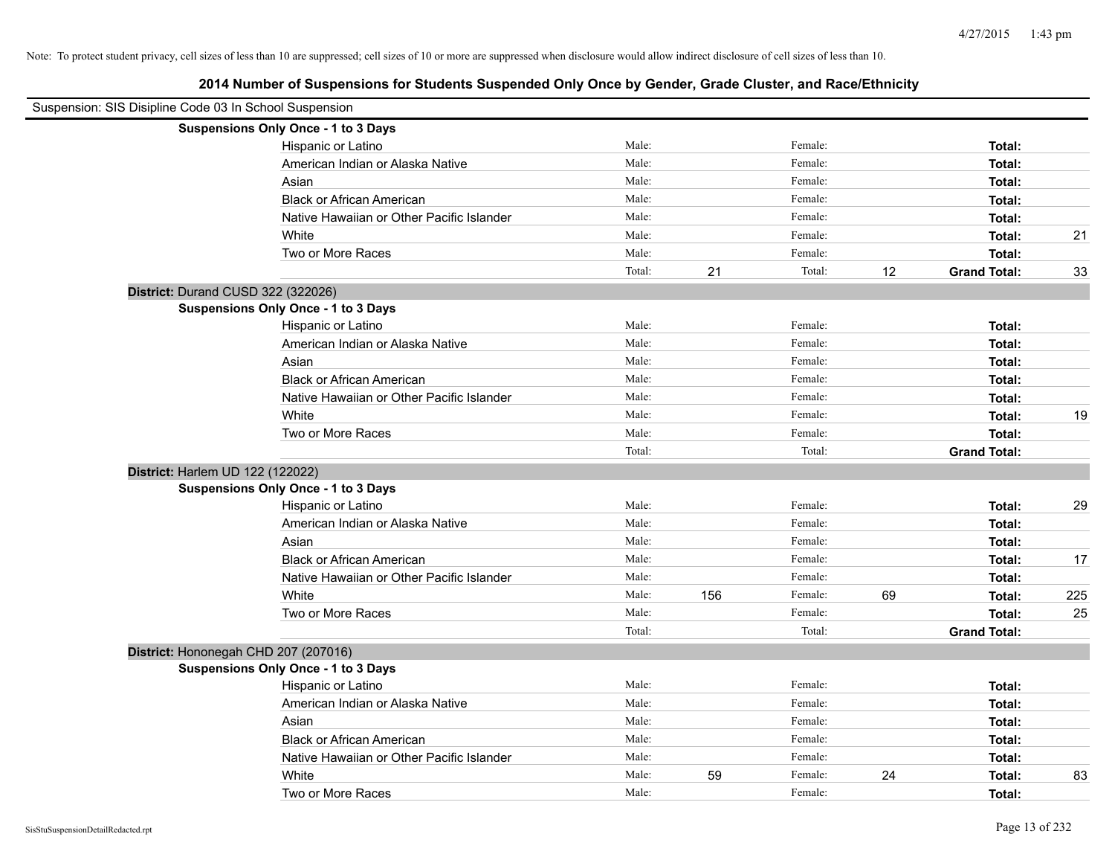| Suspension: SIS Disipline Code 03 In School Suspension |                                            |        |     |         |    |                     |     |
|--------------------------------------------------------|--------------------------------------------|--------|-----|---------|----|---------------------|-----|
|                                                        | Suspensions Only Once - 1 to 3 Days        |        |     |         |    |                     |     |
|                                                        | Hispanic or Latino                         | Male:  |     | Female: |    | Total:              |     |
|                                                        | American Indian or Alaska Native           | Male:  |     | Female: |    | Total:              |     |
|                                                        | Asian                                      | Male:  |     | Female: |    | Total:              |     |
|                                                        | <b>Black or African American</b>           | Male:  |     | Female: |    | Total:              |     |
|                                                        | Native Hawaiian or Other Pacific Islander  | Male:  |     | Female: |    | Total:              |     |
|                                                        | White                                      | Male:  |     | Female: |    | Total:              | 21  |
|                                                        | Two or More Races                          | Male:  |     | Female: |    | Total:              |     |
|                                                        |                                            | Total: | 21  | Total:  | 12 | <b>Grand Total:</b> | 33  |
| District: Durand CUSD 322 (322026)                     |                                            |        |     |         |    |                     |     |
|                                                        | Suspensions Only Once - 1 to 3 Days        |        |     |         |    |                     |     |
|                                                        | Hispanic or Latino                         | Male:  |     | Female: |    | Total:              |     |
|                                                        | American Indian or Alaska Native           | Male:  |     | Female: |    | Total:              |     |
|                                                        | Asian                                      | Male:  |     | Female: |    | Total:              |     |
|                                                        | <b>Black or African American</b>           | Male:  |     | Female: |    | Total:              |     |
|                                                        | Native Hawaiian or Other Pacific Islander  | Male:  |     | Female: |    | Total:              |     |
|                                                        | White                                      | Male:  |     | Female: |    | Total:              | 19  |
|                                                        | Two or More Races                          | Male:  |     | Female: |    | Total:              |     |
|                                                        |                                            | Total: |     | Total:  |    | <b>Grand Total:</b> |     |
| District: Harlem UD 122 (122022)                       |                                            |        |     |         |    |                     |     |
|                                                        | Suspensions Only Once - 1 to 3 Days        |        |     |         |    |                     |     |
|                                                        | Hispanic or Latino                         | Male:  |     | Female: |    | Total:              | 29  |
|                                                        | American Indian or Alaska Native           | Male:  |     | Female: |    | Total:              |     |
|                                                        | Asian                                      | Male:  |     | Female: |    | Total:              |     |
|                                                        | <b>Black or African American</b>           | Male:  |     | Female: |    | Total:              | 17  |
|                                                        | Native Hawaiian or Other Pacific Islander  | Male:  |     | Female: |    | Total:              |     |
|                                                        | White                                      | Male:  | 156 | Female: | 69 | Total:              | 225 |
|                                                        | Two or More Races                          | Male:  |     | Female: |    | Total:              | 25  |
|                                                        |                                            | Total: |     | Total:  |    | <b>Grand Total:</b> |     |
|                                                        | District: Hononegah CHD 207 (207016)       |        |     |         |    |                     |     |
|                                                        | <b>Suspensions Only Once - 1 to 3 Days</b> |        |     |         |    |                     |     |
|                                                        | Hispanic or Latino                         | Male:  |     | Female: |    | Total:              |     |
|                                                        | American Indian or Alaska Native           | Male:  |     | Female: |    | Total:              |     |
|                                                        | Asian                                      | Male:  |     | Female: |    | Total:              |     |
|                                                        | <b>Black or African American</b>           | Male:  |     | Female: |    | Total:              |     |
|                                                        | Native Hawaiian or Other Pacific Islander  | Male:  |     | Female: |    | Total:              |     |
|                                                        | White                                      | Male:  | 59  | Female: | 24 | Total:              | 83  |
|                                                        | Two or More Races                          | Male:  |     | Female: |    | Total:              |     |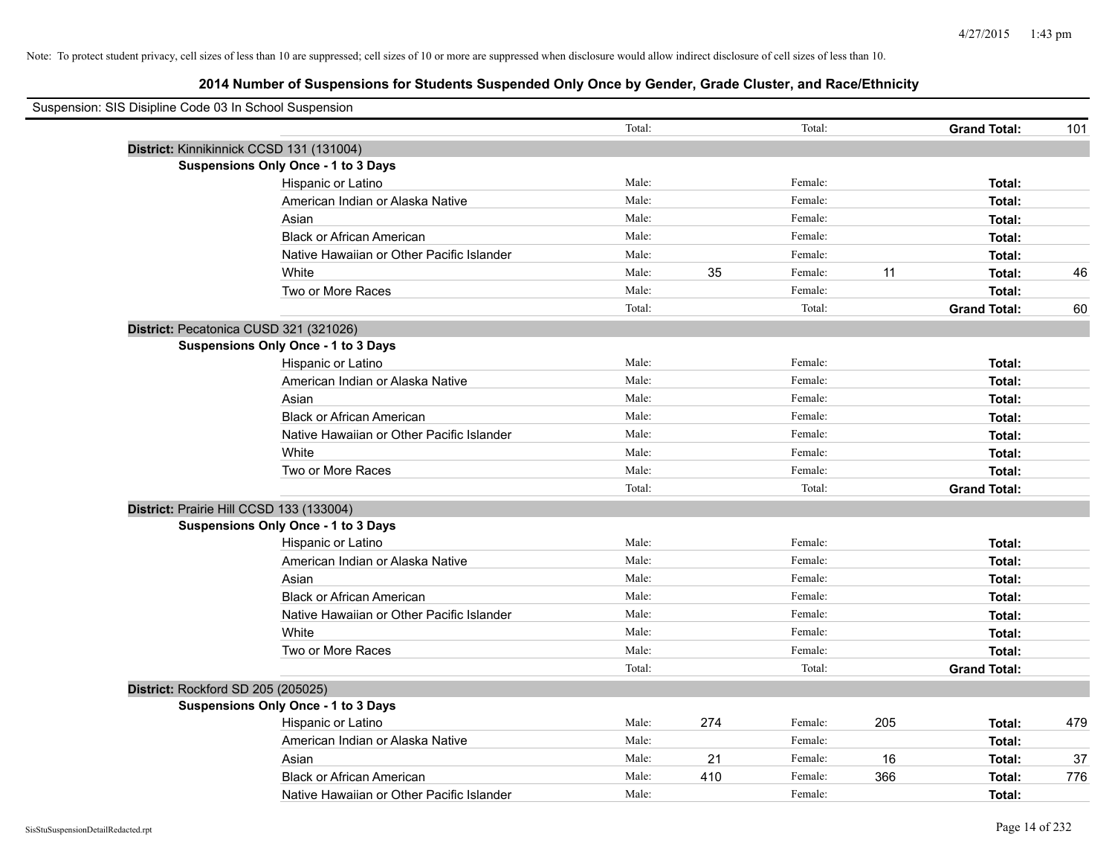| Suspension: SIS Disipline Code 03 In School Suspension |        |     |         |     |                     |     |
|--------------------------------------------------------|--------|-----|---------|-----|---------------------|-----|
|                                                        | Total: |     | Total:  |     | <b>Grand Total:</b> | 101 |
| District: Kinnikinnick CCSD 131 (131004)               |        |     |         |     |                     |     |
| Suspensions Only Once - 1 to 3 Days                    |        |     |         |     |                     |     |
| Hispanic or Latino                                     | Male:  |     | Female: |     | Total:              |     |
| American Indian or Alaska Native                       | Male:  |     | Female: |     | Total:              |     |
| Asian                                                  | Male:  |     | Female: |     | Total:              |     |
| <b>Black or African American</b>                       | Male:  |     | Female: |     | Total:              |     |
| Native Hawaiian or Other Pacific Islander              | Male:  |     | Female: |     | Total:              |     |
| White                                                  | Male:  | 35  | Female: | 11  | Total:              | 46  |
| Two or More Races                                      | Male:  |     | Female: |     | Total:              |     |
|                                                        | Total: |     | Total:  |     | <b>Grand Total:</b> | 60  |
| District: Pecatonica CUSD 321 (321026)                 |        |     |         |     |                     |     |
| Suspensions Only Once - 1 to 3 Days                    |        |     |         |     |                     |     |
| Hispanic or Latino                                     | Male:  |     | Female: |     | Total:              |     |
| American Indian or Alaska Native                       | Male:  |     | Female: |     | Total:              |     |
| Asian                                                  | Male:  |     | Female: |     | Total:              |     |
| <b>Black or African American</b>                       | Male:  |     | Female: |     | Total:              |     |
| Native Hawaiian or Other Pacific Islander              | Male:  |     | Female: |     | Total:              |     |
| White                                                  | Male:  |     | Female: |     | Total:              |     |
| Two or More Races                                      | Male:  |     | Female: |     | Total:              |     |
|                                                        | Total: |     | Total:  |     | <b>Grand Total:</b> |     |
| District: Prairie Hill CCSD 133 (133004)               |        |     |         |     |                     |     |
| <b>Suspensions Only Once - 1 to 3 Days</b>             |        |     |         |     |                     |     |
| Hispanic or Latino                                     | Male:  |     | Female: |     | Total:              |     |
| American Indian or Alaska Native                       | Male:  |     | Female: |     | Total:              |     |
| Asian                                                  | Male:  |     | Female: |     | Total:              |     |
| <b>Black or African American</b>                       | Male:  |     | Female: |     | Total:              |     |
| Native Hawaiian or Other Pacific Islander              | Male:  |     | Female: |     | Total:              |     |
| White                                                  | Male:  |     | Female: |     | Total:              |     |
| Two or More Races                                      | Male:  |     | Female: |     | Total:              |     |
|                                                        | Total: |     | Total:  |     | <b>Grand Total:</b> |     |
| District: Rockford SD 205 (205025)                     |        |     |         |     |                     |     |
| <b>Suspensions Only Once - 1 to 3 Days</b>             |        |     |         |     |                     |     |
| Hispanic or Latino                                     | Male:  | 274 | Female: | 205 | Total:              | 479 |
| American Indian or Alaska Native                       | Male:  |     | Female: |     | Total:              |     |
| Asian                                                  | Male:  | 21  | Female: | 16  | Total:              | 37  |
| <b>Black or African American</b>                       | Male:  | 410 | Female: | 366 | Total:              | 776 |
| Native Hawaiian or Other Pacific Islander              | Male:  |     | Female: |     | Total:              |     |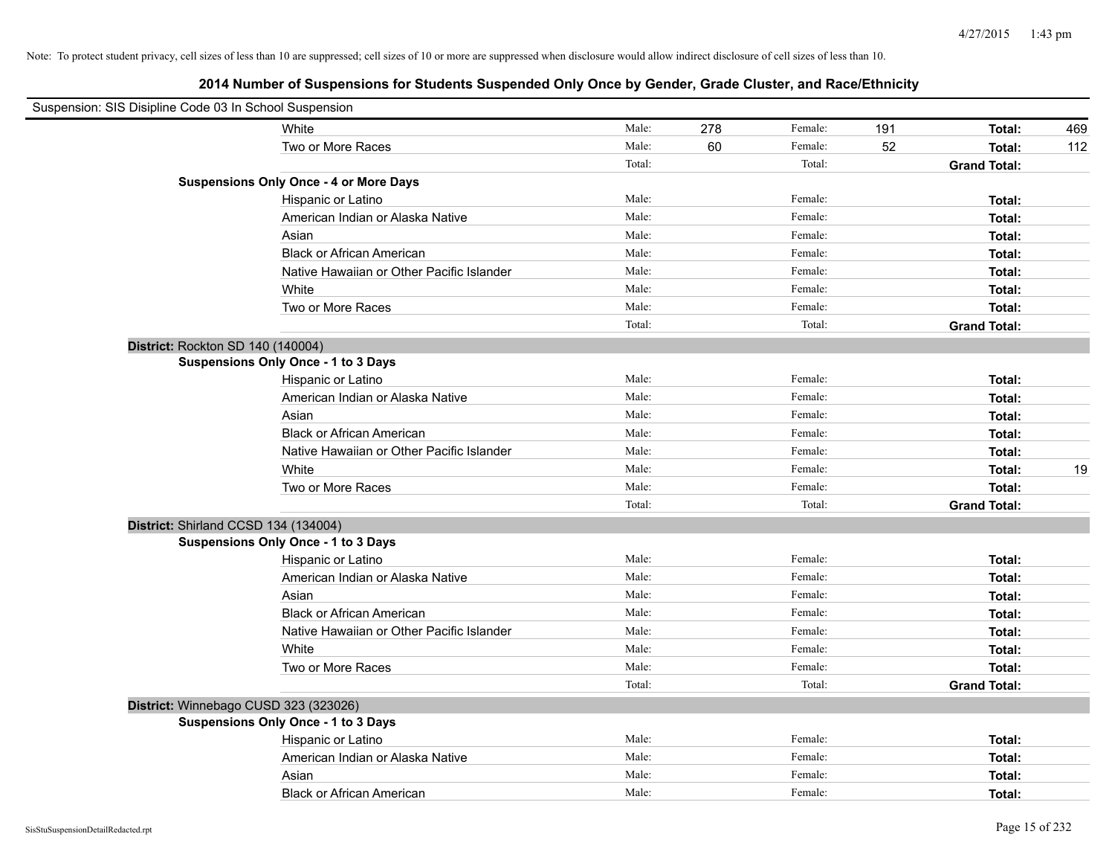| Suspension: SIS Disipline Code 03 In School Suspension |                                               |        |     |         |     |                     |     |
|--------------------------------------------------------|-----------------------------------------------|--------|-----|---------|-----|---------------------|-----|
|                                                        | White                                         | Male:  | 278 | Female: | 191 | Total:              | 469 |
|                                                        | Two or More Races                             | Male:  | 60  | Female: | 52  | Total:              | 112 |
|                                                        |                                               | Total: |     | Total:  |     | <b>Grand Total:</b> |     |
|                                                        | <b>Suspensions Only Once - 4 or More Days</b> |        |     |         |     |                     |     |
|                                                        | Hispanic or Latino                            | Male:  |     | Female: |     | Total:              |     |
|                                                        | American Indian or Alaska Native              | Male:  |     | Female: |     | Total:              |     |
|                                                        | Asian                                         | Male:  |     | Female: |     | Total:              |     |
|                                                        | <b>Black or African American</b>              | Male:  |     | Female: |     | Total:              |     |
|                                                        | Native Hawaiian or Other Pacific Islander     | Male:  |     | Female: |     | Total:              |     |
|                                                        | White                                         | Male:  |     | Female: |     | Total:              |     |
|                                                        | Two or More Races                             | Male:  |     | Female: |     | Total:              |     |
|                                                        |                                               | Total: |     | Total:  |     | <b>Grand Total:</b> |     |
| District: Rockton SD 140 (140004)                      |                                               |        |     |         |     |                     |     |
|                                                        | Suspensions Only Once - 1 to 3 Days           |        |     |         |     |                     |     |
|                                                        | Hispanic or Latino                            | Male:  |     | Female: |     | Total:              |     |
|                                                        | American Indian or Alaska Native              | Male:  |     | Female: |     | Total:              |     |
|                                                        | Asian                                         | Male:  |     | Female: |     | Total:              |     |
|                                                        | <b>Black or African American</b>              | Male:  |     | Female: |     | Total:              |     |
|                                                        | Native Hawaiian or Other Pacific Islander     | Male:  |     | Female: |     | Total:              |     |
|                                                        | White                                         | Male:  |     | Female: |     | Total:              | 19  |
|                                                        | Two or More Races                             | Male:  |     | Female: |     | Total:              |     |
|                                                        |                                               | Total: |     | Total:  |     | <b>Grand Total:</b> |     |
| District: Shirland CCSD 134 (134004)                   |                                               |        |     |         |     |                     |     |
|                                                        | <b>Suspensions Only Once - 1 to 3 Days</b>    |        |     |         |     |                     |     |
|                                                        | Hispanic or Latino                            | Male:  |     | Female: |     | Total:              |     |
|                                                        | American Indian or Alaska Native              | Male:  |     | Female: |     | Total:              |     |
|                                                        | Asian                                         | Male:  |     | Female: |     | Total:              |     |
|                                                        | <b>Black or African American</b>              | Male:  |     | Female: |     | Total:              |     |
|                                                        | Native Hawaiian or Other Pacific Islander     | Male:  |     | Female: |     | Total:              |     |
|                                                        | White                                         | Male:  |     | Female: |     | Total:              |     |
|                                                        | Two or More Races                             | Male:  |     | Female: |     | Total:              |     |
|                                                        |                                               | Total: |     | Total:  |     | <b>Grand Total:</b> |     |
| District: Winnebago CUSD 323 (323026)                  |                                               |        |     |         |     |                     |     |
|                                                        | <b>Suspensions Only Once - 1 to 3 Days</b>    |        |     |         |     |                     |     |
|                                                        | Hispanic or Latino                            | Male:  |     | Female: |     | Total:              |     |
|                                                        | American Indian or Alaska Native              | Male:  |     | Female: |     | Total:              |     |
|                                                        | Asian                                         | Male:  |     | Female: |     | Total:              |     |
|                                                        | <b>Black or African American</b>              | Male:  |     | Female: |     | Total:              |     |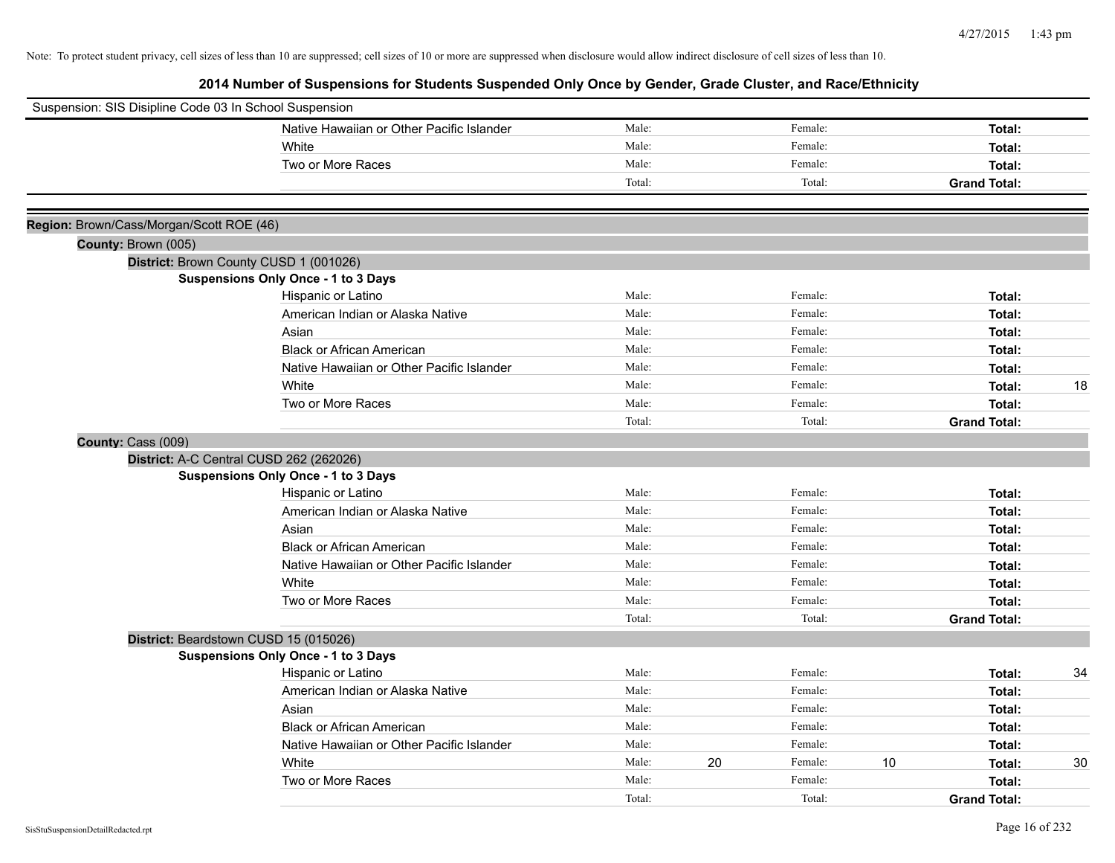| Suspension: SIS Disipline Code 03 In School Suspension |                                            |        |    |         |    |                     |    |
|--------------------------------------------------------|--------------------------------------------|--------|----|---------|----|---------------------|----|
|                                                        | Native Hawaiian or Other Pacific Islander  | Male:  |    | Female: |    | Total:              |    |
|                                                        | White                                      | Male:  |    | Female: |    | Total:              |    |
|                                                        | Two or More Races                          | Male:  |    | Female: |    | Total:              |    |
|                                                        |                                            | Total: |    | Total:  |    | <b>Grand Total:</b> |    |
|                                                        |                                            |        |    |         |    |                     |    |
| Region: Brown/Cass/Morgan/Scott ROE (46)               |                                            |        |    |         |    |                     |    |
| County: Brown (005)                                    |                                            |        |    |         |    |                     |    |
|                                                        | District: Brown County CUSD 1 (001026)     |        |    |         |    |                     |    |
|                                                        | <b>Suspensions Only Once - 1 to 3 Days</b> |        |    |         |    |                     |    |
|                                                        | Hispanic or Latino                         | Male:  |    | Female: |    | Total:              |    |
|                                                        | American Indian or Alaska Native           | Male:  |    | Female: |    | Total:              |    |
|                                                        | Asian                                      | Male:  |    | Female: |    | Total:              |    |
|                                                        | <b>Black or African American</b>           | Male:  |    | Female: |    | Total:              |    |
|                                                        | Native Hawaiian or Other Pacific Islander  | Male:  |    | Female: |    | Total:              |    |
|                                                        | White                                      | Male:  |    | Female: |    | Total:              | 18 |
|                                                        | Two or More Races                          | Male:  |    | Female: |    | Total:              |    |
|                                                        |                                            | Total: |    | Total:  |    | <b>Grand Total:</b> |    |
| County: Cass (009)                                     |                                            |        |    |         |    |                     |    |
|                                                        | District: A-C Central CUSD 262 (262026)    |        |    |         |    |                     |    |
|                                                        | <b>Suspensions Only Once - 1 to 3 Days</b> |        |    |         |    |                     |    |
|                                                        | Hispanic or Latino                         | Male:  |    | Female: |    | Total:              |    |
|                                                        | American Indian or Alaska Native           | Male:  |    | Female: |    | Total:              |    |
|                                                        | Asian                                      | Male:  |    | Female: |    | Total:              |    |
|                                                        | <b>Black or African American</b>           | Male:  |    | Female: |    | Total:              |    |
|                                                        | Native Hawaiian or Other Pacific Islander  | Male:  |    | Female: |    | Total:              |    |
|                                                        | White                                      | Male:  |    | Female: |    | Total:              |    |
|                                                        | Two or More Races                          | Male:  |    | Female: |    | Total:              |    |
|                                                        |                                            | Total: |    | Total:  |    | <b>Grand Total:</b> |    |
|                                                        | District: Beardstown CUSD 15 (015026)      |        |    |         |    |                     |    |
|                                                        | <b>Suspensions Only Once - 1 to 3 Days</b> |        |    |         |    |                     |    |
|                                                        | Hispanic or Latino                         | Male:  |    | Female: |    | Total:              | 34 |
|                                                        | American Indian or Alaska Native           | Male:  |    | Female: |    | Total:              |    |
|                                                        | Asian                                      | Male:  |    | Female: |    | Total:              |    |
|                                                        | <b>Black or African American</b>           | Male:  |    | Female: |    | Total:              |    |
|                                                        | Native Hawaiian or Other Pacific Islander  | Male:  |    | Female: |    | Total:              |    |
|                                                        | White                                      | Male:  | 20 | Female: | 10 | Total:              | 30 |
|                                                        | Two or More Races                          | Male:  |    | Female: |    | Total:              |    |
|                                                        |                                            | Total: |    | Total:  |    | <b>Grand Total:</b> |    |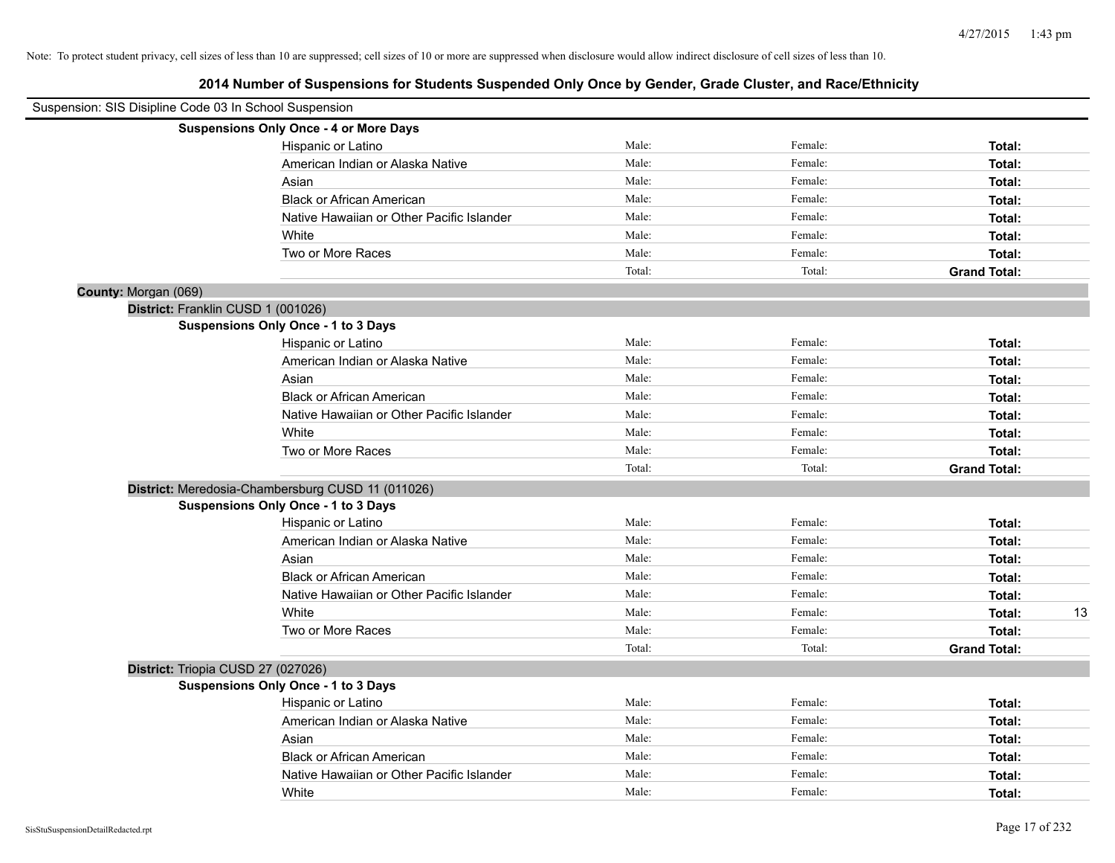| Suspension: SIS Disipline Code 03 In School Suspension |                                                   |        |         |                     |
|--------------------------------------------------------|---------------------------------------------------|--------|---------|---------------------|
|                                                        | <b>Suspensions Only Once - 4 or More Days</b>     |        |         |                     |
|                                                        | Hispanic or Latino                                | Male:  | Female: | Total:              |
|                                                        | American Indian or Alaska Native                  | Male:  | Female: | Total:              |
|                                                        | Asian                                             | Male:  | Female: | Total:              |
|                                                        | <b>Black or African American</b>                  | Male:  | Female: | Total:              |
|                                                        | Native Hawaiian or Other Pacific Islander         | Male:  | Female: | Total:              |
|                                                        | White                                             | Male:  | Female: | Total:              |
|                                                        | Two or More Races                                 | Male:  | Female: | Total:              |
|                                                        |                                                   | Total: | Total:  | <b>Grand Total:</b> |
| County: Morgan (069)                                   |                                                   |        |         |                     |
|                                                        | District: Franklin CUSD 1 (001026)                |        |         |                     |
|                                                        | <b>Suspensions Only Once - 1 to 3 Days</b>        |        |         |                     |
|                                                        | Hispanic or Latino                                | Male:  | Female: | Total:              |
|                                                        | American Indian or Alaska Native                  | Male:  | Female: | Total:              |
|                                                        | Asian                                             | Male:  | Female: | Total:              |
|                                                        | <b>Black or African American</b>                  | Male:  | Female: | Total:              |
|                                                        | Native Hawaiian or Other Pacific Islander         | Male:  | Female: | Total:              |
|                                                        | White                                             | Male:  | Female: | Total:              |
|                                                        | Two or More Races                                 | Male:  | Female: | Total:              |
|                                                        |                                                   | Total: | Total:  | <b>Grand Total:</b> |
|                                                        | District: Meredosia-Chambersburg CUSD 11 (011026) |        |         |                     |
|                                                        | <b>Suspensions Only Once - 1 to 3 Days</b>        |        |         |                     |
|                                                        | Hispanic or Latino                                | Male:  | Female: | Total:              |
|                                                        | American Indian or Alaska Native                  | Male:  | Female: | Total:              |
|                                                        | Asian                                             | Male:  | Female: | Total:              |
|                                                        | <b>Black or African American</b>                  | Male:  | Female: | Total:              |
|                                                        | Native Hawaiian or Other Pacific Islander         | Male:  | Female: | Total:              |
|                                                        | White                                             | Male:  | Female: | 13<br>Total:        |
|                                                        | Two or More Races                                 | Male:  | Female: | Total:              |
|                                                        |                                                   | Total: | Total:  | <b>Grand Total:</b> |
|                                                        | District: Triopia CUSD 27 (027026)                |        |         |                     |
|                                                        | Suspensions Only Once - 1 to 3 Days               |        |         |                     |
|                                                        | Hispanic or Latino                                | Male:  | Female: | Total:              |
|                                                        | American Indian or Alaska Native                  | Male:  | Female: | Total:              |
|                                                        | Asian                                             | Male:  | Female: | Total:              |
|                                                        | <b>Black or African American</b>                  | Male:  | Female: | Total:              |
|                                                        | Native Hawaiian or Other Pacific Islander         | Male:  | Female: | Total:              |
|                                                        | White                                             | Male:  | Female: | Total:              |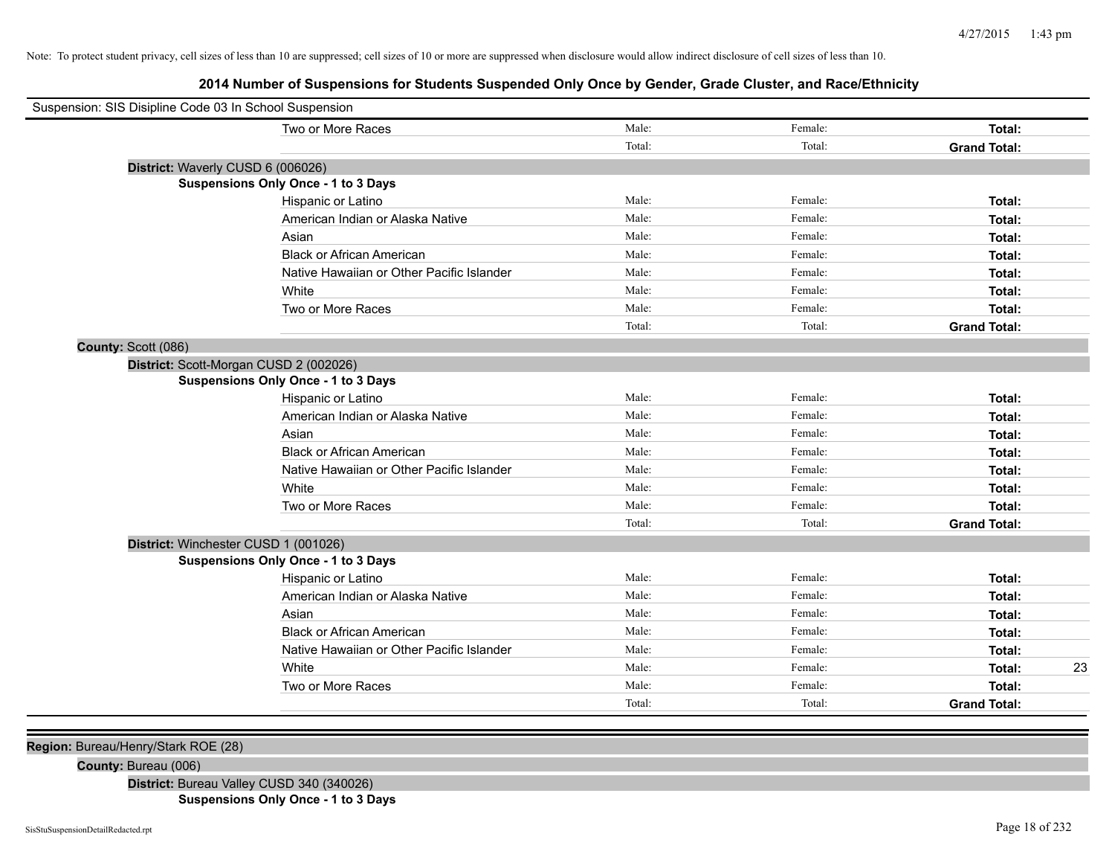**2014 Number of Suspensions for Students Suspended Only Once by Gender, Grade Cluster, and Race/Ethnicity**

| Suspension: SIS Disipline Code 03 In School Suspension |                                           |        |         |                     |  |
|--------------------------------------------------------|-------------------------------------------|--------|---------|---------------------|--|
|                                                        | Two or More Races                         | Male:  | Female: | Total:              |  |
|                                                        |                                           | Total: | Total:  | <b>Grand Total:</b> |  |
| District: Waverly CUSD 6 (006026)                      |                                           |        |         |                     |  |
|                                                        | Suspensions Only Once - 1 to 3 Days       |        |         |                     |  |
|                                                        | Hispanic or Latino                        | Male:  | Female: | Total:              |  |
|                                                        | American Indian or Alaska Native          | Male:  | Female: | Total:              |  |
|                                                        | Asian                                     | Male:  | Female: | Total:              |  |
|                                                        | <b>Black or African American</b>          | Male:  | Female: | Total:              |  |
|                                                        | Native Hawaiian or Other Pacific Islander | Male:  | Female: | Total:              |  |
|                                                        | White                                     | Male:  | Female: | Total:              |  |
|                                                        | Two or More Races                         | Male:  | Female: | Total:              |  |
|                                                        |                                           | Total: | Total:  | <b>Grand Total:</b> |  |
| County: Scott (086)                                    |                                           |        |         |                     |  |
| District: Scott-Morgan CUSD 2 (002026)                 |                                           |        |         |                     |  |
| Suspensions Only Once - 1 to 3 Days                    |                                           |        |         |                     |  |
|                                                        | Hispanic or Latino                        | Male:  | Female: | Total:              |  |
|                                                        | American Indian or Alaska Native          | Male:  | Female: | Total:              |  |
|                                                        | Asian                                     | Male:  | Female: | Total:              |  |
|                                                        | <b>Black or African American</b>          | Male:  | Female: | Total:              |  |
|                                                        | Native Hawaiian or Other Pacific Islander | Male:  | Female: | Total:              |  |
|                                                        | White                                     | Male:  | Female: | Total:              |  |
|                                                        | Two or More Races                         | Male:  | Female: | Total:              |  |
|                                                        |                                           | Total: | Total:  | <b>Grand Total:</b> |  |
| District: Winchester CUSD 1 (001026)                   |                                           |        |         |                     |  |
|                                                        | Suspensions Only Once - 1 to 3 Days       |        |         |                     |  |
|                                                        | Hispanic or Latino                        | Male:  | Female: | Total:              |  |
|                                                        | American Indian or Alaska Native          | Male:  | Female: | Total:              |  |
|                                                        | Asian                                     | Male:  | Female: | Total:              |  |
|                                                        | <b>Black or African American</b>          | Male:  | Female: | Total:              |  |
|                                                        | Native Hawaiian or Other Pacific Islander | Male:  | Female: | Total:              |  |
|                                                        | White                                     | Male:  | Female: | 23<br>Total:        |  |
|                                                        | Two or More Races                         | Male:  | Female: | Total:              |  |
|                                                        |                                           | Total: | Total:  | <b>Grand Total:</b> |  |
|                                                        |                                           |        |         |                     |  |

**Region:** Bureau/Henry/Stark ROE (28)

**County:** Bureau (006)

**District:** Bureau Valley CUSD 340 (340026)

**Suspensions Only Once - 1 to 3 Days**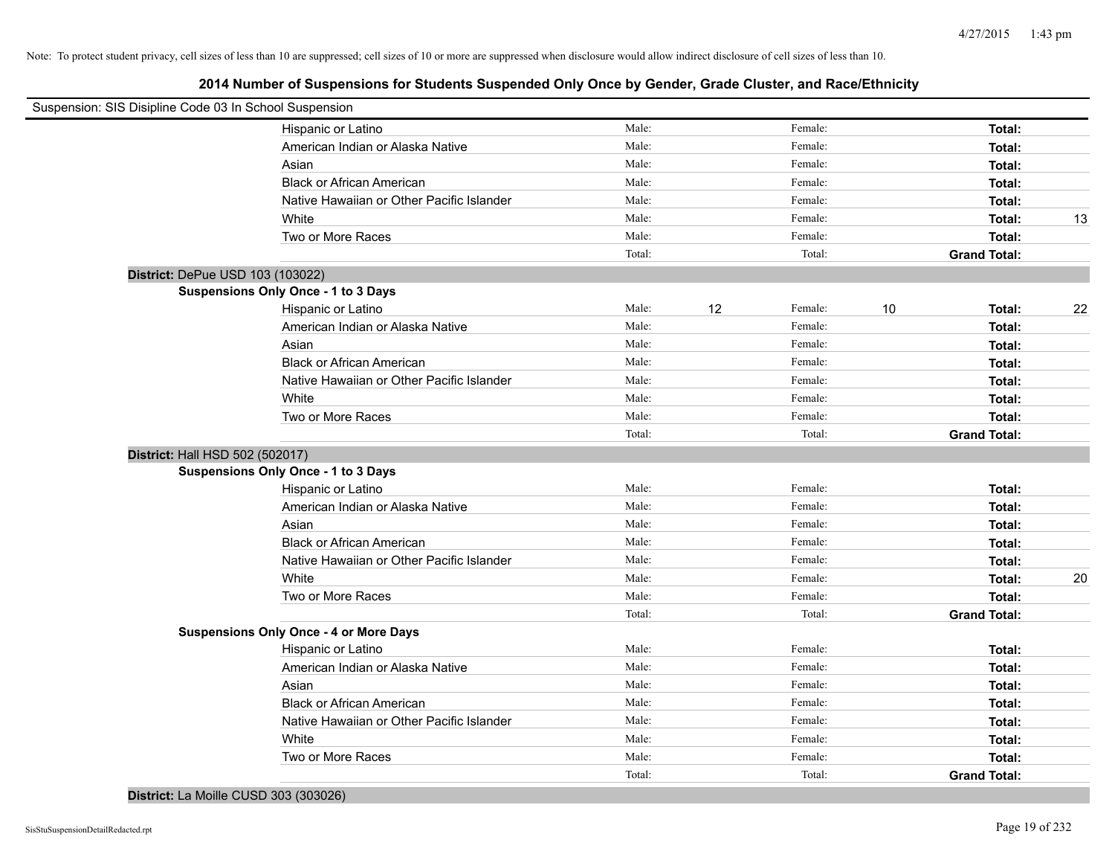| Suspension: SIS Disipline Code 03 In School Suspension |                                               |        |    |         |    |                     |    |
|--------------------------------------------------------|-----------------------------------------------|--------|----|---------|----|---------------------|----|
|                                                        | Hispanic or Latino                            | Male:  |    | Female: |    | Total:              |    |
|                                                        | American Indian or Alaska Native              | Male:  |    | Female: |    | Total:              |    |
|                                                        | Asian                                         | Male:  |    | Female: |    | Total:              |    |
|                                                        | <b>Black or African American</b>              | Male:  |    | Female: |    | Total:              |    |
|                                                        | Native Hawaiian or Other Pacific Islander     | Male:  |    | Female: |    | Total:              |    |
|                                                        | White                                         | Male:  |    | Female: |    | Total:              | 13 |
|                                                        | Two or More Races                             | Male:  |    | Female: |    | Total:              |    |
|                                                        |                                               | Total: |    | Total:  |    | <b>Grand Total:</b> |    |
| District: DePue USD 103 (103022)                       |                                               |        |    |         |    |                     |    |
|                                                        | Suspensions Only Once - 1 to 3 Days           |        |    |         |    |                     |    |
|                                                        | Hispanic or Latino                            | Male:  | 12 | Female: | 10 | Total:              | 22 |
|                                                        | American Indian or Alaska Native              | Male:  |    | Female: |    | Total:              |    |
|                                                        | Asian                                         | Male:  |    | Female: |    | Total:              |    |
|                                                        | <b>Black or African American</b>              | Male:  |    | Female: |    | Total:              |    |
|                                                        | Native Hawaiian or Other Pacific Islander     | Male:  |    | Female: |    | Total:              |    |
|                                                        | White                                         | Male:  |    | Female: |    | Total:              |    |
|                                                        | Two or More Races                             | Male:  |    | Female: |    | Total:              |    |
|                                                        |                                               | Total: |    | Total:  |    | <b>Grand Total:</b> |    |
| District: Hall HSD 502 (502017)                        |                                               |        |    |         |    |                     |    |
|                                                        | Suspensions Only Once - 1 to 3 Days           |        |    |         |    |                     |    |
|                                                        | Hispanic or Latino                            | Male:  |    | Female: |    | Total:              |    |
|                                                        | American Indian or Alaska Native              | Male:  |    | Female: |    | Total:              |    |
|                                                        | Asian                                         | Male:  |    | Female: |    | Total:              |    |
|                                                        | <b>Black or African American</b>              | Male:  |    | Female: |    | Total:              |    |
|                                                        | Native Hawaiian or Other Pacific Islander     | Male:  |    | Female: |    | Total:              |    |
|                                                        | White                                         | Male:  |    | Female: |    | Total:              | 20 |
|                                                        | Two or More Races                             | Male:  |    | Female: |    | Total:              |    |
|                                                        |                                               | Total: |    | Total:  |    | <b>Grand Total:</b> |    |
|                                                        | <b>Suspensions Only Once - 4 or More Days</b> |        |    |         |    |                     |    |
|                                                        | Hispanic or Latino                            | Male:  |    | Female: |    | Total:              |    |
|                                                        | American Indian or Alaska Native              | Male:  |    | Female: |    | Total:              |    |
|                                                        | Asian                                         | Male:  |    | Female: |    | Total:              |    |
|                                                        | <b>Black or African American</b>              | Male:  |    | Female: |    | Total:              |    |
|                                                        | Native Hawaiian or Other Pacific Islander     | Male:  |    | Female: |    | Total:              |    |
|                                                        | White                                         | Male:  |    | Female: |    | Total:              |    |
|                                                        | Two or More Races                             | Male:  |    | Female: |    | Total:              |    |
|                                                        |                                               | Total: |    | Total:  |    | <b>Grand Total:</b> |    |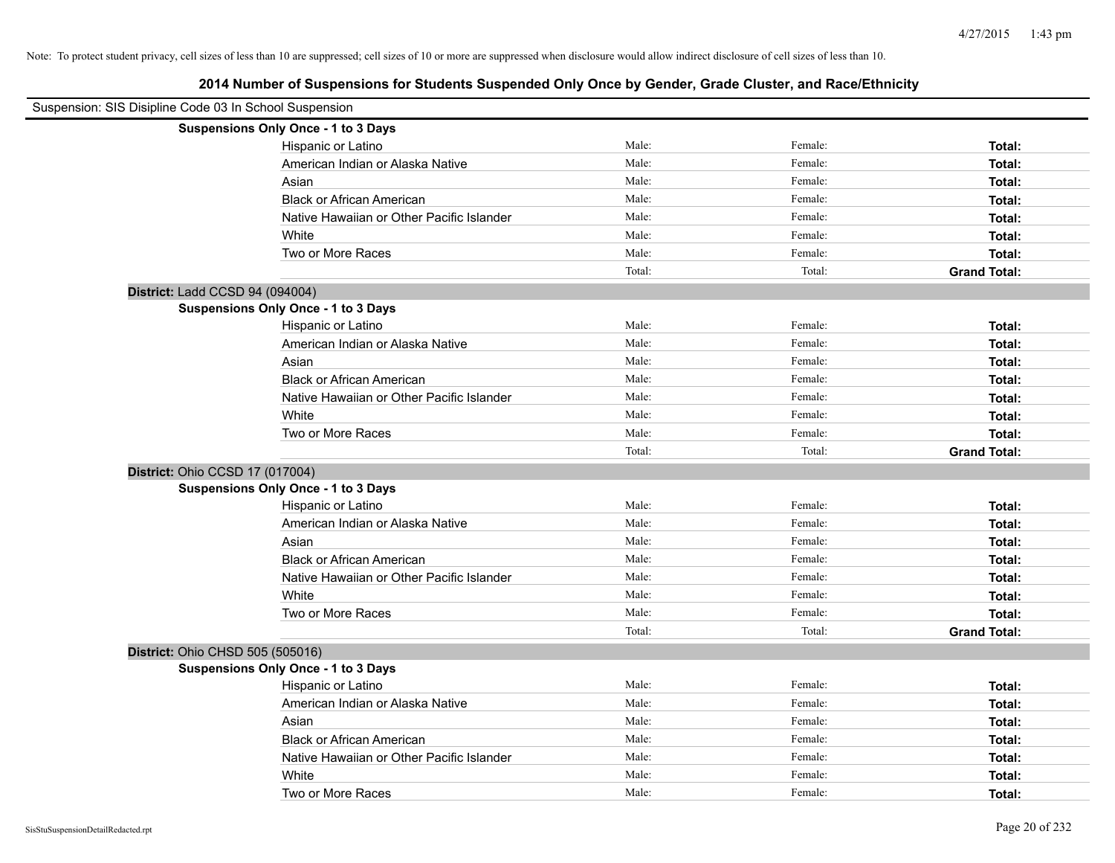| Suspension: SIS Disipline Code 03 In School Suspension |                                            |        |         |                     |
|--------------------------------------------------------|--------------------------------------------|--------|---------|---------------------|
|                                                        | Suspensions Only Once - 1 to 3 Days        |        |         |                     |
|                                                        | Hispanic or Latino                         | Male:  | Female: | Total:              |
|                                                        | American Indian or Alaska Native           | Male:  | Female: | Total:              |
|                                                        | Asian                                      | Male:  | Female: | Total:              |
|                                                        | <b>Black or African American</b>           | Male:  | Female: | Total:              |
|                                                        | Native Hawaiian or Other Pacific Islander  | Male:  | Female: | Total:              |
|                                                        | White                                      | Male:  | Female: | Total:              |
|                                                        | Two or More Races                          | Male:  | Female: | Total:              |
|                                                        |                                            | Total: | Total:  | <b>Grand Total:</b> |
| District: Ladd CCSD 94 (094004)                        |                                            |        |         |                     |
|                                                        | <b>Suspensions Only Once - 1 to 3 Days</b> |        |         |                     |
|                                                        | Hispanic or Latino                         | Male:  | Female: | Total:              |
|                                                        | American Indian or Alaska Native           | Male:  | Female: | Total:              |
|                                                        | Asian                                      | Male:  | Female: | Total:              |
|                                                        | <b>Black or African American</b>           | Male:  | Female: | Total:              |
|                                                        | Native Hawaiian or Other Pacific Islander  | Male:  | Female: | Total:              |
|                                                        | White                                      | Male:  | Female: | Total:              |
|                                                        | Two or More Races                          | Male:  | Female: | Total:              |
|                                                        |                                            | Total: | Total:  | <b>Grand Total:</b> |
|                                                        | District: Ohio CCSD 17 (017004)            |        |         |                     |
|                                                        | Suspensions Only Once - 1 to 3 Days        |        |         |                     |
|                                                        | Hispanic or Latino                         | Male:  | Female: | Total:              |
|                                                        | American Indian or Alaska Native           | Male:  | Female: | Total:              |
|                                                        | Asian                                      | Male:  | Female: | Total:              |
|                                                        | <b>Black or African American</b>           | Male:  | Female: | Total:              |
|                                                        | Native Hawaiian or Other Pacific Islander  | Male:  | Female: | Total:              |
|                                                        | White                                      | Male:  | Female: | Total:              |
|                                                        | Two or More Races                          | Male:  | Female: | Total:              |
|                                                        |                                            | Total: | Total:  | <b>Grand Total:</b> |
| District: Ohio CHSD 505 (505016)                       |                                            |        |         |                     |
|                                                        | Suspensions Only Once - 1 to 3 Days        |        |         |                     |
|                                                        | Hispanic or Latino                         | Male:  | Female: | Total:              |
|                                                        | American Indian or Alaska Native           | Male:  | Female: | Total:              |
|                                                        | Asian                                      | Male:  | Female: | Total:              |
|                                                        | <b>Black or African American</b>           | Male:  | Female: | Total:              |
|                                                        | Native Hawaiian or Other Pacific Islander  | Male:  | Female: | Total:              |
|                                                        | White                                      | Male:  | Female: | Total:              |
|                                                        | Two or More Races                          | Male:  | Female: | Total:              |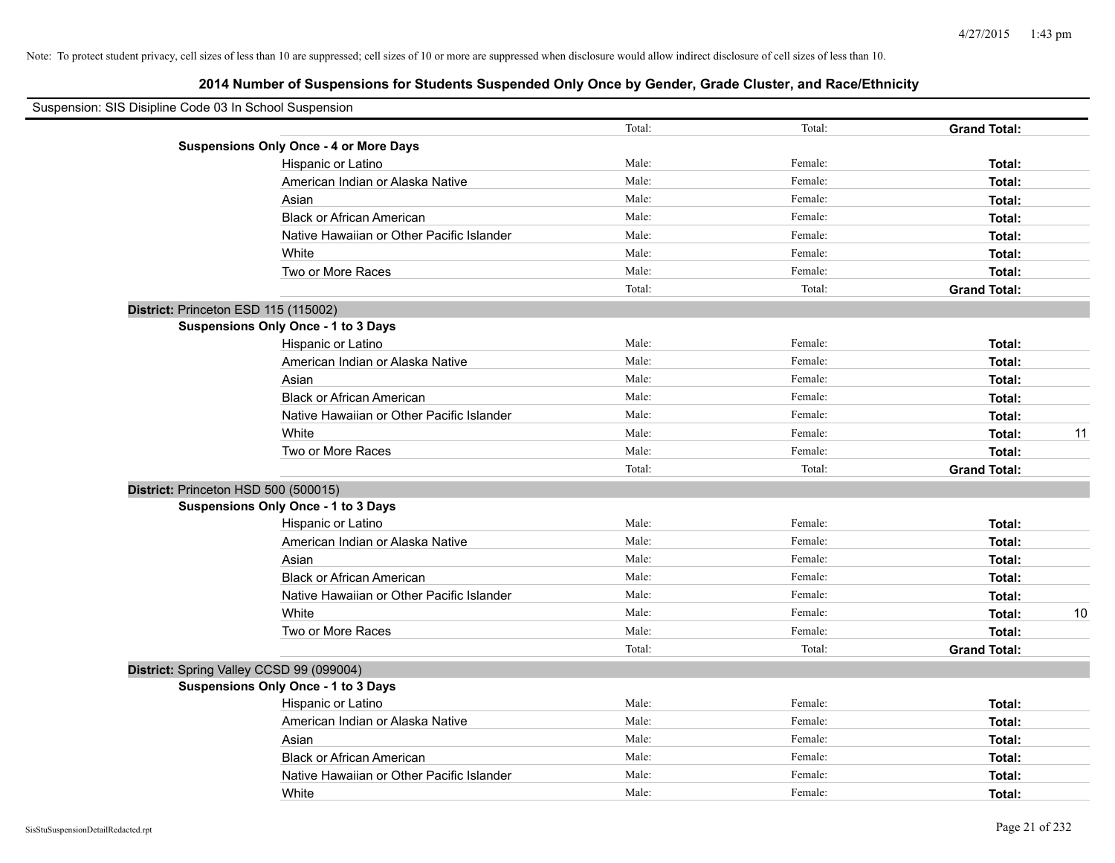| Suspension: SIS Disipline Code 03 In School Suspension |        |         |                     |    |
|--------------------------------------------------------|--------|---------|---------------------|----|
|                                                        | Total: | Total:  | <b>Grand Total:</b> |    |
| <b>Suspensions Only Once - 4 or More Days</b>          |        |         |                     |    |
| Hispanic or Latino                                     | Male:  | Female: | Total:              |    |
| American Indian or Alaska Native                       | Male:  | Female: | Total:              |    |
| Asian                                                  | Male:  | Female: | Total:              |    |
| <b>Black or African American</b>                       | Male:  | Female: | Total:              |    |
| Native Hawaiian or Other Pacific Islander              | Male:  | Female: | Total:              |    |
| White                                                  | Male:  | Female: | Total:              |    |
| Two or More Races                                      | Male:  | Female: | Total:              |    |
|                                                        | Total: | Total:  | <b>Grand Total:</b> |    |
| District: Princeton ESD 115 (115002)                   |        |         |                     |    |
| Suspensions Only Once - 1 to 3 Days                    |        |         |                     |    |
| Hispanic or Latino                                     | Male:  | Female: | Total:              |    |
| American Indian or Alaska Native                       | Male:  | Female: | Total:              |    |
| Asian                                                  | Male:  | Female: | Total:              |    |
| <b>Black or African American</b>                       | Male:  | Female: | Total:              |    |
| Native Hawaiian or Other Pacific Islander              | Male:  | Female: | Total:              |    |
| White                                                  | Male:  | Female: | Total:              | 11 |
| Two or More Races                                      | Male:  | Female: | Total:              |    |
|                                                        | Total: | Total:  | <b>Grand Total:</b> |    |
| District: Princeton HSD 500 (500015)                   |        |         |                     |    |
| Suspensions Only Once - 1 to 3 Days                    |        |         |                     |    |
| Hispanic or Latino                                     | Male:  | Female: | Total:              |    |
| American Indian or Alaska Native                       | Male:  | Female: | Total:              |    |
| Asian                                                  | Male:  | Female: | Total:              |    |
| <b>Black or African American</b>                       | Male:  | Female: | Total:              |    |
| Native Hawaiian or Other Pacific Islander              | Male:  | Female: | Total:              |    |
| White                                                  | Male:  | Female: | Total:              | 10 |
| Two or More Races                                      | Male:  | Female: | Total:              |    |
|                                                        | Total: | Total:  | <b>Grand Total:</b> |    |
| District: Spring Valley CCSD 99 (099004)               |        |         |                     |    |
| <b>Suspensions Only Once - 1 to 3 Days</b>             |        |         |                     |    |
| Hispanic or Latino                                     | Male:  | Female: | Total:              |    |
| American Indian or Alaska Native                       | Male:  | Female: | Total:              |    |
| Asian                                                  | Male:  | Female: | Total:              |    |
| <b>Black or African American</b>                       | Male:  | Female: | Total:              |    |
| Native Hawaiian or Other Pacific Islander              | Male:  | Female: | Total:              |    |
| White                                                  | Male:  | Female: | Total:              |    |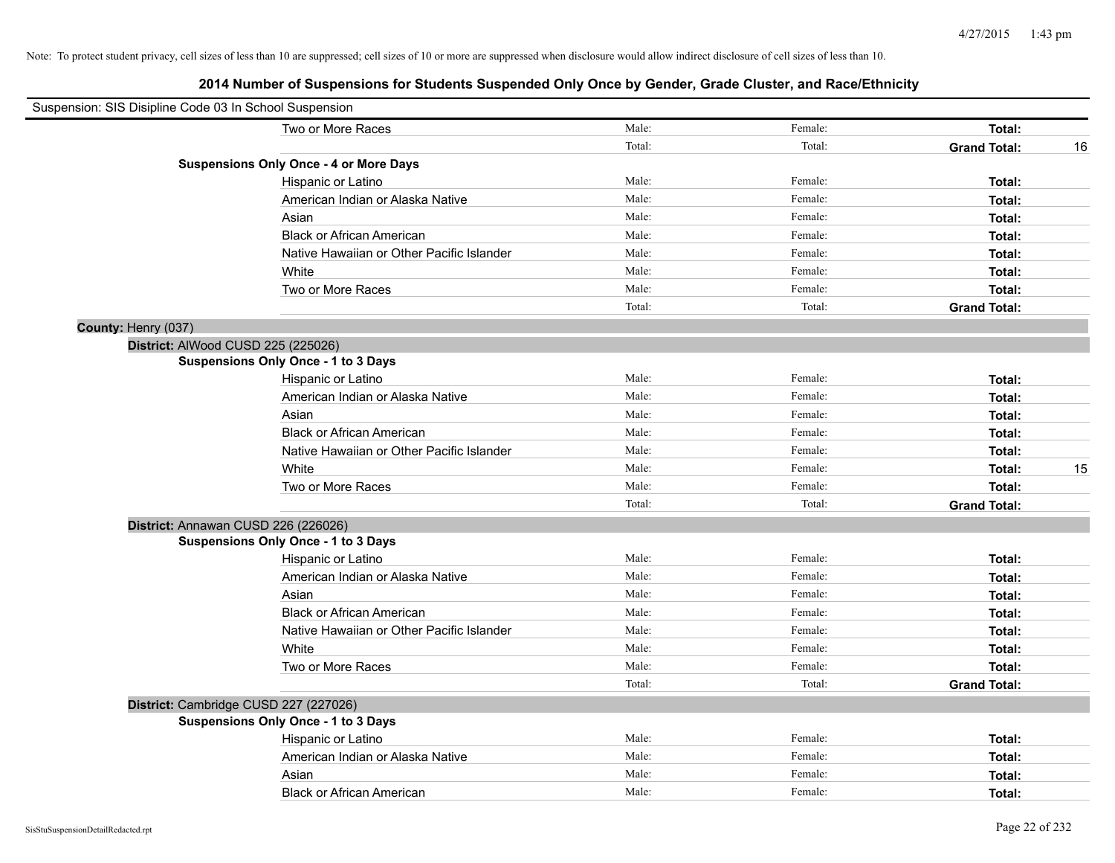|                     | Suspension: SIS Disipline Code 03 In School Suspension |        |         |                     |    |
|---------------------|--------------------------------------------------------|--------|---------|---------------------|----|
|                     | Two or More Races                                      | Male:  | Female: | Total:              |    |
|                     |                                                        | Total: | Total:  | <b>Grand Total:</b> | 16 |
|                     | <b>Suspensions Only Once - 4 or More Days</b>          |        |         |                     |    |
|                     | Hispanic or Latino                                     | Male:  | Female: | Total:              |    |
|                     | American Indian or Alaska Native                       | Male:  | Female: | Total:              |    |
|                     | Asian                                                  | Male:  | Female: | Total:              |    |
|                     | <b>Black or African American</b>                       | Male:  | Female: | Total:              |    |
|                     | Native Hawaiian or Other Pacific Islander              | Male:  | Female: | Total:              |    |
|                     | White                                                  | Male:  | Female: | Total:              |    |
|                     | Two or More Races                                      | Male:  | Female: | Total:              |    |
|                     |                                                        | Total: | Total:  | <b>Grand Total:</b> |    |
| County: Henry (037) |                                                        |        |         |                     |    |
|                     | District: AlWood CUSD 225 (225026)                     |        |         |                     |    |
|                     | <b>Suspensions Only Once - 1 to 3 Days</b>             |        |         |                     |    |
|                     | Hispanic or Latino                                     | Male:  | Female: | Total:              |    |
|                     | American Indian or Alaska Native                       | Male:  | Female: | Total:              |    |
|                     | Asian                                                  | Male:  | Female: | Total:              |    |
|                     | <b>Black or African American</b>                       | Male:  | Female: | Total:              |    |
|                     | Native Hawaiian or Other Pacific Islander              | Male:  | Female: | Total:              |    |
|                     | White                                                  | Male:  | Female: | Total:              | 15 |
|                     | Two or More Races                                      | Male:  | Female: | Total:              |    |
|                     |                                                        | Total: | Total:  | <b>Grand Total:</b> |    |
|                     | District: Annawan CUSD 226 (226026)                    |        |         |                     |    |
|                     | Suspensions Only Once - 1 to 3 Days                    |        |         |                     |    |
|                     | Hispanic or Latino                                     | Male:  | Female: | Total:              |    |
|                     | American Indian or Alaska Native                       | Male:  | Female: | Total:              |    |
|                     | Asian                                                  | Male:  | Female: | Total:              |    |
|                     | <b>Black or African American</b>                       | Male:  | Female: | Total:              |    |
|                     | Native Hawaiian or Other Pacific Islander              | Male:  | Female: | Total:              |    |
|                     | White                                                  | Male:  | Female: | Total:              |    |
|                     | Two or More Races                                      | Male:  | Female: | Total:              |    |
|                     |                                                        | Total: | Total:  | <b>Grand Total:</b> |    |
|                     | District: Cambridge CUSD 227 (227026)                  |        |         |                     |    |
|                     | <b>Suspensions Only Once - 1 to 3 Days</b>             |        |         |                     |    |
|                     | Hispanic or Latino                                     | Male:  | Female: | Total:              |    |
|                     | American Indian or Alaska Native                       | Male:  | Female: | Total:              |    |
|                     | Asian                                                  | Male:  | Female: | Total:              |    |
|                     | <b>Black or African American</b>                       | Male:  | Female: | Total:              |    |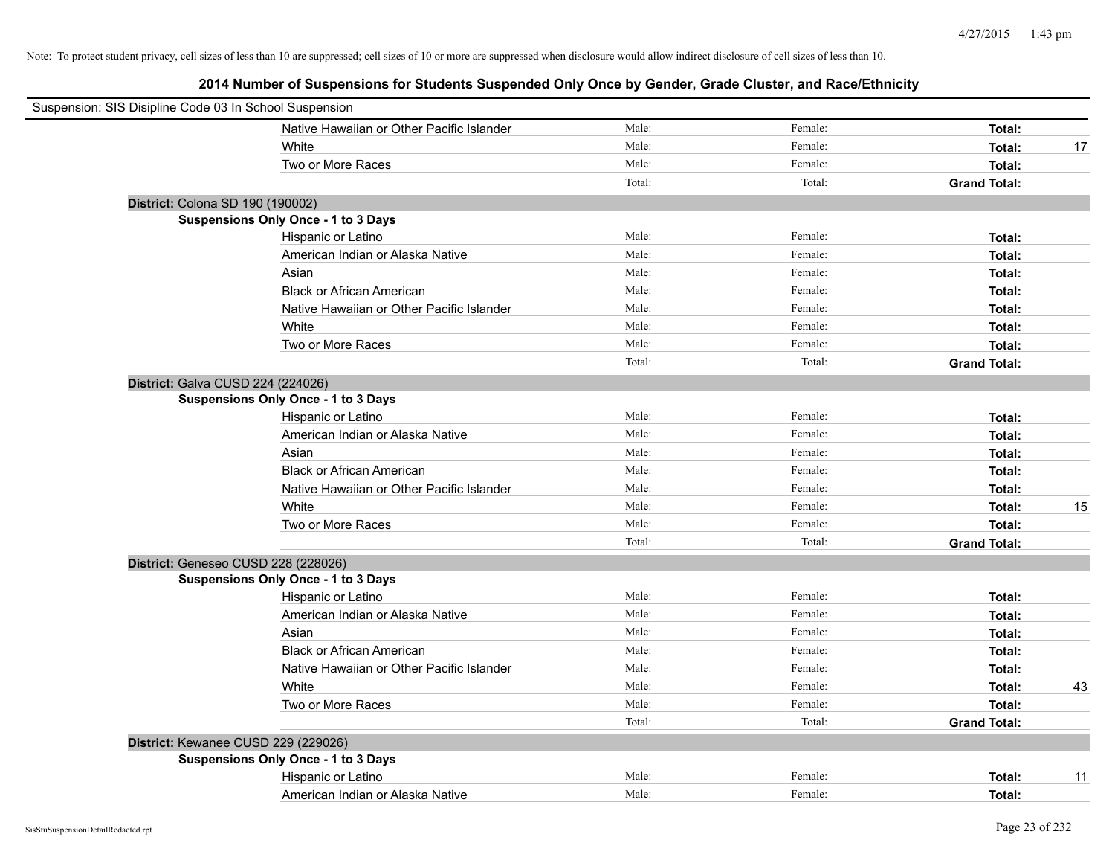| Suspension: SIS Disipline Code 03 In School Suspension |                                            |        |         |                     |    |
|--------------------------------------------------------|--------------------------------------------|--------|---------|---------------------|----|
|                                                        | Native Hawaiian or Other Pacific Islander  | Male:  | Female: | Total:              |    |
|                                                        | White                                      | Male:  | Female: | Total:              | 17 |
|                                                        | Two or More Races                          | Male:  | Female: | Total:              |    |
|                                                        |                                            | Total: | Total:  | <b>Grand Total:</b> |    |
| District: Colona SD 190 (190002)                       |                                            |        |         |                     |    |
|                                                        | Suspensions Only Once - 1 to 3 Days        |        |         |                     |    |
|                                                        | Hispanic or Latino                         | Male:  | Female: | Total:              |    |
|                                                        | American Indian or Alaska Native           | Male:  | Female: | Total:              |    |
|                                                        | Asian                                      | Male:  | Female: | Total:              |    |
|                                                        | <b>Black or African American</b>           | Male:  | Female: | Total:              |    |
|                                                        | Native Hawaiian or Other Pacific Islander  | Male:  | Female: | Total:              |    |
|                                                        | White                                      | Male:  | Female: | Total:              |    |
|                                                        | Two or More Races                          | Male:  | Female: | Total:              |    |
|                                                        |                                            | Total: | Total:  | <b>Grand Total:</b> |    |
| District: Galva CUSD 224 (224026)                      |                                            |        |         |                     |    |
|                                                        | <b>Suspensions Only Once - 1 to 3 Days</b> |        |         |                     |    |
|                                                        | Hispanic or Latino                         | Male:  | Female: | Total:              |    |
|                                                        | American Indian or Alaska Native           | Male:  | Female: | Total:              |    |
|                                                        | Asian                                      | Male:  | Female: | Total:              |    |
|                                                        | <b>Black or African American</b>           | Male:  | Female: | Total:              |    |
|                                                        | Native Hawaiian or Other Pacific Islander  | Male:  | Female: | Total:              |    |
|                                                        | White                                      | Male:  | Female: | Total:              | 15 |
|                                                        | Two or More Races                          | Male:  | Female: | Total:              |    |
|                                                        |                                            | Total: | Total:  | <b>Grand Total:</b> |    |
| District: Geneseo CUSD 228 (228026)                    |                                            |        |         |                     |    |
|                                                        | Suspensions Only Once - 1 to 3 Days        |        |         |                     |    |
|                                                        | Hispanic or Latino                         | Male:  | Female: | Total:              |    |
|                                                        | American Indian or Alaska Native           | Male:  | Female: | Total:              |    |
|                                                        | Asian                                      | Male:  | Female: | Total:              |    |
|                                                        | <b>Black or African American</b>           | Male:  | Female: | Total:              |    |
|                                                        | Native Hawaiian or Other Pacific Islander  | Male:  | Female: | Total:              |    |
|                                                        | White                                      | Male:  | Female: | Total:              | 43 |
|                                                        | Two or More Races                          | Male:  | Female: | Total:              |    |
|                                                        |                                            | Total: | Total:  | <b>Grand Total:</b> |    |
| District: Kewanee CUSD 229 (229026)                    |                                            |        |         |                     |    |
|                                                        | Suspensions Only Once - 1 to 3 Days        |        |         |                     |    |
|                                                        | Hispanic or Latino                         | Male:  | Female: | Total:              | 11 |
|                                                        | American Indian or Alaska Native           | Male:  | Female: | Total:              |    |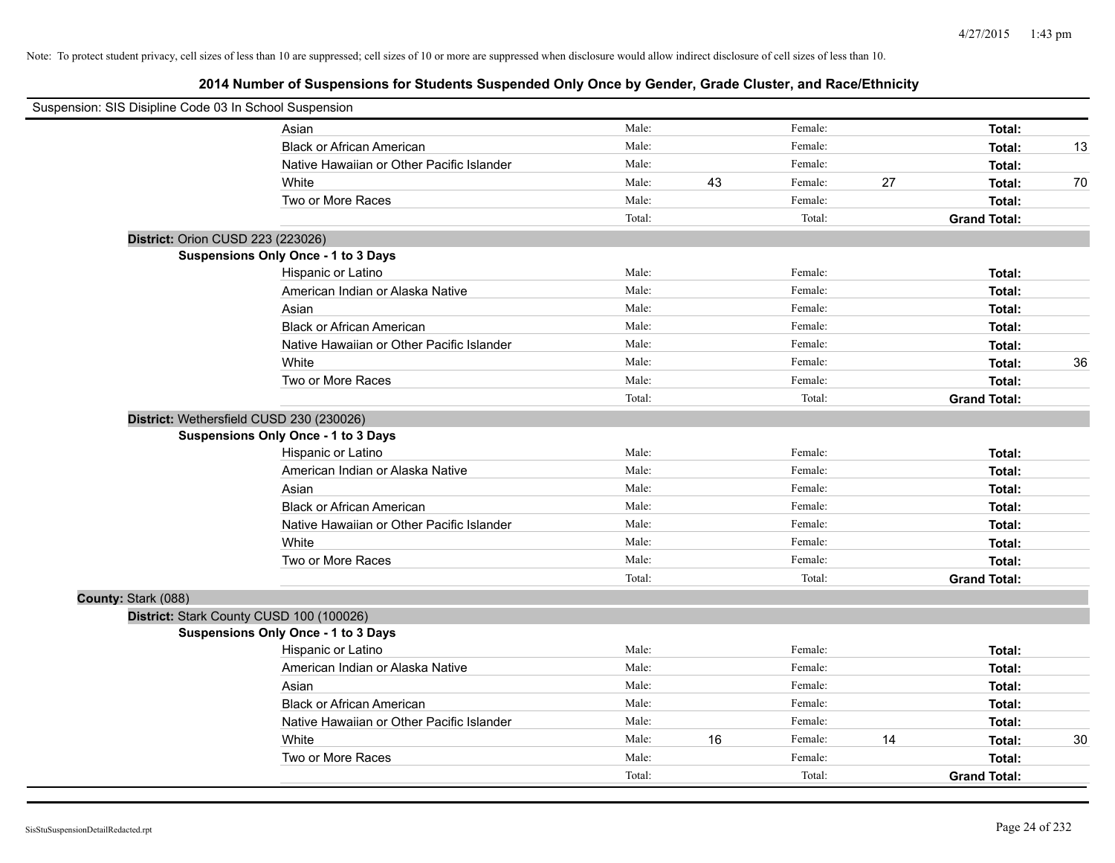| Suspension: SIS Disipline Code 03 In School Suspension |                                           |        |    |         |    |                     |    |
|--------------------------------------------------------|-------------------------------------------|--------|----|---------|----|---------------------|----|
| Asian                                                  |                                           | Male:  |    | Female: |    | Total:              |    |
|                                                        | <b>Black or African American</b>          | Male:  |    | Female: |    | Total:              | 13 |
|                                                        | Native Hawaiian or Other Pacific Islander | Male:  |    | Female: |    | Total:              |    |
| White                                                  |                                           | Male:  | 43 | Female: | 27 | Total:              | 70 |
|                                                        | Two or More Races                         | Male:  |    | Female: |    | Total:              |    |
|                                                        |                                           | Total: |    | Total:  |    | <b>Grand Total:</b> |    |
| District: Orion CUSD 223 (223026)                      |                                           |        |    |         |    |                     |    |
| Suspensions Only Once - 1 to 3 Days                    |                                           |        |    |         |    |                     |    |
|                                                        | Hispanic or Latino                        | Male:  |    | Female: |    | Total:              |    |
|                                                        | American Indian or Alaska Native          | Male:  |    | Female: |    | Total:              |    |
| Asian                                                  |                                           | Male:  |    | Female: |    | Total:              |    |
|                                                        | <b>Black or African American</b>          | Male:  |    | Female: |    | Total:              |    |
|                                                        | Native Hawaiian or Other Pacific Islander | Male:  |    | Female: |    | Total:              |    |
| White                                                  |                                           | Male:  |    | Female: |    | Total:              | 36 |
|                                                        | Two or More Races                         | Male:  |    | Female: |    | Total:              |    |
|                                                        |                                           | Total: |    | Total:  |    | <b>Grand Total:</b> |    |
| District: Wethersfield CUSD 230 (230026)               |                                           |        |    |         |    |                     |    |
| Suspensions Only Once - 1 to 3 Days                    |                                           |        |    |         |    |                     |    |
|                                                        | Hispanic or Latino                        | Male:  |    | Female: |    | Total:              |    |
|                                                        | American Indian or Alaska Native          | Male:  |    | Female: |    | Total:              |    |
| Asian                                                  |                                           | Male:  |    | Female: |    | Total:              |    |
|                                                        | <b>Black or African American</b>          | Male:  |    | Female: |    | Total:              |    |
|                                                        | Native Hawaiian or Other Pacific Islander | Male:  |    | Female: |    | Total:              |    |
| White                                                  |                                           | Male:  |    | Female: |    | Total:              |    |
|                                                        | Two or More Races                         | Male:  |    | Female: |    | Total:              |    |
|                                                        |                                           | Total: |    | Total:  |    | <b>Grand Total:</b> |    |
| County: Stark (088)                                    |                                           |        |    |         |    |                     |    |
| District: Stark County CUSD 100 (100026)               |                                           |        |    |         |    |                     |    |
| Suspensions Only Once - 1 to 3 Days                    |                                           |        |    |         |    |                     |    |
|                                                        | Hispanic or Latino                        | Male:  |    | Female: |    | Total:              |    |
|                                                        | American Indian or Alaska Native          | Male:  |    | Female: |    | Total:              |    |
| Asian                                                  |                                           | Male:  |    | Female: |    | Total:              |    |
|                                                        | <b>Black or African American</b>          | Male:  |    | Female: |    | Total:              |    |
|                                                        | Native Hawaiian or Other Pacific Islander | Male:  |    | Female: |    | Total:              |    |
| White                                                  |                                           | Male:  | 16 | Female: | 14 | Total:              | 30 |
|                                                        | Two or More Races                         | Male:  |    | Female: |    | Total:              |    |
|                                                        |                                           | Total: |    | Total:  |    | <b>Grand Total:</b> |    |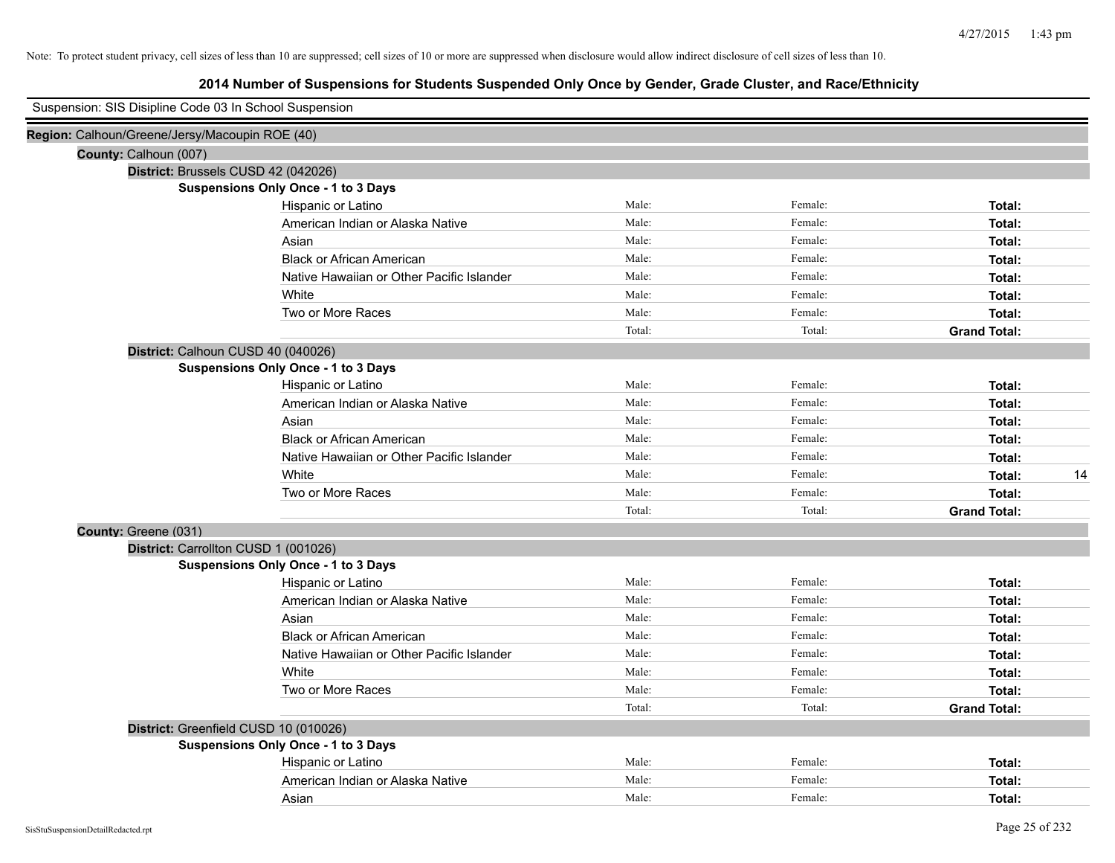| Suspension: SIS Disipline Code 03 In School Suspension |                                            |        |         |                     |    |
|--------------------------------------------------------|--------------------------------------------|--------|---------|---------------------|----|
| Region: Calhoun/Greene/Jersy/Macoupin ROE (40)         |                                            |        |         |                     |    |
| County: Calhoun (007)                                  |                                            |        |         |                     |    |
| District: Brussels CUSD 42 (042026)                    |                                            |        |         |                     |    |
|                                                        | <b>Suspensions Only Once - 1 to 3 Days</b> |        |         |                     |    |
|                                                        | Hispanic or Latino                         | Male:  | Female: | Total:              |    |
|                                                        | American Indian or Alaska Native           | Male:  | Female: | Total:              |    |
|                                                        | Asian                                      | Male:  | Female: | Total:              |    |
|                                                        | <b>Black or African American</b>           | Male:  | Female: | Total:              |    |
|                                                        | Native Hawaiian or Other Pacific Islander  | Male:  | Female: | Total:              |    |
|                                                        | White                                      | Male:  | Female: | Total:              |    |
|                                                        | Two or More Races                          | Male:  | Female: | Total:              |    |
|                                                        |                                            | Total: | Total:  | <b>Grand Total:</b> |    |
| District: Calhoun CUSD 40 (040026)                     |                                            |        |         |                     |    |
|                                                        | Suspensions Only Once - 1 to 3 Days        |        |         |                     |    |
|                                                        | Hispanic or Latino                         | Male:  | Female: | Total:              |    |
|                                                        | American Indian or Alaska Native           | Male:  | Female: | Total:              |    |
|                                                        | Asian                                      | Male:  | Female: | Total:              |    |
|                                                        | <b>Black or African American</b>           | Male:  | Female: | Total:              |    |
|                                                        | Native Hawaiian or Other Pacific Islander  | Male:  | Female: | Total:              |    |
|                                                        | White                                      | Male:  | Female: | Total:              | 14 |
|                                                        | Two or More Races                          | Male:  | Female: | Total:              |    |
|                                                        |                                            | Total: | Total:  | <b>Grand Total:</b> |    |
| County: Greene (031)                                   |                                            |        |         |                     |    |
| District: Carrollton CUSD 1 (001026)                   |                                            |        |         |                     |    |
|                                                        | <b>Suspensions Only Once - 1 to 3 Days</b> |        |         |                     |    |
|                                                        | Hispanic or Latino                         | Male:  | Female: | Total:              |    |
|                                                        | American Indian or Alaska Native           | Male:  | Female: | Total:              |    |
|                                                        | Asian                                      | Male:  | Female: | Total:              |    |
|                                                        | <b>Black or African American</b>           | Male:  | Female: | Total:              |    |
|                                                        | Native Hawaiian or Other Pacific Islander  | Male:  | Female: | Total:              |    |
|                                                        | White                                      | Male:  | Female: | Total:              |    |
|                                                        | Two or More Races                          | Male:  | Female: | Total:              |    |
|                                                        |                                            | Total: | Total:  | <b>Grand Total:</b> |    |
| District: Greenfield CUSD 10 (010026)                  |                                            |        |         |                     |    |
|                                                        | Suspensions Only Once - 1 to 3 Days        |        |         |                     |    |
|                                                        | Hispanic or Latino                         | Male:  | Female: | Total:              |    |
|                                                        | American Indian or Alaska Native           | Male:  | Female: | Total:              |    |
|                                                        | Asian                                      | Male:  | Female: | Total:              |    |
|                                                        |                                            |        |         |                     |    |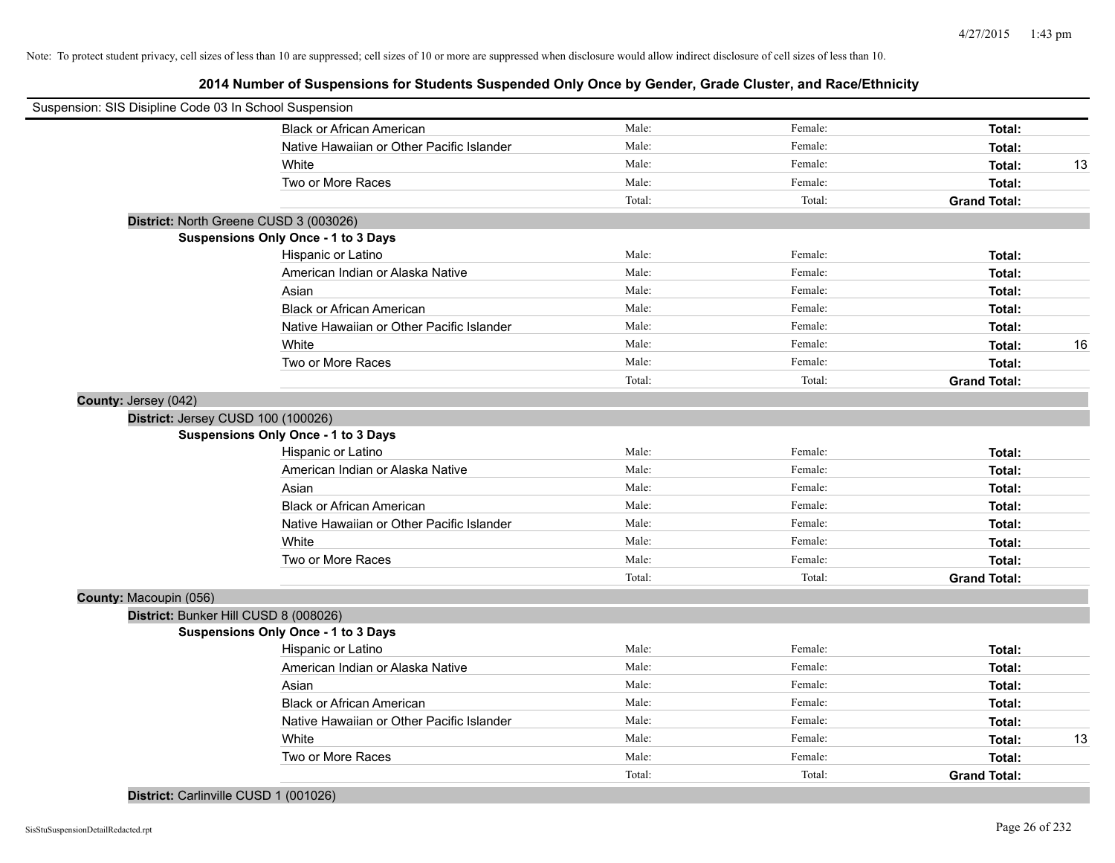| Suspension: SIS Disipline Code 03 In School Suspension |        |         |                     |    |
|--------------------------------------------------------|--------|---------|---------------------|----|
| <b>Black or African American</b>                       | Male:  | Female: | Total:              |    |
| Native Hawaiian or Other Pacific Islander              | Male:  | Female: | Total:              |    |
| White                                                  | Male:  | Female: | Total:              | 13 |
| Two or More Races                                      | Male:  | Female: | Total:              |    |
|                                                        | Total: | Total:  | <b>Grand Total:</b> |    |
| District: North Greene CUSD 3 (003026)                 |        |         |                     |    |
| <b>Suspensions Only Once - 1 to 3 Days</b>             |        |         |                     |    |
| Hispanic or Latino                                     | Male:  | Female: | Total:              |    |
| American Indian or Alaska Native                       | Male:  | Female: | Total:              |    |
| Asian                                                  | Male:  | Female: | Total:              |    |
| <b>Black or African American</b>                       | Male:  | Female: | Total:              |    |
| Native Hawaiian or Other Pacific Islander              | Male:  | Female: | Total:              |    |
| White                                                  | Male:  | Female: | Total:              | 16 |
| Two or More Races                                      | Male:  | Female: | Total:              |    |
|                                                        | Total: | Total:  | <b>Grand Total:</b> |    |
| County: Jersey (042)                                   |        |         |                     |    |
| District: Jersey CUSD 100 (100026)                     |        |         |                     |    |
| <b>Suspensions Only Once - 1 to 3 Days</b>             |        |         |                     |    |
| Hispanic or Latino                                     | Male:  | Female: | Total:              |    |
| American Indian or Alaska Native                       | Male:  | Female: | Total:              |    |
| Asian                                                  | Male:  | Female: | Total:              |    |
| <b>Black or African American</b>                       | Male:  | Female: | Total:              |    |
| Native Hawaiian or Other Pacific Islander              | Male:  | Female: | Total:              |    |
| White                                                  | Male:  | Female: | Total:              |    |
| Two or More Races                                      | Male:  | Female: | Total:              |    |
|                                                        | Total: | Total:  | <b>Grand Total:</b> |    |
| County: Macoupin (056)                                 |        |         |                     |    |
| District: Bunker Hill CUSD 8 (008026)                  |        |         |                     |    |
| Suspensions Only Once - 1 to 3 Days                    |        |         |                     |    |
| Hispanic or Latino                                     | Male:  | Female: | Total:              |    |
| American Indian or Alaska Native                       | Male:  | Female: | Total:              |    |
| Asian                                                  | Male:  | Female: | Total:              |    |
| <b>Black or African American</b>                       | Male:  | Female: | Total:              |    |
| Native Hawaiian or Other Pacific Islander              | Male:  | Female: | Total:              |    |
| White                                                  | Male:  | Female: | Total:              | 13 |
| Two or More Races                                      | Male:  | Female: | Total:              |    |
|                                                        | Total: | Total:  | <b>Grand Total:</b> |    |
| District: Carlinville CUSD 1 (001026)                  |        |         |                     |    |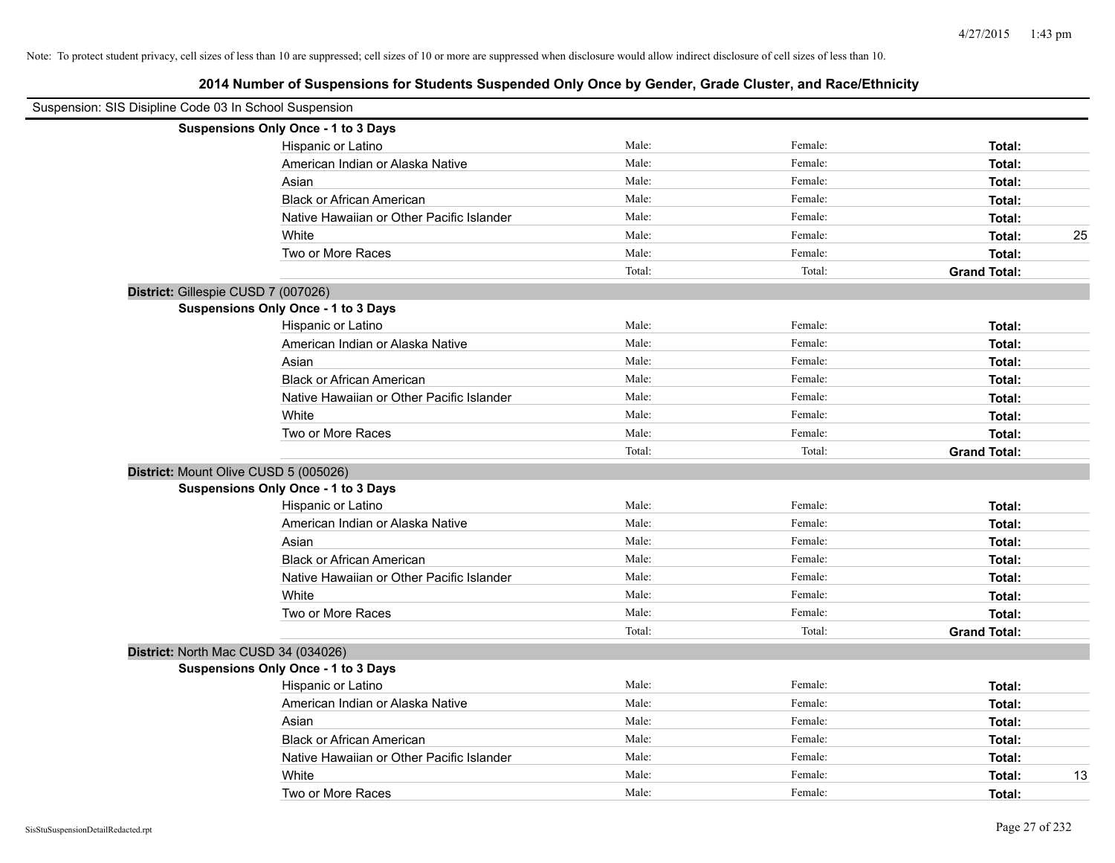| Suspension: SIS Disipline Code 03 In School Suspension |                                            |        |         |                     |    |
|--------------------------------------------------------|--------------------------------------------|--------|---------|---------------------|----|
|                                                        | Suspensions Only Once - 1 to 3 Days        |        |         |                     |    |
|                                                        | Hispanic or Latino                         | Male:  | Female: | Total:              |    |
|                                                        | American Indian or Alaska Native           | Male:  | Female: | Total:              |    |
|                                                        | Asian                                      | Male:  | Female: | Total:              |    |
|                                                        | <b>Black or African American</b>           | Male:  | Female: | Total:              |    |
|                                                        | Native Hawaiian or Other Pacific Islander  | Male:  | Female: | Total:              |    |
|                                                        | White                                      | Male:  | Female: | Total:              | 25 |
|                                                        | Two or More Races                          | Male:  | Female: | Total:              |    |
|                                                        |                                            | Total: | Total:  | <b>Grand Total:</b> |    |
| District: Gillespie CUSD 7 (007026)                    |                                            |        |         |                     |    |
|                                                        | Suspensions Only Once - 1 to 3 Days        |        |         |                     |    |
|                                                        | Hispanic or Latino                         | Male:  | Female: | Total:              |    |
|                                                        | American Indian or Alaska Native           | Male:  | Female: | Total:              |    |
|                                                        | Asian                                      | Male:  | Female: | Total:              |    |
|                                                        | <b>Black or African American</b>           | Male:  | Female: | Total:              |    |
|                                                        | Native Hawaiian or Other Pacific Islander  | Male:  | Female: | Total:              |    |
|                                                        | White                                      | Male:  | Female: | Total:              |    |
|                                                        | Two or More Races                          | Male:  | Female: | Total:              |    |
|                                                        |                                            | Total: | Total:  | <b>Grand Total:</b> |    |
| District: Mount Olive CUSD 5 (005026)                  |                                            |        |         |                     |    |
|                                                        | <b>Suspensions Only Once - 1 to 3 Days</b> |        |         |                     |    |
|                                                        | Hispanic or Latino                         | Male:  | Female: | Total:              |    |
|                                                        | American Indian or Alaska Native           | Male:  | Female: | Total:              |    |
|                                                        | Asian                                      | Male:  | Female: | Total:              |    |
|                                                        | <b>Black or African American</b>           | Male:  | Female: | Total:              |    |
|                                                        | Native Hawaiian or Other Pacific Islander  | Male:  | Female: | Total:              |    |
|                                                        | White                                      | Male:  | Female: | Total:              |    |
|                                                        | Two or More Races                          | Male:  | Female: | Total:              |    |
|                                                        |                                            | Total: | Total:  | <b>Grand Total:</b> |    |
| District: North Mac CUSD 34 (034026)                   |                                            |        |         |                     |    |
|                                                        | Suspensions Only Once - 1 to 3 Days        |        |         |                     |    |
|                                                        | Hispanic or Latino                         | Male:  | Female: | Total:              |    |
|                                                        | American Indian or Alaska Native           | Male:  | Female: | Total:              |    |
|                                                        | Asian                                      | Male:  | Female: | Total:              |    |
|                                                        | <b>Black or African American</b>           | Male:  | Female: | Total:              |    |
|                                                        | Native Hawaiian or Other Pacific Islander  | Male:  | Female: | Total:              |    |
|                                                        | White                                      | Male:  | Female: | Total:              | 13 |
|                                                        | Two or More Races                          | Male:  | Female: | Total:              |    |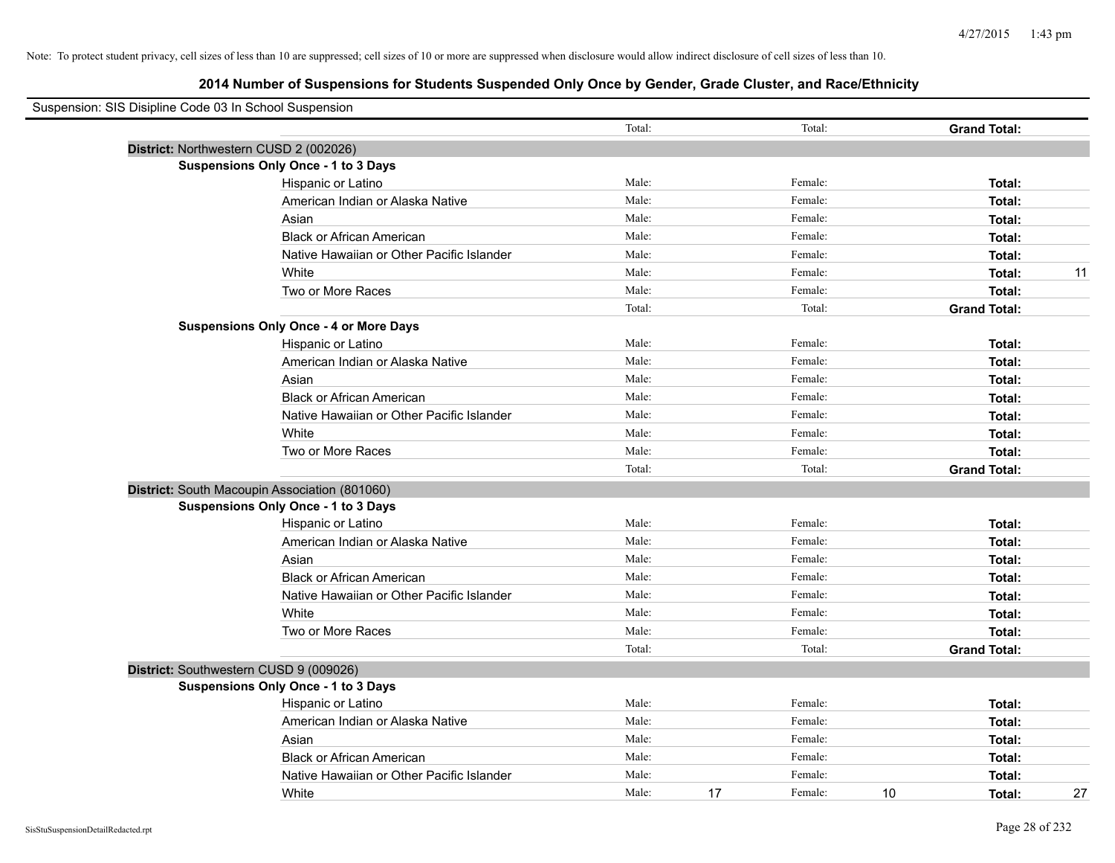| Suspension: SIS Disipline Code 03 In School Suspension |                                               |        |    |         |    |                     |    |
|--------------------------------------------------------|-----------------------------------------------|--------|----|---------|----|---------------------|----|
|                                                        |                                               | Total: |    | Total:  |    | <b>Grand Total:</b> |    |
|                                                        | District: Northwestern CUSD 2 (002026)        |        |    |         |    |                     |    |
|                                                        | Suspensions Only Once - 1 to 3 Days           |        |    |         |    |                     |    |
|                                                        | Hispanic or Latino                            | Male:  |    | Female: |    | Total:              |    |
|                                                        | American Indian or Alaska Native              | Male:  |    | Female: |    | Total:              |    |
|                                                        | Asian                                         | Male:  |    | Female: |    | Total:              |    |
|                                                        | <b>Black or African American</b>              | Male:  |    | Female: |    | Total:              |    |
|                                                        | Native Hawaiian or Other Pacific Islander     | Male:  |    | Female: |    | Total:              |    |
|                                                        | White                                         | Male:  |    | Female: |    | Total:              | 11 |
|                                                        | Two or More Races                             | Male:  |    | Female: |    | Total:              |    |
|                                                        |                                               | Total: |    | Total:  |    | <b>Grand Total:</b> |    |
|                                                        | <b>Suspensions Only Once - 4 or More Days</b> |        |    |         |    |                     |    |
|                                                        | Hispanic or Latino                            | Male:  |    | Female: |    | Total:              |    |
|                                                        | American Indian or Alaska Native              | Male:  |    | Female: |    | Total:              |    |
|                                                        | Asian                                         | Male:  |    | Female: |    | Total:              |    |
|                                                        | <b>Black or African American</b>              | Male:  |    | Female: |    | Total:              |    |
|                                                        | Native Hawaiian or Other Pacific Islander     | Male:  |    | Female: |    | Total:              |    |
|                                                        | White                                         | Male:  |    | Female: |    | Total:              |    |
|                                                        | Two or More Races                             | Male:  |    | Female: |    | Total:              |    |
|                                                        |                                               | Total: |    | Total:  |    | <b>Grand Total:</b> |    |
|                                                        | District: South Macoupin Association (801060) |        |    |         |    |                     |    |
|                                                        | Suspensions Only Once - 1 to 3 Days           |        |    |         |    |                     |    |
|                                                        | Hispanic or Latino                            | Male:  |    | Female: |    | Total:              |    |
|                                                        | American Indian or Alaska Native              | Male:  |    | Female: |    | Total:              |    |
|                                                        | Asian                                         | Male:  |    | Female: |    | Total:              |    |
|                                                        | <b>Black or African American</b>              | Male:  |    | Female: |    | Total:              |    |
|                                                        | Native Hawaiian or Other Pacific Islander     | Male:  |    | Female: |    | Total:              |    |
|                                                        | White                                         | Male:  |    | Female: |    | Total:              |    |
|                                                        | Two or More Races                             | Male:  |    | Female: |    | Total:              |    |
|                                                        |                                               | Total: |    | Total:  |    | <b>Grand Total:</b> |    |
|                                                        | District: Southwestern CUSD 9 (009026)        |        |    |         |    |                     |    |
|                                                        | <b>Suspensions Only Once - 1 to 3 Days</b>    |        |    |         |    |                     |    |
|                                                        | Hispanic or Latino                            | Male:  |    | Female: |    | Total:              |    |
|                                                        | American Indian or Alaska Native              | Male:  |    | Female: |    | Total:              |    |
|                                                        | Asian                                         | Male:  |    | Female: |    | Total:              |    |
|                                                        | <b>Black or African American</b>              | Male:  |    | Female: |    | Total:              |    |
|                                                        | Native Hawaiian or Other Pacific Islander     | Male:  |    | Female: |    | Total:              |    |
|                                                        | White                                         | Male:  | 17 | Female: | 10 | Total:              | 27 |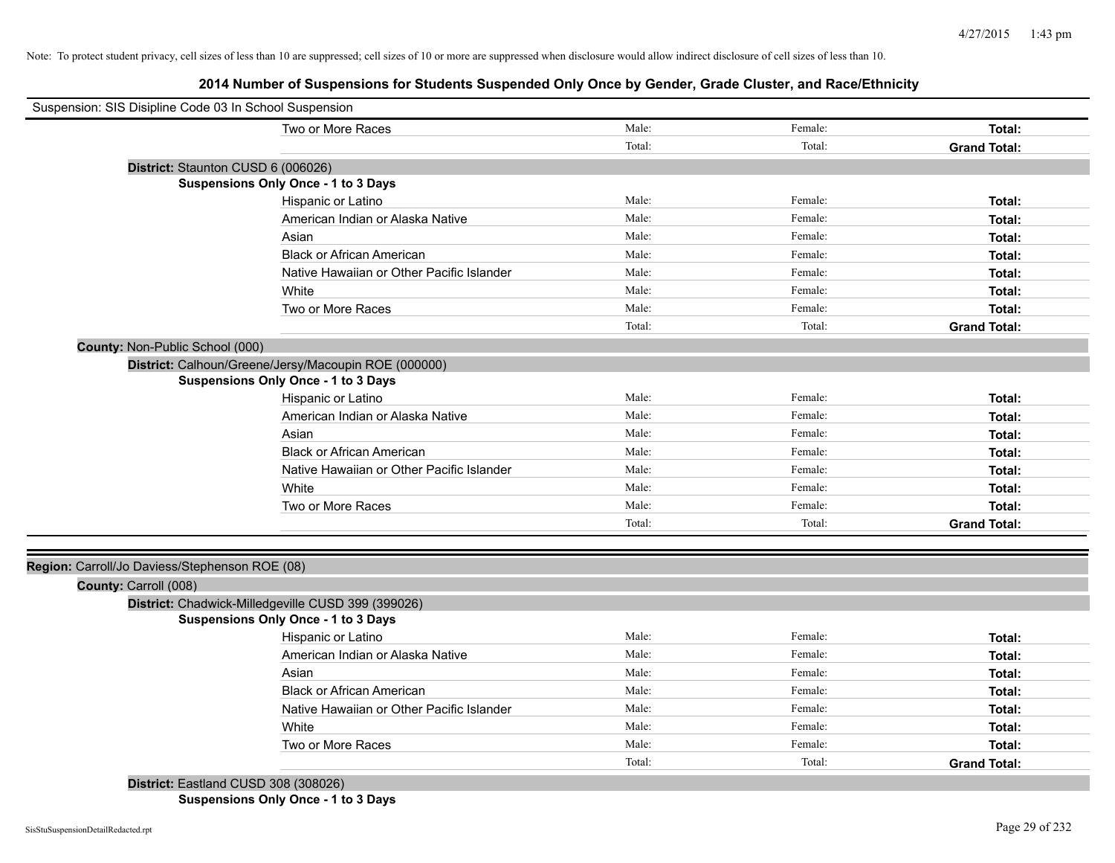# **2014 Number of Suspensions for Students Suspended Only Once by Gender, Grade Cluster, and Race/Ethnicity**

| Suspension: SIS Disipline Code 03 In School Suspension |                                                      |        |         |                     |
|--------------------------------------------------------|------------------------------------------------------|--------|---------|---------------------|
|                                                        | Two or More Races                                    | Male:  | Female: | Total:              |
|                                                        |                                                      | Total: | Total:  | <b>Grand Total:</b> |
| District: Staunton CUSD 6 (006026)                     |                                                      |        |         |                     |
|                                                        | <b>Suspensions Only Once - 1 to 3 Days</b>           |        |         |                     |
|                                                        | Hispanic or Latino                                   | Male:  | Female: | Total:              |
|                                                        | American Indian or Alaska Native                     | Male:  | Female: | Total:              |
|                                                        | Asian                                                | Male:  | Female: | Total:              |
|                                                        | <b>Black or African American</b>                     | Male:  | Female: | Total:              |
|                                                        | Native Hawaiian or Other Pacific Islander            | Male:  | Female: | Total:              |
|                                                        | White                                                | Male:  | Female: | Total:              |
|                                                        | Two or More Races                                    | Male:  | Female: | Total:              |
|                                                        |                                                      | Total: | Total:  | <b>Grand Total:</b> |
| County: Non-Public School (000)                        |                                                      |        |         |                     |
|                                                        | District: Calhoun/Greene/Jersy/Macoupin ROE (000000) |        |         |                     |
|                                                        | <b>Suspensions Only Once - 1 to 3 Days</b>           |        |         |                     |
|                                                        | Hispanic or Latino                                   | Male:  | Female: | Total:              |
|                                                        | American Indian or Alaska Native                     | Male:  | Female: | Total:              |
|                                                        | Asian                                                | Male:  | Female: | Total:              |
|                                                        | <b>Black or African American</b>                     | Male:  | Female: | Total:              |
|                                                        | Native Hawaiian or Other Pacific Islander            | Male:  | Female: | Total:              |
|                                                        | White                                                | Male:  | Female: | Total:              |
|                                                        | Two or More Races                                    | Male:  | Female: | Total:              |
|                                                        |                                                      | Total: | Total:  | <b>Grand Total:</b> |
|                                                        |                                                      |        |         |                     |
| Region: Carroll/Jo Daviess/Stephenson ROE (08)         |                                                      |        |         |                     |
| County: Carroll (008)                                  |                                                      |        |         |                     |
|                                                        | District: Chadwick-Milledgeville CUSD 399 (399026)   |        |         |                     |
|                                                        | Suspensions Only Once - 1 to 3 Days                  |        |         |                     |
|                                                        | Hispanic or Latino                                   | Male:  | Female: | Total:              |
|                                                        | American Indian or Alaska Native                     | Male:  | Female: | Total:              |
|                                                        | Asian                                                | Male:  | Female: | Total:              |
|                                                        | <b>Black or African American</b>                     | Male:  | Female: | Total:              |
|                                                        | Native Hawaiian or Other Pacific Islander            | Male:  | Female: | Total:              |
|                                                        | White                                                | Male:  | Female: | Total:              |
|                                                        | Two or More Races                                    | Male:  | Female: | Total:              |
|                                                        |                                                      | Total: | Total:  | <b>Grand Total:</b> |
|                                                        | District: Eastland CUSD 308 (308026)                 |        |         |                     |
|                                                        |                                                      |        |         |                     |

**Suspensions Only Once - 1 to 3 Days**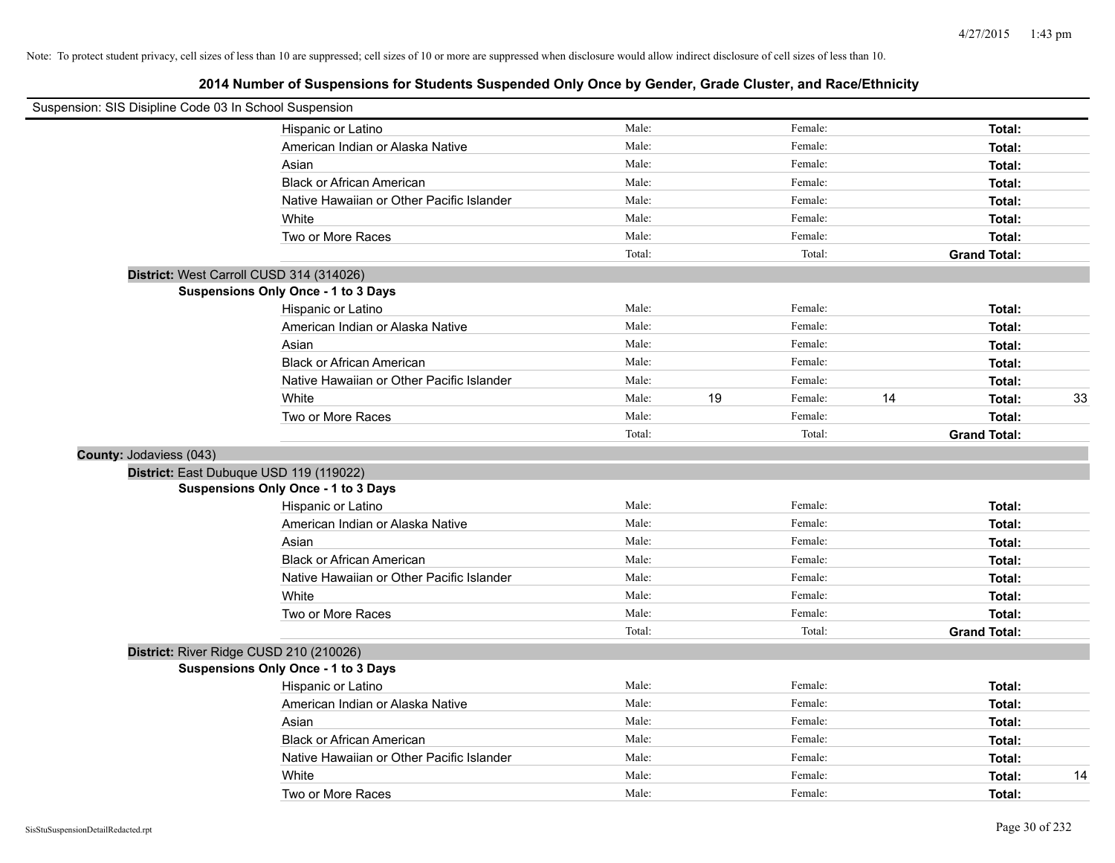| Suspension: SIS Disipline Code 03 In School Suspension |                                           |        |               |    |                     |    |
|--------------------------------------------------------|-------------------------------------------|--------|---------------|----|---------------------|----|
|                                                        | Hispanic or Latino                        | Male:  | Female:       |    | Total:              |    |
|                                                        | American Indian or Alaska Native          | Male:  | Female:       |    | Total:              |    |
|                                                        | Asian                                     | Male:  | Female:       |    | Total:              |    |
|                                                        | <b>Black or African American</b>          | Male:  | Female:       |    | Total:              |    |
|                                                        | Native Hawaiian or Other Pacific Islander | Male:  | Female:       |    | Total:              |    |
|                                                        | White                                     | Male:  | Female:       |    | Total:              |    |
|                                                        | Two or More Races                         | Male:  | Female:       |    | Total:              |    |
|                                                        |                                           | Total: | Total:        |    | <b>Grand Total:</b> |    |
|                                                        | District: West Carroll CUSD 314 (314026)  |        |               |    |                     |    |
|                                                        | Suspensions Only Once - 1 to 3 Days       |        |               |    |                     |    |
|                                                        | Hispanic or Latino                        | Male:  | Female:       |    | Total:              |    |
|                                                        | American Indian or Alaska Native          | Male:  | Female:       |    | Total:              |    |
|                                                        | Asian                                     | Male:  | Female:       |    | Total:              |    |
|                                                        | <b>Black or African American</b>          | Male:  | Female:       |    | Total:              |    |
|                                                        | Native Hawaiian or Other Pacific Islander | Male:  | Female:       |    | Total:              |    |
|                                                        | White                                     | Male:  | 19<br>Female: | 14 | Total:              | 33 |
|                                                        | Two or More Races                         | Male:  | Female:       |    | Total:              |    |
|                                                        |                                           | Total: | Total:        |    | <b>Grand Total:</b> |    |
| County: Jodaviess (043)                                |                                           |        |               |    |                     |    |
|                                                        | District: East Dubuque USD 119 (119022)   |        |               |    |                     |    |
|                                                        | Suspensions Only Once - 1 to 3 Days       |        |               |    |                     |    |
|                                                        | Hispanic or Latino                        | Male:  | Female:       |    | Total:              |    |
|                                                        | American Indian or Alaska Native          | Male:  | Female:       |    | Total:              |    |
|                                                        | Asian                                     | Male:  | Female:       |    | Total:              |    |
|                                                        | <b>Black or African American</b>          | Male:  | Female:       |    | Total:              |    |
|                                                        | Native Hawaiian or Other Pacific Islander | Male:  | Female:       |    | Total:              |    |
|                                                        | White                                     | Male:  | Female:       |    | Total:              |    |
|                                                        | Two or More Races                         | Male:  | Female:       |    | Total:              |    |
|                                                        |                                           | Total: | Total:        |    | <b>Grand Total:</b> |    |
|                                                        | District: River Ridge CUSD 210 (210026)   |        |               |    |                     |    |
|                                                        | Suspensions Only Once - 1 to 3 Days       |        |               |    |                     |    |
|                                                        | Hispanic or Latino                        | Male:  | Female:       |    | Total:              |    |
|                                                        | American Indian or Alaska Native          | Male:  | Female:       |    | Total:              |    |
|                                                        | Asian                                     | Male:  | Female:       |    | Total:              |    |
|                                                        | <b>Black or African American</b>          | Male:  | Female:       |    | Total:              |    |
|                                                        | Native Hawaiian or Other Pacific Islander | Male:  | Female:       |    | Total:              |    |
|                                                        | White                                     | Male:  | Female:       |    | Total:              | 14 |
|                                                        | Two or More Races                         | Male:  | Female:       |    | Total:              |    |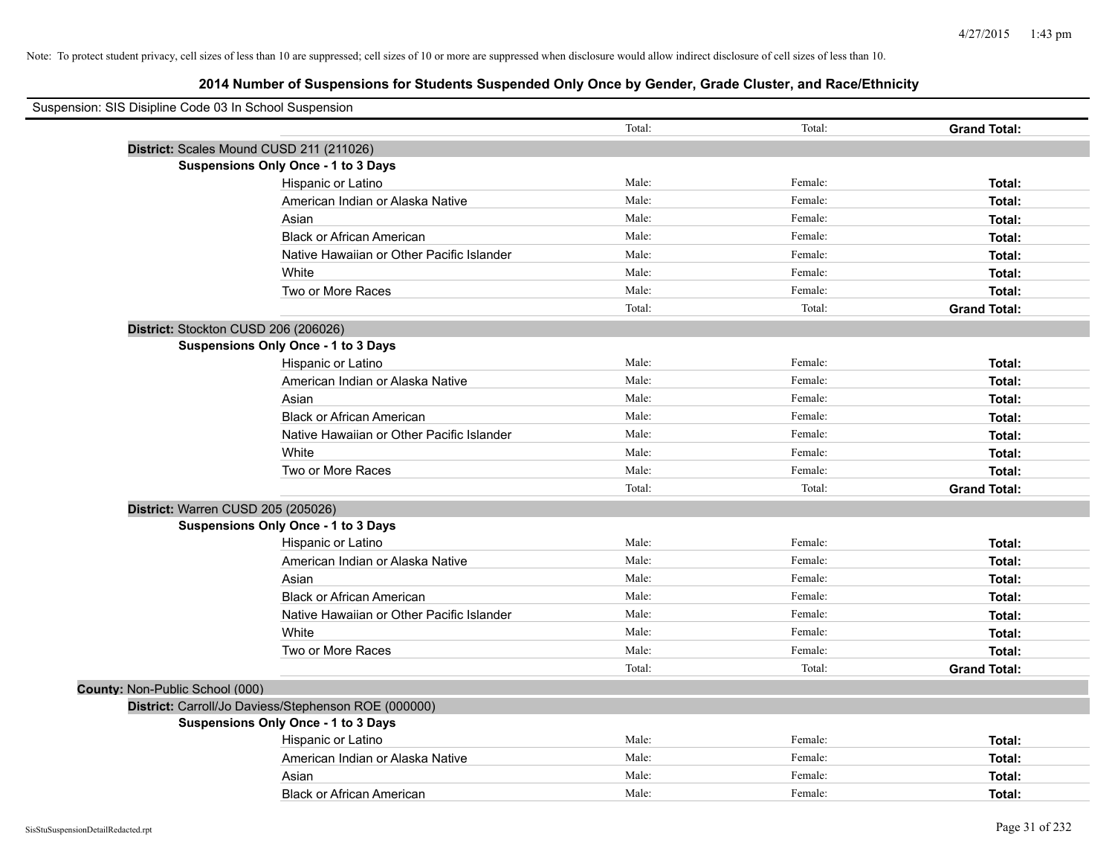| Suspension: SIS Disipline Code 03 In School Suspension |                                                      |        |         |                     |
|--------------------------------------------------------|------------------------------------------------------|--------|---------|---------------------|
|                                                        |                                                      | Total: | Total:  | <b>Grand Total:</b> |
|                                                        | District: Scales Mound CUSD 211 (211026)             |        |         |                     |
|                                                        | Suspensions Only Once - 1 to 3 Days                  |        |         |                     |
|                                                        | Hispanic or Latino                                   | Male:  | Female: | Total:              |
|                                                        | American Indian or Alaska Native                     | Male:  | Female: | Total:              |
|                                                        | Asian                                                | Male:  | Female: | Total:              |
|                                                        | <b>Black or African American</b>                     | Male:  | Female: | Total:              |
|                                                        | Native Hawaiian or Other Pacific Islander            | Male:  | Female: | Total:              |
|                                                        | White                                                | Male:  | Female: | Total:              |
|                                                        | Two or More Races                                    | Male:  | Female: | Total:              |
|                                                        |                                                      | Total: | Total:  | <b>Grand Total:</b> |
|                                                        | District: Stockton CUSD 206 (206026)                 |        |         |                     |
|                                                        | Suspensions Only Once - 1 to 3 Days                  |        |         |                     |
|                                                        | Hispanic or Latino                                   | Male:  | Female: | Total:              |
|                                                        | American Indian or Alaska Native                     | Male:  | Female: | Total:              |
|                                                        | Asian                                                | Male:  | Female: | Total:              |
|                                                        | <b>Black or African American</b>                     | Male:  | Female: | Total:              |
|                                                        | Native Hawaiian or Other Pacific Islander            | Male:  | Female: | Total:              |
|                                                        | White                                                | Male:  | Female: | Total:              |
|                                                        | Two or More Races                                    | Male:  | Female: | Total:              |
|                                                        |                                                      | Total: | Total:  | <b>Grand Total:</b> |
|                                                        | District: Warren CUSD 205 (205026)                   |        |         |                     |
|                                                        | <b>Suspensions Only Once - 1 to 3 Days</b>           |        |         |                     |
|                                                        | Hispanic or Latino                                   | Male:  | Female: | Total:              |
|                                                        | American Indian or Alaska Native                     | Male:  | Female: | Total:              |
|                                                        | Asian                                                | Male:  | Female: | Total:              |
|                                                        | <b>Black or African American</b>                     | Male:  | Female: | Total:              |
|                                                        | Native Hawaiian or Other Pacific Islander            | Male:  | Female: | Total:              |
|                                                        | White                                                | Male:  | Female: | Total:              |
|                                                        | Two or More Races                                    | Male:  | Female: | Total:              |
|                                                        |                                                      | Total: | Total:  | <b>Grand Total:</b> |
| County: Non-Public School (000)                        |                                                      |        |         |                     |
|                                                        | District: Carroll/Jo Daviess/Stephenson ROE (000000) |        |         |                     |
|                                                        | Suspensions Only Once - 1 to 3 Days                  |        |         |                     |
|                                                        | Hispanic or Latino                                   | Male:  | Female: | Total:              |
|                                                        | American Indian or Alaska Native                     | Male:  | Female: | Total:              |
|                                                        | Asian                                                | Male:  | Female: | Total:              |
|                                                        | <b>Black or African American</b>                     | Male:  | Female: | Total:              |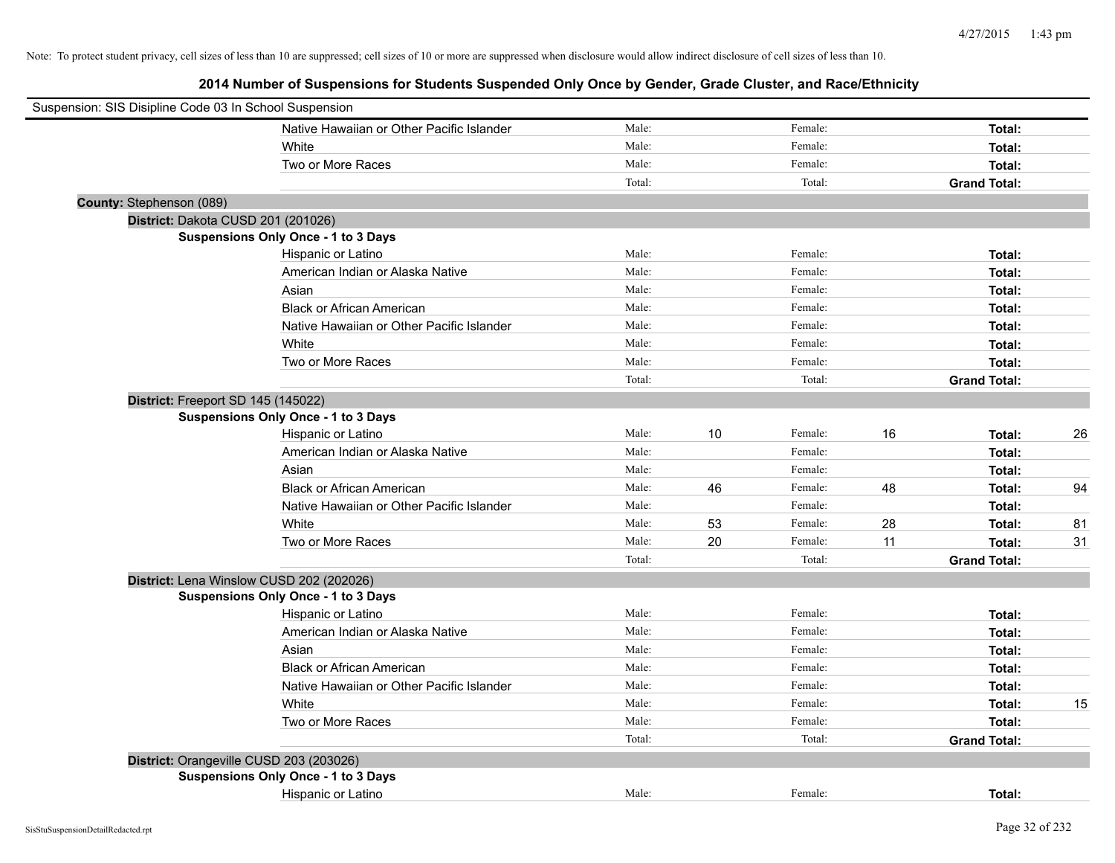| Suspension: SIS Disipline Code 03 In School Suspension |                                            |        |    |         |    |                     |    |
|--------------------------------------------------------|--------------------------------------------|--------|----|---------|----|---------------------|----|
|                                                        | Native Hawaiian or Other Pacific Islander  | Male:  |    | Female: |    | Total:              |    |
|                                                        | White                                      | Male:  |    | Female: |    | Total:              |    |
|                                                        | Two or More Races                          | Male:  |    | Female: |    | Total:              |    |
|                                                        |                                            | Total: |    | Total:  |    | <b>Grand Total:</b> |    |
| County: Stephenson (089)                               |                                            |        |    |         |    |                     |    |
|                                                        | District: Dakota CUSD 201 (201026)         |        |    |         |    |                     |    |
|                                                        | Suspensions Only Once - 1 to 3 Days        |        |    |         |    |                     |    |
|                                                        | Hispanic or Latino                         | Male:  |    | Female: |    | Total:              |    |
|                                                        | American Indian or Alaska Native           | Male:  |    | Female: |    | Total:              |    |
|                                                        | Asian                                      | Male:  |    | Female: |    | Total:              |    |
|                                                        | <b>Black or African American</b>           | Male:  |    | Female: |    | Total:              |    |
|                                                        | Native Hawaiian or Other Pacific Islander  | Male:  |    | Female: |    | Total:              |    |
|                                                        | White                                      | Male:  |    | Female: |    | Total:              |    |
|                                                        | Two or More Races                          | Male:  |    | Female: |    | Total:              |    |
|                                                        |                                            | Total: |    | Total:  |    | <b>Grand Total:</b> |    |
|                                                        | District: Freeport SD 145 (145022)         |        |    |         |    |                     |    |
|                                                        | Suspensions Only Once - 1 to 3 Days        |        |    |         |    |                     |    |
|                                                        | Hispanic or Latino                         | Male:  | 10 | Female: | 16 | Total:              | 26 |
|                                                        | American Indian or Alaska Native           | Male:  |    | Female: |    | Total:              |    |
|                                                        | Asian                                      | Male:  |    | Female: |    | Total:              |    |
|                                                        | <b>Black or African American</b>           | Male:  | 46 | Female: | 48 | Total:              | 94 |
|                                                        | Native Hawaiian or Other Pacific Islander  | Male:  |    | Female: |    | Total:              |    |
|                                                        | White                                      | Male:  | 53 | Female: | 28 | Total:              | 81 |
|                                                        | Two or More Races                          | Male:  | 20 | Female: | 11 | Total:              | 31 |
|                                                        |                                            | Total: |    | Total:  |    | <b>Grand Total:</b> |    |
|                                                        | District: Lena Winslow CUSD 202 (202026)   |        |    |         |    |                     |    |
|                                                        | <b>Suspensions Only Once - 1 to 3 Days</b> |        |    |         |    |                     |    |
|                                                        | Hispanic or Latino                         | Male:  |    | Female: |    | Total:              |    |
|                                                        | American Indian or Alaska Native           | Male:  |    | Female: |    | Total:              |    |
|                                                        | Asian                                      | Male:  |    | Female: |    | Total:              |    |
|                                                        | <b>Black or African American</b>           | Male:  |    | Female: |    | Total:              |    |
|                                                        | Native Hawaiian or Other Pacific Islander  | Male:  |    | Female: |    | Total:              |    |
|                                                        | White                                      | Male:  |    | Female: |    | Total:              | 15 |
|                                                        | Two or More Races                          | Male:  |    | Female: |    | Total:              |    |
|                                                        |                                            | Total: |    | Total:  |    | <b>Grand Total:</b> |    |
|                                                        | District: Orangeville CUSD 203 (203026)    |        |    |         |    |                     |    |
|                                                        | Suspensions Only Once - 1 to 3 Days        |        |    |         |    |                     |    |
|                                                        | Hispanic or Latino                         | Male:  |    | Female: |    | Total:              |    |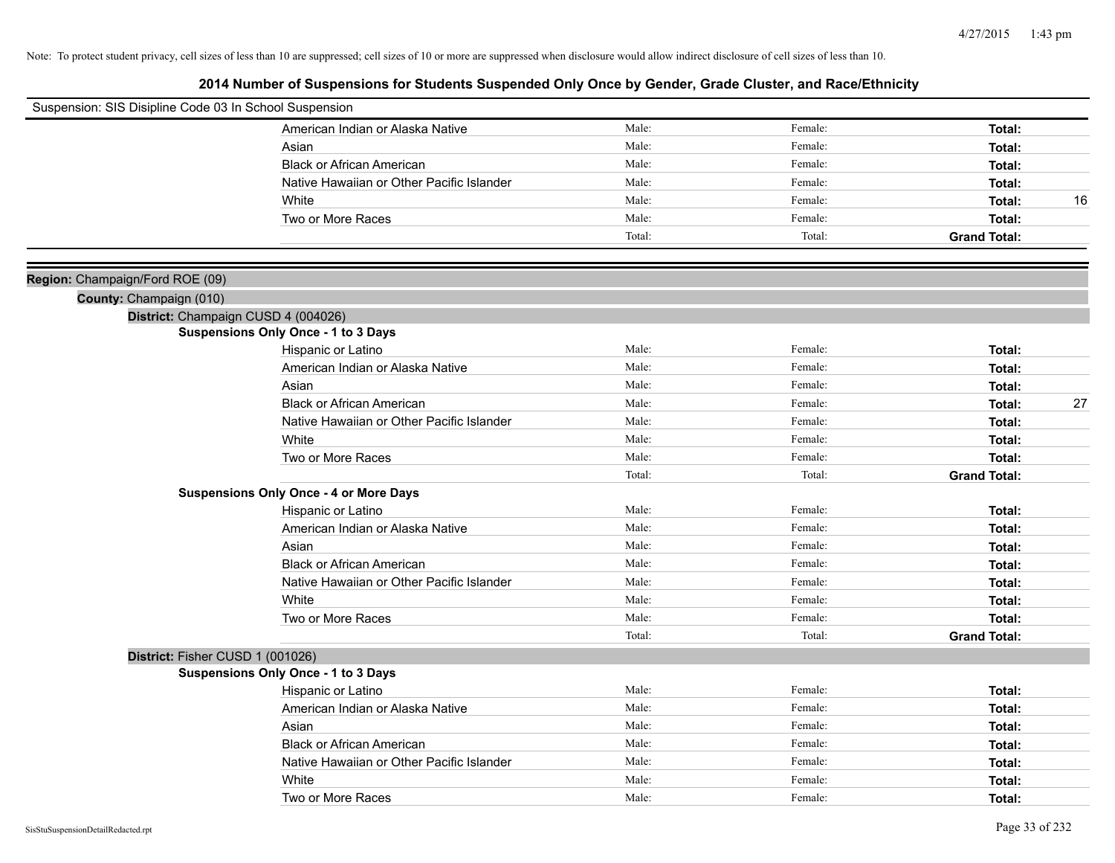| Suspension: SIS Disipline Code 03 In School Suspension |                                               |        |         |                     |
|--------------------------------------------------------|-----------------------------------------------|--------|---------|---------------------|
|                                                        | American Indian or Alaska Native              | Male:  | Female: | Total:              |
|                                                        | Asian                                         | Male:  | Female: | Total:              |
|                                                        | <b>Black or African American</b>              | Male:  | Female: | Total:              |
|                                                        | Native Hawaiian or Other Pacific Islander     | Male:  | Female: | Total:              |
|                                                        | White                                         | Male:  | Female: | Total:<br>16        |
|                                                        | Two or More Races                             | Male:  | Female: | Total:              |
|                                                        |                                               | Total: | Total:  | <b>Grand Total:</b> |
|                                                        |                                               |        |         |                     |
| Region: Champaign/Ford ROE (09)                        |                                               |        |         |                     |
| County: Champaign (010)                                |                                               |        |         |                     |
|                                                        | District: Champaign CUSD 4 (004026)           |        |         |                     |
|                                                        | <b>Suspensions Only Once - 1 to 3 Days</b>    |        |         |                     |
|                                                        | Hispanic or Latino                            | Male:  | Female: | Total:              |
|                                                        | American Indian or Alaska Native              | Male:  | Female: | Total:              |
|                                                        | Asian                                         | Male:  | Female: | Total:              |
|                                                        | <b>Black or African American</b>              | Male:  | Female: | 27<br>Total:        |
|                                                        | Native Hawaiian or Other Pacific Islander     | Male:  | Female: | Total:              |
|                                                        | White                                         | Male:  | Female: | Total:              |
|                                                        | Two or More Races                             | Male:  | Female: | Total:              |
|                                                        |                                               | Total: | Total:  | <b>Grand Total:</b> |
|                                                        | <b>Suspensions Only Once - 4 or More Days</b> |        |         |                     |
|                                                        | Hispanic or Latino                            | Male:  | Female: | Total:              |
|                                                        | American Indian or Alaska Native              | Male:  | Female: | Total:              |
|                                                        | Asian                                         | Male:  | Female: | Total:              |
|                                                        | <b>Black or African American</b>              | Male:  | Female: | Total:              |
|                                                        | Native Hawaiian or Other Pacific Islander     | Male:  | Female: | Total:              |
|                                                        | White                                         | Male:  | Female: | Total:              |
|                                                        | Two or More Races                             | Male:  | Female: | Total:              |
|                                                        |                                               | Total: | Total:  | <b>Grand Total:</b> |
|                                                        | District: Fisher CUSD 1 (001026)              |        |         |                     |
|                                                        | <b>Suspensions Only Once - 1 to 3 Days</b>    |        |         |                     |
|                                                        | Hispanic or Latino                            | Male:  | Female: | Total:              |
|                                                        | American Indian or Alaska Native              | Male:  | Female: | Total:              |
|                                                        | Asian                                         | Male:  | Female: | Total:              |
|                                                        | <b>Black or African American</b>              | Male:  | Female: | Total:              |
|                                                        | Native Hawaiian or Other Pacific Islander     | Male:  | Female: | Total:              |
|                                                        | White                                         | Male:  | Female: | Total:              |
|                                                        | Two or More Races                             | Male:  | Female: | Total:              |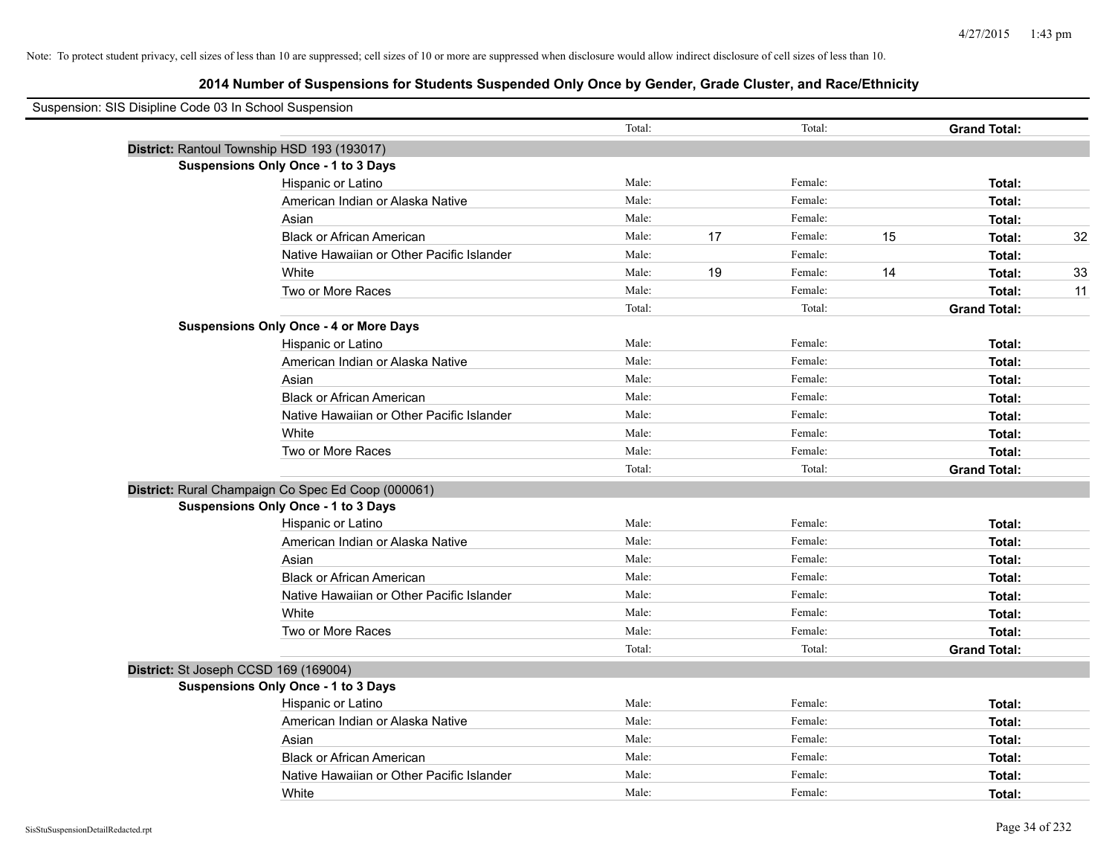# **2014 Number of Suspensions for Students Suspended Only Once by Gender, Grade Cluster, and Race/Ethnicity**

| Suspension: SIS Disipline Code 03 In School Suspension |                                                    |        |    |         |    |                     |    |
|--------------------------------------------------------|----------------------------------------------------|--------|----|---------|----|---------------------|----|
|                                                        |                                                    | Total: |    | Total:  |    | <b>Grand Total:</b> |    |
|                                                        | District: Rantoul Township HSD 193 (193017)        |        |    |         |    |                     |    |
|                                                        | <b>Suspensions Only Once - 1 to 3 Days</b>         |        |    |         |    |                     |    |
|                                                        | Hispanic or Latino                                 | Male:  |    | Female: |    | Total:              |    |
|                                                        | American Indian or Alaska Native                   | Male:  |    | Female: |    | Total:              |    |
|                                                        | Asian                                              | Male:  |    | Female: |    | Total:              |    |
|                                                        | <b>Black or African American</b>                   | Male:  | 17 | Female: | 15 | Total:              | 32 |
|                                                        | Native Hawaiian or Other Pacific Islander          | Male:  |    | Female: |    | Total:              |    |
|                                                        | White                                              | Male:  | 19 | Female: | 14 | Total:              | 33 |
|                                                        | Two or More Races                                  | Male:  |    | Female: |    | Total:              | 11 |
|                                                        |                                                    | Total: |    | Total:  |    | <b>Grand Total:</b> |    |
|                                                        | <b>Suspensions Only Once - 4 or More Days</b>      |        |    |         |    |                     |    |
|                                                        | Hispanic or Latino                                 | Male:  |    | Female: |    | Total:              |    |
|                                                        | American Indian or Alaska Native                   | Male:  |    | Female: |    | Total:              |    |
|                                                        | Asian                                              | Male:  |    | Female: |    | Total:              |    |
|                                                        | <b>Black or African American</b>                   | Male:  |    | Female: |    | Total:              |    |
|                                                        | Native Hawaiian or Other Pacific Islander          | Male:  |    | Female: |    | Total:              |    |
|                                                        | White                                              | Male:  |    | Female: |    | Total:              |    |
|                                                        | Two or More Races                                  | Male:  |    | Female: |    | Total:              |    |
|                                                        |                                                    | Total: |    | Total:  |    | <b>Grand Total:</b> |    |
|                                                        | District: Rural Champaign Co Spec Ed Coop (000061) |        |    |         |    |                     |    |
|                                                        | <b>Suspensions Only Once - 1 to 3 Days</b>         |        |    |         |    |                     |    |
|                                                        | Hispanic or Latino                                 | Male:  |    | Female: |    | Total:              |    |
|                                                        | American Indian or Alaska Native                   | Male:  |    | Female: |    | Total:              |    |
|                                                        | Asian                                              | Male:  |    | Female: |    | Total:              |    |
|                                                        | <b>Black or African American</b>                   | Male:  |    | Female: |    | Total:              |    |
|                                                        | Native Hawaiian or Other Pacific Islander          | Male:  |    | Female: |    | Total:              |    |
|                                                        | White                                              | Male:  |    | Female: |    | Total:              |    |
|                                                        | Two or More Races                                  | Male:  |    | Female: |    | Total:              |    |
|                                                        |                                                    | Total: |    | Total:  |    | <b>Grand Total:</b> |    |
|                                                        | District: St Joseph CCSD 169 (169004)              |        |    |         |    |                     |    |
|                                                        | Suspensions Only Once - 1 to 3 Days                |        |    |         |    |                     |    |
|                                                        | Hispanic or Latino                                 | Male:  |    | Female: |    | Total:              |    |
|                                                        | American Indian or Alaska Native                   | Male:  |    | Female: |    | Total:              |    |
|                                                        | Asian                                              | Male:  |    | Female: |    | Total:              |    |
|                                                        | <b>Black or African American</b>                   | Male:  |    | Female: |    | Total:              |    |
|                                                        | Native Hawaiian or Other Pacific Islander          | Male:  |    | Female: |    | Total:              |    |
|                                                        | White                                              | Male:  |    | Female: |    | Total:              |    |

 $\overline{\phantom{0}}$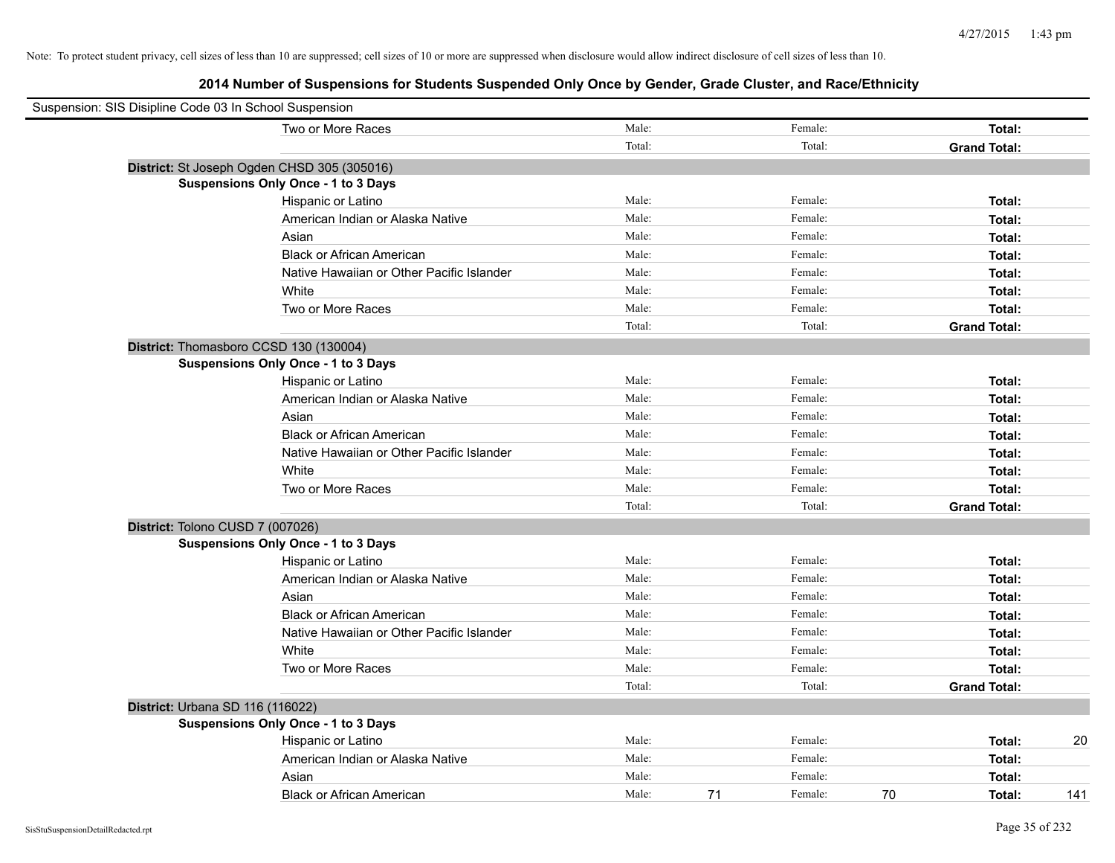| Suspension: SIS Disipline Code 03 In School Suspension |                                             |        |               |                     |     |
|--------------------------------------------------------|---------------------------------------------|--------|---------------|---------------------|-----|
|                                                        | Two or More Races                           | Male:  | Female:       | Total:              |     |
|                                                        |                                             | Total: | Total:        | <b>Grand Total:</b> |     |
|                                                        | District: St Joseph Ogden CHSD 305 (305016) |        |               |                     |     |
|                                                        | <b>Suspensions Only Once - 1 to 3 Days</b>  |        |               |                     |     |
|                                                        | Hispanic or Latino                          | Male:  | Female:       | Total:              |     |
|                                                        | American Indian or Alaska Native            | Male:  | Female:       | Total:              |     |
|                                                        | Asian                                       | Male:  | Female:       | Total:              |     |
|                                                        | <b>Black or African American</b>            | Male:  | Female:       | Total:              |     |
|                                                        | Native Hawaiian or Other Pacific Islander   | Male:  | Female:       | Total:              |     |
|                                                        | White                                       | Male:  | Female:       | Total:              |     |
|                                                        | Two or More Races                           | Male:  | Female:       | Total:              |     |
|                                                        |                                             | Total: | Total:        | <b>Grand Total:</b> |     |
|                                                        | District: Thomasboro CCSD 130 (130004)      |        |               |                     |     |
|                                                        | <b>Suspensions Only Once - 1 to 3 Days</b>  |        |               |                     |     |
|                                                        | Hispanic or Latino                          | Male:  | Female:       | Total:              |     |
|                                                        | American Indian or Alaska Native            | Male:  | Female:       | Total:              |     |
|                                                        | Asian                                       | Male:  | Female:       | Total:              |     |
|                                                        | <b>Black or African American</b>            | Male:  | Female:       | Total:              |     |
|                                                        | Native Hawaiian or Other Pacific Islander   | Male:  | Female:       | Total:              |     |
|                                                        | White                                       | Male:  | Female:       | Total:              |     |
|                                                        | Two or More Races                           | Male:  | Female:       | Total:              |     |
|                                                        |                                             | Total: | Total:        | <b>Grand Total:</b> |     |
|                                                        | District: Tolono CUSD 7 (007026)            |        |               |                     |     |
|                                                        | <b>Suspensions Only Once - 1 to 3 Days</b>  |        |               |                     |     |
|                                                        | Hispanic or Latino                          | Male:  | Female:       | Total:              |     |
|                                                        | American Indian or Alaska Native            | Male:  | Female:       | Total:              |     |
|                                                        | Asian                                       | Male:  | Female:       | Total:              |     |
|                                                        | <b>Black or African American</b>            | Male:  | Female:       | Total:              |     |
|                                                        | Native Hawaiian or Other Pacific Islander   | Male:  | Female:       | Total:              |     |
|                                                        | White                                       | Male:  | Female:       | Total:              |     |
|                                                        | Two or More Races                           | Male:  | Female:       | Total:              |     |
|                                                        |                                             | Total: | Total:        | <b>Grand Total:</b> |     |
|                                                        | District: Urbana SD 116 (116022)            |        |               |                     |     |
|                                                        | <b>Suspensions Only Once - 1 to 3 Days</b>  |        |               |                     |     |
|                                                        | Hispanic or Latino                          | Male:  | Female:       | Total:              | 20  |
|                                                        | American Indian or Alaska Native            | Male:  | Female:       | Total:              |     |
|                                                        | Asian                                       | Male:  | Female:       | Total:              |     |
|                                                        | <b>Black or African American</b>            | Male:  | 71<br>Female: | 70<br>Total:        | 141 |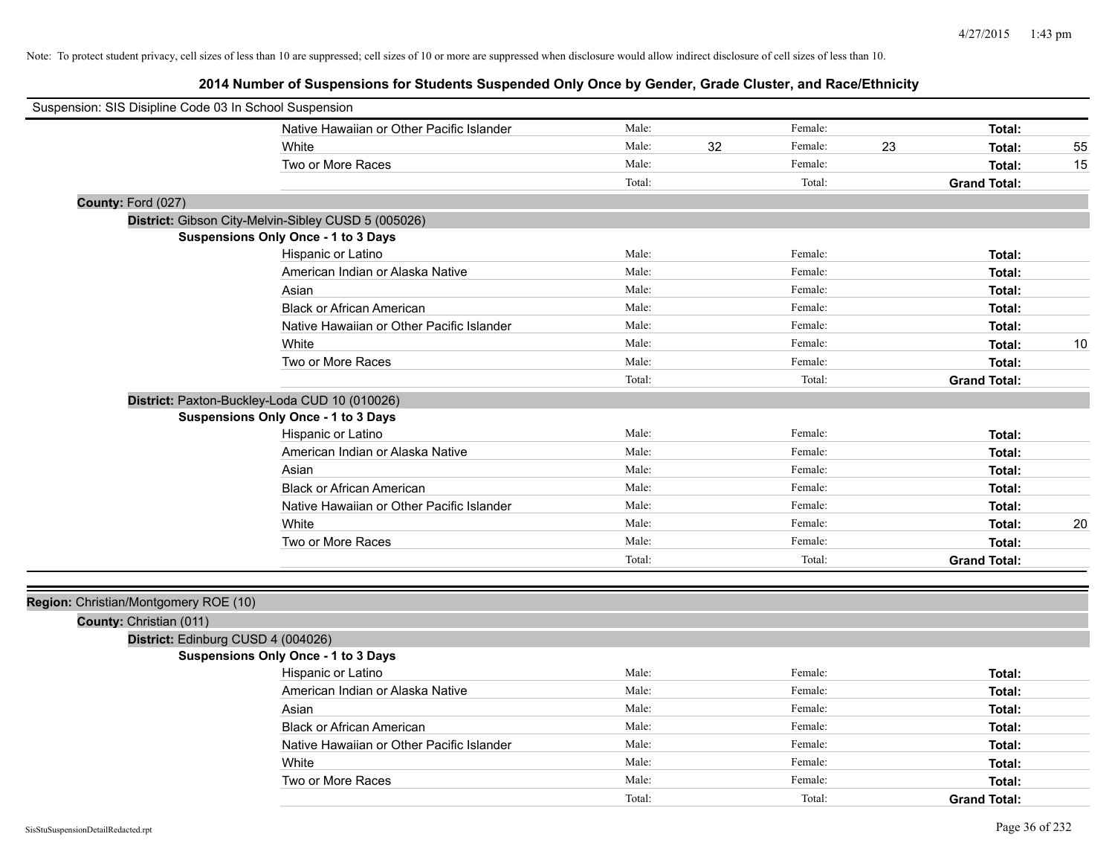| Suspension: SIS Disipline Code 03 In School Suspension |                                                     |        |    |         |    |                     |    |
|--------------------------------------------------------|-----------------------------------------------------|--------|----|---------|----|---------------------|----|
|                                                        | Native Hawaiian or Other Pacific Islander           | Male:  |    | Female: |    | Total:              |    |
|                                                        | White                                               | Male:  | 32 | Female: | 23 | Total:              | 55 |
|                                                        | Two or More Races                                   | Male:  |    | Female: |    | Total:              | 15 |
|                                                        |                                                     | Total: |    | Total:  |    | <b>Grand Total:</b> |    |
| County: Ford (027)                                     |                                                     |        |    |         |    |                     |    |
|                                                        | District: Gibson City-Melvin-Sibley CUSD 5 (005026) |        |    |         |    |                     |    |
|                                                        | <b>Suspensions Only Once - 1 to 3 Days</b>          |        |    |         |    |                     |    |
|                                                        | Hispanic or Latino                                  | Male:  |    | Female: |    | Total:              |    |
|                                                        | American Indian or Alaska Native                    | Male:  |    | Female: |    | Total:              |    |
|                                                        | Asian                                               | Male:  |    | Female: |    | Total:              |    |
|                                                        | <b>Black or African American</b>                    | Male:  |    | Female: |    | Total:              |    |
|                                                        | Native Hawaiian or Other Pacific Islander           | Male:  |    | Female: |    | Total:              |    |
|                                                        | White                                               | Male:  |    | Female: |    | Total:              | 10 |
|                                                        | Two or More Races                                   | Male:  |    | Female: |    | Total:              |    |
|                                                        |                                                     | Total: |    | Total:  |    | <b>Grand Total:</b> |    |
|                                                        | District: Paxton-Buckley-Loda CUD 10 (010026)       |        |    |         |    |                     |    |
|                                                        | Suspensions Only Once - 1 to 3 Days                 |        |    |         |    |                     |    |
|                                                        | Hispanic or Latino                                  | Male:  |    | Female: |    | Total:              |    |
|                                                        | American Indian or Alaska Native                    | Male:  |    | Female: |    | Total:              |    |
|                                                        | Asian                                               | Male:  |    | Female: |    | Total:              |    |
|                                                        | <b>Black or African American</b>                    | Male:  |    | Female: |    | Total:              |    |
|                                                        | Native Hawaiian or Other Pacific Islander           | Male:  |    | Female: |    | Total:              |    |
|                                                        | White                                               | Male:  |    | Female: |    | Total:              | 20 |
|                                                        | Two or More Races                                   | Male:  |    | Female: |    | Total:              |    |
|                                                        |                                                     | Total: |    | Total:  |    | <b>Grand Total:</b> |    |
|                                                        |                                                     |        |    |         |    |                     |    |
| Region: Christian/Montgomery ROE (10)                  |                                                     |        |    |         |    |                     |    |
| County: Christian (011)                                |                                                     |        |    |         |    |                     |    |
|                                                        | District: Edinburg CUSD 4 (004026)                  |        |    |         |    |                     |    |
|                                                        | Suspensions Only Once - 1 to 3 Days                 |        |    |         |    |                     |    |
|                                                        | Hispanic or Latino                                  | Male:  |    | Female: |    | Total:              |    |
|                                                        | American Indian or Alaska Native                    | Male:  |    | Female: |    | Total:              |    |
|                                                        | Asian                                               | Male:  |    | Female: |    | Total:              |    |
|                                                        | <b>Black or African American</b>                    | Male:  |    | Female: |    | Total:              |    |
|                                                        | Native Hawaiian or Other Pacific Islander           | Male:  |    | Female: |    | Total:              |    |
|                                                        | White                                               | Male:  |    | Female: |    | Total:              |    |
|                                                        | Two or More Races                                   | Male:  |    | Female: |    | Total:              |    |
|                                                        |                                                     | Total: |    | Total:  |    | <b>Grand Total:</b> |    |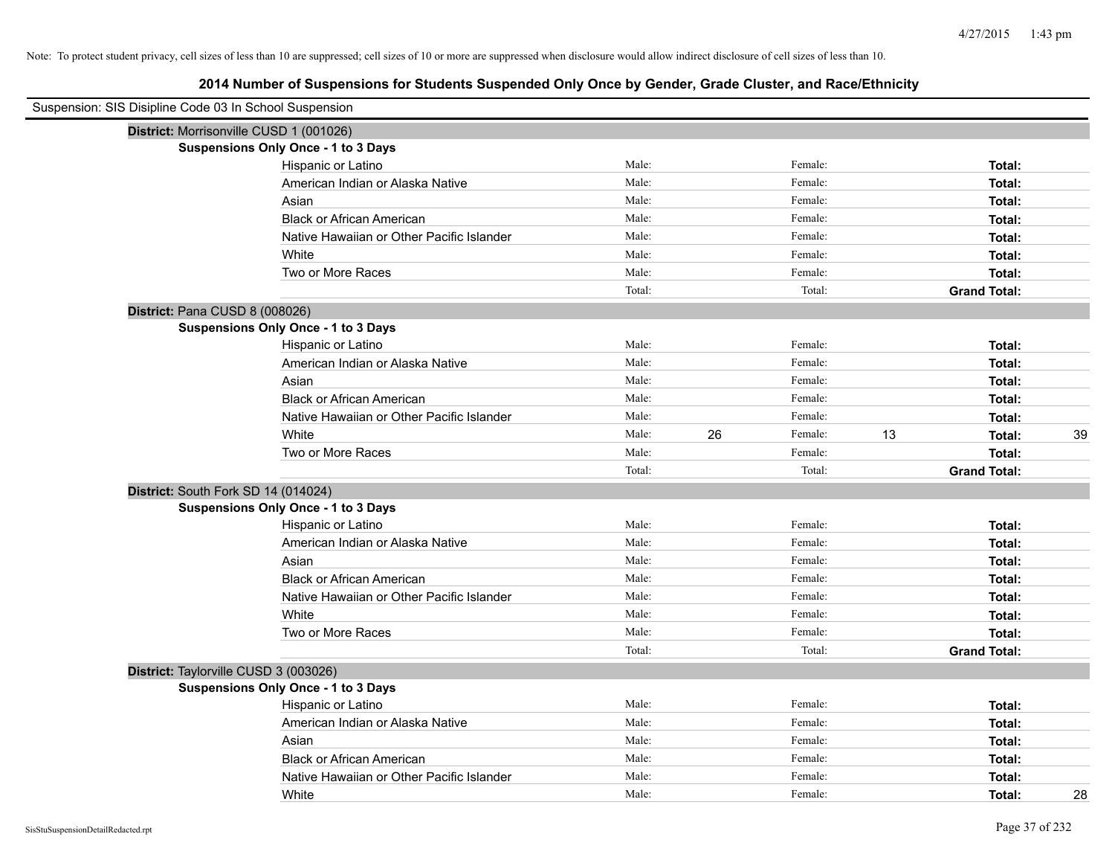| Suspension: SIS Disipline Code 03 In School Suspension |                                            |        |    |         |    |                     |    |
|--------------------------------------------------------|--------------------------------------------|--------|----|---------|----|---------------------|----|
| District: Morrisonville CUSD 1 (001026)                |                                            |        |    |         |    |                     |    |
|                                                        | Suspensions Only Once - 1 to 3 Days        |        |    |         |    |                     |    |
|                                                        | Hispanic or Latino                         | Male:  |    | Female: |    | Total:              |    |
|                                                        | American Indian or Alaska Native           | Male:  |    | Female: |    | Total:              |    |
|                                                        | Asian                                      | Male:  |    | Female: |    | Total:              |    |
|                                                        | <b>Black or African American</b>           | Male:  |    | Female: |    | Total:              |    |
|                                                        | Native Hawaiian or Other Pacific Islander  | Male:  |    | Female: |    | Total:              |    |
|                                                        | White                                      | Male:  |    | Female: |    | Total:              |    |
|                                                        | Two or More Races                          | Male:  |    | Female: |    | Total:              |    |
|                                                        |                                            | Total: |    | Total:  |    | <b>Grand Total:</b> |    |
| District: Pana CUSD 8 (008026)                         |                                            |        |    |         |    |                     |    |
|                                                        | Suspensions Only Once - 1 to 3 Days        |        |    |         |    |                     |    |
|                                                        | Hispanic or Latino                         | Male:  |    | Female: |    | Total:              |    |
|                                                        | American Indian or Alaska Native           | Male:  |    | Female: |    | Total:              |    |
|                                                        | Asian                                      | Male:  |    | Female: |    | Total:              |    |
|                                                        | <b>Black or African American</b>           | Male:  |    | Female: |    | Total:              |    |
|                                                        | Native Hawaiian or Other Pacific Islander  | Male:  |    | Female: |    | Total:              |    |
|                                                        | White                                      | Male:  | 26 | Female: | 13 | Total:              | 39 |
|                                                        | Two or More Races                          | Male:  |    | Female: |    | Total:              |    |
|                                                        |                                            | Total: |    | Total:  |    | <b>Grand Total:</b> |    |
| District: South Fork SD 14 (014024)                    |                                            |        |    |         |    |                     |    |
|                                                        | Suspensions Only Once - 1 to 3 Days        |        |    |         |    |                     |    |
|                                                        | Hispanic or Latino                         | Male:  |    | Female: |    | Total:              |    |
|                                                        | American Indian or Alaska Native           | Male:  |    | Female: |    | Total:              |    |
|                                                        | Asian                                      | Male:  |    | Female: |    | Total:              |    |
|                                                        | <b>Black or African American</b>           | Male:  |    | Female: |    | Total:              |    |
|                                                        | Native Hawaiian or Other Pacific Islander  | Male:  |    | Female: |    | Total:              |    |
|                                                        | White                                      | Male:  |    | Female: |    | Total:              |    |
|                                                        | Two or More Races                          | Male:  |    | Female: |    | Total:              |    |
|                                                        |                                            | Total: |    | Total:  |    | <b>Grand Total:</b> |    |
| District: Taylorville CUSD 3 (003026)                  |                                            |        |    |         |    |                     |    |
|                                                        | <b>Suspensions Only Once - 1 to 3 Days</b> |        |    |         |    |                     |    |
|                                                        | Hispanic or Latino                         | Male:  |    | Female: |    | Total:              |    |
|                                                        | American Indian or Alaska Native           | Male:  |    | Female: |    | Total:              |    |
|                                                        | Asian                                      | Male:  |    | Female: |    | Total:              |    |
|                                                        | <b>Black or African American</b>           | Male:  |    | Female: |    | Total:              |    |
|                                                        | Native Hawaiian or Other Pacific Islander  | Male:  |    | Female: |    | Total:              |    |
|                                                        | White                                      | Male:  |    | Female: |    | Total:              | 28 |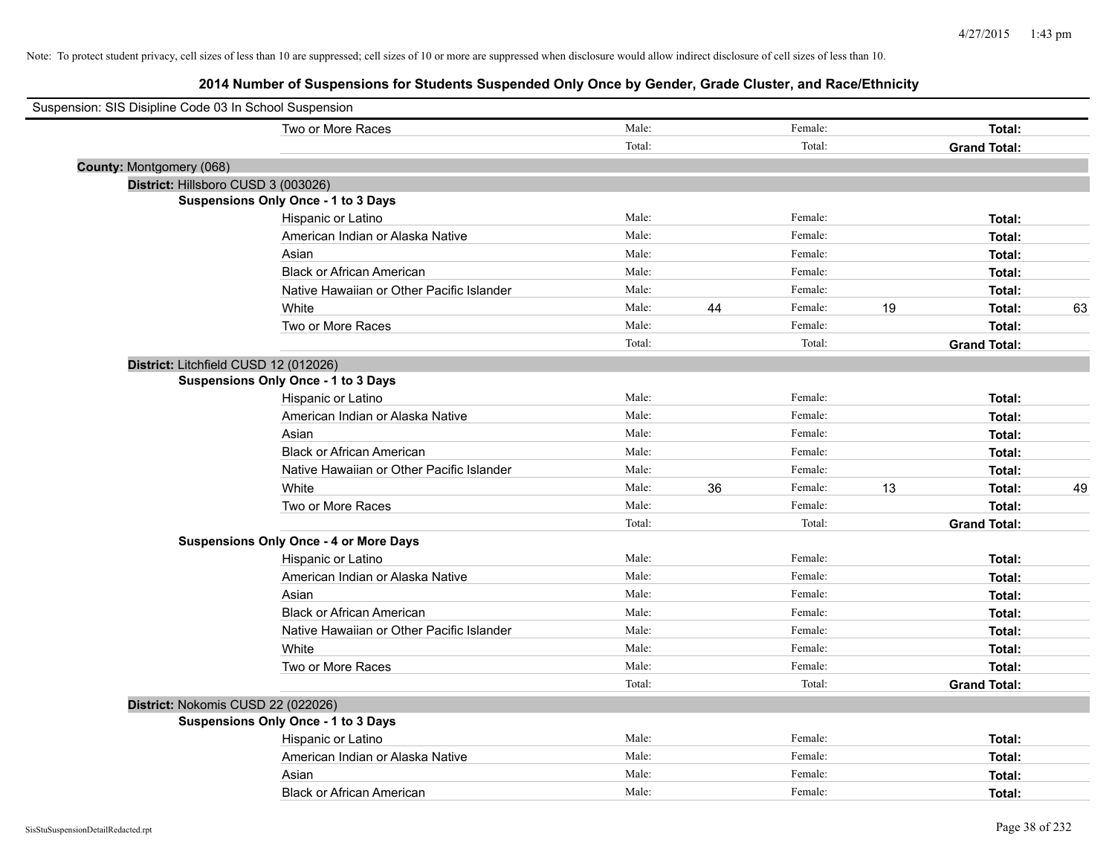| Suspension: SIS Disipline Code 03 In School Suspension |                                               |        |    |         |    |                     |    |
|--------------------------------------------------------|-----------------------------------------------|--------|----|---------|----|---------------------|----|
|                                                        | Two or More Races                             | Male:  |    | Female: |    | Total:              |    |
|                                                        |                                               | Total: |    | Total:  |    | <b>Grand Total:</b> |    |
| County: Montgomery (068)                               |                                               |        |    |         |    |                     |    |
| District: Hillsboro CUSD 3 (003026)                    |                                               |        |    |         |    |                     |    |
|                                                        | <b>Suspensions Only Once - 1 to 3 Days</b>    |        |    |         |    |                     |    |
|                                                        | Hispanic or Latino                            | Male:  |    | Female: |    | Total:              |    |
|                                                        | American Indian or Alaska Native              | Male:  |    | Female: |    | Total:              |    |
|                                                        | Asian                                         | Male:  |    | Female: |    | Total:              |    |
|                                                        | <b>Black or African American</b>              | Male:  |    | Female: |    | Total:              |    |
|                                                        | Native Hawaiian or Other Pacific Islander     | Male:  |    | Female: |    | Total:              |    |
|                                                        | White                                         | Male:  | 44 | Female: | 19 | Total:              | 63 |
|                                                        | Two or More Races                             | Male:  |    | Female: |    | Total:              |    |
|                                                        |                                               | Total: |    | Total:  |    | <b>Grand Total:</b> |    |
| District: Litchfield CUSD 12 (012026)                  |                                               |        |    |         |    |                     |    |
|                                                        | <b>Suspensions Only Once - 1 to 3 Days</b>    |        |    |         |    |                     |    |
|                                                        | Hispanic or Latino                            | Male:  |    | Female: |    | Total:              |    |
|                                                        | American Indian or Alaska Native              | Male:  |    | Female: |    | Total:              |    |
|                                                        | Asian                                         | Male:  |    | Female: |    | Total:              |    |
|                                                        | <b>Black or African American</b>              | Male:  |    | Female: |    | Total:              |    |
|                                                        | Native Hawaiian or Other Pacific Islander     | Male:  |    | Female: |    | Total:              |    |
|                                                        | White                                         | Male:  | 36 | Female: | 13 | Total:              | 49 |
|                                                        | Two or More Races                             | Male:  |    | Female: |    | Total:              |    |
|                                                        |                                               | Total: |    | Total:  |    | <b>Grand Total:</b> |    |
|                                                        | <b>Suspensions Only Once - 4 or More Days</b> |        |    |         |    |                     |    |
|                                                        | Hispanic or Latino                            | Male:  |    | Female: |    | Total:              |    |
|                                                        | American Indian or Alaska Native              | Male:  |    | Female: |    | Total:              |    |
|                                                        | Asian                                         | Male:  |    | Female: |    | Total:              |    |
|                                                        | <b>Black or African American</b>              | Male:  |    | Female: |    | Total:              |    |
|                                                        | Native Hawaiian or Other Pacific Islander     | Male:  |    | Female: |    | Total:              |    |
|                                                        | White                                         | Male:  |    | Female: |    | Total:              |    |
|                                                        | Two or More Races                             | Male:  |    | Female: |    | Total:              |    |
|                                                        |                                               | Total: |    | Total:  |    | <b>Grand Total:</b> |    |
| District: Nokomis CUSD 22 (022026)                     |                                               |        |    |         |    |                     |    |
|                                                        | <b>Suspensions Only Once - 1 to 3 Days</b>    |        |    |         |    |                     |    |
|                                                        | Hispanic or Latino                            | Male:  |    | Female: |    | Total:              |    |
|                                                        | American Indian or Alaska Native              | Male:  |    | Female: |    | Total:              |    |
|                                                        | Asian                                         | Male:  |    | Female: |    | Total:              |    |
|                                                        | <b>Black or African American</b>              | Male:  |    | Female: |    | Total:              |    |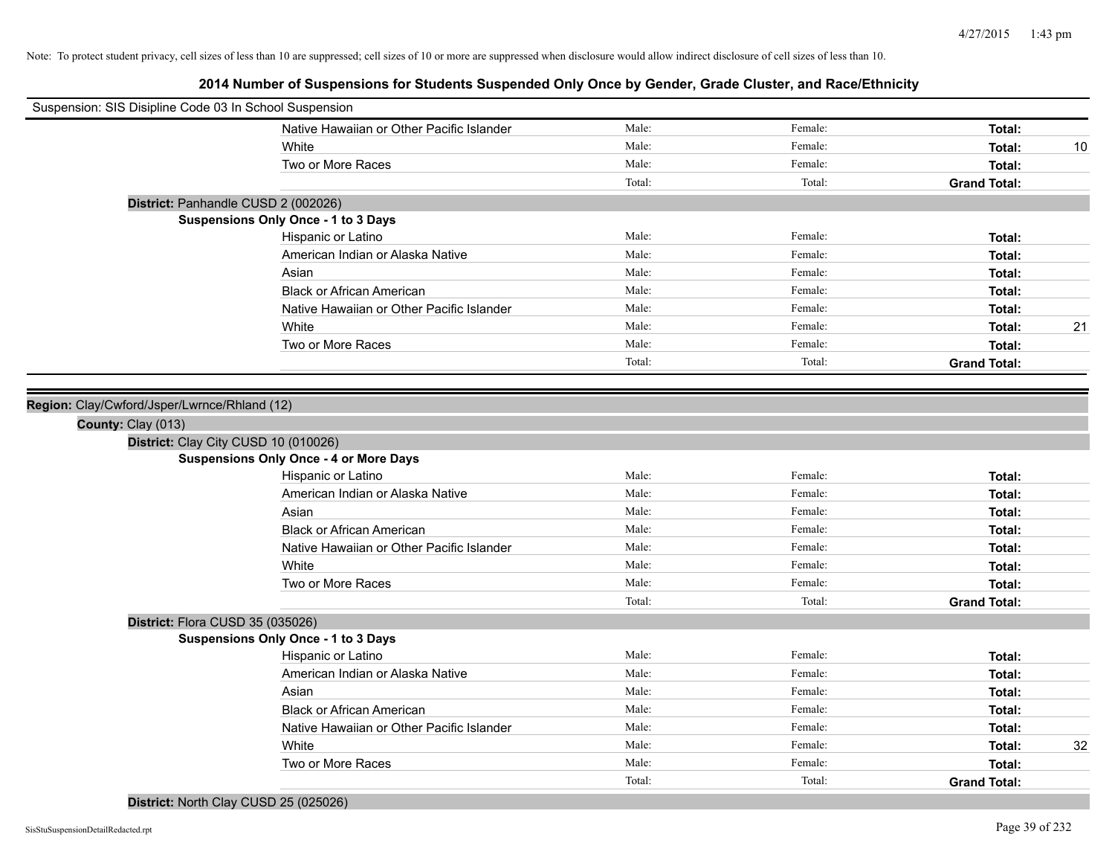| Suspension: SIS Disipline Code 03 In School Suspension |                                               |        |         |                     |    |
|--------------------------------------------------------|-----------------------------------------------|--------|---------|---------------------|----|
|                                                        | Native Hawaiian or Other Pacific Islander     | Male:  | Female: | Total:              |    |
|                                                        | White                                         | Male:  | Female: | Total:              | 10 |
|                                                        | Two or More Races                             | Male:  | Female: | Total:              |    |
|                                                        |                                               | Total: | Total:  | <b>Grand Total:</b> |    |
|                                                        | District: Panhandle CUSD 2 (002026)           |        |         |                     |    |
|                                                        | <b>Suspensions Only Once - 1 to 3 Days</b>    |        |         |                     |    |
|                                                        | Hispanic or Latino                            | Male:  | Female: | Total:              |    |
|                                                        | American Indian or Alaska Native              | Male:  | Female: | Total:              |    |
|                                                        | Asian                                         | Male:  | Female: | Total:              |    |
|                                                        | <b>Black or African American</b>              | Male:  | Female: | Total:              |    |
|                                                        | Native Hawaiian or Other Pacific Islander     | Male:  | Female: | Total:              |    |
|                                                        | White                                         | Male:  | Female: | Total:              | 21 |
|                                                        | Two or More Races                             | Male:  | Female: | Total:              |    |
|                                                        |                                               | Total: | Total:  | <b>Grand Total:</b> |    |
|                                                        |                                               |        |         |                     |    |
| Region: Clay/Cwford/Jsper/Lwrnce/Rhland (12)           |                                               |        |         |                     |    |
| County: Clay (013)                                     |                                               |        |         |                     |    |
|                                                        | District: Clay City CUSD 10 (010026)          |        |         |                     |    |
|                                                        | <b>Suspensions Only Once - 4 or More Days</b> |        |         |                     |    |
|                                                        | Hispanic or Latino                            | Male:  | Female: | Total:              |    |
|                                                        | American Indian or Alaska Native              | Male:  | Female: | Total:              |    |
|                                                        | Asian                                         | Male:  | Female: | Total:              |    |
|                                                        | <b>Black or African American</b>              | Male:  | Female: | Total:              |    |
|                                                        | Native Hawaiian or Other Pacific Islander     | Male:  | Female: | Total:              |    |
|                                                        | White                                         | Male:  | Female: | Total:              |    |
|                                                        | Two or More Races                             | Male:  | Female: | Total:              |    |
|                                                        |                                               | Total: | Total:  | <b>Grand Total:</b> |    |
| District: Flora CUSD 35 (035026)                       |                                               |        |         |                     |    |
|                                                        | <b>Suspensions Only Once - 1 to 3 Days</b>    |        |         |                     |    |
|                                                        | Hispanic or Latino                            | Male:  | Female: | Total:              |    |
|                                                        | American Indian or Alaska Native              | Male:  | Female: | Total:              |    |
|                                                        | Asian                                         | Male:  | Female: | Total:              |    |
|                                                        | <b>Black or African American</b>              | Male:  | Female: | Total:              |    |
|                                                        | Native Hawaiian or Other Pacific Islander     | Male:  | Female: | Total:              |    |
|                                                        | White                                         | Male:  | Female: | Total:              | 32 |
|                                                        | Two or More Races                             | Male:  | Female: | Total:              |    |
|                                                        |                                               | Total: | Total:  | <b>Grand Total:</b> |    |
|                                                        | District: North Clay CUSD 25 (025026)         |        |         |                     |    |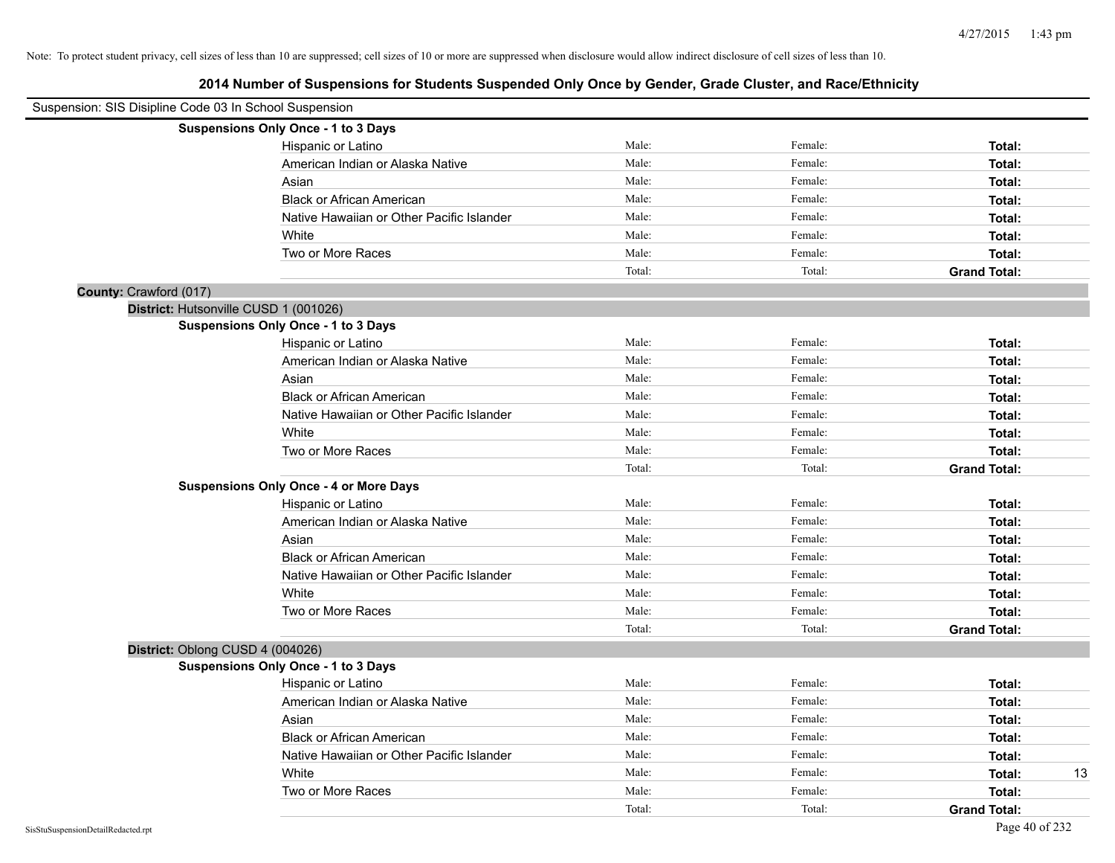| Suspension: SIS Disipline Code 03 In School Suspension |                                               |        |         |                     |
|--------------------------------------------------------|-----------------------------------------------|--------|---------|---------------------|
|                                                        | Suspensions Only Once - 1 to 3 Days           |        |         |                     |
|                                                        | Hispanic or Latino                            | Male:  | Female: | Total:              |
|                                                        | American Indian or Alaska Native              | Male:  | Female: | Total:              |
|                                                        | Asian                                         | Male:  | Female: | Total:              |
|                                                        | <b>Black or African American</b>              | Male:  | Female: | Total:              |
|                                                        | Native Hawaiian or Other Pacific Islander     | Male:  | Female: | Total:              |
|                                                        | White                                         | Male:  | Female: | Total:              |
|                                                        | Two or More Races                             | Male:  | Female: | Total:              |
|                                                        |                                               | Total: | Total:  | <b>Grand Total:</b> |
| County: Crawford (017)                                 |                                               |        |         |                     |
| District: Hutsonville CUSD 1 (001026)                  |                                               |        |         |                     |
|                                                        | <b>Suspensions Only Once - 1 to 3 Days</b>    |        |         |                     |
|                                                        | Hispanic or Latino                            | Male:  | Female: | Total:              |
|                                                        | American Indian or Alaska Native              | Male:  | Female: | Total:              |
|                                                        | Asian                                         | Male:  | Female: | Total:              |
|                                                        | <b>Black or African American</b>              | Male:  | Female: | Total:              |
|                                                        | Native Hawaiian or Other Pacific Islander     | Male:  | Female: | Total:              |
|                                                        | White                                         | Male:  | Female: | Total:              |
|                                                        | Two or More Races                             | Male:  | Female: | Total:              |
|                                                        |                                               | Total: | Total:  | <b>Grand Total:</b> |
|                                                        | <b>Suspensions Only Once - 4 or More Days</b> |        |         |                     |
|                                                        | Hispanic or Latino                            | Male:  | Female: | Total:              |
|                                                        | American Indian or Alaska Native              | Male:  | Female: | Total:              |
|                                                        | Asian                                         | Male:  | Female: | Total:              |
|                                                        | <b>Black or African American</b>              | Male:  | Female: | Total:              |
|                                                        | Native Hawaiian or Other Pacific Islander     | Male:  | Female: | Total:              |
|                                                        | White                                         | Male:  | Female: | Total:              |
|                                                        | Two or More Races                             | Male:  | Female: | Total:              |
|                                                        |                                               | Total: | Total:  | <b>Grand Total:</b> |
| District: Oblong CUSD 4 (004026)                       |                                               |        |         |                     |
|                                                        | <b>Suspensions Only Once - 1 to 3 Days</b>    |        |         |                     |
|                                                        | Hispanic or Latino                            | Male:  | Female: | Total:              |
|                                                        | American Indian or Alaska Native              | Male:  | Female: | Total:              |
|                                                        | Asian                                         | Male:  | Female: | Total:              |
|                                                        | <b>Black or African American</b>              | Male:  | Female: | Total:              |
|                                                        | Native Hawaiian or Other Pacific Islander     | Male:  | Female: | Total:              |
|                                                        | White                                         | Male:  | Female: | 13<br>Total:        |
|                                                        | Two or More Races                             | Male:  | Female: | Total:              |
|                                                        |                                               | Total: | Total:  | <b>Grand Total:</b> |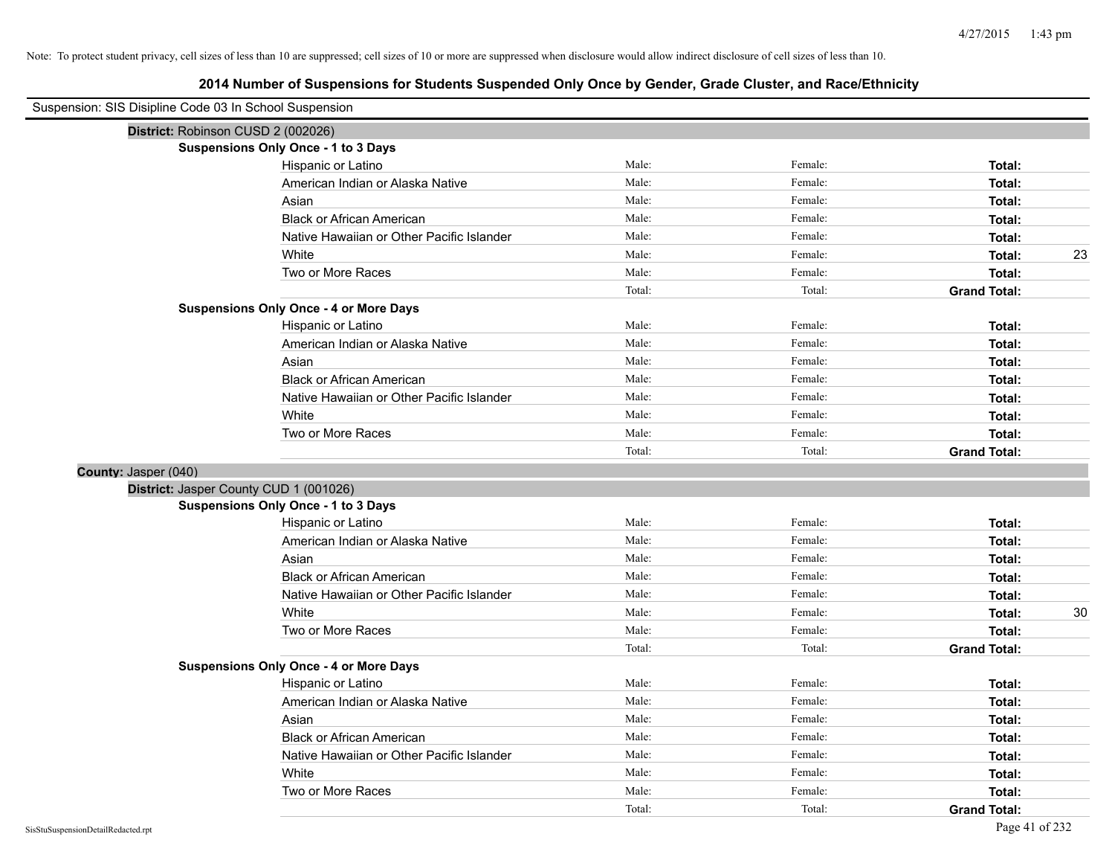| Suspension: SIS Disipline Code 03 In School Suspension |                                               |        |         |                     |
|--------------------------------------------------------|-----------------------------------------------|--------|---------|---------------------|
| District: Robinson CUSD 2 (002026)                     |                                               |        |         |                     |
|                                                        | <b>Suspensions Only Once - 1 to 3 Days</b>    |        |         |                     |
|                                                        | Hispanic or Latino                            | Male:  | Female: | Total:              |
|                                                        | American Indian or Alaska Native              | Male:  | Female: | Total:              |
|                                                        | Asian                                         | Male:  | Female: | Total:              |
|                                                        | <b>Black or African American</b>              | Male:  | Female: | Total:              |
|                                                        | Native Hawaiian or Other Pacific Islander     | Male:  | Female: | Total:              |
|                                                        | White                                         | Male:  | Female: | 23<br>Total:        |
|                                                        | Two or More Races                             | Male:  | Female: | Total:              |
|                                                        |                                               | Total: | Total:  | <b>Grand Total:</b> |
|                                                        | <b>Suspensions Only Once - 4 or More Days</b> |        |         |                     |
|                                                        | Hispanic or Latino                            | Male:  | Female: | Total:              |
|                                                        | American Indian or Alaska Native              | Male:  | Female: | Total:              |
|                                                        | Asian                                         | Male:  | Female: | Total:              |
|                                                        | <b>Black or African American</b>              | Male:  | Female: | Total:              |
|                                                        | Native Hawaiian or Other Pacific Islander     | Male:  | Female: | Total:              |
|                                                        | White                                         | Male:  | Female: | Total:              |
|                                                        | Two or More Races                             | Male:  | Female: | Total:              |
|                                                        |                                               | Total: | Total:  | <b>Grand Total:</b> |
| County: Jasper (040)                                   |                                               |        |         |                     |
|                                                        | District: Jasper County CUD 1 (001026)        |        |         |                     |
|                                                        | <b>Suspensions Only Once - 1 to 3 Days</b>    |        |         |                     |
|                                                        | Hispanic or Latino                            | Male:  | Female: | Total:              |
|                                                        | American Indian or Alaska Native              | Male:  | Female: | Total:              |
|                                                        | Asian                                         | Male:  | Female: | Total:              |
|                                                        | <b>Black or African American</b>              | Male:  | Female: | Total:              |
|                                                        | Native Hawaiian or Other Pacific Islander     | Male:  | Female: | Total:              |
|                                                        | White                                         | Male:  | Female: | 30<br>Total:        |
|                                                        | Two or More Races                             | Male:  | Female: | Total:              |
|                                                        |                                               | Total: | Total:  | <b>Grand Total:</b> |
|                                                        | <b>Suspensions Only Once - 4 or More Days</b> |        |         |                     |
|                                                        | Hispanic or Latino                            | Male:  | Female: | Total:              |
|                                                        | American Indian or Alaska Native              | Male:  | Female: | Total:              |
|                                                        | Asian                                         | Male:  | Female: | Total:              |
|                                                        | <b>Black or African American</b>              | Male:  | Female: | Total:              |
|                                                        | Native Hawaiian or Other Pacific Islander     | Male:  | Female: | Total:              |
|                                                        | White                                         | Male:  | Female: | Total:              |
|                                                        | Two or More Races                             | Male:  | Female: | Total:              |
|                                                        |                                               | Total: | Total:  | <b>Grand Total:</b> |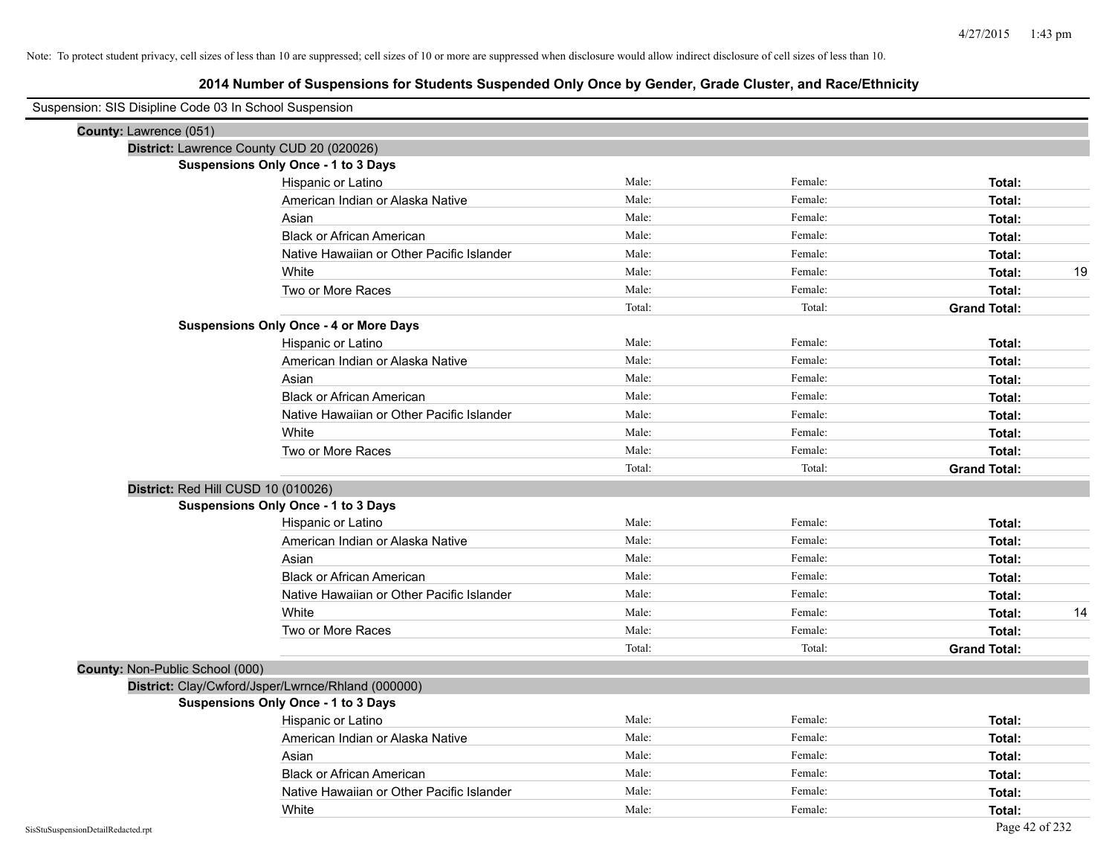# **2014 Number of Suspensions for Students Suspended Only Once by Gender, Grade Cluster, and Race/Ethnicity**

| Suspension: SIS Disipline Code 03 In School Suspension |                                                    |        |         |                     |
|--------------------------------------------------------|----------------------------------------------------|--------|---------|---------------------|
| County: Lawrence (051)                                 |                                                    |        |         |                     |
|                                                        | District: Lawrence County CUD 20 (020026)          |        |         |                     |
|                                                        | <b>Suspensions Only Once - 1 to 3 Days</b>         |        |         |                     |
|                                                        | Hispanic or Latino                                 | Male:  | Female: | Total:              |
|                                                        | American Indian or Alaska Native                   | Male:  | Female: | Total:              |
|                                                        | Asian                                              | Male:  | Female: | Total:              |
|                                                        | <b>Black or African American</b>                   | Male:  | Female: | Total:              |
|                                                        | Native Hawaiian or Other Pacific Islander          | Male:  | Female: | Total:              |
|                                                        | White                                              | Male:  | Female: | 19<br>Total:        |
|                                                        | Two or More Races                                  | Male:  | Female: | Total:              |
|                                                        |                                                    | Total: | Total:  | <b>Grand Total:</b> |
|                                                        | <b>Suspensions Only Once - 4 or More Days</b>      |        |         |                     |
|                                                        | Hispanic or Latino                                 | Male:  | Female: | Total:              |
|                                                        | American Indian or Alaska Native                   | Male:  | Female: | Total:              |
|                                                        | Asian                                              | Male:  | Female: | Total:              |
|                                                        | <b>Black or African American</b>                   | Male:  | Female: | Total:              |
|                                                        | Native Hawaiian or Other Pacific Islander          | Male:  | Female: | Total:              |
|                                                        | White                                              | Male:  | Female: | Total:              |
|                                                        | Two or More Races                                  | Male:  | Female: | Total:              |
|                                                        |                                                    | Total: | Total:  | <b>Grand Total:</b> |
|                                                        | District: Red Hill CUSD 10 (010026)                |        |         |                     |
|                                                        | <b>Suspensions Only Once - 1 to 3 Days</b>         |        |         |                     |
|                                                        | Hispanic or Latino                                 | Male:  | Female: | Total:              |
|                                                        | American Indian or Alaska Native                   | Male:  | Female: | Total:              |
|                                                        | Asian                                              | Male:  | Female: | Total:              |
|                                                        | <b>Black or African American</b>                   | Male:  | Female: | Total:              |
|                                                        | Native Hawaiian or Other Pacific Islander          | Male:  | Female: | Total:              |
|                                                        | White                                              | Male:  | Female: | 14<br>Total:        |
|                                                        | Two or More Races                                  | Male:  | Female: | Total:              |
|                                                        |                                                    | Total: | Total:  | <b>Grand Total:</b> |
| County: Non-Public School (000)                        |                                                    |        |         |                     |
|                                                        | District: Clay/Cwford/Jsper/Lwrnce/Rhland (000000) |        |         |                     |
|                                                        | <b>Suspensions Only Once - 1 to 3 Days</b>         |        |         |                     |
|                                                        | Hispanic or Latino                                 | Male:  | Female: | Total:              |
|                                                        | American Indian or Alaska Native                   | Male:  | Female: | Total:              |
|                                                        | Asian                                              | Male:  | Female: | Total:              |
|                                                        | <b>Black or African American</b>                   | Male:  | Female: | Total:              |
|                                                        | Native Hawaiian or Other Pacific Islander          | Male:  | Female: | Total:              |
|                                                        | White                                              | Male:  | Female: | Total:              |
| SisStuSuspensionDetailRedacted.rpt                     |                                                    |        |         | Page 42 of 232      |

 $\overline{\phantom{0}}$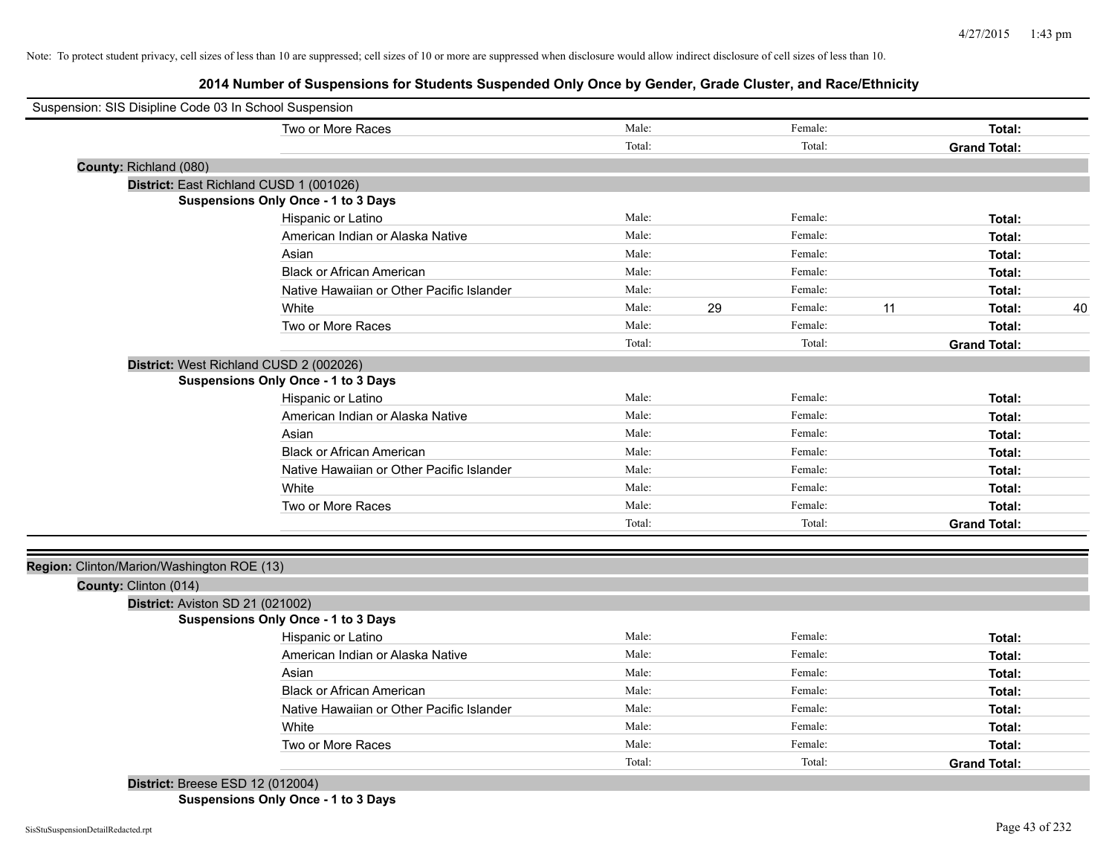**2014 Number of Suspensions for Students Suspended Only Once by Gender, Grade Cluster, and Race/Ethnicity**

| Suspension: SIS Disipline Code 03 In School Suspension |                                            |        |    |         |    |                     |    |
|--------------------------------------------------------|--------------------------------------------|--------|----|---------|----|---------------------|----|
|                                                        | Two or More Races                          | Male:  |    | Female: |    | Total:              |    |
|                                                        |                                            | Total: |    | Total:  |    | <b>Grand Total:</b> |    |
| County: Richland (080)                                 |                                            |        |    |         |    |                     |    |
|                                                        | District: East Richland CUSD 1 (001026)    |        |    |         |    |                     |    |
|                                                        | <b>Suspensions Only Once - 1 to 3 Days</b> |        |    |         |    |                     |    |
|                                                        | Hispanic or Latino                         | Male:  |    | Female: |    | Total:              |    |
|                                                        | American Indian or Alaska Native           | Male:  |    | Female: |    | Total:              |    |
|                                                        | Asian                                      | Male:  |    | Female: |    | Total:              |    |
|                                                        | <b>Black or African American</b>           | Male:  |    | Female: |    | Total:              |    |
|                                                        | Native Hawaiian or Other Pacific Islander  | Male:  |    | Female: |    | Total:              |    |
|                                                        | White                                      | Male:  | 29 | Female: | 11 | Total:              | 40 |
|                                                        | Two or More Races                          | Male:  |    | Female: |    | Total:              |    |
|                                                        |                                            | Total: |    | Total:  |    | <b>Grand Total:</b> |    |
|                                                        | District: West Richland CUSD 2 (002026)    |        |    |         |    |                     |    |
|                                                        | <b>Suspensions Only Once - 1 to 3 Days</b> |        |    |         |    |                     |    |
|                                                        | Hispanic or Latino                         | Male:  |    | Female: |    | Total:              |    |
|                                                        | American Indian or Alaska Native           | Male:  |    | Female: |    | Total:              |    |
|                                                        | Asian                                      | Male:  |    | Female: |    | Total:              |    |
|                                                        | <b>Black or African American</b>           | Male:  |    | Female: |    | Total:              |    |
|                                                        | Native Hawaiian or Other Pacific Islander  | Male:  |    | Female: |    | Total:              |    |
|                                                        | White                                      | Male:  |    | Female: |    | Total:              |    |
|                                                        | Two or More Races                          | Male:  |    | Female: |    | Total:              |    |
|                                                        |                                            | Total: |    | Total:  |    | <b>Grand Total:</b> |    |
|                                                        |                                            |        |    |         |    |                     |    |
| Region: Clinton/Marion/Washington ROE (13)             |                                            |        |    |         |    |                     |    |
| County: Clinton (014)                                  |                                            |        |    |         |    |                     |    |
| District: Aviston SD 21 (021002)                       |                                            |        |    |         |    |                     |    |
|                                                        | <b>Suspensions Only Once - 1 to 3 Days</b> |        |    |         |    |                     |    |
|                                                        | Hispanic or Latino                         | Male:  |    | Female: |    | Total:              |    |
|                                                        | American Indian or Alaska Native           | Male:  |    | Female: |    | Total:              |    |
|                                                        | Asian                                      | Male:  |    | Female: |    | Total:              |    |
|                                                        | <b>Black or African American</b>           | Male:  |    | Female: |    | Total:              |    |
|                                                        | Native Hawaiian or Other Pacific Islander  | Male:  |    | Female: |    | Total:              |    |
|                                                        | White                                      | Male:  |    | Female: |    | Total:              |    |
|                                                        | Two or More Races                          | Male:  |    | Female: |    | Total:              |    |
|                                                        |                                            | Total: |    | Total:  |    | <b>Grand Total:</b> |    |
| District: Breese ESD 12 (012004)                       |                                            |        |    |         |    |                     |    |

**Suspensions Only Once - 1 to 3 Days**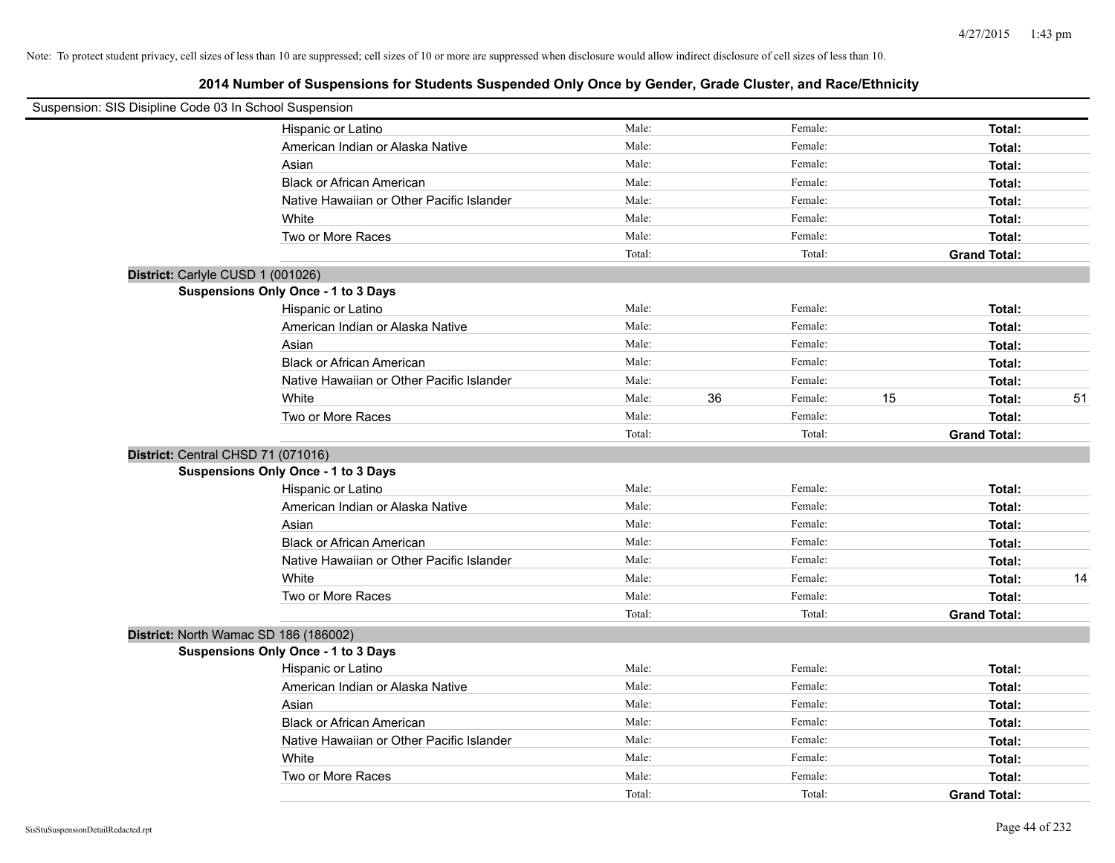| Suspension: SIS Disipline Code 03 In School Suspension |                                            |        |               |    |                     |    |
|--------------------------------------------------------|--------------------------------------------|--------|---------------|----|---------------------|----|
|                                                        | Hispanic or Latino                         | Male:  | Female:       |    | Total:              |    |
|                                                        | American Indian or Alaska Native           | Male:  | Female:       |    | Total:              |    |
|                                                        | Asian                                      | Male:  | Female:       |    | Total:              |    |
|                                                        | <b>Black or African American</b>           | Male:  | Female:       |    | Total:              |    |
|                                                        | Native Hawaiian or Other Pacific Islander  | Male:  | Female:       |    | Total:              |    |
|                                                        | White                                      | Male:  | Female:       |    | Total:              |    |
|                                                        | Two or More Races                          | Male:  | Female:       |    | Total:              |    |
|                                                        |                                            | Total: | Total:        |    | <b>Grand Total:</b> |    |
| District: Carlyle CUSD 1 (001026)                      |                                            |        |               |    |                     |    |
|                                                        | <b>Suspensions Only Once - 1 to 3 Days</b> |        |               |    |                     |    |
|                                                        | Hispanic or Latino                         | Male:  | Female:       |    | Total:              |    |
|                                                        | American Indian or Alaska Native           | Male:  | Female:       |    | Total:              |    |
|                                                        | Asian                                      | Male:  | Female:       |    | Total:              |    |
|                                                        | <b>Black or African American</b>           | Male:  | Female:       |    | Total:              |    |
|                                                        | Native Hawaiian or Other Pacific Islander  | Male:  | Female:       |    | Total:              |    |
|                                                        | White                                      | Male:  | 36<br>Female: | 15 | Total:              | 51 |
|                                                        | Two or More Races                          | Male:  | Female:       |    | Total:              |    |
|                                                        |                                            | Total: | Total:        |    | <b>Grand Total:</b> |    |
| District: Central CHSD 71 (071016)                     |                                            |        |               |    |                     |    |
|                                                        | <b>Suspensions Only Once - 1 to 3 Days</b> |        |               |    |                     |    |
|                                                        | Hispanic or Latino                         | Male:  | Female:       |    | Total:              |    |
|                                                        | American Indian or Alaska Native           | Male:  | Female:       |    | Total:              |    |
|                                                        | Asian                                      | Male:  | Female:       |    | Total:              |    |
|                                                        | <b>Black or African American</b>           | Male:  | Female:       |    | Total:              |    |
|                                                        | Native Hawaiian or Other Pacific Islander  | Male:  | Female:       |    | Total:              |    |
|                                                        | White                                      | Male:  | Female:       |    | Total:              | 14 |
|                                                        | Two or More Races                          | Male:  | Female:       |    | Total:              |    |
|                                                        |                                            | Total: | Total:        |    | <b>Grand Total:</b> |    |
| District: North Wamac SD 186 (186002)                  |                                            |        |               |    |                     |    |
|                                                        | <b>Suspensions Only Once - 1 to 3 Days</b> |        |               |    |                     |    |
|                                                        | Hispanic or Latino                         | Male:  | Female:       |    | Total:              |    |
|                                                        | American Indian or Alaska Native           | Male:  | Female:       |    | Total:              |    |
|                                                        | Asian                                      | Male:  | Female:       |    | Total:              |    |
|                                                        | <b>Black or African American</b>           | Male:  | Female:       |    | Total:              |    |
|                                                        | Native Hawaiian or Other Pacific Islander  | Male:  | Female:       |    | Total:              |    |
|                                                        | White                                      | Male:  | Female:       |    | Total:              |    |
|                                                        | Two or More Races                          | Male:  | Female:       |    | Total:              |    |
|                                                        |                                            |        | Total:        |    |                     |    |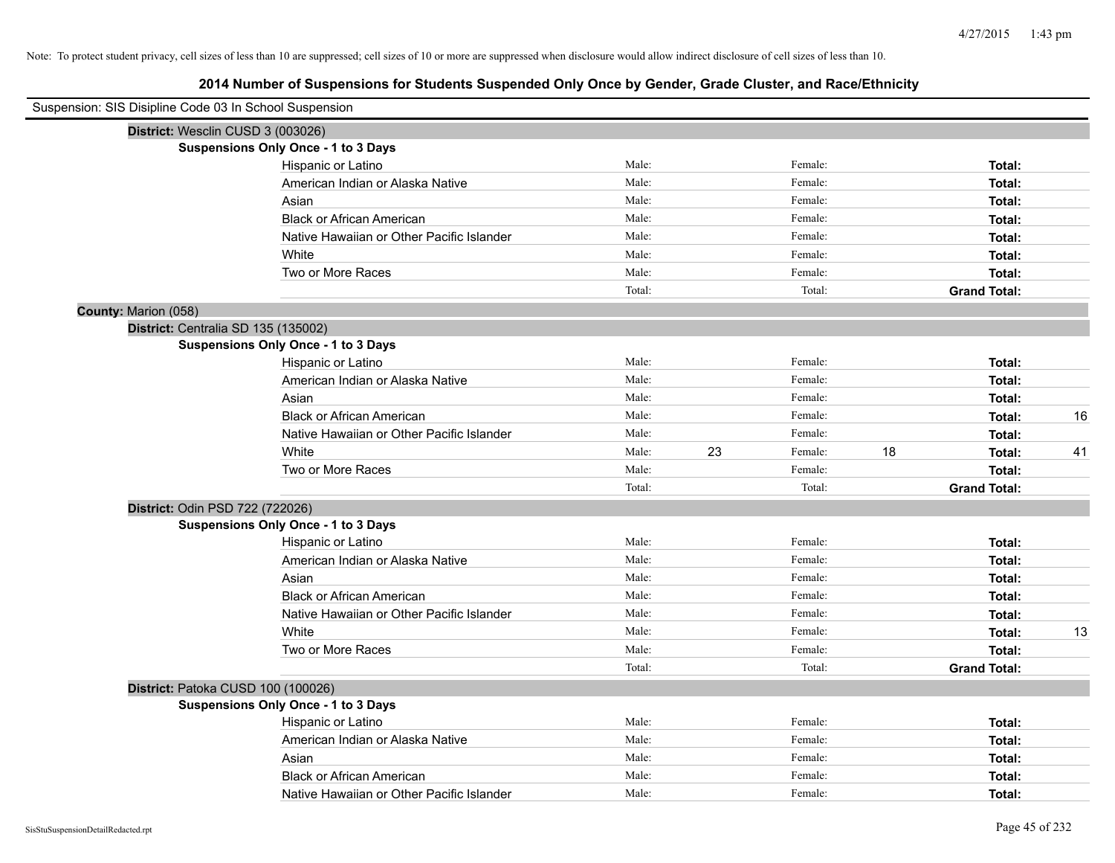| Suspension: SIS Disipline Code 03 In School Suspension |                                            |        |    |         |    |                     |    |
|--------------------------------------------------------|--------------------------------------------|--------|----|---------|----|---------------------|----|
| District: Wesclin CUSD 3 (003026)                      |                                            |        |    |         |    |                     |    |
|                                                        | <b>Suspensions Only Once - 1 to 3 Days</b> |        |    |         |    |                     |    |
|                                                        | Hispanic or Latino                         | Male:  |    | Female: |    | Total:              |    |
|                                                        | American Indian or Alaska Native           | Male:  |    | Female: |    | Total:              |    |
|                                                        | Asian                                      | Male:  |    | Female: |    | Total:              |    |
|                                                        | <b>Black or African American</b>           | Male:  |    | Female: |    | Total:              |    |
|                                                        | Native Hawaiian or Other Pacific Islander  | Male:  |    | Female: |    | Total:              |    |
|                                                        | White                                      | Male:  |    | Female: |    | Total:              |    |
|                                                        | Two or More Races                          | Male:  |    | Female: |    | Total:              |    |
|                                                        |                                            | Total: |    | Total:  |    | <b>Grand Total:</b> |    |
| County: Marion (058)                                   |                                            |        |    |         |    |                     |    |
| District: Centralia SD 135 (135002)                    |                                            |        |    |         |    |                     |    |
|                                                        | <b>Suspensions Only Once - 1 to 3 Days</b> |        |    |         |    |                     |    |
|                                                        | Hispanic or Latino                         | Male:  |    | Female: |    | Total:              |    |
|                                                        | American Indian or Alaska Native           | Male:  |    | Female: |    | Total:              |    |
|                                                        | Asian                                      | Male:  |    | Female: |    | Total:              |    |
|                                                        | <b>Black or African American</b>           | Male:  |    | Female: |    | Total:              | 16 |
|                                                        | Native Hawaiian or Other Pacific Islander  | Male:  |    | Female: |    | Total:              |    |
|                                                        | White                                      | Male:  | 23 | Female: | 18 | Total:              | 41 |
|                                                        | Two or More Races                          | Male:  |    | Female: |    | Total:              |    |
|                                                        |                                            | Total: |    | Total:  |    | <b>Grand Total:</b> |    |
| District: Odin PSD 722 (722026)                        |                                            |        |    |         |    |                     |    |
|                                                        | <b>Suspensions Only Once - 1 to 3 Days</b> |        |    |         |    |                     |    |
|                                                        | Hispanic or Latino                         | Male:  |    | Female: |    | Total:              |    |
|                                                        | American Indian or Alaska Native           | Male:  |    | Female: |    | Total:              |    |
|                                                        | Asian                                      | Male:  |    | Female: |    | Total:              |    |
|                                                        | <b>Black or African American</b>           | Male:  |    | Female: |    | Total:              |    |
|                                                        | Native Hawaiian or Other Pacific Islander  | Male:  |    | Female: |    | Total:              |    |
|                                                        | White                                      | Male:  |    | Female: |    | Total:              | 13 |
|                                                        | Two or More Races                          | Male:  |    | Female: |    | Total:              |    |
|                                                        |                                            | Total: |    | Total:  |    | <b>Grand Total:</b> |    |
| District: Patoka CUSD 100 (100026)                     |                                            |        |    |         |    |                     |    |
|                                                        | <b>Suspensions Only Once - 1 to 3 Days</b> |        |    |         |    |                     |    |
|                                                        | Hispanic or Latino                         | Male:  |    | Female: |    | Total:              |    |
|                                                        | American Indian or Alaska Native           | Male:  |    | Female: |    | Total:              |    |
|                                                        | Asian                                      | Male:  |    | Female: |    | Total:              |    |
|                                                        | <b>Black or African American</b>           | Male:  |    | Female: |    | Total:              |    |
|                                                        | Native Hawaiian or Other Pacific Islander  | Male:  |    | Female: |    | Total:              |    |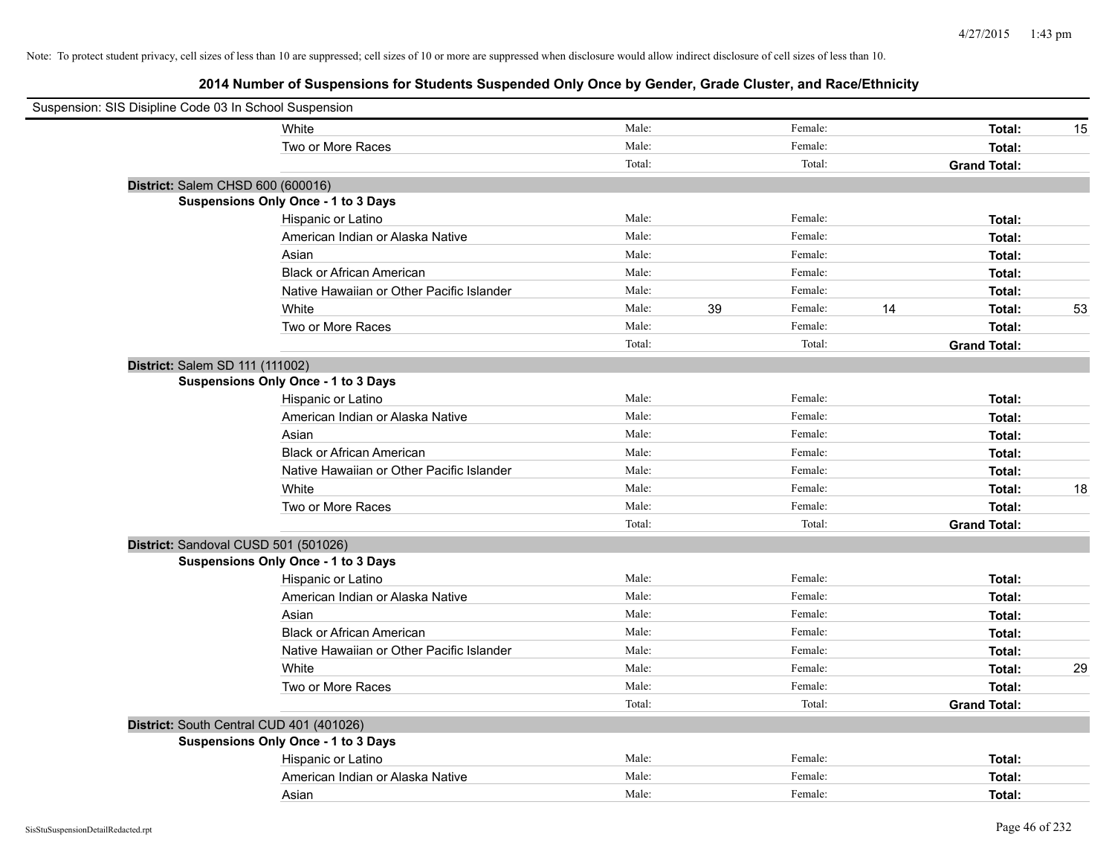| Suspension: SIS Disipline Code 03 In School Suspension |                                            |        |    |         |    |                     |    |
|--------------------------------------------------------|--------------------------------------------|--------|----|---------|----|---------------------|----|
|                                                        | White                                      | Male:  |    | Female: |    | Total:              | 15 |
|                                                        | Two or More Races                          | Male:  |    | Female: |    | Total:              |    |
|                                                        |                                            | Total: |    | Total:  |    | <b>Grand Total:</b> |    |
|                                                        | District: Salem CHSD 600 (600016)          |        |    |         |    |                     |    |
|                                                        | Suspensions Only Once - 1 to 3 Days        |        |    |         |    |                     |    |
|                                                        | Hispanic or Latino                         | Male:  |    | Female: |    | Total:              |    |
|                                                        | American Indian or Alaska Native           | Male:  |    | Female: |    | Total:              |    |
|                                                        | Asian                                      | Male:  |    | Female: |    | Total:              |    |
|                                                        | <b>Black or African American</b>           | Male:  |    | Female: |    | Total:              |    |
|                                                        | Native Hawaiian or Other Pacific Islander  | Male:  |    | Female: |    | Total:              |    |
|                                                        | White                                      | Male:  | 39 | Female: | 14 | Total:              | 53 |
|                                                        | Two or More Races                          | Male:  |    | Female: |    | Total:              |    |
|                                                        |                                            | Total: |    | Total:  |    | <b>Grand Total:</b> |    |
| District: Salem SD 111 (111002)                        |                                            |        |    |         |    |                     |    |
|                                                        | Suspensions Only Once - 1 to 3 Days        |        |    |         |    |                     |    |
|                                                        | Hispanic or Latino                         | Male:  |    | Female: |    | Total:              |    |
|                                                        | American Indian or Alaska Native           | Male:  |    | Female: |    | Total:              |    |
|                                                        | Asian                                      | Male:  |    | Female: |    | Total:              |    |
|                                                        | <b>Black or African American</b>           | Male:  |    | Female: |    | Total:              |    |
|                                                        | Native Hawaiian or Other Pacific Islander  | Male:  |    | Female: |    | Total:              |    |
|                                                        | White                                      | Male:  |    | Female: |    | Total:              | 18 |
|                                                        | Two or More Races                          | Male:  |    | Female: |    | Total:              |    |
|                                                        |                                            | Total: |    | Total:  |    | <b>Grand Total:</b> |    |
|                                                        | District: Sandoval CUSD 501 (501026)       |        |    |         |    |                     |    |
|                                                        | Suspensions Only Once - 1 to 3 Days        |        |    |         |    |                     |    |
|                                                        | Hispanic or Latino                         | Male:  |    | Female: |    | Total:              |    |
|                                                        | American Indian or Alaska Native           | Male:  |    | Female: |    | Total:              |    |
|                                                        | Asian                                      | Male:  |    | Female: |    | Total:              |    |
|                                                        | <b>Black or African American</b>           | Male:  |    | Female: |    | Total:              |    |
|                                                        | Native Hawaiian or Other Pacific Islander  | Male:  |    | Female: |    | Total:              |    |
|                                                        | White                                      | Male:  |    | Female: |    | Total:              | 29 |
|                                                        | Two or More Races                          | Male:  |    | Female: |    | Total:              |    |
|                                                        |                                            | Total: |    | Total:  |    | <b>Grand Total:</b> |    |
|                                                        | District: South Central CUD 401 (401026)   |        |    |         |    |                     |    |
|                                                        | <b>Suspensions Only Once - 1 to 3 Days</b> |        |    |         |    |                     |    |
|                                                        | Hispanic or Latino                         | Male:  |    | Female: |    | Total:              |    |
|                                                        | American Indian or Alaska Native           | Male:  |    | Female: |    | Total:              |    |
|                                                        | Asian                                      | Male:  |    | Female: |    | Total:              |    |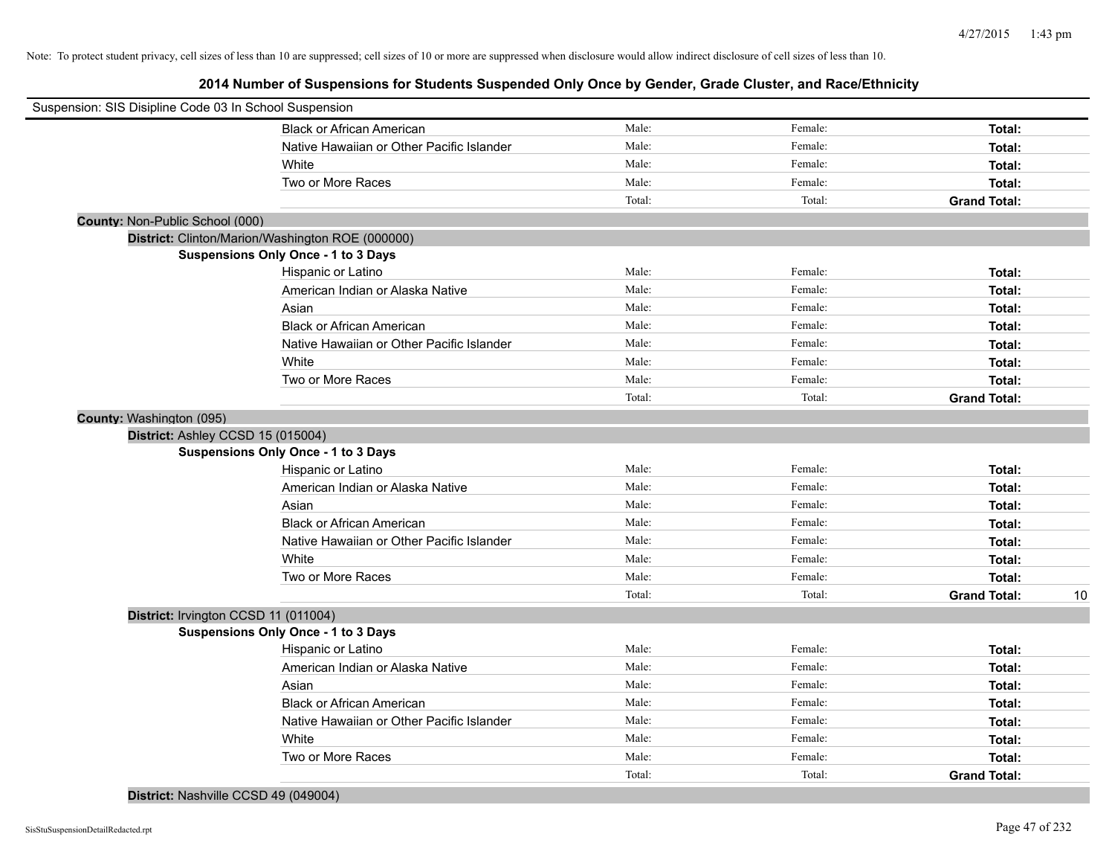| Suspension: SIS Disipline Code 03 In School Suspension |                                                  |        |         |                           |
|--------------------------------------------------------|--------------------------------------------------|--------|---------|---------------------------|
|                                                        | <b>Black or African American</b>                 | Male:  | Female: | Total:                    |
|                                                        | Native Hawaiian or Other Pacific Islander        | Male:  | Female: | Total:                    |
|                                                        | White                                            | Male:  | Female: | Total:                    |
|                                                        | Two or More Races                                | Male:  | Female: | Total:                    |
|                                                        |                                                  | Total: | Total:  | <b>Grand Total:</b>       |
| County: Non-Public School (000)                        |                                                  |        |         |                           |
|                                                        | District: Clinton/Marion/Washington ROE (000000) |        |         |                           |
|                                                        | <b>Suspensions Only Once - 1 to 3 Days</b>       |        |         |                           |
|                                                        | Hispanic or Latino                               | Male:  | Female: | Total:                    |
|                                                        | American Indian or Alaska Native                 | Male:  | Female: | Total:                    |
|                                                        | Asian                                            | Male:  | Female: | Total:                    |
|                                                        | <b>Black or African American</b>                 | Male:  | Female: | Total:                    |
|                                                        | Native Hawaiian or Other Pacific Islander        | Male:  | Female: | Total:                    |
|                                                        | White                                            | Male:  | Female: | Total:                    |
|                                                        | Two or More Races                                | Male:  | Female: | Total:                    |
|                                                        |                                                  | Total: | Total:  | <b>Grand Total:</b>       |
| County: Washington (095)                               |                                                  |        |         |                           |
| District: Ashley CCSD 15 (015004)                      |                                                  |        |         |                           |
|                                                        | <b>Suspensions Only Once - 1 to 3 Days</b>       |        |         |                           |
|                                                        | Hispanic or Latino                               | Male:  | Female: | Total:                    |
|                                                        | American Indian or Alaska Native                 | Male:  | Female: | Total:                    |
|                                                        | Asian                                            | Male:  | Female: | Total:                    |
|                                                        | <b>Black or African American</b>                 | Male:  | Female: | Total:                    |
|                                                        | Native Hawaiian or Other Pacific Islander        | Male:  | Female: | Total:                    |
|                                                        | White                                            | Male:  | Female: | Total:                    |
|                                                        | Two or More Races                                | Male:  | Female: | Total:                    |
|                                                        |                                                  | Total: | Total:  | <b>Grand Total:</b><br>10 |
| District: Irvington CCSD 11 (011004)                   |                                                  |        |         |                           |
|                                                        | <b>Suspensions Only Once - 1 to 3 Days</b>       |        |         |                           |
|                                                        | Hispanic or Latino                               | Male:  | Female: | Total:                    |
|                                                        | American Indian or Alaska Native                 | Male:  | Female: | Total:                    |
|                                                        | Asian                                            | Male:  | Female: | Total:                    |
|                                                        | <b>Black or African American</b>                 | Male:  | Female: | Total:                    |
|                                                        | Native Hawaiian or Other Pacific Islander        | Male:  | Female: | Total:                    |
|                                                        | White                                            | Male:  | Female: | Total:                    |
|                                                        | Two or More Races                                | Male:  | Female: | Total:                    |
|                                                        |                                                  | Total: | Total:  | <b>Grand Total:</b>       |
|                                                        |                                                  |        |         |                           |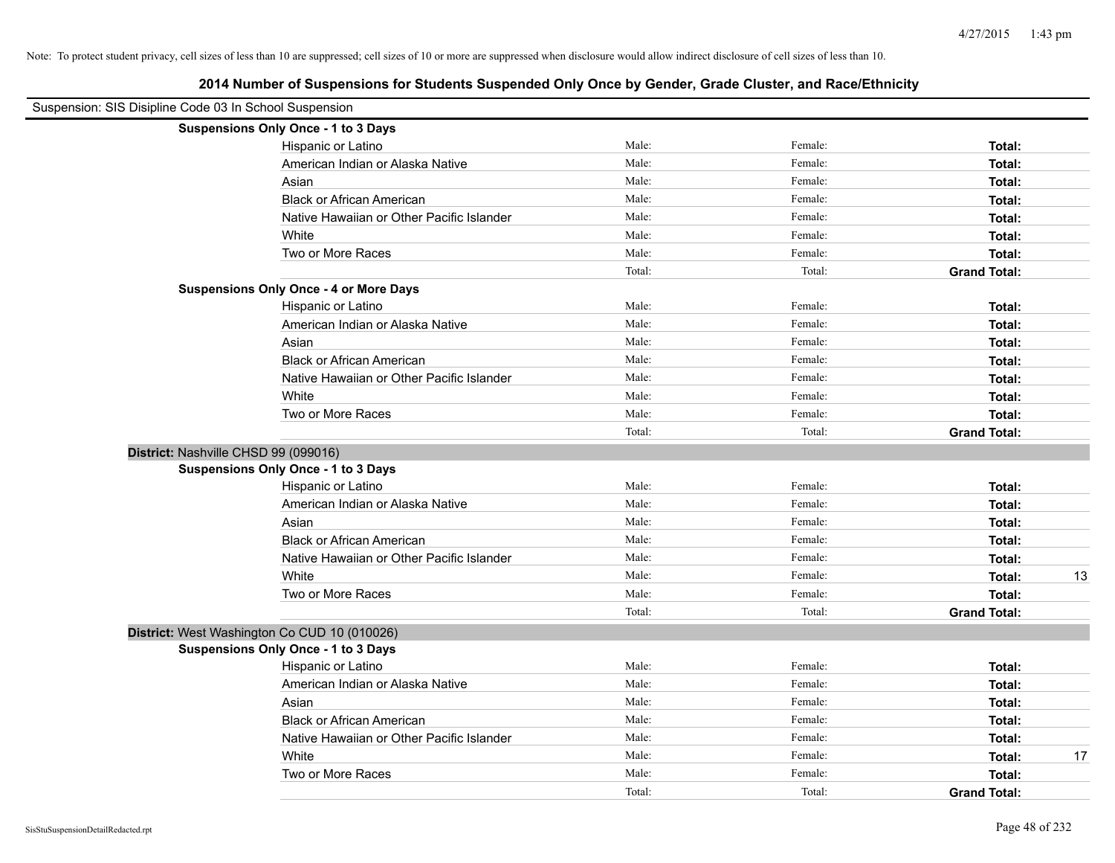|  | 2014 Number of Suspensions for Students Suspended Only Once by Gender, Grade Cluster, and Race/Ethnicity |  |  |  |  |
|--|----------------------------------------------------------------------------------------------------------|--|--|--|--|
|--|----------------------------------------------------------------------------------------------------------|--|--|--|--|

| Suspension: SIS Disipline Code 03 In School Suspension |                                               |        |         |                     |    |
|--------------------------------------------------------|-----------------------------------------------|--------|---------|---------------------|----|
|                                                        | <b>Suspensions Only Once - 1 to 3 Days</b>    |        |         |                     |    |
|                                                        | Hispanic or Latino                            | Male:  | Female: | Total:              |    |
|                                                        | American Indian or Alaska Native              | Male:  | Female: | Total:              |    |
|                                                        | Asian                                         | Male:  | Female: | Total:              |    |
|                                                        | <b>Black or African American</b>              | Male:  | Female: | Total:              |    |
|                                                        | Native Hawaiian or Other Pacific Islander     | Male:  | Female: | Total:              |    |
|                                                        | White                                         | Male:  | Female: | Total:              |    |
|                                                        | Two or More Races                             | Male:  | Female: | Total:              |    |
|                                                        |                                               | Total: | Total:  | <b>Grand Total:</b> |    |
|                                                        | <b>Suspensions Only Once - 4 or More Days</b> |        |         |                     |    |
|                                                        | Hispanic or Latino                            | Male:  | Female: | Total:              |    |
|                                                        | American Indian or Alaska Native              | Male:  | Female: | Total:              |    |
|                                                        | Asian                                         | Male:  | Female: | Total:              |    |
|                                                        | <b>Black or African American</b>              | Male:  | Female: | Total:              |    |
|                                                        | Native Hawaiian or Other Pacific Islander     | Male:  | Female: | Total:              |    |
|                                                        | White                                         | Male:  | Female: | Total:              |    |
|                                                        | Two or More Races                             | Male:  | Female: | Total:              |    |
|                                                        |                                               | Total: | Total:  | <b>Grand Total:</b> |    |
| District: Nashville CHSD 99 (099016)                   |                                               |        |         |                     |    |
|                                                        | <b>Suspensions Only Once - 1 to 3 Days</b>    |        |         |                     |    |
|                                                        | Hispanic or Latino                            | Male:  | Female: | Total:              |    |
|                                                        | American Indian or Alaska Native              | Male:  | Female: | Total:              |    |
|                                                        | Asian                                         | Male:  | Female: | Total:              |    |
|                                                        | <b>Black or African American</b>              | Male:  | Female: | Total:              |    |
|                                                        | Native Hawaiian or Other Pacific Islander     | Male:  | Female: | Total:              |    |
|                                                        | White                                         | Male:  | Female: | Total:              | 13 |
|                                                        | Two or More Races                             | Male:  | Female: | Total:              |    |
|                                                        |                                               | Total: | Total:  | <b>Grand Total:</b> |    |
|                                                        | District: West Washington Co CUD 10 (010026)  |        |         |                     |    |
|                                                        | Suspensions Only Once - 1 to 3 Days           |        |         |                     |    |
|                                                        | Hispanic or Latino                            | Male:  | Female: | Total:              |    |
|                                                        | American Indian or Alaska Native              | Male:  | Female: | Total:              |    |
|                                                        | Asian                                         | Male:  | Female: | Total:              |    |
|                                                        | <b>Black or African American</b>              | Male:  | Female: | Total:              |    |
|                                                        | Native Hawaiian or Other Pacific Islander     | Male:  | Female: | Total:              |    |
|                                                        | White                                         | Male:  | Female: | Total:              | 17 |
|                                                        | Two or More Races                             | Male:  | Female: | Total:              |    |
|                                                        |                                               | Total: | Total:  | <b>Grand Total:</b> |    |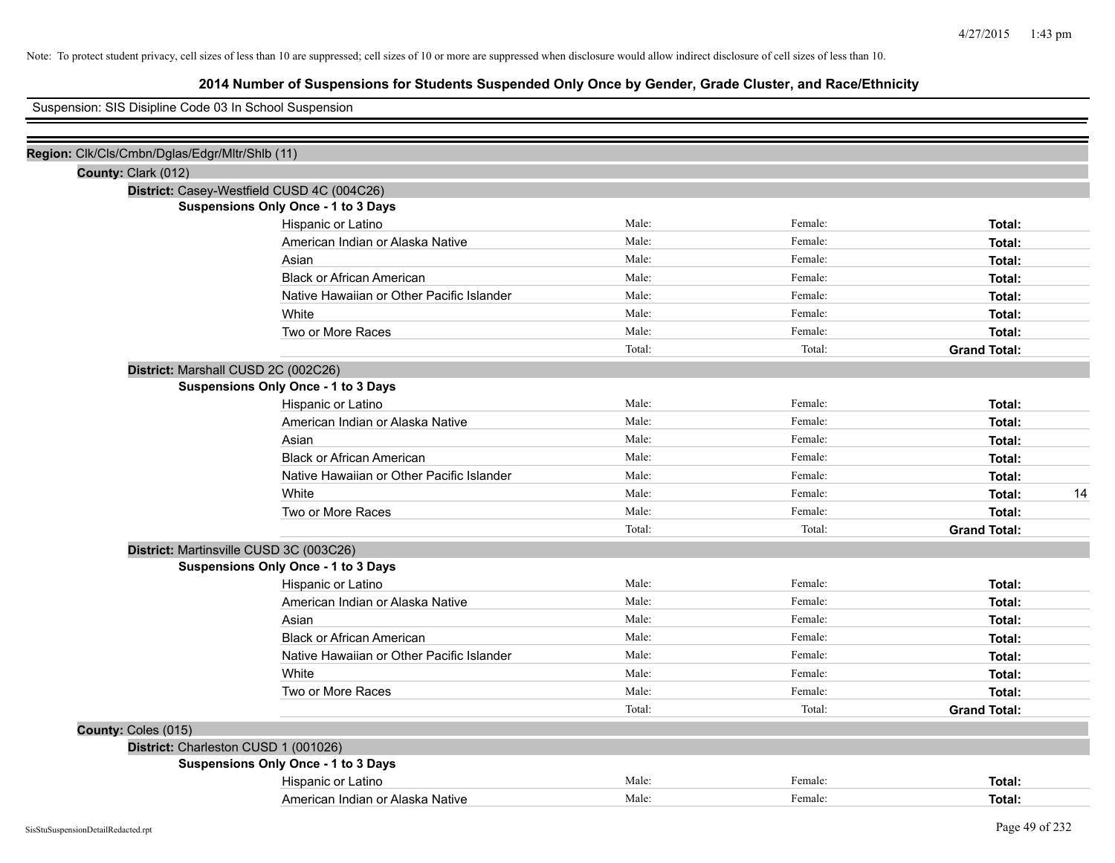# **2014 Number of Suspensions for Students Suspended Only Once by Gender, Grade Cluster, and Race/Ethnicity**

Suspension: SIS Disipline Code 03 In School Suspension

| Region: Clk/Cls/Cmbn/Dglas/Edgr/Mltr/Shlb (11) |                                            |        |         |                     |
|------------------------------------------------|--------------------------------------------|--------|---------|---------------------|
| County: Clark (012)                            |                                            |        |         |                     |
|                                                | District: Casey-Westfield CUSD 4C (004C26) |        |         |                     |
|                                                | Suspensions Only Once - 1 to 3 Days        |        |         |                     |
|                                                | Hispanic or Latino                         | Male:  | Female: | Total:              |
|                                                | American Indian or Alaska Native           | Male:  | Female: | Total:              |
|                                                | Asian                                      | Male:  | Female: | Total:              |
|                                                | <b>Black or African American</b>           | Male:  | Female: | Total:              |
|                                                | Native Hawaiian or Other Pacific Islander  | Male:  | Female: | Total:              |
|                                                | White                                      | Male:  | Female: | Total:              |
|                                                | Two or More Races                          | Male:  | Female: | Total:              |
|                                                |                                            | Total: | Total:  | <b>Grand Total:</b> |
|                                                | District: Marshall CUSD 2C (002C26)        |        |         |                     |
|                                                | Suspensions Only Once - 1 to 3 Days        |        |         |                     |
|                                                | Hispanic or Latino                         | Male:  | Female: | Total:              |
|                                                | American Indian or Alaska Native           | Male:  | Female: | Total:              |
|                                                | Asian                                      | Male:  | Female: | Total:              |
|                                                | <b>Black or African American</b>           | Male:  | Female: | Total:              |
|                                                | Native Hawaiian or Other Pacific Islander  | Male:  | Female: | Total:              |
|                                                | White                                      | Male:  | Female: | 14<br>Total:        |
|                                                | Two or More Races                          | Male:  | Female: | Total:              |
|                                                |                                            | Total: | Total:  | <b>Grand Total:</b> |
|                                                | District: Martinsville CUSD 3C (003C26)    |        |         |                     |
|                                                | <b>Suspensions Only Once - 1 to 3 Days</b> |        |         |                     |
|                                                | Hispanic or Latino                         | Male:  | Female: | Total:              |
|                                                | American Indian or Alaska Native           | Male:  | Female: | Total:              |
|                                                | Asian                                      | Male:  | Female: | Total:              |
|                                                | <b>Black or African American</b>           | Male:  | Female: | Total:              |
|                                                | Native Hawaiian or Other Pacific Islander  | Male:  | Female: | Total:              |
|                                                | White                                      | Male:  | Female: | Total:              |
|                                                | Two or More Races                          | Male:  | Female: | Total:              |
|                                                |                                            | Total: | Total:  | <b>Grand Total:</b> |
| County: Coles (015)                            |                                            |        |         |                     |
|                                                | District: Charleston CUSD 1 (001026)       |        |         |                     |
|                                                | Suspensions Only Once - 1 to 3 Days        |        |         |                     |
|                                                | Hispanic or Latino                         | Male:  | Female: | Total:              |
|                                                | American Indian or Alaska Native           | Male:  | Female: | Total:              |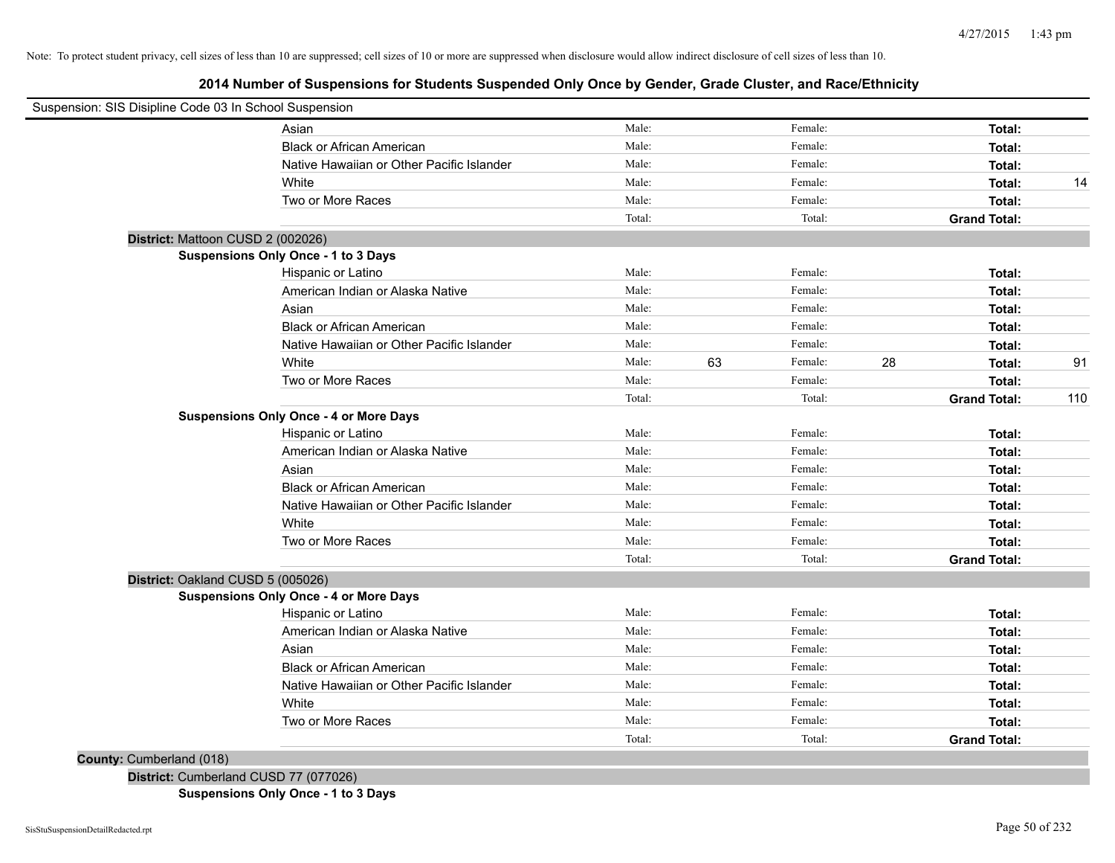**2014 Number of Suspensions for Students Suspended Only Once by Gender, Grade Cluster, and Race/Ethnicity**

| Asian                                     | Male:                                                                                                                                                                                                                                                                                                                                                                                                                                                                                                                                                                                                                                                                                                                           |                                                                                                                                                                                              | Female: |                                                                                                                                                                                                                                  | Total:              |                                                                                                                                                                                                                                                       |
|-------------------------------------------|---------------------------------------------------------------------------------------------------------------------------------------------------------------------------------------------------------------------------------------------------------------------------------------------------------------------------------------------------------------------------------------------------------------------------------------------------------------------------------------------------------------------------------------------------------------------------------------------------------------------------------------------------------------------------------------------------------------------------------|----------------------------------------------------------------------------------------------------------------------------------------------------------------------------------------------|---------|----------------------------------------------------------------------------------------------------------------------------------------------------------------------------------------------------------------------------------|---------------------|-------------------------------------------------------------------------------------------------------------------------------------------------------------------------------------------------------------------------------------------------------|
|                                           |                                                                                                                                                                                                                                                                                                                                                                                                                                                                                                                                                                                                                                                                                                                                 |                                                                                                                                                                                              |         |                                                                                                                                                                                                                                  |                     |                                                                                                                                                                                                                                                       |
|                                           |                                                                                                                                                                                                                                                                                                                                                                                                                                                                                                                                                                                                                                                                                                                                 |                                                                                                                                                                                              |         |                                                                                                                                                                                                                                  |                     |                                                                                                                                                                                                                                                       |
|                                           |                                                                                                                                                                                                                                                                                                                                                                                                                                                                                                                                                                                                                                                                                                                                 |                                                                                                                                                                                              |         |                                                                                                                                                                                                                                  |                     | 14                                                                                                                                                                                                                                                    |
|                                           |                                                                                                                                                                                                                                                                                                                                                                                                                                                                                                                                                                                                                                                                                                                                 |                                                                                                                                                                                              |         |                                                                                                                                                                                                                                  |                     |                                                                                                                                                                                                                                                       |
|                                           |                                                                                                                                                                                                                                                                                                                                                                                                                                                                                                                                                                                                                                                                                                                                 |                                                                                                                                                                                              |         |                                                                                                                                                                                                                                  |                     |                                                                                                                                                                                                                                                       |
|                                           |                                                                                                                                                                                                                                                                                                                                                                                                                                                                                                                                                                                                                                                                                                                                 |                                                                                                                                                                                              |         |                                                                                                                                                                                                                                  |                     |                                                                                                                                                                                                                                                       |
|                                           |                                                                                                                                                                                                                                                                                                                                                                                                                                                                                                                                                                                                                                                                                                                                 |                                                                                                                                                                                              |         |                                                                                                                                                                                                                                  |                     |                                                                                                                                                                                                                                                       |
|                                           |                                                                                                                                                                                                                                                                                                                                                                                                                                                                                                                                                                                                                                                                                                                                 |                                                                                                                                                                                              |         |                                                                                                                                                                                                                                  |                     |                                                                                                                                                                                                                                                       |
|                                           |                                                                                                                                                                                                                                                                                                                                                                                                                                                                                                                                                                                                                                                                                                                                 |                                                                                                                                                                                              |         |                                                                                                                                                                                                                                  |                     |                                                                                                                                                                                                                                                       |
|                                           |                                                                                                                                                                                                                                                                                                                                                                                                                                                                                                                                                                                                                                                                                                                                 |                                                                                                                                                                                              |         |                                                                                                                                                                                                                                  |                     |                                                                                                                                                                                                                                                       |
|                                           |                                                                                                                                                                                                                                                                                                                                                                                                                                                                                                                                                                                                                                                                                                                                 |                                                                                                                                                                                              |         |                                                                                                                                                                                                                                  |                     |                                                                                                                                                                                                                                                       |
|                                           |                                                                                                                                                                                                                                                                                                                                                                                                                                                                                                                                                                                                                                                                                                                                 |                                                                                                                                                                                              |         |                                                                                                                                                                                                                                  |                     |                                                                                                                                                                                                                                                       |
|                                           |                                                                                                                                                                                                                                                                                                                                                                                                                                                                                                                                                                                                                                                                                                                                 |                                                                                                                                                                                              |         |                                                                                                                                                                                                                                  |                     | 91                                                                                                                                                                                                                                                    |
|                                           |                                                                                                                                                                                                                                                                                                                                                                                                                                                                                                                                                                                                                                                                                                                                 |                                                                                                                                                                                              |         |                                                                                                                                                                                                                                  |                     |                                                                                                                                                                                                                                                       |
|                                           |                                                                                                                                                                                                                                                                                                                                                                                                                                                                                                                                                                                                                                                                                                                                 |                                                                                                                                                                                              |         |                                                                                                                                                                                                                                  |                     | 110                                                                                                                                                                                                                                                   |
|                                           |                                                                                                                                                                                                                                                                                                                                                                                                                                                                                                                                                                                                                                                                                                                                 |                                                                                                                                                                                              |         |                                                                                                                                                                                                                                  |                     |                                                                                                                                                                                                                                                       |
|                                           |                                                                                                                                                                                                                                                                                                                                                                                                                                                                                                                                                                                                                                                                                                                                 |                                                                                                                                                                                              |         |                                                                                                                                                                                                                                  |                     |                                                                                                                                                                                                                                                       |
|                                           |                                                                                                                                                                                                                                                                                                                                                                                                                                                                                                                                                                                                                                                                                                                                 |                                                                                                                                                                                              |         |                                                                                                                                                                                                                                  |                     |                                                                                                                                                                                                                                                       |
|                                           |                                                                                                                                                                                                                                                                                                                                                                                                                                                                                                                                                                                                                                                                                                                                 |                                                                                                                                                                                              |         |                                                                                                                                                                                                                                  |                     |                                                                                                                                                                                                                                                       |
|                                           |                                                                                                                                                                                                                                                                                                                                                                                                                                                                                                                                                                                                                                                                                                                                 |                                                                                                                                                                                              |         |                                                                                                                                                                                                                                  |                     |                                                                                                                                                                                                                                                       |
|                                           |                                                                                                                                                                                                                                                                                                                                                                                                                                                                                                                                                                                                                                                                                                                                 |                                                                                                                                                                                              |         |                                                                                                                                                                                                                                  |                     |                                                                                                                                                                                                                                                       |
|                                           |                                                                                                                                                                                                                                                                                                                                                                                                                                                                                                                                                                                                                                                                                                                                 |                                                                                                                                                                                              |         |                                                                                                                                                                                                                                  |                     |                                                                                                                                                                                                                                                       |
|                                           |                                                                                                                                                                                                                                                                                                                                                                                                                                                                                                                                                                                                                                                                                                                                 |                                                                                                                                                                                              |         |                                                                                                                                                                                                                                  |                     |                                                                                                                                                                                                                                                       |
|                                           |                                                                                                                                                                                                                                                                                                                                                                                                                                                                                                                                                                                                                                                                                                                                 |                                                                                                                                                                                              |         |                                                                                                                                                                                                                                  |                     |                                                                                                                                                                                                                                                       |
|                                           |                                                                                                                                                                                                                                                                                                                                                                                                                                                                                                                                                                                                                                                                                                                                 |                                                                                                                                                                                              |         |                                                                                                                                                                                                                                  |                     |                                                                                                                                                                                                                                                       |
|                                           |                                                                                                                                                                                                                                                                                                                                                                                                                                                                                                                                                                                                                                                                                                                                 |                                                                                                                                                                                              |         |                                                                                                                                                                                                                                  |                     |                                                                                                                                                                                                                                                       |
|                                           | Male:                                                                                                                                                                                                                                                                                                                                                                                                                                                                                                                                                                                                                                                                                                                           |                                                                                                                                                                                              | Female: |                                                                                                                                                                                                                                  | Total:              |                                                                                                                                                                                                                                                       |
| American Indian or Alaska Native          | Male:                                                                                                                                                                                                                                                                                                                                                                                                                                                                                                                                                                                                                                                                                                                           |                                                                                                                                                                                              | Female: |                                                                                                                                                                                                                                  | Total:              |                                                                                                                                                                                                                                                       |
| Asian                                     | Male:                                                                                                                                                                                                                                                                                                                                                                                                                                                                                                                                                                                                                                                                                                                           |                                                                                                                                                                                              | Female: |                                                                                                                                                                                                                                  | Total:              |                                                                                                                                                                                                                                                       |
| <b>Black or African American</b>          | Male:                                                                                                                                                                                                                                                                                                                                                                                                                                                                                                                                                                                                                                                                                                                           |                                                                                                                                                                                              | Female: |                                                                                                                                                                                                                                  | Total:              |                                                                                                                                                                                                                                                       |
| Native Hawaiian or Other Pacific Islander | Male:                                                                                                                                                                                                                                                                                                                                                                                                                                                                                                                                                                                                                                                                                                                           |                                                                                                                                                                                              | Female: |                                                                                                                                                                                                                                  | Total:              |                                                                                                                                                                                                                                                       |
| White                                     | Male:                                                                                                                                                                                                                                                                                                                                                                                                                                                                                                                                                                                                                                                                                                                           |                                                                                                                                                                                              | Female: |                                                                                                                                                                                                                                  | Total:              |                                                                                                                                                                                                                                                       |
| Two or More Races                         | Male:                                                                                                                                                                                                                                                                                                                                                                                                                                                                                                                                                                                                                                                                                                                           |                                                                                                                                                                                              | Female: |                                                                                                                                                                                                                                  | Total:              |                                                                                                                                                                                                                                                       |
|                                           | Total:                                                                                                                                                                                                                                                                                                                                                                                                                                                                                                                                                                                                                                                                                                                          |                                                                                                                                                                                              | Total:  |                                                                                                                                                                                                                                  | <b>Grand Total:</b> |                                                                                                                                                                                                                                                       |
|                                           | <b>Black or African American</b><br>Native Hawaiian or Other Pacific Islander<br>White<br>Two or More Races<br>District: Mattoon CUSD 2 (002026)<br><b>Suspensions Only Once - 1 to 3 Days</b><br>Hispanic or Latino<br>American Indian or Alaska Native<br>Asian<br><b>Black or African American</b><br>Native Hawaiian or Other Pacific Islander<br>White<br>Two or More Races<br><b>Suspensions Only Once - 4 or More Days</b><br>Hispanic or Latino<br>American Indian or Alaska Native<br>Asian<br><b>Black or African American</b><br>Native Hawaiian or Other Pacific Islander<br>White<br>Two or More Races<br>District: Oakland CUSD 5 (005026)<br><b>Suspensions Only Once - 4 or More Days</b><br>Hispanic or Latino | Male:<br>Male:<br>Male:<br>Male:<br>Total:<br>Male:<br>Male:<br>Male:<br>Male:<br>Male:<br>Male:<br>Male:<br>Total:<br>Male:<br>Male:<br>Male:<br>Male:<br>Male:<br>Male:<br>Male:<br>Total: | 63      | Female:<br>Female:<br>Female:<br>Female:<br>Total:<br>Female:<br>Female:<br>Female:<br>Female:<br>Female:<br>Female:<br>Female:<br>Total:<br>Female:<br>Female:<br>Female:<br>Female:<br>Female:<br>Female:<br>Female:<br>Total: | 28                  | Total:<br>Total:<br>Total:<br>Total:<br><b>Grand Total:</b><br>Total:<br>Total:<br>Total:<br>Total:<br>Total:<br>Total:<br>Total:<br><b>Grand Total:</b><br>Total:<br>Total:<br>Total:<br>Total:<br>Total:<br>Total:<br>Total:<br><b>Grand Total:</b> |

**Suspensions Only Once - 1 to 3 Days**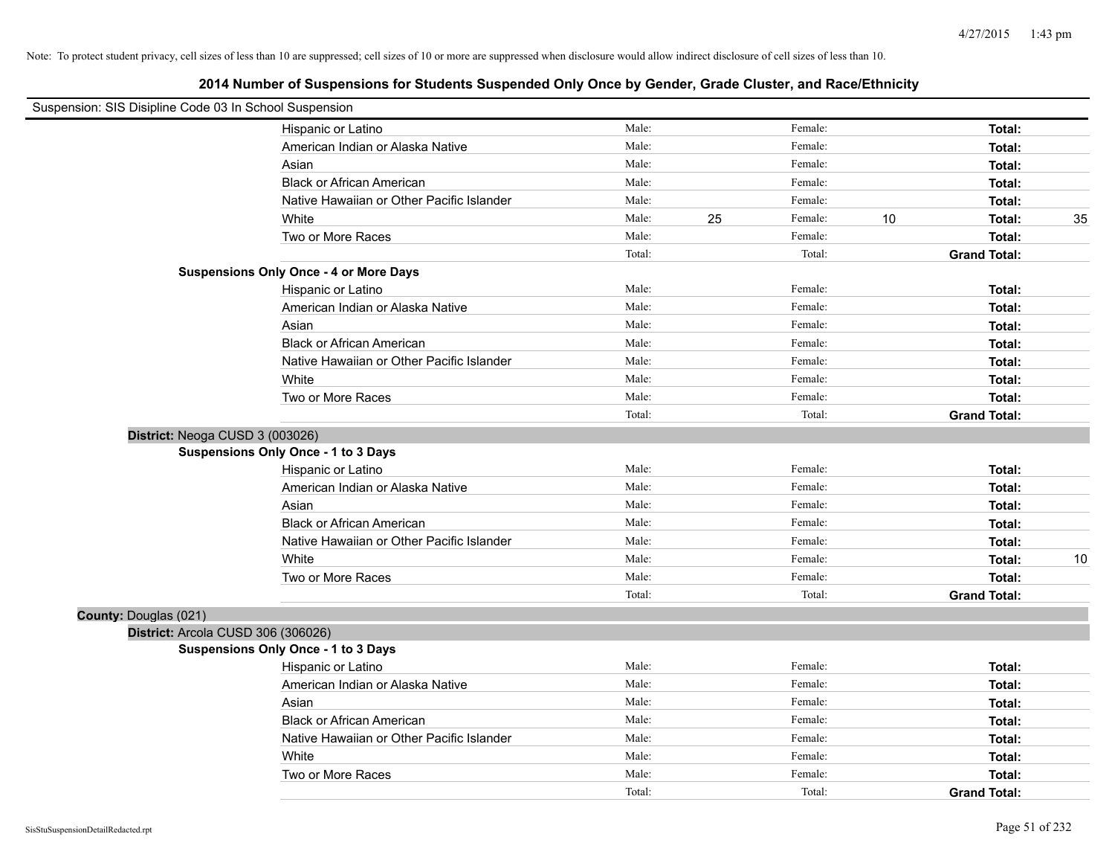| Suspension: SIS Disipline Code 03 In School Suspension |                                               |        |    |         |    |                     |    |
|--------------------------------------------------------|-----------------------------------------------|--------|----|---------|----|---------------------|----|
|                                                        | Hispanic or Latino                            | Male:  |    | Female: |    | Total:              |    |
|                                                        | American Indian or Alaska Native              | Male:  |    | Female: |    | Total:              |    |
|                                                        | Asian                                         | Male:  |    | Female: |    | Total:              |    |
|                                                        | <b>Black or African American</b>              | Male:  |    | Female: |    | Total:              |    |
|                                                        | Native Hawaiian or Other Pacific Islander     | Male:  |    | Female: |    | Total:              |    |
|                                                        | White                                         | Male:  | 25 | Female: | 10 | Total:              | 35 |
|                                                        | Two or More Races                             | Male:  |    | Female: |    | Total:              |    |
|                                                        |                                               | Total: |    | Total:  |    | <b>Grand Total:</b> |    |
|                                                        | <b>Suspensions Only Once - 4 or More Days</b> |        |    |         |    |                     |    |
|                                                        | Hispanic or Latino                            | Male:  |    | Female: |    | Total:              |    |
|                                                        | American Indian or Alaska Native              | Male:  |    | Female: |    | Total:              |    |
|                                                        | Asian                                         | Male:  |    | Female: |    | Total:              |    |
|                                                        | <b>Black or African American</b>              | Male:  |    | Female: |    | Total:              |    |
|                                                        | Native Hawaiian or Other Pacific Islander     | Male:  |    | Female: |    | Total:              |    |
|                                                        | White                                         | Male:  |    | Female: |    | Total:              |    |
|                                                        | Two or More Races                             | Male:  |    | Female: |    | Total:              |    |
|                                                        |                                               | Total: |    | Total:  |    | <b>Grand Total:</b> |    |
|                                                        | District: Neoga CUSD 3 (003026)               |        |    |         |    |                     |    |
|                                                        | Suspensions Only Once - 1 to 3 Days           |        |    |         |    |                     |    |
|                                                        | Hispanic or Latino                            | Male:  |    | Female: |    | Total:              |    |
|                                                        | American Indian or Alaska Native              | Male:  |    | Female: |    | Total:              |    |
|                                                        | Asian                                         | Male:  |    | Female: |    | Total:              |    |
|                                                        | <b>Black or African American</b>              | Male:  |    | Female: |    | Total:              |    |
|                                                        | Native Hawaiian or Other Pacific Islander     | Male:  |    | Female: |    | Total:              |    |
|                                                        | White                                         | Male:  |    | Female: |    | Total:              | 10 |
|                                                        | Two or More Races                             | Male:  |    | Female: |    | Total:              |    |
|                                                        |                                               | Total: |    | Total:  |    | <b>Grand Total:</b> |    |
| County: Douglas (021)                                  |                                               |        |    |         |    |                     |    |
|                                                        | District: Arcola CUSD 306 (306026)            |        |    |         |    |                     |    |
|                                                        | <b>Suspensions Only Once - 1 to 3 Days</b>    |        |    |         |    |                     |    |
|                                                        | Hispanic or Latino                            | Male:  |    | Female: |    | Total:              |    |
|                                                        | American Indian or Alaska Native              | Male:  |    | Female: |    | Total:              |    |
|                                                        | Asian                                         | Male:  |    | Female: |    | Total:              |    |
|                                                        | <b>Black or African American</b>              | Male:  |    | Female: |    | Total:              |    |
|                                                        | Native Hawaiian or Other Pacific Islander     | Male:  |    | Female: |    | Total:              |    |
|                                                        | White                                         | Male:  |    | Female: |    | Total:              |    |
|                                                        | Two or More Races                             | Male:  |    | Female: |    | Total:              |    |
|                                                        |                                               | Total: |    | Total:  |    | <b>Grand Total:</b> |    |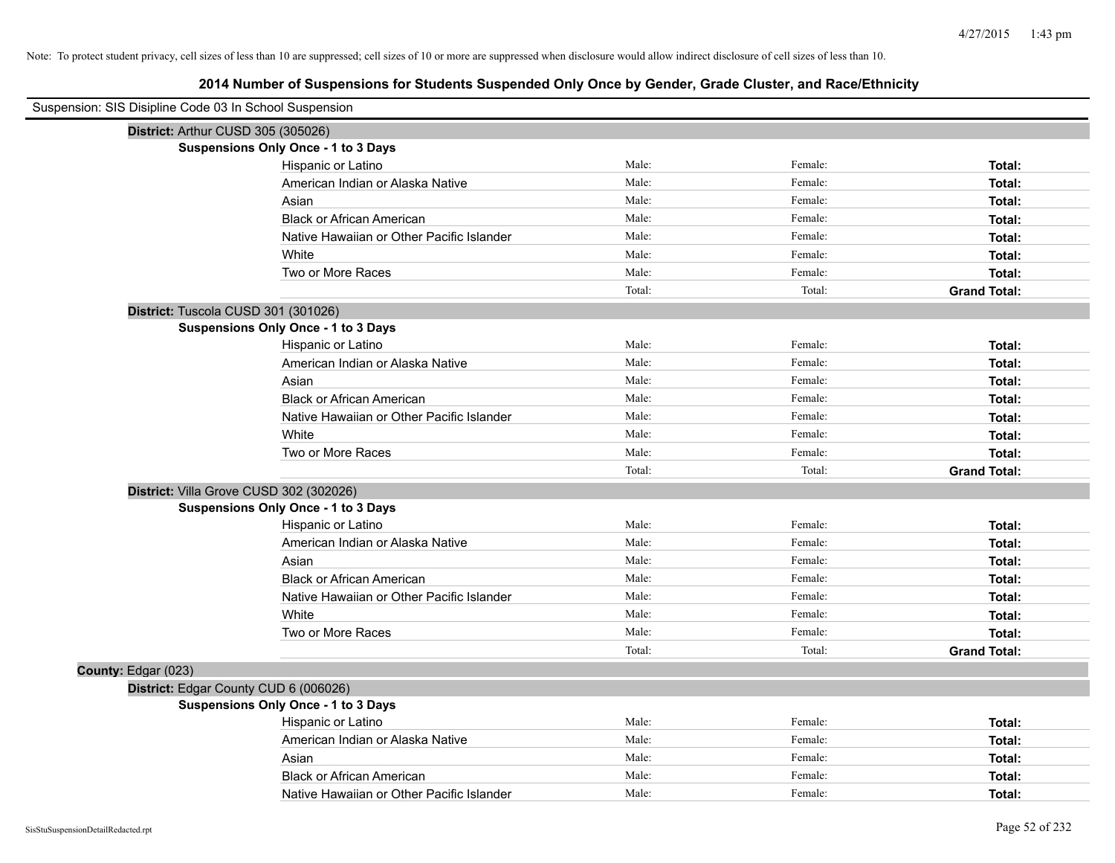|                     | Suspension: SIS Disipline Code 03 In School Suspension |        |         |                     |
|---------------------|--------------------------------------------------------|--------|---------|---------------------|
|                     | District: Arthur CUSD 305 (305026)                     |        |         |                     |
|                     | <b>Suspensions Only Once - 1 to 3 Days</b>             |        |         |                     |
|                     | Hispanic or Latino                                     | Male:  | Female: | Total:              |
|                     | American Indian or Alaska Native                       | Male:  | Female: | Total:              |
|                     | Asian                                                  | Male:  | Female: | Total:              |
|                     | <b>Black or African American</b>                       | Male:  | Female: | Total:              |
|                     | Native Hawaiian or Other Pacific Islander              | Male:  | Female: | Total:              |
|                     | White                                                  | Male:  | Female: | Total:              |
|                     | Two or More Races                                      | Male:  | Female: | Total:              |
|                     |                                                        | Total: | Total:  | <b>Grand Total:</b> |
|                     | District: Tuscola CUSD 301 (301026)                    |        |         |                     |
|                     | <b>Suspensions Only Once - 1 to 3 Days</b>             |        |         |                     |
|                     | Hispanic or Latino                                     | Male:  | Female: | Total:              |
|                     | American Indian or Alaska Native                       | Male:  | Female: | Total:              |
|                     | Asian                                                  | Male:  | Female: | Total:              |
|                     | <b>Black or African American</b>                       | Male:  | Female: | Total:              |
|                     | Native Hawaiian or Other Pacific Islander              | Male:  | Female: | Total:              |
|                     | White                                                  | Male:  | Female: | Total:              |
|                     | Two or More Races                                      | Male:  | Female: | Total:              |
|                     |                                                        | Total: | Total:  | <b>Grand Total:</b> |
|                     | District: Villa Grove CUSD 302 (302026)                |        |         |                     |
|                     | <b>Suspensions Only Once - 1 to 3 Days</b>             |        |         |                     |
|                     | Hispanic or Latino                                     | Male:  | Female: | Total:              |
|                     | American Indian or Alaska Native                       | Male:  | Female: | Total:              |
|                     | Asian                                                  | Male:  | Female: | Total:              |
|                     | <b>Black or African American</b>                       | Male:  | Female: | Total:              |
|                     | Native Hawaiian or Other Pacific Islander              | Male:  | Female: | Total:              |
|                     | White                                                  | Male:  | Female: | Total:              |
|                     | Two or More Races                                      | Male:  | Female: | Total:              |
|                     |                                                        | Total: | Total:  | <b>Grand Total:</b> |
| County: Edgar (023) |                                                        |        |         |                     |
|                     | District: Edgar County CUD 6 (006026)                  |        |         |                     |
|                     | <b>Suspensions Only Once - 1 to 3 Days</b>             |        |         |                     |
|                     | Hispanic or Latino                                     | Male:  | Female: | Total:              |
|                     | American Indian or Alaska Native                       | Male:  | Female: | Total:              |
|                     | Asian                                                  | Male:  | Female: | Total:              |
|                     | <b>Black or African American</b>                       | Male:  | Female: | Total:              |
|                     | Native Hawaiian or Other Pacific Islander              | Male:  | Female: | Total:              |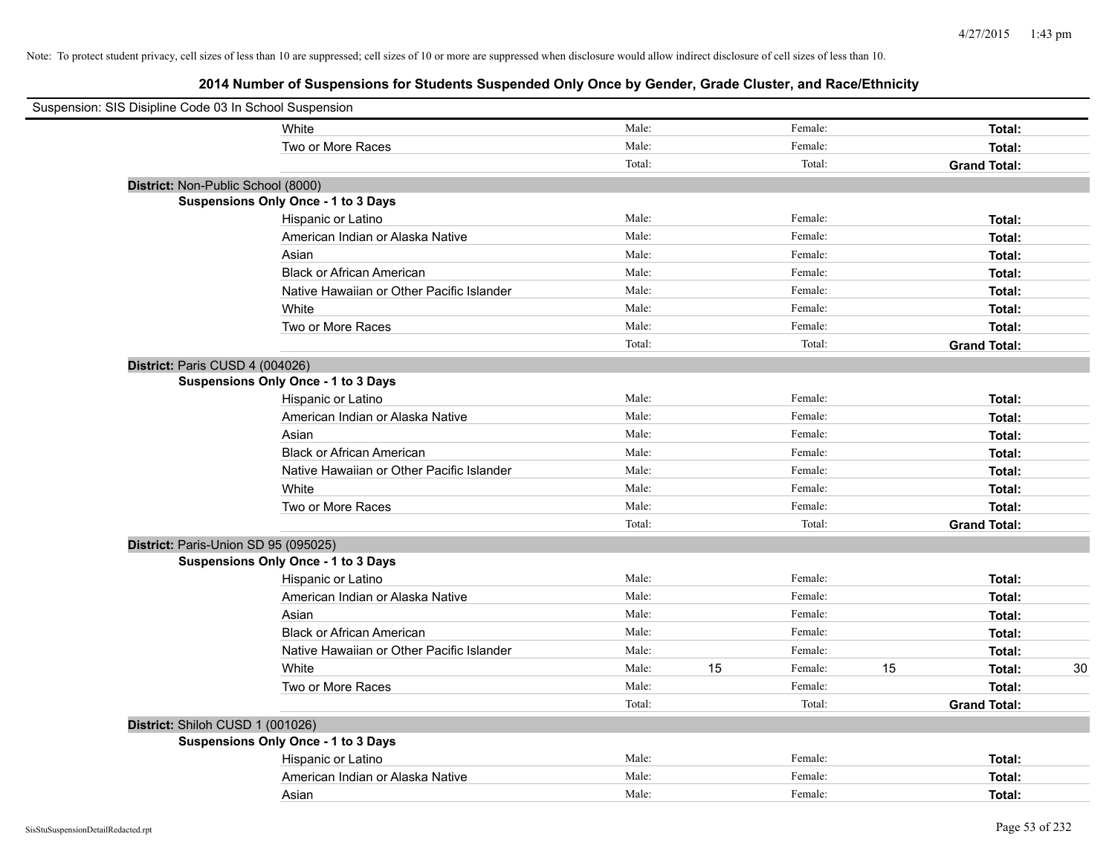| Suspension: SIS Disipline Code 03 In School Suspension |                                            |        |    |         |    |                     |    |
|--------------------------------------------------------|--------------------------------------------|--------|----|---------|----|---------------------|----|
|                                                        | White                                      | Male:  |    | Female: |    | Total:              |    |
|                                                        | Two or More Races                          | Male:  |    | Female: |    | Total:              |    |
|                                                        |                                            | Total: |    | Total:  |    | <b>Grand Total:</b> |    |
| District: Non-Public School (8000)                     |                                            |        |    |         |    |                     |    |
|                                                        | <b>Suspensions Only Once - 1 to 3 Days</b> |        |    |         |    |                     |    |
|                                                        | Hispanic or Latino                         | Male:  |    | Female: |    | Total:              |    |
|                                                        | American Indian or Alaska Native           | Male:  |    | Female: |    | Total:              |    |
|                                                        | Asian                                      | Male:  |    | Female: |    | Total:              |    |
|                                                        | <b>Black or African American</b>           | Male:  |    | Female: |    | Total:              |    |
|                                                        | Native Hawaiian or Other Pacific Islander  | Male:  |    | Female: |    | Total:              |    |
|                                                        | White                                      | Male:  |    | Female: |    | Total:              |    |
|                                                        | Two or More Races                          | Male:  |    | Female: |    | Total:              |    |
|                                                        |                                            | Total: |    | Total:  |    | <b>Grand Total:</b> |    |
| District: Paris CUSD 4 (004026)                        |                                            |        |    |         |    |                     |    |
|                                                        | <b>Suspensions Only Once - 1 to 3 Days</b> |        |    |         |    |                     |    |
|                                                        | Hispanic or Latino                         | Male:  |    | Female: |    | Total:              |    |
|                                                        | American Indian or Alaska Native           | Male:  |    | Female: |    | Total:              |    |
|                                                        | Asian                                      | Male:  |    | Female: |    | Total:              |    |
|                                                        | <b>Black or African American</b>           | Male:  |    | Female: |    | Total:              |    |
|                                                        | Native Hawaiian or Other Pacific Islander  | Male:  |    | Female: |    | Total:              |    |
|                                                        | White                                      | Male:  |    | Female: |    | Total:              |    |
|                                                        | Two or More Races                          | Male:  |    | Female: |    | Total:              |    |
|                                                        |                                            | Total: |    | Total:  |    | <b>Grand Total:</b> |    |
|                                                        | District: Paris-Union SD 95 (095025)       |        |    |         |    |                     |    |
|                                                        | <b>Suspensions Only Once - 1 to 3 Days</b> |        |    |         |    |                     |    |
|                                                        | Hispanic or Latino                         | Male:  |    | Female: |    | Total:              |    |
|                                                        | American Indian or Alaska Native           | Male:  |    | Female: |    | Total:              |    |
|                                                        | Asian                                      | Male:  |    | Female: |    | Total:              |    |
|                                                        | <b>Black or African American</b>           | Male:  |    | Female: |    | Total:              |    |
|                                                        | Native Hawaiian or Other Pacific Islander  | Male:  |    | Female: |    | Total:              |    |
|                                                        | White                                      | Male:  | 15 | Female: | 15 | Total:              | 30 |
|                                                        | Two or More Races                          | Male:  |    | Female: |    | Total:              |    |
|                                                        |                                            | Total: |    | Total:  |    | <b>Grand Total:</b> |    |
| District: Shiloh CUSD 1 (001026)                       |                                            |        |    |         |    |                     |    |
|                                                        | <b>Suspensions Only Once - 1 to 3 Days</b> |        |    |         |    |                     |    |
|                                                        | Hispanic or Latino                         | Male:  |    | Female: |    | Total:              |    |
|                                                        | American Indian or Alaska Native           | Male:  |    | Female: |    | Total:              |    |
|                                                        | Asian                                      | Male:  |    | Female: |    | Total:              |    |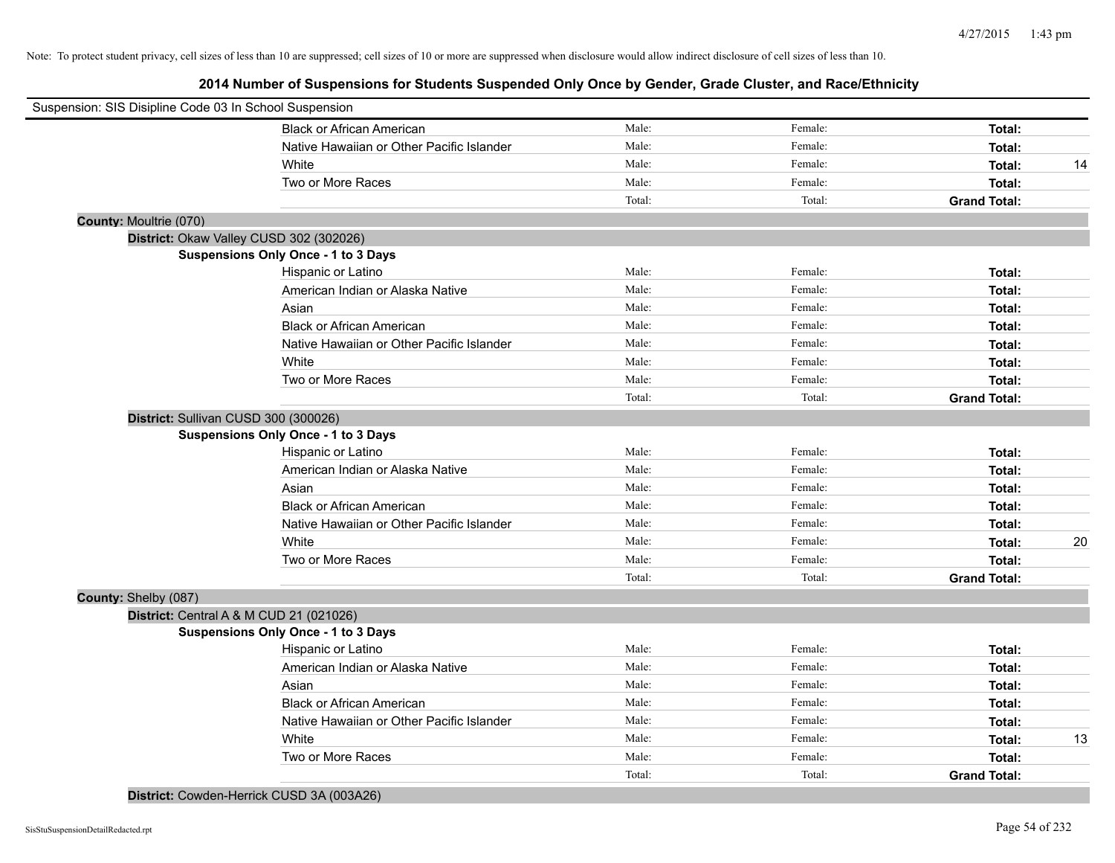**2014 Number of Suspensions for Students Suspended Only Once by Gender, Grade Cluster, and Race/Ethnicity**

| Suspension: SIS Disipline Code 03 In School Suspension |                                           |        |         |                     |    |
|--------------------------------------------------------|-------------------------------------------|--------|---------|---------------------|----|
|                                                        | <b>Black or African American</b>          | Male:  | Female: | Total:              |    |
|                                                        | Native Hawaiian or Other Pacific Islander | Male:  | Female: | Total:              |    |
|                                                        | White                                     | Male:  | Female: | Total:              | 14 |
|                                                        | Two or More Races                         | Male:  | Female: | Total:              |    |
|                                                        |                                           | Total: | Total:  | <b>Grand Total:</b> |    |
| County: Moultrie (070)                                 |                                           |        |         |                     |    |
|                                                        | District: Okaw Valley CUSD 302 (302026)   |        |         |                     |    |
|                                                        | Suspensions Only Once - 1 to 3 Days       |        |         |                     |    |
|                                                        | Hispanic or Latino                        | Male:  | Female: | Total:              |    |
|                                                        | American Indian or Alaska Native          | Male:  | Female: | Total:              |    |
|                                                        | Asian                                     | Male:  | Female: | Total:              |    |
|                                                        | <b>Black or African American</b>          | Male:  | Female: | Total:              |    |
|                                                        | Native Hawaiian or Other Pacific Islander | Male:  | Female: | Total:              |    |
|                                                        | White                                     | Male:  | Female: | Total:              |    |
|                                                        | Two or More Races                         | Male:  | Female: | Total:              |    |
|                                                        |                                           | Total: | Total:  | <b>Grand Total:</b> |    |
|                                                        | District: Sullivan CUSD 300 (300026)      |        |         |                     |    |
|                                                        | Suspensions Only Once - 1 to 3 Days       |        |         |                     |    |
|                                                        | Hispanic or Latino                        | Male:  | Female: | Total:              |    |
|                                                        | American Indian or Alaska Native          | Male:  | Female: | Total:              |    |
|                                                        | Asian                                     | Male:  | Female: | Total:              |    |
|                                                        | <b>Black or African American</b>          | Male:  | Female: | Total:              |    |
|                                                        | Native Hawaiian or Other Pacific Islander | Male:  | Female: | Total:              |    |
|                                                        | White                                     | Male:  | Female: | Total:              | 20 |
|                                                        | Two or More Races                         | Male:  | Female: | Total:              |    |
|                                                        |                                           | Total: | Total:  | <b>Grand Total:</b> |    |
| County: Shelby (087)                                   |                                           |        |         |                     |    |
|                                                        | District: Central A & M CUD 21 (021026)   |        |         |                     |    |
|                                                        | Suspensions Only Once - 1 to 3 Days       |        |         |                     |    |
|                                                        | Hispanic or Latino                        | Male:  | Female: | Total:              |    |
|                                                        | American Indian or Alaska Native          | Male:  | Female: | Total:              |    |
|                                                        | Asian                                     | Male:  | Female: | Total:              |    |
|                                                        | <b>Black or African American</b>          | Male:  | Female: | Total:              |    |
|                                                        | Native Hawaiian or Other Pacific Islander | Male:  | Female: | Total:              |    |
|                                                        | White                                     | Male:  | Female: | Total:              | 13 |
|                                                        | Two or More Races                         | Male:  | Female: | Total:              |    |
|                                                        |                                           | Total: | Total:  | <b>Grand Total:</b> |    |
|                                                        |                                           |        |         |                     |    |

**District:** Cowden-Herrick CUSD 3A (003A26)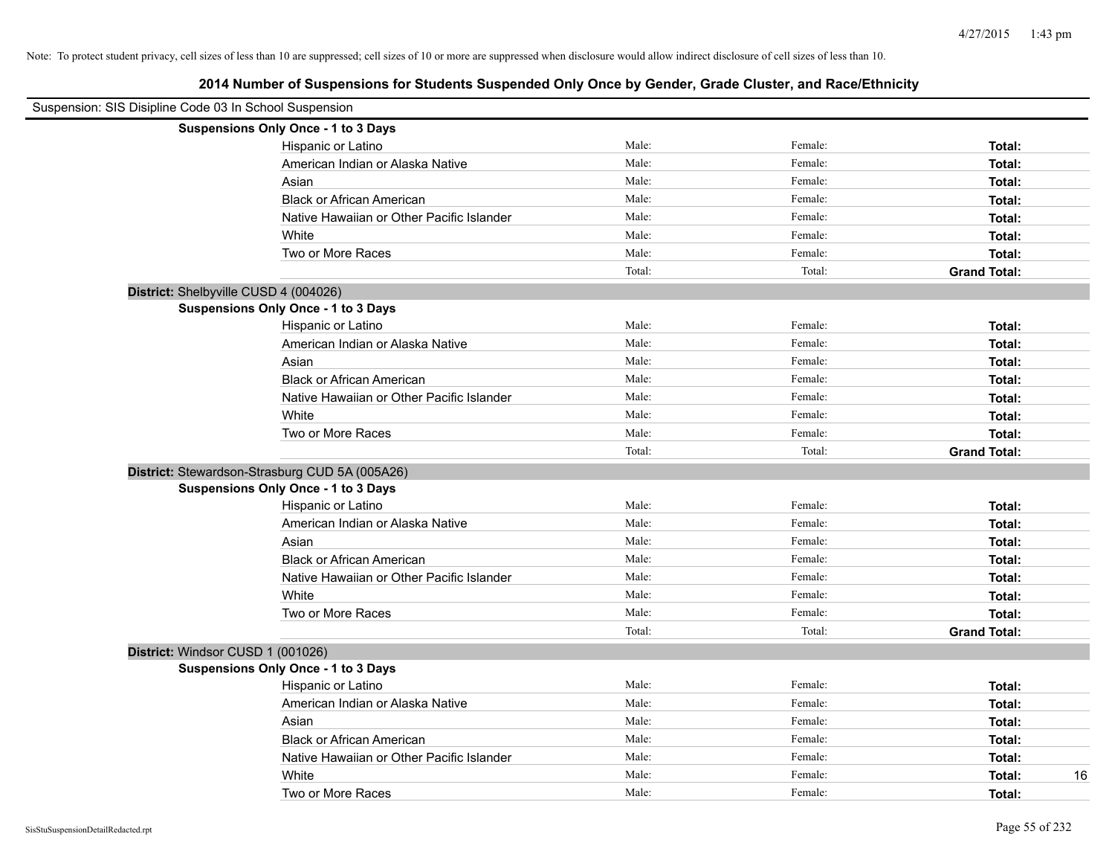|                                   | Suspension: SIS Disipline Code 03 In School Suspension |        |         |                     |
|-----------------------------------|--------------------------------------------------------|--------|---------|---------------------|
|                                   | Suspensions Only Once - 1 to 3 Days                    |        |         |                     |
|                                   | Hispanic or Latino                                     | Male:  | Female: | Total:              |
|                                   | American Indian or Alaska Native                       | Male:  | Female: | Total:              |
|                                   | Asian                                                  | Male:  | Female: | Total:              |
|                                   | <b>Black or African American</b>                       | Male:  | Female: | Total:              |
|                                   | Native Hawaiian or Other Pacific Islander              | Male:  | Female: | Total:              |
|                                   | White                                                  | Male:  | Female: | Total:              |
|                                   | Two or More Races                                      | Male:  | Female: | Total:              |
|                                   |                                                        | Total: | Total:  | <b>Grand Total:</b> |
|                                   | District: Shelbyville CUSD 4 (004026)                  |        |         |                     |
|                                   | Suspensions Only Once - 1 to 3 Days                    |        |         |                     |
|                                   | Hispanic or Latino                                     | Male:  | Female: | Total:              |
|                                   | American Indian or Alaska Native                       | Male:  | Female: | Total:              |
|                                   | Asian                                                  | Male:  | Female: | Total:              |
|                                   | <b>Black or African American</b>                       | Male:  | Female: | Total:              |
|                                   | Native Hawaiian or Other Pacific Islander              | Male:  | Female: | Total:              |
|                                   | White                                                  | Male:  | Female: | Total:              |
|                                   | Two or More Races                                      | Male:  | Female: | Total:              |
|                                   |                                                        | Total: | Total:  | <b>Grand Total:</b> |
|                                   | District: Stewardson-Strasburg CUD 5A (005A26)         |        |         |                     |
|                                   | <b>Suspensions Only Once - 1 to 3 Days</b>             |        |         |                     |
|                                   | Hispanic or Latino                                     | Male:  | Female: | Total:              |
|                                   | American Indian or Alaska Native                       | Male:  | Female: | Total:              |
|                                   | Asian                                                  | Male:  | Female: | Total:              |
|                                   | <b>Black or African American</b>                       | Male:  | Female: | Total:              |
|                                   | Native Hawaiian or Other Pacific Islander              | Male:  | Female: | Total:              |
|                                   | White                                                  | Male:  | Female: | Total:              |
|                                   | Two or More Races                                      | Male:  | Female: | Total:              |
|                                   |                                                        | Total: | Total:  | <b>Grand Total:</b> |
| District: Windsor CUSD 1 (001026) |                                                        |        |         |                     |
|                                   | Suspensions Only Once - 1 to 3 Days                    |        |         |                     |
|                                   | Hispanic or Latino                                     | Male:  | Female: | Total:              |
|                                   | American Indian or Alaska Native                       | Male:  | Female: | Total:              |
|                                   | Asian                                                  | Male:  | Female: | Total:              |
|                                   | <b>Black or African American</b>                       | Male:  | Female: | Total:              |
|                                   | Native Hawaiian or Other Pacific Islander              | Male:  | Female: | Total:              |
|                                   | White                                                  | Male:  | Female: | 16<br>Total:        |
|                                   | Two or More Races                                      | Male:  | Female: | Total:              |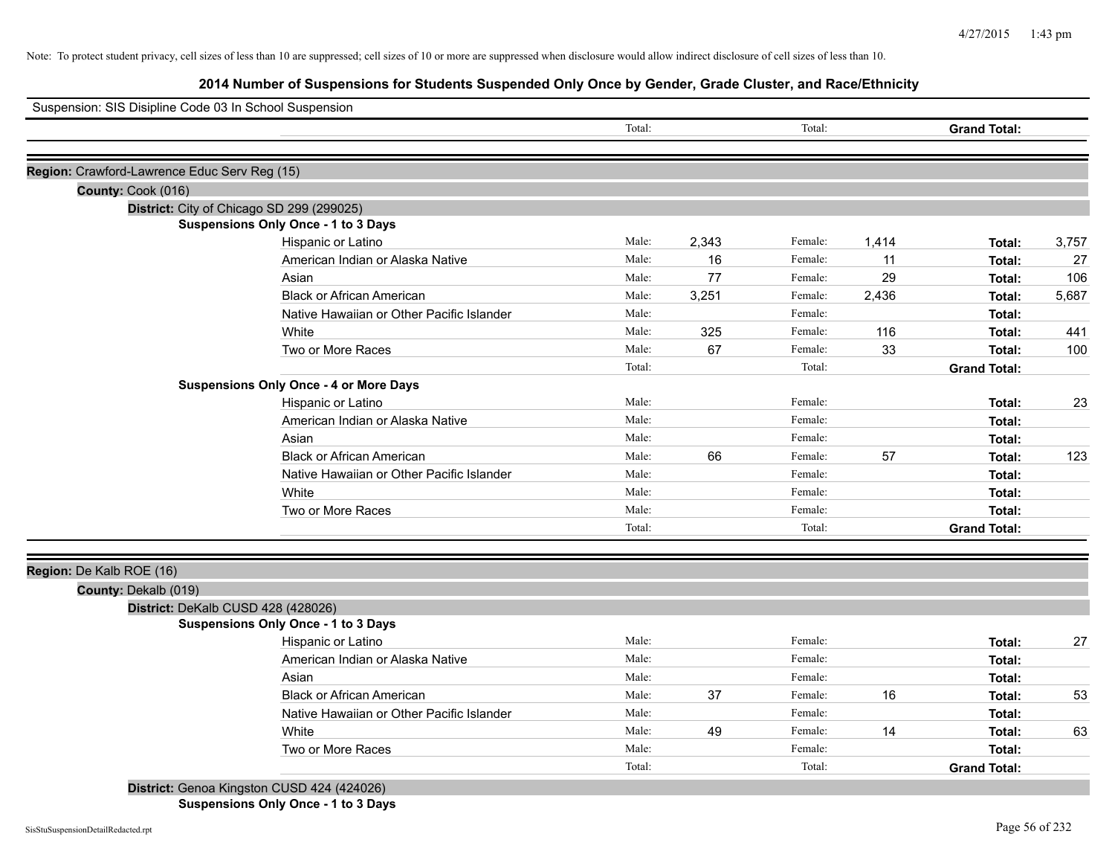**2014 Number of Suspensions for Students Suspended Only Once by Gender, Grade Cluster, and Race/Ethnicity**

| Suspension: SIS Disipline Code 03 In School Suspension |                                               |        |       |         |       |                     |       |
|--------------------------------------------------------|-----------------------------------------------|--------|-------|---------|-------|---------------------|-------|
|                                                        |                                               | Total: |       | Total:  |       | <b>Grand Total:</b> |       |
| Region: Crawford-Lawrence Educ Serv Reg (15)           |                                               |        |       |         |       |                     |       |
| County: Cook (016)                                     |                                               |        |       |         |       |                     |       |
|                                                        | District: City of Chicago SD 299 (299025)     |        |       |         |       |                     |       |
|                                                        | <b>Suspensions Only Once - 1 to 3 Days</b>    |        |       |         |       |                     |       |
|                                                        | Hispanic or Latino                            | Male:  | 2,343 | Female: | 1,414 | Total:              | 3,757 |
|                                                        | American Indian or Alaska Native              | Male:  | 16    | Female: | 11    | Total:              | 27    |
|                                                        | Asian                                         | Male:  | 77    | Female: | 29    | Total:              | 106   |
|                                                        | <b>Black or African American</b>              | Male:  | 3,251 | Female: | 2,436 | Total:              | 5,687 |
|                                                        | Native Hawaiian or Other Pacific Islander     | Male:  |       | Female: |       | Total:              |       |
|                                                        | White                                         | Male:  | 325   | Female: | 116   | Total:              | 441   |
|                                                        | Two or More Races                             | Male:  | 67    | Female: | 33    | Total:              | 100   |
|                                                        |                                               | Total: |       | Total:  |       | <b>Grand Total:</b> |       |
|                                                        | <b>Suspensions Only Once - 4 or More Days</b> |        |       |         |       |                     |       |
|                                                        | Hispanic or Latino                            | Male:  |       | Female: |       | Total:              | 23    |
|                                                        | American Indian or Alaska Native              | Male:  |       | Female: |       | Total:              |       |
|                                                        | Asian                                         | Male:  |       | Female: |       | Total:              |       |
|                                                        | <b>Black or African American</b>              | Male:  | 66    | Female: | 57    | Total:              | 123   |
|                                                        | Native Hawaiian or Other Pacific Islander     | Male:  |       | Female: |       | Total:              |       |
|                                                        | White                                         | Male:  |       | Female: |       | Total:              |       |
|                                                        | Two or More Races                             | Male:  |       | Female: |       | Total:              |       |
|                                                        |                                               | Total: |       | Total:  |       | <b>Grand Total:</b> |       |
|                                                        |                                               |        |       |         |       |                     |       |
| Region: De Kalb ROE (16)<br>County: Dekalb (019)       |                                               |        |       |         |       |                     |       |
|                                                        | District: DeKalb CUSD 428 (428026)            |        |       |         |       |                     |       |
|                                                        | Suspensions Only Once - 1 to 3 Days           |        |       |         |       |                     |       |
|                                                        | Hispanic or Latino                            | Male:  |       | Female: |       | Total:              | 27    |
|                                                        | American Indian or Alaska Native              | Male:  |       | Female: |       | Total:              |       |
|                                                        | Asian                                         | Male:  |       | Female: |       | Total:              |       |
|                                                        | <b>Black or African American</b>              | Male:  | 37    | Female: | 16    | Total:              | 53    |
|                                                        | Native Hawaiian or Other Pacific Islander     | Male:  |       | Female: |       | Total:              |       |
|                                                        | White                                         | Male:  | 49    | Female: | 14    | Total:              | 63    |
|                                                        |                                               | Male:  |       | Female: |       | Total:              |       |
|                                                        | Two or More Races                             |        |       |         |       |                     |       |

**Suspensions Only Once - 1 to 3 Days**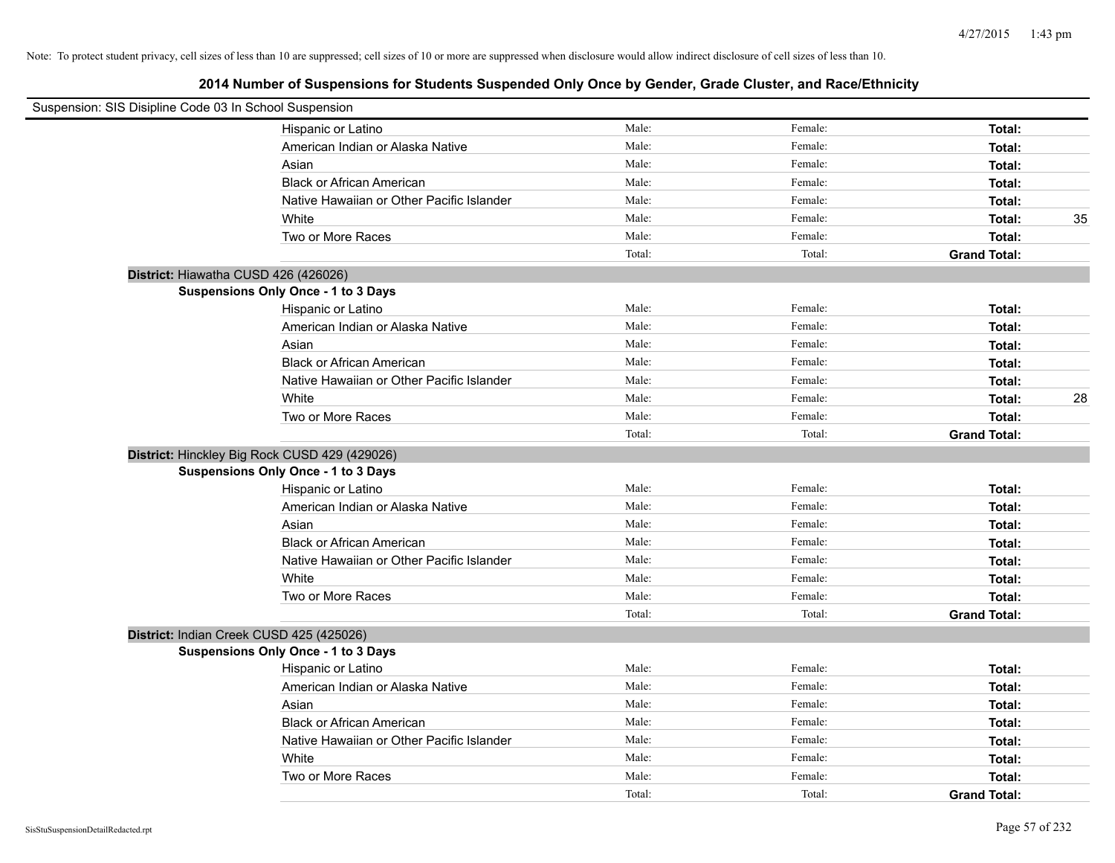| Suspension: SIS Disipline Code 03 In School Suspension |                                           |        |         |                     |    |
|--------------------------------------------------------|-------------------------------------------|--------|---------|---------------------|----|
|                                                        | Hispanic or Latino                        | Male:  | Female: | Total:              |    |
|                                                        | American Indian or Alaska Native          | Male:  | Female: | Total:              |    |
|                                                        | Asian                                     | Male:  | Female: | Total:              |    |
|                                                        | <b>Black or African American</b>          | Male:  | Female: | Total:              |    |
|                                                        | Native Hawaiian or Other Pacific Islander | Male:  | Female: | Total:              |    |
|                                                        | White                                     | Male:  | Female: | Total:              | 35 |
|                                                        | Two or More Races                         | Male:  | Female: | Total:              |    |
|                                                        |                                           | Total: | Total:  | <b>Grand Total:</b> |    |
| District: Hiawatha CUSD 426 (426026)                   |                                           |        |         |                     |    |
|                                                        | Suspensions Only Once - 1 to 3 Days       |        |         |                     |    |
|                                                        | Hispanic or Latino                        | Male:  | Female: | Total:              |    |
|                                                        | American Indian or Alaska Native          | Male:  | Female: | Total:              |    |
|                                                        | Asian                                     | Male:  | Female: | Total:              |    |
|                                                        | <b>Black or African American</b>          | Male:  | Female: | Total:              |    |
|                                                        | Native Hawaiian or Other Pacific Islander | Male:  | Female: | Total:              |    |
|                                                        | White                                     | Male:  | Female: | Total:              | 28 |
|                                                        | Two or More Races                         | Male:  | Female: | Total:              |    |
|                                                        |                                           | Total: | Total:  | <b>Grand Total:</b> |    |
| District: Hinckley Big Rock CUSD 429 (429026)          |                                           |        |         |                     |    |
|                                                        | Suspensions Only Once - 1 to 3 Days       |        |         |                     |    |
|                                                        | Hispanic or Latino                        | Male:  | Female: | Total:              |    |
|                                                        | American Indian or Alaska Native          | Male:  | Female: | Total:              |    |
|                                                        | Asian                                     | Male:  | Female: | Total:              |    |
|                                                        | <b>Black or African American</b>          | Male:  | Female: | Total:              |    |
|                                                        | Native Hawaiian or Other Pacific Islander | Male:  | Female: | Total:              |    |
|                                                        | White                                     | Male:  | Female: | Total:              |    |
|                                                        | Two or More Races                         | Male:  | Female: | Total:              |    |
|                                                        |                                           | Total: | Total:  | <b>Grand Total:</b> |    |
| District: Indian Creek CUSD 425 (425026)               |                                           |        |         |                     |    |
|                                                        | Suspensions Only Once - 1 to 3 Days       |        |         |                     |    |
|                                                        | Hispanic or Latino                        | Male:  | Female: | Total:              |    |
|                                                        | American Indian or Alaska Native          | Male:  | Female: | Total:              |    |
|                                                        | Asian                                     | Male:  | Female: | Total:              |    |
|                                                        | <b>Black or African American</b>          | Male:  | Female: | Total:              |    |
|                                                        | Native Hawaiian or Other Pacific Islander | Male:  | Female: | Total:              |    |
|                                                        | White                                     | Male:  | Female: | Total:              |    |
|                                                        | Two or More Races                         | Male:  | Female: | Total:              |    |
|                                                        |                                           | Total: | Total:  | <b>Grand Total:</b> |    |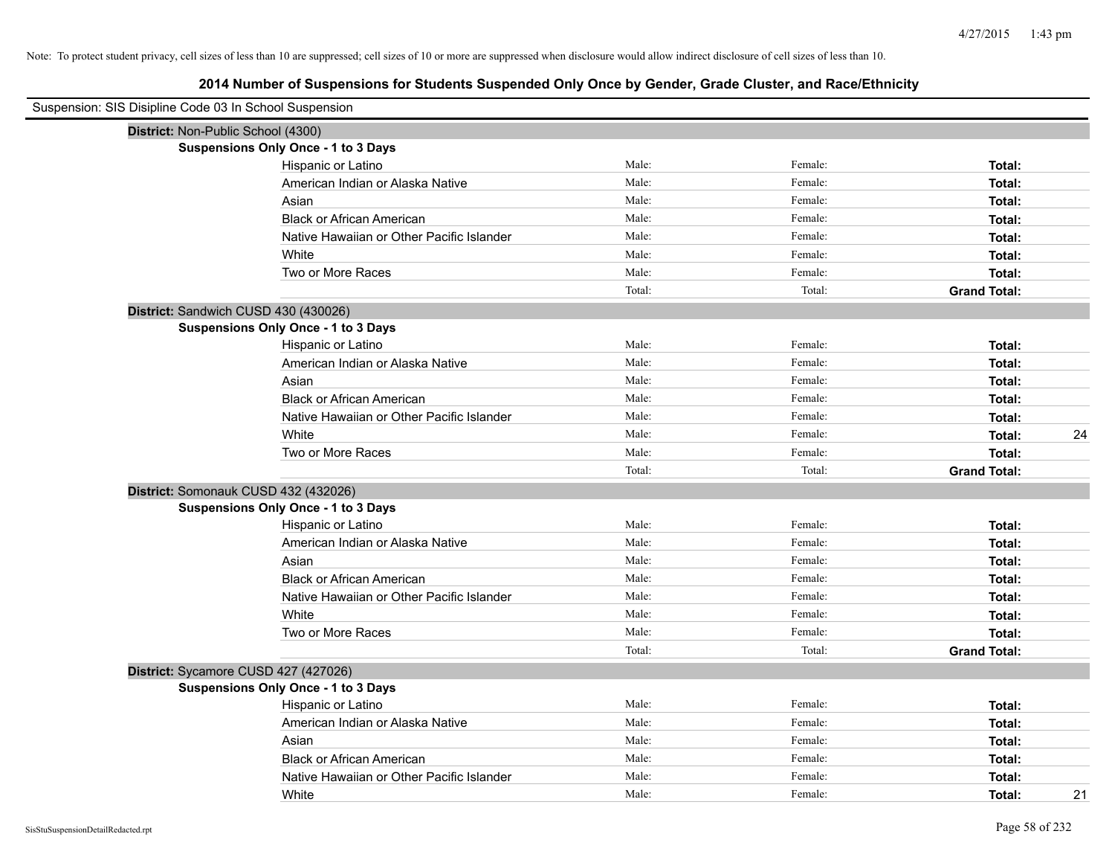| Suspension: SIS Disipline Code 03 In School Suspension |                                            |        |         |                     |    |
|--------------------------------------------------------|--------------------------------------------|--------|---------|---------------------|----|
|                                                        | District: Non-Public School (4300)         |        |         |                     |    |
|                                                        | Suspensions Only Once - 1 to 3 Days        |        |         |                     |    |
|                                                        | Hispanic or Latino                         | Male:  | Female: | Total:              |    |
|                                                        | American Indian or Alaska Native           | Male:  | Female: | Total:              |    |
|                                                        | Asian                                      | Male:  | Female: | Total:              |    |
|                                                        | <b>Black or African American</b>           | Male:  | Female: | Total:              |    |
|                                                        | Native Hawaiian or Other Pacific Islander  | Male:  | Female: | Total:              |    |
|                                                        | White                                      | Male:  | Female: | Total:              |    |
|                                                        | Two or More Races                          | Male:  | Female: | Total:              |    |
|                                                        |                                            | Total: | Total:  | <b>Grand Total:</b> |    |
|                                                        | District: Sandwich CUSD 430 (430026)       |        |         |                     |    |
|                                                        | <b>Suspensions Only Once - 1 to 3 Days</b> |        |         |                     |    |
|                                                        | Hispanic or Latino                         | Male:  | Female: | Total:              |    |
|                                                        | American Indian or Alaska Native           | Male:  | Female: | Total:              |    |
|                                                        | Asian                                      | Male:  | Female: | Total:              |    |
|                                                        | <b>Black or African American</b>           | Male:  | Female: | Total:              |    |
|                                                        | Native Hawaiian or Other Pacific Islander  | Male:  | Female: | Total:              |    |
|                                                        | White                                      | Male:  | Female: | Total:              | 24 |
|                                                        | Two or More Races                          | Male:  | Female: | Total:              |    |
|                                                        |                                            | Total: | Total:  | <b>Grand Total:</b> |    |
|                                                        | District: Somonauk CUSD 432 (432026)       |        |         |                     |    |
|                                                        | <b>Suspensions Only Once - 1 to 3 Days</b> |        |         |                     |    |
|                                                        | Hispanic or Latino                         | Male:  | Female: | Total:              |    |
|                                                        | American Indian or Alaska Native           | Male:  | Female: | Total:              |    |
|                                                        | Asian                                      | Male:  | Female: | Total:              |    |
|                                                        | <b>Black or African American</b>           | Male:  | Female: | Total:              |    |
|                                                        | Native Hawaiian or Other Pacific Islander  | Male:  | Female: | Total:              |    |
|                                                        | White                                      | Male:  | Female: | Total:              |    |
|                                                        | Two or More Races                          | Male:  | Female: | Total:              |    |
|                                                        |                                            | Total: | Total:  | <b>Grand Total:</b> |    |
|                                                        | District: Sycamore CUSD 427 (427026)       |        |         |                     |    |
|                                                        | <b>Suspensions Only Once - 1 to 3 Days</b> |        |         |                     |    |
|                                                        | Hispanic or Latino                         | Male:  | Female: | Total:              |    |
|                                                        | American Indian or Alaska Native           | Male:  | Female: | Total:              |    |
|                                                        | Asian                                      | Male:  | Female: | Total:              |    |
|                                                        | <b>Black or African American</b>           | Male:  | Female: | Total:              |    |
|                                                        | Native Hawaiian or Other Pacific Islander  | Male:  | Female: | Total:              |    |
|                                                        | White                                      | Male:  | Female: | Total:              | 21 |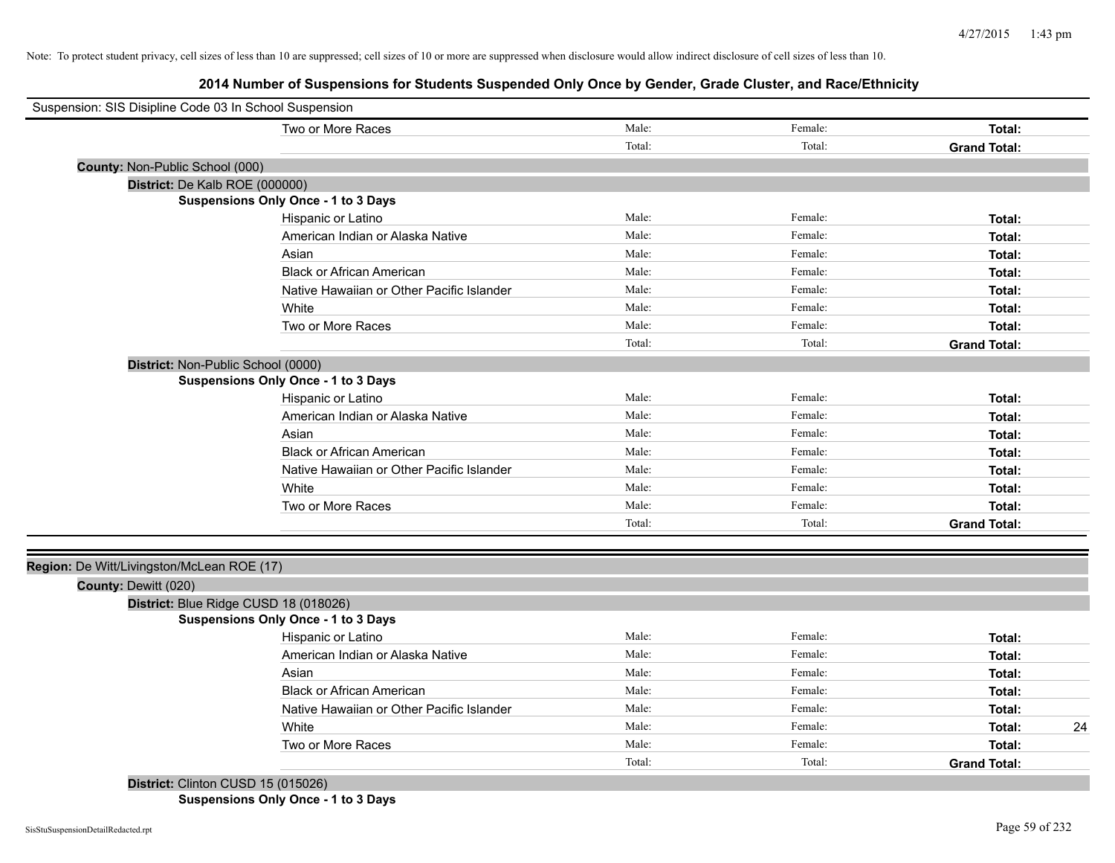**2014 Number of Suspensions for Students Suspended Only Once by Gender, Grade Cluster, and Race/Ethnicity**

| Suspension: SIS Disipline Code 03 In School Suspension |                                            |        |         |                     |
|--------------------------------------------------------|--------------------------------------------|--------|---------|---------------------|
|                                                        | Two or More Races                          | Male:  | Female: | Total:              |
|                                                        |                                            | Total: | Total:  | <b>Grand Total:</b> |
| County: Non-Public School (000)                        |                                            |        |         |                     |
| District: De Kalb ROE (000000)                         |                                            |        |         |                     |
|                                                        | <b>Suspensions Only Once - 1 to 3 Days</b> |        |         |                     |
|                                                        | Hispanic or Latino                         | Male:  | Female: | Total:              |
|                                                        | American Indian or Alaska Native           | Male:  | Female: | Total:              |
|                                                        | Asian                                      | Male:  | Female: | Total:              |
|                                                        | <b>Black or African American</b>           | Male:  | Female: | Total:              |
|                                                        | Native Hawaiian or Other Pacific Islander  | Male:  | Female: | Total:              |
|                                                        | White                                      | Male:  | Female: | Total:              |
|                                                        | Two or More Races                          | Male:  | Female: | Total:              |
|                                                        |                                            | Total: | Total:  | <b>Grand Total:</b> |
| District: Non-Public School (0000)                     |                                            |        |         |                     |
|                                                        | Suspensions Only Once - 1 to 3 Days        |        |         |                     |
|                                                        | Hispanic or Latino                         | Male:  | Female: | Total:              |
|                                                        | American Indian or Alaska Native           | Male:  | Female: | Total:              |
|                                                        | Asian                                      | Male:  | Female: | Total:              |
|                                                        | <b>Black or African American</b>           | Male:  | Female: | Total:              |
|                                                        | Native Hawaiian or Other Pacific Islander  | Male:  | Female: | Total:              |
|                                                        | White                                      | Male:  | Female: | Total:              |
|                                                        | Two or More Races                          | Male:  | Female: | Total:              |
|                                                        |                                            | Total: | Total:  | <b>Grand Total:</b> |
|                                                        |                                            |        |         |                     |
| Region: De Witt/Livingston/McLean ROE (17)             |                                            |        |         |                     |
| County: Dewitt (020)                                   |                                            |        |         |                     |
|                                                        | District: Blue Ridge CUSD 18 (018026)      |        |         |                     |
|                                                        | <b>Suspensions Only Once - 1 to 3 Days</b> |        |         |                     |
|                                                        | Hispanic or Latino                         | Male:  | Female: | Total:              |
|                                                        | American Indian or Alaska Native           | Male:  | Female: | Total:              |
|                                                        | Asian                                      | Male:  | Female: | Total:              |
|                                                        | <b>Black or African American</b>           | Male:  | Female: | Total:              |
|                                                        | Native Hawaiian or Other Pacific Islander  | Male:  | Female: | Total:              |
|                                                        | White                                      | Male:  | Female: | 24<br>Total:        |
|                                                        | Two or More Races                          | Male:  | Female: | Total:              |
|                                                        |                                            | Total: | Total:  | <b>Grand Total:</b> |
| District: Clinton CUSD 15 (015026)                     |                                            |        |         |                     |

**Suspensions Only Once - 1 to 3 Days**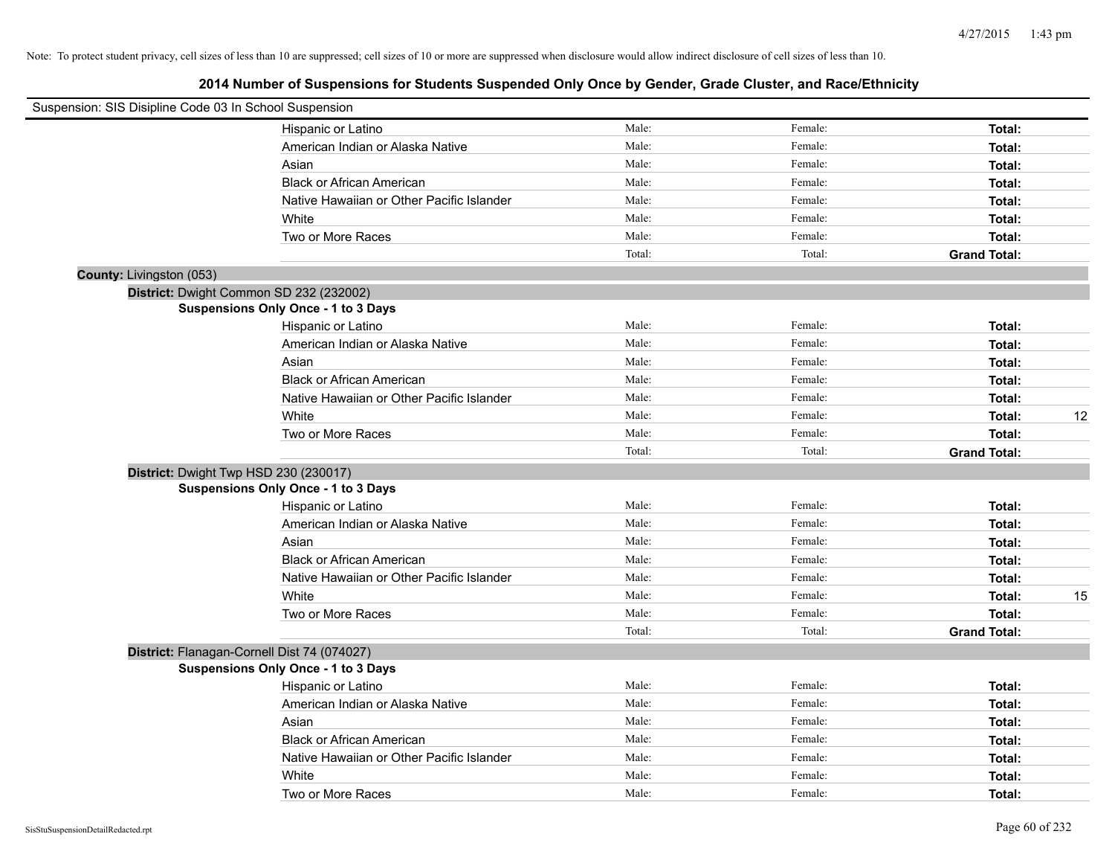| Suspension: SIS Disipline Code 03 In School Suspension |                                             |        |         |                     |    |
|--------------------------------------------------------|---------------------------------------------|--------|---------|---------------------|----|
|                                                        |                                             |        |         |                     |    |
|                                                        | Hispanic or Latino                          | Male:  | Female: | Total:              |    |
|                                                        | American Indian or Alaska Native            | Male:  | Female: | Total:              |    |
|                                                        | Asian                                       | Male:  | Female: | Total:              |    |
|                                                        | <b>Black or African American</b>            | Male:  | Female: | Total:              |    |
|                                                        | Native Hawaiian or Other Pacific Islander   | Male:  | Female: | Total:              |    |
|                                                        | White                                       | Male:  | Female: | Total:              |    |
|                                                        | Two or More Races                           | Male:  | Female: | Total:              |    |
|                                                        |                                             | Total: | Total:  | <b>Grand Total:</b> |    |
| County: Livingston (053)                               |                                             |        |         |                     |    |
|                                                        | District: Dwight Common SD 232 (232002)     |        |         |                     |    |
|                                                        | <b>Suspensions Only Once - 1 to 3 Days</b>  |        |         |                     |    |
|                                                        | Hispanic or Latino                          | Male:  | Female: | Total:              |    |
|                                                        | American Indian or Alaska Native            | Male:  | Female: | Total:              |    |
|                                                        | Asian                                       | Male:  | Female: | Total:              |    |
|                                                        | <b>Black or African American</b>            | Male:  | Female: | Total:              |    |
|                                                        | Native Hawaiian or Other Pacific Islander   | Male:  | Female: | Total:              |    |
|                                                        | White                                       | Male:  | Female: | Total:              | 12 |
|                                                        | Two or More Races                           | Male:  | Female: | Total:              |    |
|                                                        |                                             | Total: | Total:  | <b>Grand Total:</b> |    |
|                                                        | District: Dwight Twp HSD 230 (230017)       |        |         |                     |    |
|                                                        | Suspensions Only Once - 1 to 3 Days         |        |         |                     |    |
|                                                        | Hispanic or Latino                          | Male:  | Female: | Total:              |    |
|                                                        | American Indian or Alaska Native            | Male:  | Female: | Total:              |    |
|                                                        | Asian                                       | Male:  | Female: | Total:              |    |
|                                                        | <b>Black or African American</b>            | Male:  | Female: | Total:              |    |
|                                                        | Native Hawaiian or Other Pacific Islander   | Male:  | Female: | Total:              |    |
|                                                        | White                                       | Male:  | Female: | Total:              | 15 |
|                                                        | Two or More Races                           | Male:  | Female: | Total:              |    |
|                                                        |                                             | Total: | Total:  | <b>Grand Total:</b> |    |
|                                                        | District: Flanagan-Cornell Dist 74 (074027) |        |         |                     |    |
|                                                        | Suspensions Only Once - 1 to 3 Days         |        |         |                     |    |
|                                                        | Hispanic or Latino                          | Male:  | Female: | Total:              |    |
|                                                        | American Indian or Alaska Native            | Male:  | Female: | Total:              |    |
|                                                        | Asian                                       | Male:  | Female: |                     |    |
|                                                        | <b>Black or African American</b>            | Male:  | Female: | Total:              |    |
|                                                        | Native Hawaiian or Other Pacific Islander   | Male:  | Female: | Total:              |    |
|                                                        |                                             | Male:  | Female: | Total:              |    |
|                                                        | White                                       | Male:  | Female: | Total:              |    |
|                                                        | Two or More Races                           |        |         | Total:              |    |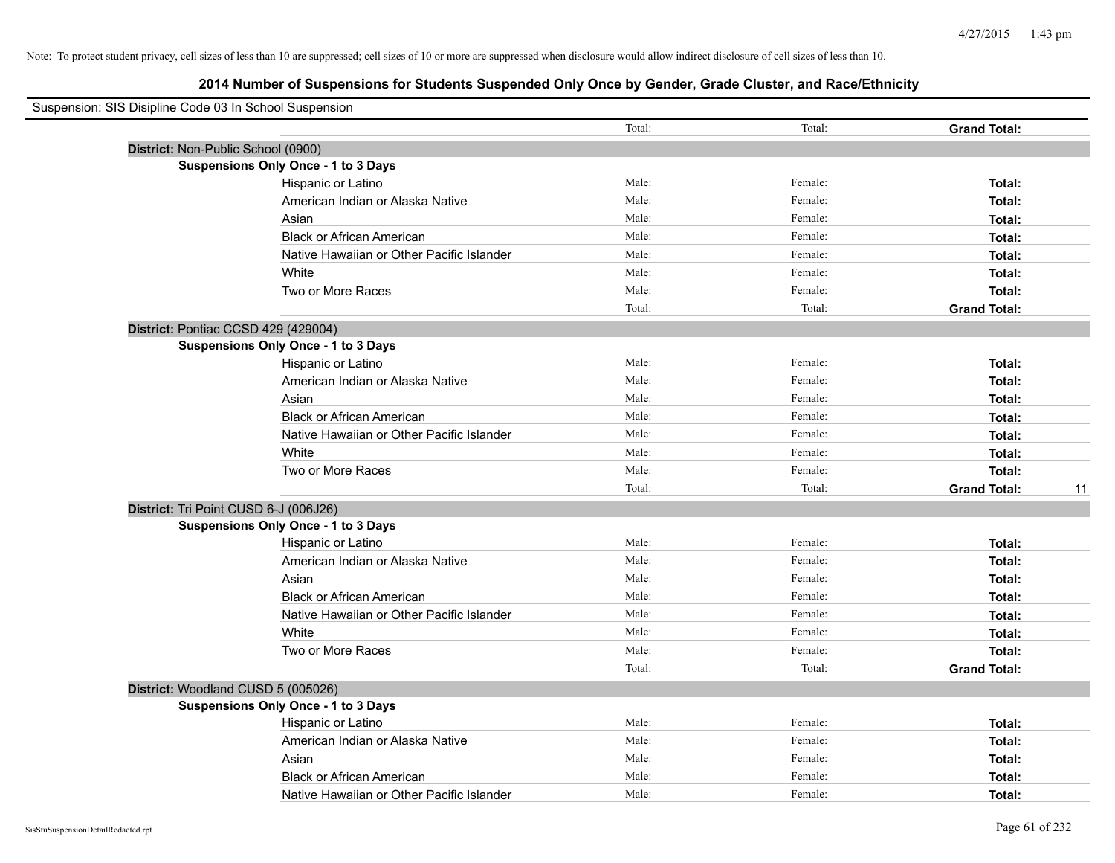| Suspension: SIS Disipline Code 03 In School Suspension |                                            |        |         |                           |
|--------------------------------------------------------|--------------------------------------------|--------|---------|---------------------------|
|                                                        |                                            | Total: | Total:  | <b>Grand Total:</b>       |
| District: Non-Public School (0900)                     |                                            |        |         |                           |
|                                                        | <b>Suspensions Only Once - 1 to 3 Days</b> |        |         |                           |
|                                                        | Hispanic or Latino                         | Male:  | Female: | Total:                    |
|                                                        | American Indian or Alaska Native           | Male:  | Female: | Total:                    |
|                                                        | Asian                                      | Male:  | Female: | Total:                    |
|                                                        | <b>Black or African American</b>           | Male:  | Female: | Total:                    |
|                                                        | Native Hawaiian or Other Pacific Islander  | Male:  | Female: | Total:                    |
|                                                        | White                                      | Male:  | Female: | Total:                    |
|                                                        | Two or More Races                          | Male:  | Female: | Total:                    |
|                                                        |                                            | Total: | Total:  | <b>Grand Total:</b>       |
| District: Pontiac CCSD 429 (429004)                    |                                            |        |         |                           |
|                                                        | <b>Suspensions Only Once - 1 to 3 Days</b> |        |         |                           |
|                                                        | Hispanic or Latino                         | Male:  | Female: | Total:                    |
|                                                        | American Indian or Alaska Native           | Male:  | Female: | Total:                    |
|                                                        | Asian                                      | Male:  | Female: | Total:                    |
|                                                        | <b>Black or African American</b>           | Male:  | Female: | Total:                    |
|                                                        | Native Hawaiian or Other Pacific Islander  | Male:  | Female: | Total:                    |
|                                                        | White                                      | Male:  | Female: | Total:                    |
|                                                        | Two or More Races                          | Male:  | Female: | Total:                    |
|                                                        |                                            | Total: | Total:  | <b>Grand Total:</b><br>11 |
| District: Tri Point CUSD 6-J (006J26)                  |                                            |        |         |                           |
|                                                        | <b>Suspensions Only Once - 1 to 3 Days</b> |        |         |                           |
|                                                        | Hispanic or Latino                         | Male:  | Female: | Total:                    |
|                                                        | American Indian or Alaska Native           | Male:  | Female: | Total:                    |
|                                                        | Asian                                      | Male:  | Female: | Total:                    |
|                                                        | <b>Black or African American</b>           | Male:  | Female: | Total:                    |
|                                                        | Native Hawaiian or Other Pacific Islander  | Male:  | Female: | Total:                    |
|                                                        | White                                      | Male:  | Female: | Total:                    |
|                                                        | Two or More Races                          | Male:  | Female: | Total:                    |
|                                                        |                                            | Total: | Total:  | <b>Grand Total:</b>       |
| District: Woodland CUSD 5 (005026)                     |                                            |        |         |                           |
|                                                        | Suspensions Only Once - 1 to 3 Days        |        |         |                           |
|                                                        | Hispanic or Latino                         | Male:  | Female: | Total:                    |
|                                                        | American Indian or Alaska Native           | Male:  | Female: | Total:                    |
|                                                        | Asian                                      | Male:  | Female: | Total:                    |
|                                                        | <b>Black or African American</b>           | Male:  | Female: | Total:                    |
|                                                        | Native Hawaiian or Other Pacific Islander  | Male:  | Female: | Total:                    |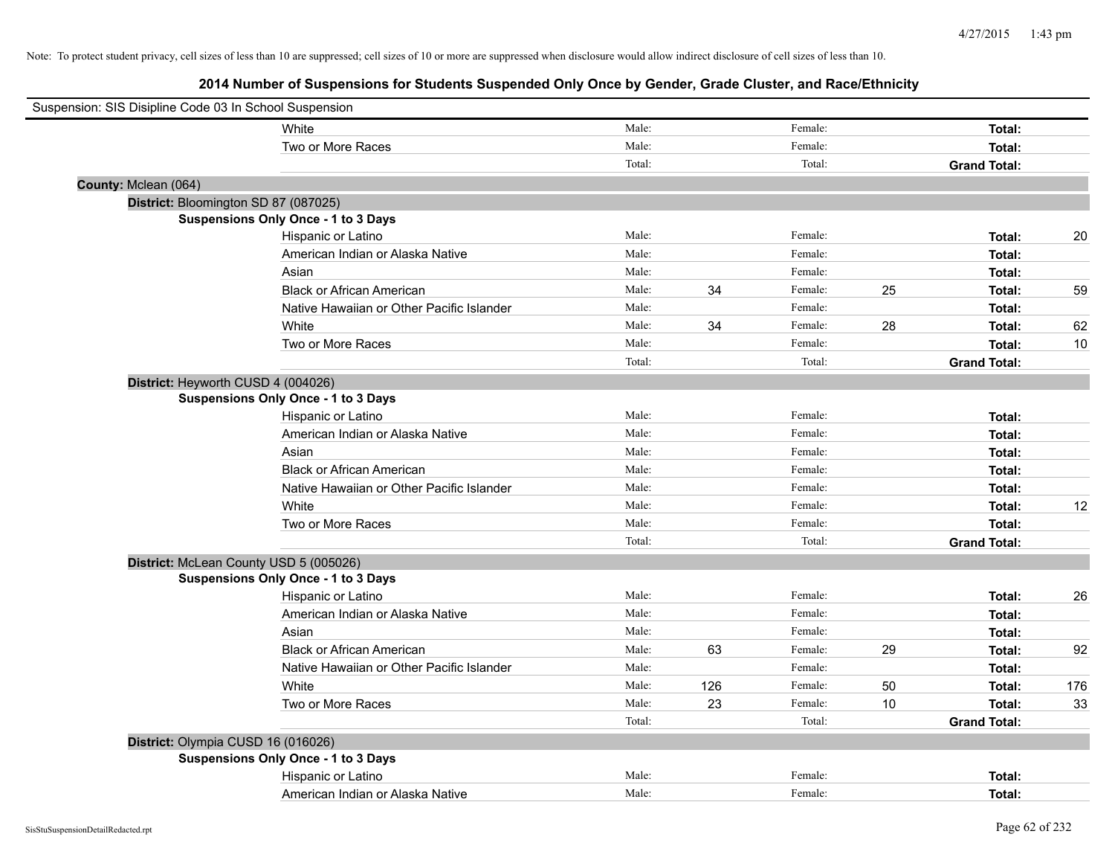| Suspension: SIS Disipline Code 03 In School Suspension |                                           |        |     |         |    |                     |     |
|--------------------------------------------------------|-------------------------------------------|--------|-----|---------|----|---------------------|-----|
|                                                        | White                                     | Male:  |     | Female: |    | Total:              |     |
|                                                        | Two or More Races                         | Male:  |     | Female: |    | Total:              |     |
|                                                        |                                           | Total: |     | Total:  |    | <b>Grand Total:</b> |     |
| County: Mclean (064)                                   |                                           |        |     |         |    |                     |     |
|                                                        | District: Bloomington SD 87 (087025)      |        |     |         |    |                     |     |
|                                                        | Suspensions Only Once - 1 to 3 Days       |        |     |         |    |                     |     |
|                                                        | Hispanic or Latino                        | Male:  |     | Female: |    | Total:              | 20  |
|                                                        | American Indian or Alaska Native          | Male:  |     | Female: |    | Total:              |     |
|                                                        | Asian                                     | Male:  |     | Female: |    | Total:              |     |
|                                                        | <b>Black or African American</b>          | Male:  | 34  | Female: | 25 | Total:              | 59  |
|                                                        | Native Hawaiian or Other Pacific Islander | Male:  |     | Female: |    | Total:              |     |
|                                                        | White                                     | Male:  | 34  | Female: | 28 | Total:              | 62  |
|                                                        | Two or More Races                         | Male:  |     | Female: |    | Total:              | 10  |
|                                                        |                                           | Total: |     | Total:  |    | <b>Grand Total:</b> |     |
|                                                        | District: Heyworth CUSD 4 (004026)        |        |     |         |    |                     |     |
|                                                        | Suspensions Only Once - 1 to 3 Days       |        |     |         |    |                     |     |
|                                                        | Hispanic or Latino                        | Male:  |     | Female: |    | Total:              |     |
|                                                        | American Indian or Alaska Native          | Male:  |     | Female: |    | Total:              |     |
|                                                        | Asian                                     | Male:  |     | Female: |    | Total:              |     |
|                                                        | <b>Black or African American</b>          | Male:  |     | Female: |    | Total:              |     |
|                                                        | Native Hawaiian or Other Pacific Islander | Male:  |     | Female: |    | Total:              |     |
|                                                        | White                                     | Male:  |     | Female: |    | Total:              | 12  |
|                                                        | Two or More Races                         | Male:  |     | Female: |    | Total:              |     |
|                                                        |                                           | Total: |     | Total:  |    | <b>Grand Total:</b> |     |
|                                                        | District: McLean County USD 5 (005026)    |        |     |         |    |                     |     |
|                                                        | Suspensions Only Once - 1 to 3 Days       |        |     |         |    |                     |     |
|                                                        | Hispanic or Latino                        | Male:  |     | Female: |    | Total:              | 26  |
|                                                        | American Indian or Alaska Native          | Male:  |     | Female: |    | Total:              |     |
|                                                        | Asian                                     | Male:  |     | Female: |    | Total:              |     |
|                                                        | <b>Black or African American</b>          | Male:  | 63  | Female: | 29 | Total:              | 92  |
|                                                        | Native Hawaiian or Other Pacific Islander | Male:  |     | Female: |    | Total:              |     |
|                                                        | White                                     | Male:  | 126 | Female: | 50 | Total:              | 176 |
|                                                        | Two or More Races                         | Male:  | 23  | Female: | 10 | Total:              | 33  |
|                                                        |                                           | Total: |     | Total:  |    | <b>Grand Total:</b> |     |
|                                                        | District: Olympia CUSD 16 (016026)        |        |     |         |    |                     |     |
|                                                        | Suspensions Only Once - 1 to 3 Days       |        |     |         |    |                     |     |
|                                                        | Hispanic or Latino                        | Male:  |     | Female: |    | Total:              |     |
|                                                        | American Indian or Alaska Native          | Male:  |     | Female: |    | Total:              |     |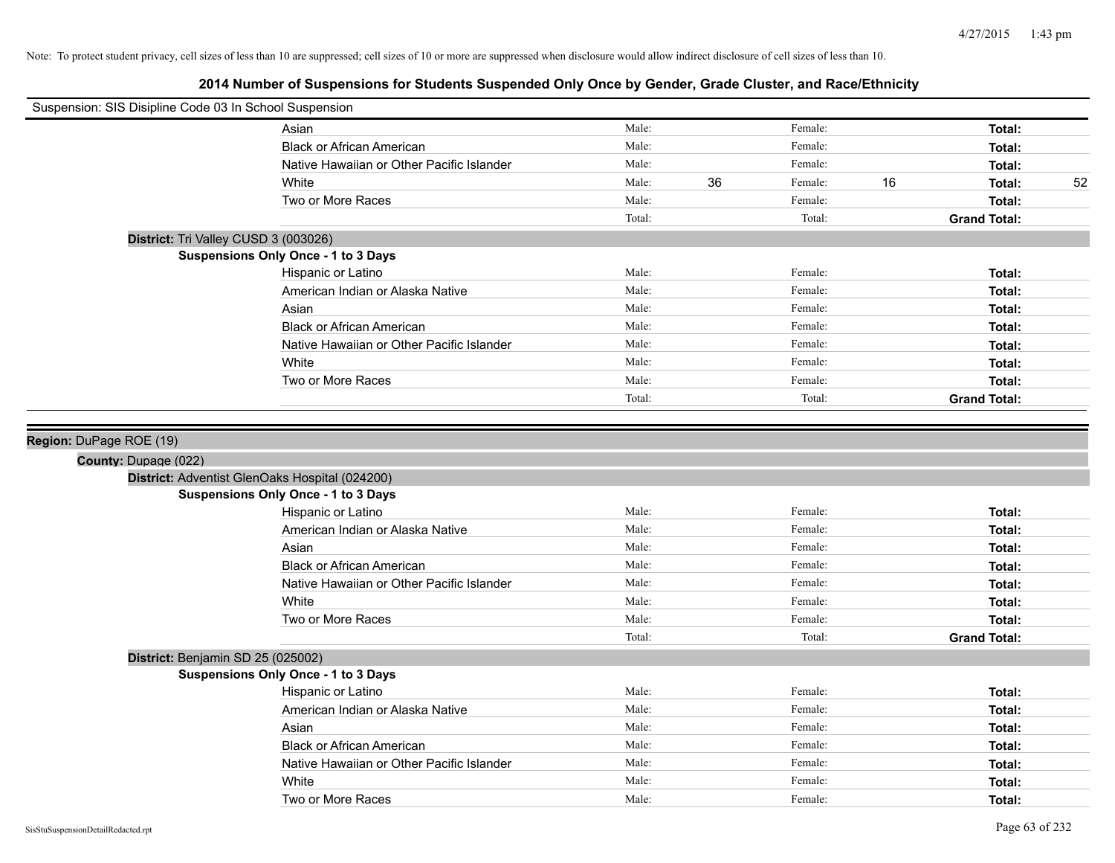| Suspension: SIS Disipline Code 03 In School Suspension |                                                |        |    |         |    |                     |    |
|--------------------------------------------------------|------------------------------------------------|--------|----|---------|----|---------------------|----|
|                                                        | Asian                                          | Male:  |    | Female: |    | Total:              |    |
|                                                        | <b>Black or African American</b>               | Male:  |    | Female: |    | Total:              |    |
|                                                        | Native Hawaiian or Other Pacific Islander      | Male:  |    | Female: |    | Total:              |    |
|                                                        | White                                          | Male:  | 36 | Female: | 16 | Total:              | 52 |
|                                                        | Two or More Races                              | Male:  |    | Female: |    | Total:              |    |
|                                                        |                                                | Total: |    | Total:  |    | <b>Grand Total:</b> |    |
| District: Tri Valley CUSD 3 (003026)                   |                                                |        |    |         |    |                     |    |
|                                                        | Suspensions Only Once - 1 to 3 Days            |        |    |         |    |                     |    |
|                                                        | Hispanic or Latino                             | Male:  |    | Female: |    | Total:              |    |
|                                                        | American Indian or Alaska Native               | Male:  |    | Female: |    | Total:              |    |
|                                                        | Asian                                          | Male:  |    | Female: |    | Total:              |    |
|                                                        | <b>Black or African American</b>               | Male:  |    | Female: |    | Total:              |    |
|                                                        | Native Hawaiian or Other Pacific Islander      | Male:  |    | Female: |    | Total:              |    |
|                                                        | White                                          | Male:  |    | Female: |    | Total:              |    |
|                                                        | Two or More Races                              | Male:  |    | Female: |    | Total:              |    |
|                                                        |                                                | Total: |    | Total:  |    | <b>Grand Total:</b> |    |
| Region: DuPage ROE (19)<br>County: Dupage (022)        | District: Adventist GlenOaks Hospital (024200) |        |    |         |    |                     |    |
|                                                        | Suspensions Only Once - 1 to 3 Days            |        |    |         |    |                     |    |
|                                                        | Hispanic or Latino                             | Male:  |    | Female: |    | Total:              |    |
|                                                        | American Indian or Alaska Native               | Male:  |    | Female: |    | Total:              |    |
|                                                        | Asian                                          | Male:  |    | Female: |    | Total:              |    |
|                                                        | <b>Black or African American</b>               | Male:  |    | Female: |    | Total:              |    |
|                                                        | Native Hawaiian or Other Pacific Islander      | Male:  |    | Female: |    | Total:              |    |
|                                                        | White                                          | Male:  |    | Female: |    | Total:              |    |
|                                                        | Two or More Races                              | Male:  |    | Female: |    | Total:              |    |
|                                                        |                                                | Total: |    | Total:  |    | <b>Grand Total:</b> |    |
| District: Benjamin SD 25 (025002)                      |                                                |        |    |         |    |                     |    |
|                                                        | Suspensions Only Once - 1 to 3 Days            |        |    |         |    |                     |    |
|                                                        | Hispanic or Latino                             | Male:  |    | Female: |    | Total:              |    |
|                                                        | American Indian or Alaska Native               | Male:  |    | Female: |    | Total:              |    |
|                                                        | Asian                                          | Male:  |    | Female: |    | Total:              |    |
|                                                        | <b>Black or African American</b>               | Male:  |    | Female: |    | Total:              |    |
|                                                        | Native Hawaiian or Other Pacific Islander      | Male:  |    | Female: |    | Total:              |    |
|                                                        | White                                          | Male:  |    | Female: |    | Total:              |    |
|                                                        | Two or More Races                              | Male:  |    | Female: |    | Total:              |    |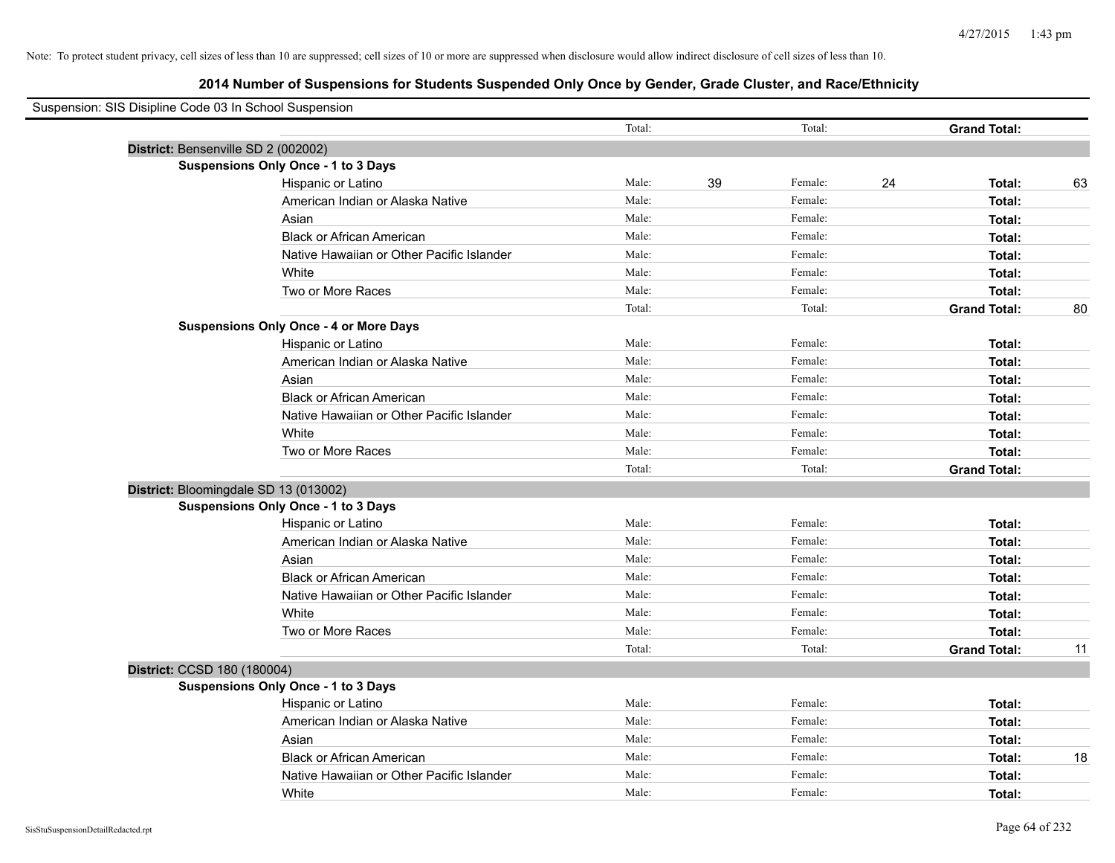| Suspension: SIS Disipline Code 03 In School Suspension |                                               |        |    |         |    |                     |    |
|--------------------------------------------------------|-----------------------------------------------|--------|----|---------|----|---------------------|----|
|                                                        |                                               | Total: |    | Total:  |    | <b>Grand Total:</b> |    |
| District: Bensenville SD 2 (002002)                    |                                               |        |    |         |    |                     |    |
|                                                        | <b>Suspensions Only Once - 1 to 3 Days</b>    |        |    |         |    |                     |    |
|                                                        | Hispanic or Latino                            | Male:  | 39 | Female: | 24 | Total:              | 63 |
|                                                        | American Indian or Alaska Native              | Male:  |    | Female: |    | Total:              |    |
|                                                        | Asian                                         | Male:  |    | Female: |    | Total:              |    |
|                                                        | <b>Black or African American</b>              | Male:  |    | Female: |    | Total:              |    |
|                                                        | Native Hawaiian or Other Pacific Islander     | Male:  |    | Female: |    | Total:              |    |
|                                                        | White                                         | Male:  |    | Female: |    | Total:              |    |
|                                                        | Two or More Races                             | Male:  |    | Female: |    | Total:              |    |
|                                                        |                                               | Total: |    | Total:  |    | <b>Grand Total:</b> | 80 |
|                                                        | <b>Suspensions Only Once - 4 or More Days</b> |        |    |         |    |                     |    |
|                                                        | Hispanic or Latino                            | Male:  |    | Female: |    | Total:              |    |
|                                                        | American Indian or Alaska Native              | Male:  |    | Female: |    | Total:              |    |
|                                                        | Asian                                         | Male:  |    | Female: |    | Total:              |    |
|                                                        | <b>Black or African American</b>              | Male:  |    | Female: |    | Total:              |    |
|                                                        | Native Hawaiian or Other Pacific Islander     | Male:  |    | Female: |    | Total:              |    |
|                                                        | White                                         | Male:  |    | Female: |    | Total:              |    |
|                                                        | Two or More Races                             | Male:  |    | Female: |    | Total:              |    |
|                                                        |                                               | Total: |    | Total:  |    | <b>Grand Total:</b> |    |
|                                                        | District: Bloomingdale SD 13 (013002)         |        |    |         |    |                     |    |
|                                                        | <b>Suspensions Only Once - 1 to 3 Days</b>    |        |    |         |    |                     |    |
|                                                        | Hispanic or Latino                            | Male:  |    | Female: |    | Total:              |    |
|                                                        | American Indian or Alaska Native              | Male:  |    | Female: |    | Total:              |    |
|                                                        | Asian                                         | Male:  |    | Female: |    | Total:              |    |
|                                                        | <b>Black or African American</b>              | Male:  |    | Female: |    | Total:              |    |
|                                                        | Native Hawaiian or Other Pacific Islander     | Male:  |    | Female: |    | Total:              |    |
|                                                        | White                                         | Male:  |    | Female: |    | Total:              |    |
|                                                        | Two or More Races                             | Male:  |    | Female: |    | Total:              |    |
|                                                        |                                               | Total: |    | Total:  |    | <b>Grand Total:</b> | 11 |
| District: CCSD 180 (180004)                            |                                               |        |    |         |    |                     |    |
|                                                        | <b>Suspensions Only Once - 1 to 3 Days</b>    |        |    |         |    |                     |    |
|                                                        | Hispanic or Latino                            | Male:  |    | Female: |    | Total:              |    |
|                                                        | American Indian or Alaska Native              | Male:  |    | Female: |    | Total:              |    |
|                                                        | Asian                                         | Male:  |    | Female: |    | Total:              |    |
|                                                        | <b>Black or African American</b>              | Male:  |    | Female: |    | Total:              | 18 |
|                                                        | Native Hawaiian or Other Pacific Islander     | Male:  |    | Female: |    | Total:              |    |
|                                                        | White                                         | Male:  |    | Female: |    | Total:              |    |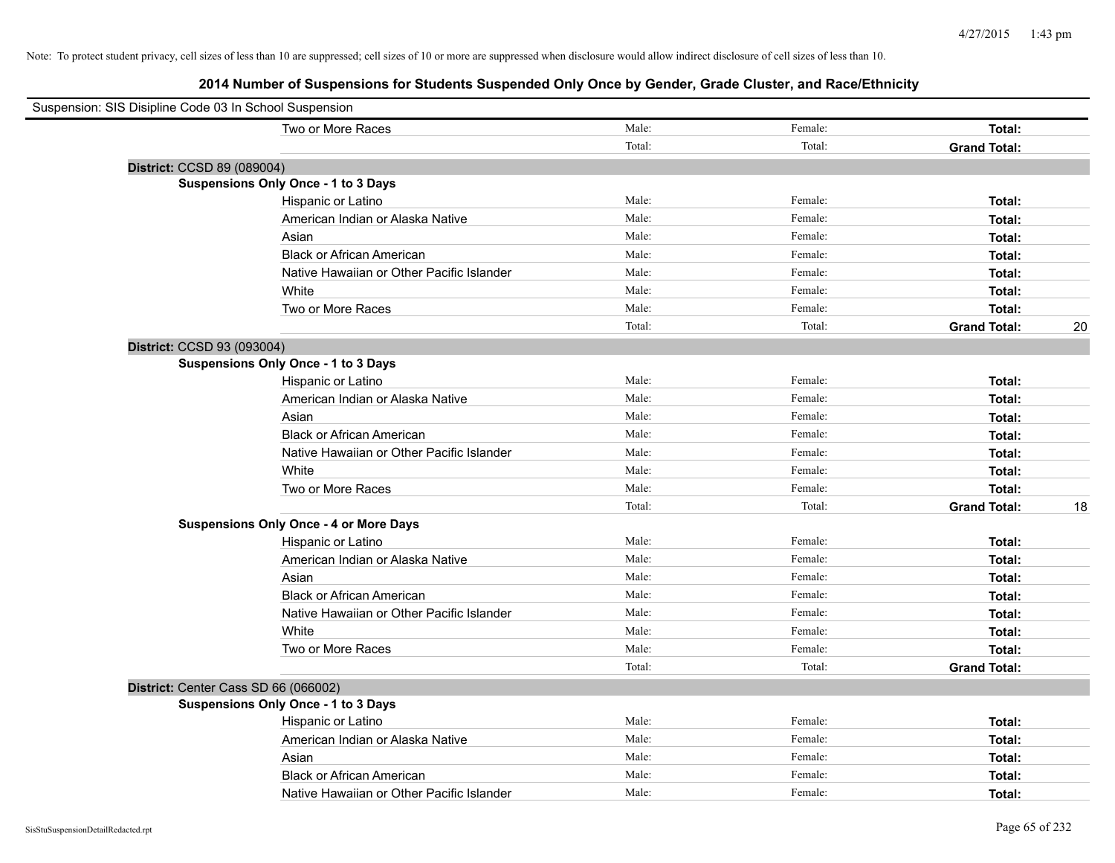| Suspension: SIS Disipline Code 03 In School Suspension |                                               |        |         |                     |    |
|--------------------------------------------------------|-----------------------------------------------|--------|---------|---------------------|----|
|                                                        | Two or More Races                             | Male:  | Female: | Total:              |    |
|                                                        |                                               | Total: | Total:  | <b>Grand Total:</b> |    |
| District: CCSD 89 (089004)                             |                                               |        |         |                     |    |
|                                                        | Suspensions Only Once - 1 to 3 Days           |        |         |                     |    |
|                                                        | Hispanic or Latino                            | Male:  | Female: | Total:              |    |
|                                                        | American Indian or Alaska Native              | Male:  | Female: | Total:              |    |
|                                                        | Asian                                         | Male:  | Female: | Total:              |    |
|                                                        | <b>Black or African American</b>              | Male:  | Female: | Total:              |    |
|                                                        | Native Hawaiian or Other Pacific Islander     | Male:  | Female: | Total:              |    |
|                                                        | White                                         | Male:  | Female: | Total:              |    |
|                                                        | Two or More Races                             | Male:  | Female: | Total:              |    |
|                                                        |                                               | Total: | Total:  | <b>Grand Total:</b> | 20 |
| District: CCSD 93 (093004)                             |                                               |        |         |                     |    |
|                                                        | <b>Suspensions Only Once - 1 to 3 Days</b>    |        |         |                     |    |
|                                                        | Hispanic or Latino                            | Male:  | Female: | Total:              |    |
|                                                        | American Indian or Alaska Native              | Male:  | Female: | Total:              |    |
|                                                        | Asian                                         | Male:  | Female: | Total:              |    |
|                                                        | <b>Black or African American</b>              | Male:  | Female: | Total:              |    |
|                                                        | Native Hawaiian or Other Pacific Islander     | Male:  | Female: | Total:              |    |
|                                                        | White                                         | Male:  | Female: | Total:              |    |
|                                                        | Two or More Races                             | Male:  | Female: | Total:              |    |
|                                                        |                                               | Total: | Total:  | <b>Grand Total:</b> | 18 |
|                                                        | <b>Suspensions Only Once - 4 or More Days</b> |        |         |                     |    |
|                                                        | Hispanic or Latino                            | Male:  | Female: | Total:              |    |
|                                                        | American Indian or Alaska Native              | Male:  | Female: | Total:              |    |
|                                                        | Asian                                         | Male:  | Female: | Total:              |    |
|                                                        | <b>Black or African American</b>              | Male:  | Female: | Total:              |    |
|                                                        | Native Hawaiian or Other Pacific Islander     | Male:  | Female: | Total:              |    |
|                                                        | White                                         | Male:  | Female: | Total:              |    |
|                                                        | Two or More Races                             | Male:  | Female: | <b>Total:</b>       |    |
|                                                        |                                               | Total: | Total:  | <b>Grand Total:</b> |    |
| District: Center Cass SD 66 (066002)                   |                                               |        |         |                     |    |
|                                                        | <b>Suspensions Only Once - 1 to 3 Days</b>    |        |         |                     |    |
|                                                        | Hispanic or Latino                            | Male:  | Female: | Total:              |    |
|                                                        | American Indian or Alaska Native              | Male:  | Female: | Total:              |    |
|                                                        | Asian                                         | Male:  | Female: | Total:              |    |
|                                                        | <b>Black or African American</b>              | Male:  | Female: | Total:              |    |
|                                                        | Native Hawaiian or Other Pacific Islander     | Male:  | Female: | Total:              |    |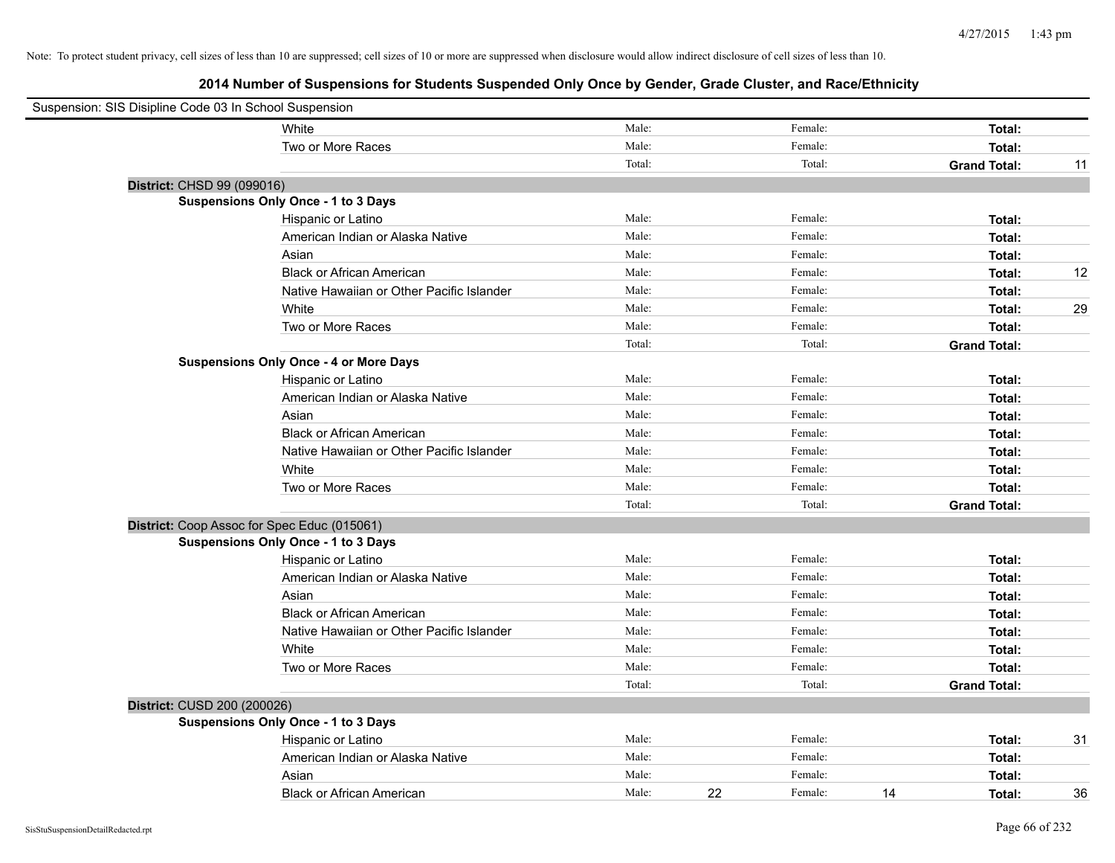| Suspension: SIS Disipline Code 03 In School Suspension |                                               |        |    |         |                     |    |
|--------------------------------------------------------|-----------------------------------------------|--------|----|---------|---------------------|----|
|                                                        | White                                         | Male:  |    | Female: | Total:              |    |
|                                                        | Two or More Races                             | Male:  |    | Female: | Total:              |    |
|                                                        |                                               | Total: |    | Total:  | <b>Grand Total:</b> | 11 |
| District: CHSD 99 (099016)                             |                                               |        |    |         |                     |    |
|                                                        | Suspensions Only Once - 1 to 3 Days           |        |    |         |                     |    |
|                                                        | Hispanic or Latino                            | Male:  |    | Female: | Total:              |    |
|                                                        | American Indian or Alaska Native              | Male:  |    | Female: | Total:              |    |
|                                                        | Asian                                         | Male:  |    | Female: | Total:              |    |
|                                                        | <b>Black or African American</b>              | Male:  |    | Female: | Total:              | 12 |
|                                                        | Native Hawaiian or Other Pacific Islander     | Male:  |    | Female: | Total:              |    |
|                                                        | White                                         | Male:  |    | Female: | Total:              | 29 |
|                                                        | Two or More Races                             | Male:  |    | Female: | Total:              |    |
|                                                        |                                               | Total: |    | Total:  | <b>Grand Total:</b> |    |
|                                                        | <b>Suspensions Only Once - 4 or More Days</b> |        |    |         |                     |    |
|                                                        | Hispanic or Latino                            | Male:  |    | Female: | Total:              |    |
|                                                        | American Indian or Alaska Native              | Male:  |    | Female: | Total:              |    |
|                                                        | Asian                                         | Male:  |    | Female: | Total:              |    |
|                                                        | <b>Black or African American</b>              | Male:  |    | Female: | Total:              |    |
|                                                        | Native Hawaiian or Other Pacific Islander     | Male:  |    | Female: | Total:              |    |
|                                                        | White                                         | Male:  |    | Female: | Total:              |    |
|                                                        | Two or More Races                             | Male:  |    | Female: | Total:              |    |
|                                                        |                                               | Total: |    | Total:  | <b>Grand Total:</b> |    |
|                                                        | District: Coop Assoc for Spec Educ (015061)   |        |    |         |                     |    |
|                                                        | Suspensions Only Once - 1 to 3 Days           |        |    |         |                     |    |
|                                                        | Hispanic or Latino                            | Male:  |    | Female: | Total:              |    |
|                                                        | American Indian or Alaska Native              | Male:  |    | Female: | Total:              |    |
|                                                        | Asian                                         | Male:  |    | Female: | Total:              |    |
|                                                        | <b>Black or African American</b>              | Male:  |    | Female: | Total:              |    |
|                                                        | Native Hawaiian or Other Pacific Islander     | Male:  |    | Female: | Total:              |    |
|                                                        | White                                         | Male:  |    | Female: | Total:              |    |
|                                                        | Two or More Races                             | Male:  |    | Female: | Total:              |    |
|                                                        |                                               | Total: |    | Total:  | <b>Grand Total:</b> |    |
| District: CUSD 200 (200026)                            |                                               |        |    |         |                     |    |
|                                                        | <b>Suspensions Only Once - 1 to 3 Days</b>    |        |    |         |                     |    |
|                                                        | Hispanic or Latino                            | Male:  |    | Female: | Total:              | 31 |
|                                                        | American Indian or Alaska Native              | Male:  |    | Female: | Total:              |    |
|                                                        | Asian                                         | Male:  |    | Female: | Total:              |    |
|                                                        | <b>Black or African American</b>              | Male:  | 22 | Female: | 14<br>Total:        | 36 |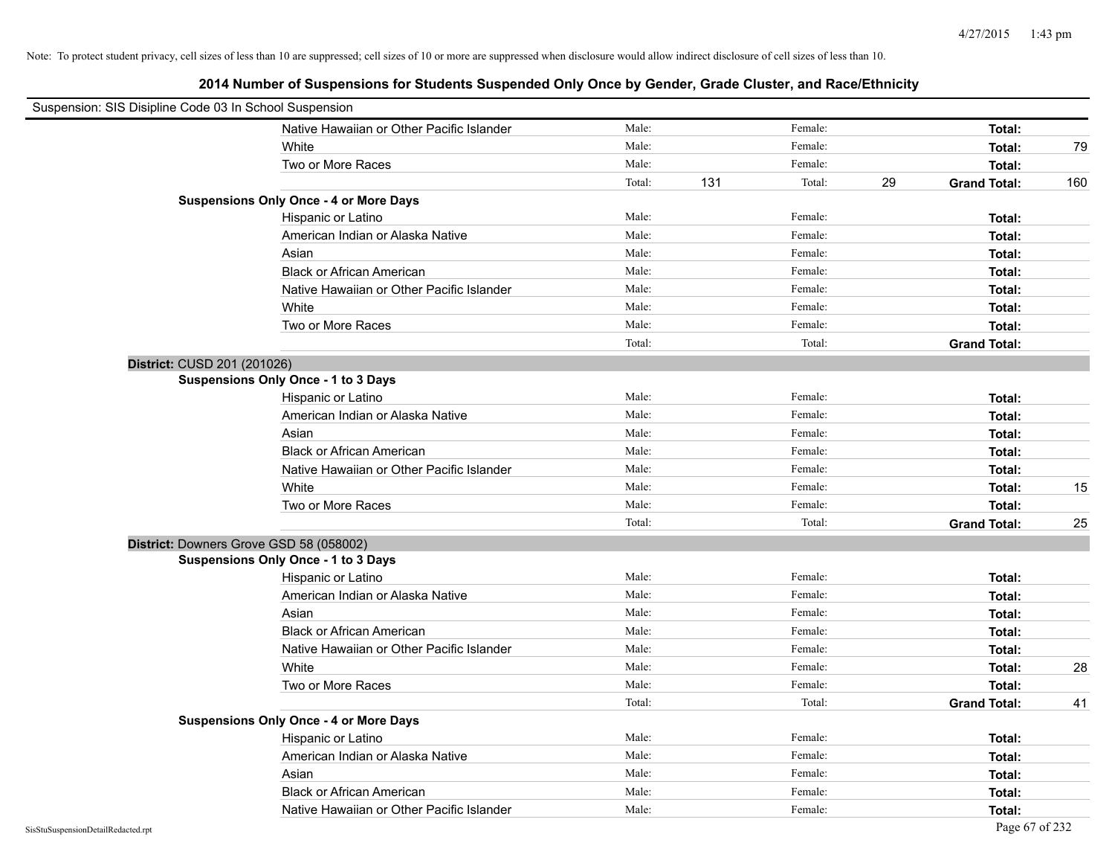| Suspension: SIS Disipline Code 03 In School Suspension |                                               |        |     |         |    |                     |     |
|--------------------------------------------------------|-----------------------------------------------|--------|-----|---------|----|---------------------|-----|
|                                                        | Native Hawaiian or Other Pacific Islander     | Male:  |     | Female: |    | Total:              |     |
|                                                        | White                                         | Male:  |     | Female: |    | Total:              | 79  |
|                                                        | Two or More Races                             | Male:  |     | Female: |    | Total:              |     |
|                                                        |                                               | Total: | 131 | Total:  | 29 | <b>Grand Total:</b> | 160 |
|                                                        | <b>Suspensions Only Once - 4 or More Days</b> |        |     |         |    |                     |     |
|                                                        | Hispanic or Latino                            | Male:  |     | Female: |    | Total:              |     |
|                                                        | American Indian or Alaska Native              | Male:  |     | Female: |    | Total:              |     |
|                                                        | Asian                                         | Male:  |     | Female: |    | Total:              |     |
|                                                        | <b>Black or African American</b>              | Male:  |     | Female: |    | Total:              |     |
|                                                        | Native Hawaiian or Other Pacific Islander     | Male:  |     | Female: |    | Total:              |     |
|                                                        | White                                         | Male:  |     | Female: |    | Total:              |     |
|                                                        | Two or More Races                             | Male:  |     | Female: |    | Total:              |     |
|                                                        |                                               | Total: |     | Total:  |    | <b>Grand Total:</b> |     |
| District: CUSD 201 (201026)                            |                                               |        |     |         |    |                     |     |
|                                                        | <b>Suspensions Only Once - 1 to 3 Days</b>    |        |     |         |    |                     |     |
|                                                        | Hispanic or Latino                            | Male:  |     | Female: |    | Total:              |     |
|                                                        | American Indian or Alaska Native              | Male:  |     | Female: |    | Total:              |     |
|                                                        | Asian                                         | Male:  |     | Female: |    | Total:              |     |
|                                                        | <b>Black or African American</b>              | Male:  |     | Female: |    | Total:              |     |
|                                                        | Native Hawaiian or Other Pacific Islander     | Male:  |     | Female: |    | Total:              |     |
|                                                        | White                                         | Male:  |     | Female: |    | Total:              | 15  |
|                                                        | Two or More Races                             | Male:  |     | Female: |    | Total:              |     |
|                                                        |                                               | Total: |     | Total:  |    | <b>Grand Total:</b> | 25  |
| District: Downers Grove GSD 58 (058002)                |                                               |        |     |         |    |                     |     |
|                                                        | Suspensions Only Once - 1 to 3 Days           |        |     |         |    |                     |     |
|                                                        | Hispanic or Latino                            | Male:  |     | Female: |    | Total:              |     |
|                                                        | American Indian or Alaska Native              | Male:  |     | Female: |    | Total:              |     |
|                                                        | Asian                                         | Male:  |     | Female: |    | Total:              |     |
|                                                        | <b>Black or African American</b>              | Male:  |     | Female: |    | Total:              |     |
|                                                        | Native Hawaiian or Other Pacific Islander     | Male:  |     | Female: |    | Total:              |     |
|                                                        | White                                         | Male:  |     | Female: |    | Total:              | 28  |
|                                                        | Two or More Races                             | Male:  |     | Female: |    | Total:              |     |
|                                                        |                                               | Total: |     | Total:  |    | <b>Grand Total:</b> | 41  |
|                                                        | <b>Suspensions Only Once - 4 or More Days</b> |        |     |         |    |                     |     |
|                                                        | Hispanic or Latino                            | Male:  |     | Female: |    | Total:              |     |
|                                                        | American Indian or Alaska Native              | Male:  |     | Female: |    | Total:              |     |
|                                                        | Asian                                         | Male:  |     | Female: |    | Total:              |     |
|                                                        | <b>Black or African American</b>              | Male:  |     | Female: |    | Total:              |     |
|                                                        | Native Hawaiian or Other Pacific Islander     | Male:  |     | Female: |    | Total:              |     |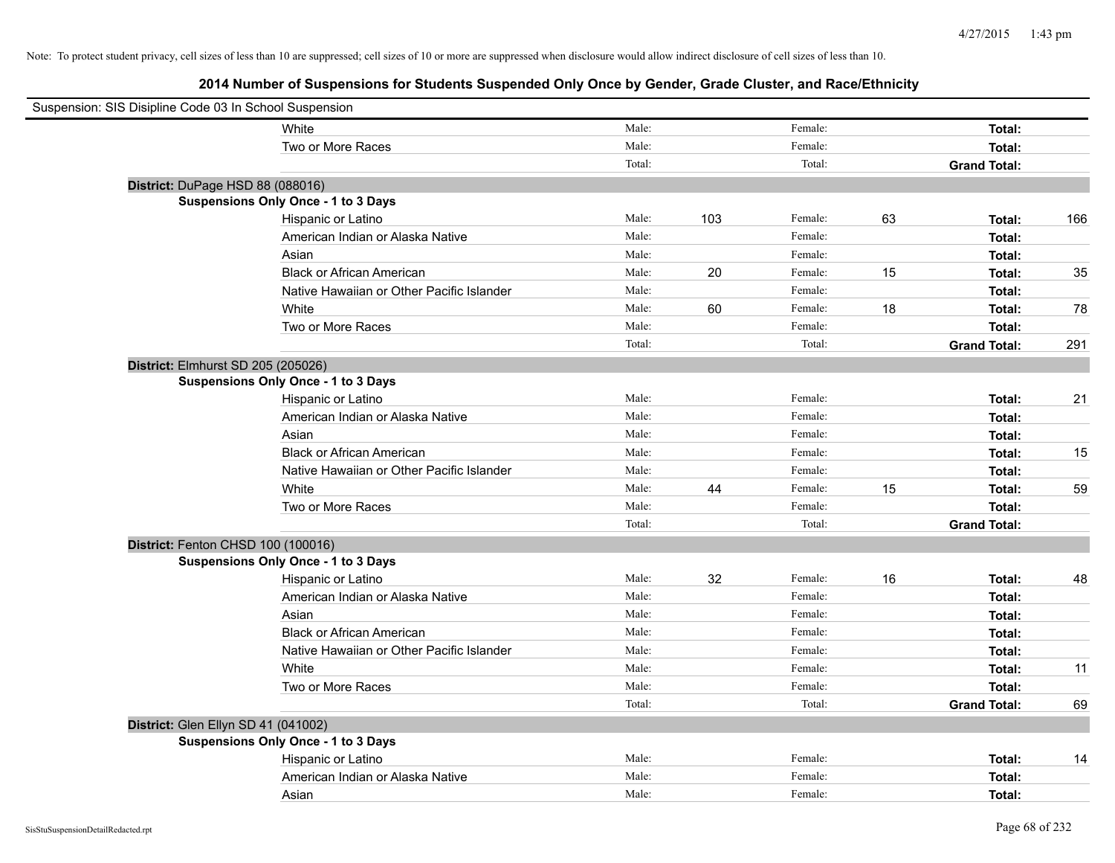| Suspension: SIS Disipline Code 03 In School Suspension |                                            |        |     |         |    |                     |     |
|--------------------------------------------------------|--------------------------------------------|--------|-----|---------|----|---------------------|-----|
|                                                        | White                                      | Male:  |     | Female: |    | Total:              |     |
|                                                        | Two or More Races                          | Male:  |     | Female: |    | Total:              |     |
|                                                        |                                            | Total: |     | Total:  |    | <b>Grand Total:</b> |     |
| District: DuPage HSD 88 (088016)                       |                                            |        |     |         |    |                     |     |
|                                                        | <b>Suspensions Only Once - 1 to 3 Days</b> |        |     |         |    |                     |     |
|                                                        | Hispanic or Latino                         | Male:  | 103 | Female: | 63 | Total:              | 166 |
|                                                        | American Indian or Alaska Native           | Male:  |     | Female: |    | Total:              |     |
|                                                        | Asian                                      | Male:  |     | Female: |    | Total:              |     |
|                                                        | <b>Black or African American</b>           | Male:  | 20  | Female: | 15 | Total:              | 35  |
|                                                        | Native Hawaiian or Other Pacific Islander  | Male:  |     | Female: |    | Total:              |     |
|                                                        | White                                      | Male:  | 60  | Female: | 18 | Total:              | 78  |
|                                                        | Two or More Races                          | Male:  |     | Female: |    | Total:              |     |
|                                                        |                                            | Total: |     | Total:  |    | <b>Grand Total:</b> | 291 |
| District: Elmhurst SD 205 (205026)                     |                                            |        |     |         |    |                     |     |
|                                                        | <b>Suspensions Only Once - 1 to 3 Days</b> |        |     |         |    |                     |     |
|                                                        | Hispanic or Latino                         | Male:  |     | Female: |    | Total:              | 21  |
|                                                        | American Indian or Alaska Native           | Male:  |     | Female: |    | Total:              |     |
|                                                        | Asian                                      | Male:  |     | Female: |    | Total:              |     |
|                                                        | <b>Black or African American</b>           | Male:  |     | Female: |    | Total:              | 15  |
|                                                        | Native Hawaiian or Other Pacific Islander  | Male:  |     | Female: |    | Total:              |     |
|                                                        | White                                      | Male:  | 44  | Female: | 15 | Total:              | 59  |
|                                                        | Two or More Races                          | Male:  |     | Female: |    | Total:              |     |
|                                                        |                                            | Total: |     | Total:  |    | <b>Grand Total:</b> |     |
| District: Fenton CHSD 100 (100016)                     |                                            |        |     |         |    |                     |     |
|                                                        | <b>Suspensions Only Once - 1 to 3 Days</b> |        |     |         |    |                     |     |
|                                                        | Hispanic or Latino                         | Male:  | 32  | Female: | 16 | Total:              | 48  |
|                                                        | American Indian or Alaska Native           | Male:  |     | Female: |    | Total:              |     |
|                                                        | Asian                                      | Male:  |     | Female: |    | Total:              |     |
|                                                        | <b>Black or African American</b>           | Male:  |     | Female: |    | Total:              |     |
|                                                        | Native Hawaiian or Other Pacific Islander  | Male:  |     | Female: |    | Total:              |     |
|                                                        | White                                      | Male:  |     | Female: |    | Total:              | 11  |
|                                                        | Two or More Races                          | Male:  |     | Female: |    | Total:              |     |
|                                                        |                                            | Total: |     | Total:  |    | <b>Grand Total:</b> | 69  |
| District: Glen Ellyn SD 41 (041002)                    |                                            |        |     |         |    |                     |     |
|                                                        | <b>Suspensions Only Once - 1 to 3 Days</b> |        |     |         |    |                     |     |
|                                                        | Hispanic or Latino                         | Male:  |     | Female: |    | Total:              | 14  |
|                                                        | American Indian or Alaska Native           | Male:  |     | Female: |    | Total:              |     |
|                                                        | Asian                                      | Male:  |     | Female: |    | Total:              |     |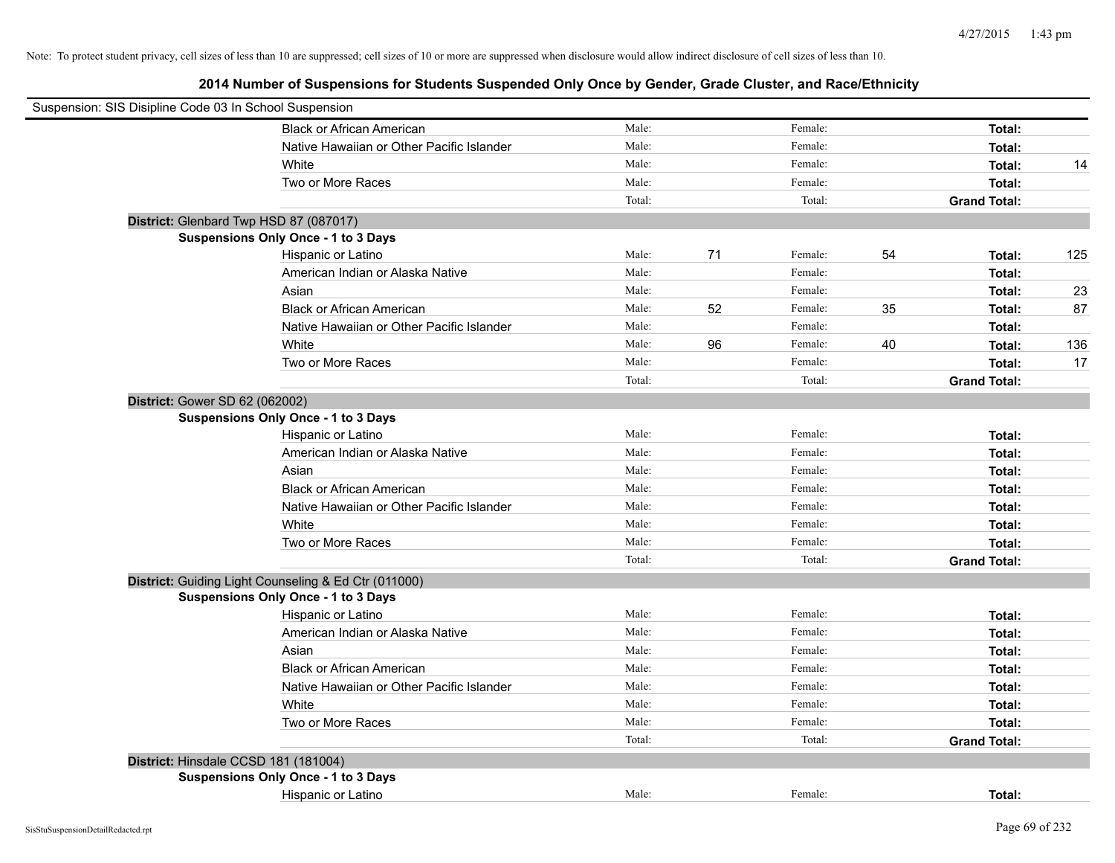| Suspension: SIS Disipline Code 03 In School Suspension |                                                      |        |    |         |    |                     |     |
|--------------------------------------------------------|------------------------------------------------------|--------|----|---------|----|---------------------|-----|
|                                                        | <b>Black or African American</b>                     | Male:  |    | Female: |    | Total:              |     |
|                                                        | Native Hawaiian or Other Pacific Islander            | Male:  |    | Female: |    | Total:              |     |
|                                                        | White                                                | Male:  |    | Female: |    | Total:              | 14  |
|                                                        | Two or More Races                                    | Male:  |    | Female: |    | Total:              |     |
|                                                        |                                                      | Total: |    | Total:  |    | <b>Grand Total:</b> |     |
|                                                        | District: Glenbard Twp HSD 87 (087017)               |        |    |         |    |                     |     |
|                                                        | <b>Suspensions Only Once - 1 to 3 Days</b>           |        |    |         |    |                     |     |
|                                                        | Hispanic or Latino                                   | Male:  | 71 | Female: | 54 | Total:              | 125 |
|                                                        | American Indian or Alaska Native                     | Male:  |    | Female: |    | Total:              |     |
|                                                        | Asian                                                | Male:  |    | Female: |    | Total:              | 23  |
|                                                        | <b>Black or African American</b>                     | Male:  | 52 | Female: | 35 | Total:              | 87  |
|                                                        | Native Hawaiian or Other Pacific Islander            | Male:  |    | Female: |    | Total:              |     |
|                                                        | White                                                | Male:  | 96 | Female: | 40 | Total:              | 136 |
|                                                        | Two or More Races                                    | Male:  |    | Female: |    | Total:              | 17  |
|                                                        |                                                      | Total: |    | Total:  |    | <b>Grand Total:</b> |     |
| District: Gower SD 62 (062002)                         |                                                      |        |    |         |    |                     |     |
|                                                        | <b>Suspensions Only Once - 1 to 3 Days</b>           |        |    |         |    |                     |     |
|                                                        | Hispanic or Latino                                   | Male:  |    | Female: |    | Total:              |     |
|                                                        | American Indian or Alaska Native                     | Male:  |    | Female: |    | Total:              |     |
|                                                        | Asian                                                | Male:  |    | Female: |    | Total:              |     |
|                                                        | <b>Black or African American</b>                     | Male:  |    | Female: |    | Total:              |     |
|                                                        | Native Hawaiian or Other Pacific Islander            | Male:  |    | Female: |    | Total:              |     |
|                                                        | White                                                | Male:  |    | Female: |    | Total:              |     |
|                                                        | Two or More Races                                    | Male:  |    | Female: |    | Total:              |     |
|                                                        |                                                      | Total: |    | Total:  |    | <b>Grand Total:</b> |     |
|                                                        | District: Guiding Light Counseling & Ed Ctr (011000) |        |    |         |    |                     |     |
|                                                        | Suspensions Only Once - 1 to 3 Days                  |        |    |         |    |                     |     |
|                                                        | Hispanic or Latino                                   | Male:  |    | Female: |    | Total:              |     |
|                                                        | American Indian or Alaska Native                     | Male:  |    | Female: |    | Total:              |     |
|                                                        | Asian                                                | Male:  |    | Female: |    | Total:              |     |
|                                                        | <b>Black or African American</b>                     | Male:  |    | Female: |    | Total:              |     |
|                                                        | Native Hawaiian or Other Pacific Islander            | Male:  |    | Female: |    | Total:              |     |
|                                                        | White                                                | Male:  |    | Female: |    | Total:              |     |
|                                                        | Two or More Races                                    | Male:  |    | Female: |    | Total:              |     |
|                                                        |                                                      | Total: |    | Total:  |    | <b>Grand Total:</b> |     |
|                                                        | District: Hinsdale CCSD 181 (181004)                 |        |    |         |    |                     |     |
|                                                        | Suspensions Only Once - 1 to 3 Days                  |        |    |         |    |                     |     |
|                                                        | Hispanic or Latino                                   | Male:  |    | Female: |    | Total:              |     |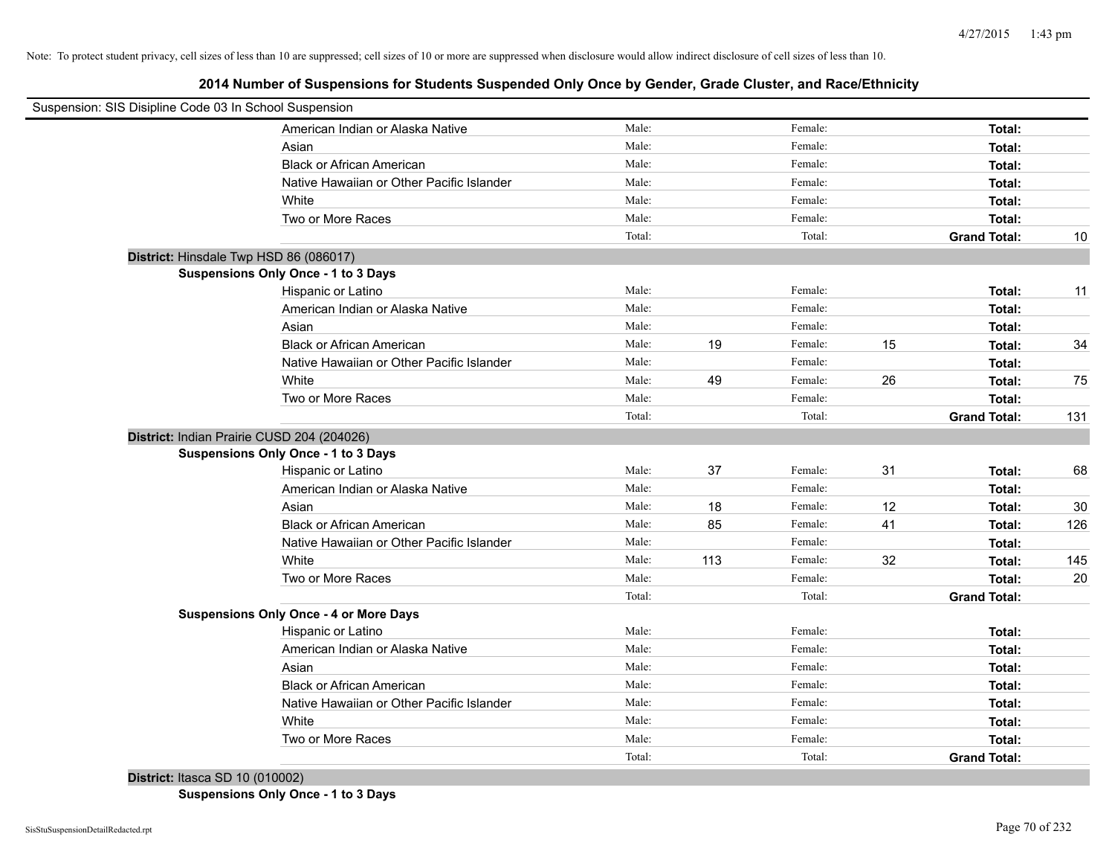**2014 Number of Suspensions for Students Suspended Only Once by Gender, Grade Cluster, and Race/Ethnicity**

| Suspension: SIS Disipline Code 03 In School Suspension |        |     |         |    |                     |     |
|--------------------------------------------------------|--------|-----|---------|----|---------------------|-----|
| American Indian or Alaska Native                       | Male:  |     | Female: |    | Total:              |     |
| Asian                                                  | Male:  |     | Female: |    | Total:              |     |
| <b>Black or African American</b>                       | Male:  |     | Female: |    | Total:              |     |
| Native Hawaiian or Other Pacific Islander              | Male:  |     | Female: |    | Total:              |     |
| White                                                  | Male:  |     | Female: |    | Total:              |     |
| Two or More Races                                      | Male:  |     | Female: |    | Total:              |     |
|                                                        | Total: |     | Total:  |    | <b>Grand Total:</b> | 10  |
| District: Hinsdale Twp HSD 86 (086017)                 |        |     |         |    |                     |     |
| Suspensions Only Once - 1 to 3 Days                    |        |     |         |    |                     |     |
| Hispanic or Latino                                     | Male:  |     | Female: |    | Total:              | 11  |
| American Indian or Alaska Native                       | Male:  |     | Female: |    | Total:              |     |
| Asian                                                  | Male:  |     | Female: |    | Total:              |     |
| <b>Black or African American</b>                       | Male:  | 19  | Female: | 15 | Total:              | 34  |
| Native Hawaiian or Other Pacific Islander              | Male:  |     | Female: |    | Total:              |     |
| White                                                  | Male:  | 49  | Female: | 26 | Total:              | 75  |
| Two or More Races                                      | Male:  |     | Female: |    | Total:              |     |
|                                                        | Total: |     | Total:  |    | <b>Grand Total:</b> | 131 |
| District: Indian Prairie CUSD 204 (204026)             |        |     |         |    |                     |     |
| Suspensions Only Once - 1 to 3 Days                    |        |     |         |    |                     |     |
| Hispanic or Latino                                     | Male:  | 37  | Female: | 31 | Total:              | 68  |
| American Indian or Alaska Native                       | Male:  |     | Female: |    | Total:              |     |
| Asian                                                  | Male:  | 18  | Female: | 12 | Total:              | 30  |
| <b>Black or African American</b>                       | Male:  | 85  | Female: | 41 | Total:              | 126 |
| Native Hawaiian or Other Pacific Islander              | Male:  |     | Female: |    | Total:              |     |
| White                                                  | Male:  | 113 | Female: | 32 | Total:              | 145 |
| Two or More Races                                      | Male:  |     | Female: |    | Total:              | 20  |
|                                                        | Total: |     | Total:  |    | <b>Grand Total:</b> |     |
| <b>Suspensions Only Once - 4 or More Days</b>          |        |     |         |    |                     |     |
| Hispanic or Latino                                     | Male:  |     | Female: |    | Total:              |     |
| American Indian or Alaska Native                       | Male:  |     | Female: |    | Total:              |     |
| Asian                                                  | Male:  |     | Female: |    | Total:              |     |
| <b>Black or African American</b>                       | Male:  |     | Female: |    | Total:              |     |
| Native Hawaiian or Other Pacific Islander              | Male:  |     | Female: |    | Total:              |     |
| White                                                  | Male:  |     | Female: |    | Total:              |     |
| Two or More Races                                      | Male:  |     | Female: |    | Total:              |     |
|                                                        | Total: |     | Total:  |    | <b>Grand Total:</b> |     |
|                                                        |        |     |         |    |                     |     |

**District:** Itasca SD 10 (010002) **Suspensions Only Once - 1 to 3 Days**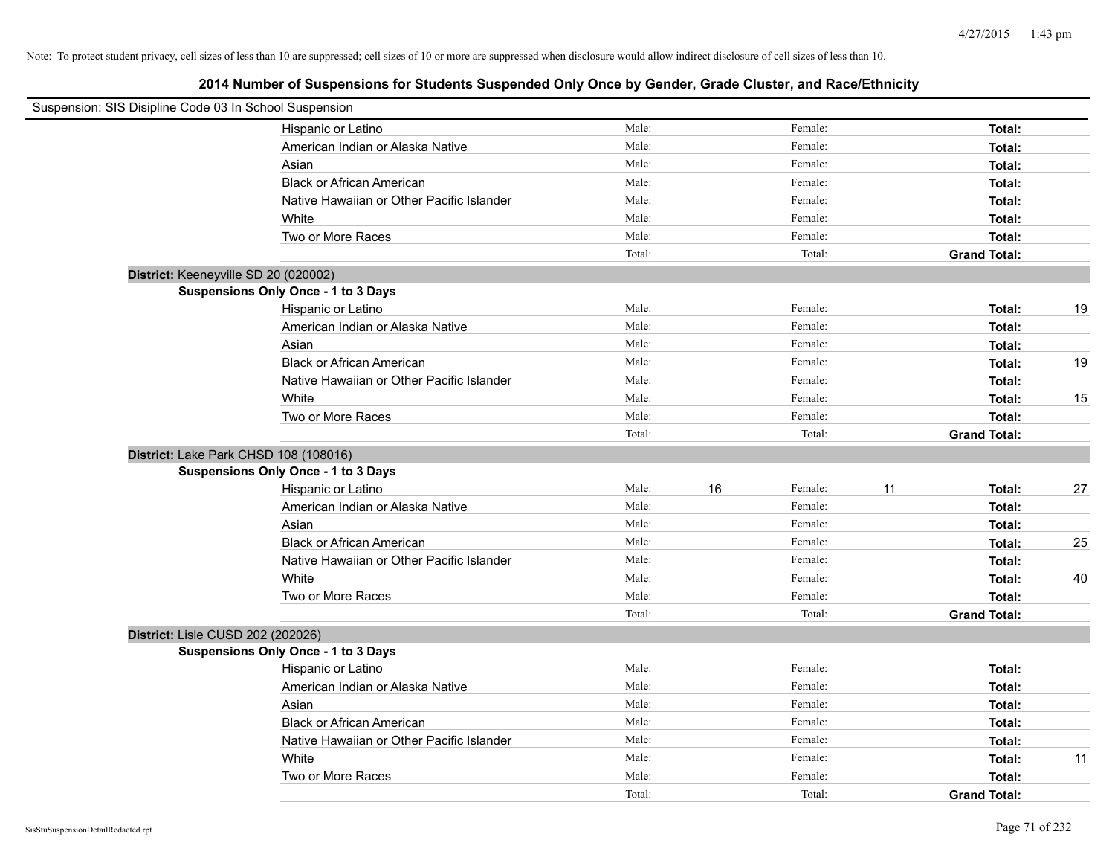| Suspension: SIS Disipline Code 03 In School Suspension |                                            |        |    |         |    |                     |    |
|--------------------------------------------------------|--------------------------------------------|--------|----|---------|----|---------------------|----|
|                                                        | Hispanic or Latino                         | Male:  |    | Female: |    | Total:              |    |
|                                                        | American Indian or Alaska Native           | Male:  |    | Female: |    | Total:              |    |
|                                                        | Asian                                      | Male:  |    | Female: |    | Total:              |    |
|                                                        | <b>Black or African American</b>           | Male:  |    | Female: |    | Total:              |    |
|                                                        | Native Hawaiian or Other Pacific Islander  | Male:  |    | Female: |    | Total:              |    |
|                                                        | White                                      | Male:  |    | Female: |    | Total:              |    |
|                                                        | Two or More Races                          | Male:  |    | Female: |    | Total:              |    |
|                                                        |                                            | Total: |    | Total:  |    | <b>Grand Total:</b> |    |
| District: Keeneyville SD 20 (020002)                   |                                            |        |    |         |    |                     |    |
|                                                        | <b>Suspensions Only Once - 1 to 3 Days</b> |        |    |         |    |                     |    |
|                                                        | Hispanic or Latino                         | Male:  |    | Female: |    | Total:              | 19 |
|                                                        | American Indian or Alaska Native           | Male:  |    | Female: |    | Total:              |    |
|                                                        | Asian                                      | Male:  |    | Female: |    | Total:              |    |
|                                                        | <b>Black or African American</b>           | Male:  |    | Female: |    | Total:              | 19 |
|                                                        | Native Hawaiian or Other Pacific Islander  | Male:  |    | Female: |    | Total:              |    |
|                                                        | White                                      | Male:  |    | Female: |    | Total:              | 15 |
|                                                        | Two or More Races                          | Male:  |    | Female: |    | Total:              |    |
|                                                        |                                            | Total: |    | Total:  |    | <b>Grand Total:</b> |    |
| District: Lake Park CHSD 108 (108016)                  |                                            |        |    |         |    |                     |    |
|                                                        | <b>Suspensions Only Once - 1 to 3 Days</b> |        |    |         |    |                     |    |
|                                                        | Hispanic or Latino                         | Male:  | 16 | Female: | 11 | Total:              | 27 |
|                                                        | American Indian or Alaska Native           | Male:  |    | Female: |    | Total:              |    |
|                                                        | Asian                                      | Male:  |    | Female: |    | Total:              |    |
|                                                        | <b>Black or African American</b>           | Male:  |    | Female: |    | Total:              | 25 |
|                                                        | Native Hawaiian or Other Pacific Islander  | Male:  |    | Female: |    | Total:              |    |
|                                                        | White                                      | Male:  |    | Female: |    | Total:              | 40 |
|                                                        | Two or More Races                          | Male:  |    | Female: |    | Total:              |    |
|                                                        |                                            | Total: |    | Total:  |    | <b>Grand Total:</b> |    |
| District: Lisle CUSD 202 (202026)                      |                                            |        |    |         |    |                     |    |
|                                                        | Suspensions Only Once - 1 to 3 Days        |        |    |         |    |                     |    |
|                                                        | Hispanic or Latino                         | Male:  |    | Female: |    | Total:              |    |
|                                                        | American Indian or Alaska Native           | Male:  |    | Female: |    | Total:              |    |
|                                                        | Asian                                      | Male:  |    | Female: |    | Total:              |    |
|                                                        | <b>Black or African American</b>           | Male:  |    | Female: |    | Total:              |    |
|                                                        | Native Hawaiian or Other Pacific Islander  | Male:  |    | Female: |    | Total:              |    |
|                                                        | White                                      | Male:  |    | Female: |    | Total:              | 11 |
|                                                        | Two or More Races                          | Male:  |    | Female: |    | Total:              |    |
|                                                        |                                            | Total: |    | Total:  |    | <b>Grand Total:</b> |    |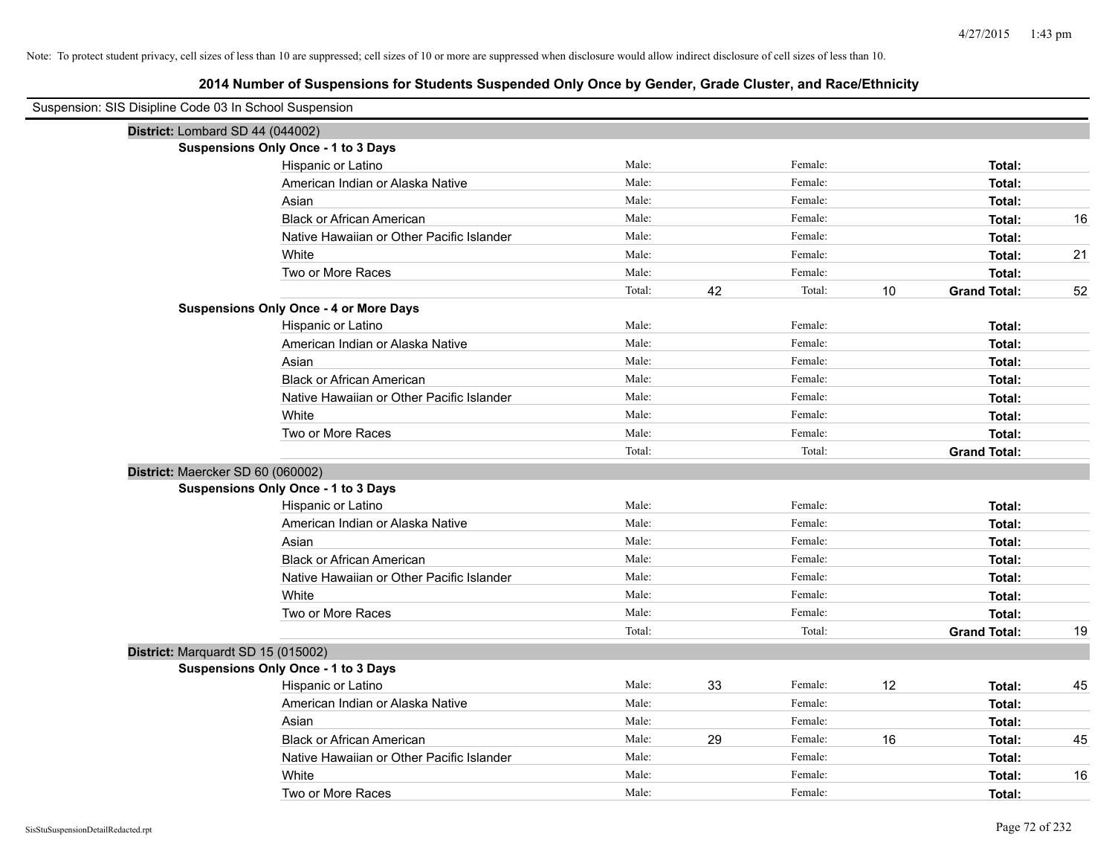| Suspension: SIS Disipline Code 03 In School Suspension |        |    |         |    |                     |    |
|--------------------------------------------------------|--------|----|---------|----|---------------------|----|
| District: Lombard SD 44 (044002)                       |        |    |         |    |                     |    |
| <b>Suspensions Only Once - 1 to 3 Days</b>             |        |    |         |    |                     |    |
| Hispanic or Latino                                     | Male:  |    | Female: |    | Total:              |    |
| American Indian or Alaska Native                       | Male:  |    | Female: |    | Total:              |    |
| Asian                                                  | Male:  |    | Female: |    | Total:              |    |
| <b>Black or African American</b>                       | Male:  |    | Female: |    | Total:              | 16 |
| Native Hawaiian or Other Pacific Islander              | Male:  |    | Female: |    | Total:              |    |
| White                                                  | Male:  |    | Female: |    | Total:              | 21 |
| Two or More Races                                      | Male:  |    | Female: |    | Total:              |    |
|                                                        | Total: | 42 | Total:  | 10 | <b>Grand Total:</b> | 52 |
| <b>Suspensions Only Once - 4 or More Days</b>          |        |    |         |    |                     |    |
| Hispanic or Latino                                     | Male:  |    | Female: |    | Total:              |    |
| American Indian or Alaska Native                       | Male:  |    | Female: |    | Total:              |    |
| Asian                                                  | Male:  |    | Female: |    | Total:              |    |
| <b>Black or African American</b>                       | Male:  |    | Female: |    | Total:              |    |
| Native Hawaiian or Other Pacific Islander              | Male:  |    | Female: |    | Total:              |    |
| White                                                  | Male:  |    | Female: |    | Total:              |    |
| Two or More Races                                      | Male:  |    | Female: |    | Total:              |    |
|                                                        | Total: |    | Total:  |    | <b>Grand Total:</b> |    |
| District: Maercker SD 60 (060002)                      |        |    |         |    |                     |    |
| Suspensions Only Once - 1 to 3 Days                    |        |    |         |    |                     |    |
| Hispanic or Latino                                     | Male:  |    | Female: |    | Total:              |    |
| American Indian or Alaska Native                       | Male:  |    | Female: |    | Total:              |    |
| Asian                                                  | Male:  |    | Female: |    | Total:              |    |
| <b>Black or African American</b>                       | Male:  |    | Female: |    | Total:              |    |
| Native Hawaiian or Other Pacific Islander              | Male:  |    | Female: |    | Total:              |    |
| White                                                  | Male:  |    | Female: |    | Total:              |    |
| Two or More Races                                      | Male:  |    | Female: |    | Total:              |    |
|                                                        | Total: |    | Total:  |    | <b>Grand Total:</b> | 19 |
| District: Marquardt SD 15 (015002)                     |        |    |         |    |                     |    |
| Suspensions Only Once - 1 to 3 Days                    |        |    |         |    |                     |    |
| Hispanic or Latino                                     | Male:  | 33 | Female: | 12 | Total:              | 45 |
| American Indian or Alaska Native                       | Male:  |    | Female: |    | Total:              |    |
| Asian                                                  | Male:  |    | Female: |    | Total:              |    |
| <b>Black or African American</b>                       | Male:  | 29 | Female: | 16 | Total:              | 45 |
| Native Hawaiian or Other Pacific Islander              | Male:  |    | Female: |    | Total:              |    |
| White                                                  | Male:  |    | Female: |    | Total:              | 16 |
| Two or More Races                                      | Male:  |    | Female: |    | Total:              |    |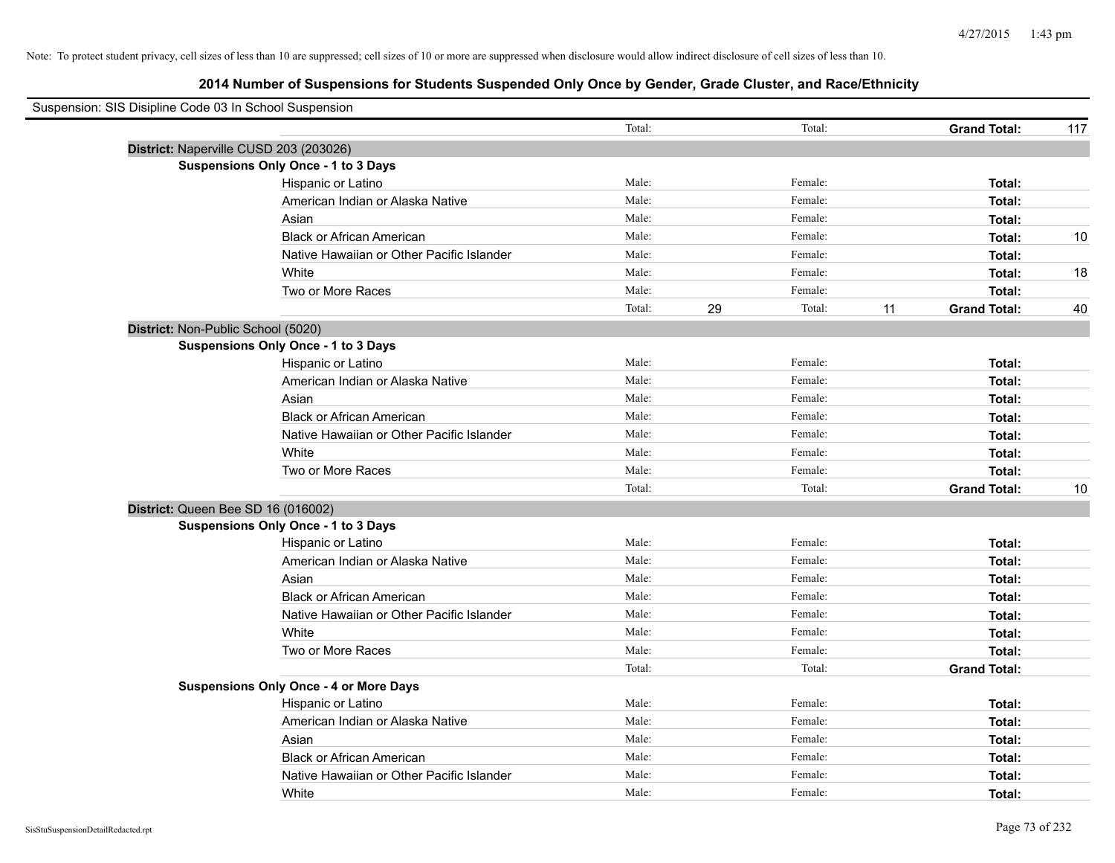| Suspension: SIS Disipline Code 03 In School Suspension |                                               |        |    |         |    |                     |     |
|--------------------------------------------------------|-----------------------------------------------|--------|----|---------|----|---------------------|-----|
|                                                        |                                               | Total: |    | Total:  |    | <b>Grand Total:</b> | 117 |
|                                                        | District: Naperville CUSD 203 (203026)        |        |    |         |    |                     |     |
|                                                        | Suspensions Only Once - 1 to 3 Days           |        |    |         |    |                     |     |
|                                                        | Hispanic or Latino                            | Male:  |    | Female: |    | Total:              |     |
|                                                        | American Indian or Alaska Native              | Male:  |    | Female: |    | Total:              |     |
|                                                        | Asian                                         | Male:  |    | Female: |    | Total:              |     |
|                                                        | <b>Black or African American</b>              | Male:  |    | Female: |    | Total:              | 10  |
|                                                        | Native Hawaiian or Other Pacific Islander     | Male:  |    | Female: |    | Total:              |     |
|                                                        | White                                         | Male:  |    | Female: |    | Total:              | 18  |
|                                                        | Two or More Races                             | Male:  |    | Female: |    | Total:              |     |
|                                                        |                                               | Total: | 29 | Total:  | 11 | <b>Grand Total:</b> | 40  |
|                                                        | District: Non-Public School (5020)            |        |    |         |    |                     |     |
|                                                        | Suspensions Only Once - 1 to 3 Days           |        |    |         |    |                     |     |
|                                                        | Hispanic or Latino                            | Male:  |    | Female: |    | Total:              |     |
|                                                        | American Indian or Alaska Native              | Male:  |    | Female: |    | Total:              |     |
|                                                        | Asian                                         | Male:  |    | Female: |    | Total:              |     |
|                                                        | <b>Black or African American</b>              | Male:  |    | Female: |    | Total:              |     |
|                                                        | Native Hawaiian or Other Pacific Islander     | Male:  |    | Female: |    | Total:              |     |
|                                                        | White                                         | Male:  |    | Female: |    | Total:              |     |
|                                                        | Two or More Races                             | Male:  |    | Female: |    | Total:              |     |
|                                                        |                                               | Total: |    | Total:  |    | <b>Grand Total:</b> | 10  |
|                                                        | District: Queen Bee SD 16 (016002)            |        |    |         |    |                     |     |
|                                                        | <b>Suspensions Only Once - 1 to 3 Days</b>    |        |    |         |    |                     |     |
|                                                        | Hispanic or Latino                            | Male:  |    | Female: |    | Total:              |     |
|                                                        | American Indian or Alaska Native              | Male:  |    | Female: |    | Total:              |     |
|                                                        | Asian                                         | Male:  |    | Female: |    | Total:              |     |
|                                                        | <b>Black or African American</b>              | Male:  |    | Female: |    | Total:              |     |
|                                                        | Native Hawaiian or Other Pacific Islander     | Male:  |    | Female: |    | Total:              |     |
|                                                        | White                                         | Male:  |    | Female: |    | Total:              |     |
|                                                        | Two or More Races                             | Male:  |    | Female: |    | Total:              |     |
|                                                        |                                               | Total: |    | Total:  |    | <b>Grand Total:</b> |     |
|                                                        | <b>Suspensions Only Once - 4 or More Days</b> |        |    |         |    |                     |     |
|                                                        | Hispanic or Latino                            | Male:  |    | Female: |    | Total:              |     |
|                                                        | American Indian or Alaska Native              | Male:  |    | Female: |    | Total:              |     |
|                                                        | Asian                                         | Male:  |    | Female: |    | Total:              |     |
|                                                        | <b>Black or African American</b>              | Male:  |    | Female: |    | Total:              |     |
|                                                        | Native Hawaiian or Other Pacific Islander     | Male:  |    | Female: |    | Total:              |     |
|                                                        | White                                         | Male:  |    | Female: |    | Total:              |     |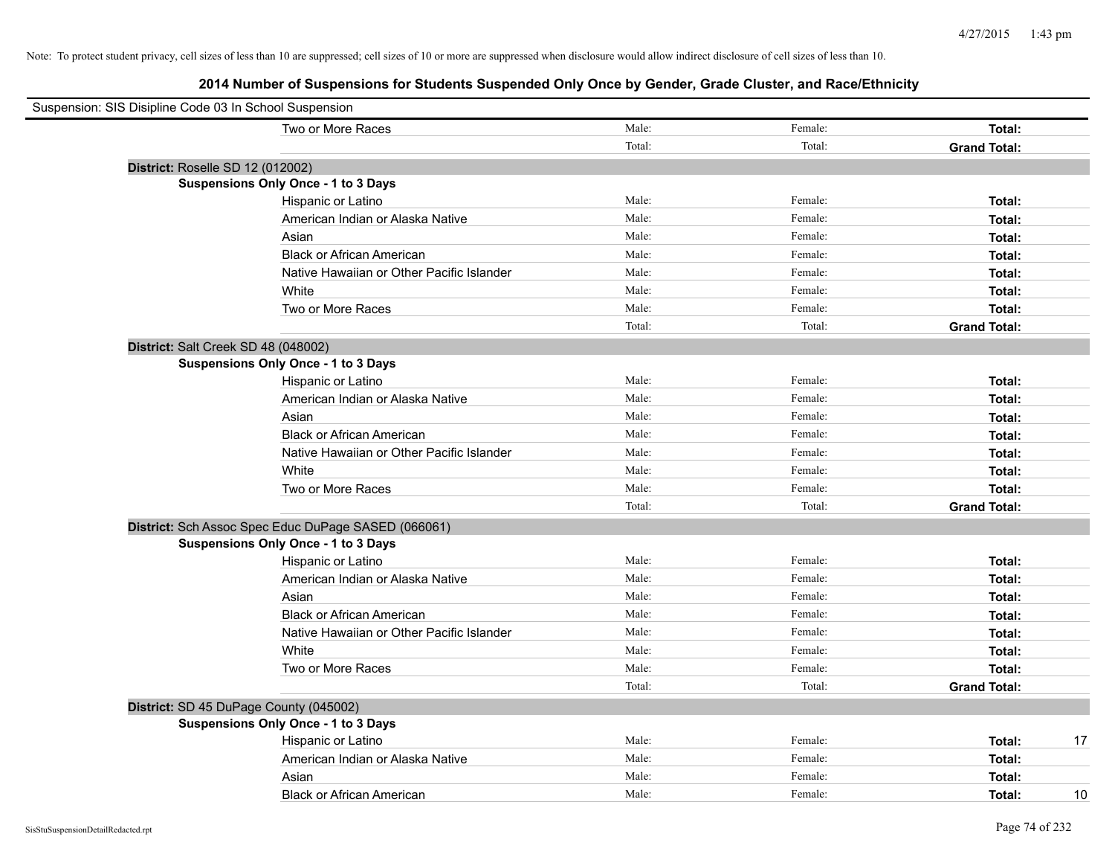| Suspension: SIS Disipline Code 03 In School Suspension |        |         |                     |
|--------------------------------------------------------|--------|---------|---------------------|
| Two or More Races                                      | Male:  | Female: | Total:              |
|                                                        | Total: | Total:  | <b>Grand Total:</b> |
| District: Roselle SD 12 (012002)                       |        |         |                     |
| Suspensions Only Once - 1 to 3 Days                    |        |         |                     |
| Hispanic or Latino                                     | Male:  | Female: | Total:              |
| American Indian or Alaska Native                       | Male:  | Female: | Total:              |
| Asian                                                  | Male:  | Female: | Total:              |
| <b>Black or African American</b>                       | Male:  | Female: | Total:              |
| Native Hawaiian or Other Pacific Islander              | Male:  | Female: | Total:              |
| White                                                  | Male:  | Female: | Total:              |
| Two or More Races                                      | Male:  | Female: | Total:              |
|                                                        | Total: | Total:  | <b>Grand Total:</b> |
| District: Salt Creek SD 48 (048002)                    |        |         |                     |
| Suspensions Only Once - 1 to 3 Days                    |        |         |                     |
| Hispanic or Latino                                     | Male:  | Female: | Total:              |
| American Indian or Alaska Native                       | Male:  | Female: | Total:              |
| Asian                                                  | Male:  | Female: | Total:              |
| <b>Black or African American</b>                       | Male:  | Female: | Total:              |
| Native Hawaiian or Other Pacific Islander              | Male:  | Female: | Total:              |
| White                                                  | Male:  | Female: | Total:              |
| Two or More Races                                      | Male:  | Female: | Total:              |
|                                                        | Total: | Total:  | <b>Grand Total:</b> |
| District: Sch Assoc Spec Educ DuPage SASED (066061)    |        |         |                     |
| Suspensions Only Once - 1 to 3 Days                    |        |         |                     |
| Hispanic or Latino                                     | Male:  | Female: | Total:              |
| American Indian or Alaska Native                       | Male:  | Female: | Total:              |
| Asian                                                  | Male:  | Female: | Total:              |
| <b>Black or African American</b>                       | Male:  | Female: | Total:              |
| Native Hawaiian or Other Pacific Islander              | Male:  | Female: | Total:              |
| White                                                  | Male:  | Female: | Total:              |
| Two or More Races                                      | Male:  | Female: | Total:              |
|                                                        | Total: | Total:  | <b>Grand Total:</b> |
| District: SD 45 DuPage County (045002)                 |        |         |                     |
| Suspensions Only Once - 1 to 3 Days                    |        |         |                     |
| Hispanic or Latino                                     | Male:  | Female: | Total:<br>17        |
| American Indian or Alaska Native                       | Male:  | Female: | Total:              |
| Asian                                                  | Male:  | Female: | Total:              |
| <b>Black or African American</b>                       | Male:  | Female: | Total:<br>10        |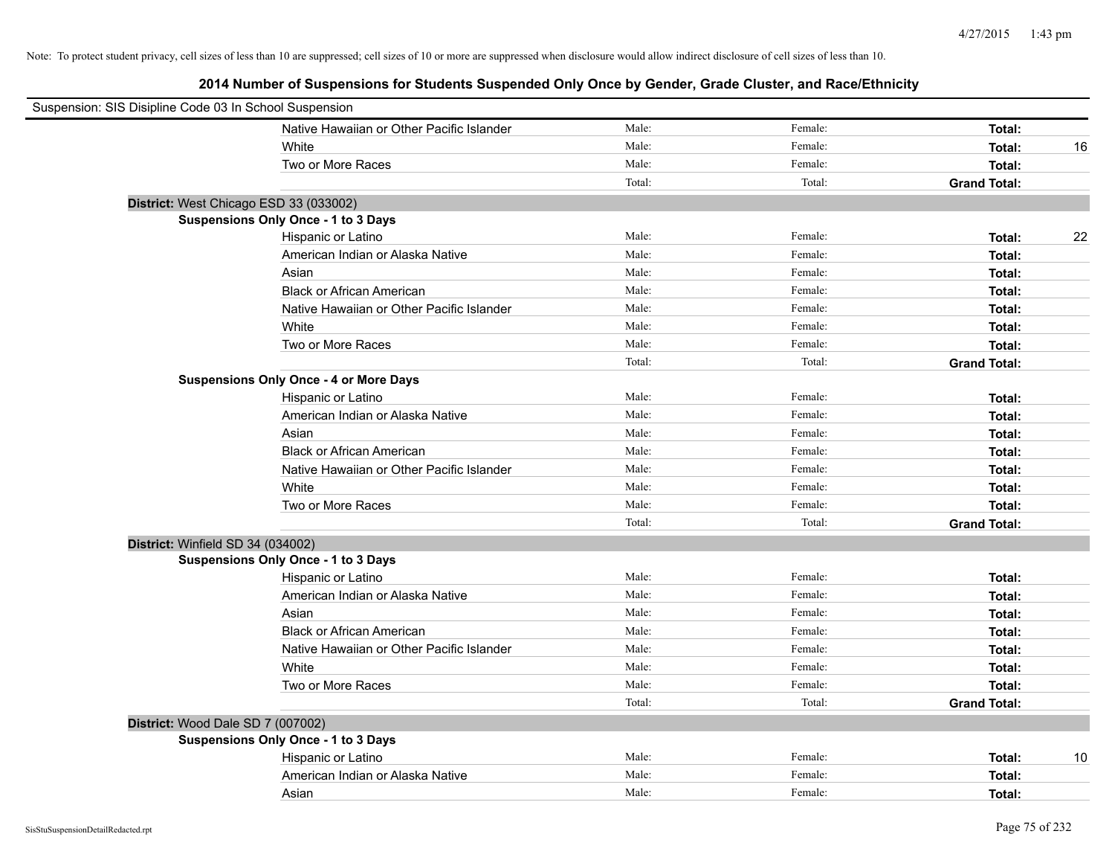| Suspension: SIS Disipline Code 03 In School Suspension |                                               |        |         |                     |
|--------------------------------------------------------|-----------------------------------------------|--------|---------|---------------------|
|                                                        | Native Hawaiian or Other Pacific Islander     | Male:  | Female: | Total:              |
|                                                        | White                                         | Male:  | Female: | Total:<br>16        |
|                                                        | Two or More Races                             | Male:  | Female: | Total:              |
|                                                        |                                               | Total: | Total:  | <b>Grand Total:</b> |
| District: West Chicago ESD 33 (033002)                 |                                               |        |         |                     |
|                                                        | <b>Suspensions Only Once - 1 to 3 Days</b>    |        |         |                     |
|                                                        | Hispanic or Latino                            | Male:  | Female: | 22<br>Total:        |
|                                                        | American Indian or Alaska Native              | Male:  | Female: | Total:              |
|                                                        | Asian                                         | Male:  | Female: | Total:              |
|                                                        | <b>Black or African American</b>              | Male:  | Female: | Total:              |
|                                                        | Native Hawaiian or Other Pacific Islander     | Male:  | Female: | Total:              |
|                                                        | White                                         | Male:  | Female: | Total:              |
|                                                        | Two or More Races                             | Male:  | Female: | Total:              |
|                                                        |                                               | Total: | Total:  | <b>Grand Total:</b> |
|                                                        | <b>Suspensions Only Once - 4 or More Days</b> |        |         |                     |
|                                                        | Hispanic or Latino                            | Male:  | Female: | Total:              |
|                                                        | American Indian or Alaska Native              | Male:  | Female: | Total:              |
|                                                        | Asian                                         | Male:  | Female: | Total:              |
|                                                        | <b>Black or African American</b>              | Male:  | Female: | Total:              |
|                                                        | Native Hawaiian or Other Pacific Islander     | Male:  | Female: | Total:              |
|                                                        | White                                         | Male:  | Female: | Total:              |
|                                                        | Two or More Races                             | Male:  | Female: | Total:              |
|                                                        |                                               | Total: | Total:  | <b>Grand Total:</b> |
| District: Winfield SD 34 (034002)                      |                                               |        |         |                     |
|                                                        | <b>Suspensions Only Once - 1 to 3 Days</b>    |        |         |                     |
|                                                        | Hispanic or Latino                            | Male:  | Female: | Total:              |
|                                                        | American Indian or Alaska Native              | Male:  | Female: | Total:              |
|                                                        | Asian                                         | Male:  | Female: | Total:              |
|                                                        | <b>Black or African American</b>              | Male:  | Female: | Total:              |
|                                                        | Native Hawaiian or Other Pacific Islander     | Male:  | Female: | Total:              |
|                                                        | White                                         | Male:  | Female: | Total:              |
|                                                        | Two or More Races                             | Male:  | Female: | Total:              |
|                                                        |                                               | Total: | Total:  | <b>Grand Total:</b> |
| District: Wood Dale SD 7 (007002)                      |                                               |        |         |                     |
|                                                        | <b>Suspensions Only Once - 1 to 3 Days</b>    |        |         |                     |
|                                                        | Hispanic or Latino                            | Male:  | Female: | 10<br>Total:        |
|                                                        | American Indian or Alaska Native              | Male:  | Female: | Total:              |
|                                                        | Asian                                         | Male:  | Female: | Total:              |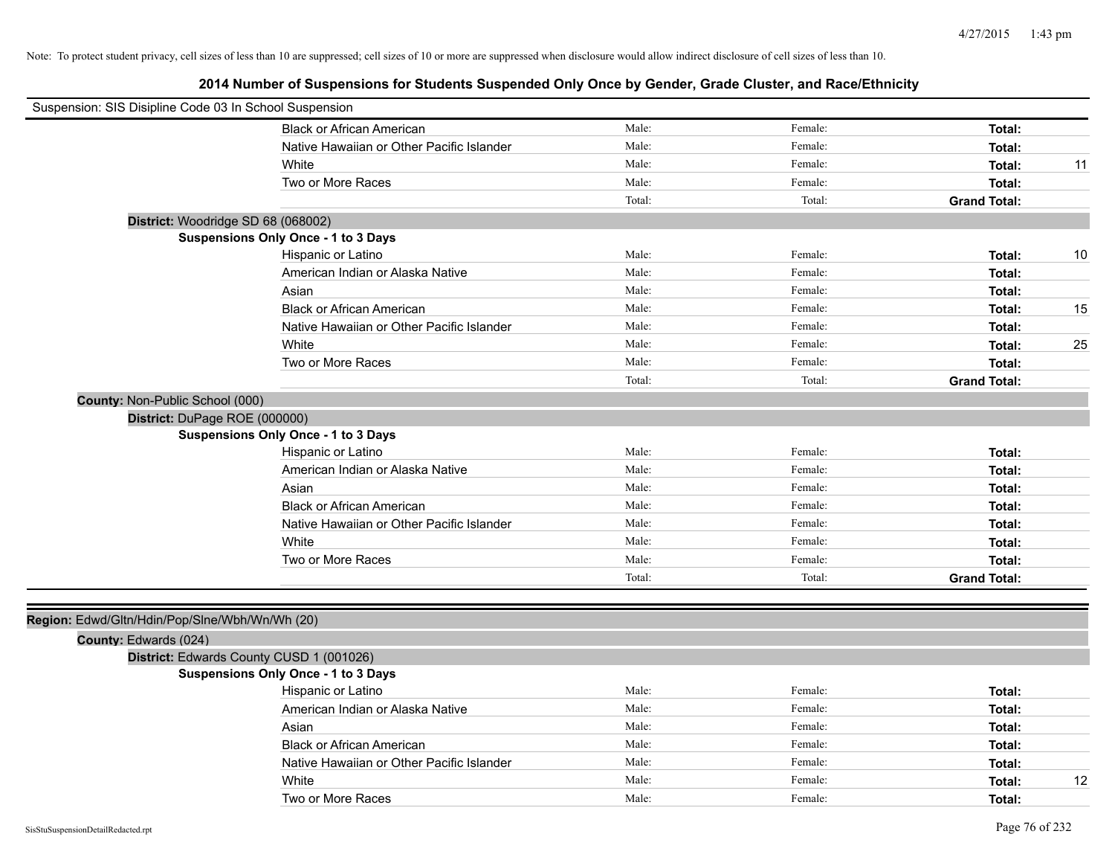| Suspension: SIS Disipline Code 03 In School Suspension |                                            |        |         |                     |
|--------------------------------------------------------|--------------------------------------------|--------|---------|---------------------|
|                                                        | <b>Black or African American</b>           | Male:  | Female: | Total:              |
|                                                        | Native Hawaiian or Other Pacific Islander  | Male:  | Female: | Total:              |
|                                                        | White                                      | Male:  | Female: | Total:<br>11        |
|                                                        | Two or More Races                          | Male:  | Female: | Total:              |
|                                                        |                                            | Total: | Total:  | <b>Grand Total:</b> |
| District: Woodridge SD 68 (068002)                     |                                            |        |         |                     |
|                                                        | Suspensions Only Once - 1 to 3 Days        |        |         |                     |
|                                                        | Hispanic or Latino                         | Male:  | Female: | 10<br>Total:        |
|                                                        | American Indian or Alaska Native           | Male:  | Female: | Total:              |
|                                                        | Asian                                      | Male:  | Female: | Total:              |
|                                                        | <b>Black or African American</b>           | Male:  | Female: | 15<br>Total:        |
|                                                        | Native Hawaiian or Other Pacific Islander  | Male:  | Female: | Total:              |
|                                                        | White                                      | Male:  | Female: | 25<br>Total:        |
|                                                        | Two or More Races                          | Male:  | Female: | Total:              |
|                                                        |                                            | Total: | Total:  | <b>Grand Total:</b> |
| County: Non-Public School (000)                        |                                            |        |         |                     |
| District: DuPage ROE (000000)                          |                                            |        |         |                     |
|                                                        | <b>Suspensions Only Once - 1 to 3 Days</b> |        |         |                     |
|                                                        | Hispanic or Latino                         | Male:  | Female: | Total:              |
|                                                        | American Indian or Alaska Native           | Male:  | Female: | Total:              |
|                                                        | Asian                                      | Male:  | Female: | Total:              |
|                                                        | <b>Black or African American</b>           | Male:  | Female: | Total:              |
|                                                        | Native Hawaiian or Other Pacific Islander  | Male:  | Female: | Total:              |
|                                                        | White                                      | Male:  | Female: | Total:              |
|                                                        | Two or More Races                          | Male:  | Female: | Total:              |
|                                                        |                                            | Total: | Total:  | <b>Grand Total:</b> |
|                                                        |                                            |        |         |                     |
| Region: Edwd/Gltn/Hdin/Pop/Slne/Wbh/Wn/Wh (20)         |                                            |        |         |                     |
| County: Edwards (024)                                  |                                            |        |         |                     |
|                                                        | District: Edwards County CUSD 1 (001026)   |        |         |                     |
|                                                        | <b>Suspensions Only Once - 1 to 3 Days</b> |        |         |                     |
|                                                        | Hispanic or Latino                         | Male:  | Female: | Total:              |
|                                                        | American Indian or Alaska Native           | Male:  | Female: | Total:              |
|                                                        | Asian                                      | Male:  | Female: | Total:              |
|                                                        | <b>Black or African American</b>           | Male:  | Female: | Total:              |
|                                                        | Native Hawaiian or Other Pacific Islander  | Male:  | Female: | Total:              |
|                                                        | White                                      | Male:  | Female: | 12<br>Total:        |
|                                                        | Two or More Races                          | Male:  | Female: | Total:              |
|                                                        |                                            |        |         |                     |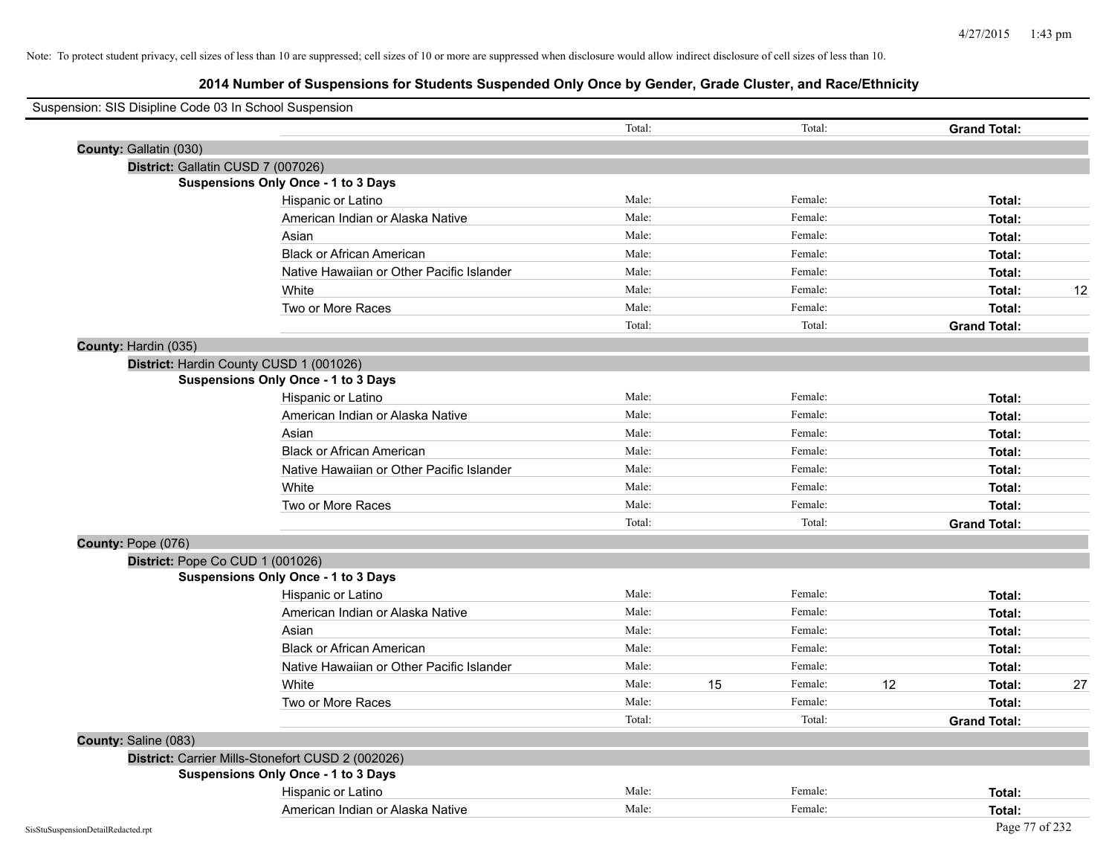| Suspension: SIS Disipline Code 03 In School Suspension |                                                   | Total: |    | Total:             |    | <b>Grand Total:</b> |    |
|--------------------------------------------------------|---------------------------------------------------|--------|----|--------------------|----|---------------------|----|
|                                                        |                                                   |        |    |                    |    |                     |    |
| County: Gallatin (030)                                 |                                                   |        |    |                    |    |                     |    |
| District: Gallatin CUSD 7 (007026)                     |                                                   |        |    |                    |    |                     |    |
|                                                        | <b>Suspensions Only Once - 1 to 3 Days</b>        | Male:  |    | Female:            |    |                     |    |
|                                                        | Hispanic or Latino                                | Male:  |    | Female:            |    | Total:              |    |
|                                                        | American Indian or Alaska Native                  | Male:  |    |                    |    | Total:              |    |
|                                                        | Asian                                             |        |    | Female:<br>Female: |    | Total:              |    |
|                                                        | <b>Black or African American</b>                  | Male:  |    | Female:            |    | Total:              |    |
|                                                        | Native Hawaiian or Other Pacific Islander         | Male:  |    |                    |    | Total:              | 12 |
|                                                        | White                                             | Male:  |    | Female:            |    | Total:              |    |
|                                                        | Two or More Races                                 | Male:  |    | Female:            |    | Total:              |    |
|                                                        |                                                   | Total: |    | Total:             |    | <b>Grand Total:</b> |    |
| County: Hardin (035)                                   |                                                   |        |    |                    |    |                     |    |
|                                                        | District: Hardin County CUSD 1 (001026)           |        |    |                    |    |                     |    |
|                                                        | <b>Suspensions Only Once - 1 to 3 Days</b>        |        |    |                    |    |                     |    |
|                                                        | Hispanic or Latino                                | Male:  |    | Female:            |    | Total:              |    |
|                                                        | American Indian or Alaska Native                  | Male:  |    | Female:            |    | Total:              |    |
|                                                        | Asian                                             | Male:  |    | Female:            |    | Total:              |    |
|                                                        | <b>Black or African American</b>                  | Male:  |    | Female:            |    | Total:              |    |
|                                                        | Native Hawaiian or Other Pacific Islander         | Male:  |    | Female:            |    | Total:              |    |
|                                                        | White                                             | Male:  |    | Female:            |    | Total:              |    |
|                                                        | Two or More Races                                 | Male:  |    | Female:            |    | Total:              |    |
|                                                        |                                                   | Total: |    | Total:             |    | <b>Grand Total:</b> |    |
| County: Pope (076)                                     |                                                   |        |    |                    |    |                     |    |
| District: Pope Co CUD 1 (001026)                       |                                                   |        |    |                    |    |                     |    |
|                                                        | <b>Suspensions Only Once - 1 to 3 Days</b>        |        |    |                    |    |                     |    |
|                                                        | Hispanic or Latino                                | Male:  |    | Female:            |    | Total:              |    |
|                                                        | American Indian or Alaska Native                  | Male:  |    | Female:            |    | Total:              |    |
|                                                        | Asian                                             | Male:  |    | Female:            |    | Total:              |    |
|                                                        | <b>Black or African American</b>                  | Male:  |    | Female:            |    | Total:              |    |
|                                                        | Native Hawaiian or Other Pacific Islander         | Male:  |    | Female:            |    | Total:              |    |
|                                                        | White                                             | Male:  | 15 | Female:            | 12 | Total:              | 27 |
|                                                        | Two or More Races                                 | Male:  |    | Female:            |    | Total:              |    |
|                                                        |                                                   | Total: |    | Total:             |    | <b>Grand Total:</b> |    |
| County: Saline (083)                                   |                                                   |        |    |                    |    |                     |    |
|                                                        | District: Carrier Mills-Stonefort CUSD 2 (002026) |        |    |                    |    |                     |    |
|                                                        | <b>Suspensions Only Once - 1 to 3 Days</b>        |        |    |                    |    |                     |    |
|                                                        | Hispanic or Latino                                | Male:  |    | Female:            |    | Total:              |    |
|                                                        | American Indian or Alaska Native                  | Male:  |    | Female:            |    | Total:              |    |
| SisStuSuspensionDetailRedacted.rpt                     |                                                   |        |    |                    |    | Page 77 of 232      |    |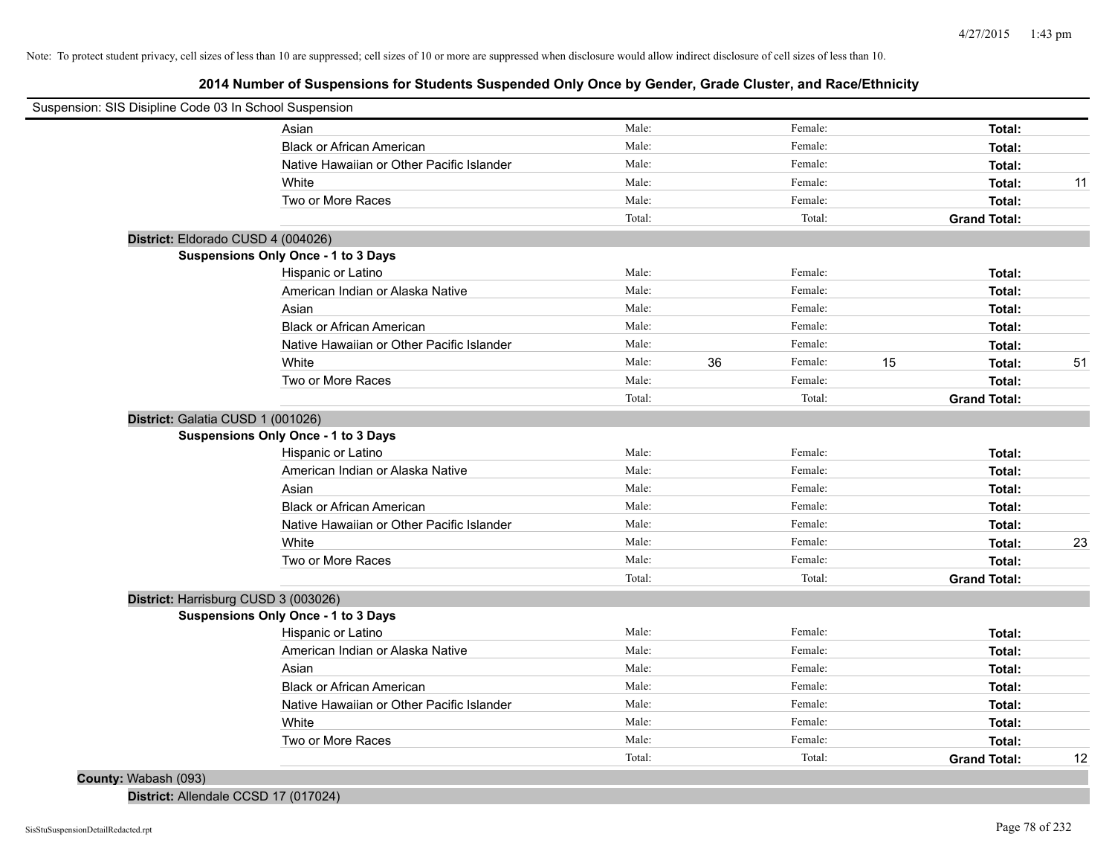# **2014 Number of Suspensions for Students Suspended Only Once by Gender, Grade Cluster, and Race/Ethnicity**

| Suspension: SIS Disipline Code 03 In School Suspension |                                           |        |    |         |    |                     |    |
|--------------------------------------------------------|-------------------------------------------|--------|----|---------|----|---------------------|----|
|                                                        | Asian                                     | Male:  |    | Female: |    | Total:              |    |
|                                                        | <b>Black or African American</b>          | Male:  |    | Female: |    | Total:              |    |
|                                                        | Native Hawaiian or Other Pacific Islander | Male:  |    | Female: |    | Total:              |    |
|                                                        | White                                     | Male:  |    | Female: |    | Total:              | 11 |
|                                                        | Two or More Races                         | Male:  |    | Female: |    | Total:              |    |
|                                                        |                                           | Total: |    | Total:  |    | <b>Grand Total:</b> |    |
| District: Eldorado CUSD 4 (004026)                     |                                           |        |    |         |    |                     |    |
| Suspensions Only Once - 1 to 3 Days                    |                                           |        |    |         |    |                     |    |
|                                                        | Hispanic or Latino                        | Male:  |    | Female: |    | Total:              |    |
|                                                        | American Indian or Alaska Native          | Male:  |    | Female: |    | Total:              |    |
|                                                        | Asian                                     | Male:  |    | Female: |    | Total:              |    |
|                                                        | <b>Black or African American</b>          | Male:  |    | Female: |    | Total:              |    |
|                                                        | Native Hawaiian or Other Pacific Islander | Male:  |    | Female: |    | Total:              |    |
|                                                        | White                                     | Male:  | 36 | Female: | 15 | Total:              | 51 |
|                                                        | Two or More Races                         | Male:  |    | Female: |    | Total:              |    |
|                                                        |                                           | Total: |    | Total:  |    | <b>Grand Total:</b> |    |
| District: Galatia CUSD 1 (001026)                      |                                           |        |    |         |    |                     |    |
| Suspensions Only Once - 1 to 3 Days                    |                                           |        |    |         |    |                     |    |
|                                                        | Hispanic or Latino                        | Male:  |    | Female: |    | Total:              |    |
|                                                        | American Indian or Alaska Native          | Male:  |    | Female: |    | Total:              |    |
|                                                        | Asian                                     | Male:  |    | Female: |    | Total:              |    |
|                                                        | <b>Black or African American</b>          | Male:  |    | Female: |    | Total:              |    |
|                                                        | Native Hawaiian or Other Pacific Islander | Male:  |    | Female: |    | Total:              |    |
|                                                        | White                                     | Male:  |    | Female: |    | Total:              | 23 |
|                                                        | Two or More Races                         | Male:  |    | Female: |    | Total:              |    |
|                                                        |                                           | Total: |    | Total:  |    | <b>Grand Total:</b> |    |
| District: Harrisburg CUSD 3 (003026)                   |                                           |        |    |         |    |                     |    |
| Suspensions Only Once - 1 to 3 Days                    |                                           |        |    |         |    |                     |    |
|                                                        | Hispanic or Latino                        | Male:  |    | Female: |    | Total:              |    |
|                                                        | American Indian or Alaska Native          | Male:  |    | Female: |    | Total:              |    |
|                                                        | Asian                                     | Male:  |    | Female: |    | Total:              |    |
|                                                        | <b>Black or African American</b>          | Male:  |    | Female: |    | Total:              |    |
|                                                        | Native Hawaiian or Other Pacific Islander | Male:  |    | Female: |    | Total:              |    |
|                                                        | White                                     | Male:  |    | Female: |    | Total:              |    |
|                                                        | Two or More Races                         | Male:  |    | Female: |    | Total:              |    |
|                                                        |                                           | Total: |    | Total:  |    | <b>Grand Total:</b> | 12 |
| County: Wabash (093)                                   |                                           |        |    |         |    |                     |    |

**District:** Allendale CCSD 17 (017024)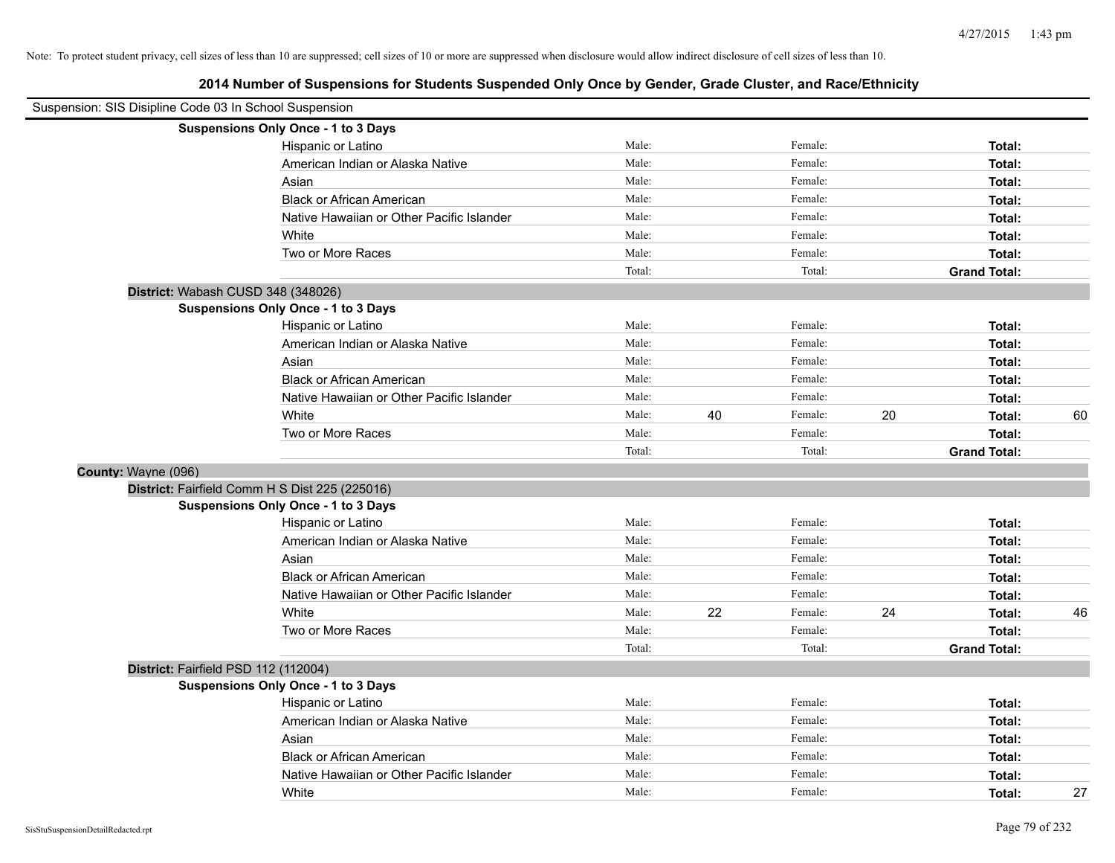| Suspension: SIS Disipline Code 03 In School Suspension |                                                |        |    |         |    |                     |    |
|--------------------------------------------------------|------------------------------------------------|--------|----|---------|----|---------------------|----|
|                                                        | Suspensions Only Once - 1 to 3 Days            |        |    |         |    |                     |    |
|                                                        | Hispanic or Latino                             | Male:  |    | Female: |    | Total:              |    |
|                                                        | American Indian or Alaska Native               | Male:  |    | Female: |    | Total:              |    |
|                                                        | Asian                                          | Male:  |    | Female: |    | Total:              |    |
|                                                        | <b>Black or African American</b>               | Male:  |    | Female: |    | Total:              |    |
|                                                        | Native Hawaiian or Other Pacific Islander      | Male:  |    | Female: |    | Total:              |    |
|                                                        | White                                          | Male:  |    | Female: |    | Total:              |    |
|                                                        | Two or More Races                              | Male:  |    | Female: |    | Total:              |    |
|                                                        |                                                | Total: |    | Total:  |    | <b>Grand Total:</b> |    |
|                                                        | District: Wabash CUSD 348 (348026)             |        |    |         |    |                     |    |
|                                                        | Suspensions Only Once - 1 to 3 Days            |        |    |         |    |                     |    |
|                                                        | Hispanic or Latino                             | Male:  |    | Female: |    | Total:              |    |
|                                                        | American Indian or Alaska Native               | Male:  |    | Female: |    | Total:              |    |
|                                                        | Asian                                          | Male:  |    | Female: |    | Total:              |    |
|                                                        | <b>Black or African American</b>               | Male:  |    | Female: |    | Total:              |    |
|                                                        | Native Hawaiian or Other Pacific Islander      | Male:  |    | Female: |    | Total:              |    |
|                                                        | White                                          | Male:  | 40 | Female: | 20 | Total:              | 60 |
|                                                        | Two or More Races                              | Male:  |    | Female: |    | Total:              |    |
|                                                        |                                                | Total: |    | Total:  |    | <b>Grand Total:</b> |    |
| County: Wayne (096)                                    |                                                |        |    |         |    |                     |    |
|                                                        | District: Fairfield Comm H S Dist 225 (225016) |        |    |         |    |                     |    |
|                                                        | <b>Suspensions Only Once - 1 to 3 Days</b>     |        |    |         |    |                     |    |
|                                                        | Hispanic or Latino                             | Male:  |    | Female: |    | Total:              |    |
|                                                        | American Indian or Alaska Native               | Male:  |    | Female: |    | Total:              |    |
|                                                        | Asian                                          | Male:  |    | Female: |    | Total:              |    |
|                                                        | <b>Black or African American</b>               | Male:  |    | Female: |    | Total:              |    |
|                                                        | Native Hawaiian or Other Pacific Islander      | Male:  |    | Female: |    | Total:              |    |
|                                                        | White                                          | Male:  | 22 | Female: | 24 | Total:              | 46 |
|                                                        | Two or More Races                              | Male:  |    | Female: |    | Total:              |    |
|                                                        |                                                | Total: |    | Total:  |    | <b>Grand Total:</b> |    |
|                                                        | District: Fairfield PSD 112 (112004)           |        |    |         |    |                     |    |
|                                                        | <b>Suspensions Only Once - 1 to 3 Days</b>     |        |    |         |    |                     |    |
|                                                        | Hispanic or Latino                             | Male:  |    | Female: |    | Total:              |    |
|                                                        | American Indian or Alaska Native               | Male:  |    | Female: |    | Total:              |    |
|                                                        | Asian                                          | Male:  |    | Female: |    | Total:              |    |
|                                                        | <b>Black or African American</b>               | Male:  |    | Female: |    | Total:              |    |
|                                                        | Native Hawaiian or Other Pacific Islander      | Male:  |    | Female: |    | Total:              |    |
|                                                        | White                                          | Male:  |    | Female: |    | Total:              | 27 |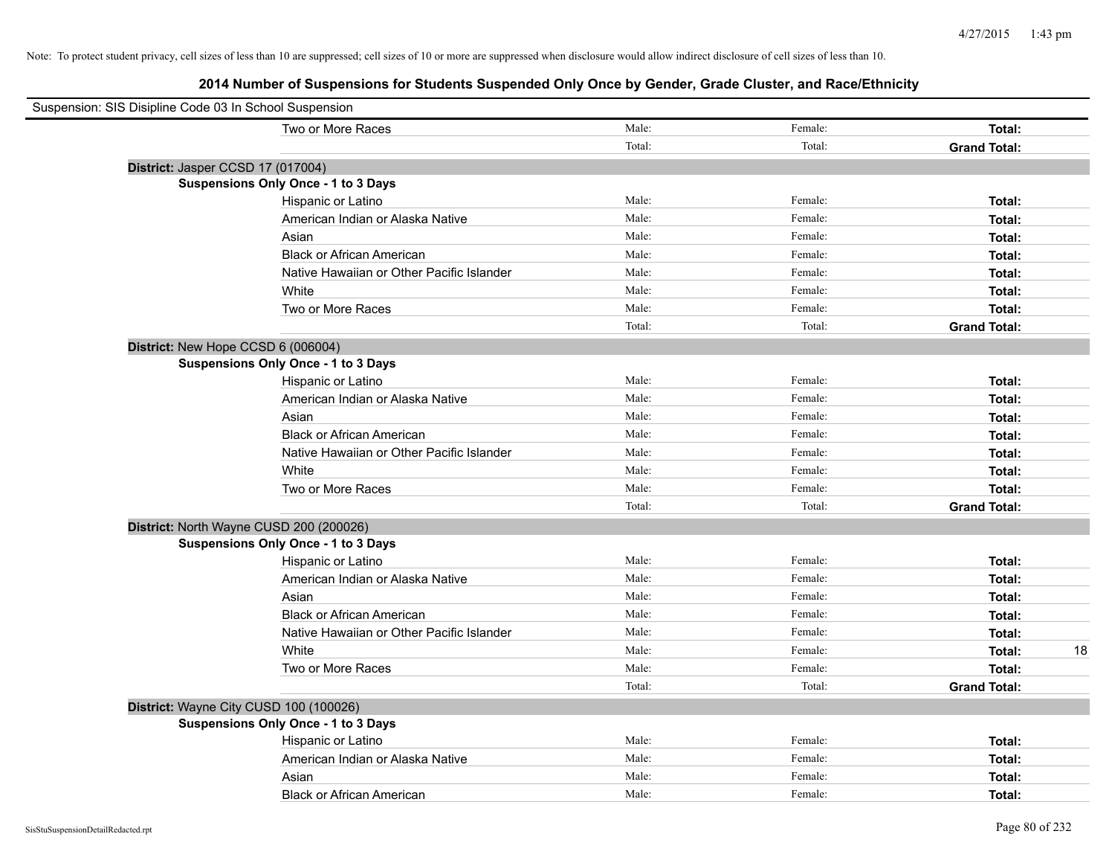| Suspension: SIS Disipline Code 03 In School Suspension |                                            |        |         |                     |    |
|--------------------------------------------------------|--------------------------------------------|--------|---------|---------------------|----|
|                                                        | Two or More Races                          | Male:  | Female: | Total:              |    |
|                                                        |                                            | Total: | Total:  | <b>Grand Total:</b> |    |
| District: Jasper CCSD 17 (017004)                      |                                            |        |         |                     |    |
|                                                        | Suspensions Only Once - 1 to 3 Days        |        |         |                     |    |
|                                                        | Hispanic or Latino                         | Male:  | Female: | Total:              |    |
|                                                        | American Indian or Alaska Native           | Male:  | Female: | Total:              |    |
|                                                        | Asian                                      | Male:  | Female: | Total:              |    |
|                                                        | <b>Black or African American</b>           | Male:  | Female: | Total:              |    |
|                                                        | Native Hawaiian or Other Pacific Islander  | Male:  | Female: | Total:              |    |
|                                                        | White                                      | Male:  | Female: | Total:              |    |
|                                                        | Two or More Races                          | Male:  | Female: | Total:              |    |
|                                                        |                                            | Total: | Total:  | <b>Grand Total:</b> |    |
| District: New Hope CCSD 6 (006004)                     |                                            |        |         |                     |    |
|                                                        | <b>Suspensions Only Once - 1 to 3 Days</b> |        |         |                     |    |
|                                                        | Hispanic or Latino                         | Male:  | Female: | Total:              |    |
|                                                        | American Indian or Alaska Native           | Male:  | Female: | Total:              |    |
|                                                        | Asian                                      | Male:  | Female: | Total:              |    |
|                                                        | <b>Black or African American</b>           | Male:  | Female: | Total:              |    |
|                                                        | Native Hawaiian or Other Pacific Islander  | Male:  | Female: | Total:              |    |
|                                                        | White                                      | Male:  | Female: | Total:              |    |
|                                                        | Two or More Races                          | Male:  | Female: | Total:              |    |
|                                                        |                                            | Total: | Total:  | <b>Grand Total:</b> |    |
| District: North Wayne CUSD 200 (200026)                |                                            |        |         |                     |    |
|                                                        | Suspensions Only Once - 1 to 3 Days        |        |         |                     |    |
|                                                        | Hispanic or Latino                         | Male:  | Female: | Total:              |    |
|                                                        | American Indian or Alaska Native           | Male:  | Female: | Total:              |    |
|                                                        | Asian                                      | Male:  | Female: | Total:              |    |
|                                                        | <b>Black or African American</b>           | Male:  | Female: | Total:              |    |
|                                                        | Native Hawaiian or Other Pacific Islander  | Male:  | Female: | Total:              |    |
|                                                        | White                                      | Male:  | Female: | Total:              | 18 |
|                                                        | Two or More Races                          | Male:  | Female: | Total:              |    |
|                                                        |                                            | Total: | Total:  | <b>Grand Total:</b> |    |
| District: Wayne City CUSD 100 (100026)                 |                                            |        |         |                     |    |
|                                                        | <b>Suspensions Only Once - 1 to 3 Days</b> |        |         |                     |    |
|                                                        | Hispanic or Latino                         | Male:  | Female: | Total:              |    |
|                                                        | American Indian or Alaska Native           | Male:  | Female: | Total:              |    |
|                                                        | Asian                                      | Male:  | Female: | Total:              |    |
|                                                        | <b>Black or African American</b>           | Male:  | Female: | Total:              |    |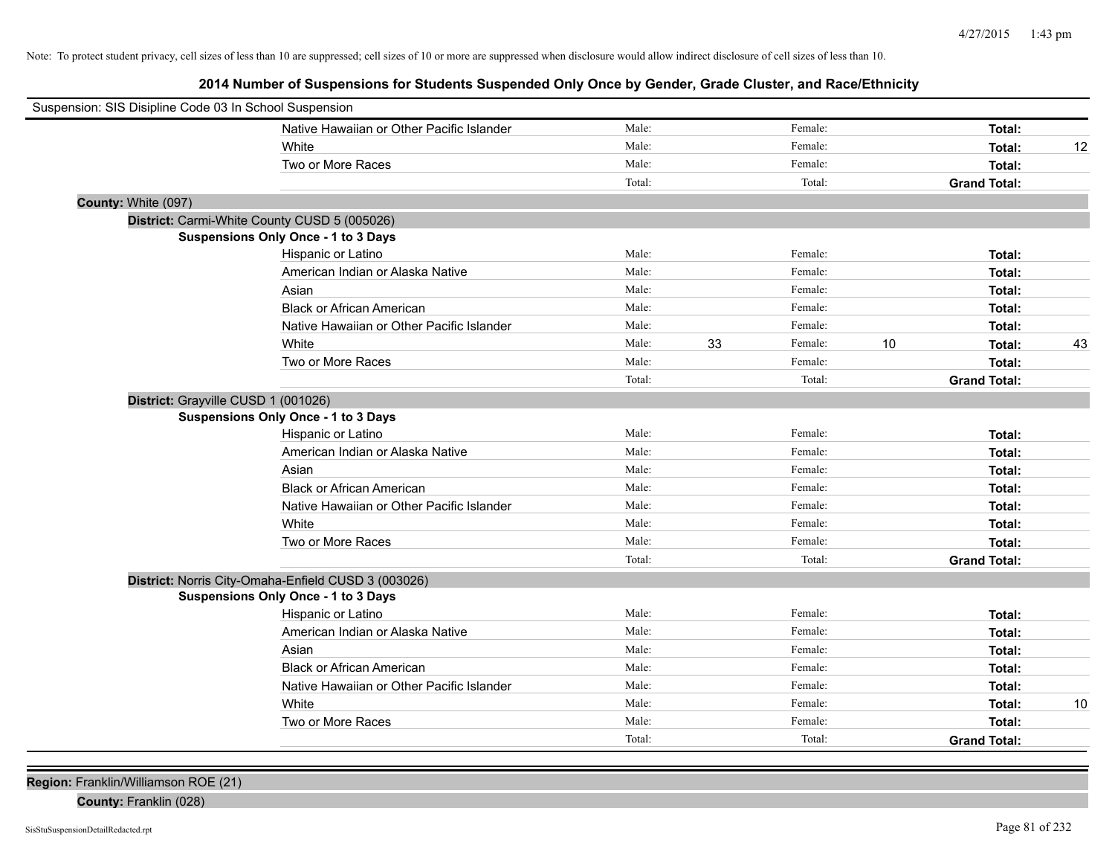**2014 Number of Suspensions for Students Suspended Only Once by Gender, Grade Cluster, and Race/Ethnicity**

| Female:<br>Native Hawaiian or Other Pacific Islander<br>Male:<br>Total:<br>Female:<br>Male:<br>White<br>Total:<br>12<br>Male:<br>Female:<br>Two or More Races<br>Total:<br>Total:<br>Total:<br><b>Grand Total:</b><br>County: White (097)<br>District: Carmi-White County CUSD 5 (005026)<br>Suspensions Only Once - 1 to 3 Days<br>Male:<br>Female:<br>Hispanic or Latino<br>Total:<br>Male:<br>Female:<br>American Indian or Alaska Native<br>Total:<br>Male:<br>Female:<br>Asian<br>Total:<br>Male:<br>Female:<br><b>Black or African American</b><br>Total:<br>Male:<br>Female:<br>Native Hawaiian or Other Pacific Islander<br>Total:<br>33<br>White<br>Male:<br>Female:<br>10<br>43<br>Total:<br>Male:<br>Female:<br>Two or More Races<br>Total:<br>Total:<br>Total:<br><b>Grand Total:</b><br>District: Grayville CUSD 1 (001026)<br>Suspensions Only Once - 1 to 3 Days<br>Male:<br>Hispanic or Latino<br>Female:<br>Total:<br>Male:<br>Female:<br>American Indian or Alaska Native<br>Total:<br>Male:<br>Female:<br>Asian<br>Total:<br><b>Black or African American</b><br>Male:<br>Female:<br>Total:<br>Native Hawaiian or Other Pacific Islander<br>Male:<br>Female:<br>Total:<br>White<br>Male:<br>Female:<br>Total:<br>Male:<br>Female:<br>Two or More Races<br>Total:<br>Total:<br>Total:<br><b>Grand Total:</b><br>District: Norris City-Omaha-Enfield CUSD 3 (003026)<br>Suspensions Only Once - 1 to 3 Days<br>Male:<br>Female:<br>Hispanic or Latino<br>Total:<br>Male:<br>Female:<br>American Indian or Alaska Native<br>Total:<br>Male:<br>Female:<br>Asian<br>Total:<br>Male:<br>Female:<br><b>Black or African American</b><br>Total:<br>Male:<br>Female:<br>Native Hawaiian or Other Pacific Islander<br>Total:<br>Female: | Suspension: SIS Disipline Code 03 In School Suspension |       |       |        |    |
|---------------------------------------------------------------------------------------------------------------------------------------------------------------------------------------------------------------------------------------------------------------------------------------------------------------------------------------------------------------------------------------------------------------------------------------------------------------------------------------------------------------------------------------------------------------------------------------------------------------------------------------------------------------------------------------------------------------------------------------------------------------------------------------------------------------------------------------------------------------------------------------------------------------------------------------------------------------------------------------------------------------------------------------------------------------------------------------------------------------------------------------------------------------------------------------------------------------------------------------------------------------------------------------------------------------------------------------------------------------------------------------------------------------------------------------------------------------------------------------------------------------------------------------------------------------------------------------------------------------------------------------------------------------------------------------------------------------------------------------------------|--------------------------------------------------------|-------|-------|--------|----|
|                                                                                                                                                                                                                                                                                                                                                                                                                                                                                                                                                                                                                                                                                                                                                                                                                                                                                                                                                                                                                                                                                                                                                                                                                                                                                                                                                                                                                                                                                                                                                                                                                                                                                                                                                   |                                                        |       |       |        |    |
|                                                                                                                                                                                                                                                                                                                                                                                                                                                                                                                                                                                                                                                                                                                                                                                                                                                                                                                                                                                                                                                                                                                                                                                                                                                                                                                                                                                                                                                                                                                                                                                                                                                                                                                                                   |                                                        |       |       |        |    |
|                                                                                                                                                                                                                                                                                                                                                                                                                                                                                                                                                                                                                                                                                                                                                                                                                                                                                                                                                                                                                                                                                                                                                                                                                                                                                                                                                                                                                                                                                                                                                                                                                                                                                                                                                   |                                                        |       |       |        |    |
|                                                                                                                                                                                                                                                                                                                                                                                                                                                                                                                                                                                                                                                                                                                                                                                                                                                                                                                                                                                                                                                                                                                                                                                                                                                                                                                                                                                                                                                                                                                                                                                                                                                                                                                                                   |                                                        |       |       |        |    |
|                                                                                                                                                                                                                                                                                                                                                                                                                                                                                                                                                                                                                                                                                                                                                                                                                                                                                                                                                                                                                                                                                                                                                                                                                                                                                                                                                                                                                                                                                                                                                                                                                                                                                                                                                   |                                                        |       |       |        |    |
|                                                                                                                                                                                                                                                                                                                                                                                                                                                                                                                                                                                                                                                                                                                                                                                                                                                                                                                                                                                                                                                                                                                                                                                                                                                                                                                                                                                                                                                                                                                                                                                                                                                                                                                                                   |                                                        |       |       |        |    |
|                                                                                                                                                                                                                                                                                                                                                                                                                                                                                                                                                                                                                                                                                                                                                                                                                                                                                                                                                                                                                                                                                                                                                                                                                                                                                                                                                                                                                                                                                                                                                                                                                                                                                                                                                   |                                                        |       |       |        |    |
|                                                                                                                                                                                                                                                                                                                                                                                                                                                                                                                                                                                                                                                                                                                                                                                                                                                                                                                                                                                                                                                                                                                                                                                                                                                                                                                                                                                                                                                                                                                                                                                                                                                                                                                                                   |                                                        |       |       |        |    |
|                                                                                                                                                                                                                                                                                                                                                                                                                                                                                                                                                                                                                                                                                                                                                                                                                                                                                                                                                                                                                                                                                                                                                                                                                                                                                                                                                                                                                                                                                                                                                                                                                                                                                                                                                   |                                                        |       |       |        |    |
|                                                                                                                                                                                                                                                                                                                                                                                                                                                                                                                                                                                                                                                                                                                                                                                                                                                                                                                                                                                                                                                                                                                                                                                                                                                                                                                                                                                                                                                                                                                                                                                                                                                                                                                                                   |                                                        |       |       |        |    |
|                                                                                                                                                                                                                                                                                                                                                                                                                                                                                                                                                                                                                                                                                                                                                                                                                                                                                                                                                                                                                                                                                                                                                                                                                                                                                                                                                                                                                                                                                                                                                                                                                                                                                                                                                   |                                                        |       |       |        |    |
|                                                                                                                                                                                                                                                                                                                                                                                                                                                                                                                                                                                                                                                                                                                                                                                                                                                                                                                                                                                                                                                                                                                                                                                                                                                                                                                                                                                                                                                                                                                                                                                                                                                                                                                                                   |                                                        |       |       |        |    |
|                                                                                                                                                                                                                                                                                                                                                                                                                                                                                                                                                                                                                                                                                                                                                                                                                                                                                                                                                                                                                                                                                                                                                                                                                                                                                                                                                                                                                                                                                                                                                                                                                                                                                                                                                   |                                                        |       |       |        |    |
|                                                                                                                                                                                                                                                                                                                                                                                                                                                                                                                                                                                                                                                                                                                                                                                                                                                                                                                                                                                                                                                                                                                                                                                                                                                                                                                                                                                                                                                                                                                                                                                                                                                                                                                                                   |                                                        |       |       |        |    |
|                                                                                                                                                                                                                                                                                                                                                                                                                                                                                                                                                                                                                                                                                                                                                                                                                                                                                                                                                                                                                                                                                                                                                                                                                                                                                                                                                                                                                                                                                                                                                                                                                                                                                                                                                   |                                                        |       |       |        |    |
|                                                                                                                                                                                                                                                                                                                                                                                                                                                                                                                                                                                                                                                                                                                                                                                                                                                                                                                                                                                                                                                                                                                                                                                                                                                                                                                                                                                                                                                                                                                                                                                                                                                                                                                                                   |                                                        |       |       |        |    |
|                                                                                                                                                                                                                                                                                                                                                                                                                                                                                                                                                                                                                                                                                                                                                                                                                                                                                                                                                                                                                                                                                                                                                                                                                                                                                                                                                                                                                                                                                                                                                                                                                                                                                                                                                   |                                                        |       |       |        |    |
|                                                                                                                                                                                                                                                                                                                                                                                                                                                                                                                                                                                                                                                                                                                                                                                                                                                                                                                                                                                                                                                                                                                                                                                                                                                                                                                                                                                                                                                                                                                                                                                                                                                                                                                                                   |                                                        |       |       |        |    |
|                                                                                                                                                                                                                                                                                                                                                                                                                                                                                                                                                                                                                                                                                                                                                                                                                                                                                                                                                                                                                                                                                                                                                                                                                                                                                                                                                                                                                                                                                                                                                                                                                                                                                                                                                   |                                                        |       |       |        |    |
|                                                                                                                                                                                                                                                                                                                                                                                                                                                                                                                                                                                                                                                                                                                                                                                                                                                                                                                                                                                                                                                                                                                                                                                                                                                                                                                                                                                                                                                                                                                                                                                                                                                                                                                                                   |                                                        |       |       |        |    |
|                                                                                                                                                                                                                                                                                                                                                                                                                                                                                                                                                                                                                                                                                                                                                                                                                                                                                                                                                                                                                                                                                                                                                                                                                                                                                                                                                                                                                                                                                                                                                                                                                                                                                                                                                   |                                                        |       |       |        |    |
|                                                                                                                                                                                                                                                                                                                                                                                                                                                                                                                                                                                                                                                                                                                                                                                                                                                                                                                                                                                                                                                                                                                                                                                                                                                                                                                                                                                                                                                                                                                                                                                                                                                                                                                                                   |                                                        |       |       |        |    |
|                                                                                                                                                                                                                                                                                                                                                                                                                                                                                                                                                                                                                                                                                                                                                                                                                                                                                                                                                                                                                                                                                                                                                                                                                                                                                                                                                                                                                                                                                                                                                                                                                                                                                                                                                   |                                                        |       |       |        |    |
|                                                                                                                                                                                                                                                                                                                                                                                                                                                                                                                                                                                                                                                                                                                                                                                                                                                                                                                                                                                                                                                                                                                                                                                                                                                                                                                                                                                                                                                                                                                                                                                                                                                                                                                                                   |                                                        |       |       |        |    |
|                                                                                                                                                                                                                                                                                                                                                                                                                                                                                                                                                                                                                                                                                                                                                                                                                                                                                                                                                                                                                                                                                                                                                                                                                                                                                                                                                                                                                                                                                                                                                                                                                                                                                                                                                   |                                                        |       |       |        |    |
|                                                                                                                                                                                                                                                                                                                                                                                                                                                                                                                                                                                                                                                                                                                                                                                                                                                                                                                                                                                                                                                                                                                                                                                                                                                                                                                                                                                                                                                                                                                                                                                                                                                                                                                                                   |                                                        |       |       |        |    |
|                                                                                                                                                                                                                                                                                                                                                                                                                                                                                                                                                                                                                                                                                                                                                                                                                                                                                                                                                                                                                                                                                                                                                                                                                                                                                                                                                                                                                                                                                                                                                                                                                                                                                                                                                   |                                                        |       |       |        |    |
|                                                                                                                                                                                                                                                                                                                                                                                                                                                                                                                                                                                                                                                                                                                                                                                                                                                                                                                                                                                                                                                                                                                                                                                                                                                                                                                                                                                                                                                                                                                                                                                                                                                                                                                                                   |                                                        |       |       |        |    |
|                                                                                                                                                                                                                                                                                                                                                                                                                                                                                                                                                                                                                                                                                                                                                                                                                                                                                                                                                                                                                                                                                                                                                                                                                                                                                                                                                                                                                                                                                                                                                                                                                                                                                                                                                   |                                                        |       |       |        |    |
|                                                                                                                                                                                                                                                                                                                                                                                                                                                                                                                                                                                                                                                                                                                                                                                                                                                                                                                                                                                                                                                                                                                                                                                                                                                                                                                                                                                                                                                                                                                                                                                                                                                                                                                                                   |                                                        |       |       |        |    |
|                                                                                                                                                                                                                                                                                                                                                                                                                                                                                                                                                                                                                                                                                                                                                                                                                                                                                                                                                                                                                                                                                                                                                                                                                                                                                                                                                                                                                                                                                                                                                                                                                                                                                                                                                   |                                                        |       |       |        |    |
|                                                                                                                                                                                                                                                                                                                                                                                                                                                                                                                                                                                                                                                                                                                                                                                                                                                                                                                                                                                                                                                                                                                                                                                                                                                                                                                                                                                                                                                                                                                                                                                                                                                                                                                                                   |                                                        |       |       |        |    |
|                                                                                                                                                                                                                                                                                                                                                                                                                                                                                                                                                                                                                                                                                                                                                                                                                                                                                                                                                                                                                                                                                                                                                                                                                                                                                                                                                                                                                                                                                                                                                                                                                                                                                                                                                   |                                                        | White | Male: | Total: | 10 |
| Male:<br>Two or More Races<br>Female:<br>Total:                                                                                                                                                                                                                                                                                                                                                                                                                                                                                                                                                                                                                                                                                                                                                                                                                                                                                                                                                                                                                                                                                                                                                                                                                                                                                                                                                                                                                                                                                                                                                                                                                                                                                                   |                                                        |       |       |        |    |
| Total:<br>Total:<br><b>Grand Total:</b>                                                                                                                                                                                                                                                                                                                                                                                                                                                                                                                                                                                                                                                                                                                                                                                                                                                                                                                                                                                                                                                                                                                                                                                                                                                                                                                                                                                                                                                                                                                                                                                                                                                                                                           |                                                        |       |       |        |    |

**Region:** Franklin/Williamson ROE (21)

**County:** Franklin (028)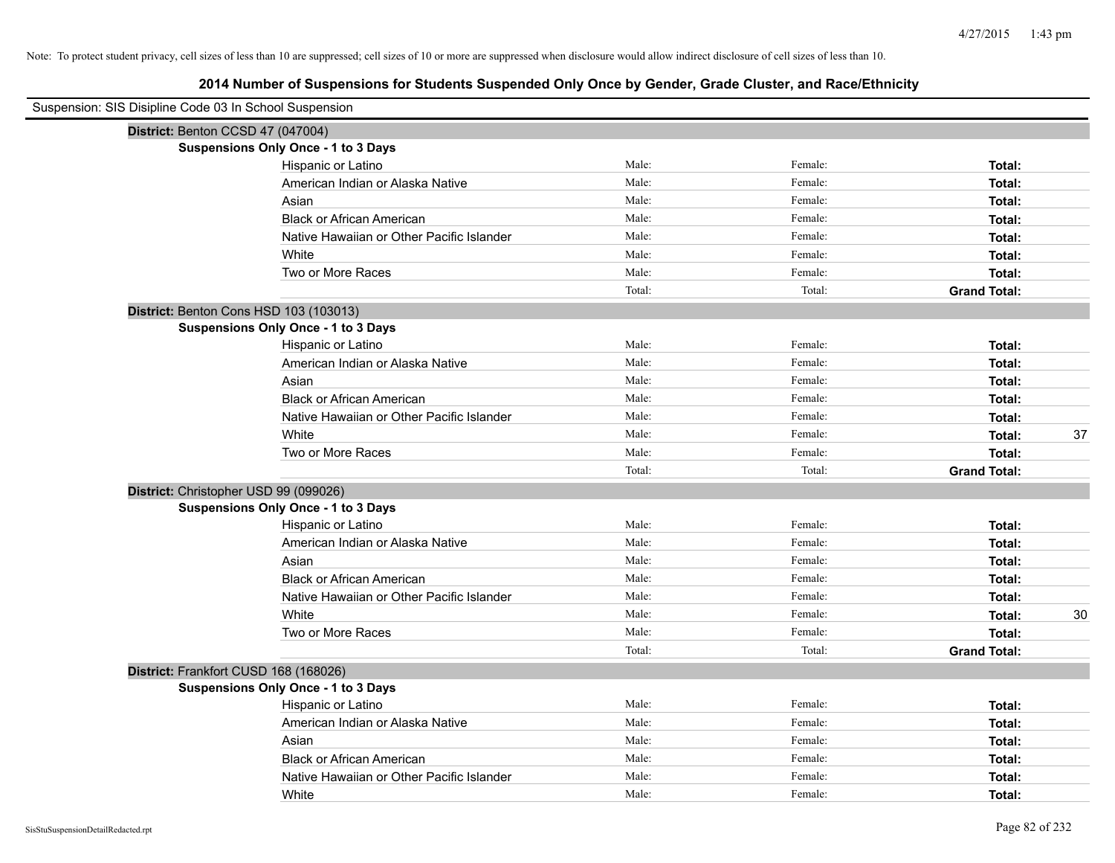| Suspension: SIS Disipline Code 03 In School Suspension |                                            |        |         |                     |    |
|--------------------------------------------------------|--------------------------------------------|--------|---------|---------------------|----|
|                                                        | District: Benton CCSD 47 (047004)          |        |         |                     |    |
|                                                        | <b>Suspensions Only Once - 1 to 3 Days</b> |        |         |                     |    |
|                                                        | Hispanic or Latino                         | Male:  | Female: | Total:              |    |
|                                                        | American Indian or Alaska Native           | Male:  | Female: | Total:              |    |
|                                                        | Asian                                      | Male:  | Female: | Total:              |    |
|                                                        | <b>Black or African American</b>           | Male:  | Female: | Total:              |    |
|                                                        | Native Hawaiian or Other Pacific Islander  | Male:  | Female: | Total:              |    |
|                                                        | White                                      | Male:  | Female: | Total:              |    |
|                                                        | Two or More Races                          | Male:  | Female: | Total:              |    |
|                                                        |                                            | Total: | Total:  | <b>Grand Total:</b> |    |
|                                                        | District: Benton Cons HSD 103 (103013)     |        |         |                     |    |
|                                                        | <b>Suspensions Only Once - 1 to 3 Days</b> |        |         |                     |    |
|                                                        | Hispanic or Latino                         | Male:  | Female: | Total:              |    |
|                                                        | American Indian or Alaska Native           | Male:  | Female: | Total:              |    |
|                                                        | Asian                                      | Male:  | Female: | Total:              |    |
|                                                        | <b>Black or African American</b>           | Male:  | Female: | Total:              |    |
|                                                        | Native Hawaiian or Other Pacific Islander  | Male:  | Female: | Total:              |    |
|                                                        | White                                      | Male:  | Female: | Total:              | 37 |
|                                                        | Two or More Races                          | Male:  | Female: | Total:              |    |
|                                                        |                                            | Total: | Total:  | <b>Grand Total:</b> |    |
|                                                        | District: Christopher USD 99 (099026)      |        |         |                     |    |
|                                                        | <b>Suspensions Only Once - 1 to 3 Days</b> |        |         |                     |    |
|                                                        | Hispanic or Latino                         | Male:  | Female: | Total:              |    |
|                                                        | American Indian or Alaska Native           | Male:  | Female: | Total:              |    |
|                                                        | Asian                                      | Male:  | Female: | Total:              |    |
|                                                        | <b>Black or African American</b>           | Male:  | Female: | Total:              |    |
|                                                        | Native Hawaiian or Other Pacific Islander  | Male:  | Female: | Total:              |    |
|                                                        | White                                      | Male:  | Female: | Total:              | 30 |
|                                                        | Two or More Races                          | Male:  | Female: | Total:              |    |
|                                                        |                                            | Total: | Total:  | <b>Grand Total:</b> |    |
|                                                        | District: Frankfort CUSD 168 (168026)      |        |         |                     |    |
|                                                        | <b>Suspensions Only Once - 1 to 3 Days</b> |        |         |                     |    |
|                                                        | Hispanic or Latino                         | Male:  | Female: | Total:              |    |
|                                                        | American Indian or Alaska Native           | Male:  | Female: | Total:              |    |
|                                                        | Asian                                      | Male:  | Female: | Total:              |    |
|                                                        | <b>Black or African American</b>           | Male:  | Female: | Total:              |    |
|                                                        | Native Hawaiian or Other Pacific Islander  | Male:  | Female: | Total:              |    |
|                                                        | White                                      | Male:  | Female: | Total:              |    |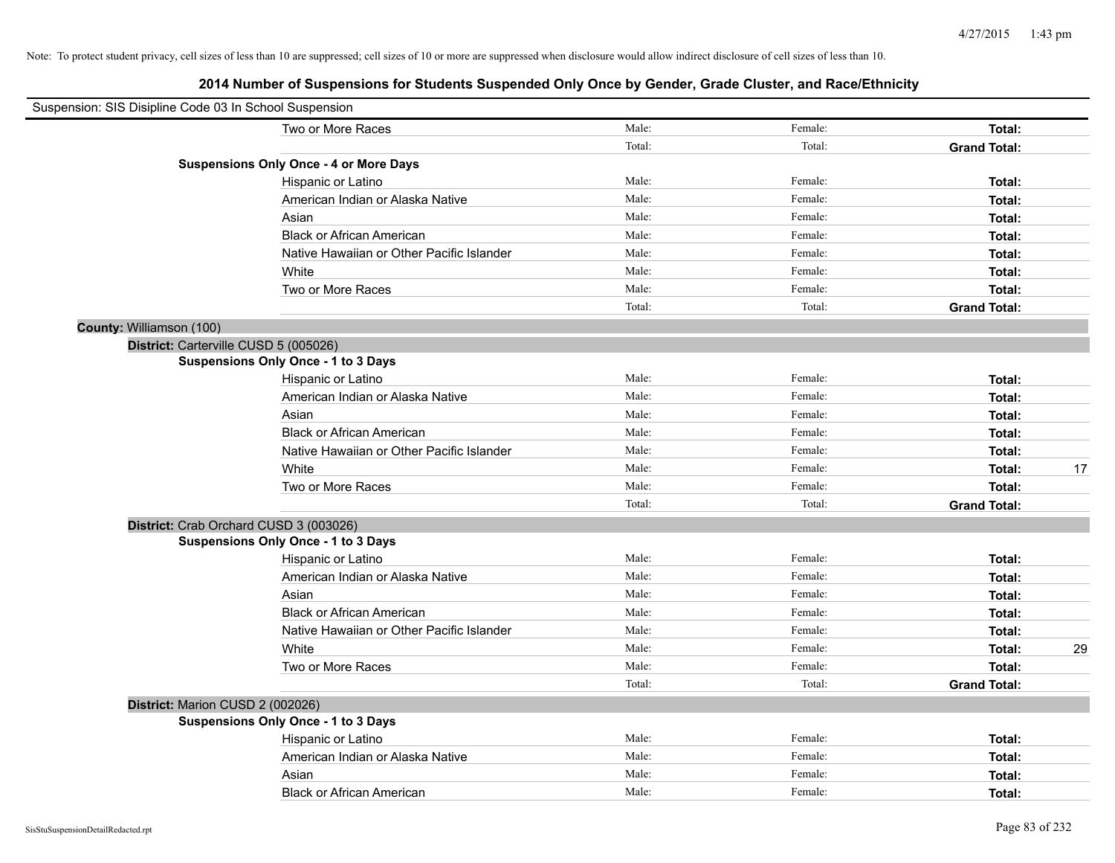| Suspension: SIS Disipline Code 03 In School Suspension |                                               |        |         |                     |    |
|--------------------------------------------------------|-----------------------------------------------|--------|---------|---------------------|----|
|                                                        | Two or More Races                             | Male:  | Female: | Total:              |    |
|                                                        |                                               | Total: | Total:  | <b>Grand Total:</b> |    |
|                                                        | <b>Suspensions Only Once - 4 or More Days</b> |        |         |                     |    |
|                                                        | Hispanic or Latino                            | Male:  | Female: | Total:              |    |
|                                                        | American Indian or Alaska Native              | Male:  | Female: | Total:              |    |
|                                                        | Asian                                         | Male:  | Female: | Total:              |    |
|                                                        | <b>Black or African American</b>              | Male:  | Female: | Total:              |    |
|                                                        | Native Hawaiian or Other Pacific Islander     | Male:  | Female: | Total:              |    |
|                                                        | White                                         | Male:  | Female: | Total:              |    |
|                                                        | Two or More Races                             | Male:  | Female: | Total:              |    |
|                                                        |                                               | Total: | Total:  | <b>Grand Total:</b> |    |
| County: Williamson (100)                               |                                               |        |         |                     |    |
|                                                        | District: Carterville CUSD 5 (005026)         |        |         |                     |    |
|                                                        | Suspensions Only Once - 1 to 3 Days           |        |         |                     |    |
|                                                        | Hispanic or Latino                            | Male:  | Female: | Total:              |    |
|                                                        | American Indian or Alaska Native              | Male:  | Female: | Total:              |    |
|                                                        | Asian                                         | Male:  | Female: | Total:              |    |
|                                                        | <b>Black or African American</b>              | Male:  | Female: | Total:              |    |
|                                                        | Native Hawaiian or Other Pacific Islander     | Male:  | Female: | Total:              |    |
|                                                        | White                                         | Male:  | Female: | Total:              | 17 |
|                                                        | Two or More Races                             | Male:  | Female: | Total:              |    |
|                                                        |                                               | Total: | Total:  | <b>Grand Total:</b> |    |
|                                                        | District: Crab Orchard CUSD 3 (003026)        |        |         |                     |    |
|                                                        | Suspensions Only Once - 1 to 3 Days           |        |         |                     |    |
|                                                        | Hispanic or Latino                            | Male:  | Female: | Total:              |    |
|                                                        | American Indian or Alaska Native              | Male:  | Female: | Total:              |    |
|                                                        | Asian                                         | Male:  | Female: | Total:              |    |
|                                                        | <b>Black or African American</b>              | Male:  | Female: | Total:              |    |
|                                                        | Native Hawaiian or Other Pacific Islander     | Male:  | Female: | Total:              |    |
|                                                        | White                                         | Male:  | Female: | Total:              | 29 |
|                                                        | Two or More Races                             | Male:  | Female: | Total:              |    |
|                                                        |                                               | Total: | Total:  | <b>Grand Total:</b> |    |
| District: Marion CUSD 2 (002026)                       |                                               |        |         |                     |    |
|                                                        | <b>Suspensions Only Once - 1 to 3 Days</b>    |        |         |                     |    |
|                                                        | Hispanic or Latino                            | Male:  | Female: | Total:              |    |
|                                                        | American Indian or Alaska Native              | Male:  | Female: | Total:              |    |
|                                                        | Asian                                         | Male:  | Female: | Total:              |    |
|                                                        | <b>Black or African American</b>              | Male:  | Female: | Total:              |    |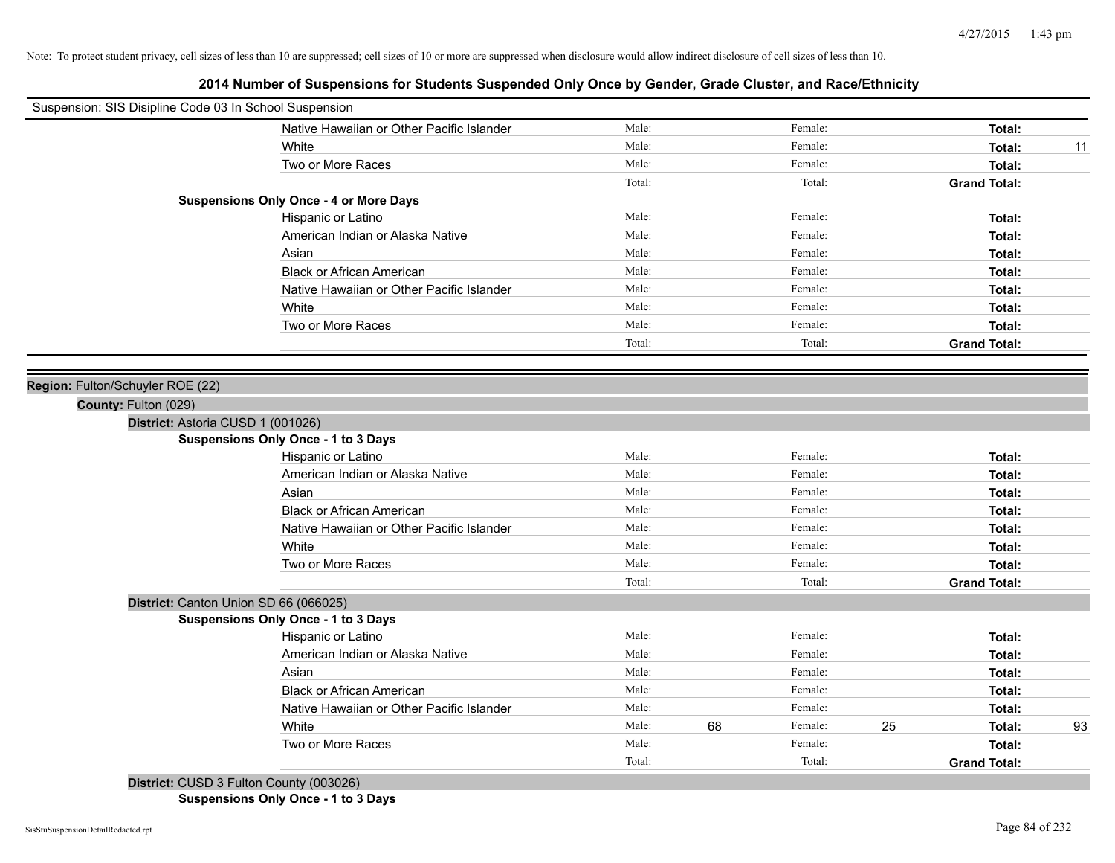# **2014 Number of Suspensions for Students Suspended Only Once by Gender, Grade Cluster, and Race/Ethnicity**

| Suspension: SIS Disipline Code 03 In School Suspension |        |    |         |                     |    |
|--------------------------------------------------------|--------|----|---------|---------------------|----|
| Native Hawaiian or Other Pacific Islander              | Male:  |    | Female: | Total:              |    |
| White                                                  | Male:  |    | Female: | Total:              | 11 |
| Two or More Races                                      | Male:  |    | Female: | Total:              |    |
|                                                        | Total: |    | Total:  | <b>Grand Total:</b> |    |
| <b>Suspensions Only Once - 4 or More Days</b>          |        |    |         |                     |    |
| Hispanic or Latino                                     | Male:  |    | Female: | Total:              |    |
| American Indian or Alaska Native                       | Male:  |    | Female: | Total:              |    |
| Asian                                                  | Male:  |    | Female: | Total:              |    |
| <b>Black or African American</b>                       | Male:  |    | Female: | Total:              |    |
| Native Hawaiian or Other Pacific Islander              | Male:  |    | Female: | Total:              |    |
| White                                                  | Male:  |    | Female: | Total:              |    |
| Two or More Races                                      | Male:  |    | Female: | Total:              |    |
|                                                        | Total: |    | Total:  | <b>Grand Total:</b> |    |
|                                                        |        |    |         |                     |    |
| Region: Fulton/Schuyler ROE (22)                       |        |    |         |                     |    |
| County: Fulton (029)                                   |        |    |         |                     |    |
| District: Astoria CUSD 1 (001026)                      |        |    |         |                     |    |
| <b>Suspensions Only Once - 1 to 3 Days</b>             |        |    |         |                     |    |
| Hispanic or Latino                                     | Male:  |    | Female: | Total:              |    |
| American Indian or Alaska Native                       | Male:  |    | Female: | Total:              |    |
| Asian                                                  | Male:  |    | Female: | Total:              |    |
| <b>Black or African American</b>                       | Male:  |    | Female: | Total:              |    |
| Native Hawaiian or Other Pacific Islander              | Male:  |    | Female: | Total:              |    |
| White                                                  | Male:  |    | Female: | Total:              |    |
| Two or More Races                                      | Male:  |    | Female: | Total:              |    |
|                                                        | Total: |    | Total:  | <b>Grand Total:</b> |    |
| District: Canton Union SD 66 (066025)                  |        |    |         |                     |    |
| <b>Suspensions Only Once - 1 to 3 Days</b>             |        |    |         |                     |    |
| Hispanic or Latino                                     | Male:  |    | Female: | Total:              |    |
| American Indian or Alaska Native                       | Male:  |    | Female: | Total:              |    |
| Asian                                                  | Male:  |    | Female: | Total:              |    |
| <b>Black or African American</b>                       | Male:  |    | Female: | Total:              |    |
| Native Hawaiian or Other Pacific Islander              | Male:  |    | Female: | Total:              |    |
| White                                                  | Male:  | 68 | Female: | 25<br>Total:        | 93 |
| Two or More Races                                      | Male:  |    | Female: | Total:              |    |
|                                                        | Total: |    | Total:  | <b>Grand Total:</b> |    |

**District:** CUSD 3 Fulton County (003026) **Suspensions Only Once - 1 to 3 Days**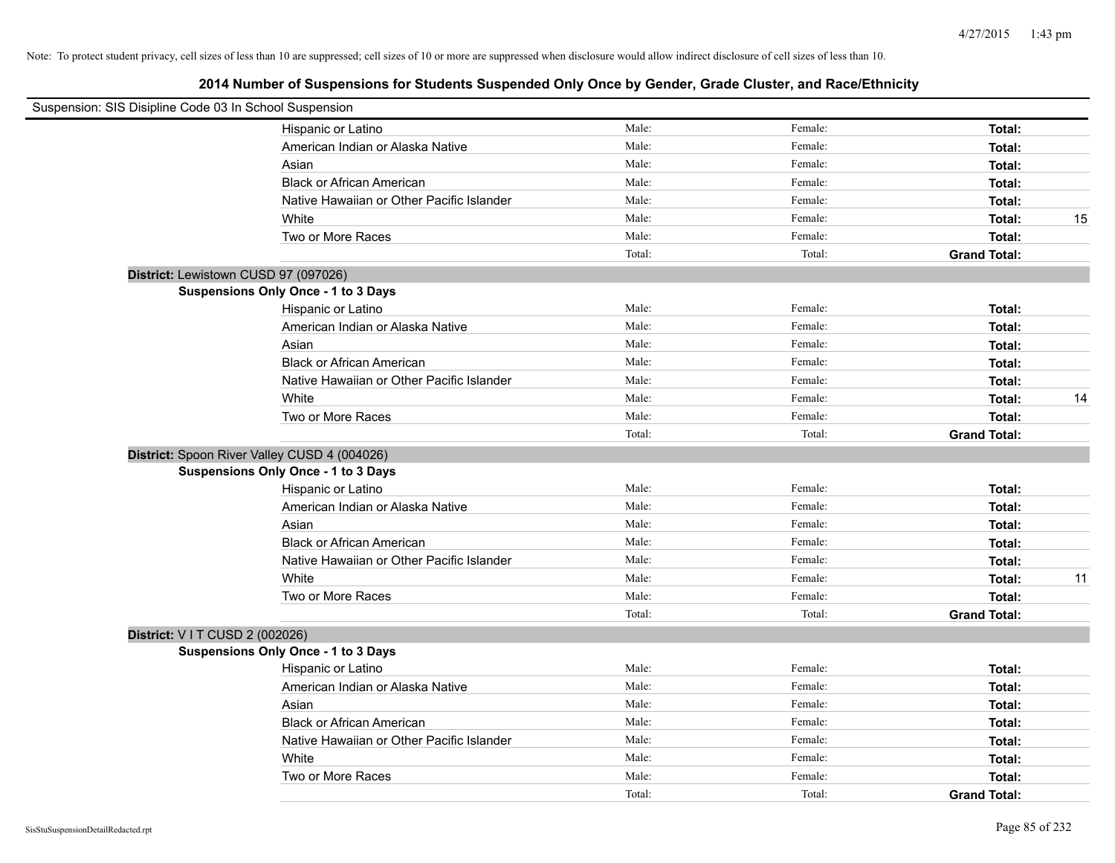| Suspension: SIS Disipline Code 03 In School Suspension |                                              |        |         |                     |    |
|--------------------------------------------------------|----------------------------------------------|--------|---------|---------------------|----|
|                                                        | Hispanic or Latino                           | Male:  | Female: | Total:              |    |
|                                                        | American Indian or Alaska Native             | Male:  | Female: | Total:              |    |
|                                                        | Asian                                        | Male:  | Female: | Total:              |    |
|                                                        | <b>Black or African American</b>             | Male:  | Female: | Total:              |    |
|                                                        | Native Hawaiian or Other Pacific Islander    | Male:  | Female: | Total:              |    |
|                                                        | White                                        | Male:  | Female: | Total:              | 15 |
|                                                        | Two or More Races                            | Male:  | Female: | Total:              |    |
|                                                        |                                              | Total: | Total:  | <b>Grand Total:</b> |    |
|                                                        | District: Lewistown CUSD 97 (097026)         |        |         |                     |    |
|                                                        | Suspensions Only Once - 1 to 3 Days          |        |         |                     |    |
|                                                        | Hispanic or Latino                           | Male:  | Female: | Total:              |    |
|                                                        | American Indian or Alaska Native             | Male:  | Female: | Total:              |    |
|                                                        | Asian                                        | Male:  | Female: | Total:              |    |
|                                                        | <b>Black or African American</b>             | Male:  | Female: | Total:              |    |
|                                                        | Native Hawaiian or Other Pacific Islander    | Male:  | Female: | Total:              |    |
|                                                        | White                                        | Male:  | Female: | Total:              | 14 |
|                                                        | Two or More Races                            | Male:  | Female: | Total:              |    |
|                                                        |                                              | Total: | Total:  | <b>Grand Total:</b> |    |
|                                                        | District: Spoon River Valley CUSD 4 (004026) |        |         |                     |    |
|                                                        | Suspensions Only Once - 1 to 3 Days          |        |         |                     |    |
|                                                        | Hispanic or Latino                           | Male:  | Female: | Total:              |    |
|                                                        | American Indian or Alaska Native             | Male:  | Female: | Total:              |    |
|                                                        | Asian                                        | Male:  | Female: | Total:              |    |
|                                                        | <b>Black or African American</b>             | Male:  | Female: | Total:              |    |
|                                                        | Native Hawaiian or Other Pacific Islander    | Male:  | Female: | Total:              |    |
|                                                        | White                                        | Male:  | Female: | Total:              | 11 |
|                                                        | Two or More Races                            | Male:  | Female: | Total:              |    |
|                                                        |                                              | Total: | Total:  | <b>Grand Total:</b> |    |
| District: V I T CUSD 2 (002026)                        |                                              |        |         |                     |    |
|                                                        | Suspensions Only Once - 1 to 3 Days          |        |         |                     |    |
|                                                        | Hispanic or Latino                           | Male:  | Female: | Total:              |    |
|                                                        | American Indian or Alaska Native             | Male:  | Female: | Total:              |    |
|                                                        | Asian                                        | Male:  | Female: | Total:              |    |
|                                                        | <b>Black or African American</b>             | Male:  | Female: | Total:              |    |
|                                                        | Native Hawaiian or Other Pacific Islander    | Male:  | Female: | Total:              |    |
|                                                        | White                                        | Male:  | Female: | Total:              |    |
|                                                        | Two or More Races                            | Male:  | Female: | Total:              |    |
|                                                        |                                              | Total: | Total:  | <b>Grand Total:</b> |    |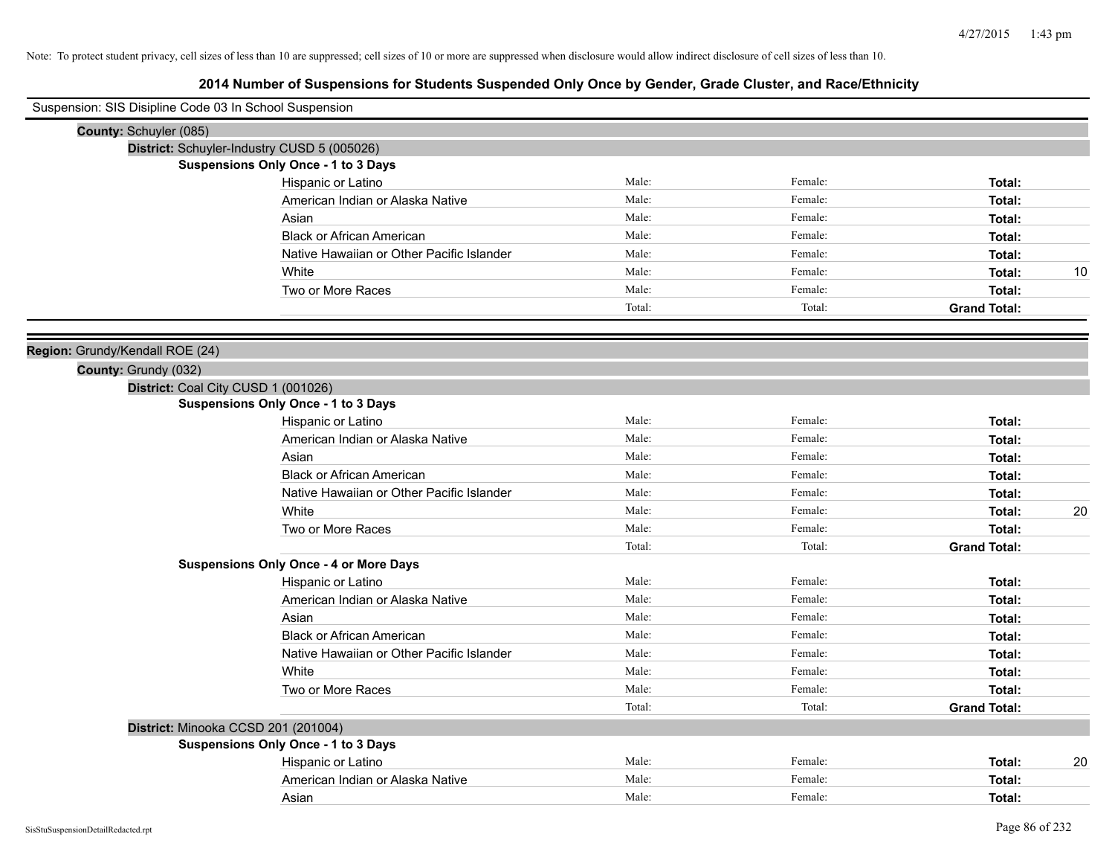| Suspension: SIS Disipline Code 03 In School Suspension |                                               |        |         |                     |    |
|--------------------------------------------------------|-----------------------------------------------|--------|---------|---------------------|----|
| County: Schuyler (085)                                 |                                               |        |         |                     |    |
|                                                        | District: Schuyler-Industry CUSD 5 (005026)   |        |         |                     |    |
|                                                        | <b>Suspensions Only Once - 1 to 3 Days</b>    |        |         |                     |    |
|                                                        | Hispanic or Latino                            | Male:  | Female: | Total:              |    |
|                                                        | American Indian or Alaska Native              | Male:  | Female: | Total:              |    |
|                                                        | Asian                                         | Male:  | Female: | Total:              |    |
|                                                        | <b>Black or African American</b>              | Male:  | Female: | Total:              |    |
|                                                        | Native Hawaiian or Other Pacific Islander     | Male:  | Female: | Total:              |    |
|                                                        | White                                         | Male:  | Female: | Total:              | 10 |
|                                                        | Two or More Races                             | Male:  | Female: | Total:              |    |
|                                                        |                                               | Total: | Total:  | <b>Grand Total:</b> |    |
|                                                        |                                               |        |         |                     |    |
| Region: Grundy/Kendall ROE (24)                        |                                               |        |         |                     |    |
| County: Grundy (032)                                   |                                               |        |         |                     |    |
|                                                        | District: Coal City CUSD 1 (001026)           |        |         |                     |    |
|                                                        | Suspensions Only Once - 1 to 3 Days           |        |         |                     |    |
|                                                        | Hispanic or Latino                            | Male:  | Female: | Total:              |    |
|                                                        | American Indian or Alaska Native              | Male:  | Female: | Total:              |    |
|                                                        | Asian                                         | Male:  | Female: | Total:              |    |
|                                                        | <b>Black or African American</b>              | Male:  | Female: | Total:              |    |
|                                                        | Native Hawaiian or Other Pacific Islander     | Male:  | Female: | Total:              |    |
|                                                        | White                                         | Male:  | Female: | Total:              | 20 |
|                                                        | Two or More Races                             | Male:  | Female: | Total:              |    |
|                                                        |                                               | Total: | Total:  | <b>Grand Total:</b> |    |
|                                                        | <b>Suspensions Only Once - 4 or More Days</b> |        |         |                     |    |
|                                                        | Hispanic or Latino                            | Male:  | Female: | Total:              |    |
|                                                        | American Indian or Alaska Native              | Male:  | Female: | Total:              |    |
|                                                        | Asian                                         | Male:  | Female: | Total:              |    |
|                                                        | <b>Black or African American</b>              | Male:  | Female: | Total:              |    |
|                                                        | Native Hawaiian or Other Pacific Islander     | Male:  | Female: | Total:              |    |
|                                                        | White                                         | Male:  | Female: | Total:              |    |
|                                                        | Two or More Races                             | Male:  | Female: | Total:              |    |
|                                                        |                                               | Total: | Total:  | <b>Grand Total:</b> |    |
|                                                        | District: Minooka CCSD 201 (201004)           |        |         |                     |    |
|                                                        | Suspensions Only Once - 1 to 3 Days           |        |         |                     |    |
|                                                        | Hispanic or Latino                            | Male:  | Female: | Total:              | 20 |
|                                                        | American Indian or Alaska Native              | Male:  | Female: | Total:              |    |
|                                                        | Asian                                         | Male:  | Female: | Total:              |    |
|                                                        |                                               |        |         |                     |    |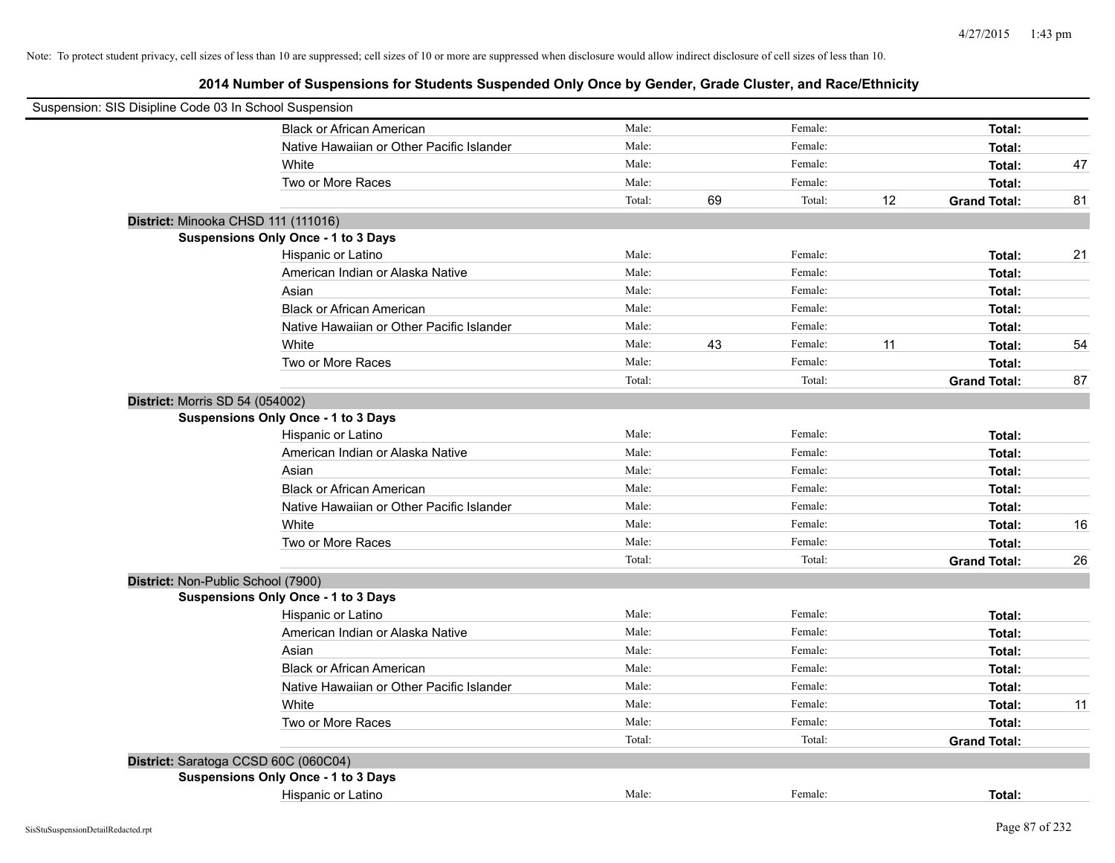|                                        | Suspension: SIS Disipline Code 03 In School Suspension |        |    |         |    |                     |    |
|----------------------------------------|--------------------------------------------------------|--------|----|---------|----|---------------------|----|
|                                        | <b>Black or African American</b>                       | Male:  |    | Female: |    | Total:              |    |
|                                        | Native Hawaiian or Other Pacific Islander              | Male:  |    | Female: |    | Total:              |    |
|                                        | White                                                  | Male:  |    | Female: |    | Total:              | 47 |
|                                        | Two or More Races                                      | Male:  |    | Female: |    | Total:              |    |
|                                        |                                                        | Total: | 69 | Total:  | 12 | <b>Grand Total:</b> | 81 |
|                                        | District: Minooka CHSD 111 (111016)                    |        |    |         |    |                     |    |
|                                        | Suspensions Only Once - 1 to 3 Days                    |        |    |         |    |                     |    |
|                                        | Hispanic or Latino                                     | Male:  |    | Female: |    | Total:              | 21 |
|                                        | American Indian or Alaska Native                       | Male:  |    | Female: |    | Total:              |    |
|                                        | Asian                                                  | Male:  |    | Female: |    | Total:              |    |
|                                        | <b>Black or African American</b>                       | Male:  |    | Female: |    | Total:              |    |
|                                        | Native Hawaiian or Other Pacific Islander              | Male:  |    | Female: |    | Total:              |    |
|                                        | White                                                  | Male:  | 43 | Female: | 11 | Total:              | 54 |
|                                        | Two or More Races                                      | Male:  |    | Female: |    | Total:              |    |
|                                        |                                                        | Total: |    | Total:  |    | <b>Grand Total:</b> | 87 |
| <b>District: Morris SD 54 (054002)</b> |                                                        |        |    |         |    |                     |    |
|                                        | Suspensions Only Once - 1 to 3 Days                    |        |    |         |    |                     |    |
|                                        | Hispanic or Latino                                     | Male:  |    | Female: |    | Total:              |    |
|                                        | American Indian or Alaska Native                       | Male:  |    | Female: |    | Total:              |    |
|                                        | Asian                                                  | Male:  |    | Female: |    | Total:              |    |
|                                        | <b>Black or African American</b>                       | Male:  |    | Female: |    | Total:              |    |
|                                        | Native Hawaiian or Other Pacific Islander              | Male:  |    | Female: |    | Total:              |    |
|                                        | White                                                  | Male:  |    | Female: |    | Total:              | 16 |
|                                        | Two or More Races                                      | Male:  |    | Female: |    | Total:              |    |
|                                        |                                                        | Total: |    | Total:  |    | <b>Grand Total:</b> | 26 |
| District: Non-Public School (7900)     |                                                        |        |    |         |    |                     |    |
|                                        | Suspensions Only Once - 1 to 3 Days                    |        |    |         |    |                     |    |
|                                        | Hispanic or Latino                                     | Male:  |    | Female: |    | Total:              |    |
|                                        | American Indian or Alaska Native                       | Male:  |    | Female: |    | Total:              |    |
|                                        | Asian                                                  | Male:  |    | Female: |    | Total:              |    |
|                                        | <b>Black or African American</b>                       | Male:  |    | Female: |    | Total:              |    |
|                                        | Native Hawaiian or Other Pacific Islander              | Male:  |    | Female: |    | Total:              |    |
|                                        | White                                                  | Male:  |    | Female: |    | Total:              | 11 |
|                                        | Two or More Races                                      | Male:  |    | Female: |    | Total:              |    |
|                                        |                                                        | Total: |    | Total:  |    | <b>Grand Total:</b> |    |
|                                        | District: Saratoga CCSD 60C (060C04)                   |        |    |         |    |                     |    |
|                                        | Suspensions Only Once - 1 to 3 Days                    |        |    |         |    |                     |    |
|                                        | Hispanic or Latino                                     | Male:  |    | Female: |    | Total:              |    |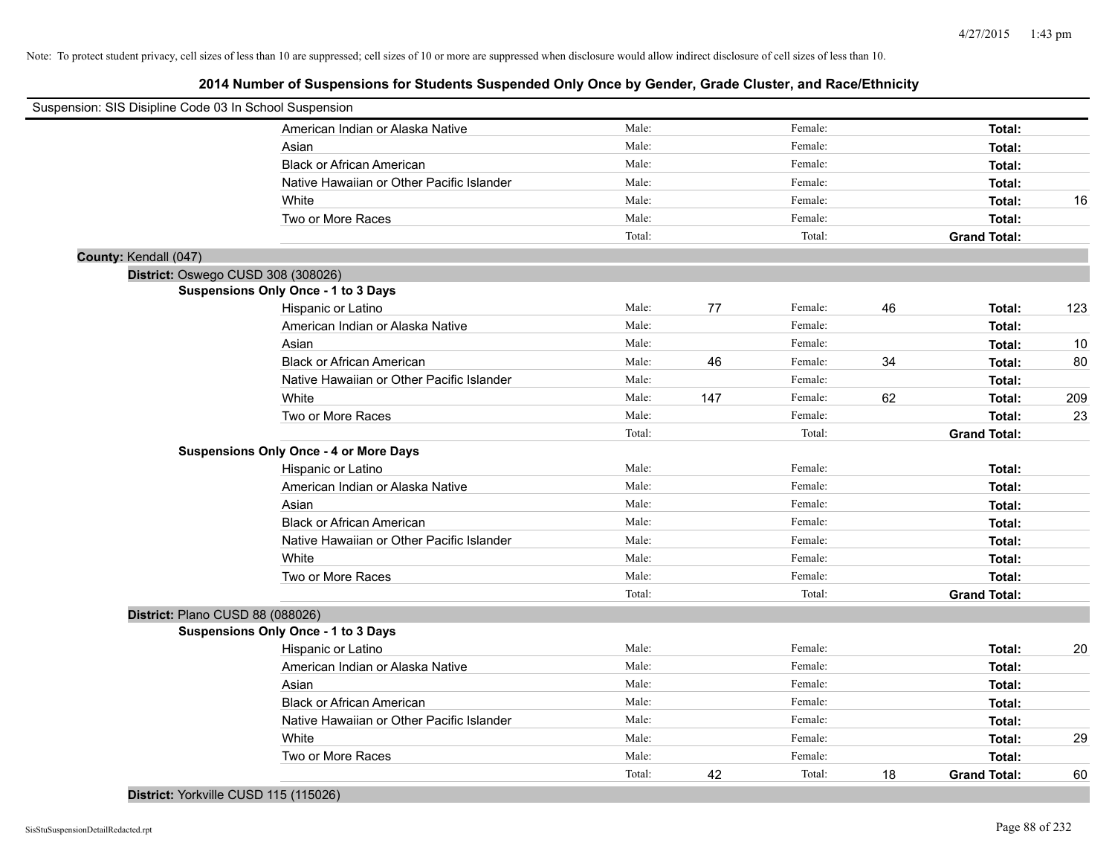**2014 Number of Suspensions for Students Suspended Only Once by Gender, Grade Cluster, and Race/Ethnicity**

| Suspension: SIS Disipline Code 03 In School Suspension |                                               |        |     |         |    |                     |     |
|--------------------------------------------------------|-----------------------------------------------|--------|-----|---------|----|---------------------|-----|
|                                                        | American Indian or Alaska Native              | Male:  |     | Female: |    | Total:              |     |
|                                                        | Asian                                         | Male:  |     | Female: |    | Total:              |     |
|                                                        | <b>Black or African American</b>              | Male:  |     | Female: |    | Total:              |     |
|                                                        | Native Hawaiian or Other Pacific Islander     | Male:  |     | Female: |    | Total:              |     |
|                                                        | White                                         | Male:  |     | Female: |    | Total:              | 16  |
|                                                        | Two or More Races                             | Male:  |     | Female: |    | Total:              |     |
|                                                        |                                               | Total: |     | Total:  |    | <b>Grand Total:</b> |     |
| County: Kendall (047)                                  |                                               |        |     |         |    |                     |     |
|                                                        | District: Oswego CUSD 308 (308026)            |        |     |         |    |                     |     |
|                                                        | Suspensions Only Once - 1 to 3 Days           |        |     |         |    |                     |     |
|                                                        | Hispanic or Latino                            | Male:  | 77  | Female: | 46 | Total:              | 123 |
|                                                        | American Indian or Alaska Native              | Male:  |     | Female: |    | Total:              |     |
|                                                        | Asian                                         | Male:  |     | Female: |    | Total:              | 10  |
|                                                        | <b>Black or African American</b>              | Male:  | 46  | Female: | 34 | Total:              | 80  |
|                                                        | Native Hawaiian or Other Pacific Islander     | Male:  |     | Female: |    | Total:              |     |
|                                                        | White                                         | Male:  | 147 | Female: | 62 | Total:              | 209 |
|                                                        | Two or More Races                             | Male:  |     | Female: |    | Total:              | 23  |
|                                                        |                                               | Total: |     | Total:  |    | <b>Grand Total:</b> |     |
|                                                        | <b>Suspensions Only Once - 4 or More Days</b> |        |     |         |    |                     |     |
|                                                        | Hispanic or Latino                            | Male:  |     | Female: |    | Total:              |     |
|                                                        | American Indian or Alaska Native              | Male:  |     | Female: |    | Total:              |     |
|                                                        | Asian                                         | Male:  |     | Female: |    | Total:              |     |
|                                                        | <b>Black or African American</b>              | Male:  |     | Female: |    | Total:              |     |
|                                                        | Native Hawaiian or Other Pacific Islander     | Male:  |     | Female: |    | Total:              |     |
|                                                        | White                                         | Male:  |     | Female: |    | Total:              |     |
|                                                        | Two or More Races                             | Male:  |     | Female: |    | Total:              |     |
|                                                        |                                               | Total: |     | Total:  |    | <b>Grand Total:</b> |     |
|                                                        | District: Plano CUSD 88 (088026)              |        |     |         |    |                     |     |
|                                                        | Suspensions Only Once - 1 to 3 Days           |        |     |         |    |                     |     |
|                                                        | Hispanic or Latino                            | Male:  |     | Female: |    | Total:              | 20  |
|                                                        | American Indian or Alaska Native              | Male:  |     | Female: |    | Total:              |     |
|                                                        | Asian                                         | Male:  |     | Female: |    | Total:              |     |
|                                                        | <b>Black or African American</b>              | Male:  |     | Female: |    | Total:              |     |
|                                                        | Native Hawaiian or Other Pacific Islander     | Male:  |     | Female: |    | Total:              |     |
|                                                        | White                                         | Male:  |     | Female: |    | Total:              | 29  |
|                                                        | Two or More Races                             | Male:  |     | Female: |    | Total:              |     |
|                                                        |                                               | Total: | 42  | Total:  | 18 | <b>Grand Total:</b> | 60  |
|                                                        |                                               |        |     |         |    |                     |     |

## **District:** Yorkville CUSD 115 (115026)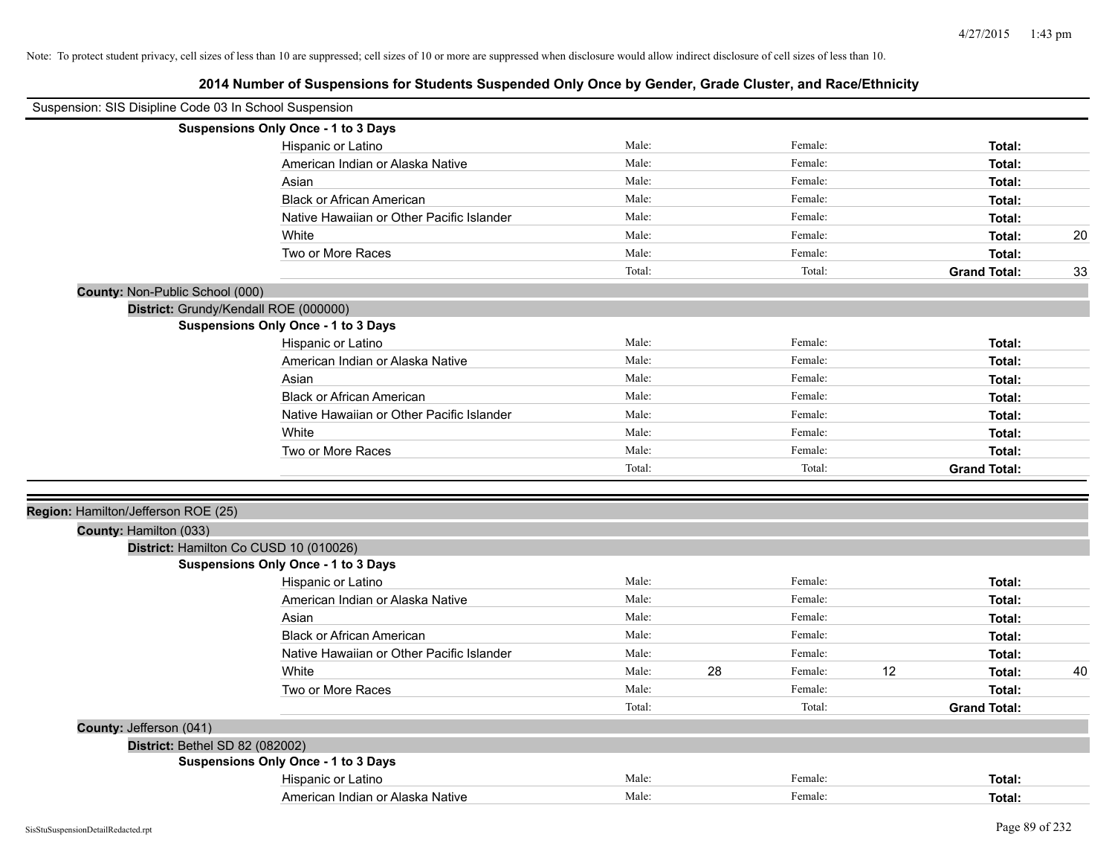| Suspension: SIS Disipline Code 03 In School Suspension |                                           |        |    |         |    |                     |    |
|--------------------------------------------------------|-------------------------------------------|--------|----|---------|----|---------------------|----|
|                                                        | Suspensions Only Once - 1 to 3 Days       |        |    |         |    |                     |    |
|                                                        | Hispanic or Latino                        | Male:  |    | Female: |    | Total:              |    |
|                                                        | American Indian or Alaska Native          | Male:  |    | Female: |    | Total:              |    |
|                                                        | Asian                                     | Male:  |    | Female: |    | Total:              |    |
|                                                        | <b>Black or African American</b>          | Male:  |    | Female: |    | Total:              |    |
|                                                        | Native Hawaiian or Other Pacific Islander | Male:  |    | Female: |    | Total:              |    |
|                                                        | White                                     | Male:  |    | Female: |    | Total:              | 20 |
|                                                        | Two or More Races                         | Male:  |    | Female: |    | Total:              |    |
|                                                        |                                           | Total: |    | Total:  |    | <b>Grand Total:</b> | 33 |
| County: Non-Public School (000)                        |                                           |        |    |         |    |                     |    |
|                                                        | District: Grundy/Kendall ROE (000000)     |        |    |         |    |                     |    |
|                                                        | Suspensions Only Once - 1 to 3 Days       |        |    |         |    |                     |    |
|                                                        | Hispanic or Latino                        | Male:  |    | Female: |    | Total:              |    |
|                                                        | American Indian or Alaska Native          | Male:  |    | Female: |    | Total:              |    |
|                                                        | Asian                                     | Male:  |    | Female: |    | Total:              |    |
|                                                        | <b>Black or African American</b>          | Male:  |    | Female: |    | Total:              |    |
|                                                        | Native Hawaiian or Other Pacific Islander | Male:  |    | Female: |    | Total:              |    |
|                                                        | White                                     | Male:  |    | Female: |    | Total:              |    |
|                                                        | Two or More Races                         | Male:  |    | Female: |    | Total:              |    |
|                                                        |                                           | Total: |    | Total:  |    | <b>Grand Total:</b> |    |
|                                                        |                                           |        |    |         |    |                     |    |
| Region: Hamilton/Jefferson ROE (25)                    |                                           |        |    |         |    |                     |    |
| County: Hamilton (033)                                 |                                           |        |    |         |    |                     |    |
|                                                        | District: Hamilton Co CUSD 10 (010026)    |        |    |         |    |                     |    |
|                                                        | Suspensions Only Once - 1 to 3 Days       |        |    |         |    |                     |    |
|                                                        | Hispanic or Latino                        | Male:  |    | Female: |    | Total:              |    |
|                                                        | American Indian or Alaska Native          | Male:  |    | Female: |    | Total:              |    |
|                                                        | Asian                                     | Male:  |    | Female: |    | Total:              |    |
|                                                        | <b>Black or African American</b>          | Male:  |    | Female: |    | Total:              |    |
|                                                        | Native Hawaiian or Other Pacific Islander | Male:  |    | Female: |    | Total:              |    |
|                                                        | White                                     | Male:  | 28 | Female: | 12 | Total:              | 40 |
|                                                        | Two or More Races                         | Male:  |    | Female: |    | Total:              |    |
|                                                        |                                           | Total: |    | Total:  |    | <b>Grand Total:</b> |    |
| County: Jefferson (041)                                |                                           |        |    |         |    |                     |    |
| District: Bethel SD 82 (082002)                        |                                           |        |    |         |    |                     |    |
|                                                        | Suspensions Only Once - 1 to 3 Days       |        |    |         |    |                     |    |
|                                                        | Hispanic or Latino                        | Male:  |    | Female: |    | Total:              |    |
|                                                        | American Indian or Alaska Native          | Male:  |    | Female: |    | Total:              |    |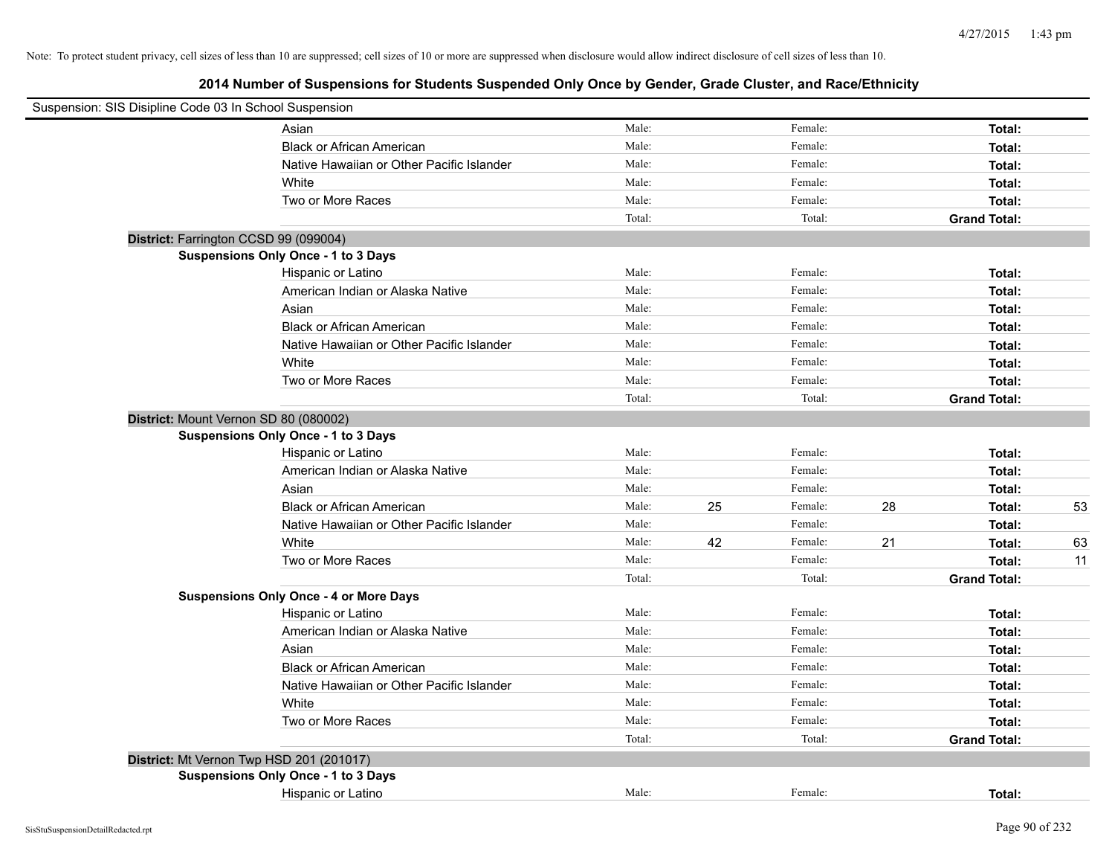| Suspension: SIS Disipline Code 03 In School Suspension |                                               |        |    |         |    |                     |    |
|--------------------------------------------------------|-----------------------------------------------|--------|----|---------|----|---------------------|----|
|                                                        | Asian                                         | Male:  |    | Female: |    | Total:              |    |
|                                                        | <b>Black or African American</b>              | Male:  |    | Female: |    | Total:              |    |
|                                                        | Native Hawaiian or Other Pacific Islander     | Male:  |    | Female: |    | Total:              |    |
|                                                        | White                                         | Male:  |    | Female: |    | Total:              |    |
|                                                        | Two or More Races                             | Male:  |    | Female: |    | Total:              |    |
|                                                        |                                               | Total: |    | Total:  |    | <b>Grand Total:</b> |    |
| District: Farrington CCSD 99 (099004)                  |                                               |        |    |         |    |                     |    |
|                                                        | Suspensions Only Once - 1 to 3 Days           |        |    |         |    |                     |    |
|                                                        | Hispanic or Latino                            | Male:  |    | Female: |    | Total:              |    |
|                                                        | American Indian or Alaska Native              | Male:  |    | Female: |    | Total:              |    |
|                                                        | Asian                                         | Male:  |    | Female: |    | Total:              |    |
|                                                        | <b>Black or African American</b>              | Male:  |    | Female: |    | Total:              |    |
|                                                        | Native Hawaiian or Other Pacific Islander     | Male:  |    | Female: |    | Total:              |    |
|                                                        | White                                         | Male:  |    | Female: |    | Total:              |    |
|                                                        | Two or More Races                             | Male:  |    | Female: |    | Total:              |    |
|                                                        |                                               | Total: |    | Total:  |    | <b>Grand Total:</b> |    |
| District: Mount Vernon SD 80 (080002)                  |                                               |        |    |         |    |                     |    |
|                                                        | Suspensions Only Once - 1 to 3 Days           |        |    |         |    |                     |    |
|                                                        | Hispanic or Latino                            | Male:  |    | Female: |    | Total:              |    |
|                                                        | American Indian or Alaska Native              | Male:  |    | Female: |    | Total:              |    |
|                                                        | Asian                                         | Male:  |    | Female: |    | Total:              |    |
|                                                        | <b>Black or African American</b>              | Male:  | 25 | Female: | 28 | Total:              | 53 |
|                                                        | Native Hawaiian or Other Pacific Islander     | Male:  |    | Female: |    | Total:              |    |
|                                                        | White                                         | Male:  | 42 | Female: | 21 | Total:              | 63 |
|                                                        | Two or More Races                             | Male:  |    | Female: |    | Total:              | 11 |
|                                                        |                                               | Total: |    | Total:  |    | <b>Grand Total:</b> |    |
|                                                        | <b>Suspensions Only Once - 4 or More Days</b> |        |    |         |    |                     |    |
|                                                        | Hispanic or Latino                            | Male:  |    | Female: |    | Total:              |    |
|                                                        | American Indian or Alaska Native              | Male:  |    | Female: |    | Total:              |    |
|                                                        | Asian                                         | Male:  |    | Female: |    | Total:              |    |
|                                                        | <b>Black or African American</b>              | Male:  |    | Female: |    | Total:              |    |
|                                                        | Native Hawaiian or Other Pacific Islander     | Male:  |    | Female: |    | Total:              |    |
|                                                        | White                                         | Male:  |    | Female: |    | Total:              |    |
|                                                        | Two or More Races                             | Male:  |    | Female: |    | Total:              |    |
|                                                        |                                               | Total: |    | Total:  |    | <b>Grand Total:</b> |    |
| District: Mt Vernon Twp HSD 201 (201017)               |                                               |        |    |         |    |                     |    |
|                                                        | Suspensions Only Once - 1 to 3 Days           |        |    |         |    |                     |    |
|                                                        | Hispanic or Latino                            | Male:  |    | Female: |    | Total:              |    |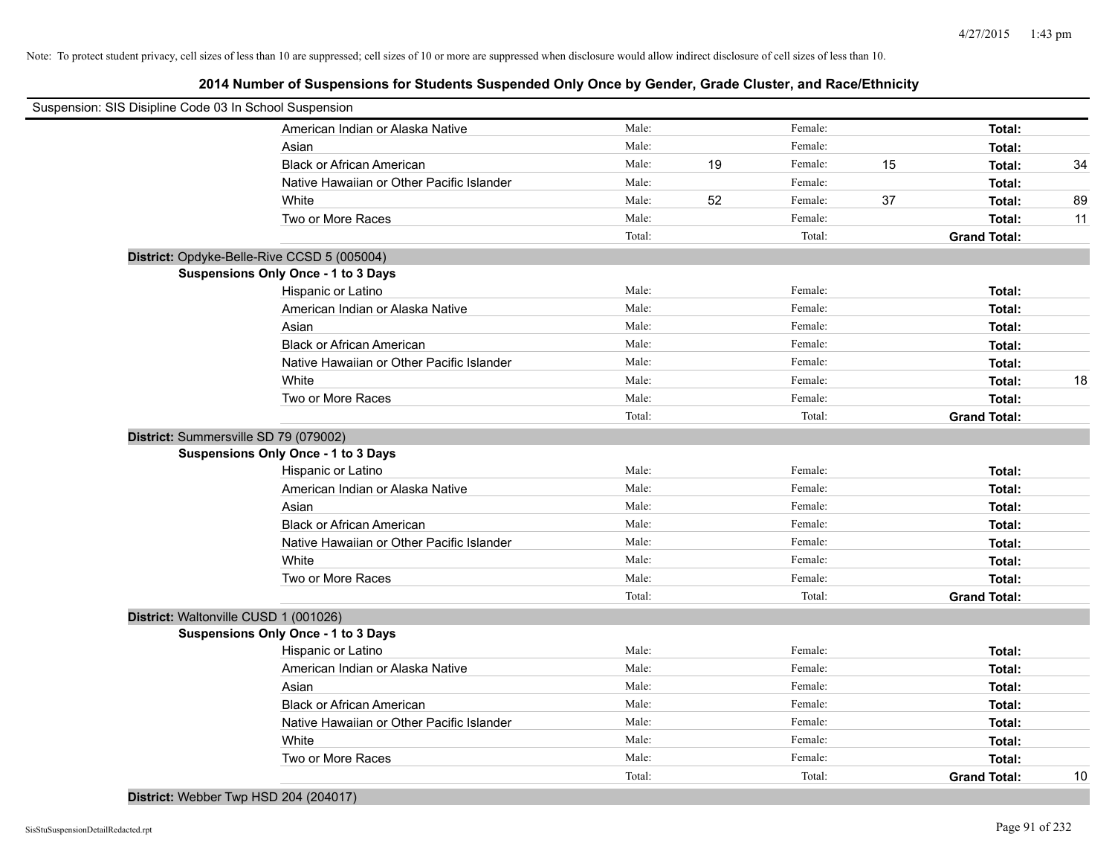| Suspension: SIS Disipline Code 03 In School Suspension |                                             |        |    |         |    |                     |    |
|--------------------------------------------------------|---------------------------------------------|--------|----|---------|----|---------------------|----|
|                                                        | American Indian or Alaska Native            | Male:  |    | Female: |    | Total:              |    |
|                                                        | Asian                                       | Male:  |    | Female: |    | Total:              |    |
|                                                        | <b>Black or African American</b>            | Male:  | 19 | Female: | 15 | Total:              | 34 |
|                                                        | Native Hawaiian or Other Pacific Islander   | Male:  |    | Female: |    | Total:              |    |
|                                                        | White                                       | Male:  | 52 | Female: | 37 | Total:              | 89 |
|                                                        | Two or More Races                           | Male:  |    | Female: |    | Total:              | 11 |
|                                                        |                                             | Total: |    | Total:  |    | <b>Grand Total:</b> |    |
|                                                        | District: Opdyke-Belle-Rive CCSD 5 (005004) |        |    |         |    |                     |    |
|                                                        | Suspensions Only Once - 1 to 3 Days         |        |    |         |    |                     |    |
|                                                        | Hispanic or Latino                          | Male:  |    | Female: |    | Total:              |    |
|                                                        | American Indian or Alaska Native            | Male:  |    | Female: |    | Total:              |    |
|                                                        | Asian                                       | Male:  |    | Female: |    | Total:              |    |
|                                                        | <b>Black or African American</b>            | Male:  |    | Female: |    | Total:              |    |
|                                                        | Native Hawaiian or Other Pacific Islander   | Male:  |    | Female: |    | Total:              |    |
|                                                        | White                                       | Male:  |    | Female: |    | Total:              | 18 |
|                                                        | Two or More Races                           | Male:  |    | Female: |    | Total:              |    |
|                                                        |                                             | Total: |    | Total:  |    | <b>Grand Total:</b> |    |
|                                                        | District: Summersville SD 79 (079002)       |        |    |         |    |                     |    |
|                                                        | Suspensions Only Once - 1 to 3 Days         |        |    |         |    |                     |    |
|                                                        | Hispanic or Latino                          | Male:  |    | Female: |    | Total:              |    |
|                                                        | American Indian or Alaska Native            | Male:  |    | Female: |    | Total:              |    |
|                                                        | Asian                                       | Male:  |    | Female: |    | Total:              |    |
|                                                        | <b>Black or African American</b>            | Male:  |    | Female: |    | Total:              |    |
|                                                        | Native Hawaiian or Other Pacific Islander   | Male:  |    | Female: |    | Total:              |    |
|                                                        | White                                       | Male:  |    | Female: |    | Total:              |    |
|                                                        | Two or More Races                           | Male:  |    | Female: |    | Total:              |    |
|                                                        |                                             | Total: |    | Total:  |    | <b>Grand Total:</b> |    |
|                                                        | District: Waltonville CUSD 1 (001026)       |        |    |         |    |                     |    |
|                                                        | <b>Suspensions Only Once - 1 to 3 Days</b>  |        |    |         |    |                     |    |
|                                                        | Hispanic or Latino                          | Male:  |    | Female: |    | Total:              |    |
|                                                        | American Indian or Alaska Native            | Male:  |    | Female: |    | Total:              |    |
|                                                        | Asian                                       | Male:  |    | Female: |    | Total:              |    |
|                                                        | <b>Black or African American</b>            | Male:  |    | Female: |    | Total:              |    |
|                                                        | Native Hawaiian or Other Pacific Islander   | Male:  |    | Female: |    | Total:              |    |
|                                                        | White                                       | Male:  |    | Female: |    | Total:              |    |
|                                                        | Two or More Races                           | Male:  |    | Female: |    | Total:              |    |
|                                                        |                                             | Total: |    | Total:  |    | <b>Grand Total:</b> | 10 |
|                                                        | District: Webber Twp HSD 204 (204017)       |        |    |         |    |                     |    |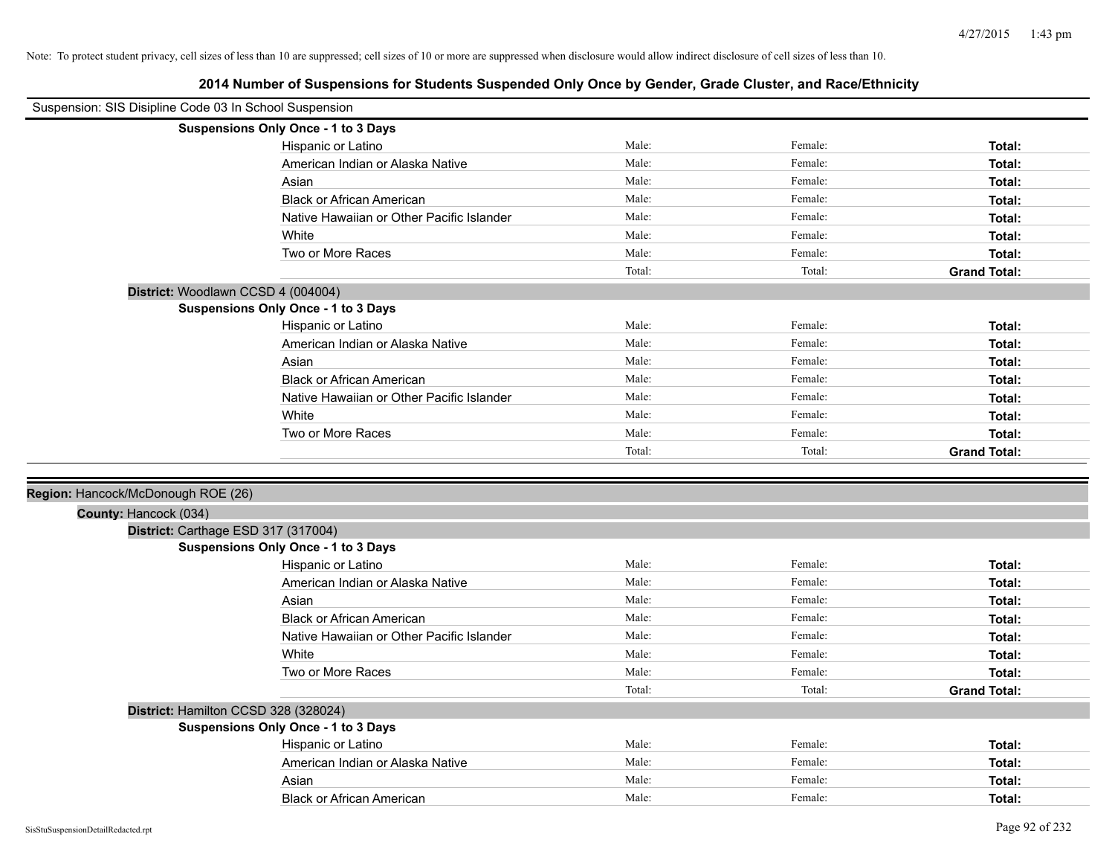| Suspension: SIS Disipline Code 03 In School Suspension |                                            |        |         |                     |
|--------------------------------------------------------|--------------------------------------------|--------|---------|---------------------|
|                                                        | Suspensions Only Once - 1 to 3 Days        |        |         |                     |
|                                                        | Hispanic or Latino                         | Male:  | Female: | Total:              |
|                                                        | American Indian or Alaska Native           | Male:  | Female: | Total:              |
|                                                        | Asian                                      | Male:  | Female: | Total:              |
|                                                        | <b>Black or African American</b>           | Male:  | Female: | Total:              |
|                                                        | Native Hawaiian or Other Pacific Islander  | Male:  | Female: | Total:              |
|                                                        | White                                      | Male:  | Female: | Total:              |
|                                                        | Two or More Races                          | Male:  | Female: | Total:              |
|                                                        |                                            | Total: | Total:  | <b>Grand Total:</b> |
|                                                        | District: Woodlawn CCSD 4 (004004)         |        |         |                     |
|                                                        | Suspensions Only Once - 1 to 3 Days        |        |         |                     |
|                                                        | Hispanic or Latino                         | Male:  | Female: | Total:              |
|                                                        | American Indian or Alaska Native           | Male:  | Female: | Total:              |
|                                                        | Asian                                      | Male:  | Female: | Total:              |
|                                                        | <b>Black or African American</b>           | Male:  | Female: | Total:              |
|                                                        | Native Hawaiian or Other Pacific Islander  | Male:  | Female: | Total:              |
|                                                        | White                                      | Male:  | Female: | Total:              |
|                                                        | Two or More Races                          | Male:  | Female: | Total:              |
|                                                        |                                            | Total: | Total:  | <b>Grand Total:</b> |
|                                                        |                                            |        |         |                     |
| Region: Hancock/McDonough ROE (26)                     |                                            |        |         |                     |
| County: Hancock (034)                                  |                                            |        |         |                     |
|                                                        | District: Carthage ESD 317 (317004)        |        |         |                     |
|                                                        | <b>Suspensions Only Once - 1 to 3 Days</b> |        |         |                     |
|                                                        | Hispanic or Latino                         | Male:  | Female: | Total:              |
|                                                        | American Indian or Alaska Native           | Male:  | Female: | Total:              |
|                                                        | Asian                                      | Male:  | Female: | Total:              |
|                                                        | <b>Black or African American</b>           | Male:  | Female: | Total:              |
|                                                        | Native Hawaiian or Other Pacific Islander  | Male:  | Female: | Total:              |
|                                                        | White                                      | Male:  | Female: | Total:              |
|                                                        | Two or More Races                          | Male:  | Female: | Total:              |
|                                                        |                                            | Total: | Total:  | <b>Grand Total:</b> |
|                                                        | District: Hamilton CCSD 328 (328024)       |        |         |                     |
|                                                        | Suspensions Only Once - 1 to 3 Days        |        |         |                     |
|                                                        | Hispanic or Latino                         | Male:  | Female: | Total:              |
|                                                        | American Indian or Alaska Native           | Male:  | Female: | Total:              |
|                                                        |                                            | Male:  | Female: | Total:              |
|                                                        | Asian                                      |        |         |                     |
|                                                        | <b>Black or African American</b>           | Male:  | Female: | Total:              |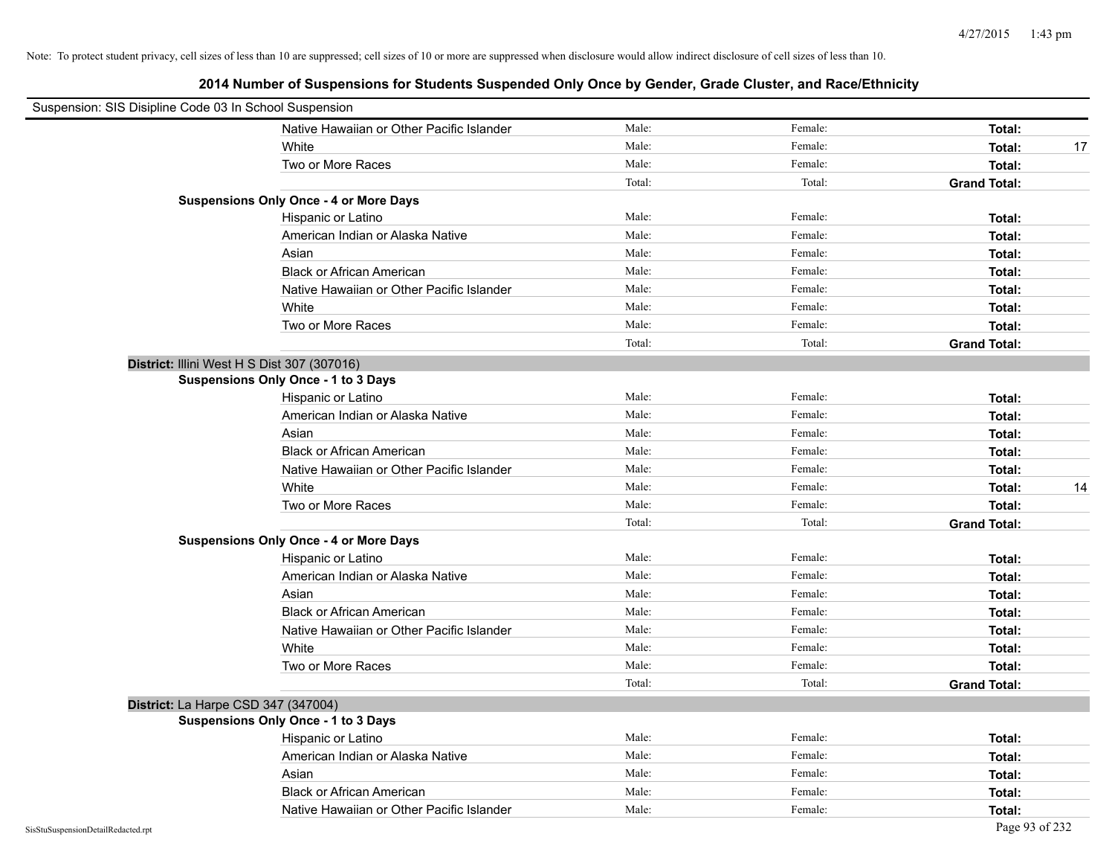| Suspension: SIS Disipline Code 03 In School Suspension |                                               |        |         |                     |
|--------------------------------------------------------|-----------------------------------------------|--------|---------|---------------------|
|                                                        | Native Hawaiian or Other Pacific Islander     | Male:  | Female: | Total:              |
|                                                        | White                                         | Male:  | Female: | 17<br>Total:        |
|                                                        | Two or More Races                             | Male:  | Female: | Total:              |
|                                                        |                                               | Total: | Total:  | <b>Grand Total:</b> |
|                                                        | <b>Suspensions Only Once - 4 or More Days</b> |        |         |                     |
|                                                        | Hispanic or Latino                            | Male:  | Female: | Total:              |
|                                                        | American Indian or Alaska Native              | Male:  | Female: | Total:              |
|                                                        | Asian                                         | Male:  | Female: | Total:              |
|                                                        | <b>Black or African American</b>              | Male:  | Female: | Total:              |
|                                                        | Native Hawaiian or Other Pacific Islander     | Male:  | Female: | Total:              |
|                                                        | White                                         | Male:  | Female: | Total:              |
|                                                        | Two or More Races                             | Male:  | Female: | Total:              |
|                                                        |                                               | Total: | Total:  | <b>Grand Total:</b> |
|                                                        | District: Illini West H S Dist 307 (307016)   |        |         |                     |
|                                                        | <b>Suspensions Only Once - 1 to 3 Days</b>    |        |         |                     |
|                                                        | Hispanic or Latino                            | Male:  | Female: | Total:              |
|                                                        | American Indian or Alaska Native              | Male:  | Female: | Total:              |
|                                                        | Asian                                         | Male:  | Female: | Total:              |
|                                                        | <b>Black or African American</b>              | Male:  | Female: | Total:              |
|                                                        | Native Hawaiian or Other Pacific Islander     | Male:  | Female: | Total:              |
|                                                        | White                                         | Male:  | Female: | 14<br>Total:        |
|                                                        | Two or More Races                             | Male:  | Female: | Total:              |
|                                                        |                                               | Total: | Total:  | <b>Grand Total:</b> |
|                                                        | <b>Suspensions Only Once - 4 or More Days</b> |        |         |                     |
|                                                        | Hispanic or Latino                            | Male:  | Female: | Total:              |
|                                                        | American Indian or Alaska Native              | Male:  | Female: | Total:              |
|                                                        | Asian                                         | Male:  | Female: | Total:              |
|                                                        | <b>Black or African American</b>              | Male:  | Female: | Total:              |
|                                                        | Native Hawaiian or Other Pacific Islander     | Male:  | Female: | Total:              |
|                                                        | White                                         | Male:  | Female: | Total:              |
|                                                        | Two or More Races                             | Male:  | Female: | Total:              |
|                                                        |                                               | Total: | Total:  | <b>Grand Total:</b> |
|                                                        | District: La Harpe CSD 347 (347004)           |        |         |                     |
|                                                        | <b>Suspensions Only Once - 1 to 3 Days</b>    |        |         |                     |
|                                                        | Hispanic or Latino                            | Male:  | Female: | Total:              |
|                                                        | American Indian or Alaska Native              | Male:  | Female: | Total:              |
|                                                        | Asian                                         | Male:  | Female: | Total:              |
|                                                        | <b>Black or African American</b>              | Male:  | Female: | Total:              |
|                                                        | Native Hawaiian or Other Pacific Islander     | Male:  | Female: | Total:              |
| SisStuSuspensionDetailRedacted.rpt                     |                                               |        |         | Page 93 of 232      |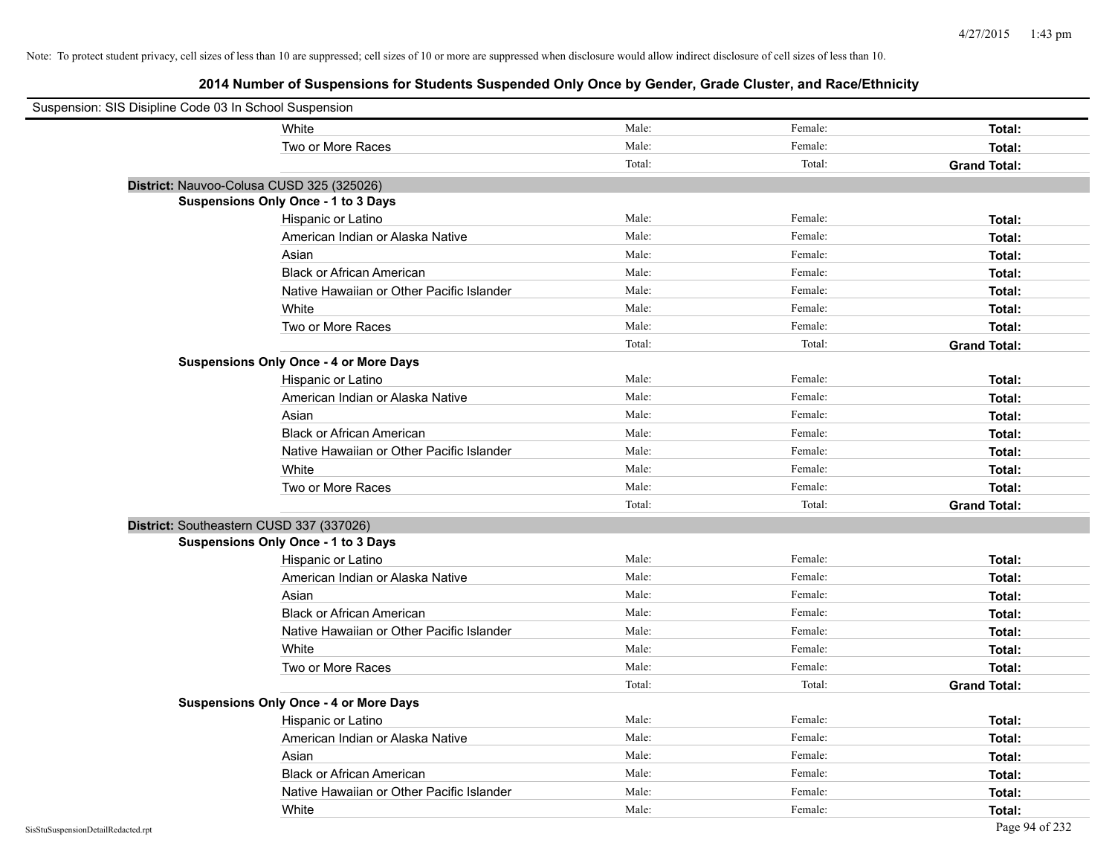| Suspension: SIS Disipline Code 03 In School Suspension |                                               |        |         |                     |
|--------------------------------------------------------|-----------------------------------------------|--------|---------|---------------------|
|                                                        | White                                         | Male:  | Female: | Total:              |
|                                                        | Two or More Races                             | Male:  | Female: | Total:              |
|                                                        |                                               | Total: | Total:  | <b>Grand Total:</b> |
| District: Nauvoo-Colusa CUSD 325 (325026)              |                                               |        |         |                     |
|                                                        | Suspensions Only Once - 1 to 3 Days           |        |         |                     |
|                                                        | Hispanic or Latino                            | Male:  | Female: | Total:              |
|                                                        | American Indian or Alaska Native              | Male:  | Female: | Total:              |
|                                                        | Asian                                         | Male:  | Female: | Total:              |
|                                                        | <b>Black or African American</b>              | Male:  | Female: | Total:              |
|                                                        | Native Hawaiian or Other Pacific Islander     | Male:  | Female: | Total:              |
|                                                        | White                                         | Male:  | Female: | Total:              |
|                                                        | Two or More Races                             | Male:  | Female: | Total:              |
|                                                        |                                               | Total: | Total:  | <b>Grand Total:</b> |
|                                                        | <b>Suspensions Only Once - 4 or More Days</b> |        |         |                     |
|                                                        | Hispanic or Latino                            | Male:  | Female: | Total:              |
|                                                        | American Indian or Alaska Native              | Male:  | Female: | Total:              |
|                                                        | Asian                                         | Male:  | Female: | Total:              |
|                                                        | <b>Black or African American</b>              | Male:  | Female: | Total:              |
|                                                        | Native Hawaiian or Other Pacific Islander     | Male:  | Female: | Total:              |
|                                                        | White                                         | Male:  | Female: | Total:              |
|                                                        | Two or More Races                             | Male:  | Female: | Total:              |
|                                                        |                                               | Total: | Total:  | <b>Grand Total:</b> |
| District: Southeastern CUSD 337 (337026)               |                                               |        |         |                     |
|                                                        | <b>Suspensions Only Once - 1 to 3 Days</b>    |        |         |                     |
|                                                        | Hispanic or Latino                            | Male:  | Female: | Total:              |
|                                                        | American Indian or Alaska Native              | Male:  | Female: | Total:              |
|                                                        | Asian                                         | Male:  | Female: | Total:              |
|                                                        | <b>Black or African American</b>              | Male:  | Female: | Total:              |
|                                                        | Native Hawaiian or Other Pacific Islander     | Male:  | Female: | Total:              |
|                                                        | White                                         | Male:  | Female: | Total:              |
|                                                        | Two or More Races                             | Male:  | Female: | Total:              |
|                                                        |                                               | Total: | Total:  | <b>Grand Total:</b> |
|                                                        | <b>Suspensions Only Once - 4 or More Days</b> |        |         |                     |
|                                                        | Hispanic or Latino                            | Male:  | Female: | Total:              |
|                                                        | American Indian or Alaska Native              | Male:  | Female: | Total:              |
|                                                        | Asian                                         | Male:  | Female: | Total:              |
|                                                        | <b>Black or African American</b>              | Male:  | Female: | Total:              |
|                                                        | Native Hawaiian or Other Pacific Islander     | Male:  | Female: | Total:              |
|                                                        | White                                         | Male:  | Female: | Total:              |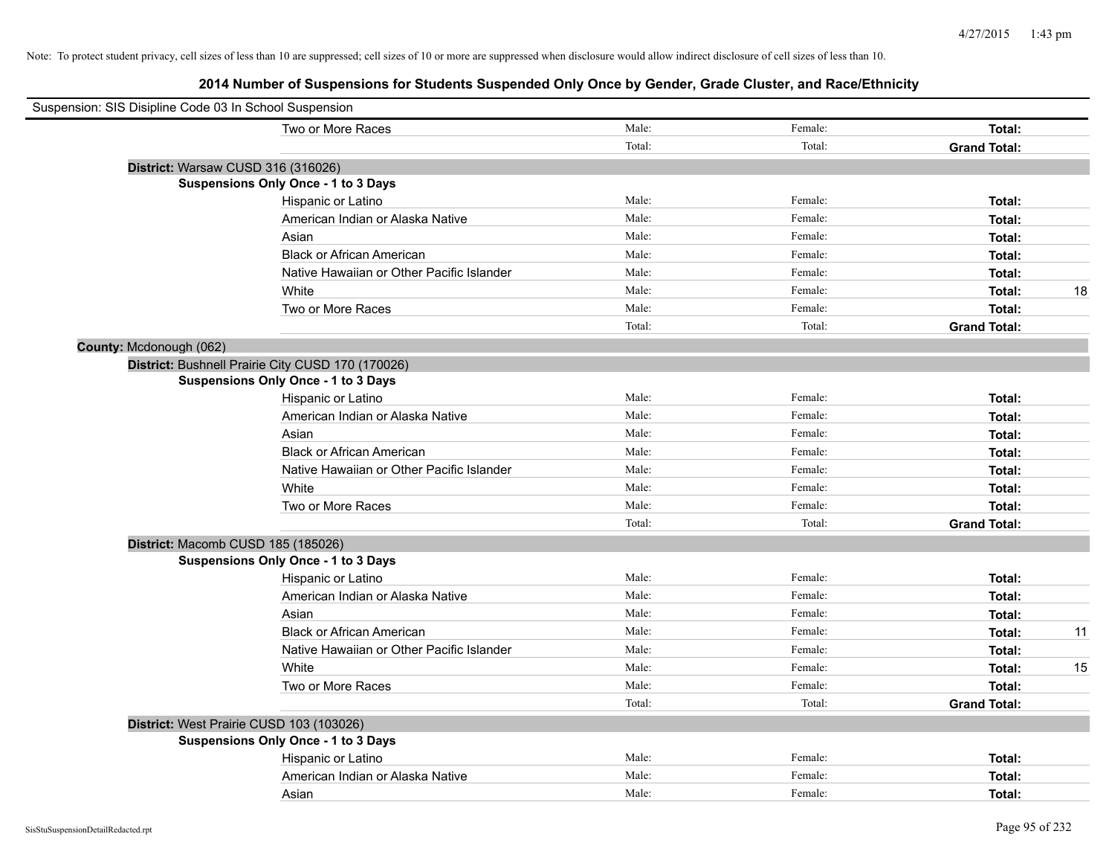| Suspension: SIS Disipline Code 03 In School Suspension |                                                   |        |         |                     |    |
|--------------------------------------------------------|---------------------------------------------------|--------|---------|---------------------|----|
|                                                        | Two or More Races                                 | Male:  | Female: | Total:              |    |
|                                                        |                                                   | Total: | Total:  | <b>Grand Total:</b> |    |
|                                                        | District: Warsaw CUSD 316 (316026)                |        |         |                     |    |
|                                                        | Suspensions Only Once - 1 to 3 Days               |        |         |                     |    |
|                                                        | Hispanic or Latino                                | Male:  | Female: | Total:              |    |
|                                                        | American Indian or Alaska Native                  | Male:  | Female: | Total:              |    |
|                                                        | Asian                                             | Male:  | Female: | Total:              |    |
|                                                        | <b>Black or African American</b>                  | Male:  | Female: | Total:              |    |
|                                                        | Native Hawaiian or Other Pacific Islander         | Male:  | Female: | Total:              |    |
|                                                        | White                                             | Male:  | Female: | Total:              | 18 |
|                                                        | Two or More Races                                 | Male:  | Female: | Total:              |    |
|                                                        |                                                   | Total: | Total:  | <b>Grand Total:</b> |    |
| County: Mcdonough (062)                                |                                                   |        |         |                     |    |
|                                                        | District: Bushnell Prairie City CUSD 170 (170026) |        |         |                     |    |
|                                                        | Suspensions Only Once - 1 to 3 Days               |        |         |                     |    |
|                                                        | Hispanic or Latino                                | Male:  | Female: | Total:              |    |
|                                                        | American Indian or Alaska Native                  | Male:  | Female: | Total:              |    |
|                                                        | Asian                                             | Male:  | Female: | Total:              |    |
|                                                        | <b>Black or African American</b>                  | Male:  | Female: | Total:              |    |
|                                                        | Native Hawaiian or Other Pacific Islander         | Male:  | Female: | Total:              |    |
|                                                        | White                                             | Male:  | Female: | Total:              |    |
|                                                        | Two or More Races                                 | Male:  | Female: | Total:              |    |
|                                                        |                                                   | Total: | Total:  | <b>Grand Total:</b> |    |
|                                                        | District: Macomb CUSD 185 (185026)                |        |         |                     |    |
|                                                        | <b>Suspensions Only Once - 1 to 3 Days</b>        |        |         |                     |    |
|                                                        | Hispanic or Latino                                | Male:  | Female: | Total:              |    |
|                                                        | American Indian or Alaska Native                  | Male:  | Female: | Total:              |    |
|                                                        | Asian                                             | Male:  | Female: | Total:              |    |
|                                                        | <b>Black or African American</b>                  | Male:  | Female: | Total:              | 11 |
|                                                        | Native Hawaiian or Other Pacific Islander         | Male:  | Female: | Total:              |    |
|                                                        | White                                             | Male:  | Female: | Total:              | 15 |
|                                                        | Two or More Races                                 | Male:  | Female: | Total:              |    |
|                                                        |                                                   | Total: | Total:  | <b>Grand Total:</b> |    |
|                                                        | District: West Prairie CUSD 103 (103026)          |        |         |                     |    |
|                                                        | <b>Suspensions Only Once - 1 to 3 Days</b>        |        |         |                     |    |
|                                                        | Hispanic or Latino                                | Male:  | Female: | Total:              |    |
|                                                        | American Indian or Alaska Native                  | Male:  | Female: | Total:              |    |
|                                                        | Asian                                             | Male:  | Female: | Total:              |    |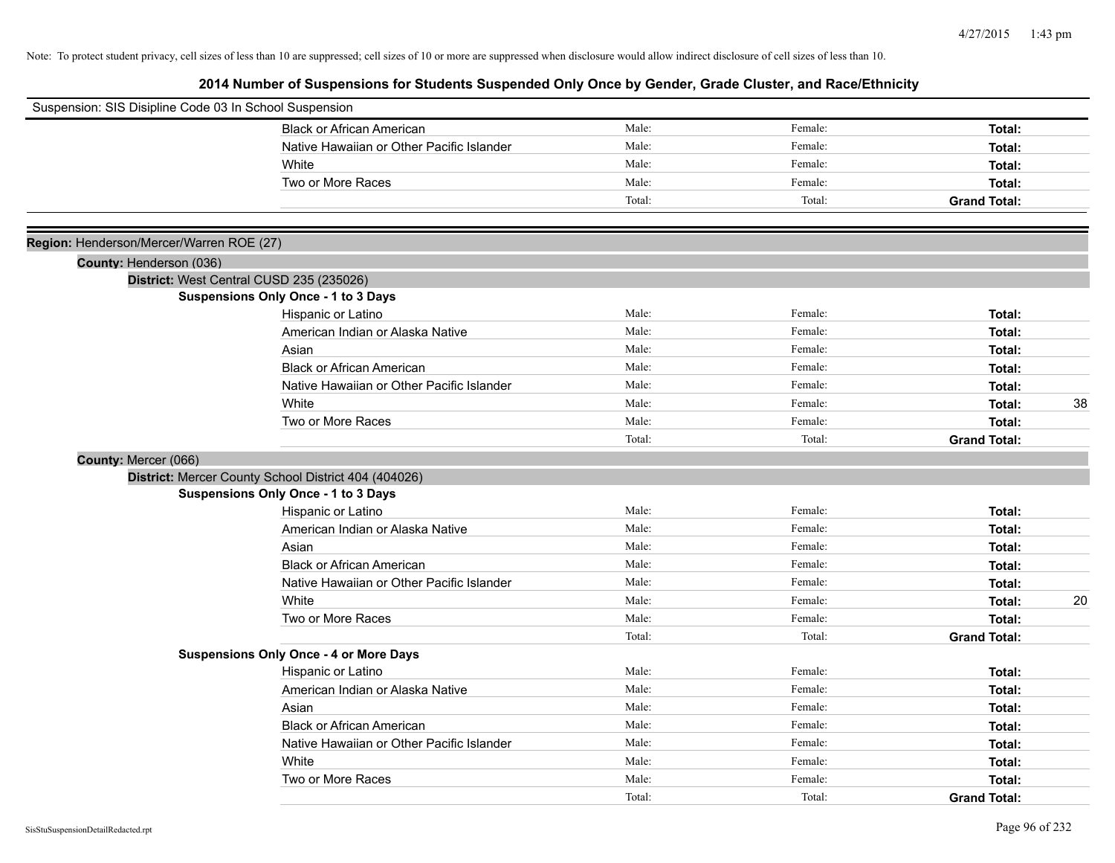| Suspension: SIS Disipline Code 03 In School Suspension |                                                      |        |         |                     |
|--------------------------------------------------------|------------------------------------------------------|--------|---------|---------------------|
|                                                        | <b>Black or African American</b>                     | Male:  | Female: | Total:              |
|                                                        | Native Hawaiian or Other Pacific Islander            | Male:  | Female: | Total:              |
|                                                        | White                                                | Male:  | Female: | Total:              |
|                                                        | Two or More Races                                    | Male:  | Female: | Total:              |
|                                                        |                                                      | Total: | Total:  | <b>Grand Total:</b> |
|                                                        |                                                      |        |         |                     |
| Region: Henderson/Mercer/Warren ROE (27)               |                                                      |        |         |                     |
| County: Henderson (036)                                |                                                      |        |         |                     |
|                                                        | District: West Central CUSD 235 (235026)             |        |         |                     |
|                                                        | <b>Suspensions Only Once - 1 to 3 Days</b>           |        |         |                     |
|                                                        | Hispanic or Latino                                   | Male:  | Female: | Total:              |
|                                                        | American Indian or Alaska Native                     | Male:  | Female: | Total:              |
|                                                        | Asian                                                | Male:  | Female: | Total:              |
|                                                        | <b>Black or African American</b>                     | Male:  | Female: | Total:              |
|                                                        | Native Hawaiian or Other Pacific Islander            | Male:  | Female: | Total:              |
|                                                        | White                                                | Male:  | Female: | 38<br>Total:        |
|                                                        | Two or More Races                                    | Male:  | Female: | Total:              |
|                                                        |                                                      | Total: | Total:  | <b>Grand Total:</b> |
| County: Mercer (066)                                   |                                                      |        |         |                     |
|                                                        | District: Mercer County School District 404 (404026) |        |         |                     |
|                                                        | Suspensions Only Once - 1 to 3 Days                  |        |         |                     |
|                                                        | Hispanic or Latino                                   | Male:  | Female: | Total:              |
|                                                        | American Indian or Alaska Native                     | Male:  | Female: | Total:              |
|                                                        | Asian                                                | Male:  | Female: | Total:              |
|                                                        | <b>Black or African American</b>                     | Male:  | Female: | Total:              |
|                                                        | Native Hawaiian or Other Pacific Islander            | Male:  | Female: | Total:              |
|                                                        | White                                                | Male:  | Female: | 20<br>Total:        |
|                                                        | Two or More Races                                    | Male:  | Female: | Total:              |
|                                                        |                                                      | Total: | Total:  | <b>Grand Total:</b> |
|                                                        | <b>Suspensions Only Once - 4 or More Days</b>        |        |         |                     |
|                                                        | Hispanic or Latino                                   | Male:  | Female: | Total:              |
|                                                        | American Indian or Alaska Native                     | Male:  | Female: | Total:              |
|                                                        | Asian                                                | Male:  | Female: | Total:              |
|                                                        | <b>Black or African American</b>                     | Male:  | Female: | Total:              |
|                                                        | Native Hawaiian or Other Pacific Islander            | Male:  | Female: | Total:              |
|                                                        | White                                                | Male:  | Female: | Total:              |
|                                                        | Two or More Races                                    | Male:  | Female: | Total:              |
|                                                        |                                                      | Total: | Total:  | <b>Grand Total:</b> |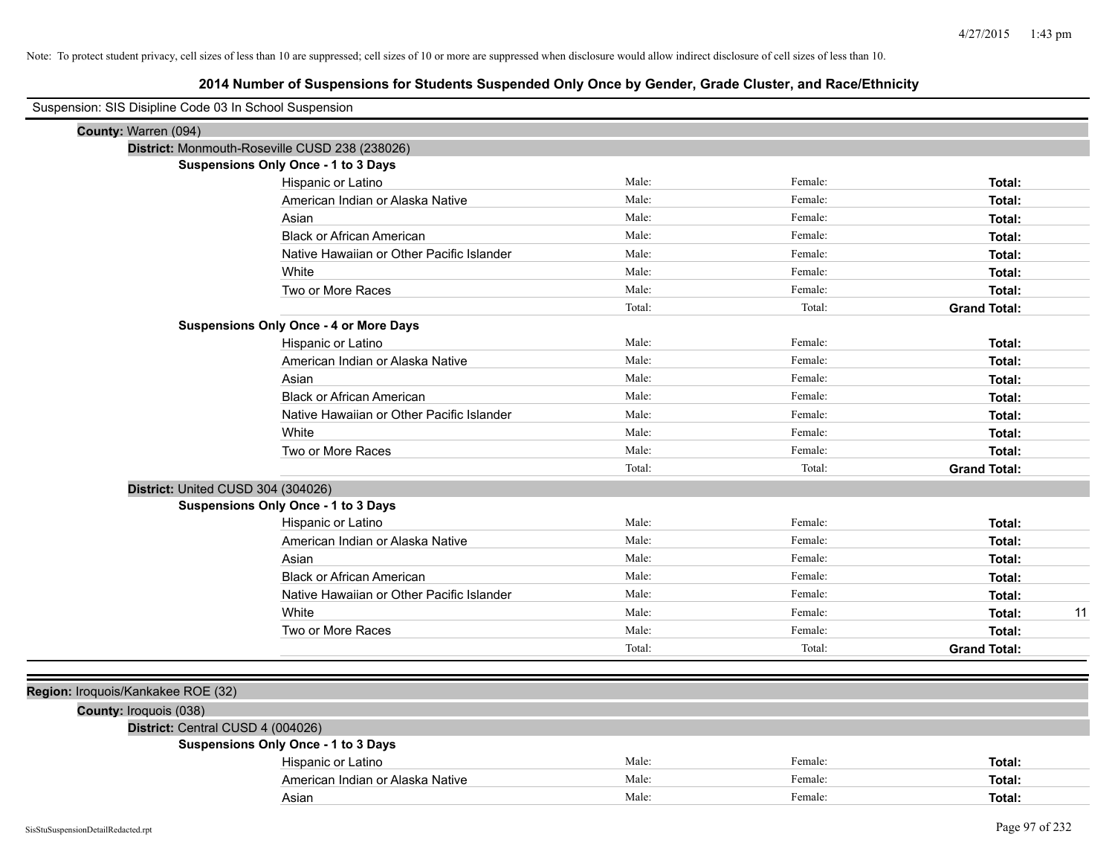| Suspension: SIS Disipline Code 03 In School Suspension |                                               |        |         |                     |    |
|--------------------------------------------------------|-----------------------------------------------|--------|---------|---------------------|----|
| County: Warren (094)                                   |                                               |        |         |                     |    |
| District: Monmouth-Roseville CUSD 238 (238026)         |                                               |        |         |                     |    |
|                                                        | <b>Suspensions Only Once - 1 to 3 Days</b>    |        |         |                     |    |
|                                                        | Hispanic or Latino                            | Male:  | Female: | Total:              |    |
|                                                        | American Indian or Alaska Native              | Male:  | Female: | Total:              |    |
|                                                        | Asian                                         | Male:  | Female: | Total:              |    |
|                                                        | <b>Black or African American</b>              | Male:  | Female: | Total:              |    |
|                                                        | Native Hawaiian or Other Pacific Islander     | Male:  | Female: | Total:              |    |
|                                                        | White                                         | Male:  | Female: | Total:              |    |
|                                                        | Two or More Races                             | Male:  | Female: | Total:              |    |
|                                                        |                                               | Total: | Total:  | <b>Grand Total:</b> |    |
|                                                        | <b>Suspensions Only Once - 4 or More Days</b> |        |         |                     |    |
|                                                        | Hispanic or Latino                            | Male:  | Female: | Total:              |    |
|                                                        | American Indian or Alaska Native              | Male:  | Female: | Total:              |    |
|                                                        | Asian                                         | Male:  | Female: | Total:              |    |
|                                                        | <b>Black or African American</b>              | Male:  | Female: | Total:              |    |
|                                                        | Native Hawaiian or Other Pacific Islander     | Male:  | Female: | Total:              |    |
|                                                        | White                                         | Male:  | Female: | Total:              |    |
|                                                        | Two or More Races                             | Male:  | Female: | Total:              |    |
|                                                        |                                               | Total: | Total:  | <b>Grand Total:</b> |    |
| District: United CUSD 304 (304026)                     |                                               |        |         |                     |    |
|                                                        | Suspensions Only Once - 1 to 3 Days           |        |         |                     |    |
|                                                        | Hispanic or Latino                            | Male:  | Female: | Total:              |    |
|                                                        | American Indian or Alaska Native              | Male:  | Female: | Total:              |    |
|                                                        | Asian                                         | Male:  | Female: | Total:              |    |
|                                                        | <b>Black or African American</b>              | Male:  | Female: | Total:              |    |
|                                                        | Native Hawaiian or Other Pacific Islander     | Male:  | Female: | Total:              |    |
|                                                        | White                                         | Male:  | Female: | Total:              | 11 |
|                                                        | Two or More Races                             | Male:  | Female: | Total:              |    |
|                                                        |                                               | Total: | Total:  | <b>Grand Total:</b> |    |
|                                                        |                                               |        |         |                     |    |
| Region: Iroquois/Kankakee ROE (32)                     |                                               |        |         |                     |    |
|                                                        |                                               |        |         |                     |    |
| <b>County: Iroquois (038)</b>                          |                                               |        |         |                     |    |
| District: Central CUSD 4 (004026)                      | Suspensions Only Once - 1 to 3 Days           |        |         |                     |    |
|                                                        | Hispanic or Latino                            | Male:  | Female: | Total:              |    |
|                                                        | American Indian or Alaska Native              | Male:  | Female: | Total:              |    |
|                                                        | Asian                                         | Male:  | Female: | Total:              |    |
|                                                        |                                               |        |         |                     |    |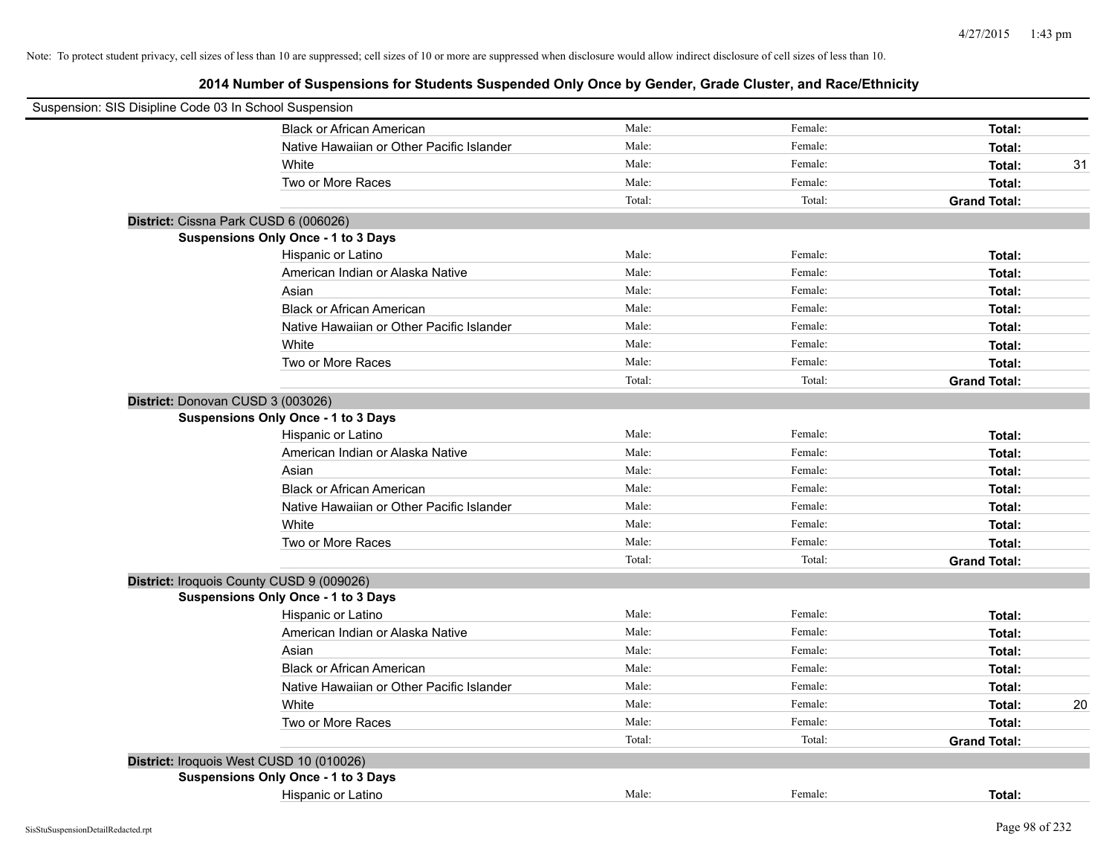| Suspension: SIS Disipline Code 03 In School Suspension |        |         |                     |    |
|--------------------------------------------------------|--------|---------|---------------------|----|
| <b>Black or African American</b>                       | Male:  | Female: | Total:              |    |
| Native Hawaiian or Other Pacific Islander              | Male:  | Female: | Total:              |    |
| White                                                  | Male:  | Female: | Total:              | 31 |
| Two or More Races                                      | Male:  | Female: | Total:              |    |
|                                                        | Total: | Total:  | <b>Grand Total:</b> |    |
| District: Cissna Park CUSD 6 (006026)                  |        |         |                     |    |
| Suspensions Only Once - 1 to 3 Days                    |        |         |                     |    |
| Hispanic or Latino                                     | Male:  | Female: | Total:              |    |
| American Indian or Alaska Native                       | Male:  | Female: | Total:              |    |
| Asian                                                  | Male:  | Female: | Total:              |    |
| <b>Black or African American</b>                       | Male:  | Female: | Total:              |    |
| Native Hawaiian or Other Pacific Islander              | Male:  | Female: | Total:              |    |
| White                                                  | Male:  | Female: | Total:              |    |
| Two or More Races                                      | Male:  | Female: | Total:              |    |
|                                                        | Total: | Total:  | <b>Grand Total:</b> |    |
| District: Donovan CUSD 3 (003026)                      |        |         |                     |    |
| <b>Suspensions Only Once - 1 to 3 Days</b>             |        |         |                     |    |
| Hispanic or Latino                                     | Male:  | Female: | Total:              |    |
| American Indian or Alaska Native                       | Male:  | Female: | Total:              |    |
| Asian                                                  | Male:  | Female: | Total:              |    |
| <b>Black or African American</b>                       | Male:  | Female: | Total:              |    |
| Native Hawaiian or Other Pacific Islander              | Male:  | Female: | Total:              |    |
| White                                                  | Male:  | Female: | Total:              |    |
| Two or More Races                                      | Male:  | Female: | Total:              |    |
|                                                        | Total: | Total:  | <b>Grand Total:</b> |    |
| District: Iroquois County CUSD 9 (009026)              |        |         |                     |    |
| Suspensions Only Once - 1 to 3 Days                    |        |         |                     |    |
| Hispanic or Latino                                     | Male:  | Female: | Total:              |    |
| American Indian or Alaska Native                       | Male:  | Female: | Total:              |    |
| Asian                                                  | Male:  | Female: | Total:              |    |
| <b>Black or African American</b>                       | Male:  | Female: | Total:              |    |
| Native Hawaiian or Other Pacific Islander              | Male:  | Female: | Total:              |    |
| White                                                  | Male:  | Female: | Total:              | 20 |
| Two or More Races                                      | Male:  | Female: | Total:              |    |
|                                                        | Total: | Total:  | <b>Grand Total:</b> |    |
| District: Iroquois West CUSD 10 (010026)               |        |         |                     |    |
| Suspensions Only Once - 1 to 3 Days                    |        |         |                     |    |
| Hispanic or Latino                                     | Male:  | Female: | Total:              |    |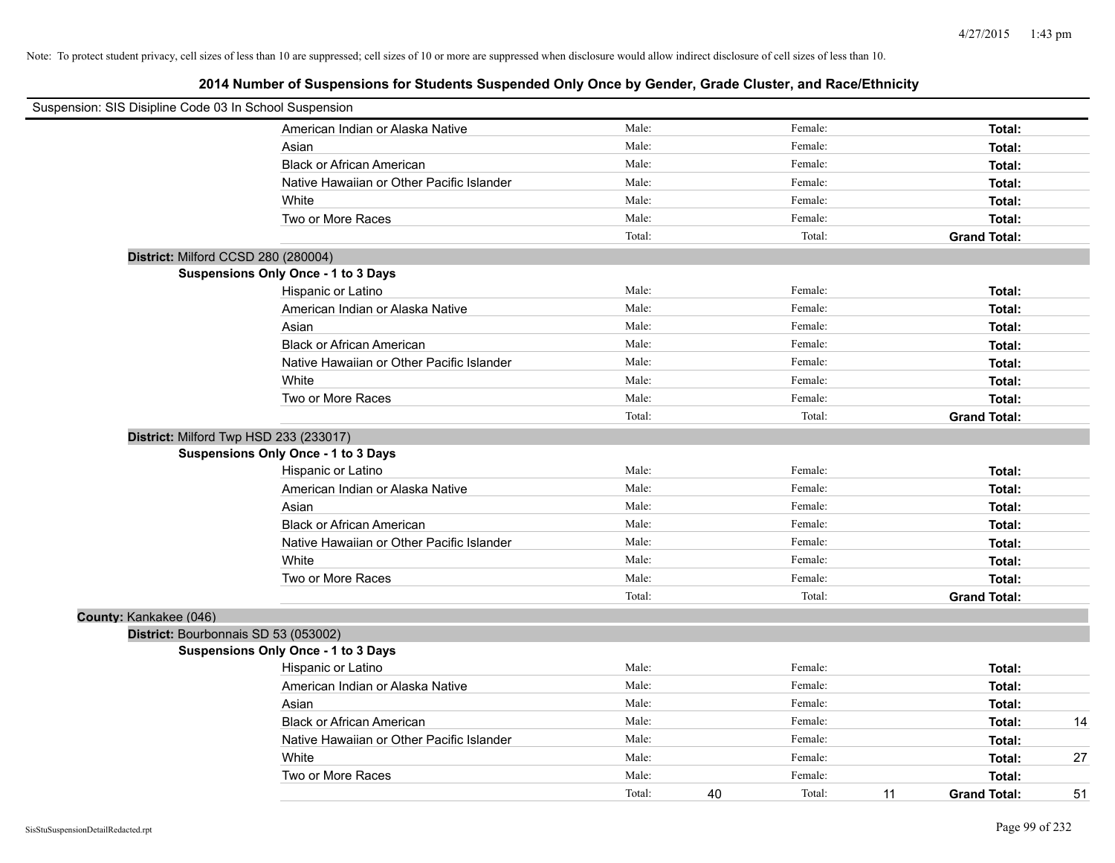| Suspension: SIS Disipline Code 03 In School Suspension |                                            |        |              |                           |    |
|--------------------------------------------------------|--------------------------------------------|--------|--------------|---------------------------|----|
|                                                        | American Indian or Alaska Native           | Male:  | Female:      | Total:                    |    |
|                                                        | Asian                                      | Male:  | Female:      | Total:                    |    |
|                                                        | <b>Black or African American</b>           | Male:  | Female:      | Total:                    |    |
|                                                        | Native Hawaiian or Other Pacific Islander  | Male:  | Female:      | Total:                    |    |
|                                                        | White                                      | Male:  | Female:      | Total:                    |    |
|                                                        | Two or More Races                          | Male:  | Female:      | Total:                    |    |
|                                                        |                                            | Total: | Total:       | <b>Grand Total:</b>       |    |
|                                                        | District: Milford CCSD 280 (280004)        |        |              |                           |    |
|                                                        | Suspensions Only Once - 1 to 3 Days        |        |              |                           |    |
|                                                        | Hispanic or Latino                         | Male:  | Female:      | Total:                    |    |
|                                                        | American Indian or Alaska Native           | Male:  | Female:      | Total:                    |    |
|                                                        | Asian                                      | Male:  | Female:      | Total:                    |    |
|                                                        | <b>Black or African American</b>           | Male:  | Female:      | Total:                    |    |
|                                                        | Native Hawaiian or Other Pacific Islander  | Male:  | Female:      | Total:                    |    |
|                                                        | White                                      | Male:  | Female:      | Total:                    |    |
|                                                        | Two or More Races                          | Male:  | Female:      | Total:                    |    |
|                                                        |                                            | Total: | Total:       | <b>Grand Total:</b>       |    |
|                                                        | District: Milford Twp HSD 233 (233017)     |        |              |                           |    |
|                                                        | <b>Suspensions Only Once - 1 to 3 Days</b> |        |              |                           |    |
|                                                        | Hispanic or Latino                         | Male:  | Female:      | Total:                    |    |
|                                                        | American Indian or Alaska Native           | Male:  | Female:      | Total:                    |    |
|                                                        | Asian                                      | Male:  | Female:      | Total:                    |    |
|                                                        | <b>Black or African American</b>           | Male:  | Female:      | Total:                    |    |
|                                                        | Native Hawaiian or Other Pacific Islander  | Male:  | Female:      | Total:                    |    |
|                                                        | White                                      | Male:  | Female:      | Total:                    |    |
|                                                        | Two or More Races                          | Male:  | Female:      | Total:                    |    |
|                                                        |                                            | Total: | Total:       | <b>Grand Total:</b>       |    |
| County: Kankakee (046)                                 |                                            |        |              |                           |    |
|                                                        | District: Bourbonnais SD 53 (053002)       |        |              |                           |    |
|                                                        | <b>Suspensions Only Once - 1 to 3 Days</b> |        |              |                           |    |
|                                                        | Hispanic or Latino                         | Male:  | Female:      | Total:                    |    |
|                                                        | American Indian or Alaska Native           | Male:  | Female:      | Total:                    |    |
|                                                        | Asian                                      | Male:  | Female:      | Total:                    |    |
|                                                        | <b>Black or African American</b>           | Male:  | Female:      | Total:                    | 14 |
|                                                        | Native Hawaiian or Other Pacific Islander  | Male:  | Female:      | Total:                    |    |
|                                                        | White                                      | Male:  | Female:      | Total:                    | 27 |
|                                                        | Two or More Races                          | Male:  | Female:      | Total:                    |    |
|                                                        |                                            | Total: | 40<br>Total: | 11<br><b>Grand Total:</b> | 51 |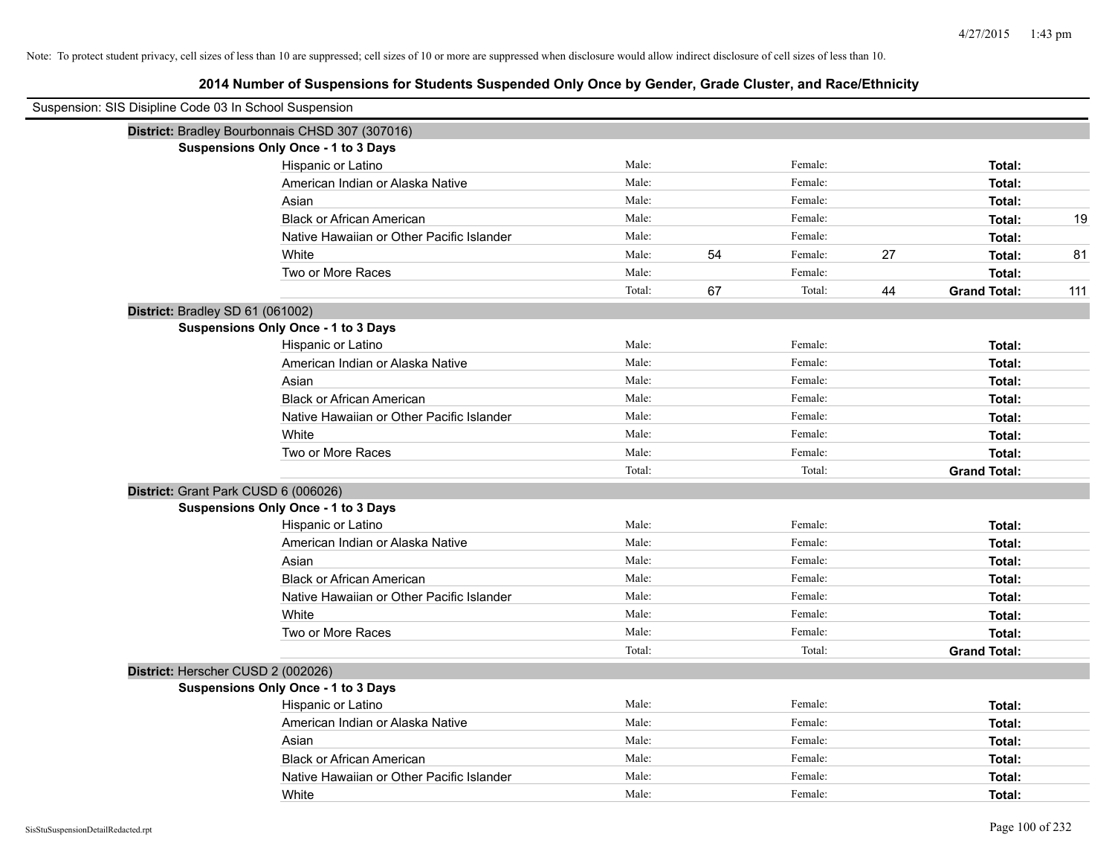| Suspension: SIS Disipline Code 03 In School Suspension |                                                 |        |    |         |    |                     |     |
|--------------------------------------------------------|-------------------------------------------------|--------|----|---------|----|---------------------|-----|
|                                                        | District: Bradley Bourbonnais CHSD 307 (307016) |        |    |         |    |                     |     |
|                                                        | <b>Suspensions Only Once - 1 to 3 Days</b>      |        |    |         |    |                     |     |
|                                                        | Hispanic or Latino                              | Male:  |    | Female: |    | Total:              |     |
|                                                        | American Indian or Alaska Native                | Male:  |    | Female: |    | Total:              |     |
|                                                        | Asian                                           | Male:  |    | Female: |    | Total:              |     |
|                                                        | <b>Black or African American</b>                | Male:  |    | Female: |    | Total:              | 19  |
|                                                        | Native Hawaiian or Other Pacific Islander       | Male:  |    | Female: |    | Total:              |     |
|                                                        | White                                           | Male:  | 54 | Female: | 27 | Total:              | 81  |
|                                                        | Two or More Races                               | Male:  |    | Female: |    | Total:              |     |
|                                                        |                                                 | Total: | 67 | Total:  | 44 | <b>Grand Total:</b> | 111 |
|                                                        | District: Bradley SD 61 (061002)                |        |    |         |    |                     |     |
|                                                        | <b>Suspensions Only Once - 1 to 3 Days</b>      |        |    |         |    |                     |     |
|                                                        | Hispanic or Latino                              | Male:  |    | Female: |    | Total:              |     |
|                                                        | American Indian or Alaska Native                | Male:  |    | Female: |    | Total:              |     |
|                                                        | Asian                                           | Male:  |    | Female: |    | Total:              |     |
|                                                        | <b>Black or African American</b>                | Male:  |    | Female: |    | Total:              |     |
|                                                        | Native Hawaiian or Other Pacific Islander       | Male:  |    | Female: |    | Total:              |     |
|                                                        | White                                           | Male:  |    | Female: |    | Total:              |     |
|                                                        | Two or More Races                               | Male:  |    | Female: |    | Total:              |     |
|                                                        |                                                 | Total: |    | Total:  |    | <b>Grand Total:</b> |     |
|                                                        | District: Grant Park CUSD 6 (006026)            |        |    |         |    |                     |     |
|                                                        | <b>Suspensions Only Once - 1 to 3 Days</b>      |        |    |         |    |                     |     |
|                                                        | Hispanic or Latino                              | Male:  |    | Female: |    | Total:              |     |
|                                                        | American Indian or Alaska Native                | Male:  |    | Female: |    | Total:              |     |
|                                                        | Asian                                           | Male:  |    | Female: |    | Total:              |     |
|                                                        | <b>Black or African American</b>                | Male:  |    | Female: |    | Total:              |     |
|                                                        | Native Hawaiian or Other Pacific Islander       | Male:  |    | Female: |    | Total:              |     |
|                                                        | White                                           | Male:  |    | Female: |    | Total:              |     |
|                                                        | Two or More Races                               | Male:  |    | Female: |    | Total:              |     |
|                                                        |                                                 | Total: |    | Total:  |    | <b>Grand Total:</b> |     |
|                                                        | District: Herscher CUSD 2 (002026)              |        |    |         |    |                     |     |
|                                                        | <b>Suspensions Only Once - 1 to 3 Days</b>      |        |    |         |    |                     |     |
|                                                        | Hispanic or Latino                              | Male:  |    | Female: |    | Total:              |     |
|                                                        | American Indian or Alaska Native                | Male:  |    | Female: |    | Total:              |     |
|                                                        | Asian                                           | Male:  |    | Female: |    | Total:              |     |
|                                                        | <b>Black or African American</b>                | Male:  |    | Female: |    | Total:              |     |
|                                                        | Native Hawaiian or Other Pacific Islander       | Male:  |    | Female: |    | Total:              |     |
|                                                        | White                                           | Male:  |    | Female: |    | Total:              |     |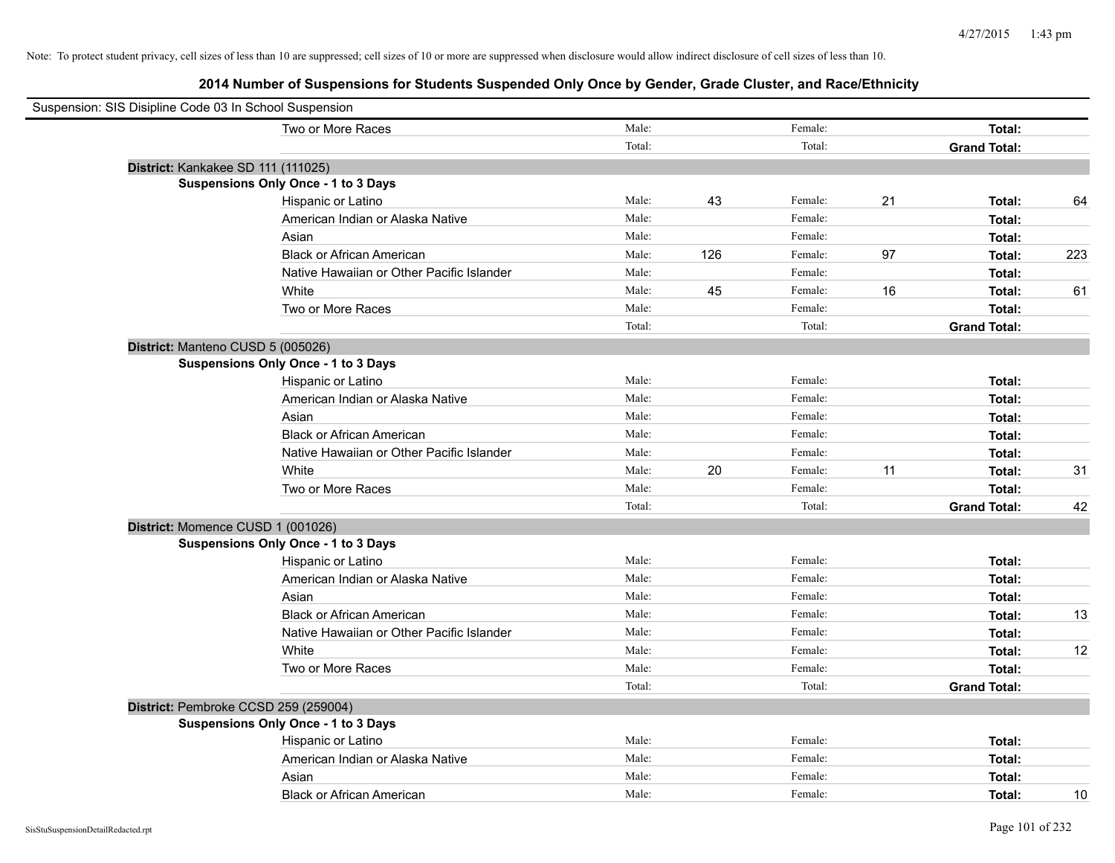| Suspension: SIS Disipline Code 03 In School Suspension |                                            |        |     |         |    |                     |     |
|--------------------------------------------------------|--------------------------------------------|--------|-----|---------|----|---------------------|-----|
|                                                        | Two or More Races                          | Male:  |     | Female: |    | Total:              |     |
|                                                        |                                            | Total: |     | Total:  |    | <b>Grand Total:</b> |     |
| District: Kankakee SD 111 (111025)                     |                                            |        |     |         |    |                     |     |
|                                                        | <b>Suspensions Only Once - 1 to 3 Days</b> |        |     |         |    |                     |     |
|                                                        | Hispanic or Latino                         | Male:  | 43  | Female: | 21 | Total:              | 64  |
|                                                        | American Indian or Alaska Native           | Male:  |     | Female: |    | Total:              |     |
|                                                        | Asian                                      | Male:  |     | Female: |    | Total:              |     |
|                                                        | <b>Black or African American</b>           | Male:  | 126 | Female: | 97 | Total:              | 223 |
|                                                        | Native Hawaiian or Other Pacific Islander  | Male:  |     | Female: |    | Total:              |     |
|                                                        | White                                      | Male:  | 45  | Female: | 16 | Total:              | 61  |
|                                                        | Two or More Races                          | Male:  |     | Female: |    | Total:              |     |
|                                                        |                                            | Total: |     | Total:  |    | <b>Grand Total:</b> |     |
| District: Manteno CUSD 5 (005026)                      |                                            |        |     |         |    |                     |     |
|                                                        | <b>Suspensions Only Once - 1 to 3 Days</b> |        |     |         |    |                     |     |
|                                                        | Hispanic or Latino                         | Male:  |     | Female: |    | Total:              |     |
|                                                        | American Indian or Alaska Native           | Male:  |     | Female: |    | Total:              |     |
|                                                        | Asian                                      | Male:  |     | Female: |    | Total:              |     |
|                                                        | <b>Black or African American</b>           | Male:  |     | Female: |    | Total:              |     |
|                                                        | Native Hawaiian or Other Pacific Islander  | Male:  |     | Female: |    | Total:              |     |
|                                                        | White                                      | Male:  | 20  | Female: | 11 | Total:              | 31  |
|                                                        | Two or More Races                          | Male:  |     | Female: |    | Total:              |     |
|                                                        |                                            | Total: |     | Total:  |    | <b>Grand Total:</b> | 42  |
| District: Momence CUSD 1 (001026)                      |                                            |        |     |         |    |                     |     |
|                                                        | <b>Suspensions Only Once - 1 to 3 Days</b> |        |     |         |    |                     |     |
|                                                        | Hispanic or Latino                         | Male:  |     | Female: |    | Total:              |     |
|                                                        | American Indian or Alaska Native           | Male:  |     | Female: |    | Total:              |     |
|                                                        | Asian                                      | Male:  |     | Female: |    | Total:              |     |
|                                                        | <b>Black or African American</b>           | Male:  |     | Female: |    | Total:              | 13  |
|                                                        | Native Hawaiian or Other Pacific Islander  | Male:  |     | Female: |    | Total:              |     |
|                                                        | White                                      | Male:  |     | Female: |    | Total:              | 12  |
|                                                        | Two or More Races                          | Male:  |     | Female: |    | Total:              |     |
|                                                        |                                            | Total: |     | Total:  |    | <b>Grand Total:</b> |     |
| District: Pembroke CCSD 259 (259004)                   |                                            |        |     |         |    |                     |     |
|                                                        | <b>Suspensions Only Once - 1 to 3 Days</b> |        |     |         |    |                     |     |
|                                                        | Hispanic or Latino                         | Male:  |     | Female: |    | Total:              |     |
|                                                        | American Indian or Alaska Native           | Male:  |     | Female: |    | Total:              |     |
|                                                        | Asian                                      | Male:  |     | Female: |    | Total:              |     |
|                                                        | <b>Black or African American</b>           | Male:  |     | Female: |    | Total:              | 10  |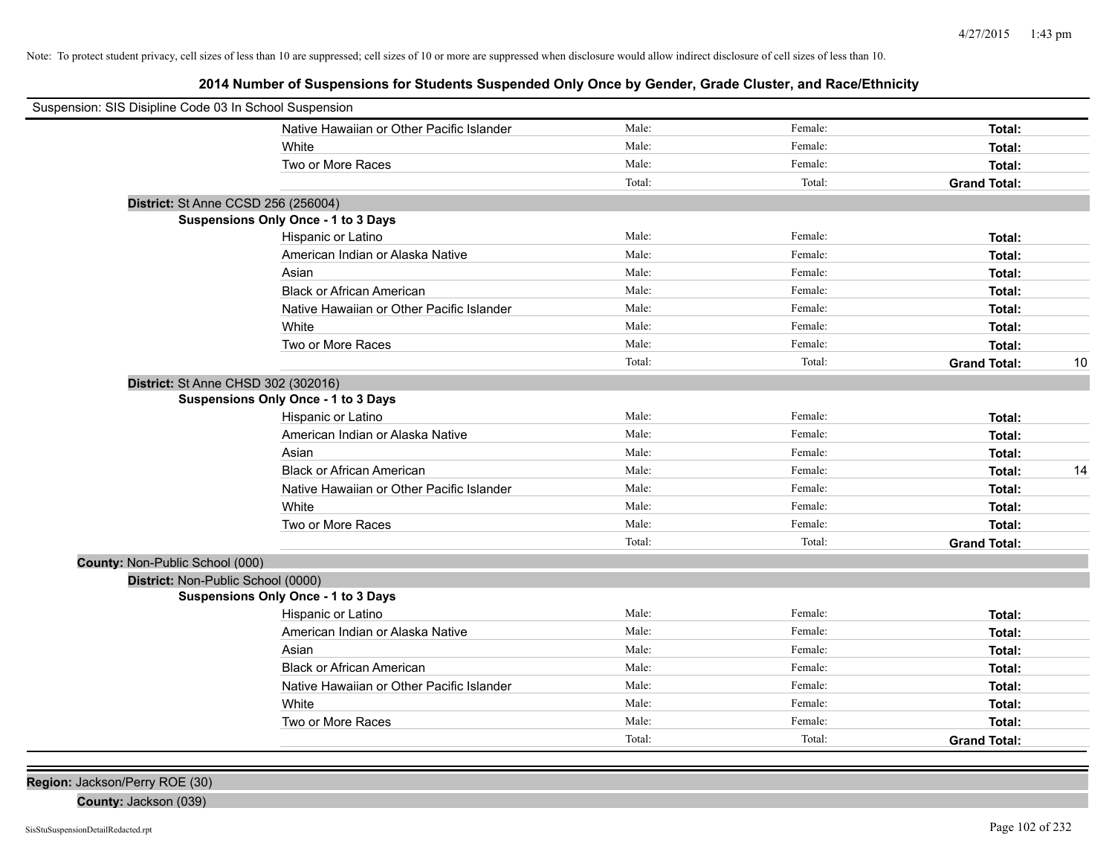**2014 Number of Suspensions for Students Suspended Only Once by Gender, Grade Cluster, and Race/Ethnicity**

| Suspension: SIS Disipline Code 03 In School Suspension |                                            |        |         |                     |    |
|--------------------------------------------------------|--------------------------------------------|--------|---------|---------------------|----|
|                                                        | Native Hawaiian or Other Pacific Islander  | Male:  | Female: | Total:              |    |
|                                                        | White                                      | Male:  | Female: | Total:              |    |
|                                                        | Two or More Races                          | Male:  | Female: | Total:              |    |
|                                                        |                                            | Total: | Total:  | <b>Grand Total:</b> |    |
| District: St Anne CCSD 256 (256004)                    |                                            |        |         |                     |    |
|                                                        | <b>Suspensions Only Once - 1 to 3 Days</b> |        |         |                     |    |
|                                                        | Hispanic or Latino                         | Male:  | Female: | Total:              |    |
|                                                        | American Indian or Alaska Native           | Male:  | Female: | Total:              |    |
|                                                        | Asian                                      | Male:  | Female: | Total:              |    |
|                                                        | <b>Black or African American</b>           | Male:  | Female: | Total:              |    |
|                                                        | Native Hawaiian or Other Pacific Islander  | Male:  | Female: | Total:              |    |
|                                                        | White                                      | Male:  | Female: | Total:              |    |
|                                                        | Two or More Races                          | Male:  | Female: | Total:              |    |
|                                                        |                                            | Total: | Total:  | <b>Grand Total:</b> | 10 |
| District: St Anne CHSD 302 (302016)                    |                                            |        |         |                     |    |
|                                                        | <b>Suspensions Only Once - 1 to 3 Days</b> |        |         |                     |    |
|                                                        | Hispanic or Latino                         | Male:  | Female: | Total:              |    |
|                                                        | American Indian or Alaska Native           | Male:  | Female: | Total:              |    |
|                                                        | Asian                                      | Male:  | Female: | Total:              |    |
|                                                        | <b>Black or African American</b>           | Male:  | Female: | Total:              | 14 |
|                                                        | Native Hawaiian or Other Pacific Islander  | Male:  | Female: | Total:              |    |
|                                                        | White                                      | Male:  | Female: | Total:              |    |
|                                                        | Two or More Races                          | Male:  | Female: | Total:              |    |
|                                                        |                                            | Total: | Total:  | <b>Grand Total:</b> |    |
| County: Non-Public School (000)                        |                                            |        |         |                     |    |
| District: Non-Public School (0000)                     |                                            |        |         |                     |    |
|                                                        | <b>Suspensions Only Once - 1 to 3 Days</b> |        |         |                     |    |
|                                                        | Hispanic or Latino                         | Male:  | Female: | Total:              |    |
|                                                        | American Indian or Alaska Native           | Male:  | Female: | Total:              |    |
|                                                        | Asian                                      | Male:  | Female: | Total:              |    |
|                                                        | <b>Black or African American</b>           | Male:  | Female: | Total:              |    |
|                                                        | Native Hawaiian or Other Pacific Islander  | Male:  | Female: | Total:              |    |
|                                                        | White                                      | Male:  | Female: | Total:              |    |
|                                                        | Two or More Races                          | Male:  | Female: | Total:              |    |
|                                                        |                                            | Total: | Total:  | <b>Grand Total:</b> |    |
|                                                        |                                            |        |         |                     |    |

**Region:** Jackson/Perry ROE (30)

**County:** Jackson (039)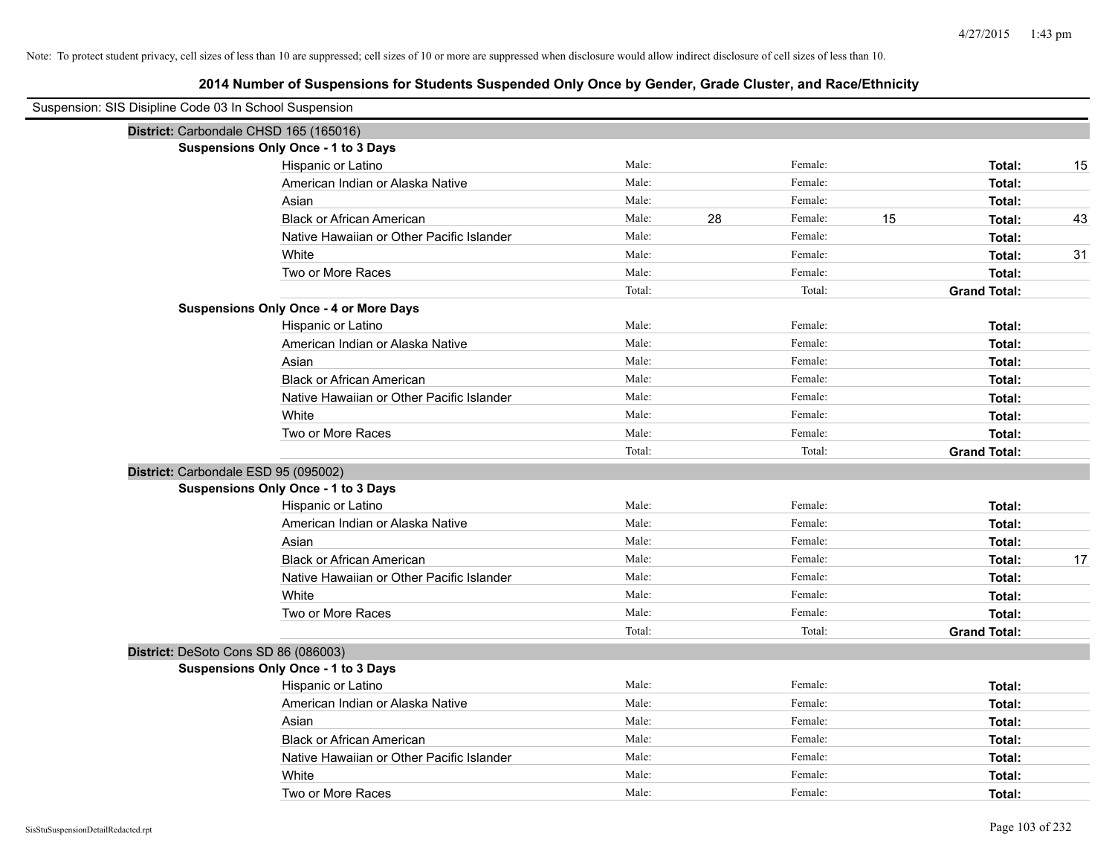| Suspension: SIS Disipline Code 03 In School Suspension |                                               |        |    |         |    |                     |    |
|--------------------------------------------------------|-----------------------------------------------|--------|----|---------|----|---------------------|----|
| District: Carbondale CHSD 165 (165016)                 |                                               |        |    |         |    |                     |    |
|                                                        | Suspensions Only Once - 1 to 3 Days           |        |    |         |    |                     |    |
|                                                        | Hispanic or Latino                            | Male:  |    | Female: |    | Total:              | 15 |
|                                                        | American Indian or Alaska Native              | Male:  |    | Female: |    | Total:              |    |
|                                                        | Asian                                         | Male:  |    | Female: |    | Total:              |    |
|                                                        | <b>Black or African American</b>              | Male:  | 28 | Female: | 15 | Total:              | 43 |
|                                                        | Native Hawaiian or Other Pacific Islander     | Male:  |    | Female: |    | Total:              |    |
|                                                        | White                                         | Male:  |    | Female: |    | Total:              | 31 |
|                                                        | Two or More Races                             | Male:  |    | Female: |    | Total:              |    |
|                                                        |                                               | Total: |    | Total:  |    | <b>Grand Total:</b> |    |
|                                                        | <b>Suspensions Only Once - 4 or More Days</b> |        |    |         |    |                     |    |
|                                                        | Hispanic or Latino                            | Male:  |    | Female: |    | Total:              |    |
|                                                        | American Indian or Alaska Native              | Male:  |    | Female: |    | Total:              |    |
|                                                        | Asian                                         | Male:  |    | Female: |    | Total:              |    |
|                                                        | <b>Black or African American</b>              | Male:  |    | Female: |    | Total:              |    |
|                                                        | Native Hawaiian or Other Pacific Islander     | Male:  |    | Female: |    | Total:              |    |
|                                                        | White                                         | Male:  |    | Female: |    | Total:              |    |
|                                                        | Two or More Races                             | Male:  |    | Female: |    | Total:              |    |
|                                                        |                                               | Total: |    | Total:  |    | <b>Grand Total:</b> |    |
| District: Carbondale ESD 95 (095002)                   |                                               |        |    |         |    |                     |    |
|                                                        | <b>Suspensions Only Once - 1 to 3 Days</b>    |        |    |         |    |                     |    |
|                                                        | Hispanic or Latino                            | Male:  |    | Female: |    | Total:              |    |
|                                                        | American Indian or Alaska Native              | Male:  |    | Female: |    | Total:              |    |
|                                                        | Asian                                         | Male:  |    | Female: |    | Total:              |    |
|                                                        | <b>Black or African American</b>              | Male:  |    | Female: |    | Total:              | 17 |
|                                                        | Native Hawaiian or Other Pacific Islander     | Male:  |    | Female: |    | Total:              |    |
|                                                        | White                                         | Male:  |    | Female: |    | Total:              |    |
|                                                        | Two or More Races                             | Male:  |    | Female: |    | Total:              |    |
|                                                        |                                               | Total: |    | Total:  |    | <b>Grand Total:</b> |    |
| District: DeSoto Cons SD 86 (086003)                   |                                               |        |    |         |    |                     |    |
|                                                        | <b>Suspensions Only Once - 1 to 3 Days</b>    |        |    |         |    |                     |    |
|                                                        | Hispanic or Latino                            | Male:  |    | Female: |    | Total:              |    |
|                                                        | American Indian or Alaska Native              | Male:  |    | Female: |    | Total:              |    |
|                                                        | Asian                                         | Male:  |    | Female: |    | Total:              |    |
|                                                        | <b>Black or African American</b>              | Male:  |    | Female: |    | Total:              |    |
|                                                        | Native Hawaiian or Other Pacific Islander     | Male:  |    | Female: |    | Total:              |    |
|                                                        | White                                         | Male:  |    | Female: |    | Total:              |    |
|                                                        | Two or More Races                             | Male:  |    | Female: |    | Total:              |    |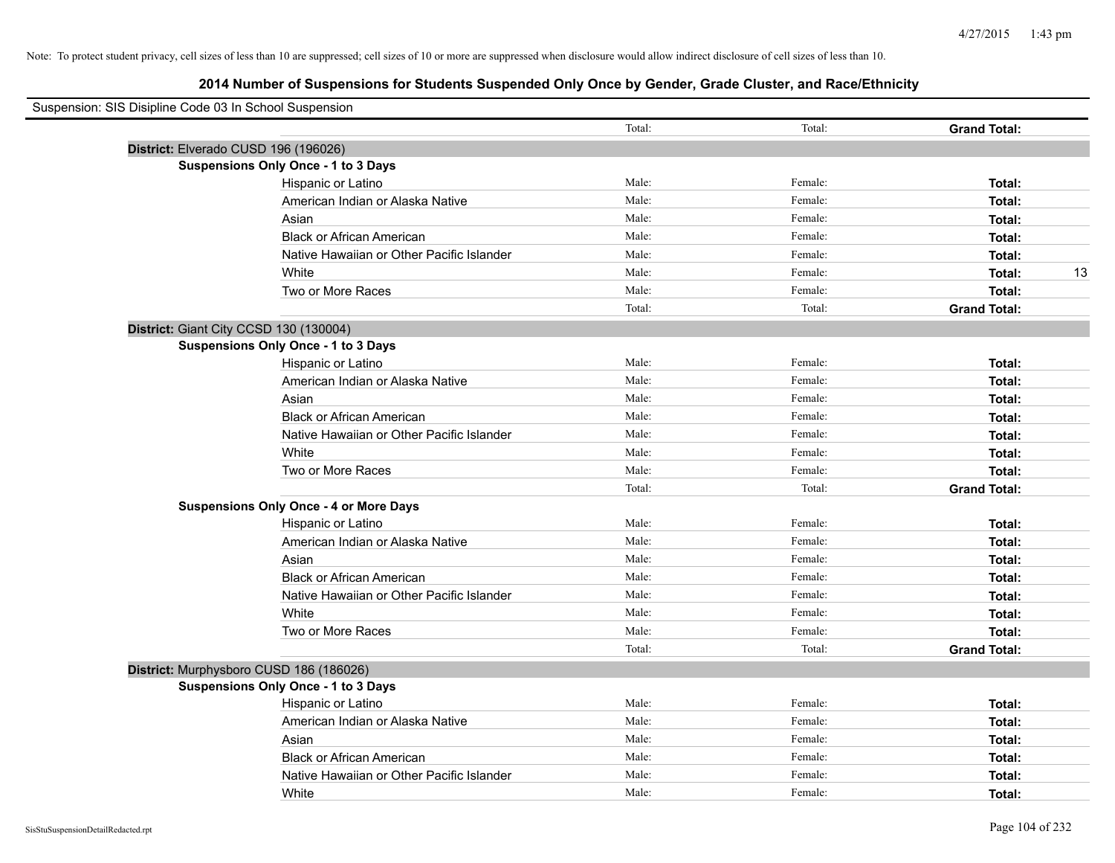| Suspension: SIS Disipline Code 03 In School Suspension |        |         |                     |    |
|--------------------------------------------------------|--------|---------|---------------------|----|
|                                                        | Total: | Total:  | <b>Grand Total:</b> |    |
| District: Elverado CUSD 196 (196026)                   |        |         |                     |    |
| <b>Suspensions Only Once - 1 to 3 Days</b>             |        |         |                     |    |
| Hispanic or Latino                                     | Male:  | Female: | Total:              |    |
| American Indian or Alaska Native                       | Male:  | Female: | Total:              |    |
| Asian                                                  | Male:  | Female: | Total:              |    |
| <b>Black or African American</b>                       | Male:  | Female: | Total:              |    |
| Native Hawaiian or Other Pacific Islander              | Male:  | Female: | Total:              |    |
| White                                                  | Male:  | Female: | Total:              | 13 |
| Two or More Races                                      | Male:  | Female: | Total:              |    |
|                                                        | Total: | Total:  | <b>Grand Total:</b> |    |
| District: Giant City CCSD 130 (130004)                 |        |         |                     |    |
| Suspensions Only Once - 1 to 3 Days                    |        |         |                     |    |
| Hispanic or Latino                                     | Male:  | Female: | Total:              |    |
| American Indian or Alaska Native                       | Male:  | Female: | Total:              |    |
| Asian                                                  | Male:  | Female: | Total:              |    |
| <b>Black or African American</b>                       | Male:  | Female: | Total:              |    |
| Native Hawaiian or Other Pacific Islander              | Male:  | Female: | Total:              |    |
| White                                                  | Male:  | Female: | Total:              |    |
| Two or More Races                                      | Male:  | Female: | Total:              |    |
|                                                        | Total: | Total:  | <b>Grand Total:</b> |    |
| <b>Suspensions Only Once - 4 or More Days</b>          |        |         |                     |    |
| Hispanic or Latino                                     | Male:  | Female: | Total:              |    |
| American Indian or Alaska Native                       | Male:  | Female: | Total:              |    |
| Asian                                                  | Male:  | Female: | Total:              |    |
| <b>Black or African American</b>                       | Male:  | Female: | Total:              |    |
| Native Hawaiian or Other Pacific Islander              | Male:  | Female: | Total:              |    |
| White                                                  | Male:  | Female: | Total:              |    |
| Two or More Races                                      | Male:  | Female: | Total:              |    |
|                                                        | Total: | Total:  | <b>Grand Total:</b> |    |
| District: Murphysboro CUSD 186 (186026)                |        |         |                     |    |
| <b>Suspensions Only Once - 1 to 3 Days</b>             |        |         |                     |    |
| Hispanic or Latino                                     | Male:  | Female: | Total:              |    |
| American Indian or Alaska Native                       | Male:  | Female: | Total:              |    |
| Asian                                                  | Male:  | Female: | Total:              |    |
| <b>Black or African American</b>                       | Male:  | Female: | Total:              |    |
| Native Hawaiian or Other Pacific Islander              | Male:  | Female: | Total:              |    |
| White                                                  | Male:  | Female: | Total:              |    |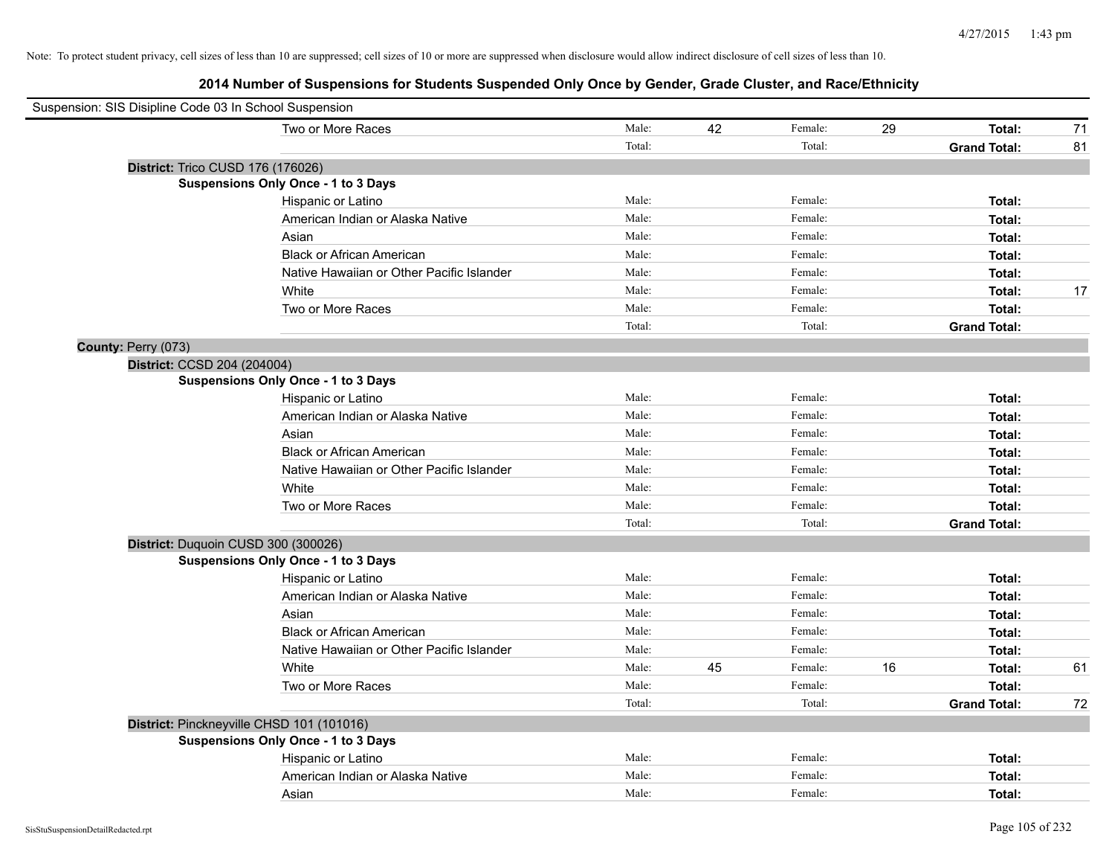| Suspension: SIS Disipline Code 03 In School Suspension |                                           |        |    |         |    |                     |    |
|--------------------------------------------------------|-------------------------------------------|--------|----|---------|----|---------------------|----|
|                                                        | Two or More Races                         | Male:  | 42 | Female: | 29 | Total:              | 71 |
|                                                        |                                           | Total: |    | Total:  |    | <b>Grand Total:</b> | 81 |
| District: Trico CUSD 176 (176026)                      |                                           |        |    |         |    |                     |    |
|                                                        | Suspensions Only Once - 1 to 3 Days       |        |    |         |    |                     |    |
|                                                        | Hispanic or Latino                        | Male:  |    | Female: |    | Total:              |    |
|                                                        | American Indian or Alaska Native          | Male:  |    | Female: |    | Total:              |    |
|                                                        | Asian                                     | Male:  |    | Female: |    | Total:              |    |
|                                                        | <b>Black or African American</b>          | Male:  |    | Female: |    | Total:              |    |
|                                                        | Native Hawaiian or Other Pacific Islander | Male:  |    | Female: |    | Total:              |    |
|                                                        | White                                     | Male:  |    | Female: |    | Total:              | 17 |
|                                                        | Two or More Races                         | Male:  |    | Female: |    | Total:              |    |
|                                                        |                                           | Total: |    | Total:  |    | <b>Grand Total:</b> |    |
| County: Perry (073)                                    |                                           |        |    |         |    |                     |    |
| District: CCSD 204 (204004)                            |                                           |        |    |         |    |                     |    |
|                                                        | Suspensions Only Once - 1 to 3 Days       |        |    |         |    |                     |    |
|                                                        | Hispanic or Latino                        | Male:  |    | Female: |    | Total:              |    |
|                                                        | American Indian or Alaska Native          | Male:  |    | Female: |    | Total:              |    |
|                                                        | Asian                                     | Male:  |    | Female: |    | Total:              |    |
|                                                        | <b>Black or African American</b>          | Male:  |    | Female: |    | Total:              |    |
|                                                        | Native Hawaiian or Other Pacific Islander | Male:  |    | Female: |    | Total:              |    |
|                                                        | White                                     | Male:  |    | Female: |    | Total:              |    |
|                                                        | Two or More Races                         | Male:  |    | Female: |    | Total:              |    |
|                                                        |                                           | Total: |    | Total:  |    | <b>Grand Total:</b> |    |
| District: Duquoin CUSD 300 (300026)                    |                                           |        |    |         |    |                     |    |
|                                                        | Suspensions Only Once - 1 to 3 Days       |        |    |         |    |                     |    |
|                                                        | Hispanic or Latino                        | Male:  |    | Female: |    | Total:              |    |
|                                                        | American Indian or Alaska Native          | Male:  |    | Female: |    | Total:              |    |
|                                                        | Asian                                     | Male:  |    | Female: |    | Total:              |    |
|                                                        | <b>Black or African American</b>          | Male:  |    | Female: |    | Total:              |    |
|                                                        | Native Hawaiian or Other Pacific Islander | Male:  |    | Female: |    | Total:              |    |
|                                                        | White                                     | Male:  | 45 | Female: | 16 | Total:              | 61 |
|                                                        | Two or More Races                         | Male:  |    | Female: |    | Total:              |    |
|                                                        |                                           | Total: |    | Total:  |    | <b>Grand Total:</b> | 72 |
|                                                        | District: Pinckneyville CHSD 101 (101016) |        |    |         |    |                     |    |
|                                                        | Suspensions Only Once - 1 to 3 Days       |        |    |         |    |                     |    |
|                                                        | Hispanic or Latino                        | Male:  |    | Female: |    | Total:              |    |
|                                                        | American Indian or Alaska Native          | Male:  |    | Female: |    | Total:              |    |
|                                                        | Asian                                     | Male:  |    | Female: |    | Total:              |    |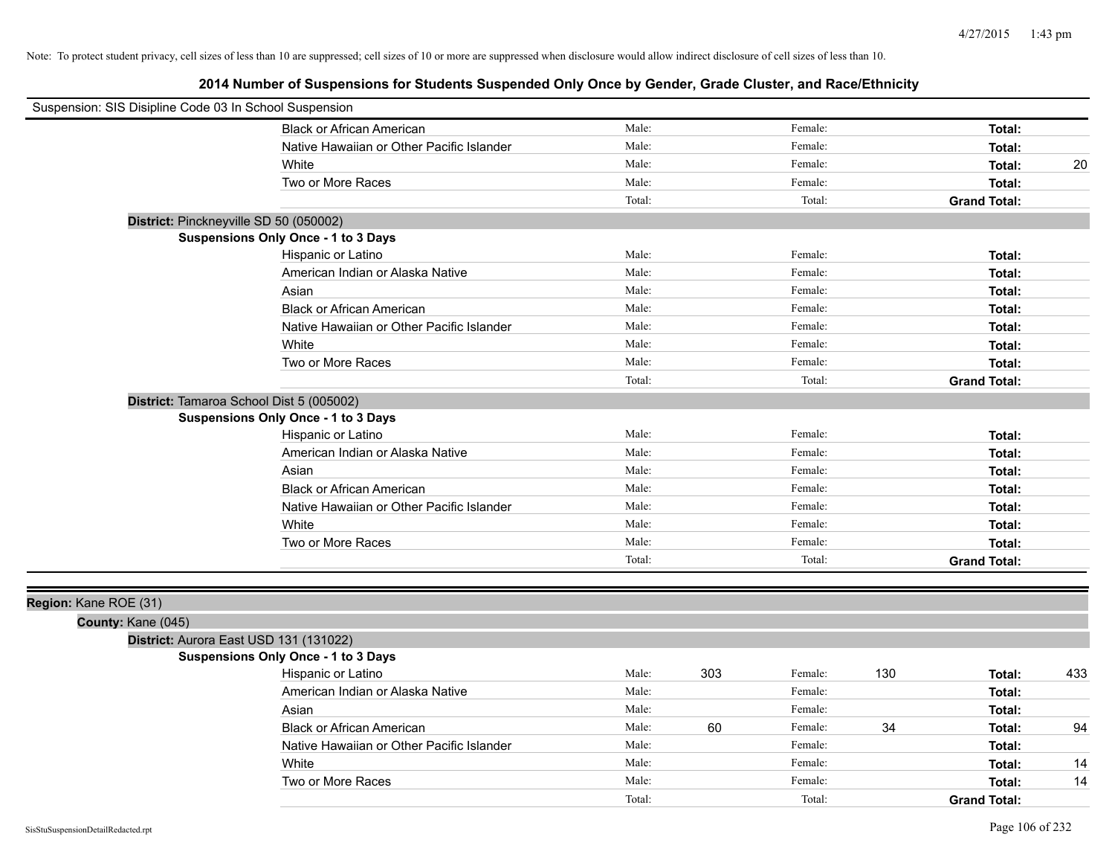| Suspension: SIS Disipline Code 03 In School Suspension |                                            |        |     |         |     |                     |     |
|--------------------------------------------------------|--------------------------------------------|--------|-----|---------|-----|---------------------|-----|
|                                                        | <b>Black or African American</b>           | Male:  |     | Female: |     | Total:              |     |
|                                                        | Native Hawaiian or Other Pacific Islander  | Male:  |     | Female: |     | Total:              |     |
|                                                        | White                                      | Male:  |     | Female: |     | Total:              | 20  |
|                                                        | Two or More Races                          | Male:  |     | Female: |     | Total:              |     |
|                                                        |                                            | Total: |     | Total:  |     | <b>Grand Total:</b> |     |
|                                                        | District: Pinckneyville SD 50 (050002)     |        |     |         |     |                     |     |
|                                                        | Suspensions Only Once - 1 to 3 Days        |        |     |         |     |                     |     |
|                                                        | Hispanic or Latino                         | Male:  |     | Female: |     | Total:              |     |
|                                                        | American Indian or Alaska Native           | Male:  |     | Female: |     | Total:              |     |
|                                                        | Asian                                      | Male:  |     | Female: |     | Total:              |     |
|                                                        | <b>Black or African American</b>           | Male:  |     | Female: |     | Total:              |     |
|                                                        | Native Hawaiian or Other Pacific Islander  | Male:  |     | Female: |     | Total:              |     |
|                                                        | White                                      | Male:  |     | Female: |     | Total:              |     |
|                                                        | Two or More Races                          | Male:  |     | Female: |     | Total:              |     |
|                                                        |                                            | Total: |     | Total:  |     | <b>Grand Total:</b> |     |
|                                                        | District: Tamaroa School Dist 5 (005002)   |        |     |         |     |                     |     |
|                                                        | Suspensions Only Once - 1 to 3 Days        |        |     |         |     |                     |     |
|                                                        | Hispanic or Latino                         | Male:  |     | Female: |     | Total:              |     |
|                                                        | American Indian or Alaska Native           | Male:  |     | Female: |     | Total:              |     |
|                                                        | Asian                                      | Male:  |     | Female: |     | Total:              |     |
|                                                        | <b>Black or African American</b>           | Male:  |     | Female: |     | Total:              |     |
|                                                        | Native Hawaiian or Other Pacific Islander  | Male:  |     | Female: |     | Total:              |     |
|                                                        | White                                      | Male:  |     | Female: |     | Total:              |     |
|                                                        | Two or More Races                          | Male:  |     | Female: |     | Total:              |     |
|                                                        |                                            | Total: |     | Total:  |     | <b>Grand Total:</b> |     |
|                                                        |                                            |        |     |         |     |                     |     |
| Region: Kane ROE (31)                                  |                                            |        |     |         |     |                     |     |
| County: Kane (045)                                     |                                            |        |     |         |     |                     |     |
|                                                        | District: Aurora East USD 131 (131022)     |        |     |         |     |                     |     |
|                                                        | <b>Suspensions Only Once - 1 to 3 Days</b> |        |     |         |     |                     |     |
|                                                        | Hispanic or Latino                         | Male:  | 303 | Female: | 130 | Total:              | 433 |
|                                                        | American Indian or Alaska Native           | Male:  |     | Female: |     | Total:              |     |
|                                                        | Asian                                      | Male:  |     | Female: |     | Total:              |     |
|                                                        | <b>Black or African American</b>           | Male:  | 60  | Female: | 34  | Total:              | 94  |
|                                                        | Native Hawaiian or Other Pacific Islander  | Male:  |     | Female: |     | Total:              |     |
|                                                        | White                                      | Male:  |     | Female: |     | Total:              | 14  |
|                                                        | Two or More Races                          | Male:  |     | Female: |     | Total:              | 14  |
|                                                        |                                            | Total: |     | Total:  |     | <b>Grand Total:</b> |     |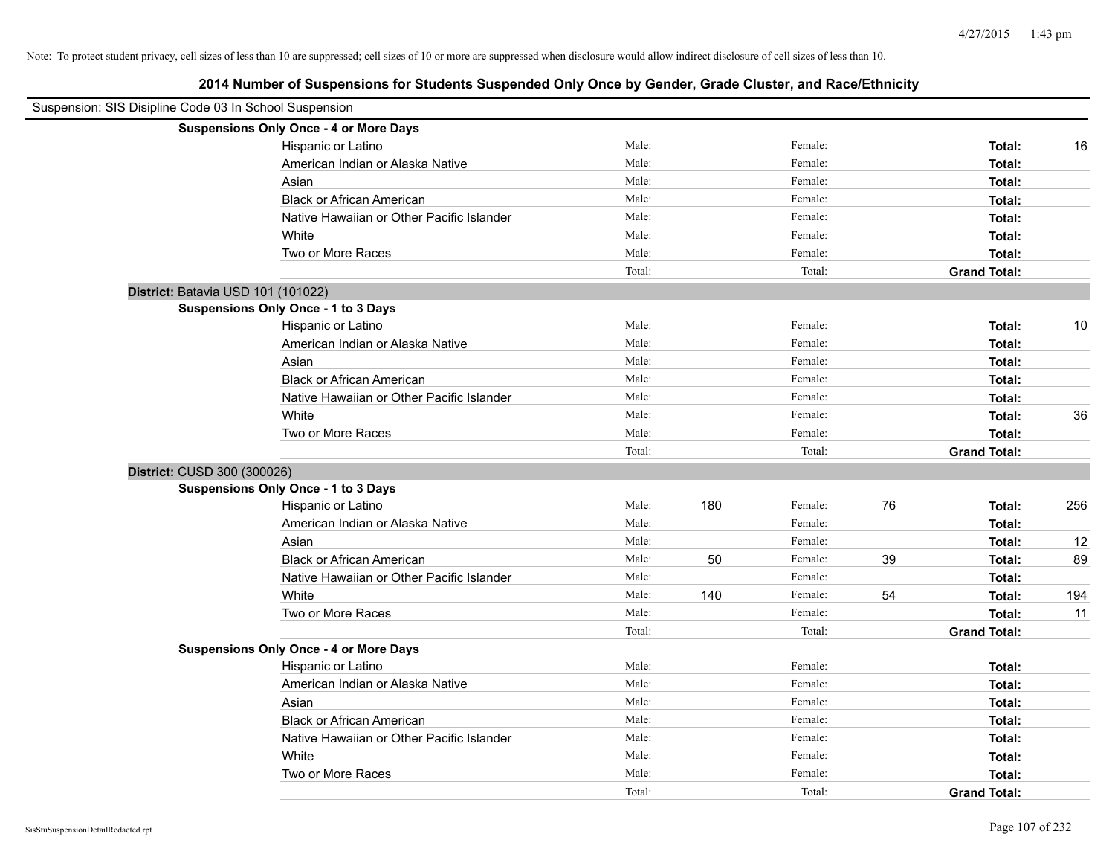| Suspension: SIS Disipline Code 03 In School Suspension |                                               |        |     |         |    |                     |     |
|--------------------------------------------------------|-----------------------------------------------|--------|-----|---------|----|---------------------|-----|
|                                                        | <b>Suspensions Only Once - 4 or More Days</b> |        |     |         |    |                     |     |
|                                                        | Hispanic or Latino                            | Male:  |     | Female: |    | Total:              | 16  |
|                                                        | American Indian or Alaska Native              | Male:  |     | Female: |    | Total:              |     |
|                                                        | Asian                                         | Male:  |     | Female: |    | Total:              |     |
|                                                        | <b>Black or African American</b>              | Male:  |     | Female: |    | Total:              |     |
|                                                        | Native Hawaiian or Other Pacific Islander     | Male:  |     | Female: |    | Total:              |     |
|                                                        | White                                         | Male:  |     | Female: |    | Total:              |     |
|                                                        | Two or More Races                             | Male:  |     | Female: |    | Total:              |     |
|                                                        |                                               | Total: |     | Total:  |    | <b>Grand Total:</b> |     |
| District: Batavia USD 101 (101022)                     |                                               |        |     |         |    |                     |     |
|                                                        | <b>Suspensions Only Once - 1 to 3 Days</b>    |        |     |         |    |                     |     |
|                                                        | Hispanic or Latino                            | Male:  |     | Female: |    | Total:              | 10  |
|                                                        | American Indian or Alaska Native              | Male:  |     | Female: |    | Total:              |     |
|                                                        | Asian                                         | Male:  |     | Female: |    | Total:              |     |
|                                                        | <b>Black or African American</b>              | Male:  |     | Female: |    | Total:              |     |
|                                                        | Native Hawaiian or Other Pacific Islander     | Male:  |     | Female: |    | Total:              |     |
|                                                        | White                                         | Male:  |     | Female: |    | Total:              | 36  |
|                                                        | Two or More Races                             | Male:  |     | Female: |    | Total:              |     |
|                                                        |                                               | Total: |     | Total:  |    | <b>Grand Total:</b> |     |
| District: CUSD 300 (300026)                            |                                               |        |     |         |    |                     |     |
|                                                        | Suspensions Only Once - 1 to 3 Days           |        |     |         |    |                     |     |
|                                                        | Hispanic or Latino                            | Male:  | 180 | Female: | 76 | Total:              | 256 |
|                                                        | American Indian or Alaska Native              | Male:  |     | Female: |    | Total:              |     |
|                                                        | Asian                                         | Male:  |     | Female: |    | Total:              | 12  |
|                                                        | <b>Black or African American</b>              | Male:  | 50  | Female: | 39 | Total:              | 89  |
|                                                        | Native Hawaiian or Other Pacific Islander     | Male:  |     | Female: |    | Total:              |     |
|                                                        | White                                         | Male:  | 140 | Female: | 54 | Total:              | 194 |
|                                                        | Two or More Races                             | Male:  |     | Female: |    | Total:              | 11  |
|                                                        |                                               | Total: |     | Total:  |    | <b>Grand Total:</b> |     |
|                                                        | <b>Suspensions Only Once - 4 or More Days</b> |        |     |         |    |                     |     |
|                                                        | Hispanic or Latino                            | Male:  |     | Female: |    | Total:              |     |
|                                                        | American Indian or Alaska Native              | Male:  |     | Female: |    | Total:              |     |
|                                                        | Asian                                         | Male:  |     | Female: |    | Total:              |     |
|                                                        | <b>Black or African American</b>              | Male:  |     | Female: |    | Total:              |     |
|                                                        | Native Hawaiian or Other Pacific Islander     | Male:  |     | Female: |    | Total:              |     |
|                                                        | White                                         | Male:  |     | Female: |    | Total:              |     |
|                                                        | Two or More Races                             | Male:  |     | Female: |    | Total:              |     |
|                                                        |                                               | Total: |     | Total:  |    | <b>Grand Total:</b> |     |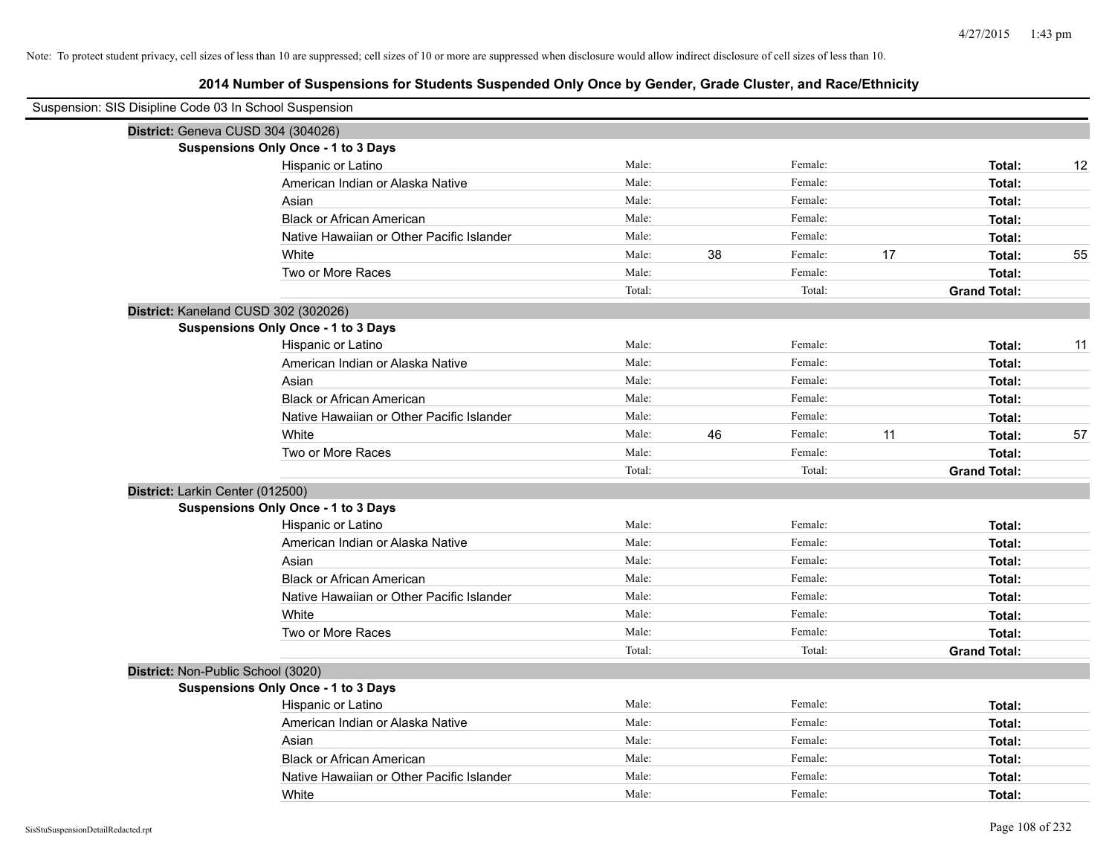| Suspension: SIS Disipline Code 03 In School Suspension |                                            |        |    |         |    |                     |    |
|--------------------------------------------------------|--------------------------------------------|--------|----|---------|----|---------------------|----|
|                                                        | District: Geneva CUSD 304 (304026)         |        |    |         |    |                     |    |
|                                                        | Suspensions Only Once - 1 to 3 Days        |        |    |         |    |                     |    |
|                                                        | Hispanic or Latino                         | Male:  |    | Female: |    | Total:              | 12 |
|                                                        | American Indian or Alaska Native           | Male:  |    | Female: |    | Total:              |    |
|                                                        | Asian                                      | Male:  |    | Female: |    | Total:              |    |
|                                                        | <b>Black or African American</b>           | Male:  |    | Female: |    | Total:              |    |
|                                                        | Native Hawaiian or Other Pacific Islander  | Male:  |    | Female: |    | Total:              |    |
|                                                        | White                                      | Male:  | 38 | Female: | 17 | Total:              | 55 |
|                                                        | Two or More Races                          | Male:  |    | Female: |    | Total:              |    |
|                                                        |                                            | Total: |    | Total:  |    | <b>Grand Total:</b> |    |
|                                                        | District: Kaneland CUSD 302 (302026)       |        |    |         |    |                     |    |
|                                                        | <b>Suspensions Only Once - 1 to 3 Days</b> |        |    |         |    |                     |    |
|                                                        | Hispanic or Latino                         | Male:  |    | Female: |    | Total:              | 11 |
|                                                        | American Indian or Alaska Native           | Male:  |    | Female: |    | Total:              |    |
|                                                        | Asian                                      | Male:  |    | Female: |    | Total:              |    |
|                                                        | <b>Black or African American</b>           | Male:  |    | Female: |    | Total:              |    |
|                                                        | Native Hawaiian or Other Pacific Islander  | Male:  |    | Female: |    | Total:              |    |
|                                                        | White                                      | Male:  | 46 | Female: | 11 | Total:              | 57 |
|                                                        | Two or More Races                          | Male:  |    | Female: |    | Total:              |    |
|                                                        |                                            | Total: |    | Total:  |    | <b>Grand Total:</b> |    |
|                                                        | District: Larkin Center (012500)           |        |    |         |    |                     |    |
|                                                        | <b>Suspensions Only Once - 1 to 3 Days</b> |        |    |         |    |                     |    |
|                                                        | Hispanic or Latino                         | Male:  |    | Female: |    | Total:              |    |
|                                                        | American Indian or Alaska Native           | Male:  |    | Female: |    | Total:              |    |
|                                                        | Asian                                      | Male:  |    | Female: |    | Total:              |    |
|                                                        | <b>Black or African American</b>           | Male:  |    | Female: |    | Total:              |    |
|                                                        | Native Hawaiian or Other Pacific Islander  | Male:  |    | Female: |    | Total:              |    |
|                                                        | White                                      | Male:  |    | Female: |    | Total:              |    |
|                                                        | Two or More Races                          | Male:  |    | Female: |    | Total:              |    |
|                                                        |                                            | Total: |    | Total:  |    | <b>Grand Total:</b> |    |
|                                                        | District: Non-Public School (3020)         |        |    |         |    |                     |    |
|                                                        | Suspensions Only Once - 1 to 3 Days        |        |    |         |    |                     |    |
|                                                        | Hispanic or Latino                         | Male:  |    | Female: |    | Total:              |    |
|                                                        | American Indian or Alaska Native           | Male:  |    | Female: |    | Total:              |    |
|                                                        | Asian                                      | Male:  |    | Female: |    | Total:              |    |
|                                                        | <b>Black or African American</b>           | Male:  |    | Female: |    | Total:              |    |
|                                                        | Native Hawaiian or Other Pacific Islander  | Male:  |    | Female: |    | Total:              |    |
|                                                        | White                                      | Male:  |    | Female: |    | Total:              |    |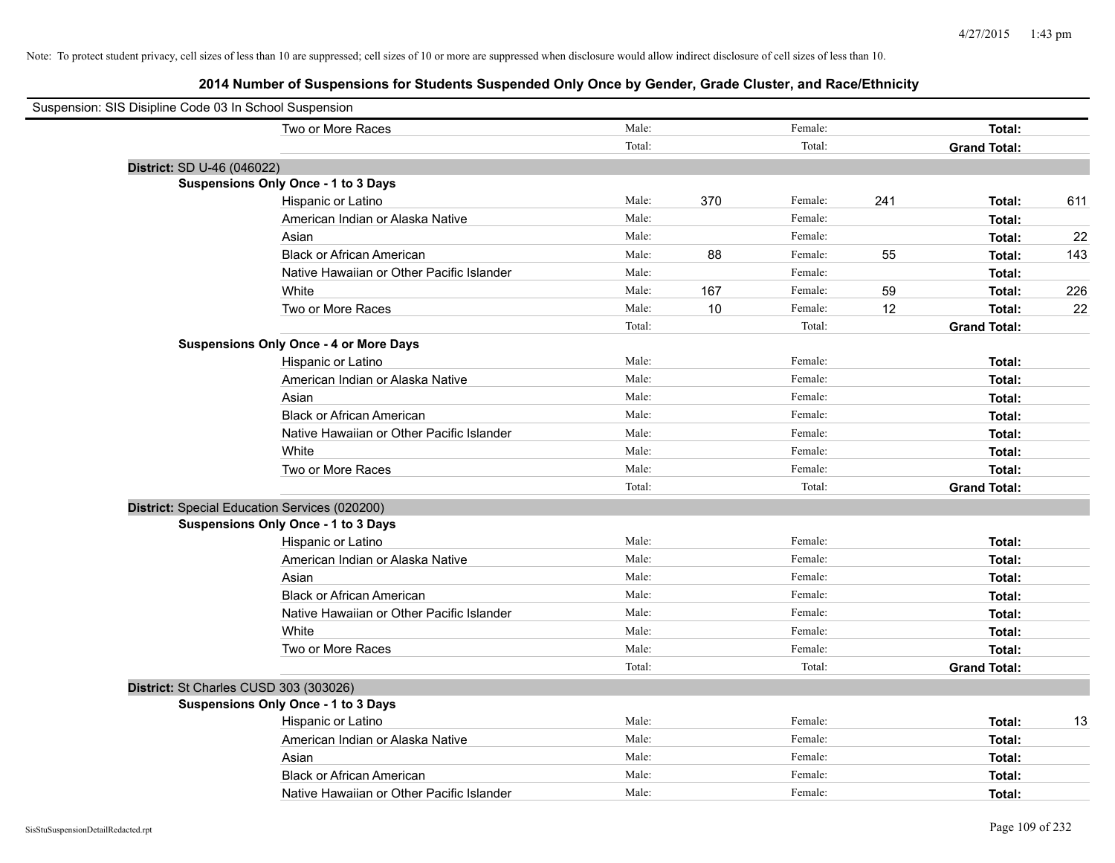| Suspension: SIS Disipline Code 03 In School Suspension |                                               |        |      |         |     |                     |     |
|--------------------------------------------------------|-----------------------------------------------|--------|------|---------|-----|---------------------|-----|
|                                                        | Two or More Races                             | Male:  |      | Female: |     | Total:              |     |
|                                                        |                                               | Total: |      | Total:  |     | <b>Grand Total:</b> |     |
| District: SD U-46 (046022)                             |                                               |        |      |         |     |                     |     |
|                                                        | Suspensions Only Once - 1 to 3 Days           |        |      |         |     |                     |     |
|                                                        | Hispanic or Latino                            | Male:  | 370  | Female: | 241 | Total:              | 611 |
|                                                        | American Indian or Alaska Native              | Male:  |      | Female: |     | Total:              |     |
|                                                        | Asian                                         | Male:  |      | Female: |     | Total:              | 22  |
|                                                        | <b>Black or African American</b>              | Male:  | 88   | Female: | 55  | Total:              | 143 |
|                                                        | Native Hawaiian or Other Pacific Islander     | Male:  |      | Female: |     | Total:              |     |
|                                                        | White                                         | Male:  | 167  | Female: | 59  | Total:              | 226 |
|                                                        | Two or More Races                             | Male:  | $10$ | Female: | 12  | Total:              | 22  |
|                                                        |                                               | Total: |      | Total:  |     | <b>Grand Total:</b> |     |
|                                                        | <b>Suspensions Only Once - 4 or More Days</b> |        |      |         |     |                     |     |
|                                                        | Hispanic or Latino                            | Male:  |      | Female: |     | Total:              |     |
|                                                        | American Indian or Alaska Native              | Male:  |      | Female: |     | Total:              |     |
|                                                        | Asian                                         | Male:  |      | Female: |     | Total:              |     |
|                                                        | <b>Black or African American</b>              | Male:  |      | Female: |     | Total:              |     |
|                                                        | Native Hawaiian or Other Pacific Islander     | Male:  |      | Female: |     | Total:              |     |
|                                                        | White                                         | Male:  |      | Female: |     | Total:              |     |
|                                                        | Two or More Races                             | Male:  |      | Female: |     | Total:              |     |
|                                                        |                                               | Total: |      | Total:  |     | <b>Grand Total:</b> |     |
|                                                        | District: Special Education Services (020200) |        |      |         |     |                     |     |
|                                                        | Suspensions Only Once - 1 to 3 Days           |        |      |         |     |                     |     |
|                                                        | Hispanic or Latino                            | Male:  |      | Female: |     | Total:              |     |
|                                                        | American Indian or Alaska Native              | Male:  |      | Female: |     | Total:              |     |
|                                                        | Asian                                         | Male:  |      | Female: |     | Total:              |     |
|                                                        | <b>Black or African American</b>              | Male:  |      | Female: |     | Total:              |     |
|                                                        | Native Hawaiian or Other Pacific Islander     | Male:  |      | Female: |     | Total:              |     |
|                                                        | White                                         | Male:  |      | Female: |     | Total:              |     |
|                                                        | Two or More Races                             | Male:  |      | Female: |     | Total:              |     |
|                                                        |                                               | Total: |      | Total:  |     | <b>Grand Total:</b> |     |
|                                                        | District: St Charles CUSD 303 (303026)        |        |      |         |     |                     |     |
|                                                        | <b>Suspensions Only Once - 1 to 3 Days</b>    |        |      |         |     |                     |     |
|                                                        | Hispanic or Latino                            | Male:  |      | Female: |     | Total:              | 13  |
|                                                        | American Indian or Alaska Native              | Male:  |      | Female: |     | Total:              |     |
|                                                        | Asian                                         | Male:  |      | Female: |     | Total:              |     |
|                                                        | <b>Black or African American</b>              | Male:  |      | Female: |     | Total:              |     |
|                                                        | Native Hawaiian or Other Pacific Islander     | Male:  |      | Female: |     | Total:              |     |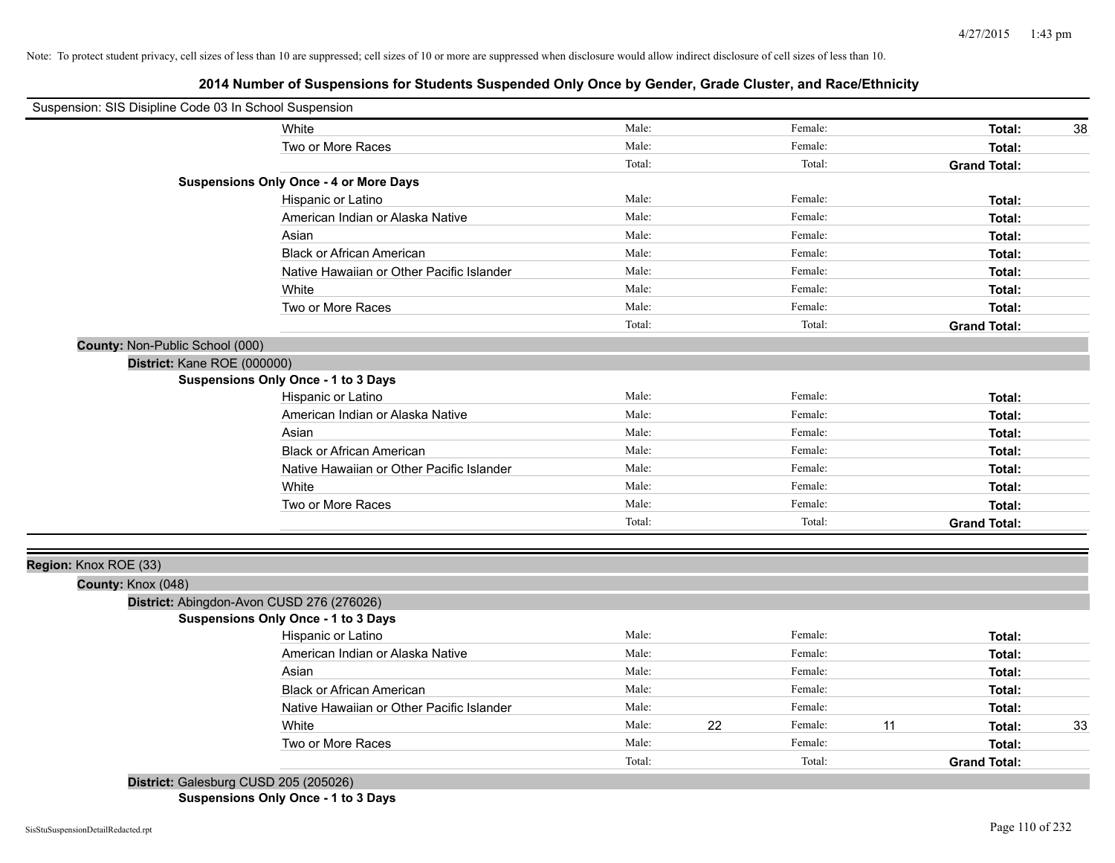# **2014 Number of Suspensions for Students Suspended Only Once by Gender, Grade Cluster, and Race/Ethnicity**

| Suspension: SIS Disipline Code 03 In School Suspension |                                               |        |    |         |    |                     |    |
|--------------------------------------------------------|-----------------------------------------------|--------|----|---------|----|---------------------|----|
|                                                        | White                                         | Male:  |    | Female: |    | Total:              | 38 |
|                                                        | Two or More Races                             | Male:  |    | Female: |    | Total:              |    |
|                                                        |                                               | Total: |    | Total:  |    | <b>Grand Total:</b> |    |
|                                                        | <b>Suspensions Only Once - 4 or More Days</b> |        |    |         |    |                     |    |
|                                                        | Hispanic or Latino                            | Male:  |    | Female: |    | Total:              |    |
|                                                        | American Indian or Alaska Native              | Male:  |    | Female: |    | Total:              |    |
|                                                        | Asian                                         | Male:  |    | Female: |    | Total:              |    |
|                                                        | <b>Black or African American</b>              | Male:  |    | Female: |    | Total:              |    |
|                                                        | Native Hawaiian or Other Pacific Islander     | Male:  |    | Female: |    | Total:              |    |
|                                                        | White                                         | Male:  |    | Female: |    | Total:              |    |
|                                                        | Two or More Races                             | Male:  |    | Female: |    | Total:              |    |
|                                                        |                                               | Total: |    | Total:  |    | <b>Grand Total:</b> |    |
| County: Non-Public School (000)                        |                                               |        |    |         |    |                     |    |
| District: Kane ROE (000000)                            |                                               |        |    |         |    |                     |    |
|                                                        | <b>Suspensions Only Once - 1 to 3 Days</b>    |        |    |         |    |                     |    |
|                                                        | Hispanic or Latino                            | Male:  |    | Female: |    | Total:              |    |
|                                                        | American Indian or Alaska Native              | Male:  |    | Female: |    | Total:              |    |
|                                                        | Asian                                         | Male:  |    | Female: |    | Total:              |    |
|                                                        | <b>Black or African American</b>              | Male:  |    | Female: |    | Total:              |    |
|                                                        | Native Hawaiian or Other Pacific Islander     | Male:  |    | Female: |    | Total:              |    |
|                                                        | White                                         | Male:  |    | Female: |    | Total:              |    |
|                                                        | Two or More Races                             | Male:  |    | Female: |    | Total:              |    |
|                                                        |                                               | Total: |    | Total:  |    | <b>Grand Total:</b> |    |
|                                                        |                                               |        |    |         |    |                     |    |
| Region: Knox ROE (33)                                  |                                               |        |    |         |    |                     |    |
| County: Knox (048)                                     |                                               |        |    |         |    |                     |    |
|                                                        | District: Abingdon-Avon CUSD 276 (276026)     |        |    |         |    |                     |    |
|                                                        | <b>Suspensions Only Once - 1 to 3 Days</b>    |        |    |         |    |                     |    |
|                                                        | Hispanic or Latino                            | Male:  |    | Female: |    | Total:              |    |
|                                                        | American Indian or Alaska Native              | Male:  |    | Female: |    | Total:              |    |
|                                                        | Asian                                         | Male:  |    | Female: |    | Total:              |    |
|                                                        | <b>Black or African American</b>              | Male:  |    | Female: |    | Total:              |    |
|                                                        | Native Hawaiian or Other Pacific Islander     | Male:  |    | Female: |    | Total:              |    |
|                                                        | White                                         | Male:  | 22 | Female: | 11 | Total:              | 33 |
|                                                        | Two or More Races                             | Male:  |    | Female: |    | Total:              |    |
|                                                        |                                               | Total: |    | Total:  |    | <b>Grand Total:</b> |    |
| District: Galesburg CUSD 205 (205026)                  |                                               |        |    |         |    |                     |    |

**Suspensions Only Once - 1 to 3 Days**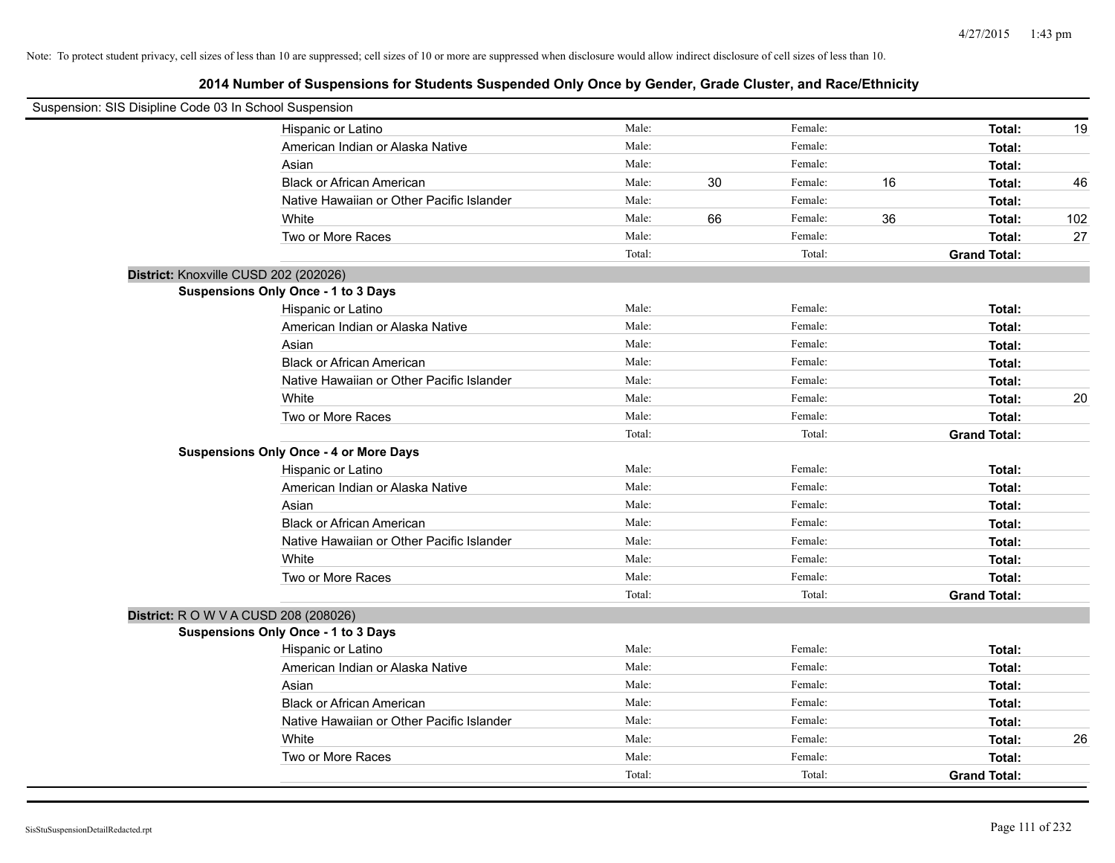| Suspension: SIS Disipline Code 03 In School Suspension |                                               |        |    |         |    |                     |     |
|--------------------------------------------------------|-----------------------------------------------|--------|----|---------|----|---------------------|-----|
|                                                        | Hispanic or Latino                            | Male:  |    | Female: |    | Total:              | 19  |
|                                                        | American Indian or Alaska Native              | Male:  |    | Female: |    | Total:              |     |
|                                                        | Asian                                         | Male:  |    | Female: |    | Total:              |     |
|                                                        | <b>Black or African American</b>              | Male:  | 30 | Female: | 16 | Total:              | 46  |
|                                                        | Native Hawaiian or Other Pacific Islander     | Male:  |    | Female: |    | Total:              |     |
|                                                        | White                                         | Male:  | 66 | Female: | 36 | Total:              | 102 |
|                                                        | Two or More Races                             | Male:  |    | Female: |    | Total:              | 27  |
|                                                        |                                               | Total: |    | Total:  |    | <b>Grand Total:</b> |     |
| District: Knoxville CUSD 202 (202026)                  |                                               |        |    |         |    |                     |     |
|                                                        | Suspensions Only Once - 1 to 3 Days           |        |    |         |    |                     |     |
|                                                        | Hispanic or Latino                            | Male:  |    | Female: |    | Total:              |     |
|                                                        | American Indian or Alaska Native              | Male:  |    | Female: |    | Total:              |     |
|                                                        | Asian                                         | Male:  |    | Female: |    | Total:              |     |
|                                                        | <b>Black or African American</b>              | Male:  |    | Female: |    | Total:              |     |
|                                                        | Native Hawaiian or Other Pacific Islander     | Male:  |    | Female: |    | Total:              |     |
|                                                        | White                                         | Male:  |    | Female: |    | Total:              | 20  |
|                                                        | Two or More Races                             | Male:  |    | Female: |    | Total:              |     |
|                                                        |                                               | Total: |    | Total:  |    | <b>Grand Total:</b> |     |
|                                                        | <b>Suspensions Only Once - 4 or More Days</b> |        |    |         |    |                     |     |
|                                                        | Hispanic or Latino                            | Male:  |    | Female: |    | Total:              |     |
|                                                        | American Indian or Alaska Native              | Male:  |    | Female: |    | Total:              |     |
|                                                        | Asian                                         | Male:  |    | Female: |    | Total:              |     |
|                                                        | <b>Black or African American</b>              | Male:  |    | Female: |    | Total:              |     |
|                                                        | Native Hawaiian or Other Pacific Islander     | Male:  |    | Female: |    | Total:              |     |
|                                                        | White                                         | Male:  |    | Female: |    | Total:              |     |
|                                                        | Two or More Races                             | Male:  |    | Female: |    | Total:              |     |
|                                                        |                                               | Total: |    | Total:  |    | <b>Grand Total:</b> |     |
| District: R O W V A CUSD 208 (208026)                  |                                               |        |    |         |    |                     |     |
|                                                        | Suspensions Only Once - 1 to 3 Days           |        |    |         |    |                     |     |
|                                                        | Hispanic or Latino                            | Male:  |    | Female: |    | Total:              |     |
|                                                        | American Indian or Alaska Native              | Male:  |    | Female: |    | Total:              |     |
|                                                        | Asian                                         | Male:  |    | Female: |    | Total:              |     |
|                                                        | <b>Black or African American</b>              | Male:  |    | Female: |    | Total:              |     |
|                                                        | Native Hawaiian or Other Pacific Islander     | Male:  |    | Female: |    | Total:              |     |
|                                                        | White                                         | Male:  |    | Female: |    | Total:              | 26  |
|                                                        | Two or More Races                             | Male:  |    | Female: |    | Total:              |     |
|                                                        |                                               | Total: |    | Total:  |    | <b>Grand Total:</b> |     |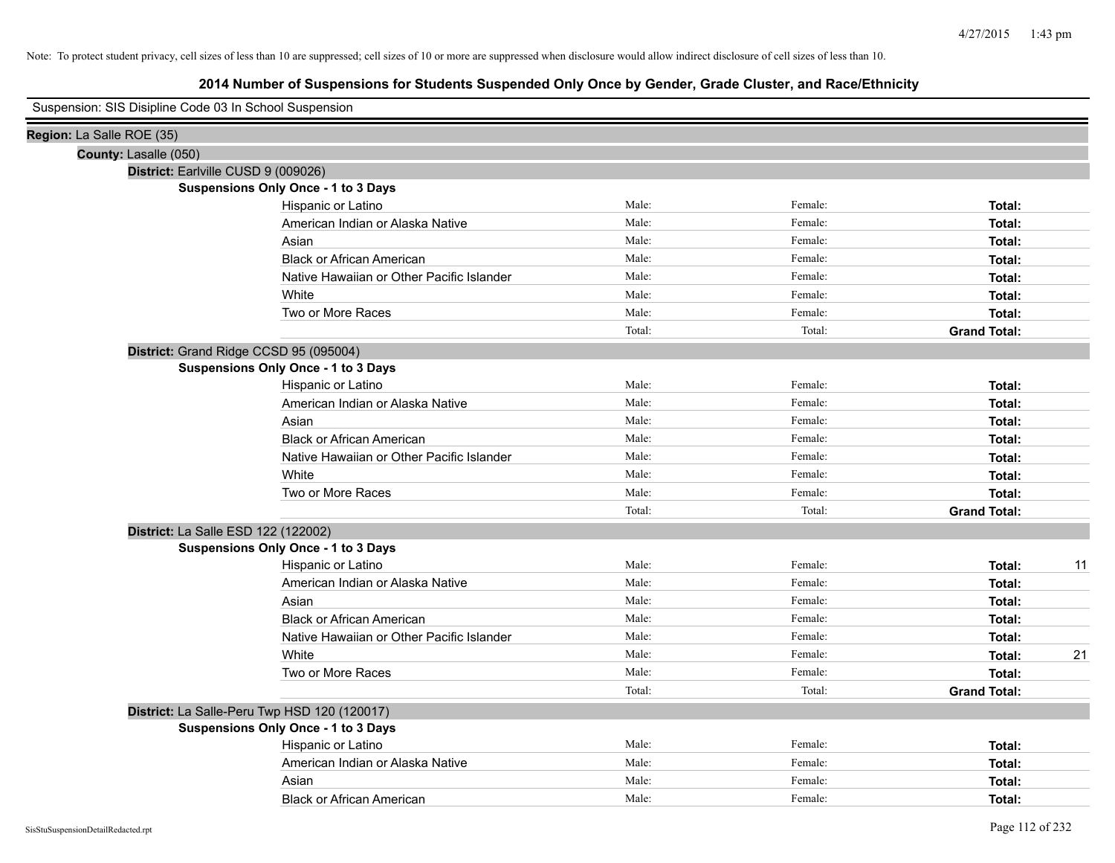|                           | Suspension: SIS Disipline Code 03 In School Suspension |                                            |        |         |                     |    |
|---------------------------|--------------------------------------------------------|--------------------------------------------|--------|---------|---------------------|----|
| Region: La Salle ROE (35) |                                                        |                                            |        |         |                     |    |
|                           | County: Lasalle (050)                                  |                                            |        |         |                     |    |
|                           | District: Earlville CUSD 9 (009026)                    |                                            |        |         |                     |    |
|                           |                                                        | <b>Suspensions Only Once - 1 to 3 Days</b> |        |         |                     |    |
|                           |                                                        | Hispanic or Latino                         | Male:  | Female: | Total:              |    |
|                           |                                                        | American Indian or Alaska Native           | Male:  | Female: | Total:              |    |
|                           |                                                        | Asian                                      | Male:  | Female: | Total:              |    |
|                           |                                                        | <b>Black or African American</b>           | Male:  | Female: | Total:              |    |
|                           |                                                        | Native Hawaiian or Other Pacific Islander  | Male:  | Female: | Total:              |    |
|                           |                                                        | White                                      | Male:  | Female: | Total:              |    |
|                           |                                                        | Two or More Races                          | Male:  | Female: | Total:              |    |
|                           |                                                        |                                            | Total: | Total:  | <b>Grand Total:</b> |    |
|                           | District: Grand Ridge CCSD 95 (095004)                 |                                            |        |         |                     |    |
|                           |                                                        | Suspensions Only Once - 1 to 3 Days        |        |         |                     |    |
|                           |                                                        | Hispanic or Latino                         | Male:  | Female: | Total:              |    |
|                           |                                                        | American Indian or Alaska Native           | Male:  | Female: | Total:              |    |
|                           |                                                        | Asian                                      | Male:  | Female: | Total:              |    |
|                           |                                                        | <b>Black or African American</b>           | Male:  | Female: | Total:              |    |
|                           |                                                        | Native Hawaiian or Other Pacific Islander  | Male:  | Female: | Total:              |    |
|                           |                                                        | White                                      | Male:  | Female: | Total:              |    |
|                           |                                                        | Two or More Races                          | Male:  | Female: | Total:              |    |
|                           |                                                        |                                            | Total: | Total:  | <b>Grand Total:</b> |    |
|                           | District: La Salle ESD 122 (122002)                    |                                            |        |         |                     |    |
|                           |                                                        | Suspensions Only Once - 1 to 3 Days        |        |         |                     |    |
|                           |                                                        | Hispanic or Latino                         | Male:  | Female: | Total:              | 11 |
|                           |                                                        | American Indian or Alaska Native           | Male:  | Female: | Total:              |    |
|                           |                                                        | Asian                                      | Male:  | Female: | Total:              |    |
|                           |                                                        | <b>Black or African American</b>           | Male:  | Female: | Total:              |    |
|                           |                                                        | Native Hawaiian or Other Pacific Islander  | Male:  | Female: | Total:              |    |
|                           |                                                        | White                                      | Male:  | Female: | Total:              | 21 |
|                           |                                                        | Two or More Races                          | Male:  | Female: | Total:              |    |
|                           |                                                        |                                            | Total: | Total:  | <b>Grand Total:</b> |    |
|                           | District: La Salle-Peru Twp HSD 120 (120017)           |                                            |        |         |                     |    |
|                           |                                                        | <b>Suspensions Only Once - 1 to 3 Days</b> |        |         |                     |    |
|                           |                                                        | Hispanic or Latino                         | Male:  | Female: | Total:              |    |
|                           |                                                        | American Indian or Alaska Native           | Male:  | Female: | Total:              |    |
|                           |                                                        | Asian                                      | Male:  | Female: | Total:              |    |
|                           |                                                        | <b>Black or African American</b>           | Male:  | Female: | Total:              |    |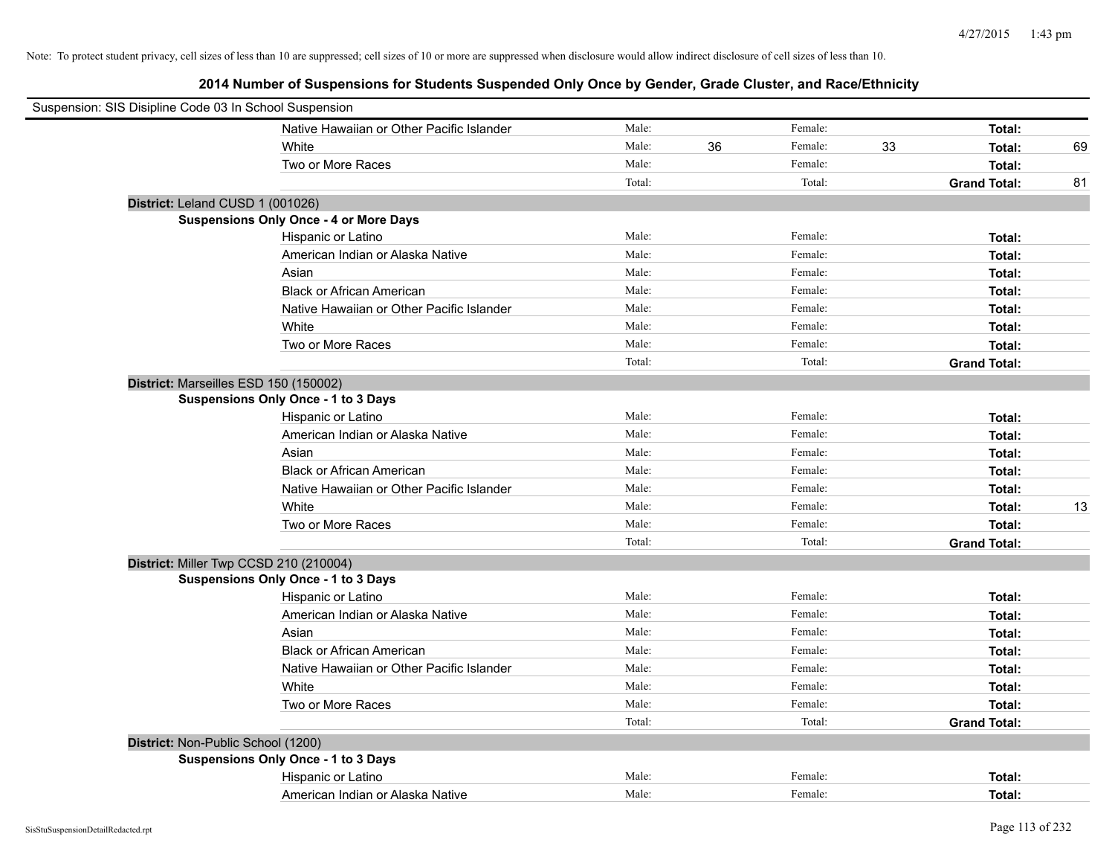| Suspension: SIS Disipline Code 03 In School Suspension |                                               |        |    |         |    |                     |    |
|--------------------------------------------------------|-----------------------------------------------|--------|----|---------|----|---------------------|----|
|                                                        | Native Hawaiian or Other Pacific Islander     | Male:  |    | Female: |    | Total:              |    |
|                                                        | White                                         | Male:  | 36 | Female: | 33 | Total:              | 69 |
|                                                        | Two or More Races                             | Male:  |    | Female: |    | Total:              |    |
|                                                        |                                               | Total: |    | Total:  |    | <b>Grand Total:</b> | 81 |
| District: Leland CUSD 1 (001026)                       |                                               |        |    |         |    |                     |    |
|                                                        | <b>Suspensions Only Once - 4 or More Days</b> |        |    |         |    |                     |    |
|                                                        | Hispanic or Latino                            | Male:  |    | Female: |    | Total:              |    |
|                                                        | American Indian or Alaska Native              | Male:  |    | Female: |    | Total:              |    |
|                                                        | Asian                                         | Male:  |    | Female: |    | Total:              |    |
|                                                        | <b>Black or African American</b>              | Male:  |    | Female: |    | Total:              |    |
|                                                        | Native Hawaiian or Other Pacific Islander     | Male:  |    | Female: |    | Total:              |    |
|                                                        | White                                         | Male:  |    | Female: |    | Total:              |    |
|                                                        | Two or More Races                             | Male:  |    | Female: |    | Total:              |    |
|                                                        |                                               | Total: |    | Total:  |    | <b>Grand Total:</b> |    |
| District: Marseilles ESD 150 (150002)                  |                                               |        |    |         |    |                     |    |
|                                                        | <b>Suspensions Only Once - 1 to 3 Days</b>    |        |    |         |    |                     |    |
|                                                        | Hispanic or Latino                            | Male:  |    | Female: |    | Total:              |    |
|                                                        | American Indian or Alaska Native              | Male:  |    | Female: |    | Total:              |    |
|                                                        | Asian                                         | Male:  |    | Female: |    | Total:              |    |
|                                                        | <b>Black or African American</b>              | Male:  |    | Female: |    | Total:              |    |
|                                                        | Native Hawaiian or Other Pacific Islander     | Male:  |    | Female: |    | Total:              |    |
|                                                        | White                                         | Male:  |    | Female: |    | Total:              | 13 |
|                                                        | Two or More Races                             | Male:  |    | Female: |    | Total:              |    |
|                                                        |                                               | Total: |    | Total:  |    | <b>Grand Total:</b> |    |
| District: Miller Twp CCSD 210 (210004)                 |                                               |        |    |         |    |                     |    |
|                                                        | <b>Suspensions Only Once - 1 to 3 Days</b>    |        |    |         |    |                     |    |
|                                                        | Hispanic or Latino                            | Male:  |    | Female: |    | Total:              |    |
|                                                        | American Indian or Alaska Native              | Male:  |    | Female: |    | Total:              |    |
|                                                        | Asian                                         | Male:  |    | Female: |    | Total:              |    |
|                                                        | <b>Black or African American</b>              | Male:  |    | Female: |    | Total:              |    |
|                                                        | Native Hawaiian or Other Pacific Islander     | Male:  |    | Female: |    | Total:              |    |
|                                                        | White                                         | Male:  |    | Female: |    | Total:              |    |
|                                                        | Two or More Races                             | Male:  |    | Female: |    | Total:              |    |
|                                                        |                                               | Total: |    | Total:  |    | <b>Grand Total:</b> |    |
| District: Non-Public School (1200)                     |                                               |        |    |         |    |                     |    |
|                                                        | Suspensions Only Once - 1 to 3 Days           |        |    |         |    |                     |    |
|                                                        | Hispanic or Latino                            | Male:  |    | Female: |    | Total:              |    |
|                                                        | American Indian or Alaska Native              | Male:  |    | Female: |    | Total:              |    |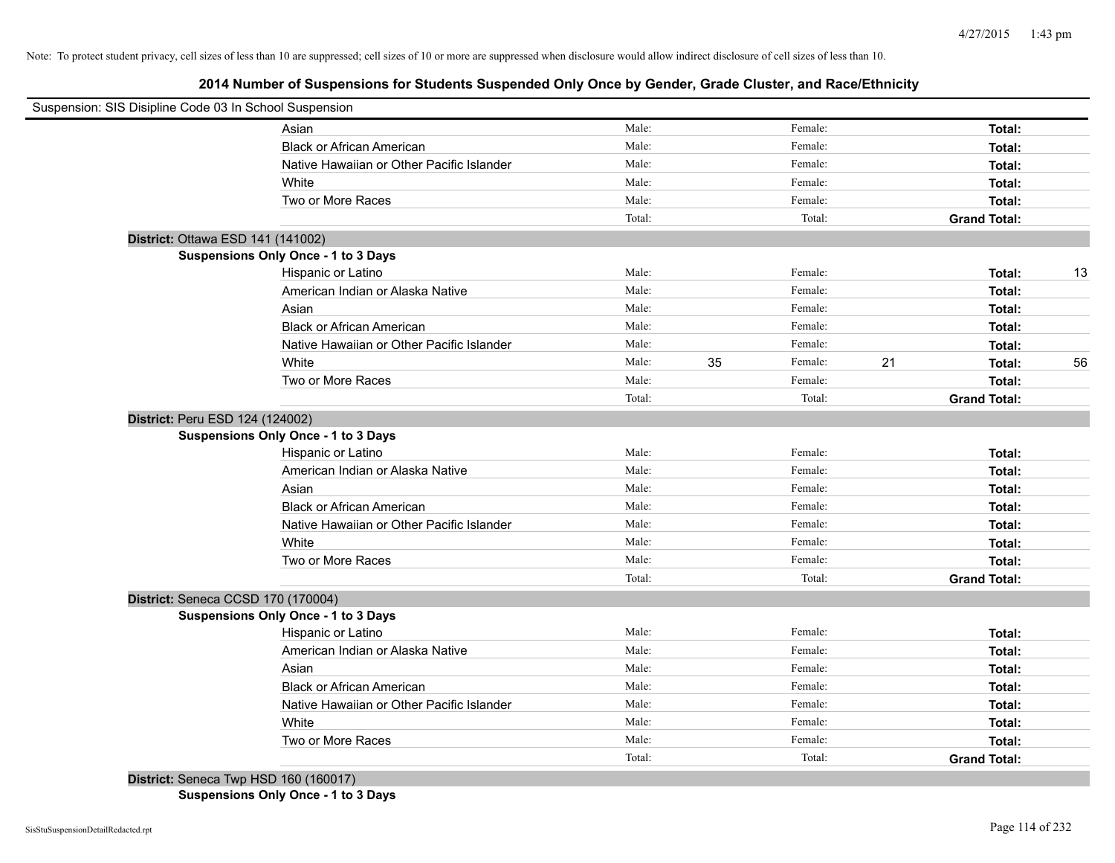# **2014 Number of Suspensions for Students Suspended Only Once by Gender, Grade Cluster, and Race/Ethnicity**

| Suspension: SIS Disipline Code 03 In School Suspension |                                            |        |    |         |    |                     |    |
|--------------------------------------------------------|--------------------------------------------|--------|----|---------|----|---------------------|----|
|                                                        | Asian                                      | Male:  |    | Female: |    | Total:              |    |
|                                                        | <b>Black or African American</b>           | Male:  |    | Female: |    | Total:              |    |
|                                                        | Native Hawaiian or Other Pacific Islander  | Male:  |    | Female: |    | Total:              |    |
|                                                        | White                                      | Male:  |    | Female: |    | Total:              |    |
|                                                        | Two or More Races                          | Male:  |    | Female: |    | Total:              |    |
|                                                        |                                            | Total: |    | Total:  |    | <b>Grand Total:</b> |    |
| District: Ottawa ESD 141 (141002)                      |                                            |        |    |         |    |                     |    |
|                                                        | Suspensions Only Once - 1 to 3 Days        |        |    |         |    |                     |    |
|                                                        | Hispanic or Latino                         | Male:  |    | Female: |    | Total:              | 13 |
|                                                        | American Indian or Alaska Native           | Male:  |    | Female: |    | Total:              |    |
|                                                        | Asian                                      | Male:  |    | Female: |    | Total:              |    |
|                                                        | <b>Black or African American</b>           | Male:  |    | Female: |    | Total:              |    |
|                                                        | Native Hawaiian or Other Pacific Islander  | Male:  |    | Female: |    | Total:              |    |
|                                                        | White                                      | Male:  | 35 | Female: | 21 | Total:              | 56 |
|                                                        | Two or More Races                          | Male:  |    | Female: |    | Total:              |    |
|                                                        |                                            | Total: |    | Total:  |    | <b>Grand Total:</b> |    |
| District: Peru ESD 124 (124002)                        |                                            |        |    |         |    |                     |    |
|                                                        | <b>Suspensions Only Once - 1 to 3 Days</b> |        |    |         |    |                     |    |
|                                                        | Hispanic or Latino                         | Male:  |    | Female: |    | Total:              |    |
|                                                        | American Indian or Alaska Native           | Male:  |    | Female: |    | Total:              |    |
|                                                        | Asian                                      | Male:  |    | Female: |    | Total:              |    |
|                                                        | <b>Black or African American</b>           | Male:  |    | Female: |    | Total:              |    |
|                                                        | Native Hawaiian or Other Pacific Islander  | Male:  |    | Female: |    | Total:              |    |
|                                                        | White                                      | Male:  |    | Female: |    | Total:              |    |
|                                                        | Two or More Races                          | Male:  |    | Female: |    | Total:              |    |
|                                                        |                                            | Total: |    | Total:  |    | <b>Grand Total:</b> |    |
| District: Seneca CCSD 170 (170004)                     |                                            |        |    |         |    |                     |    |
|                                                        | Suspensions Only Once - 1 to 3 Days        |        |    |         |    |                     |    |
|                                                        | Hispanic or Latino                         | Male:  |    | Female: |    | Total:              |    |
|                                                        | American Indian or Alaska Native           | Male:  |    | Female: |    | Total:              |    |
|                                                        | Asian                                      | Male:  |    | Female: |    | Total:              |    |
|                                                        | <b>Black or African American</b>           | Male:  |    | Female: |    | Total:              |    |
|                                                        | Native Hawaiian or Other Pacific Islander  | Male:  |    | Female: |    | Total:              |    |
|                                                        | White                                      | Male:  |    | Female: |    | Total:              |    |
|                                                        | Two or More Races                          | Male:  |    | Female: |    | Total:              |    |
|                                                        |                                            | Total: |    | Total:  |    | <b>Grand Total:</b> |    |
| District: Seneca Twp HSD 160 (160017)                  |                                            |        |    |         |    |                     |    |

**Suspensions Only Once - 1 to 3 Days**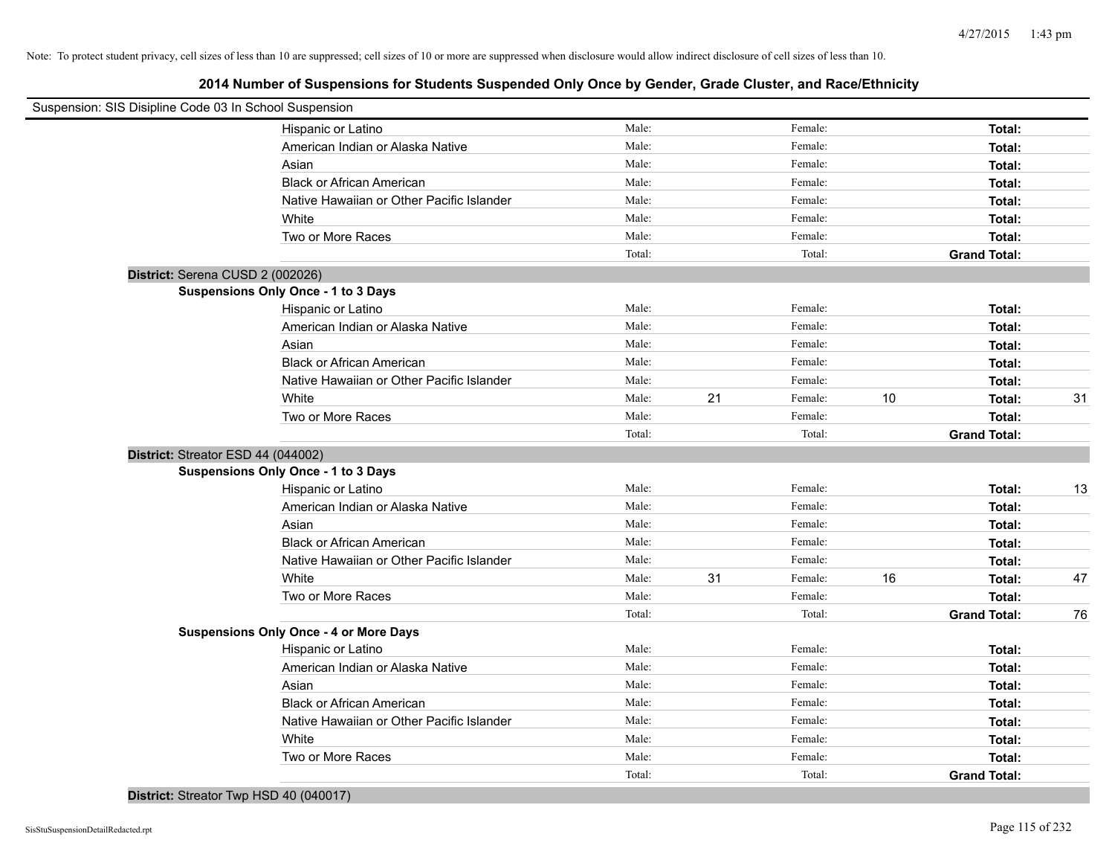| Suspension: SIS Disipline Code 03 In School Suspension |                                               |        |    |         |    |                     |    |
|--------------------------------------------------------|-----------------------------------------------|--------|----|---------|----|---------------------|----|
|                                                        | Hispanic or Latino                            | Male:  |    | Female: |    | Total:              |    |
|                                                        | American Indian or Alaska Native              | Male:  |    | Female: |    | Total:              |    |
|                                                        | Asian                                         | Male:  |    | Female: |    | Total:              |    |
|                                                        | <b>Black or African American</b>              | Male:  |    | Female: |    | Total:              |    |
|                                                        | Native Hawaiian or Other Pacific Islander     | Male:  |    | Female: |    | Total:              |    |
|                                                        | White                                         | Male:  |    | Female: |    | Total:              |    |
|                                                        | Two or More Races                             | Male:  |    | Female: |    | Total:              |    |
|                                                        |                                               | Total: |    | Total:  |    | <b>Grand Total:</b> |    |
| District: Serena CUSD 2 (002026)                       |                                               |        |    |         |    |                     |    |
|                                                        | Suspensions Only Once - 1 to 3 Days           |        |    |         |    |                     |    |
|                                                        | Hispanic or Latino                            | Male:  |    | Female: |    | Total:              |    |
|                                                        | American Indian or Alaska Native              | Male:  |    | Female: |    | Total:              |    |
|                                                        | Asian                                         | Male:  |    | Female: |    | Total:              |    |
|                                                        | <b>Black or African American</b>              | Male:  |    | Female: |    | Total:              |    |
|                                                        | Native Hawaiian or Other Pacific Islander     | Male:  |    | Female: |    | Total:              |    |
|                                                        | White                                         | Male:  | 21 | Female: | 10 | Total:              | 31 |
|                                                        | Two or More Races                             | Male:  |    | Female: |    | Total:              |    |
|                                                        |                                               | Total: |    | Total:  |    | <b>Grand Total:</b> |    |
| District: Streator ESD 44 (044002)                     |                                               |        |    |         |    |                     |    |
|                                                        | Suspensions Only Once - 1 to 3 Days           |        |    |         |    |                     |    |
|                                                        | Hispanic or Latino                            | Male:  |    | Female: |    | Total:              | 13 |
|                                                        | American Indian or Alaska Native              | Male:  |    | Female: |    | Total:              |    |
|                                                        | Asian                                         | Male:  |    | Female: |    | Total:              |    |
|                                                        | <b>Black or African American</b>              | Male:  |    | Female: |    | Total:              |    |
|                                                        | Native Hawaiian or Other Pacific Islander     | Male:  |    | Female: |    | Total:              |    |
|                                                        | White                                         | Male:  | 31 | Female: | 16 | Total:              | 47 |
|                                                        | Two or More Races                             | Male:  |    | Female: |    | Total:              |    |
|                                                        |                                               | Total: |    | Total:  |    | <b>Grand Total:</b> | 76 |
|                                                        | <b>Suspensions Only Once - 4 or More Days</b> |        |    |         |    |                     |    |
|                                                        | Hispanic or Latino                            | Male:  |    | Female: |    | Total:              |    |
|                                                        | American Indian or Alaska Native              | Male:  |    | Female: |    | Total:              |    |
|                                                        | Asian                                         | Male:  |    | Female: |    | Total:              |    |
|                                                        | <b>Black or African American</b>              | Male:  |    | Female: |    | Total:              |    |
|                                                        | Native Hawaiian or Other Pacific Islander     | Male:  |    | Female: |    | Total:              |    |
|                                                        | White                                         | Male:  |    | Female: |    | Total:              |    |
|                                                        | Two or More Races                             | Male:  |    | Female: |    | Total:              |    |
|                                                        |                                               | Total: |    | Total:  |    | <b>Grand Total:</b> |    |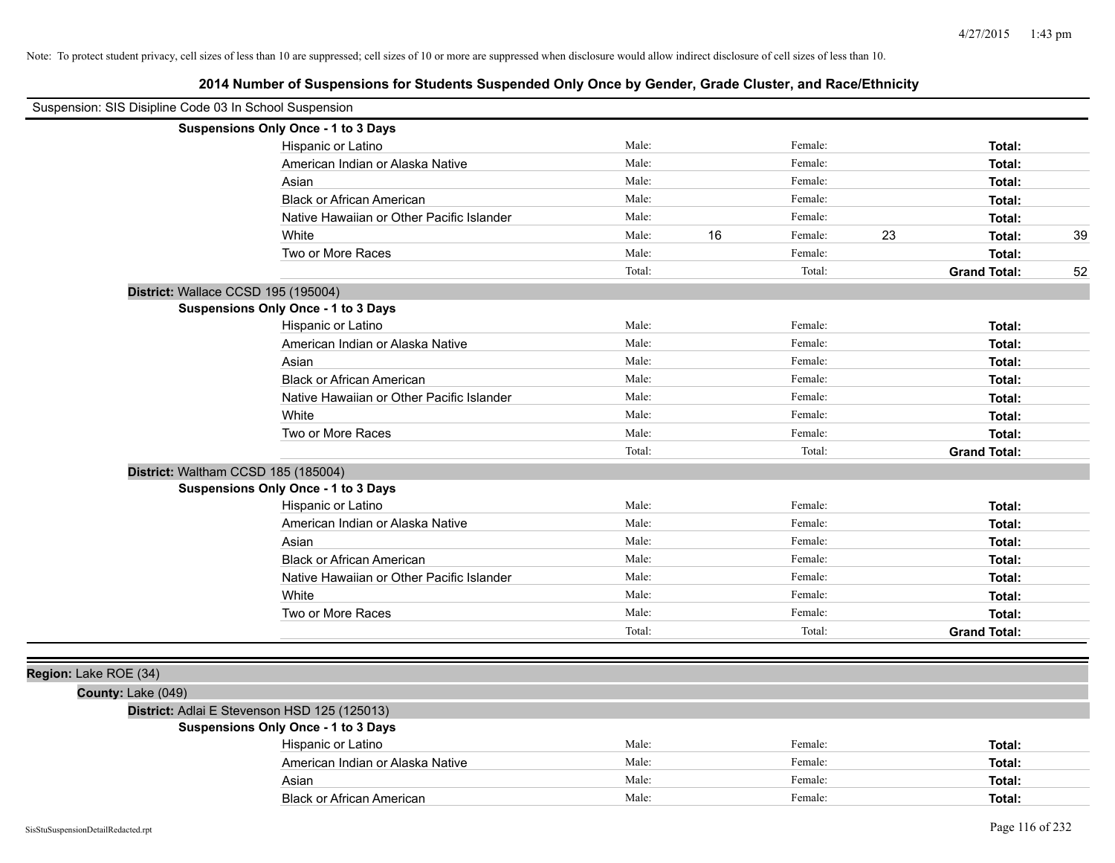| Suspension: SIS Disipline Code 03 In School Suspension |                                              |        |    |         |    |                     |    |
|--------------------------------------------------------|----------------------------------------------|--------|----|---------|----|---------------------|----|
|                                                        | Suspensions Only Once - 1 to 3 Days          |        |    |         |    |                     |    |
|                                                        | Hispanic or Latino                           | Male:  |    | Female: |    | Total:              |    |
|                                                        | American Indian or Alaska Native             | Male:  |    | Female: |    | Total:              |    |
|                                                        | Asian                                        | Male:  |    | Female: |    | Total:              |    |
|                                                        | <b>Black or African American</b>             | Male:  |    | Female: |    | Total:              |    |
|                                                        | Native Hawaiian or Other Pacific Islander    | Male:  |    | Female: |    | Total:              |    |
|                                                        | White                                        | Male:  | 16 | Female: | 23 | Total:              | 39 |
|                                                        | Two or More Races                            | Male:  |    | Female: |    | Total:              |    |
|                                                        |                                              | Total: |    | Total:  |    | <b>Grand Total:</b> | 52 |
| District: Wallace CCSD 195 (195004)                    |                                              |        |    |         |    |                     |    |
|                                                        | <b>Suspensions Only Once - 1 to 3 Days</b>   |        |    |         |    |                     |    |
|                                                        | Hispanic or Latino                           | Male:  |    | Female: |    | Total:              |    |
|                                                        | American Indian or Alaska Native             | Male:  |    | Female: |    | Total:              |    |
|                                                        | Asian                                        | Male:  |    | Female: |    | Total:              |    |
|                                                        | <b>Black or African American</b>             | Male:  |    | Female: |    | Total:              |    |
|                                                        | Native Hawaiian or Other Pacific Islander    | Male:  |    | Female: |    | Total:              |    |
|                                                        | White                                        | Male:  |    | Female: |    | Total:              |    |
|                                                        | Two or More Races                            | Male:  |    | Female: |    | Total:              |    |
|                                                        |                                              | Total: |    | Total:  |    | <b>Grand Total:</b> |    |
|                                                        | District: Waltham CCSD 185 (185004)          |        |    |         |    |                     |    |
|                                                        | <b>Suspensions Only Once - 1 to 3 Days</b>   |        |    |         |    |                     |    |
|                                                        | Hispanic or Latino                           | Male:  |    | Female: |    | Total:              |    |
|                                                        | American Indian or Alaska Native             | Male:  |    | Female: |    | Total:              |    |
|                                                        | Asian                                        | Male:  |    | Female: |    | Total:              |    |
|                                                        | <b>Black or African American</b>             | Male:  |    | Female: |    | Total:              |    |
|                                                        | Native Hawaiian or Other Pacific Islander    | Male:  |    | Female: |    | Total:              |    |
|                                                        | White                                        | Male:  |    | Female: |    | Total:              |    |
|                                                        | Two or More Races                            | Male:  |    | Female: |    | Total:              |    |
|                                                        |                                              | Total: |    | Total:  |    | <b>Grand Total:</b> |    |
|                                                        |                                              |        |    |         |    |                     |    |
| Region: Lake ROE (34)                                  |                                              |        |    |         |    |                     |    |
| County: Lake (049)                                     |                                              |        |    |         |    |                     |    |
|                                                        | District: Adlai E Stevenson HSD 125 (125013) |        |    |         |    |                     |    |
|                                                        | <b>Suspensions Only Once - 1 to 3 Days</b>   |        |    |         |    |                     |    |
|                                                        | Hispanic or Latino                           | Male:  |    | Female: |    | Total:              |    |
|                                                        | American Indian or Alaska Native             | Male:  |    | Female: |    | Total:              |    |
|                                                        | Asian                                        | Male:  |    | Female: |    | Total:              |    |
|                                                        | <b>Black or African American</b>             | Male:  |    | Female: |    | Total:              |    |
| SisStuSuspensionDetailRedacted.rpt                     |                                              |        |    |         |    | Page 116 of 232     |    |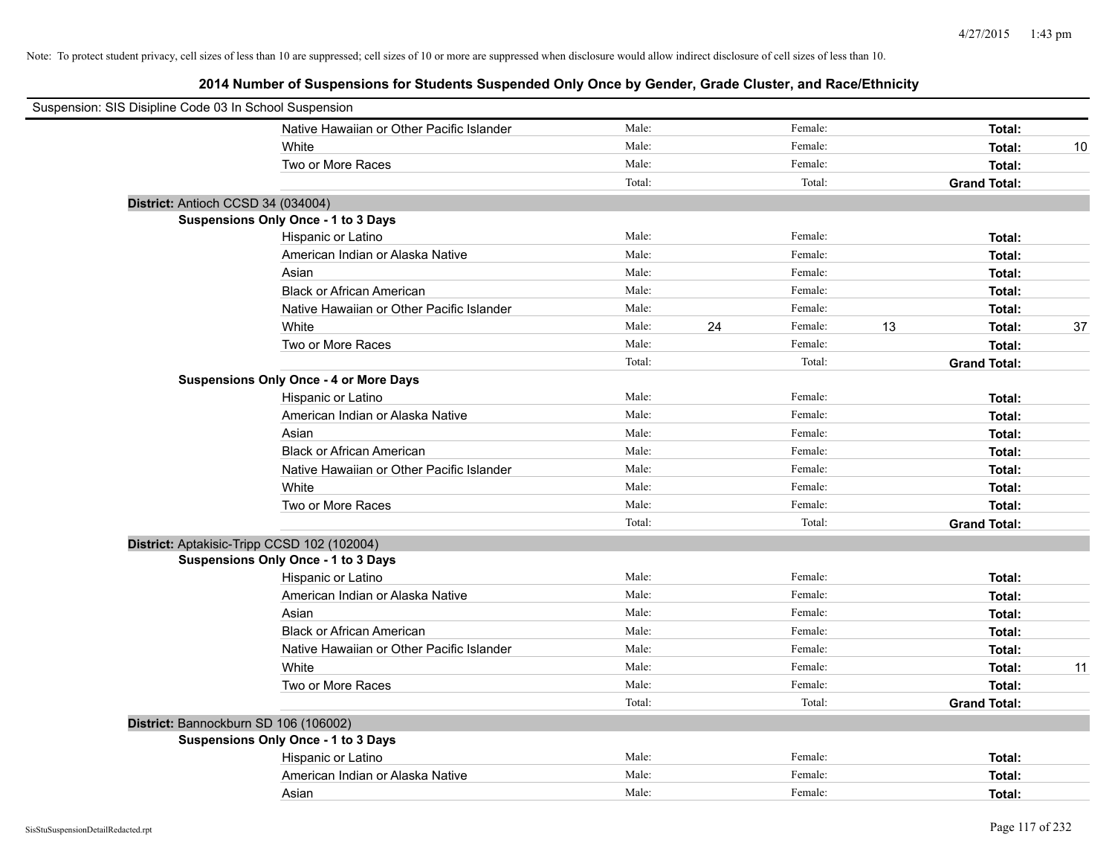| Suspension: SIS Disipline Code 03 In School Suspension |                                               |        |    |         |    |                     |    |
|--------------------------------------------------------|-----------------------------------------------|--------|----|---------|----|---------------------|----|
|                                                        | Native Hawaiian or Other Pacific Islander     | Male:  |    | Female: |    | Total:              |    |
|                                                        | White                                         | Male:  |    | Female: |    | Total:              | 10 |
|                                                        | Two or More Races                             | Male:  |    | Female: |    | Total:              |    |
|                                                        |                                               | Total: |    | Total:  |    | <b>Grand Total:</b> |    |
| District: Antioch CCSD 34 (034004)                     |                                               |        |    |         |    |                     |    |
|                                                        | Suspensions Only Once - 1 to 3 Days           |        |    |         |    |                     |    |
|                                                        | Hispanic or Latino                            | Male:  |    | Female: |    | Total:              |    |
|                                                        | American Indian or Alaska Native              | Male:  |    | Female: |    | Total:              |    |
|                                                        | Asian                                         | Male:  |    | Female: |    | Total:              |    |
|                                                        | <b>Black or African American</b>              | Male:  |    | Female: |    | Total:              |    |
|                                                        | Native Hawaiian or Other Pacific Islander     | Male:  |    | Female: |    | Total:              |    |
|                                                        | White                                         | Male:  | 24 | Female: | 13 | Total:              | 37 |
|                                                        | Two or More Races                             | Male:  |    | Female: |    | Total:              |    |
|                                                        |                                               | Total: |    | Total:  |    | <b>Grand Total:</b> |    |
|                                                        | <b>Suspensions Only Once - 4 or More Days</b> |        |    |         |    |                     |    |
|                                                        | Hispanic or Latino                            | Male:  |    | Female: |    | Total:              |    |
|                                                        | American Indian or Alaska Native              | Male:  |    | Female: |    | Total:              |    |
|                                                        | Asian                                         | Male:  |    | Female: |    | Total:              |    |
|                                                        | <b>Black or African American</b>              | Male:  |    | Female: |    | Total:              |    |
|                                                        | Native Hawaiian or Other Pacific Islander     | Male:  |    | Female: |    | Total:              |    |
|                                                        | White                                         | Male:  |    | Female: |    | Total:              |    |
|                                                        | Two or More Races                             | Male:  |    | Female: |    | Total:              |    |
|                                                        |                                               | Total: |    | Total:  |    | <b>Grand Total:</b> |    |
|                                                        | District: Aptakisic-Tripp CCSD 102 (102004)   |        |    |         |    |                     |    |
|                                                        | Suspensions Only Once - 1 to 3 Days           |        |    |         |    |                     |    |
|                                                        | Hispanic or Latino                            | Male:  |    | Female: |    | Total:              |    |
|                                                        | American Indian or Alaska Native              | Male:  |    | Female: |    | Total:              |    |
|                                                        | Asian                                         | Male:  |    | Female: |    | Total:              |    |
|                                                        | <b>Black or African American</b>              | Male:  |    | Female: |    | Total:              |    |
|                                                        | Native Hawaiian or Other Pacific Islander     | Male:  |    | Female: |    | Total:              |    |
|                                                        | White                                         | Male:  |    | Female: |    | Total:              | 11 |
|                                                        | Two or More Races                             | Male:  |    | Female: |    | Total:              |    |
|                                                        |                                               | Total: |    | Total:  |    | <b>Grand Total:</b> |    |
| District: Bannockburn SD 106 (106002)                  |                                               |        |    |         |    |                     |    |
|                                                        | <b>Suspensions Only Once - 1 to 3 Days</b>    |        |    |         |    |                     |    |
|                                                        | Hispanic or Latino                            | Male:  |    | Female: |    | Total:              |    |
|                                                        | American Indian or Alaska Native              | Male:  |    | Female: |    | Total:              |    |
|                                                        | Asian                                         | Male:  |    | Female: |    | Total:              |    |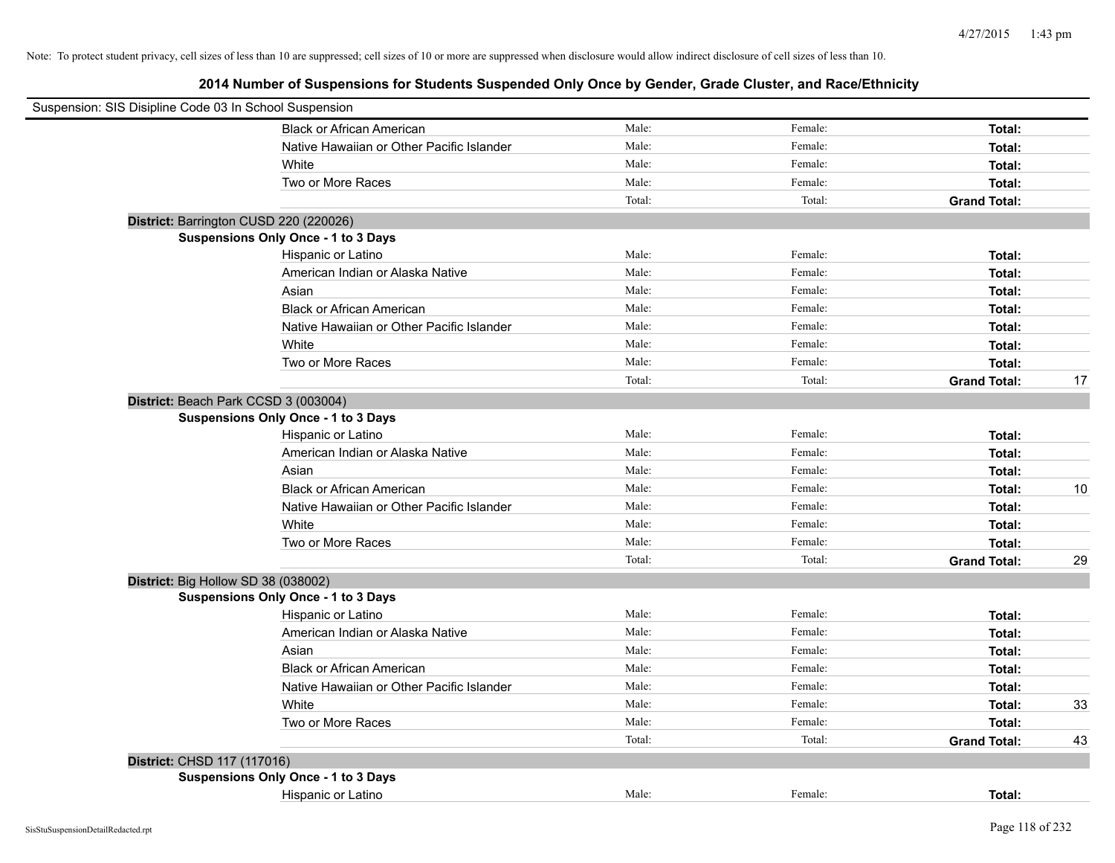| Suspension: SIS Disipline Code 03 In School Suspension |                                            |        |         |                     |    |
|--------------------------------------------------------|--------------------------------------------|--------|---------|---------------------|----|
|                                                        | <b>Black or African American</b>           | Male:  | Female: | Total:              |    |
|                                                        | Native Hawaiian or Other Pacific Islander  | Male:  | Female: | Total:              |    |
|                                                        | White                                      | Male:  | Female: | Total:              |    |
|                                                        | Two or More Races                          | Male:  | Female: | Total:              |    |
|                                                        |                                            | Total: | Total:  | <b>Grand Total:</b> |    |
|                                                        | District: Barrington CUSD 220 (220026)     |        |         |                     |    |
|                                                        | Suspensions Only Once - 1 to 3 Days        |        |         |                     |    |
|                                                        | Hispanic or Latino                         | Male:  | Female: | Total:              |    |
|                                                        | American Indian or Alaska Native           | Male:  | Female: | Total:              |    |
|                                                        | Asian                                      | Male:  | Female: | Total:              |    |
|                                                        | <b>Black or African American</b>           | Male:  | Female: | Total:              |    |
|                                                        | Native Hawaiian or Other Pacific Islander  | Male:  | Female: | Total:              |    |
|                                                        | White                                      | Male:  | Female: | Total:              |    |
|                                                        | Two or More Races                          | Male:  | Female: | Total:              |    |
|                                                        |                                            | Total: | Total:  | <b>Grand Total:</b> | 17 |
|                                                        | District: Beach Park CCSD 3 (003004)       |        |         |                     |    |
|                                                        | <b>Suspensions Only Once - 1 to 3 Days</b> |        |         |                     |    |
|                                                        | Hispanic or Latino                         | Male:  | Female: | Total:              |    |
|                                                        | American Indian or Alaska Native           | Male:  | Female: | Total:              |    |
|                                                        | Asian                                      | Male:  | Female: | Total:              |    |
|                                                        | <b>Black or African American</b>           | Male:  | Female: | Total:              | 10 |
|                                                        | Native Hawaiian or Other Pacific Islander  | Male:  | Female: | Total:              |    |
|                                                        | White                                      | Male:  | Female: | Total:              |    |
|                                                        | Two or More Races                          | Male:  | Female: | Total:              |    |
|                                                        |                                            | Total: | Total:  | <b>Grand Total:</b> | 29 |
| District: Big Hollow SD 38 (038002)                    |                                            |        |         |                     |    |
|                                                        | Suspensions Only Once - 1 to 3 Days        |        |         |                     |    |
|                                                        | Hispanic or Latino                         | Male:  | Female: | Total:              |    |
|                                                        | American Indian or Alaska Native           | Male:  | Female: | Total:              |    |
|                                                        | Asian                                      | Male:  | Female: | Total:              |    |
|                                                        | <b>Black or African American</b>           | Male:  | Female: | Total:              |    |
|                                                        | Native Hawaiian or Other Pacific Islander  | Male:  | Female: | Total:              |    |
|                                                        | White                                      | Male:  | Female: | Total:              | 33 |
|                                                        | Two or More Races                          | Male:  | Female: | Total:              |    |
|                                                        |                                            | Total: | Total:  | <b>Grand Total:</b> | 43 |
| District: CHSD 117 (117016)                            |                                            |        |         |                     |    |
|                                                        | Suspensions Only Once - 1 to 3 Days        |        |         |                     |    |
|                                                        | Hispanic or Latino                         | Male:  | Female: | Total:              |    |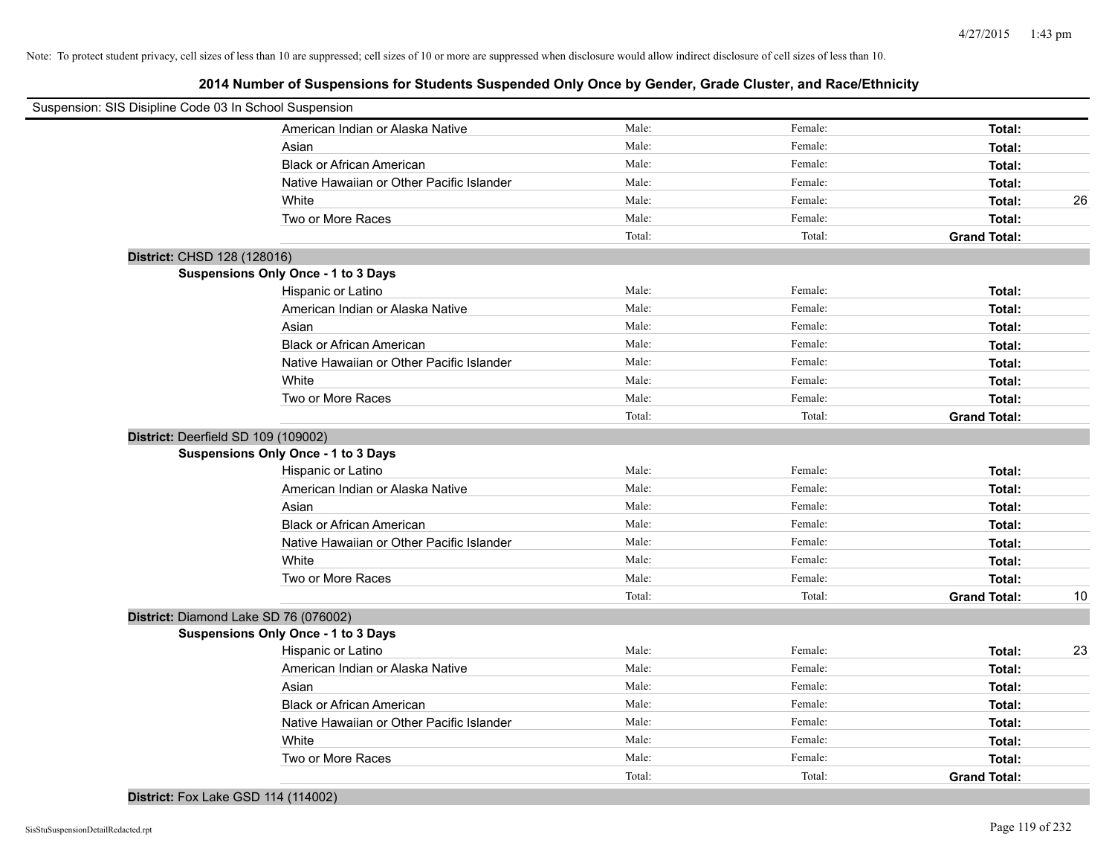**2014 Number of Suspensions for Students Suspended Only Once by Gender, Grade Cluster, and Race/Ethnicity**

| Male:<br>Female:<br>American Indian or Alaska Native<br>Total:<br>Male:<br>Female:<br>Asian<br>Total:<br>Male:<br>Female:<br><b>Black or African American</b><br>Total:<br>Male:<br>Female:<br>Native Hawaiian or Other Pacific Islander<br>Total:<br>Male:<br>Female:<br>White<br>Total:<br>Male:<br>Female:<br>Two or More Races<br>Total:<br>Total:<br>Total:<br><b>Grand Total:</b><br>District: CHSD 128 (128016)<br>Suspensions Only Once - 1 to 3 Days<br>Male:<br>Female:<br>Hispanic or Latino<br>Total:<br>Male:<br>American Indian or Alaska Native<br>Female:<br>Total:<br>Male:<br>Asian<br>Female:<br>Total:<br><b>Black or African American</b><br>Male:<br>Female:<br>Total:<br>Native Hawaiian or Other Pacific Islander<br>Male:<br>Female:<br>Total:<br>White<br>Male:<br>Female:<br>Total:<br>Two or More Races<br>Male:<br>Female:<br>Total:<br>Total:<br>Total:<br><b>Grand Total:</b><br>District: Deerfield SD 109 (109002)<br>Suspensions Only Once - 1 to 3 Days<br>Male:<br>Hispanic or Latino<br>Female:<br>Total:<br>Male:<br>American Indian or Alaska Native<br>Female:<br>Total:<br>Male:<br>Female:<br>Asian<br>Total:<br>Male:<br><b>Black or African American</b><br>Female:<br>Total:<br>Male:<br>Native Hawaiian or Other Pacific Islander<br>Female:<br>Total:<br>Male:<br>Female:<br>White<br>Total:<br>Male:<br>Female:<br>Two or More Races<br>Total:<br>Total:<br>Total:<br><b>Grand Total:</b><br>District: Diamond Lake SD 76 (076002)<br>Suspensions Only Once - 1 to 3 Days<br>Hispanic or Latino<br>Male:<br>Female:<br>Total:<br>American Indian or Alaska Native<br>Male:<br>Female:<br>Total:<br>Asian<br>Male:<br>Female:<br>Total:<br><b>Black or African American</b><br>Male:<br>Female:<br>Total:<br>Male:<br>Female:<br>Native Hawaiian or Other Pacific Islander<br>Total:<br>Male:<br>Female:<br>White<br>Total:<br>Two or More Races<br>Male:<br>Female:<br>Total:<br>Total:<br>Total:<br><b>Grand Total:</b> | Suspension: SIS Disipline Code 03 In School Suspension |  |  |    |
|--------------------------------------------------------------------------------------------------------------------------------------------------------------------------------------------------------------------------------------------------------------------------------------------------------------------------------------------------------------------------------------------------------------------------------------------------------------------------------------------------------------------------------------------------------------------------------------------------------------------------------------------------------------------------------------------------------------------------------------------------------------------------------------------------------------------------------------------------------------------------------------------------------------------------------------------------------------------------------------------------------------------------------------------------------------------------------------------------------------------------------------------------------------------------------------------------------------------------------------------------------------------------------------------------------------------------------------------------------------------------------------------------------------------------------------------------------------------------------------------------------------------------------------------------------------------------------------------------------------------------------------------------------------------------------------------------------------------------------------------------------------------------------------------------------------------------------------------------------------------------------------------------------------------------------------------------------------------------|--------------------------------------------------------|--|--|----|
|                                                                                                                                                                                                                                                                                                                                                                                                                                                                                                                                                                                                                                                                                                                                                                                                                                                                                                                                                                                                                                                                                                                                                                                                                                                                                                                                                                                                                                                                                                                                                                                                                                                                                                                                                                                                                                                                                                                                                                          |                                                        |  |  |    |
|                                                                                                                                                                                                                                                                                                                                                                                                                                                                                                                                                                                                                                                                                                                                                                                                                                                                                                                                                                                                                                                                                                                                                                                                                                                                                                                                                                                                                                                                                                                                                                                                                                                                                                                                                                                                                                                                                                                                                                          |                                                        |  |  |    |
|                                                                                                                                                                                                                                                                                                                                                                                                                                                                                                                                                                                                                                                                                                                                                                                                                                                                                                                                                                                                                                                                                                                                                                                                                                                                                                                                                                                                                                                                                                                                                                                                                                                                                                                                                                                                                                                                                                                                                                          |                                                        |  |  |    |
|                                                                                                                                                                                                                                                                                                                                                                                                                                                                                                                                                                                                                                                                                                                                                                                                                                                                                                                                                                                                                                                                                                                                                                                                                                                                                                                                                                                                                                                                                                                                                                                                                                                                                                                                                                                                                                                                                                                                                                          |                                                        |  |  |    |
|                                                                                                                                                                                                                                                                                                                                                                                                                                                                                                                                                                                                                                                                                                                                                                                                                                                                                                                                                                                                                                                                                                                                                                                                                                                                                                                                                                                                                                                                                                                                                                                                                                                                                                                                                                                                                                                                                                                                                                          |                                                        |  |  | 26 |
|                                                                                                                                                                                                                                                                                                                                                                                                                                                                                                                                                                                                                                                                                                                                                                                                                                                                                                                                                                                                                                                                                                                                                                                                                                                                                                                                                                                                                                                                                                                                                                                                                                                                                                                                                                                                                                                                                                                                                                          |                                                        |  |  |    |
|                                                                                                                                                                                                                                                                                                                                                                                                                                                                                                                                                                                                                                                                                                                                                                                                                                                                                                                                                                                                                                                                                                                                                                                                                                                                                                                                                                                                                                                                                                                                                                                                                                                                                                                                                                                                                                                                                                                                                                          |                                                        |  |  |    |
|                                                                                                                                                                                                                                                                                                                                                                                                                                                                                                                                                                                                                                                                                                                                                                                                                                                                                                                                                                                                                                                                                                                                                                                                                                                                                                                                                                                                                                                                                                                                                                                                                                                                                                                                                                                                                                                                                                                                                                          |                                                        |  |  |    |
|                                                                                                                                                                                                                                                                                                                                                                                                                                                                                                                                                                                                                                                                                                                                                                                                                                                                                                                                                                                                                                                                                                                                                                                                                                                                                                                                                                                                                                                                                                                                                                                                                                                                                                                                                                                                                                                                                                                                                                          |                                                        |  |  |    |
|                                                                                                                                                                                                                                                                                                                                                                                                                                                                                                                                                                                                                                                                                                                                                                                                                                                                                                                                                                                                                                                                                                                                                                                                                                                                                                                                                                                                                                                                                                                                                                                                                                                                                                                                                                                                                                                                                                                                                                          |                                                        |  |  |    |
|                                                                                                                                                                                                                                                                                                                                                                                                                                                                                                                                                                                                                                                                                                                                                                                                                                                                                                                                                                                                                                                                                                                                                                                                                                                                                                                                                                                                                                                                                                                                                                                                                                                                                                                                                                                                                                                                                                                                                                          |                                                        |  |  |    |
|                                                                                                                                                                                                                                                                                                                                                                                                                                                                                                                                                                                                                                                                                                                                                                                                                                                                                                                                                                                                                                                                                                                                                                                                                                                                                                                                                                                                                                                                                                                                                                                                                                                                                                                                                                                                                                                                                                                                                                          |                                                        |  |  |    |
|                                                                                                                                                                                                                                                                                                                                                                                                                                                                                                                                                                                                                                                                                                                                                                                                                                                                                                                                                                                                                                                                                                                                                                                                                                                                                                                                                                                                                                                                                                                                                                                                                                                                                                                                                                                                                                                                                                                                                                          |                                                        |  |  |    |
|                                                                                                                                                                                                                                                                                                                                                                                                                                                                                                                                                                                                                                                                                                                                                                                                                                                                                                                                                                                                                                                                                                                                                                                                                                                                                                                                                                                                                                                                                                                                                                                                                                                                                                                                                                                                                                                                                                                                                                          |                                                        |  |  |    |
|                                                                                                                                                                                                                                                                                                                                                                                                                                                                                                                                                                                                                                                                                                                                                                                                                                                                                                                                                                                                                                                                                                                                                                                                                                                                                                                                                                                                                                                                                                                                                                                                                                                                                                                                                                                                                                                                                                                                                                          |                                                        |  |  |    |
|                                                                                                                                                                                                                                                                                                                                                                                                                                                                                                                                                                                                                                                                                                                                                                                                                                                                                                                                                                                                                                                                                                                                                                                                                                                                                                                                                                                                                                                                                                                                                                                                                                                                                                                                                                                                                                                                                                                                                                          |                                                        |  |  |    |
|                                                                                                                                                                                                                                                                                                                                                                                                                                                                                                                                                                                                                                                                                                                                                                                                                                                                                                                                                                                                                                                                                                                                                                                                                                                                                                                                                                                                                                                                                                                                                                                                                                                                                                                                                                                                                                                                                                                                                                          |                                                        |  |  |    |
|                                                                                                                                                                                                                                                                                                                                                                                                                                                                                                                                                                                                                                                                                                                                                                                                                                                                                                                                                                                                                                                                                                                                                                                                                                                                                                                                                                                                                                                                                                                                                                                                                                                                                                                                                                                                                                                                                                                                                                          |                                                        |  |  |    |
|                                                                                                                                                                                                                                                                                                                                                                                                                                                                                                                                                                                                                                                                                                                                                                                                                                                                                                                                                                                                                                                                                                                                                                                                                                                                                                                                                                                                                                                                                                                                                                                                                                                                                                                                                                                                                                                                                                                                                                          |                                                        |  |  |    |
|                                                                                                                                                                                                                                                                                                                                                                                                                                                                                                                                                                                                                                                                                                                                                                                                                                                                                                                                                                                                                                                                                                                                                                                                                                                                                                                                                                                                                                                                                                                                                                                                                                                                                                                                                                                                                                                                                                                                                                          |                                                        |  |  |    |
|                                                                                                                                                                                                                                                                                                                                                                                                                                                                                                                                                                                                                                                                                                                                                                                                                                                                                                                                                                                                                                                                                                                                                                                                                                                                                                                                                                                                                                                                                                                                                                                                                                                                                                                                                                                                                                                                                                                                                                          |                                                        |  |  |    |
|                                                                                                                                                                                                                                                                                                                                                                                                                                                                                                                                                                                                                                                                                                                                                                                                                                                                                                                                                                                                                                                                                                                                                                                                                                                                                                                                                                                                                                                                                                                                                                                                                                                                                                                                                                                                                                                                                                                                                                          |                                                        |  |  |    |
|                                                                                                                                                                                                                                                                                                                                                                                                                                                                                                                                                                                                                                                                                                                                                                                                                                                                                                                                                                                                                                                                                                                                                                                                                                                                                                                                                                                                                                                                                                                                                                                                                                                                                                                                                                                                                                                                                                                                                                          |                                                        |  |  |    |
|                                                                                                                                                                                                                                                                                                                                                                                                                                                                                                                                                                                                                                                                                                                                                                                                                                                                                                                                                                                                                                                                                                                                                                                                                                                                                                                                                                                                                                                                                                                                                                                                                                                                                                                                                                                                                                                                                                                                                                          |                                                        |  |  |    |
|                                                                                                                                                                                                                                                                                                                                                                                                                                                                                                                                                                                                                                                                                                                                                                                                                                                                                                                                                                                                                                                                                                                                                                                                                                                                                                                                                                                                                                                                                                                                                                                                                                                                                                                                                                                                                                                                                                                                                                          |                                                        |  |  |    |
|                                                                                                                                                                                                                                                                                                                                                                                                                                                                                                                                                                                                                                                                                                                                                                                                                                                                                                                                                                                                                                                                                                                                                                                                                                                                                                                                                                                                                                                                                                                                                                                                                                                                                                                                                                                                                                                                                                                                                                          |                                                        |  |  |    |
|                                                                                                                                                                                                                                                                                                                                                                                                                                                                                                                                                                                                                                                                                                                                                                                                                                                                                                                                                                                                                                                                                                                                                                                                                                                                                                                                                                                                                                                                                                                                                                                                                                                                                                                                                                                                                                                                                                                                                                          |                                                        |  |  | 10 |
|                                                                                                                                                                                                                                                                                                                                                                                                                                                                                                                                                                                                                                                                                                                                                                                                                                                                                                                                                                                                                                                                                                                                                                                                                                                                                                                                                                                                                                                                                                                                                                                                                                                                                                                                                                                                                                                                                                                                                                          |                                                        |  |  |    |
|                                                                                                                                                                                                                                                                                                                                                                                                                                                                                                                                                                                                                                                                                                                                                                                                                                                                                                                                                                                                                                                                                                                                                                                                                                                                                                                                                                                                                                                                                                                                                                                                                                                                                                                                                                                                                                                                                                                                                                          |                                                        |  |  |    |
|                                                                                                                                                                                                                                                                                                                                                                                                                                                                                                                                                                                                                                                                                                                                                                                                                                                                                                                                                                                                                                                                                                                                                                                                                                                                                                                                                                                                                                                                                                                                                                                                                                                                                                                                                                                                                                                                                                                                                                          |                                                        |  |  | 23 |
|                                                                                                                                                                                                                                                                                                                                                                                                                                                                                                                                                                                                                                                                                                                                                                                                                                                                                                                                                                                                                                                                                                                                                                                                                                                                                                                                                                                                                                                                                                                                                                                                                                                                                                                                                                                                                                                                                                                                                                          |                                                        |  |  |    |
|                                                                                                                                                                                                                                                                                                                                                                                                                                                                                                                                                                                                                                                                                                                                                                                                                                                                                                                                                                                                                                                                                                                                                                                                                                                                                                                                                                                                                                                                                                                                                                                                                                                                                                                                                                                                                                                                                                                                                                          |                                                        |  |  |    |
|                                                                                                                                                                                                                                                                                                                                                                                                                                                                                                                                                                                                                                                                                                                                                                                                                                                                                                                                                                                                                                                                                                                                                                                                                                                                                                                                                                                                                                                                                                                                                                                                                                                                                                                                                                                                                                                                                                                                                                          |                                                        |  |  |    |
|                                                                                                                                                                                                                                                                                                                                                                                                                                                                                                                                                                                                                                                                                                                                                                                                                                                                                                                                                                                                                                                                                                                                                                                                                                                                                                                                                                                                                                                                                                                                                                                                                                                                                                                                                                                                                                                                                                                                                                          |                                                        |  |  |    |
|                                                                                                                                                                                                                                                                                                                                                                                                                                                                                                                                                                                                                                                                                                                                                                                                                                                                                                                                                                                                                                                                                                                                                                                                                                                                                                                                                                                                                                                                                                                                                                                                                                                                                                                                                                                                                                                                                                                                                                          |                                                        |  |  |    |
|                                                                                                                                                                                                                                                                                                                                                                                                                                                                                                                                                                                                                                                                                                                                                                                                                                                                                                                                                                                                                                                                                                                                                                                                                                                                                                                                                                                                                                                                                                                                                                                                                                                                                                                                                                                                                                                                                                                                                                          |                                                        |  |  |    |
|                                                                                                                                                                                                                                                                                                                                                                                                                                                                                                                                                                                                                                                                                                                                                                                                                                                                                                                                                                                                                                                                                                                                                                                                                                                                                                                                                                                                                                                                                                                                                                                                                                                                                                                                                                                                                                                                                                                                                                          |                                                        |  |  |    |

## **District:** Fox Lake GSD 114 (114002)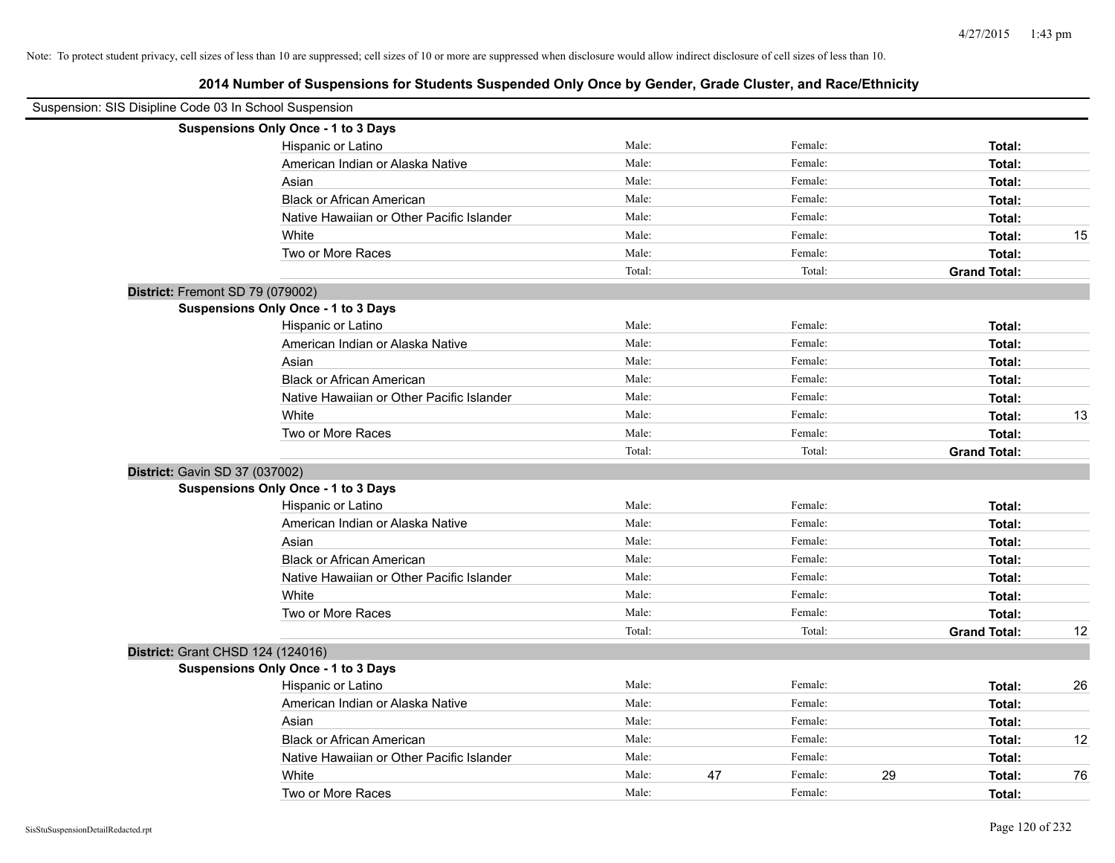|                                   | Suspension: SIS Disipline Code 03 In School Suspension |        |    |         |    |                     |    |
|-----------------------------------|--------------------------------------------------------|--------|----|---------|----|---------------------|----|
|                                   | Suspensions Only Once - 1 to 3 Days                    |        |    |         |    |                     |    |
|                                   | Hispanic or Latino                                     | Male:  |    | Female: |    | Total:              |    |
|                                   | American Indian or Alaska Native                       | Male:  |    | Female: |    | Total:              |    |
|                                   | Asian                                                  | Male:  |    | Female: |    | Total:              |    |
|                                   | <b>Black or African American</b>                       | Male:  |    | Female: |    | Total:              |    |
|                                   | Native Hawaiian or Other Pacific Islander              | Male:  |    | Female: |    | Total:              |    |
|                                   | White                                                  | Male:  |    | Female: |    | Total:              | 15 |
|                                   | Two or More Races                                      | Male:  |    | Female: |    | Total:              |    |
|                                   |                                                        | Total: |    | Total:  |    | <b>Grand Total:</b> |    |
| District: Fremont SD 79 (079002)  |                                                        |        |    |         |    |                     |    |
|                                   | <b>Suspensions Only Once - 1 to 3 Days</b>             |        |    |         |    |                     |    |
|                                   | Hispanic or Latino                                     | Male:  |    | Female: |    | Total:              |    |
|                                   | American Indian or Alaska Native                       | Male:  |    | Female: |    | Total:              |    |
|                                   | Asian                                                  | Male:  |    | Female: |    | Total:              |    |
|                                   | <b>Black or African American</b>                       | Male:  |    | Female: |    | Total:              |    |
|                                   | Native Hawaiian or Other Pacific Islander              | Male:  |    | Female: |    | Total:              |    |
|                                   | White                                                  | Male:  |    | Female: |    | Total:              | 13 |
|                                   | Two or More Races                                      | Male:  |    | Female: |    | Total:              |    |
|                                   |                                                        | Total: |    | Total:  |    | <b>Grand Total:</b> |    |
| District: Gavin SD 37 (037002)    |                                                        |        |    |         |    |                     |    |
|                                   | <b>Suspensions Only Once - 1 to 3 Days</b>             |        |    |         |    |                     |    |
|                                   | Hispanic or Latino                                     | Male:  |    | Female: |    | Total:              |    |
|                                   | American Indian or Alaska Native                       | Male:  |    | Female: |    | Total:              |    |
|                                   | Asian                                                  | Male:  |    | Female: |    | Total:              |    |
|                                   | <b>Black or African American</b>                       | Male:  |    | Female: |    | Total:              |    |
|                                   | Native Hawaiian or Other Pacific Islander              | Male:  |    | Female: |    | Total:              |    |
|                                   | White                                                  | Male:  |    | Female: |    | Total:              |    |
|                                   | Two or More Races                                      | Male:  |    | Female: |    | Total:              |    |
|                                   |                                                        | Total: |    | Total:  |    | <b>Grand Total:</b> | 12 |
| District: Grant CHSD 124 (124016) |                                                        |        |    |         |    |                     |    |
|                                   | <b>Suspensions Only Once - 1 to 3 Days</b>             |        |    |         |    |                     |    |
|                                   | Hispanic or Latino                                     | Male:  |    | Female: |    | Total:              | 26 |
|                                   | American Indian or Alaska Native                       | Male:  |    | Female: |    | Total:              |    |
|                                   | Asian                                                  | Male:  |    | Female: |    | Total:              |    |
|                                   | <b>Black or African American</b>                       | Male:  |    | Female: |    | Total:              | 12 |
|                                   | Native Hawaiian or Other Pacific Islander              | Male:  |    | Female: |    | Total:              |    |
|                                   | White                                                  | Male:  | 47 | Female: | 29 | Total:              | 76 |
|                                   | Two or More Races                                      | Male:  |    | Female: |    | Total:              |    |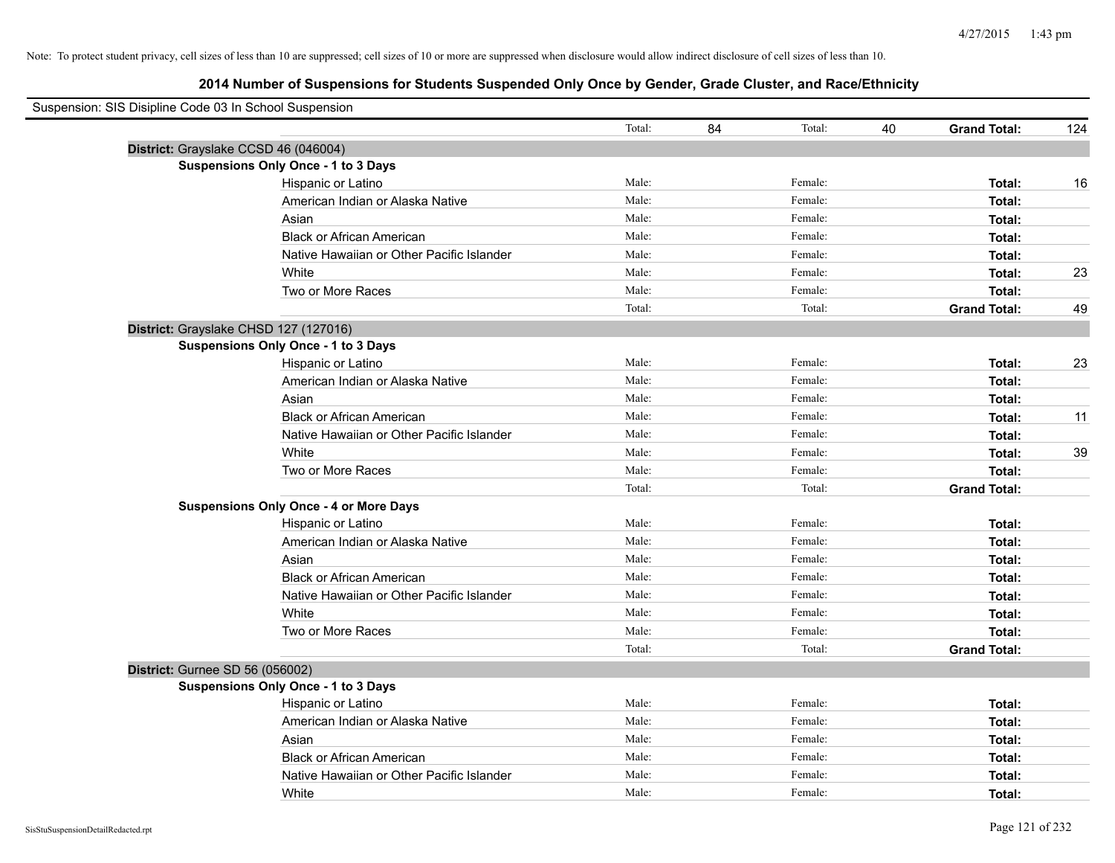| Suspension: SIS Disipline Code 03 In School Suspension |                                               |        |    |         |    |                     |     |
|--------------------------------------------------------|-----------------------------------------------|--------|----|---------|----|---------------------|-----|
|                                                        |                                               | Total: | 84 | Total:  | 40 | <b>Grand Total:</b> | 124 |
| District: Grayslake CCSD 46 (046004)                   |                                               |        |    |         |    |                     |     |
|                                                        | <b>Suspensions Only Once - 1 to 3 Days</b>    |        |    |         |    |                     |     |
|                                                        | Hispanic or Latino                            | Male:  |    | Female: |    | Total:              | 16  |
|                                                        | American Indian or Alaska Native              | Male:  |    | Female: |    | Total:              |     |
|                                                        | Asian                                         | Male:  |    | Female: |    | Total:              |     |
|                                                        | <b>Black or African American</b>              | Male:  |    | Female: |    | Total:              |     |
|                                                        | Native Hawaiian or Other Pacific Islander     | Male:  |    | Female: |    | Total:              |     |
|                                                        | White                                         | Male:  |    | Female: |    | Total:              | 23  |
|                                                        | Two or More Races                             | Male:  |    | Female: |    | Total:              |     |
|                                                        |                                               | Total: |    | Total:  |    | <b>Grand Total:</b> | 49  |
| District: Grayslake CHSD 127 (127016)                  |                                               |        |    |         |    |                     |     |
|                                                        | Suspensions Only Once - 1 to 3 Days           |        |    |         |    |                     |     |
|                                                        | Hispanic or Latino                            | Male:  |    | Female: |    | Total:              | 23  |
|                                                        | American Indian or Alaska Native              | Male:  |    | Female: |    | Total:              |     |
|                                                        | Asian                                         | Male:  |    | Female: |    | Total:              |     |
|                                                        | <b>Black or African American</b>              | Male:  |    | Female: |    | Total:              | 11  |
|                                                        | Native Hawaiian or Other Pacific Islander     | Male:  |    | Female: |    | Total:              |     |
|                                                        | White                                         | Male:  |    | Female: |    | Total:              | 39  |
|                                                        | Two or More Races                             | Male:  |    | Female: |    | Total:              |     |
|                                                        |                                               | Total: |    | Total:  |    | <b>Grand Total:</b> |     |
|                                                        | <b>Suspensions Only Once - 4 or More Days</b> |        |    |         |    |                     |     |
|                                                        | Hispanic or Latino                            | Male:  |    | Female: |    | Total:              |     |
|                                                        | American Indian or Alaska Native              | Male:  |    | Female: |    | Total:              |     |
|                                                        | Asian                                         | Male:  |    | Female: |    | Total:              |     |
|                                                        | <b>Black or African American</b>              | Male:  |    | Female: |    | Total:              |     |
|                                                        | Native Hawaiian or Other Pacific Islander     | Male:  |    | Female: |    | Total:              |     |
|                                                        | White                                         | Male:  |    | Female: |    | Total:              |     |
|                                                        | Two or More Races                             | Male:  |    | Female: |    | Total:              |     |
|                                                        |                                               | Total: |    | Total:  |    | <b>Grand Total:</b> |     |
| District: Gurnee SD 56 (056002)                        |                                               |        |    |         |    |                     |     |
|                                                        | Suspensions Only Once - 1 to 3 Days           |        |    |         |    |                     |     |
|                                                        | Hispanic or Latino                            | Male:  |    | Female: |    | Total:              |     |
|                                                        | American Indian or Alaska Native              | Male:  |    | Female: |    | Total:              |     |
|                                                        | Asian                                         | Male:  |    | Female: |    | Total:              |     |
|                                                        | <b>Black or African American</b>              | Male:  |    | Female: |    | Total:              |     |
|                                                        | Native Hawaiian or Other Pacific Islander     | Male:  |    | Female: |    | Total:              |     |
|                                                        | White                                         | Male:  |    | Female: |    | Total:              |     |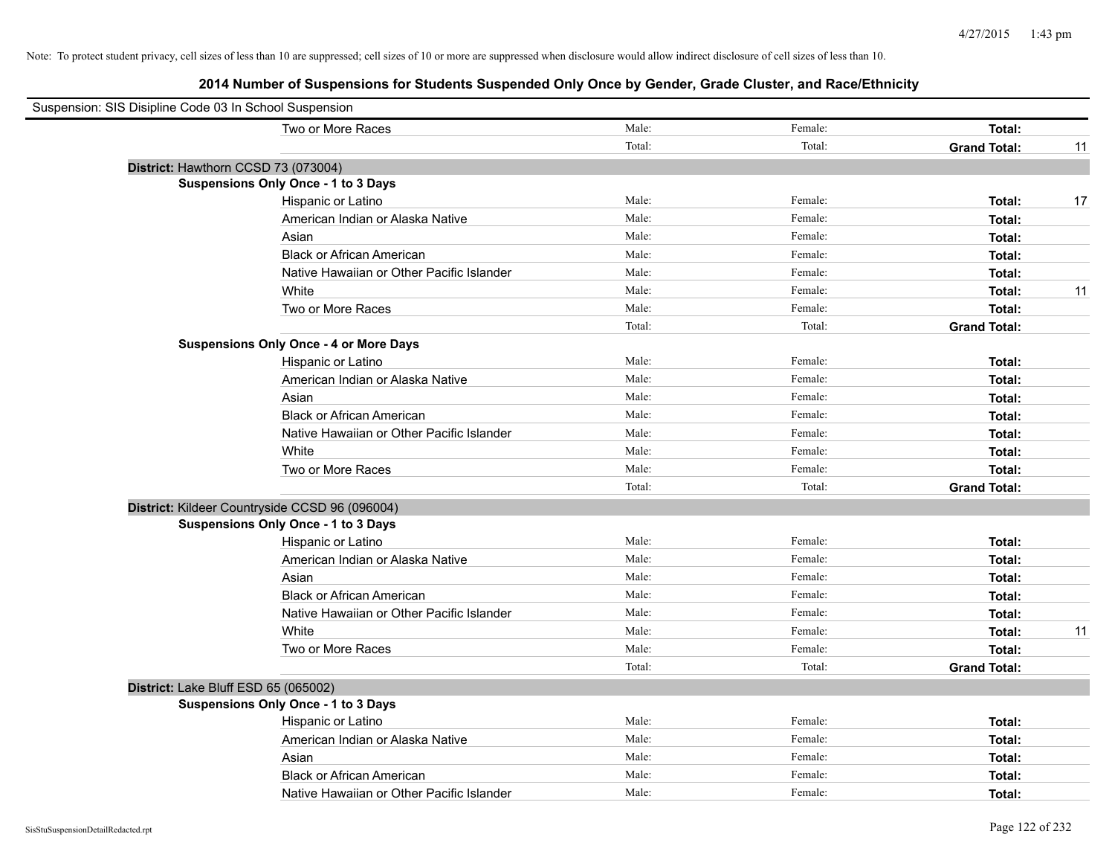| Suspension: SIS Disipline Code 03 In School Suspension |                                                |        |         |                     |    |
|--------------------------------------------------------|------------------------------------------------|--------|---------|---------------------|----|
|                                                        | Two or More Races                              | Male:  | Female: | Total:              |    |
|                                                        |                                                | Total: | Total:  | <b>Grand Total:</b> | 11 |
| District: Hawthorn CCSD 73 (073004)                    |                                                |        |         |                     |    |
|                                                        | Suspensions Only Once - 1 to 3 Days            |        |         |                     |    |
|                                                        | Hispanic or Latino                             | Male:  | Female: | Total:              | 17 |
|                                                        | American Indian or Alaska Native               | Male:  | Female: | Total:              |    |
|                                                        | Asian                                          | Male:  | Female: | Total:              |    |
|                                                        | <b>Black or African American</b>               | Male:  | Female: | Total:              |    |
|                                                        | Native Hawaiian or Other Pacific Islander      | Male:  | Female: | Total:              |    |
|                                                        | White                                          | Male:  | Female: | Total:              | 11 |
|                                                        | Two or More Races                              | Male:  | Female: | Total:              |    |
|                                                        |                                                | Total: | Total:  | <b>Grand Total:</b> |    |
|                                                        | <b>Suspensions Only Once - 4 or More Days</b>  |        |         |                     |    |
|                                                        | Hispanic or Latino                             | Male:  | Female: | Total:              |    |
|                                                        | American Indian or Alaska Native               | Male:  | Female: | Total:              |    |
|                                                        | Asian                                          | Male:  | Female: | Total:              |    |
|                                                        | <b>Black or African American</b>               | Male:  | Female: | Total:              |    |
|                                                        | Native Hawaiian or Other Pacific Islander      | Male:  | Female: | Total:              |    |
|                                                        | White                                          | Male:  | Female: | Total:              |    |
|                                                        | Two or More Races                              | Male:  | Female: | Total:              |    |
|                                                        |                                                | Total: | Total:  | <b>Grand Total:</b> |    |
|                                                        | District: Kildeer Countryside CCSD 96 (096004) |        |         |                     |    |
|                                                        | Suspensions Only Once - 1 to 3 Days            |        |         |                     |    |
|                                                        | Hispanic or Latino                             | Male:  | Female: | Total:              |    |
|                                                        | American Indian or Alaska Native               | Male:  | Female: | Total:              |    |
|                                                        | Asian                                          | Male:  | Female: | Total:              |    |
|                                                        | <b>Black or African American</b>               | Male:  | Female: | Total:              |    |
|                                                        | Native Hawaiian or Other Pacific Islander      | Male:  | Female: | Total:              |    |
|                                                        | White                                          | Male:  | Female: | Total:              | 11 |
|                                                        | Two or More Races                              | Male:  | Female: | Total:              |    |
|                                                        |                                                | Total: | Total:  | <b>Grand Total:</b> |    |
| District: Lake Bluff ESD 65 (065002)                   |                                                |        |         |                     |    |
|                                                        | Suspensions Only Once - 1 to 3 Days            |        |         |                     |    |
|                                                        | Hispanic or Latino                             | Male:  | Female: | Total:              |    |
|                                                        | American Indian or Alaska Native               | Male:  | Female: | Total:              |    |
|                                                        | Asian                                          | Male:  | Female: | Total:              |    |
|                                                        | <b>Black or African American</b>               | Male:  | Female: | Total:              |    |
|                                                        | Native Hawaiian or Other Pacific Islander      | Male:  | Female: | Total:              |    |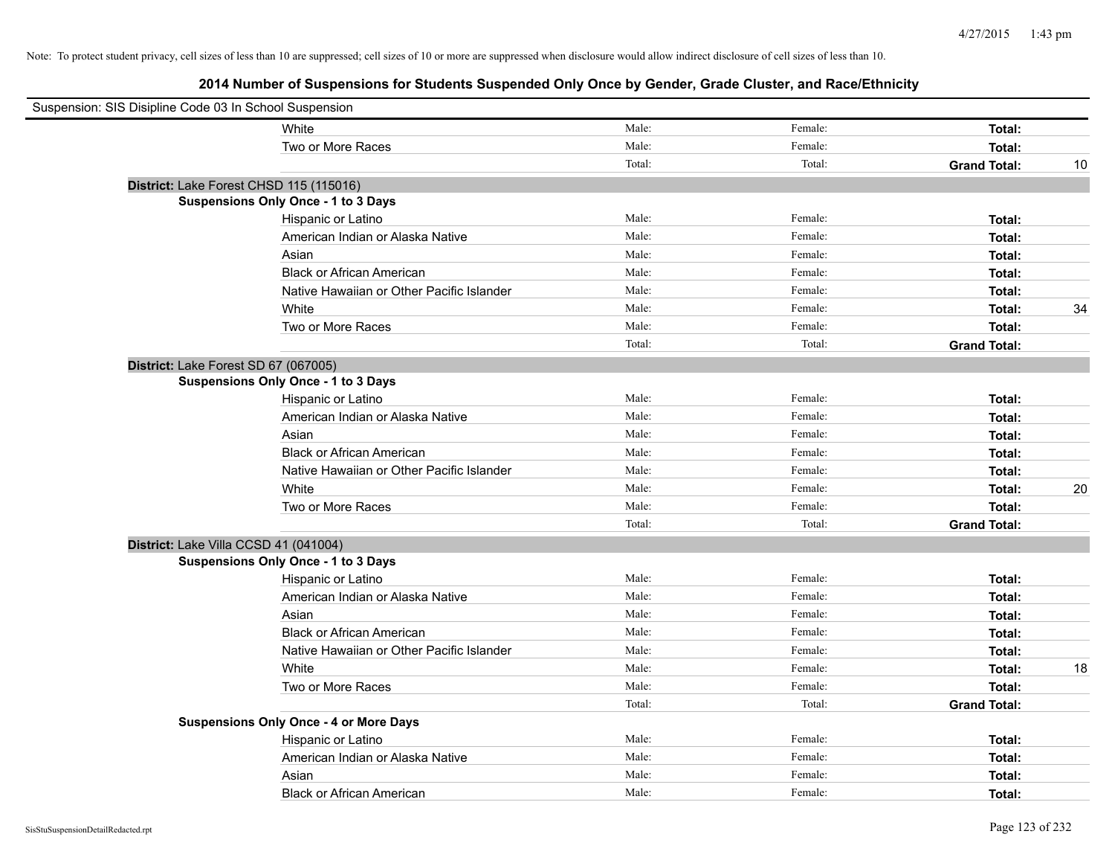| Suspension: SIS Disipline Code 03 In School Suspension |                                               |        |         |                     |    |
|--------------------------------------------------------|-----------------------------------------------|--------|---------|---------------------|----|
|                                                        | White                                         | Male:  | Female: | Total:              |    |
|                                                        | Two or More Races                             | Male:  | Female: | Total:              |    |
|                                                        |                                               | Total: | Total:  | <b>Grand Total:</b> | 10 |
| District: Lake Forest CHSD 115 (115016)                |                                               |        |         |                     |    |
|                                                        | Suspensions Only Once - 1 to 3 Days           |        |         |                     |    |
|                                                        | Hispanic or Latino                            | Male:  | Female: | Total:              |    |
|                                                        | American Indian or Alaska Native              | Male:  | Female: | Total:              |    |
|                                                        | Asian                                         | Male:  | Female: | Total:              |    |
|                                                        | <b>Black or African American</b>              | Male:  | Female: | Total:              |    |
|                                                        | Native Hawaiian or Other Pacific Islander     | Male:  | Female: | Total:              |    |
|                                                        | White                                         | Male:  | Female: | Total:              | 34 |
|                                                        | Two or More Races                             | Male:  | Female: | Total:              |    |
|                                                        |                                               | Total: | Total:  | <b>Grand Total:</b> |    |
| District: Lake Forest SD 67 (067005)                   |                                               |        |         |                     |    |
|                                                        | Suspensions Only Once - 1 to 3 Days           |        |         |                     |    |
|                                                        | Hispanic or Latino                            | Male:  | Female: | Total:              |    |
|                                                        | American Indian or Alaska Native              | Male:  | Female: | Total:              |    |
|                                                        | Asian                                         | Male:  | Female: | Total:              |    |
|                                                        | <b>Black or African American</b>              | Male:  | Female: | Total:              |    |
|                                                        | Native Hawaiian or Other Pacific Islander     | Male:  | Female: | Total:              |    |
|                                                        | White                                         | Male:  | Female: | Total:              | 20 |
|                                                        | Two or More Races                             | Male:  | Female: | Total:              |    |
|                                                        |                                               | Total: | Total:  | <b>Grand Total:</b> |    |
| District: Lake Villa CCSD 41 (041004)                  |                                               |        |         |                     |    |
|                                                        | Suspensions Only Once - 1 to 3 Days           |        |         |                     |    |
|                                                        | Hispanic or Latino                            | Male:  | Female: | Total:              |    |
|                                                        | American Indian or Alaska Native              | Male:  | Female: | Total:              |    |
|                                                        | Asian                                         | Male:  | Female: | Total:              |    |
|                                                        | <b>Black or African American</b>              | Male:  | Female: | Total:              |    |
|                                                        | Native Hawaiian or Other Pacific Islander     | Male:  | Female: | Total:              |    |
|                                                        | White                                         | Male:  | Female: | Total:              | 18 |
|                                                        | Two or More Races                             | Male:  | Female: | Total:              |    |
|                                                        |                                               | Total: | Total:  | <b>Grand Total:</b> |    |
|                                                        | <b>Suspensions Only Once - 4 or More Days</b> |        |         |                     |    |
|                                                        | Hispanic or Latino                            | Male:  | Female: | Total:              |    |
|                                                        | American Indian or Alaska Native              | Male:  | Female: | Total:              |    |
|                                                        | Asian                                         | Male:  | Female: | Total:              |    |
|                                                        | <b>Black or African American</b>              | Male:  | Female: | Total:              |    |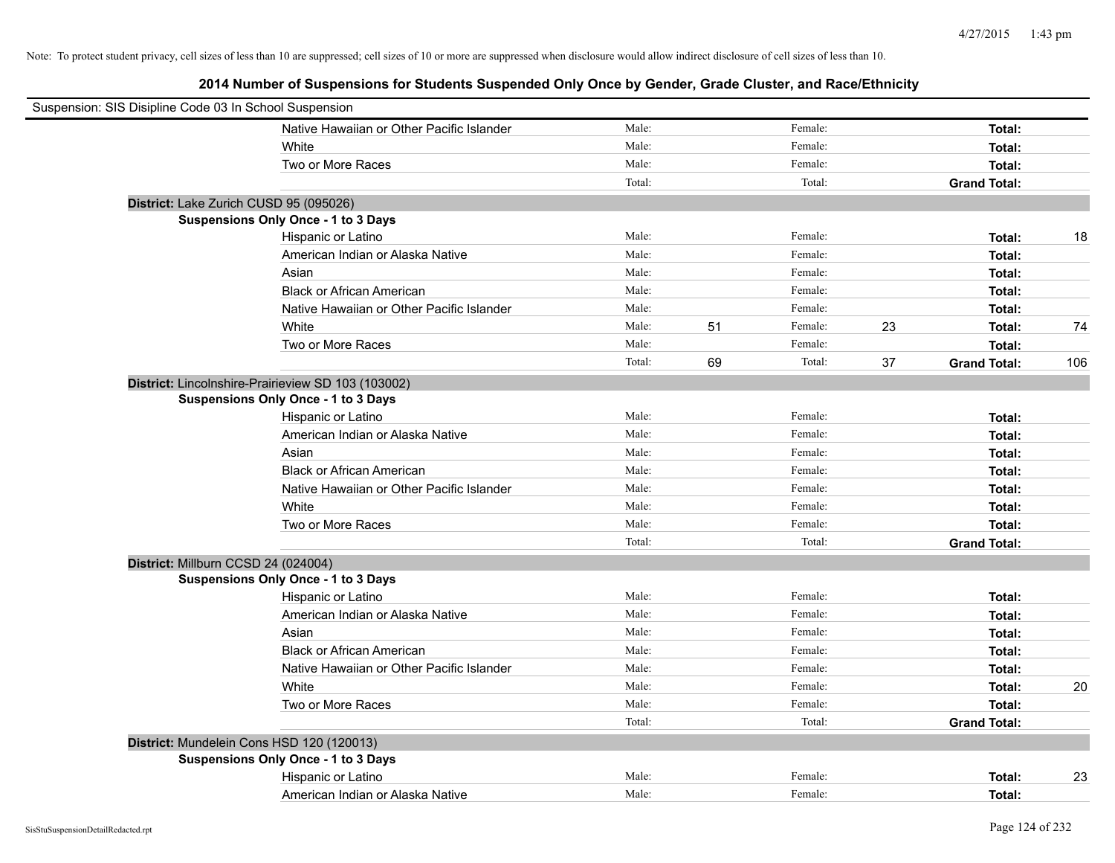| Suspension: SIS Disipline Code 03 In School Suspension |        |    |         |    |                     |     |
|--------------------------------------------------------|--------|----|---------|----|---------------------|-----|
| Native Hawaiian or Other Pacific Islander              | Male:  |    | Female: |    | Total:              |     |
| White                                                  | Male:  |    | Female: |    | Total:              |     |
| Two or More Races                                      | Male:  |    | Female: |    | Total:              |     |
|                                                        | Total: |    | Total:  |    | <b>Grand Total:</b> |     |
| District: Lake Zurich CUSD 95 (095026)                 |        |    |         |    |                     |     |
| Suspensions Only Once - 1 to 3 Days                    |        |    |         |    |                     |     |
| Hispanic or Latino                                     | Male:  |    | Female: |    | Total:              | 18  |
| American Indian or Alaska Native                       | Male:  |    | Female: |    | Total:              |     |
| Asian                                                  | Male:  |    | Female: |    | Total:              |     |
| <b>Black or African American</b>                       | Male:  |    | Female: |    | Total:              |     |
| Native Hawaiian or Other Pacific Islander              | Male:  |    | Female: |    | Total:              |     |
| White                                                  | Male:  | 51 | Female: | 23 | Total:              | 74  |
| Two or More Races                                      | Male:  |    | Female: |    | Total:              |     |
|                                                        | Total: | 69 | Total:  | 37 | <b>Grand Total:</b> | 106 |
| District: Lincolnshire-Prairieview SD 103 (103002)     |        |    |         |    |                     |     |
| Suspensions Only Once - 1 to 3 Days                    |        |    |         |    |                     |     |
| Hispanic or Latino                                     | Male:  |    | Female: |    | Total:              |     |
| American Indian or Alaska Native                       | Male:  |    | Female: |    | Total:              |     |
| Asian                                                  | Male:  |    | Female: |    | Total:              |     |
| <b>Black or African American</b>                       | Male:  |    | Female: |    | Total:              |     |
| Native Hawaiian or Other Pacific Islander              | Male:  |    | Female: |    | Total:              |     |
| White                                                  | Male:  |    | Female: |    | Total:              |     |
| Two or More Races                                      | Male:  |    | Female: |    | Total:              |     |
|                                                        | Total: |    | Total:  |    | <b>Grand Total:</b> |     |
| District: Millburn CCSD 24 (024004)                    |        |    |         |    |                     |     |
| Suspensions Only Once - 1 to 3 Days                    |        |    |         |    |                     |     |
| Hispanic or Latino                                     | Male:  |    | Female: |    | Total:              |     |
| American Indian or Alaska Native                       | Male:  |    | Female: |    | Total:              |     |
| Asian                                                  | Male:  |    | Female: |    | Total:              |     |
| <b>Black or African American</b>                       | Male:  |    | Female: |    | Total:              |     |
| Native Hawaiian or Other Pacific Islander              | Male:  |    | Female: |    | Total:              |     |
| White                                                  | Male:  |    | Female: |    | Total:              | 20  |
| Two or More Races                                      | Male:  |    | Female: |    | Total:              |     |
|                                                        | Total: |    | Total:  |    | <b>Grand Total:</b> |     |
| District: Mundelein Cons HSD 120 (120013)              |        |    |         |    |                     |     |
| Suspensions Only Once - 1 to 3 Days                    |        |    |         |    |                     |     |
| Hispanic or Latino                                     | Male:  |    | Female: |    | Total:              | 23  |
| American Indian or Alaska Native                       | Male:  |    | Female: |    | Total:              |     |
|                                                        |        |    |         |    |                     |     |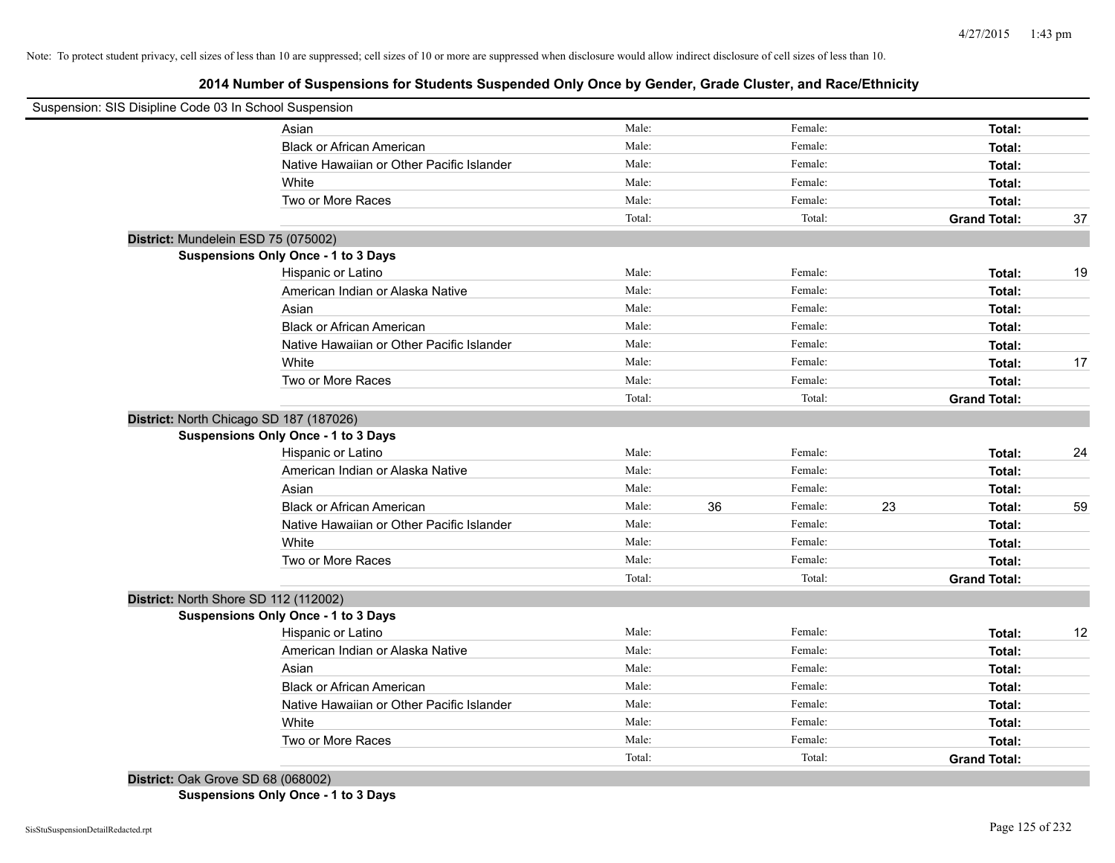**2014 Number of Suspensions for Students Suspended Only Once by Gender, Grade Cluster, and Race/Ethnicity**

| Suspension: SIS Disipline Code 03 In School Suspension |                                           |        |    |         |    |                     |    |
|--------------------------------------------------------|-------------------------------------------|--------|----|---------|----|---------------------|----|
|                                                        | Asian                                     | Male:  |    | Female: |    | Total:              |    |
|                                                        | <b>Black or African American</b>          | Male:  |    | Female: |    | Total:              |    |
|                                                        | Native Hawaiian or Other Pacific Islander | Male:  |    | Female: |    | Total:              |    |
|                                                        | White                                     | Male:  |    | Female: |    | Total:              |    |
|                                                        | Two or More Races                         | Male:  |    | Female: |    | Total:              |    |
|                                                        |                                           | Total: |    | Total:  |    | <b>Grand Total:</b> | 37 |
| District: Mundelein ESD 75 (075002)                    |                                           |        |    |         |    |                     |    |
|                                                        | Suspensions Only Once - 1 to 3 Days       |        |    |         |    |                     |    |
|                                                        | Hispanic or Latino                        | Male:  |    | Female: |    | Total:              | 19 |
|                                                        | American Indian or Alaska Native          | Male:  |    | Female: |    | Total:              |    |
|                                                        | Asian                                     | Male:  |    | Female: |    | Total:              |    |
|                                                        | <b>Black or African American</b>          | Male:  |    | Female: |    | Total:              |    |
|                                                        | Native Hawaiian or Other Pacific Islander | Male:  |    | Female: |    | Total:              |    |
|                                                        | White                                     | Male:  |    | Female: |    | Total:              | 17 |
|                                                        | Two or More Races                         | Male:  |    | Female: |    | Total:              |    |
|                                                        |                                           | Total: |    | Total:  |    | <b>Grand Total:</b> |    |
|                                                        | District: North Chicago SD 187 (187026)   |        |    |         |    |                     |    |
|                                                        | Suspensions Only Once - 1 to 3 Days       |        |    |         |    |                     |    |
|                                                        | Hispanic or Latino                        | Male:  |    | Female: |    | Total:              | 24 |
|                                                        | American Indian or Alaska Native          | Male:  |    | Female: |    | Total:              |    |
|                                                        | Asian                                     | Male:  |    | Female: |    | Total:              |    |
|                                                        | <b>Black or African American</b>          | Male:  | 36 | Female: | 23 | Total:              | 59 |
|                                                        | Native Hawaiian or Other Pacific Islander | Male:  |    | Female: |    | Total:              |    |
|                                                        | White                                     | Male:  |    | Female: |    | Total:              |    |
|                                                        | Two or More Races                         | Male:  |    | Female: |    | Total:              |    |
|                                                        |                                           | Total: |    | Total:  |    | <b>Grand Total:</b> |    |
| District: North Shore SD 112 (112002)                  |                                           |        |    |         |    |                     |    |
|                                                        | Suspensions Only Once - 1 to 3 Days       |        |    |         |    |                     |    |
|                                                        | Hispanic or Latino                        | Male:  |    | Female: |    | Total:              | 12 |
|                                                        | American Indian or Alaska Native          | Male:  |    | Female: |    | Total:              |    |
|                                                        | Asian                                     | Male:  |    | Female: |    | Total:              |    |
|                                                        | <b>Black or African American</b>          | Male:  |    | Female: |    | Total:              |    |
|                                                        | Native Hawaiian or Other Pacific Islander | Male:  |    | Female: |    | Total:              |    |
|                                                        | White                                     | Male:  |    | Female: |    | Total:              |    |
|                                                        | Two or More Races                         | Male:  |    | Female: |    | Total:              |    |
|                                                        |                                           | Total: |    | Total:  |    | <b>Grand Total:</b> |    |
| District: Oak Grove SD 68 (068002)                     |                                           |        |    |         |    |                     |    |

**Suspensions Only Once - 1 to 3 Days**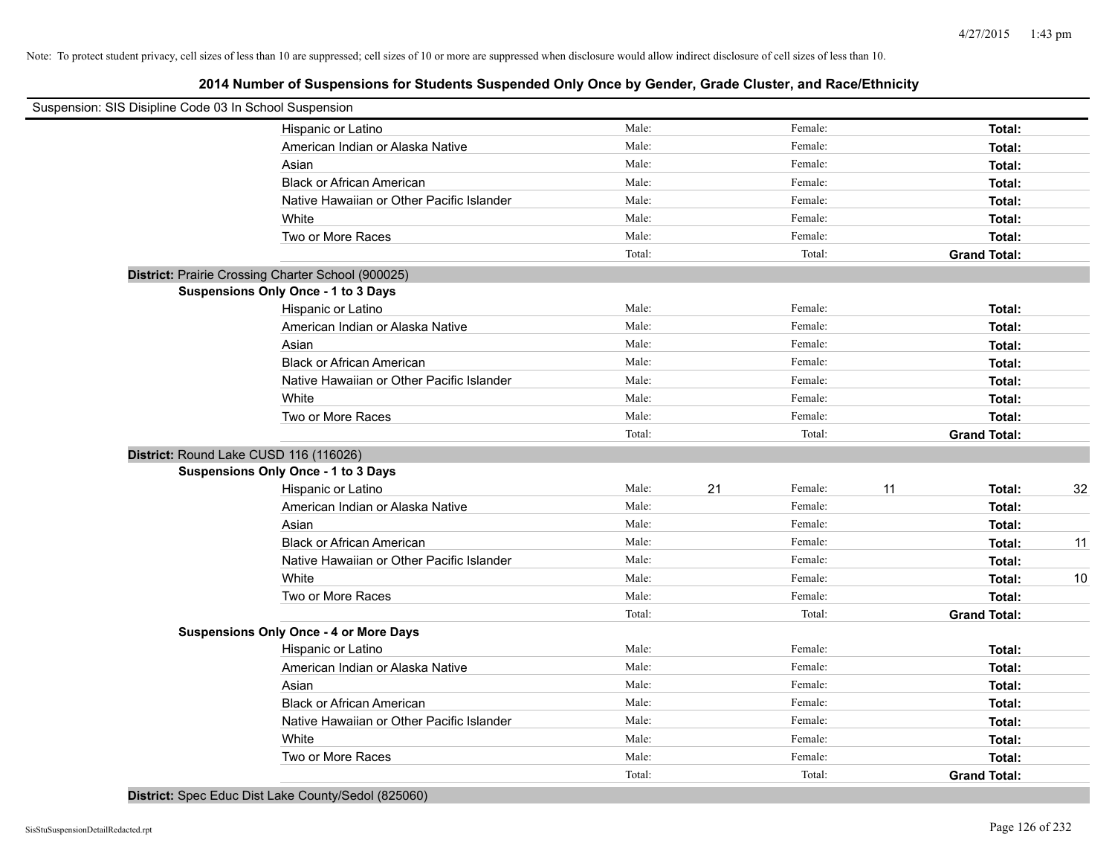# **2014 Number of Suspensions for Students Suspended Only Once by Gender, Grade Cluster, and Race/Ethnicity**

| Suspension: SIS Disipline Code 03 In School Suspension |                                               |        |               |                     |    |
|--------------------------------------------------------|-----------------------------------------------|--------|---------------|---------------------|----|
|                                                        | Hispanic or Latino                            | Male:  | Female:       | Total:              |    |
|                                                        | American Indian or Alaska Native              | Male:  | Female:       | Total:              |    |
|                                                        | Asian                                         | Male:  | Female:       | Total:              |    |
|                                                        | <b>Black or African American</b>              | Male:  | Female:       | Total:              |    |
|                                                        | Native Hawaiian or Other Pacific Islander     | Male:  | Female:       | Total:              |    |
|                                                        | White                                         | Male:  | Female:       | Total:              |    |
|                                                        | Two or More Races                             | Male:  | Female:       | Total:              |    |
|                                                        |                                               | Total: | Total:        | <b>Grand Total:</b> |    |
| District: Prairie Crossing Charter School (900025)     |                                               |        |               |                     |    |
|                                                        | <b>Suspensions Only Once - 1 to 3 Days</b>    |        |               |                     |    |
|                                                        | Hispanic or Latino                            | Male:  | Female:       | Total:              |    |
|                                                        | American Indian or Alaska Native              | Male:  | Female:       | Total:              |    |
|                                                        | Asian                                         | Male:  | Female:       | Total:              |    |
|                                                        | <b>Black or African American</b>              | Male:  | Female:       | Total:              |    |
|                                                        | Native Hawaiian or Other Pacific Islander     | Male:  | Female:       | Total:              |    |
|                                                        | White                                         | Male:  | Female:       | Total:              |    |
|                                                        | Two or More Races                             | Male:  | Female:       | Total:              |    |
|                                                        |                                               | Total: | Total:        | <b>Grand Total:</b> |    |
| District: Round Lake CUSD 116 (116026)                 |                                               |        |               |                     |    |
|                                                        | <b>Suspensions Only Once - 1 to 3 Days</b>    |        |               |                     |    |
|                                                        | Hispanic or Latino                            | Male:  | 21<br>Female: | 11<br>Total:        | 32 |
|                                                        | American Indian or Alaska Native              | Male:  | Female:       | Total:              |    |
|                                                        | Asian                                         | Male:  | Female:       | Total:              |    |
|                                                        | <b>Black or African American</b>              | Male:  | Female:       | Total:              | 11 |
|                                                        | Native Hawaiian or Other Pacific Islander     | Male:  | Female:       | Total:              |    |
|                                                        | White                                         | Male:  | Female:       | Total:              | 10 |
|                                                        | Two or More Races                             | Male:  | Female:       | Total:              |    |
|                                                        |                                               | Total: | Total:        | <b>Grand Total:</b> |    |
|                                                        | <b>Suspensions Only Once - 4 or More Days</b> |        |               |                     |    |
|                                                        | Hispanic or Latino                            | Male:  | Female:       | Total:              |    |
|                                                        | American Indian or Alaska Native              | Male:  | Female:       | Total:              |    |
|                                                        | Asian                                         | Male:  | Female:       | Total:              |    |
|                                                        | <b>Black or African American</b>              | Male:  | Female:       | Total:              |    |
|                                                        | Native Hawaiian or Other Pacific Islander     | Male:  | Female:       | Total:              |    |
|                                                        | White                                         | Male:  | Female:       | Total:              |    |
|                                                        | Two or More Races                             | Male:  | Female:       | Total:              |    |
|                                                        |                                               | Total: | Total:        | <b>Grand Total:</b> |    |

**District:** Spec Educ Dist Lake County/Sedol (825060)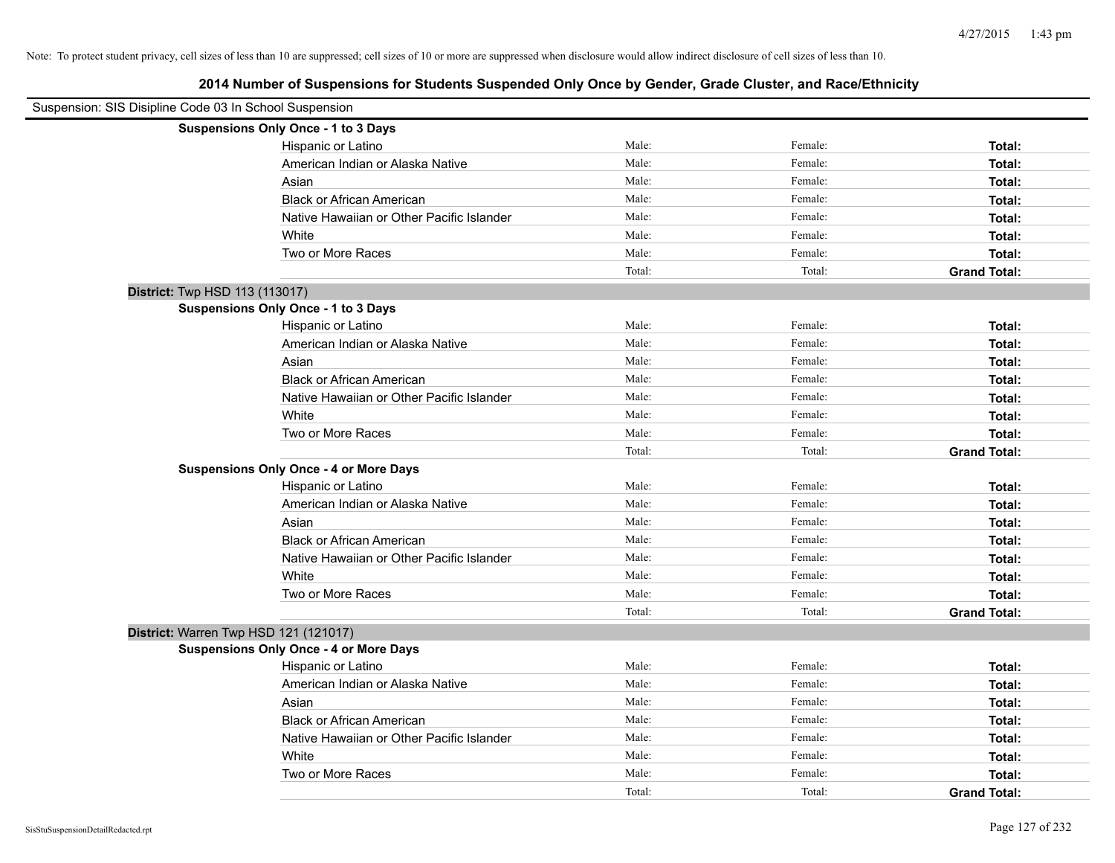| Suspension: SIS Disipline Code 03 In School Suspension |                                               |        |         |                     |
|--------------------------------------------------------|-----------------------------------------------|--------|---------|---------------------|
|                                                        | Suspensions Only Once - 1 to 3 Days           |        |         |                     |
|                                                        | Hispanic or Latino                            | Male:  | Female: | Total:              |
|                                                        | American Indian or Alaska Native              | Male:  | Female: | Total:              |
|                                                        | Asian                                         | Male:  | Female: | Total:              |
|                                                        | <b>Black or African American</b>              | Male:  | Female: | Total:              |
|                                                        | Native Hawaiian or Other Pacific Islander     | Male:  | Female: | Total:              |
|                                                        | White                                         | Male:  | Female: | Total:              |
|                                                        | Two or More Races                             | Male:  | Female: | Total:              |
|                                                        |                                               | Total: | Total:  | <b>Grand Total:</b> |
| District: Twp HSD 113 (113017)                         |                                               |        |         |                     |
|                                                        | Suspensions Only Once - 1 to 3 Days           |        |         |                     |
|                                                        | Hispanic or Latino                            | Male:  | Female: | Total:              |
|                                                        | American Indian or Alaska Native              | Male:  | Female: | Total:              |
|                                                        | Asian                                         | Male:  | Female: | Total:              |
|                                                        | <b>Black or African American</b>              | Male:  | Female: | Total:              |
|                                                        | Native Hawaiian or Other Pacific Islander     | Male:  | Female: | Total:              |
|                                                        | White                                         | Male:  | Female: | Total:              |
|                                                        | Two or More Races                             | Male:  | Female: | Total:              |
|                                                        |                                               | Total: | Total:  | <b>Grand Total:</b> |
|                                                        | <b>Suspensions Only Once - 4 or More Days</b> |        |         |                     |
|                                                        | Hispanic or Latino                            | Male:  | Female: | Total:              |
|                                                        | American Indian or Alaska Native              | Male:  | Female: | Total:              |
|                                                        | Asian                                         | Male:  | Female: | Total:              |
|                                                        | <b>Black or African American</b>              | Male:  | Female: | Total:              |
|                                                        | Native Hawaiian or Other Pacific Islander     | Male:  | Female: | Total:              |
|                                                        | White                                         | Male:  | Female: | Total:              |
|                                                        | Two or More Races                             | Male:  | Female: | Total:              |
|                                                        |                                               | Total: | Total:  | <b>Grand Total:</b> |
| District: Warren Twp HSD 121 (121017)                  |                                               |        |         |                     |
|                                                        | <b>Suspensions Only Once - 4 or More Days</b> |        |         |                     |
|                                                        | Hispanic or Latino                            | Male:  | Female: | Total:              |
|                                                        | American Indian or Alaska Native              | Male:  | Female: | Total:              |
|                                                        | Asian                                         | Male:  | Female: | Total:              |
|                                                        | <b>Black or African American</b>              | Male:  | Female: | Total:              |
|                                                        | Native Hawaiian or Other Pacific Islander     | Male:  | Female: | Total:              |
|                                                        | White                                         | Male:  | Female: | Total:              |
|                                                        | Two or More Races                             | Male:  | Female: | Total:              |
|                                                        |                                               | Total: | Total:  | <b>Grand Total:</b> |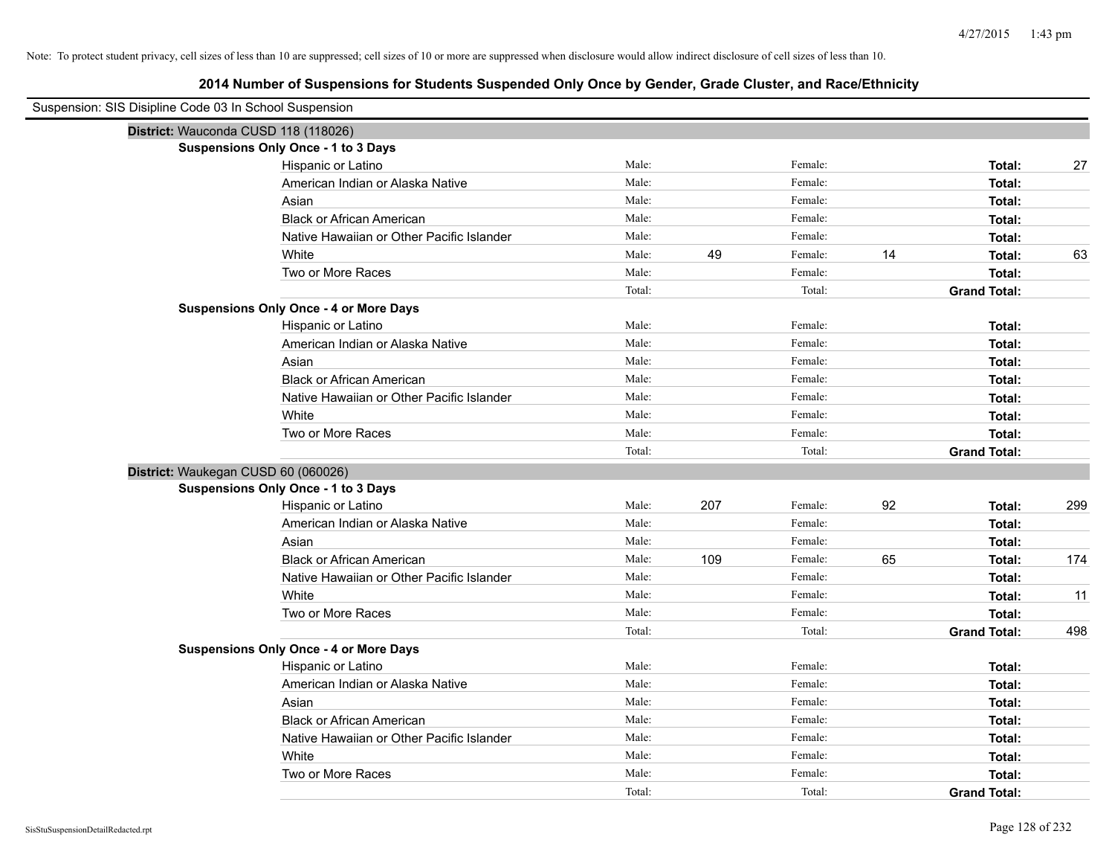| Suspension: SIS Disipline Code 03 In School Suspension |                                               |        |     |         |    |                     |     |
|--------------------------------------------------------|-----------------------------------------------|--------|-----|---------|----|---------------------|-----|
| District: Wauconda CUSD 118 (118026)                   |                                               |        |     |         |    |                     |     |
|                                                        | Suspensions Only Once - 1 to 3 Days           |        |     |         |    |                     |     |
|                                                        | Hispanic or Latino                            | Male:  |     | Female: |    | Total:              | 27  |
|                                                        | American Indian or Alaska Native              | Male:  |     | Female: |    | Total:              |     |
|                                                        | Asian                                         | Male:  |     | Female: |    | Total:              |     |
|                                                        | <b>Black or African American</b>              | Male:  |     | Female: |    | Total:              |     |
|                                                        | Native Hawaiian or Other Pacific Islander     | Male:  |     | Female: |    | Total:              |     |
|                                                        | White                                         | Male:  | 49  | Female: | 14 | Total:              | 63  |
|                                                        | Two or More Races                             | Male:  |     | Female: |    | Total:              |     |
|                                                        |                                               | Total: |     | Total:  |    | <b>Grand Total:</b> |     |
|                                                        | <b>Suspensions Only Once - 4 or More Days</b> |        |     |         |    |                     |     |
|                                                        | Hispanic or Latino                            | Male:  |     | Female: |    | Total:              |     |
|                                                        | American Indian or Alaska Native              | Male:  |     | Female: |    | Total:              |     |
|                                                        | Asian                                         | Male:  |     | Female: |    | Total:              |     |
|                                                        | <b>Black or African American</b>              | Male:  |     | Female: |    | Total:              |     |
|                                                        | Native Hawaiian or Other Pacific Islander     | Male:  |     | Female: |    | Total:              |     |
|                                                        | White                                         | Male:  |     | Female: |    | Total:              |     |
|                                                        | Two or More Races                             | Male:  |     | Female: |    | Total:              |     |
|                                                        |                                               | Total: |     | Total:  |    | <b>Grand Total:</b> |     |
| District: Waukegan CUSD 60 (060026)                    |                                               |        |     |         |    |                     |     |
|                                                        | Suspensions Only Once - 1 to 3 Days           |        |     |         |    |                     |     |
|                                                        | Hispanic or Latino                            | Male:  | 207 | Female: | 92 | Total:              | 299 |
|                                                        | American Indian or Alaska Native              | Male:  |     | Female: |    | Total:              |     |
|                                                        | Asian                                         | Male:  |     | Female: |    | Total:              |     |
|                                                        | <b>Black or African American</b>              | Male:  | 109 | Female: | 65 | Total:              | 174 |
|                                                        | Native Hawaiian or Other Pacific Islander     | Male:  |     | Female: |    | Total:              |     |
|                                                        | White                                         | Male:  |     | Female: |    | Total:              | 11  |
|                                                        | Two or More Races                             | Male:  |     | Female: |    | Total:              |     |
|                                                        |                                               | Total: |     | Total:  |    | <b>Grand Total:</b> | 498 |
|                                                        | <b>Suspensions Only Once - 4 or More Days</b> |        |     |         |    |                     |     |
|                                                        | Hispanic or Latino                            | Male:  |     | Female: |    | Total:              |     |
|                                                        | American Indian or Alaska Native              | Male:  |     | Female: |    | Total:              |     |
|                                                        | Asian                                         | Male:  |     | Female: |    | Total:              |     |
|                                                        | <b>Black or African American</b>              | Male:  |     | Female: |    | Total:              |     |
|                                                        | Native Hawaiian or Other Pacific Islander     | Male:  |     | Female: |    | Total:              |     |
|                                                        | White                                         | Male:  |     | Female: |    | Total:              |     |
|                                                        | Two or More Races                             | Male:  |     | Female: |    | Total:              |     |
|                                                        |                                               | Total: |     | Total:  |    | <b>Grand Total:</b> |     |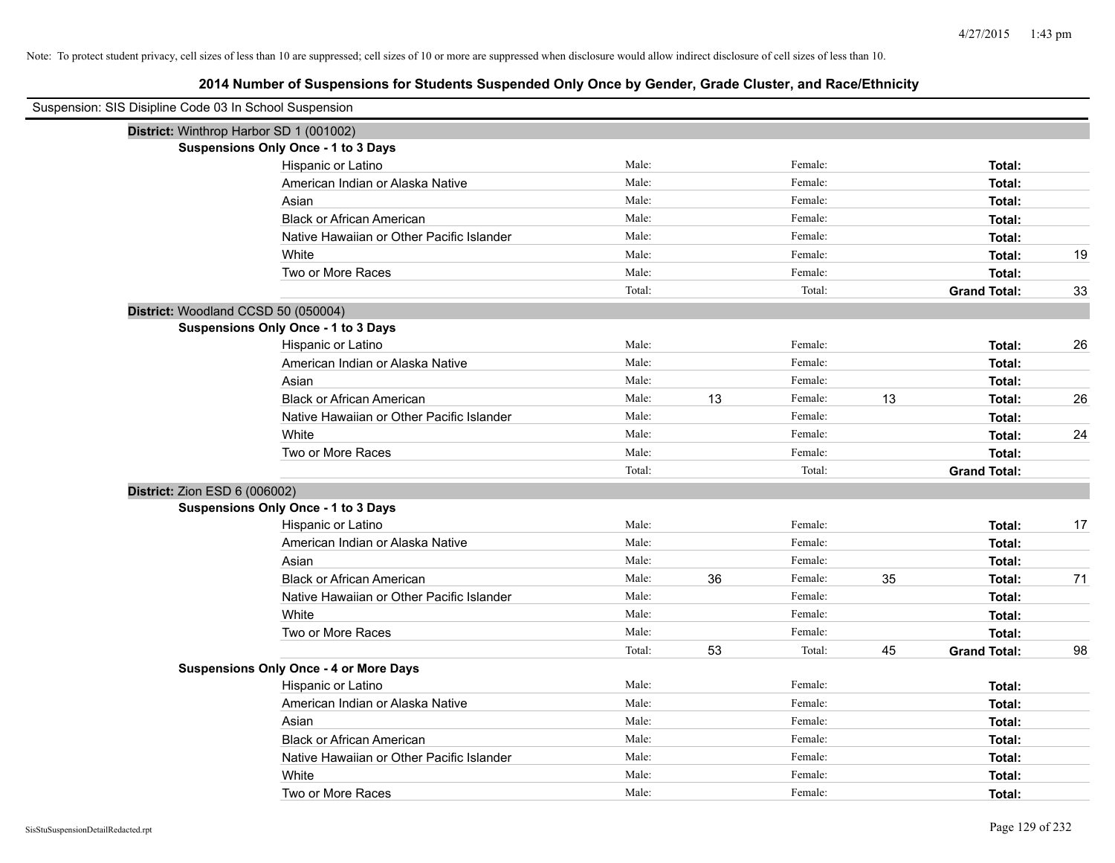| Suspension: SIS Disipline Code 03 In School Suspension |                                               |        |    |         |    |                     |    |
|--------------------------------------------------------|-----------------------------------------------|--------|----|---------|----|---------------------|----|
| District: Winthrop Harbor SD 1 (001002)                |                                               |        |    |         |    |                     |    |
|                                                        | <b>Suspensions Only Once - 1 to 3 Days</b>    |        |    |         |    |                     |    |
|                                                        | Hispanic or Latino                            | Male:  |    | Female: |    | Total:              |    |
|                                                        | American Indian or Alaska Native              | Male:  |    | Female: |    | Total:              |    |
|                                                        | Asian                                         | Male:  |    | Female: |    | Total:              |    |
|                                                        | <b>Black or African American</b>              | Male:  |    | Female: |    | Total:              |    |
|                                                        | Native Hawaiian or Other Pacific Islander     | Male:  |    | Female: |    | Total:              |    |
|                                                        | White                                         | Male:  |    | Female: |    | Total:              | 19 |
|                                                        | Two or More Races                             | Male:  |    | Female: |    | Total:              |    |
|                                                        |                                               | Total: |    | Total:  |    | <b>Grand Total:</b> | 33 |
| District: Woodland CCSD 50 (050004)                    |                                               |        |    |         |    |                     |    |
|                                                        | <b>Suspensions Only Once - 1 to 3 Days</b>    |        |    |         |    |                     |    |
|                                                        | Hispanic or Latino                            | Male:  |    | Female: |    | Total:              | 26 |
|                                                        | American Indian or Alaska Native              | Male:  |    | Female: |    | Total:              |    |
|                                                        | Asian                                         | Male:  |    | Female: |    | Total:              |    |
|                                                        | <b>Black or African American</b>              | Male:  | 13 | Female: | 13 | Total:              | 26 |
|                                                        | Native Hawaiian or Other Pacific Islander     | Male:  |    | Female: |    | Total:              |    |
|                                                        | White                                         | Male:  |    | Female: |    | Total:              | 24 |
|                                                        | Two or More Races                             | Male:  |    | Female: |    | Total:              |    |
|                                                        |                                               | Total: |    | Total:  |    | <b>Grand Total:</b> |    |
| District: Zion ESD 6 (006002)                          |                                               |        |    |         |    |                     |    |
|                                                        | <b>Suspensions Only Once - 1 to 3 Days</b>    |        |    |         |    |                     |    |
|                                                        | Hispanic or Latino                            | Male:  |    | Female: |    | Total:              | 17 |
|                                                        | American Indian or Alaska Native              | Male:  |    | Female: |    | Total:              |    |
|                                                        | Asian                                         | Male:  |    | Female: |    | Total:              |    |
|                                                        | <b>Black or African American</b>              | Male:  | 36 | Female: | 35 | Total:              | 71 |
|                                                        | Native Hawaiian or Other Pacific Islander     | Male:  |    | Female: |    | Total:              |    |
|                                                        | White                                         | Male:  |    | Female: |    | Total:              |    |
|                                                        | Two or More Races                             | Male:  |    | Female: |    | Total:              |    |
|                                                        |                                               | Total: | 53 | Total:  | 45 | <b>Grand Total:</b> | 98 |
|                                                        | <b>Suspensions Only Once - 4 or More Days</b> |        |    |         |    |                     |    |
|                                                        | Hispanic or Latino                            | Male:  |    | Female: |    | Total:              |    |
|                                                        | American Indian or Alaska Native              | Male:  |    | Female: |    | Total:              |    |
|                                                        | Asian                                         | Male:  |    | Female: |    | Total:              |    |
|                                                        | <b>Black or African American</b>              | Male:  |    | Female: |    | Total:              |    |
|                                                        | Native Hawaiian or Other Pacific Islander     | Male:  |    | Female: |    | Total:              |    |
|                                                        | White                                         | Male:  |    | Female: |    | Total:              |    |
|                                                        | Two or More Races                             | Male:  |    | Female: |    | Total:              |    |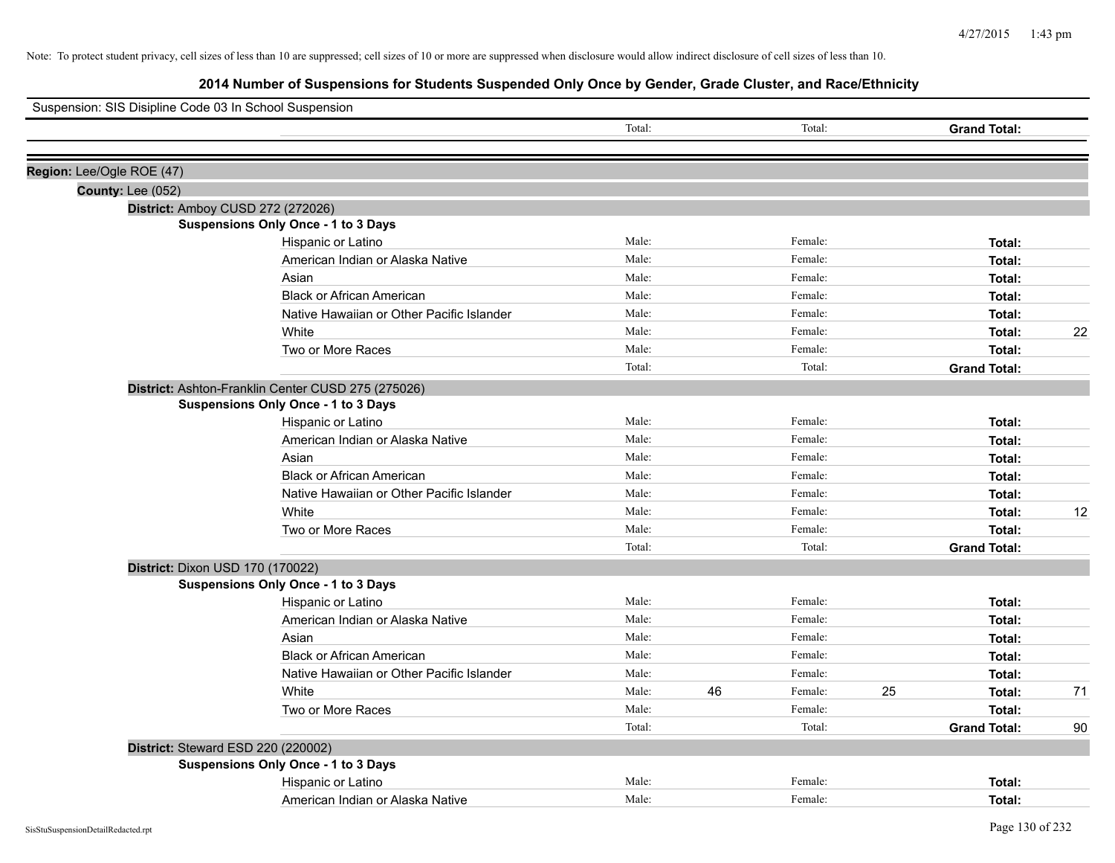| Suspension: SIS Disipline Code 03 In School Suspension |                                                    |        |    |         |    |                     |    |
|--------------------------------------------------------|----------------------------------------------------|--------|----|---------|----|---------------------|----|
|                                                        |                                                    | Total: |    | Total:  |    | <b>Grand Total:</b> |    |
|                                                        |                                                    |        |    |         |    |                     |    |
| Region: Lee/Ogle ROE (47)                              |                                                    |        |    |         |    |                     |    |
| <b>County: Lee (052)</b>                               |                                                    |        |    |         |    |                     |    |
|                                                        | District: Amboy CUSD 272 (272026)                  |        |    |         |    |                     |    |
|                                                        | <b>Suspensions Only Once - 1 to 3 Days</b>         |        |    |         |    |                     |    |
|                                                        | Hispanic or Latino                                 | Male:  |    | Female: |    | Total:              |    |
|                                                        | American Indian or Alaska Native                   | Male:  |    | Female: |    | Total:              |    |
|                                                        | Asian                                              | Male:  |    | Female: |    | Total:              |    |
|                                                        | <b>Black or African American</b>                   | Male:  |    | Female: |    | Total:              |    |
|                                                        | Native Hawaiian or Other Pacific Islander          | Male:  |    | Female: |    | Total:              |    |
|                                                        | White                                              | Male:  |    | Female: |    | Total:              | 22 |
|                                                        | Two or More Races                                  | Male:  |    | Female: |    | Total:              |    |
|                                                        |                                                    | Total: |    | Total:  |    | <b>Grand Total:</b> |    |
|                                                        | District: Ashton-Franklin Center CUSD 275 (275026) |        |    |         |    |                     |    |
|                                                        | Suspensions Only Once - 1 to 3 Days                |        |    |         |    |                     |    |
|                                                        | Hispanic or Latino                                 | Male:  |    | Female: |    | Total:              |    |
|                                                        | American Indian or Alaska Native                   | Male:  |    | Female: |    | Total:              |    |
|                                                        | Asian                                              | Male:  |    | Female: |    | Total:              |    |
|                                                        | <b>Black or African American</b>                   | Male:  |    | Female: |    | Total:              |    |
|                                                        | Native Hawaiian or Other Pacific Islander          | Male:  |    | Female: |    | Total:              |    |
|                                                        | White                                              | Male:  |    | Female: |    | Total:              | 12 |
|                                                        | Two or More Races                                  | Male:  |    | Female: |    | Total:              |    |
|                                                        |                                                    | Total: |    | Total:  |    | <b>Grand Total:</b> |    |
| District: Dixon USD 170 (170022)                       |                                                    |        |    |         |    |                     |    |
|                                                        | Suspensions Only Once - 1 to 3 Days                |        |    |         |    |                     |    |
|                                                        | Hispanic or Latino                                 | Male:  |    | Female: |    | Total:              |    |
|                                                        | American Indian or Alaska Native                   | Male:  |    | Female: |    | Total:              |    |
|                                                        | Asian                                              | Male:  |    | Female: |    | Total:              |    |
|                                                        | <b>Black or African American</b>                   | Male:  |    | Female: |    | Total:              |    |
|                                                        | Native Hawaiian or Other Pacific Islander          | Male:  |    | Female: |    | Total:              |    |
|                                                        | White                                              | Male:  | 46 | Female: | 25 | Total:              | 71 |
|                                                        | Two or More Races                                  | Male:  |    | Female: |    | Total:              |    |
|                                                        |                                                    | Total: |    | Total:  |    | <b>Grand Total:</b> | 90 |
|                                                        | District: Steward ESD 220 (220002)                 |        |    |         |    |                     |    |
|                                                        | <b>Suspensions Only Once - 1 to 3 Days</b>         |        |    |         |    |                     |    |
|                                                        | Hispanic or Latino                                 | Male:  |    | Female: |    | Total:              |    |
|                                                        | American Indian or Alaska Native                   | Male:  |    | Female: |    | Total:              |    |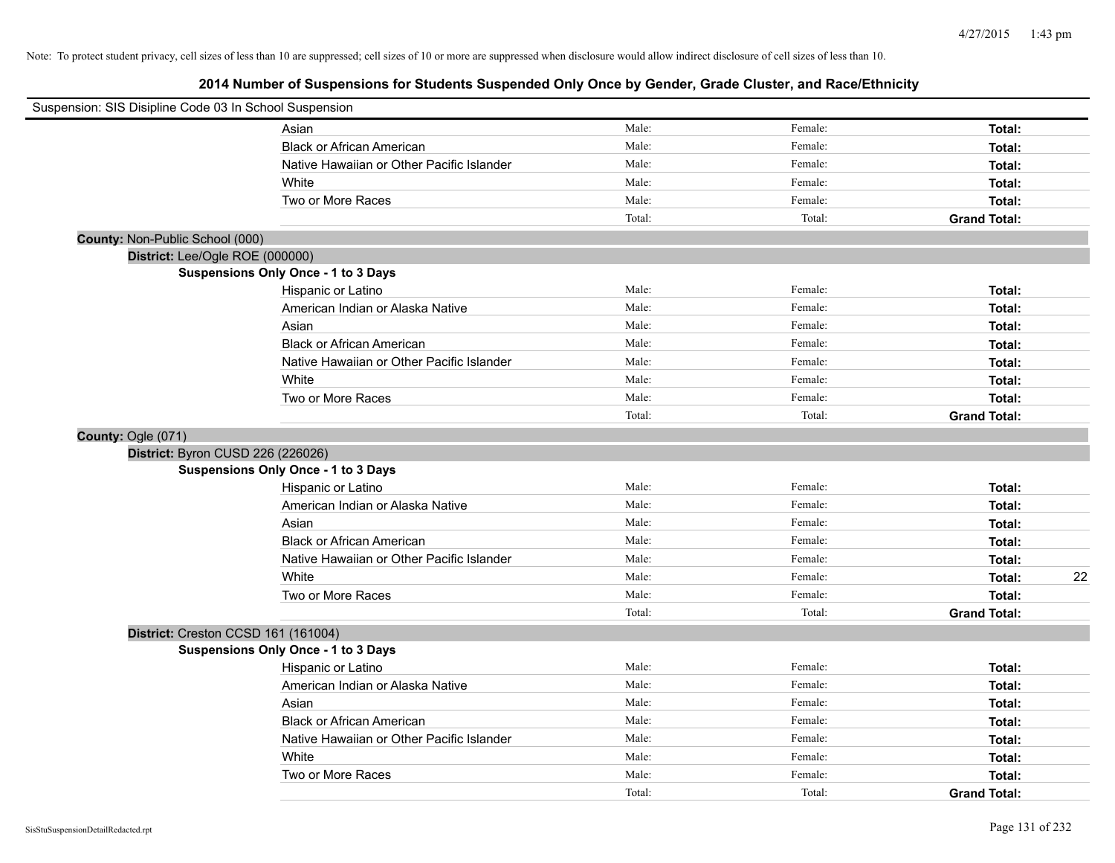| Suspension: SIS Disipline Code 03 In School Suspension |                                            |        |         |                     |    |
|--------------------------------------------------------|--------------------------------------------|--------|---------|---------------------|----|
|                                                        | Asian                                      | Male:  | Female: | Total:              |    |
|                                                        | <b>Black or African American</b>           | Male:  | Female: | Total:              |    |
|                                                        | Native Hawaiian or Other Pacific Islander  | Male:  | Female: | Total:              |    |
|                                                        | White                                      | Male:  | Female: | Total:              |    |
|                                                        | Two or More Races                          | Male:  | Female: | Total:              |    |
|                                                        |                                            | Total: | Total:  | <b>Grand Total:</b> |    |
| County: Non-Public School (000)                        |                                            |        |         |                     |    |
| District: Lee/Ogle ROE (000000)                        |                                            |        |         |                     |    |
|                                                        | <b>Suspensions Only Once - 1 to 3 Days</b> |        |         |                     |    |
|                                                        | Hispanic or Latino                         | Male:  | Female: | Total:              |    |
|                                                        | American Indian or Alaska Native           | Male:  | Female: | Total:              |    |
|                                                        | Asian                                      | Male:  | Female: | Total:              |    |
|                                                        | <b>Black or African American</b>           | Male:  | Female: | Total:              |    |
|                                                        | Native Hawaiian or Other Pacific Islander  | Male:  | Female: | Total:              |    |
|                                                        | White                                      | Male:  | Female: | Total:              |    |
|                                                        | Two or More Races                          | Male:  | Female: | Total:              |    |
|                                                        |                                            | Total: | Total:  | <b>Grand Total:</b> |    |
| County: Ogle (071)                                     |                                            |        |         |                     |    |
| District: Byron CUSD 226 (226026)                      |                                            |        |         |                     |    |
|                                                        | <b>Suspensions Only Once - 1 to 3 Days</b> |        |         |                     |    |
|                                                        | Hispanic or Latino                         | Male:  | Female: | Total:              |    |
|                                                        | American Indian or Alaska Native           | Male:  | Female: | Total:              |    |
|                                                        | Asian                                      | Male:  | Female: | Total:              |    |
|                                                        | <b>Black or African American</b>           | Male:  | Female: | Total:              |    |
|                                                        | Native Hawaiian or Other Pacific Islander  | Male:  | Female: | Total:              |    |
|                                                        | White                                      | Male:  | Female: | Total:              | 22 |
|                                                        | Two or More Races                          | Male:  | Female: | Total:              |    |
|                                                        |                                            | Total: | Total:  | <b>Grand Total:</b> |    |
| District: Creston CCSD 161 (161004)                    |                                            |        |         |                     |    |
|                                                        | <b>Suspensions Only Once - 1 to 3 Days</b> |        |         |                     |    |
|                                                        | Hispanic or Latino                         | Male:  | Female: | Total:              |    |
|                                                        | American Indian or Alaska Native           | Male:  | Female: | Total:              |    |
|                                                        | Asian                                      | Male:  | Female: | Total:              |    |
|                                                        | <b>Black or African American</b>           | Male:  | Female: | Total:              |    |
|                                                        | Native Hawaiian or Other Pacific Islander  | Male:  | Female: | Total:              |    |
|                                                        | White                                      | Male:  | Female: | Total:              |    |
|                                                        | Two or More Races                          | Male:  | Female: | Total:              |    |
|                                                        |                                            | Total: | Total:  | <b>Grand Total:</b> |    |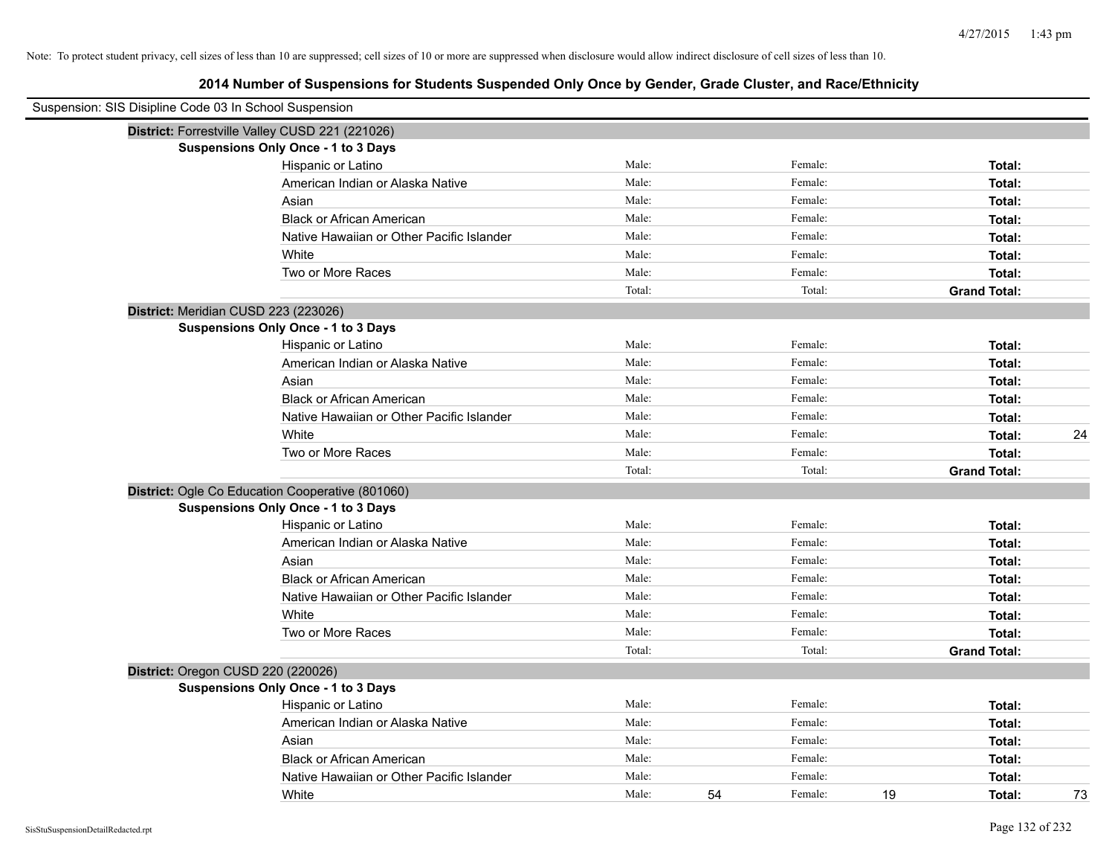| Suspension: SIS Disipline Code 03 In School Suspension |                                                  |        |    |         |    |                     |    |
|--------------------------------------------------------|--------------------------------------------------|--------|----|---------|----|---------------------|----|
|                                                        | District: Forrestville Valley CUSD 221 (221026)  |        |    |         |    |                     |    |
|                                                        | <b>Suspensions Only Once - 1 to 3 Days</b>       |        |    |         |    |                     |    |
|                                                        | Hispanic or Latino                               | Male:  |    | Female: |    | Total:              |    |
|                                                        | American Indian or Alaska Native                 | Male:  |    | Female: |    | Total:              |    |
|                                                        | Asian                                            | Male:  |    | Female: |    | Total:              |    |
|                                                        | <b>Black or African American</b>                 | Male:  |    | Female: |    | Total:              |    |
|                                                        | Native Hawaiian or Other Pacific Islander        | Male:  |    | Female: |    | Total:              |    |
|                                                        | White                                            | Male:  |    | Female: |    | Total:              |    |
|                                                        | Two or More Races                                | Male:  |    | Female: |    | Total:              |    |
|                                                        |                                                  | Total: |    | Total:  |    | <b>Grand Total:</b> |    |
|                                                        | District: Meridian CUSD 223 (223026)             |        |    |         |    |                     |    |
|                                                        | Suspensions Only Once - 1 to 3 Days              |        |    |         |    |                     |    |
|                                                        | Hispanic or Latino                               | Male:  |    | Female: |    | Total:              |    |
|                                                        | American Indian or Alaska Native                 | Male:  |    | Female: |    | Total:              |    |
|                                                        | Asian                                            | Male:  |    | Female: |    | Total:              |    |
|                                                        | <b>Black or African American</b>                 | Male:  |    | Female: |    | Total:              |    |
|                                                        | Native Hawaiian or Other Pacific Islander        | Male:  |    | Female: |    | Total:              |    |
|                                                        | White                                            | Male:  |    | Female: |    | Total:              | 24 |
|                                                        | Two or More Races                                | Male:  |    | Female: |    | Total:              |    |
|                                                        |                                                  | Total: |    | Total:  |    | <b>Grand Total:</b> |    |
|                                                        | District: Ogle Co Education Cooperative (801060) |        |    |         |    |                     |    |
|                                                        | <b>Suspensions Only Once - 1 to 3 Days</b>       |        |    |         |    |                     |    |
|                                                        | Hispanic or Latino                               | Male:  |    | Female: |    | Total:              |    |
|                                                        | American Indian or Alaska Native                 | Male:  |    | Female: |    | Total:              |    |
|                                                        | Asian                                            | Male:  |    | Female: |    | Total:              |    |
|                                                        | <b>Black or African American</b>                 | Male:  |    | Female: |    | Total:              |    |
|                                                        | Native Hawaiian or Other Pacific Islander        | Male:  |    | Female: |    | Total:              |    |
|                                                        | White                                            | Male:  |    | Female: |    | Total:              |    |
|                                                        | Two or More Races                                | Male:  |    | Female: |    | Total:              |    |
|                                                        |                                                  | Total: |    | Total:  |    | <b>Grand Total:</b> |    |
|                                                        | District: Oregon CUSD 220 (220026)               |        |    |         |    |                     |    |
|                                                        | <b>Suspensions Only Once - 1 to 3 Days</b>       |        |    |         |    |                     |    |
|                                                        | Hispanic or Latino                               | Male:  |    | Female: |    | Total:              |    |
|                                                        | American Indian or Alaska Native                 | Male:  |    | Female: |    | Total:              |    |
|                                                        | Asian                                            | Male:  |    | Female: |    | Total:              |    |
|                                                        | <b>Black or African American</b>                 | Male:  |    | Female: |    | Total:              |    |
|                                                        | Native Hawaiian or Other Pacific Islander        | Male:  |    | Female: |    | Total:              |    |
|                                                        | White                                            | Male:  | 54 | Female: | 19 | Total:              | 73 |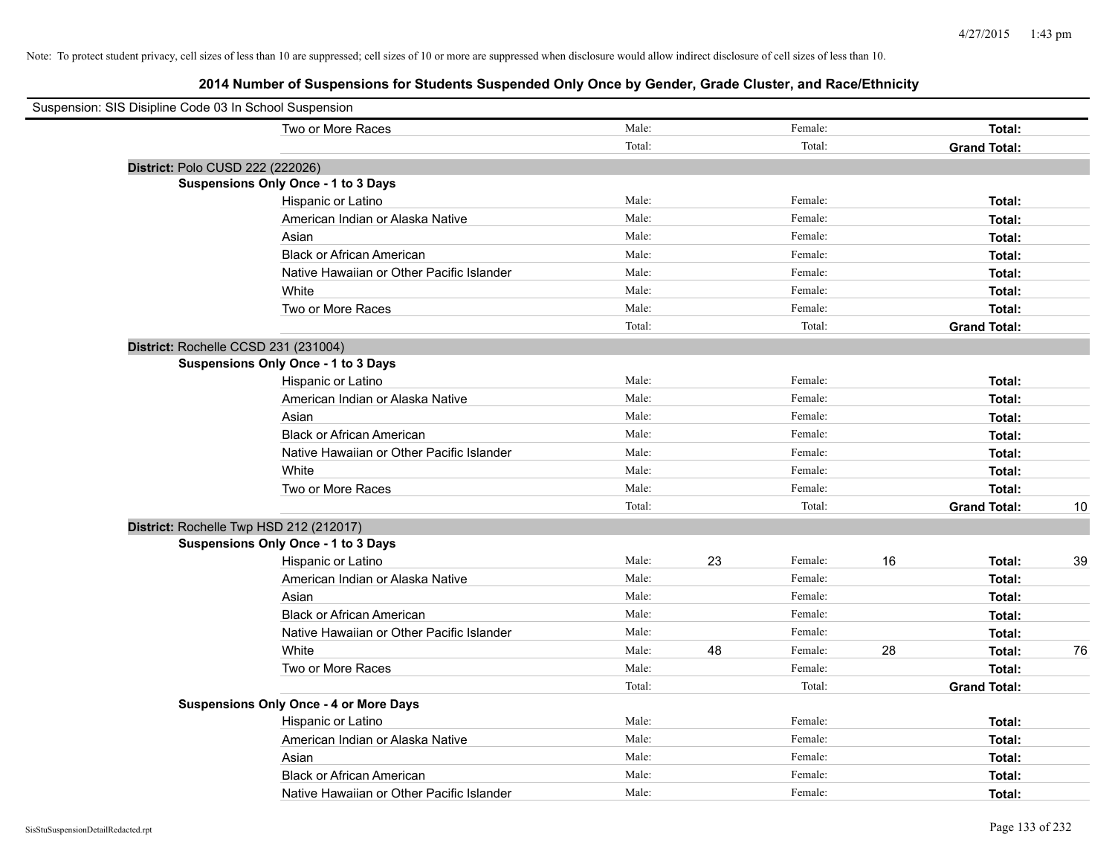| Suspension: SIS Disipline Code 03 In School Suspension |                                               |        |    |         |    |                     |    |
|--------------------------------------------------------|-----------------------------------------------|--------|----|---------|----|---------------------|----|
|                                                        | Two or More Races                             | Male:  |    | Female: |    | Total:              |    |
|                                                        |                                               | Total: |    | Total:  |    | <b>Grand Total:</b> |    |
| District: Polo CUSD 222 (222026)                       |                                               |        |    |         |    |                     |    |
|                                                        | Suspensions Only Once - 1 to 3 Days           |        |    |         |    |                     |    |
|                                                        | Hispanic or Latino                            | Male:  |    | Female: |    | Total:              |    |
|                                                        | American Indian or Alaska Native              | Male:  |    | Female: |    | Total:              |    |
|                                                        | Asian                                         | Male:  |    | Female: |    | Total:              |    |
|                                                        | <b>Black or African American</b>              | Male:  |    | Female: |    | Total:              |    |
|                                                        | Native Hawaiian or Other Pacific Islander     | Male:  |    | Female: |    | Total:              |    |
|                                                        | White                                         | Male:  |    | Female: |    | Total:              |    |
|                                                        | Two or More Races                             | Male:  |    | Female: |    | Total:              |    |
|                                                        |                                               | Total: |    | Total:  |    | <b>Grand Total:</b> |    |
| District: Rochelle CCSD 231 (231004)                   |                                               |        |    |         |    |                     |    |
|                                                        | Suspensions Only Once - 1 to 3 Days           |        |    |         |    |                     |    |
|                                                        | Hispanic or Latino                            | Male:  |    | Female: |    | Total:              |    |
|                                                        | American Indian or Alaska Native              | Male:  |    | Female: |    | Total:              |    |
|                                                        | Asian                                         | Male:  |    | Female: |    | Total:              |    |
|                                                        | <b>Black or African American</b>              | Male:  |    | Female: |    | Total:              |    |
|                                                        | Native Hawaiian or Other Pacific Islander     | Male:  |    | Female: |    | Total:              |    |
|                                                        | White                                         | Male:  |    | Female: |    | Total:              |    |
|                                                        | Two or More Races                             | Male:  |    | Female: |    | Total:              |    |
|                                                        |                                               | Total: |    | Total:  |    | <b>Grand Total:</b> | 10 |
| District: Rochelle Twp HSD 212 (212017)                |                                               |        |    |         |    |                     |    |
|                                                        | Suspensions Only Once - 1 to 3 Days           |        |    |         |    |                     |    |
|                                                        | Hispanic or Latino                            | Male:  | 23 | Female: | 16 | Total:              | 39 |
|                                                        | American Indian or Alaska Native              | Male:  |    | Female: |    | Total:              |    |
|                                                        | Asian                                         | Male:  |    | Female: |    | Total:              |    |
|                                                        | <b>Black or African American</b>              | Male:  |    | Female: |    | Total:              |    |
|                                                        | Native Hawaiian or Other Pacific Islander     | Male:  |    | Female: |    | Total:              |    |
|                                                        | White                                         | Male:  | 48 | Female: | 28 | Total:              | 76 |
|                                                        | Two or More Races                             | Male:  |    | Female: |    | Total:              |    |
|                                                        |                                               | Total: |    | Total:  |    | <b>Grand Total:</b> |    |
|                                                        | <b>Suspensions Only Once - 4 or More Days</b> |        |    |         |    |                     |    |
|                                                        | Hispanic or Latino                            | Male:  |    | Female: |    | Total:              |    |
|                                                        | American Indian or Alaska Native              | Male:  |    | Female: |    | Total:              |    |
|                                                        | Asian                                         | Male:  |    | Female: |    | Total:              |    |
|                                                        | <b>Black or African American</b>              | Male:  |    | Female: |    | Total:              |    |
|                                                        | Native Hawaiian or Other Pacific Islander     | Male:  |    | Female: |    | Total:              |    |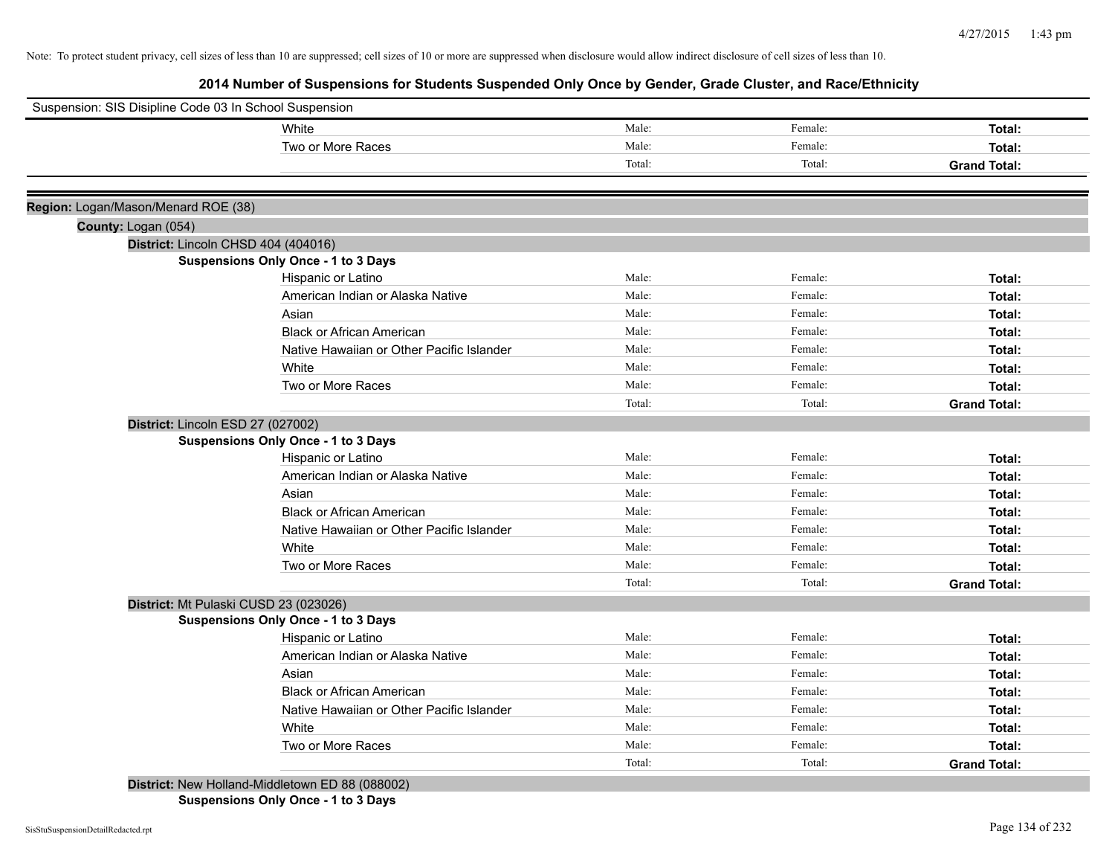| Suspension: SIS Disipline Code 03 In School Suspension |                                                 |        |         |                     |
|--------------------------------------------------------|-------------------------------------------------|--------|---------|---------------------|
|                                                        | White                                           | Male:  | Female: | Total:              |
|                                                        | Two or More Races                               | Male:  | Female: | Total:              |
|                                                        |                                                 | Total: | Total:  | <b>Grand Total:</b> |
| Region: Logan/Mason/Menard ROE (38)                    |                                                 |        |         |                     |
| County: Logan (054)                                    |                                                 |        |         |                     |
| District: Lincoln CHSD 404 (404016)                    |                                                 |        |         |                     |
|                                                        | <b>Suspensions Only Once - 1 to 3 Days</b>      |        |         |                     |
|                                                        | Hispanic or Latino                              | Male:  | Female: | Total:              |
|                                                        | American Indian or Alaska Native                | Male:  | Female: | Total:              |
|                                                        | Asian                                           | Male:  | Female: | Total:              |
|                                                        | <b>Black or African American</b>                | Male:  | Female: | Total:              |
|                                                        | Native Hawaiian or Other Pacific Islander       | Male:  | Female: | Total:              |
|                                                        | White                                           | Male:  | Female: | Total:              |
|                                                        | Two or More Races                               | Male:  | Female: | Total:              |
|                                                        |                                                 | Total: | Total:  | <b>Grand Total:</b> |
| District: Lincoln ESD 27 (027002)                      |                                                 |        |         |                     |
|                                                        | <b>Suspensions Only Once - 1 to 3 Days</b>      |        |         |                     |
|                                                        | Hispanic or Latino                              | Male:  | Female: | Total:              |
|                                                        | American Indian or Alaska Native                | Male:  | Female: | Total:              |
|                                                        | Asian                                           | Male:  | Female: | Total:              |
|                                                        | <b>Black or African American</b>                | Male:  | Female: | Total:              |
|                                                        | Native Hawaiian or Other Pacific Islander       | Male:  | Female: | Total:              |
|                                                        | White                                           | Male:  | Female: | Total:              |
|                                                        | Two or More Races                               | Male:  | Female: | Total:              |
|                                                        |                                                 | Total: | Total:  | <b>Grand Total:</b> |
| District: Mt Pulaski CUSD 23 (023026)                  |                                                 |        |         |                     |
|                                                        | <b>Suspensions Only Once - 1 to 3 Days</b>      |        |         |                     |
|                                                        | Hispanic or Latino                              | Male:  | Female: | Total:              |
|                                                        | American Indian or Alaska Native                | Male:  | Female: | Total:              |
|                                                        | Asian                                           | Male:  | Female: | Total:              |
|                                                        | <b>Black or African American</b>                | Male:  | Female: | Total:              |
|                                                        | Native Hawaiian or Other Pacific Islander       | Male:  | Female: | Total:              |
|                                                        | White                                           | Male:  | Female: | Total:              |
|                                                        | Two or More Races                               | Male:  | Female: | Total:              |
|                                                        |                                                 | Total: | Total:  | <b>Grand Total:</b> |
|                                                        | District: New Holland-Middletown ED 88 (088002) |        |         |                     |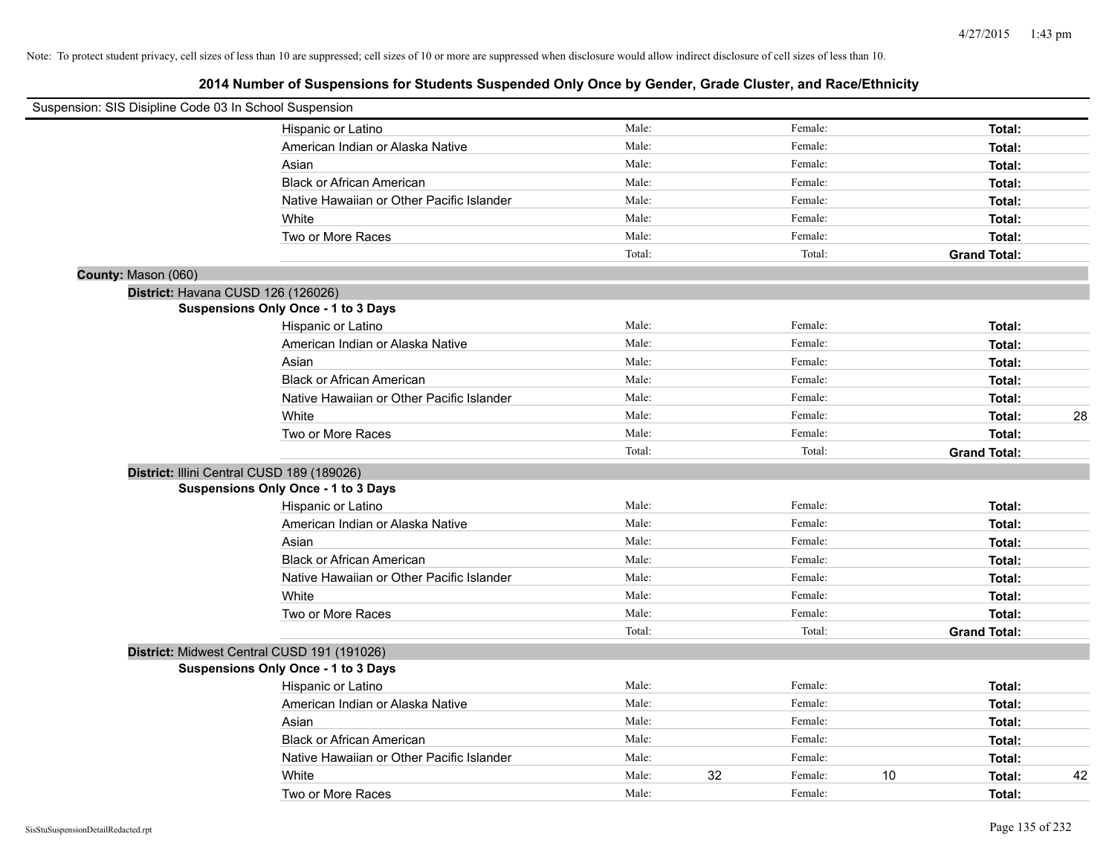| Suspension: SIS Disipline Code 03 In School Suspension |                                             |        |               |                     |    |
|--------------------------------------------------------|---------------------------------------------|--------|---------------|---------------------|----|
|                                                        | Hispanic or Latino                          | Male:  | Female:       | Total:              |    |
|                                                        | American Indian or Alaska Native            | Male:  | Female:       | Total:              |    |
|                                                        | Asian                                       | Male:  | Female:       | Total:              |    |
|                                                        | <b>Black or African American</b>            | Male:  | Female:       | Total:              |    |
|                                                        | Native Hawaiian or Other Pacific Islander   | Male:  | Female:       | Total:              |    |
|                                                        | White                                       | Male:  | Female:       | Total:              |    |
|                                                        | Two or More Races                           | Male:  | Female:       | Total:              |    |
|                                                        |                                             | Total: | Total:        | <b>Grand Total:</b> |    |
| County: Mason (060)                                    |                                             |        |               |                     |    |
| District: Havana CUSD 126 (126026)                     |                                             |        |               |                     |    |
|                                                        | <b>Suspensions Only Once - 1 to 3 Days</b>  |        |               |                     |    |
|                                                        | Hispanic or Latino                          | Male:  | Female:       | Total:              |    |
|                                                        | American Indian or Alaska Native            | Male:  | Female:       | Total:              |    |
|                                                        | Asian                                       | Male:  | Female:       | Total:              |    |
|                                                        | <b>Black or African American</b>            | Male:  | Female:       | Total:              |    |
|                                                        | Native Hawaiian or Other Pacific Islander   | Male:  | Female:       | Total:              |    |
|                                                        | White                                       | Male:  | Female:       | Total:              | 28 |
|                                                        | Two or More Races                           | Male:  | Female:       | Total:              |    |
|                                                        |                                             | Total: | Total:        | <b>Grand Total:</b> |    |
|                                                        | District: Illini Central CUSD 189 (189026)  |        |               |                     |    |
|                                                        | Suspensions Only Once - 1 to 3 Days         |        |               |                     |    |
|                                                        | Hispanic or Latino                          | Male:  | Female:       | Total:              |    |
|                                                        | American Indian or Alaska Native            | Male:  | Female:       | Total:              |    |
|                                                        | Asian                                       | Male:  | Female:       | Total:              |    |
|                                                        | <b>Black or African American</b>            | Male:  | Female:       | Total:              |    |
|                                                        | Native Hawaiian or Other Pacific Islander   | Male:  | Female:       | Total:              |    |
|                                                        | White                                       | Male:  | Female:       | Total:              |    |
|                                                        | Two or More Races                           | Male:  | Female:       | Total:              |    |
|                                                        |                                             | Total: | Total:        | <b>Grand Total:</b> |    |
|                                                        | District: Midwest Central CUSD 191 (191026) |        |               |                     |    |
|                                                        | Suspensions Only Once - 1 to 3 Days         |        |               |                     |    |
|                                                        | Hispanic or Latino                          | Male:  | Female:       | Total:              |    |
|                                                        | American Indian or Alaska Native            | Male:  | Female:       | Total:              |    |
|                                                        | Asian                                       | Male:  | Female:       | Total:              |    |
|                                                        | <b>Black or African American</b>            | Male:  | Female:       | Total:              |    |
|                                                        | Native Hawaiian or Other Pacific Islander   | Male:  | Female:       | Total:              |    |
|                                                        | White                                       | Male:  | 32<br>Female: | 10<br>Total:        | 42 |
|                                                        | Two or More Races                           | Male:  | Female:       | Total:              |    |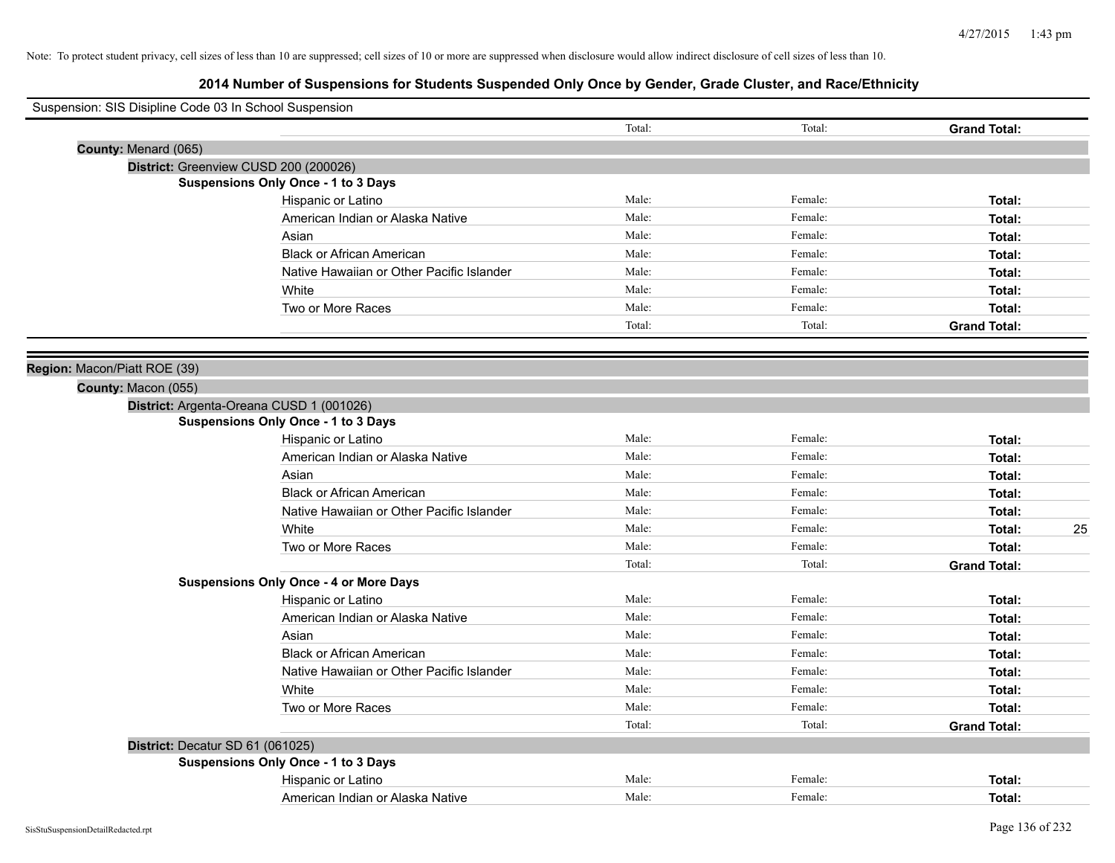| Suspension: SIS Disipline Code 03 In School Suspension |                                               |        |         |                     |
|--------------------------------------------------------|-----------------------------------------------|--------|---------|---------------------|
|                                                        |                                               | Total: | Total:  | <b>Grand Total:</b> |
| County: Menard (065)                                   |                                               |        |         |                     |
|                                                        | District: Greenview CUSD 200 (200026)         |        |         |                     |
|                                                        | <b>Suspensions Only Once - 1 to 3 Days</b>    |        |         |                     |
|                                                        | Hispanic or Latino                            | Male:  | Female: | Total:              |
|                                                        | American Indian or Alaska Native              | Male:  | Female: | Total:              |
|                                                        | Asian                                         | Male:  | Female: | Total:              |
|                                                        | <b>Black or African American</b>              | Male:  | Female: | Total:              |
|                                                        | Native Hawaiian or Other Pacific Islander     | Male:  | Female: | Total:              |
|                                                        | White                                         | Male:  | Female: | Total:              |
|                                                        | Two or More Races                             | Male:  | Female: | Total:              |
|                                                        |                                               | Total: | Total:  | <b>Grand Total:</b> |
|                                                        |                                               |        |         |                     |
| Region: Macon/Piatt ROE (39)                           |                                               |        |         |                     |
| County: Macon (055)                                    |                                               |        |         |                     |
|                                                        | District: Argenta-Oreana CUSD 1 (001026)      |        |         |                     |
|                                                        | <b>Suspensions Only Once - 1 to 3 Days</b>    |        |         |                     |
|                                                        | Hispanic or Latino                            | Male:  | Female: | Total:              |
|                                                        | American Indian or Alaska Native              | Male:  | Female: | Total:              |
|                                                        | Asian                                         | Male:  | Female: | Total:              |
|                                                        | <b>Black or African American</b>              | Male:  | Female: | Total:              |
|                                                        | Native Hawaiian or Other Pacific Islander     | Male:  | Female: | Total:              |
|                                                        | White                                         | Male:  | Female: | 25<br>Total:        |
|                                                        | Two or More Races                             | Male:  | Female: | Total:              |
|                                                        |                                               | Total: | Total:  | <b>Grand Total:</b> |
|                                                        | <b>Suspensions Only Once - 4 or More Days</b> |        |         |                     |
|                                                        | Hispanic or Latino                            | Male:  | Female: | Total:              |
|                                                        | American Indian or Alaska Native              | Male:  | Female: | Total:              |
|                                                        | Asian                                         | Male:  | Female: | Total:              |
|                                                        | <b>Black or African American</b>              | Male:  | Female: | Total:              |
|                                                        | Native Hawaiian or Other Pacific Islander     | Male:  | Female: | Total:              |
|                                                        | White                                         | Male:  | Female: | Total:              |
|                                                        | Two or More Races                             | Male:  | Female: | Total:              |
|                                                        |                                               | Total: | Total:  | <b>Grand Total:</b> |
| District: Decatur SD 61 (061025)                       |                                               |        |         |                     |
|                                                        | <b>Suspensions Only Once - 1 to 3 Days</b>    |        |         |                     |
|                                                        | Hispanic or Latino                            | Male:  | Female: | Total:              |
|                                                        | American Indian or Alaska Native              | Male:  | Female: | Total:              |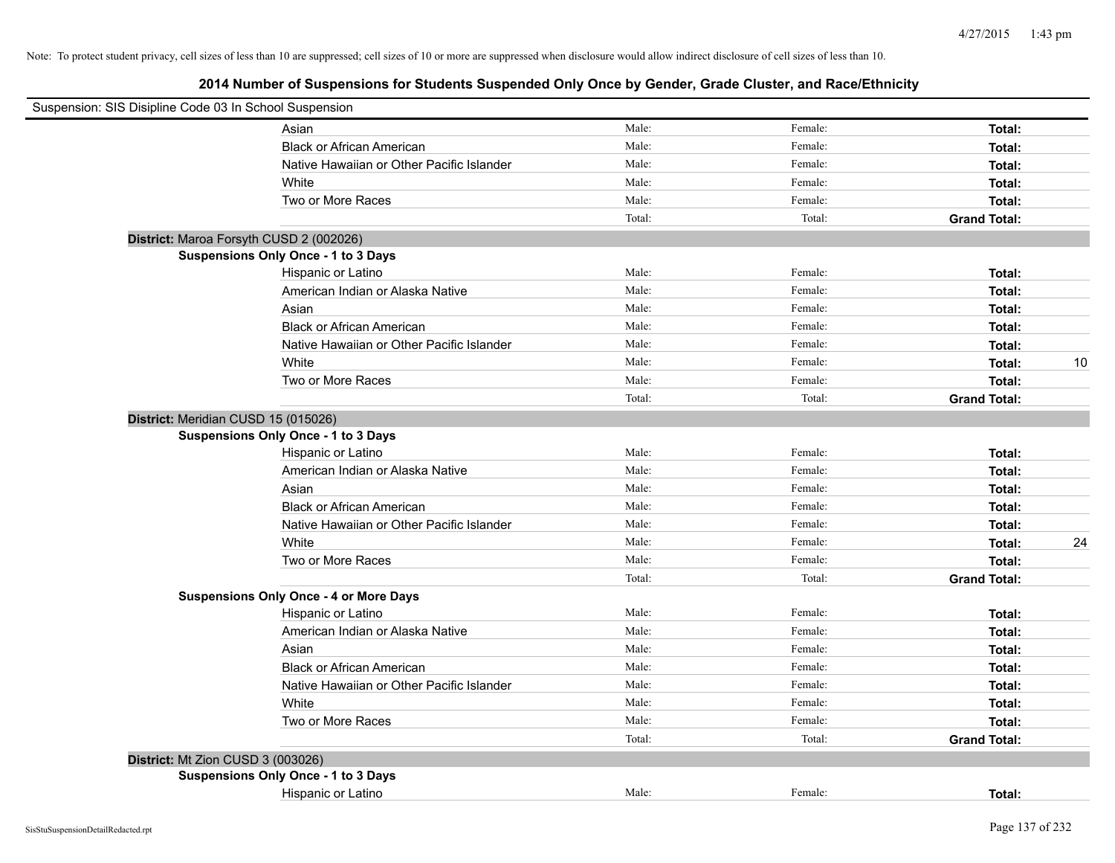| Suspension: SIS Disipline Code 03 In School Suspension |                                           |        |         |                     |    |
|--------------------------------------------------------|-------------------------------------------|--------|---------|---------------------|----|
| Asian                                                  |                                           | Male:  | Female: | Total:              |    |
|                                                        | <b>Black or African American</b>          | Male:  | Female: | Total:              |    |
|                                                        | Native Hawaiian or Other Pacific Islander | Male:  | Female: | Total:              |    |
| White                                                  |                                           | Male:  | Female: | Total:              |    |
| Two or More Races                                      |                                           | Male:  | Female: | Total:              |    |
|                                                        |                                           | Total: | Total:  | <b>Grand Total:</b> |    |
| District: Maroa Forsyth CUSD 2 (002026)                |                                           |        |         |                     |    |
| Suspensions Only Once - 1 to 3 Days                    |                                           |        |         |                     |    |
| Hispanic or Latino                                     |                                           | Male:  | Female: | Total:              |    |
|                                                        | American Indian or Alaska Native          | Male:  | Female: | Total:              |    |
| Asian                                                  |                                           | Male:  | Female: | Total:              |    |
|                                                        | <b>Black or African American</b>          | Male:  | Female: | Total:              |    |
|                                                        | Native Hawaiian or Other Pacific Islander | Male:  | Female: | Total:              |    |
| White                                                  |                                           | Male:  | Female: | Total:              | 10 |
| Two or More Races                                      |                                           | Male:  | Female: | Total:              |    |
|                                                        |                                           | Total: | Total:  | <b>Grand Total:</b> |    |
| District: Meridian CUSD 15 (015026)                    |                                           |        |         |                     |    |
| <b>Suspensions Only Once - 1 to 3 Days</b>             |                                           |        |         |                     |    |
| Hispanic or Latino                                     |                                           | Male:  | Female: | Total:              |    |
|                                                        | American Indian or Alaska Native          | Male:  | Female: | Total:              |    |
| Asian                                                  |                                           | Male:  | Female: | Total:              |    |
|                                                        | <b>Black or African American</b>          | Male:  | Female: | Total:              |    |
|                                                        | Native Hawaiian or Other Pacific Islander | Male:  | Female: | Total:              |    |
| White                                                  |                                           | Male:  | Female: | Total:              | 24 |
| Two or More Races                                      |                                           | Male:  | Female: | Total:              |    |
|                                                        |                                           | Total: | Total:  | <b>Grand Total:</b> |    |
| <b>Suspensions Only Once - 4 or More Days</b>          |                                           |        |         |                     |    |
| Hispanic or Latino                                     |                                           | Male:  | Female: | Total:              |    |
|                                                        | American Indian or Alaska Native          | Male:  | Female: | Total:              |    |
| Asian                                                  |                                           | Male:  | Female: | Total:              |    |
|                                                        | <b>Black or African American</b>          | Male:  | Female: | Total:              |    |
|                                                        | Native Hawaiian or Other Pacific Islander | Male:  | Female: | Total:              |    |
| White                                                  |                                           | Male:  | Female: | Total:              |    |
| Two or More Races                                      |                                           | Male:  | Female: | Total:              |    |
|                                                        |                                           | Total: | Total:  | <b>Grand Total:</b> |    |
| District: Mt Zion CUSD 3 (003026)                      |                                           |        |         |                     |    |
| Suspensions Only Once - 1 to 3 Days                    |                                           |        |         |                     |    |
| Hispanic or Latino                                     |                                           | Male:  | Female: | Total:              |    |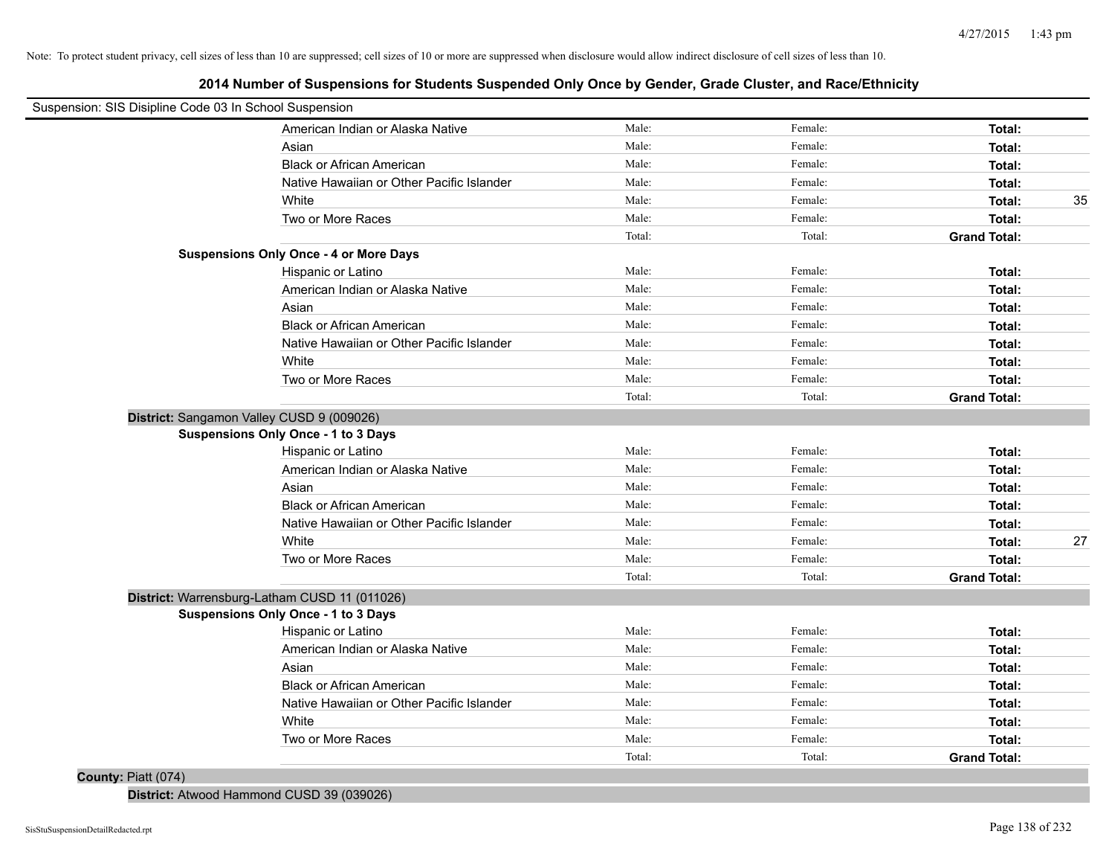**2014 Number of Suspensions for Students Suspended Only Once by Gender, Grade Cluster, and Race/Ethnicity**

| Suspension: SIS Disipline Code 03 In School Suspension |                                               |        |         |                     |    |
|--------------------------------------------------------|-----------------------------------------------|--------|---------|---------------------|----|
|                                                        | American Indian or Alaska Native              | Male:  | Female: | Total:              |    |
|                                                        | Asian                                         | Male:  | Female: | Total:              |    |
|                                                        | <b>Black or African American</b>              | Male:  | Female: | Total:              |    |
|                                                        | Native Hawaiian or Other Pacific Islander     | Male:  | Female: | Total:              |    |
|                                                        | White                                         | Male:  | Female: | Total:              | 35 |
|                                                        | Two or More Races                             | Male:  | Female: | Total:              |    |
|                                                        |                                               | Total: | Total:  | <b>Grand Total:</b> |    |
|                                                        | <b>Suspensions Only Once - 4 or More Days</b> |        |         |                     |    |
|                                                        | Hispanic or Latino                            | Male:  | Female: | Total:              |    |
|                                                        | American Indian or Alaska Native              | Male:  | Female: | Total:              |    |
|                                                        | Asian                                         | Male:  | Female: | Total:              |    |
|                                                        | <b>Black or African American</b>              | Male:  | Female: | Total:              |    |
|                                                        | Native Hawaiian or Other Pacific Islander     | Male:  | Female: | Total:              |    |
|                                                        | White                                         | Male:  | Female: | Total:              |    |
|                                                        | Two or More Races                             | Male:  | Female: | Total:              |    |
|                                                        |                                               | Total: | Total:  | <b>Grand Total:</b> |    |
| District: Sangamon Valley CUSD 9 (009026)              |                                               |        |         |                     |    |
|                                                        | <b>Suspensions Only Once - 1 to 3 Days</b>    |        |         |                     |    |
|                                                        | Hispanic or Latino                            | Male:  | Female: | Total:              |    |
|                                                        | American Indian or Alaska Native              | Male:  | Female: | Total:              |    |
|                                                        | Asian                                         | Male:  | Female: | Total:              |    |
|                                                        | <b>Black or African American</b>              | Male:  | Female: | Total:              |    |
|                                                        | Native Hawaiian or Other Pacific Islander     | Male:  | Female: | Total:              |    |
|                                                        | White                                         | Male:  | Female: | Total:              | 27 |
|                                                        | Two or More Races                             | Male:  | Female: | Total:              |    |
|                                                        |                                               | Total: | Total:  | <b>Grand Total:</b> |    |
|                                                        | District: Warrensburg-Latham CUSD 11 (011026) |        |         |                     |    |
|                                                        | <b>Suspensions Only Once - 1 to 3 Days</b>    |        |         |                     |    |
|                                                        | Hispanic or Latino                            | Male:  | Female: | Total:              |    |
|                                                        | American Indian or Alaska Native              | Male:  | Female: | Total:              |    |
|                                                        | Asian                                         | Male:  | Female: | Total:              |    |
|                                                        | <b>Black or African American</b>              | Male:  | Female: | Total:              |    |
|                                                        | Native Hawaiian or Other Pacific Islander     | Male:  | Female: | Total:              |    |
|                                                        | White                                         | Male:  | Female: | Total:              |    |
|                                                        | Two or More Races                             | Male:  | Female: | Total:              |    |
|                                                        |                                               | Total: | Total:  | <b>Grand Total:</b> |    |
| County: Piatt (074)                                    |                                               |        |         |                     |    |

**District:** Atwood Hammond CUSD 39 (039026)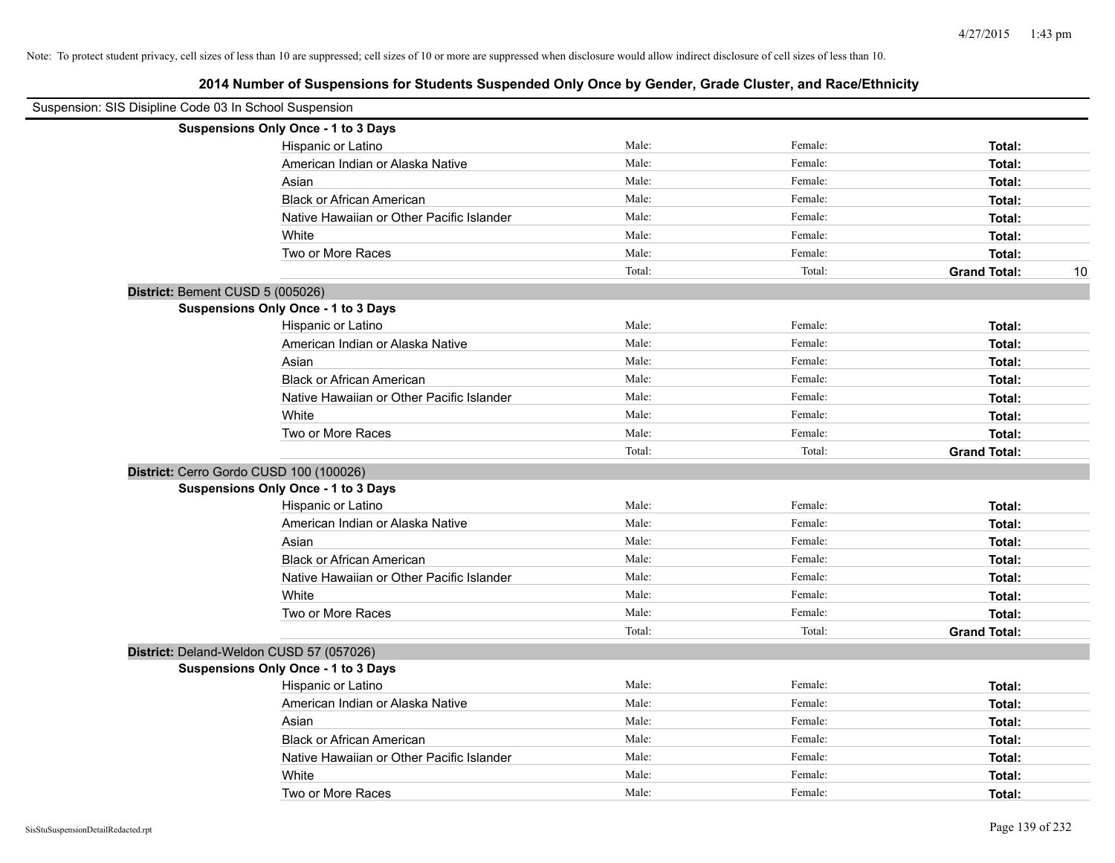| Suspension: SIS Disipline Code 03 In School Suspension |                                            |        |         |                     |    |
|--------------------------------------------------------|--------------------------------------------|--------|---------|---------------------|----|
|                                                        | Suspensions Only Once - 1 to 3 Days        |        |         |                     |    |
|                                                        | Hispanic or Latino                         | Male:  | Female: | Total:              |    |
|                                                        | American Indian or Alaska Native           | Male:  | Female: | Total:              |    |
|                                                        | Asian                                      | Male:  | Female: | Total:              |    |
|                                                        | <b>Black or African American</b>           | Male:  | Female: | Total:              |    |
|                                                        | Native Hawaiian or Other Pacific Islander  | Male:  | Female: | Total:              |    |
|                                                        | White                                      | Male:  | Female: | Total:              |    |
|                                                        | Two or More Races                          | Male:  | Female: | Total:              |    |
|                                                        |                                            | Total: | Total:  | <b>Grand Total:</b> | 10 |
| District: Bement CUSD 5 (005026)                       |                                            |        |         |                     |    |
|                                                        | <b>Suspensions Only Once - 1 to 3 Days</b> |        |         |                     |    |
|                                                        | Hispanic or Latino                         | Male:  | Female: | Total:              |    |
|                                                        | American Indian or Alaska Native           | Male:  | Female: | Total:              |    |
|                                                        | Asian                                      | Male:  | Female: | Total:              |    |
|                                                        | <b>Black or African American</b>           | Male:  | Female: | Total:              |    |
|                                                        | Native Hawaiian or Other Pacific Islander  | Male:  | Female: | Total:              |    |
|                                                        | White                                      | Male:  | Female: | Total:              |    |
|                                                        | Two or More Races                          | Male:  | Female: | Total:              |    |
|                                                        |                                            | Total: | Total:  | <b>Grand Total:</b> |    |
|                                                        | District: Cerro Gordo CUSD 100 (100026)    |        |         |                     |    |
|                                                        | Suspensions Only Once - 1 to 3 Days        |        |         |                     |    |
|                                                        | Hispanic or Latino                         | Male:  | Female: | Total:              |    |
|                                                        | American Indian or Alaska Native           | Male:  | Female: | Total:              |    |
|                                                        | Asian                                      | Male:  | Female: | Total:              |    |
|                                                        | <b>Black or African American</b>           | Male:  | Female: | Total:              |    |
|                                                        | Native Hawaiian or Other Pacific Islander  | Male:  | Female: | Total:              |    |
|                                                        | White                                      | Male:  | Female: | Total:              |    |
|                                                        | Two or More Races                          | Male:  | Female: | Total:              |    |
|                                                        |                                            | Total: | Total:  | <b>Grand Total:</b> |    |
|                                                        | District: Deland-Weldon CUSD 57 (057026)   |        |         |                     |    |
|                                                        | Suspensions Only Once - 1 to 3 Days        |        |         |                     |    |
|                                                        | Hispanic or Latino                         | Male:  | Female: | Total:              |    |
|                                                        | American Indian or Alaska Native           | Male:  | Female: | Total:              |    |
|                                                        | Asian                                      | Male:  | Female: | Total:              |    |
|                                                        | <b>Black or African American</b>           | Male:  | Female: | Total:              |    |
|                                                        | Native Hawaiian or Other Pacific Islander  | Male:  | Female: | Total:              |    |
|                                                        | White                                      | Male:  | Female: | Total:              |    |
|                                                        | Two or More Races                          | Male:  | Female: | Total:              |    |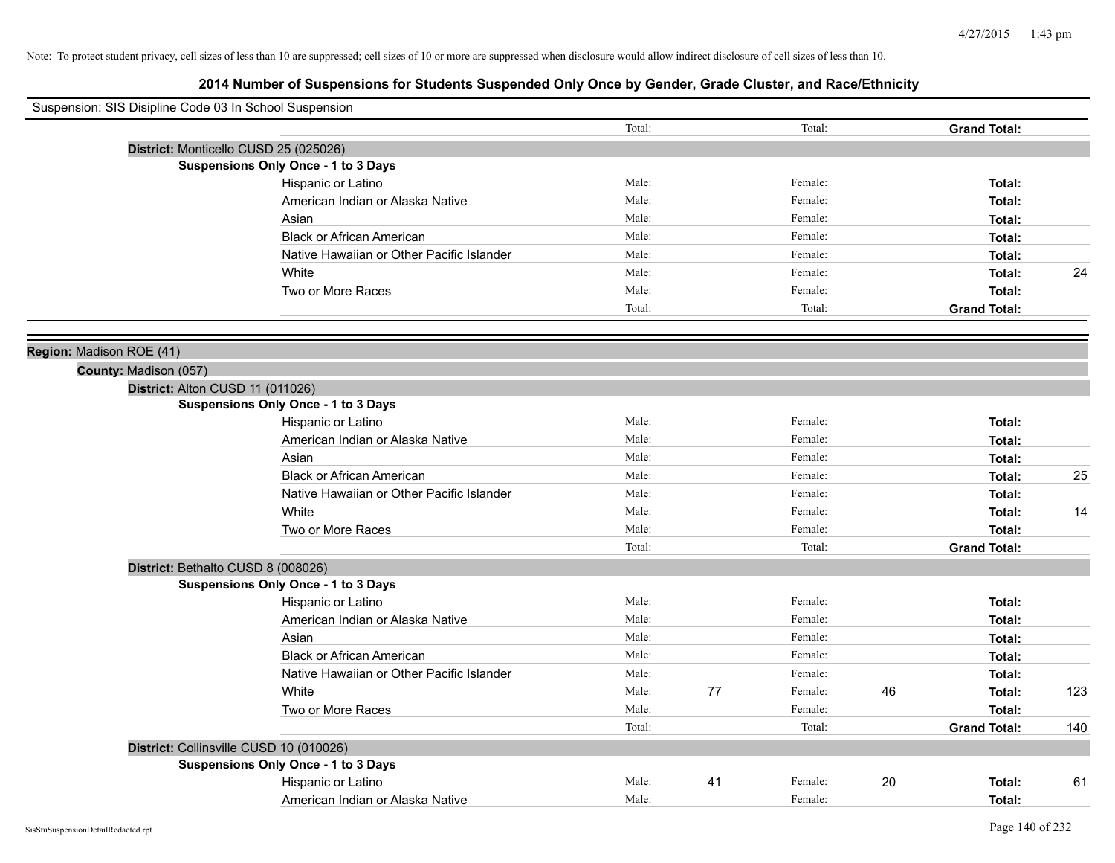| Suspension: SIS Disipline Code 03 In School Suspension |                                            |                |    |                    |    |                               |     |
|--------------------------------------------------------|--------------------------------------------|----------------|----|--------------------|----|-------------------------------|-----|
|                                                        |                                            | Total:         |    | Total:             |    | <b>Grand Total:</b>           |     |
|                                                        | District: Monticello CUSD 25 (025026)      |                |    |                    |    |                               |     |
|                                                        | Suspensions Only Once - 1 to 3 Days        |                |    |                    |    |                               |     |
|                                                        | Hispanic or Latino                         | Male:          |    | Female:            |    | Total:                        |     |
|                                                        | American Indian or Alaska Native           | Male:          |    | Female:            |    | Total:                        |     |
|                                                        | Asian                                      | Male:          |    | Female:            |    | Total:                        |     |
|                                                        | <b>Black or African American</b>           | Male:          |    | Female:            |    | Total:                        |     |
|                                                        | Native Hawaiian or Other Pacific Islander  | Male:          |    | Female:            |    | Total:                        |     |
|                                                        | White                                      | Male:          |    | Female:            |    | Total:                        | 24  |
|                                                        | Two or More Races                          | Male:          |    | Female:            |    | Total:                        |     |
|                                                        |                                            | Total:         |    | Total:             |    | <b>Grand Total:</b>           |     |
| Region: Madison ROE (41)                               |                                            |                |    |                    |    |                               |     |
| County: Madison (057)                                  |                                            |                |    |                    |    |                               |     |
|                                                        | District: Alton CUSD 11 (011026)           |                |    |                    |    |                               |     |
|                                                        | <b>Suspensions Only Once - 1 to 3 Days</b> |                |    |                    |    |                               |     |
|                                                        | Hispanic or Latino                         | Male:          |    | Female:            |    | Total:                        |     |
|                                                        | American Indian or Alaska Native           | Male:          |    | Female:            |    | Total:                        |     |
|                                                        | Asian                                      | Male:          |    | Female:            |    | Total:                        |     |
|                                                        | <b>Black or African American</b>           | Male:          |    | Female:            |    | Total:                        | 25  |
|                                                        | Native Hawaiian or Other Pacific Islander  | Male:          |    | Female:            |    | Total:                        |     |
|                                                        | White                                      | Male:          |    | Female:            |    | Total:                        | 14  |
|                                                        | Two or More Races                          | Male:          |    | Female:            |    | Total:                        |     |
|                                                        |                                            | Total:         |    | Total:             |    | <b>Grand Total:</b>           |     |
|                                                        | District: Bethalto CUSD 8 (008026)         |                |    |                    |    |                               |     |
|                                                        | Suspensions Only Once - 1 to 3 Days        |                |    |                    |    |                               |     |
|                                                        | Hispanic or Latino                         | Male:          |    | Female:            |    | Total:                        |     |
|                                                        | American Indian or Alaska Native           | Male:          |    | Female:            |    | Total:                        |     |
|                                                        | Asian                                      | Male:          |    | Female:            |    | Total:                        |     |
|                                                        | <b>Black or African American</b>           | Male:          |    | Female:            |    | Total:                        |     |
|                                                        | Native Hawaiian or Other Pacific Islander  | Male:<br>Male: |    | Female:<br>Female: |    | Total:                        |     |
|                                                        | White<br>Two or More Races                 | Male:          | 77 | Female:            | 46 | Total:                        | 123 |
|                                                        |                                            | Total:         |    | Total:             |    | Total:<br><b>Grand Total:</b> | 140 |
|                                                        | District: Collinsville CUSD 10 (010026)    |                |    |                    |    |                               |     |
|                                                        | <b>Suspensions Only Once - 1 to 3 Days</b> |                |    |                    |    |                               |     |
|                                                        | Hispanic or Latino                         | Male:          | 41 | Female:            | 20 | Total:                        | 61  |
|                                                        | American Indian or Alaska Native           | Male:          |    | Female:            |    | Total:                        |     |
|                                                        |                                            |                |    |                    |    |                               |     |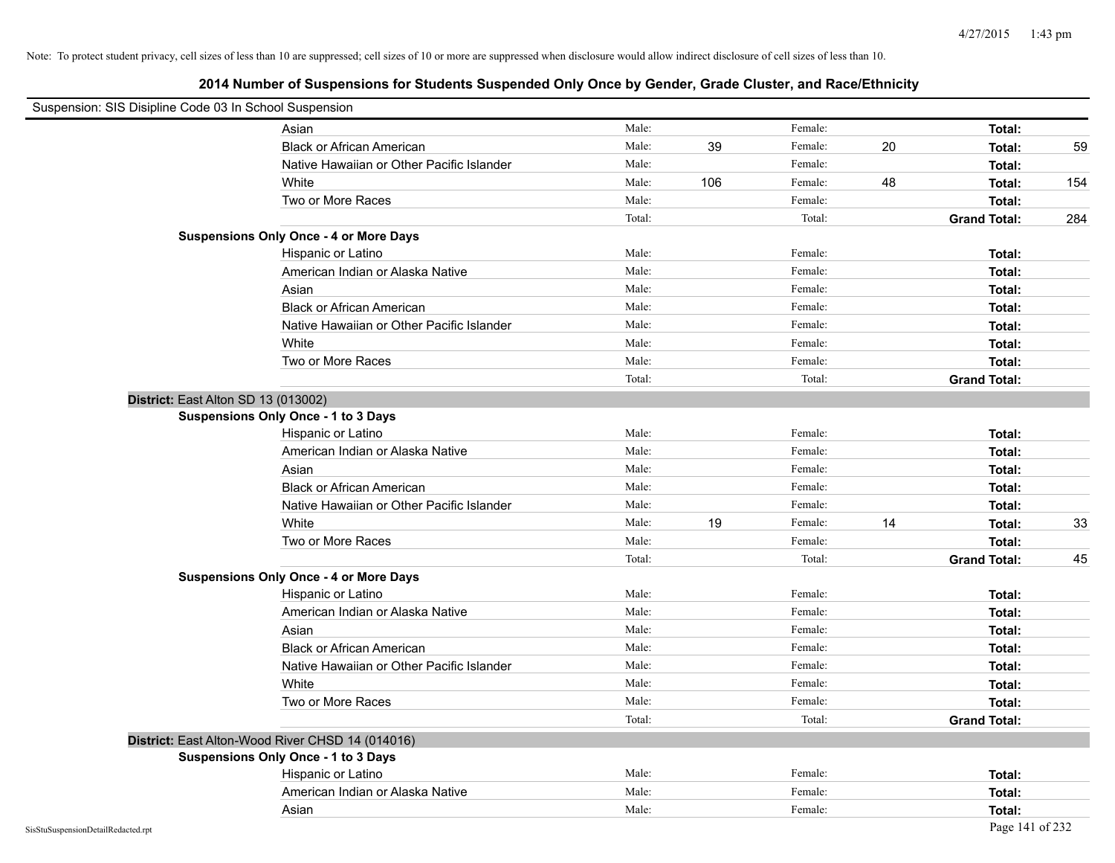| Suspension: SIS Disipline Code 03 In School Suspension |                                                  |        |     |         |    |                     |     |
|--------------------------------------------------------|--------------------------------------------------|--------|-----|---------|----|---------------------|-----|
|                                                        | Asian                                            | Male:  |     | Female: |    | Total:              |     |
|                                                        | <b>Black or African American</b>                 | Male:  | 39  | Female: | 20 | Total:              | 59  |
|                                                        | Native Hawaiian or Other Pacific Islander        | Male:  |     | Female: |    | Total:              |     |
|                                                        | White                                            | Male:  | 106 | Female: | 48 | Total:              | 154 |
|                                                        | Two or More Races                                | Male:  |     | Female: |    | Total:              |     |
|                                                        |                                                  | Total: |     | Total:  |    | <b>Grand Total:</b> | 284 |
|                                                        | <b>Suspensions Only Once - 4 or More Days</b>    |        |     |         |    |                     |     |
|                                                        | Hispanic or Latino                               | Male:  |     | Female: |    | Total:              |     |
|                                                        | American Indian or Alaska Native                 | Male:  |     | Female: |    | Total:              |     |
|                                                        | Asian                                            | Male:  |     | Female: |    | Total:              |     |
|                                                        | <b>Black or African American</b>                 | Male:  |     | Female: |    | Total:              |     |
|                                                        | Native Hawaiian or Other Pacific Islander        | Male:  |     | Female: |    | Total:              |     |
|                                                        | White                                            | Male:  |     | Female: |    | Total:              |     |
|                                                        | Two or More Races                                | Male:  |     | Female: |    | Total:              |     |
|                                                        |                                                  | Total: |     | Total:  |    | <b>Grand Total:</b> |     |
|                                                        | District: East Alton SD 13 (013002)              |        |     |         |    |                     |     |
|                                                        | Suspensions Only Once - 1 to 3 Days              |        |     |         |    |                     |     |
|                                                        | Hispanic or Latino                               | Male:  |     | Female: |    | Total:              |     |
|                                                        | American Indian or Alaska Native                 | Male:  |     | Female: |    | Total:              |     |
|                                                        | Asian                                            | Male:  |     | Female: |    | Total:              |     |
|                                                        | <b>Black or African American</b>                 | Male:  |     | Female: |    | Total:              |     |
|                                                        | Native Hawaiian or Other Pacific Islander        | Male:  |     | Female: |    | Total:              |     |
|                                                        | White                                            | Male:  | 19  | Female: | 14 | Total:              | 33  |
|                                                        | Two or More Races                                | Male:  |     | Female: |    | Total:              |     |
|                                                        |                                                  | Total: |     | Total:  |    | <b>Grand Total:</b> | 45  |
|                                                        | <b>Suspensions Only Once - 4 or More Days</b>    |        |     |         |    |                     |     |
|                                                        | Hispanic or Latino                               | Male:  |     | Female: |    | Total:              |     |
|                                                        | American Indian or Alaska Native                 | Male:  |     | Female: |    | Total:              |     |
|                                                        | Asian                                            | Male:  |     | Female: |    | Total:              |     |
|                                                        | <b>Black or African American</b>                 | Male:  |     | Female: |    | Total:              |     |
|                                                        | Native Hawaiian or Other Pacific Islander        | Male:  |     | Female: |    | Total:              |     |
|                                                        | White                                            | Male:  |     | Female: |    | Total:              |     |
|                                                        | Two or More Races                                | Male:  |     | Female: |    | Total:              |     |
|                                                        |                                                  | Total: |     | Total:  |    | <b>Grand Total:</b> |     |
|                                                        | District: East Alton-Wood River CHSD 14 (014016) |        |     |         |    |                     |     |
|                                                        | <b>Suspensions Only Once - 1 to 3 Days</b>       |        |     |         |    |                     |     |
|                                                        | Hispanic or Latino                               | Male:  |     | Female: |    | Total:              |     |
|                                                        | American Indian or Alaska Native                 | Male:  |     | Female: |    | Total:              |     |
|                                                        | Asian                                            | Male:  |     | Female: |    | Total:              |     |
| SisStuSuspensionDetailRedacted.rpt                     |                                                  |        |     |         |    | Page 141 of 232     |     |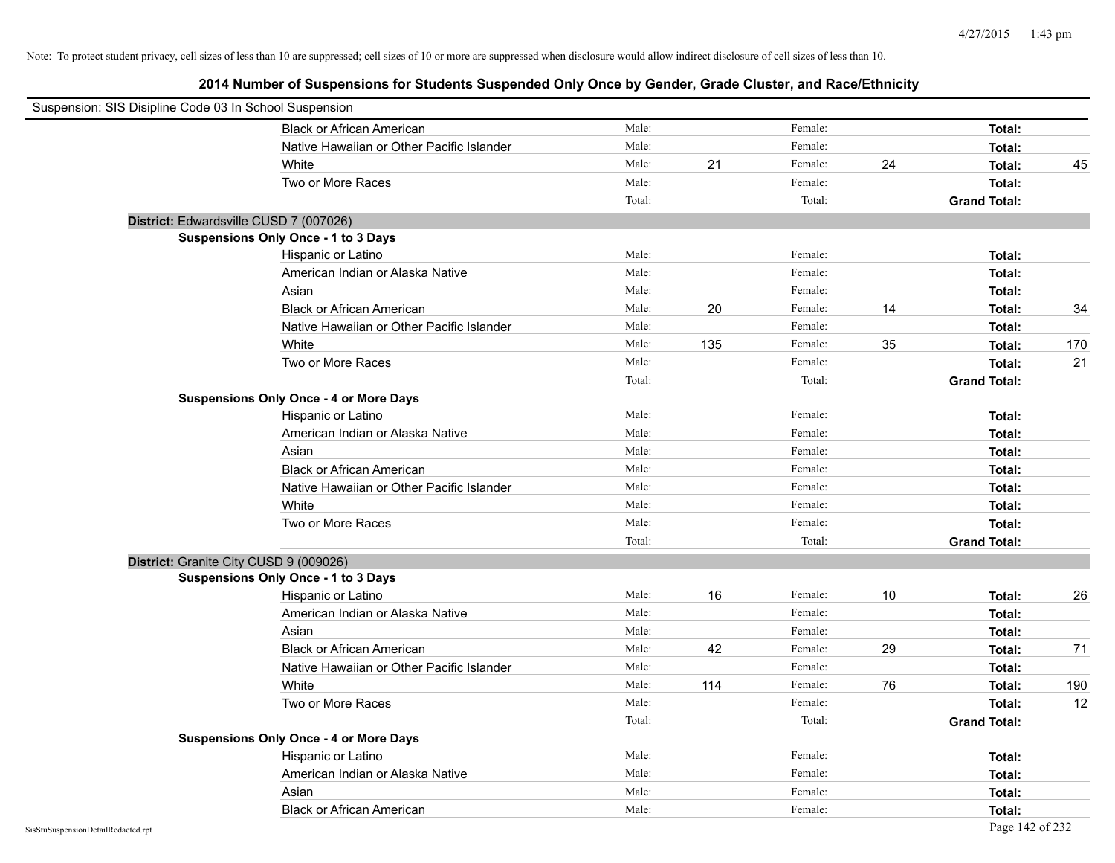| Suspension: SIS Disipline Code 03 In School Suspension |                                               |        |     |         |    |                     |     |
|--------------------------------------------------------|-----------------------------------------------|--------|-----|---------|----|---------------------|-----|
|                                                        | <b>Black or African American</b>              | Male:  |     | Female: |    | Total:              |     |
|                                                        | Native Hawaiian or Other Pacific Islander     | Male:  |     | Female: |    | Total:              |     |
|                                                        | White                                         | Male:  | 21  | Female: | 24 | Total:              | 45  |
|                                                        | Two or More Races                             | Male:  |     | Female: |    | Total:              |     |
|                                                        |                                               | Total: |     | Total:  |    | <b>Grand Total:</b> |     |
| District: Edwardsville CUSD 7 (007026)                 |                                               |        |     |         |    |                     |     |
|                                                        | Suspensions Only Once - 1 to 3 Days           |        |     |         |    |                     |     |
|                                                        | Hispanic or Latino                            | Male:  |     | Female: |    | Total:              |     |
|                                                        | American Indian or Alaska Native              | Male:  |     | Female: |    | Total:              |     |
|                                                        | Asian                                         | Male:  |     | Female: |    | Total:              |     |
|                                                        | <b>Black or African American</b>              | Male:  | 20  | Female: | 14 | Total:              | 34  |
|                                                        | Native Hawaiian or Other Pacific Islander     | Male:  |     | Female: |    | Total:              |     |
|                                                        | White                                         | Male:  | 135 | Female: | 35 | Total:              | 170 |
|                                                        | Two or More Races                             | Male:  |     | Female: |    | Total:              | 21  |
|                                                        |                                               | Total: |     | Total:  |    | <b>Grand Total:</b> |     |
|                                                        | <b>Suspensions Only Once - 4 or More Days</b> |        |     |         |    |                     |     |
|                                                        | Hispanic or Latino                            | Male:  |     | Female: |    | Total:              |     |
|                                                        | American Indian or Alaska Native              | Male:  |     | Female: |    | Total:              |     |
|                                                        | Asian                                         | Male:  |     | Female: |    | Total:              |     |
|                                                        | <b>Black or African American</b>              | Male:  |     | Female: |    | Total:              |     |
|                                                        | Native Hawaiian or Other Pacific Islander     | Male:  |     | Female: |    | Total:              |     |
|                                                        | White                                         | Male:  |     | Female: |    | Total:              |     |
|                                                        | Two or More Races                             | Male:  |     | Female: |    | Total:              |     |
|                                                        |                                               | Total: |     | Total:  |    | <b>Grand Total:</b> |     |
| District: Granite City CUSD 9 (009026)                 |                                               |        |     |         |    |                     |     |
|                                                        | Suspensions Only Once - 1 to 3 Days           |        |     |         |    |                     |     |
|                                                        | Hispanic or Latino                            | Male:  | 16  | Female: | 10 | Total:              | 26  |
|                                                        | American Indian or Alaska Native              | Male:  |     | Female: |    | Total:              |     |
|                                                        | Asian                                         | Male:  |     | Female: |    | Total:              |     |
|                                                        | <b>Black or African American</b>              | Male:  | 42  | Female: | 29 | Total:              | 71  |
|                                                        | Native Hawaiian or Other Pacific Islander     | Male:  |     | Female: |    | Total:              |     |
|                                                        | White                                         | Male:  | 114 | Female: | 76 | Total:              | 190 |
|                                                        | Two or More Races                             | Male:  |     | Female: |    | Total:              | 12  |
|                                                        |                                               | Total: |     | Total:  |    | <b>Grand Total:</b> |     |
|                                                        | <b>Suspensions Only Once - 4 or More Days</b> |        |     |         |    |                     |     |
|                                                        | Hispanic or Latino                            | Male:  |     | Female: |    | Total:              |     |
|                                                        | American Indian or Alaska Native              | Male:  |     | Female: |    | Total:              |     |
|                                                        | Asian                                         | Male:  |     | Female: |    | Total:              |     |
|                                                        | <b>Black or African American</b>              | Male:  |     | Female: |    | Total:              |     |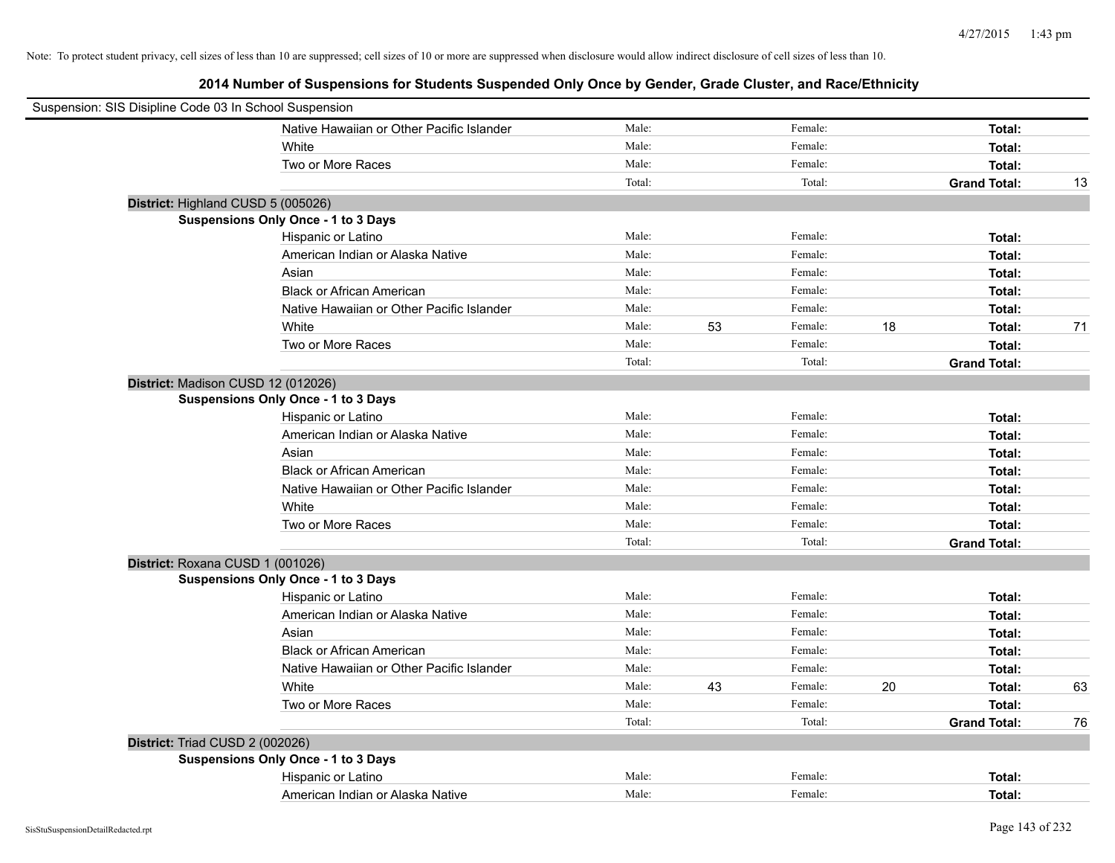| Suspension: SIS Disipline Code 03 In School Suspension |                                           |        |    |         |    |                     |    |
|--------------------------------------------------------|-------------------------------------------|--------|----|---------|----|---------------------|----|
|                                                        | Native Hawaiian or Other Pacific Islander | Male:  |    | Female: |    | Total:              |    |
|                                                        | White                                     | Male:  |    | Female: |    | Total:              |    |
|                                                        | Two or More Races                         | Male:  |    | Female: |    | Total:              |    |
|                                                        |                                           | Total: |    | Total:  |    | <b>Grand Total:</b> | 13 |
| District: Highland CUSD 5 (005026)                     |                                           |        |    |         |    |                     |    |
|                                                        | Suspensions Only Once - 1 to 3 Days       |        |    |         |    |                     |    |
|                                                        | Hispanic or Latino                        | Male:  |    | Female: |    | Total:              |    |
|                                                        | American Indian or Alaska Native          | Male:  |    | Female: |    | Total:              |    |
|                                                        | Asian                                     | Male:  |    | Female: |    | Total:              |    |
|                                                        | <b>Black or African American</b>          | Male:  |    | Female: |    | Total:              |    |
|                                                        | Native Hawaiian or Other Pacific Islander | Male:  |    | Female: |    | Total:              |    |
|                                                        | White                                     | Male:  | 53 | Female: | 18 | Total:              | 71 |
|                                                        | Two or More Races                         | Male:  |    | Female: |    | Total:              |    |
|                                                        |                                           | Total: |    | Total:  |    | <b>Grand Total:</b> |    |
| District: Madison CUSD 12 (012026)                     |                                           |        |    |         |    |                     |    |
|                                                        | Suspensions Only Once - 1 to 3 Days       |        |    |         |    |                     |    |
|                                                        | Hispanic or Latino                        | Male:  |    | Female: |    | Total:              |    |
|                                                        | American Indian or Alaska Native          | Male:  |    | Female: |    | Total:              |    |
|                                                        | Asian                                     | Male:  |    | Female: |    | Total:              |    |
|                                                        | <b>Black or African American</b>          | Male:  |    | Female: |    | Total:              |    |
|                                                        | Native Hawaiian or Other Pacific Islander | Male:  |    | Female: |    | Total:              |    |
|                                                        | White                                     | Male:  |    | Female: |    | Total:              |    |
|                                                        | Two or More Races                         | Male:  |    | Female: |    | Total:              |    |
|                                                        |                                           | Total: |    | Total:  |    | <b>Grand Total:</b> |    |
| District: Roxana CUSD 1 (001026)                       |                                           |        |    |         |    |                     |    |
|                                                        | Suspensions Only Once - 1 to 3 Days       |        |    |         |    |                     |    |
|                                                        | Hispanic or Latino                        | Male:  |    | Female: |    | Total:              |    |
|                                                        | American Indian or Alaska Native          | Male:  |    | Female: |    | Total:              |    |
|                                                        | Asian                                     | Male:  |    | Female: |    | Total:              |    |
|                                                        | <b>Black or African American</b>          | Male:  |    | Female: |    | Total:              |    |
|                                                        | Native Hawaiian or Other Pacific Islander | Male:  |    | Female: |    | Total:              |    |
|                                                        | White                                     | Male:  | 43 | Female: | 20 | Total:              | 63 |
|                                                        | Two or More Races                         | Male:  |    | Female: |    | Total:              |    |
|                                                        |                                           | Total: |    | Total:  |    | <b>Grand Total:</b> | 76 |
| District: Triad CUSD 2 (002026)                        |                                           |        |    |         |    |                     |    |
|                                                        | Suspensions Only Once - 1 to 3 Days       |        |    |         |    |                     |    |
|                                                        | Hispanic or Latino                        | Male:  |    | Female: |    | Total:              |    |
|                                                        | American Indian or Alaska Native          | Male:  |    | Female: |    | Total:              |    |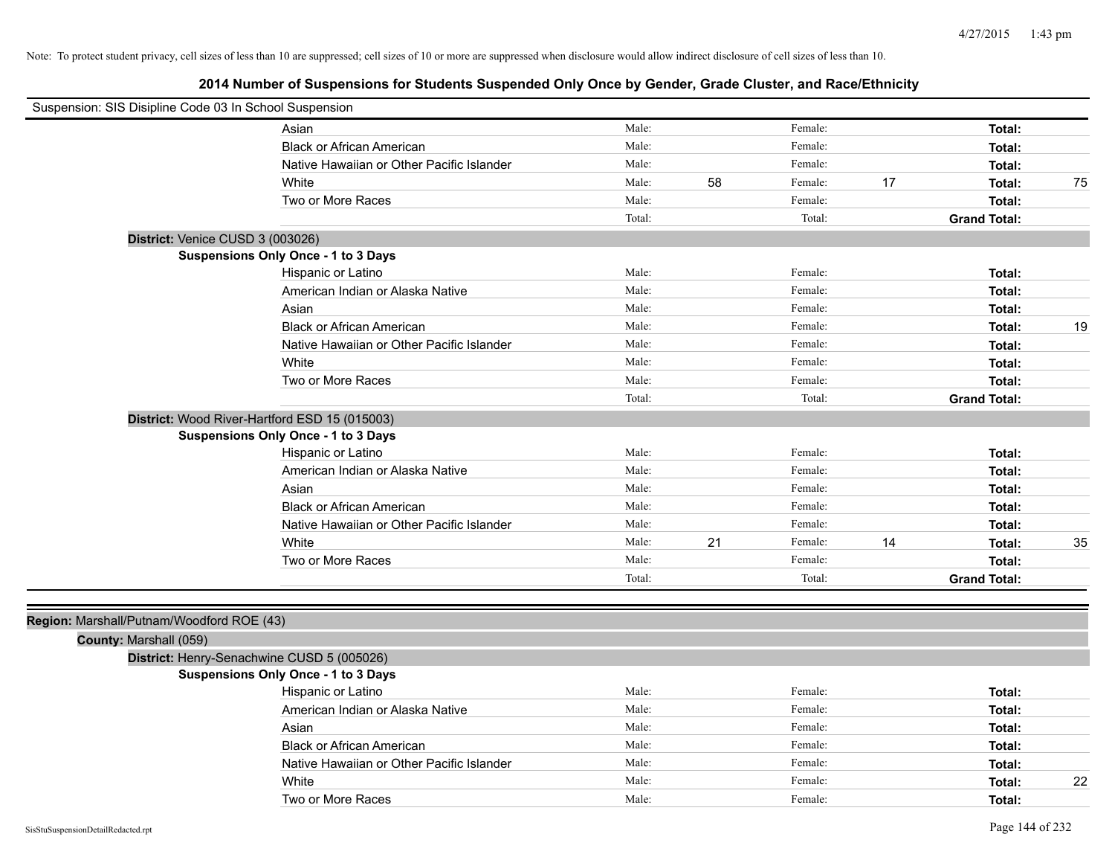| Suspension: SIS Disipline Code 03 In School Suspension |                                               |        |    |         |    |                     |    |
|--------------------------------------------------------|-----------------------------------------------|--------|----|---------|----|---------------------|----|
|                                                        | Asian                                         | Male:  |    | Female: |    | Total:              |    |
|                                                        | <b>Black or African American</b>              | Male:  |    | Female: |    | Total:              |    |
|                                                        | Native Hawaiian or Other Pacific Islander     | Male:  |    | Female: |    | Total:              |    |
|                                                        | White                                         | Male:  | 58 | Female: | 17 | Total:              | 75 |
|                                                        | Two or More Races                             | Male:  |    | Female: |    | Total:              |    |
|                                                        |                                               | Total: |    | Total:  |    | <b>Grand Total:</b> |    |
| District: Venice CUSD 3 (003026)                       |                                               |        |    |         |    |                     |    |
|                                                        | <b>Suspensions Only Once - 1 to 3 Days</b>    |        |    |         |    |                     |    |
|                                                        | Hispanic or Latino                            | Male:  |    | Female: |    | Total:              |    |
|                                                        | American Indian or Alaska Native              | Male:  |    | Female: |    | Total:              |    |
|                                                        | Asian                                         | Male:  |    | Female: |    | Total:              |    |
|                                                        | <b>Black or African American</b>              | Male:  |    | Female: |    | Total:              | 19 |
|                                                        | Native Hawaiian or Other Pacific Islander     | Male:  |    | Female: |    | Total:              |    |
|                                                        | White                                         | Male:  |    | Female: |    | Total:              |    |
|                                                        | Two or More Races                             | Male:  |    | Female: |    | Total:              |    |
|                                                        |                                               | Total: |    | Total:  |    | <b>Grand Total:</b> |    |
|                                                        | District: Wood River-Hartford ESD 15 (015003) |        |    |         |    |                     |    |
|                                                        | <b>Suspensions Only Once - 1 to 3 Days</b>    |        |    |         |    |                     |    |
|                                                        | Hispanic or Latino                            | Male:  |    | Female: |    | Total:              |    |
|                                                        | American Indian or Alaska Native              | Male:  |    | Female: |    | Total:              |    |
|                                                        | Asian                                         | Male:  |    | Female: |    | Total:              |    |
|                                                        | <b>Black or African American</b>              | Male:  |    | Female: |    | Total:              |    |
|                                                        | Native Hawaiian or Other Pacific Islander     | Male:  |    | Female: |    | Total:              |    |
|                                                        | White                                         | Male:  | 21 | Female: | 14 | Total:              | 35 |
|                                                        | Two or More Races                             | Male:  |    | Female: |    | Total:              |    |
|                                                        |                                               | Total: |    | Total:  |    | <b>Grand Total:</b> |    |
|                                                        |                                               |        |    |         |    |                     |    |
| Region: Marshall/Putnam/Woodford ROE (43)              |                                               |        |    |         |    |                     |    |
| County: Marshall (059)                                 |                                               |        |    |         |    |                     |    |
|                                                        | District: Henry-Senachwine CUSD 5 (005026)    |        |    |         |    |                     |    |
|                                                        | <b>Suspensions Only Once - 1 to 3 Days</b>    |        |    |         |    |                     |    |
|                                                        | Hispanic or Latino                            | Male:  |    | Female: |    | Total:              |    |
|                                                        | American Indian or Alaska Native              | Male:  |    | Female: |    | Total:              |    |
|                                                        | Asian                                         | Male:  |    | Female: |    | Total:              |    |
|                                                        | <b>Black or African American</b>              | Male:  |    | Female: |    | Total:              |    |
|                                                        | Native Hawaiian or Other Pacific Islander     | Male:  |    | Female: |    | Total:              |    |
|                                                        | White                                         | Male:  |    | Female: |    | Total:              | 22 |
|                                                        | Two or More Races                             | Male:  |    | Female: |    | Total:              |    |
| SisStuSuspensionDetailRedacted.rpt                     |                                               |        |    |         |    | Page 144 of 232     |    |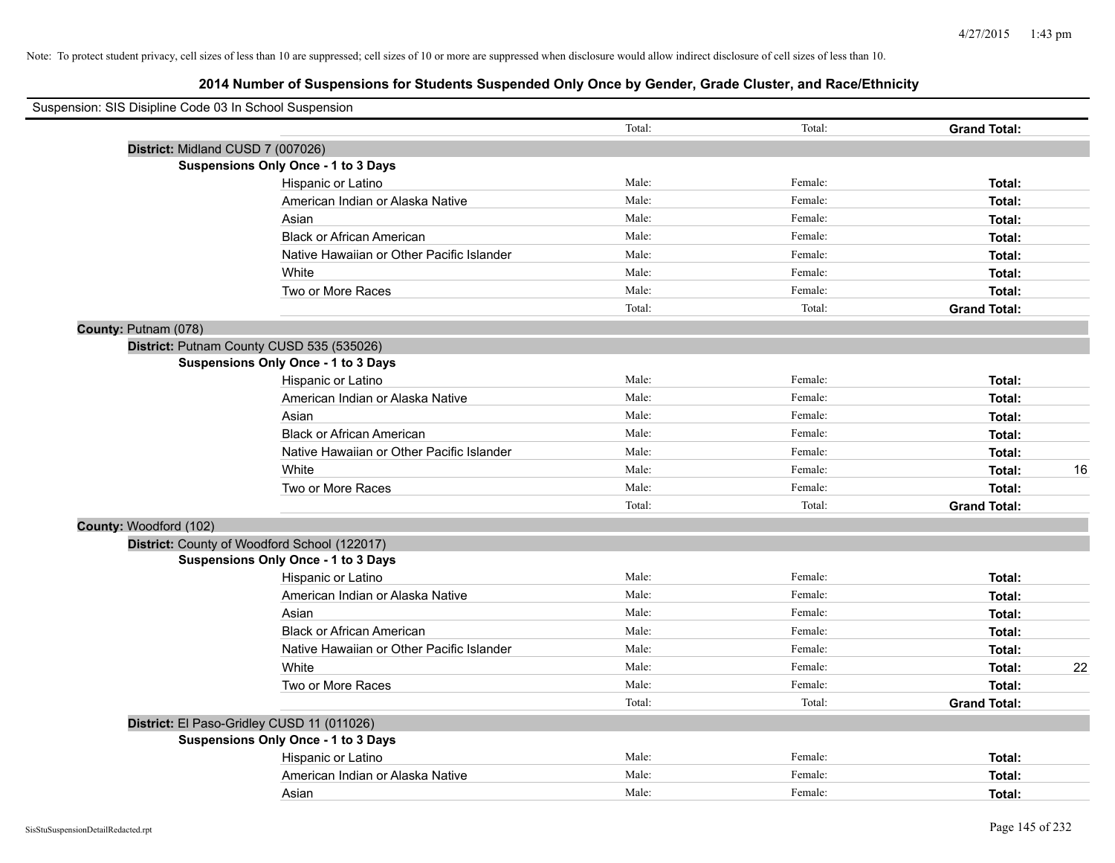| Suspension: SIS Disipline Code 03 In School Suspension |                                              |        |         |                     |    |
|--------------------------------------------------------|----------------------------------------------|--------|---------|---------------------|----|
|                                                        |                                              | Total: | Total:  | <b>Grand Total:</b> |    |
| District: Midland CUSD 7 (007026)                      |                                              |        |         |                     |    |
|                                                        | Suspensions Only Once - 1 to 3 Days          |        |         |                     |    |
|                                                        | Hispanic or Latino                           | Male:  | Female: | Total:              |    |
|                                                        | American Indian or Alaska Native             | Male:  | Female: | Total:              |    |
|                                                        | Asian                                        | Male:  | Female: | Total:              |    |
|                                                        | <b>Black or African American</b>             | Male:  | Female: | Total:              |    |
|                                                        | Native Hawaiian or Other Pacific Islander    | Male:  | Female: | Total:              |    |
|                                                        | White                                        | Male:  | Female: | Total:              |    |
|                                                        | Two or More Races                            | Male:  | Female: | Total:              |    |
|                                                        |                                              | Total: | Total:  | <b>Grand Total:</b> |    |
| County: Putnam (078)                                   |                                              |        |         |                     |    |
|                                                        | District: Putnam County CUSD 535 (535026)    |        |         |                     |    |
|                                                        | Suspensions Only Once - 1 to 3 Days          |        |         |                     |    |
|                                                        | Hispanic or Latino                           | Male:  | Female: | Total:              |    |
|                                                        | American Indian or Alaska Native             | Male:  | Female: | Total:              |    |
|                                                        | Asian                                        | Male:  | Female: | Total:              |    |
|                                                        | <b>Black or African American</b>             | Male:  | Female: | Total:              |    |
|                                                        | Native Hawaiian or Other Pacific Islander    | Male:  | Female: | Total:              |    |
|                                                        | White                                        | Male:  | Female: | Total:              | 16 |
|                                                        | Two or More Races                            | Male:  | Female: | Total:              |    |
|                                                        |                                              | Total: | Total:  | <b>Grand Total:</b> |    |
| County: Woodford (102)                                 |                                              |        |         |                     |    |
|                                                        | District: County of Woodford School (122017) |        |         |                     |    |
|                                                        | Suspensions Only Once - 1 to 3 Days          |        |         |                     |    |
|                                                        | Hispanic or Latino                           | Male:  | Female: | Total:              |    |
|                                                        | American Indian or Alaska Native             | Male:  | Female: | Total:              |    |
|                                                        | Asian                                        | Male:  | Female: | Total:              |    |
|                                                        | <b>Black or African American</b>             | Male:  | Female: | Total:              |    |
|                                                        | Native Hawaiian or Other Pacific Islander    | Male:  | Female: | Total:              |    |
|                                                        | White                                        | Male:  | Female: | Total:              | 22 |
|                                                        | Two or More Races                            | Male:  | Female: | Total:              |    |
|                                                        |                                              | Total: | Total:  | <b>Grand Total:</b> |    |
|                                                        | District: El Paso-Gridley CUSD 11 (011026)   |        |         |                     |    |
|                                                        | <b>Suspensions Only Once - 1 to 3 Days</b>   |        |         |                     |    |
|                                                        | Hispanic or Latino                           | Male:  | Female: | Total:              |    |
|                                                        | American Indian or Alaska Native             | Male:  | Female: | Total:              |    |
|                                                        | Asian                                        | Male:  | Female: | Total:              |    |
|                                                        |                                              |        |         |                     |    |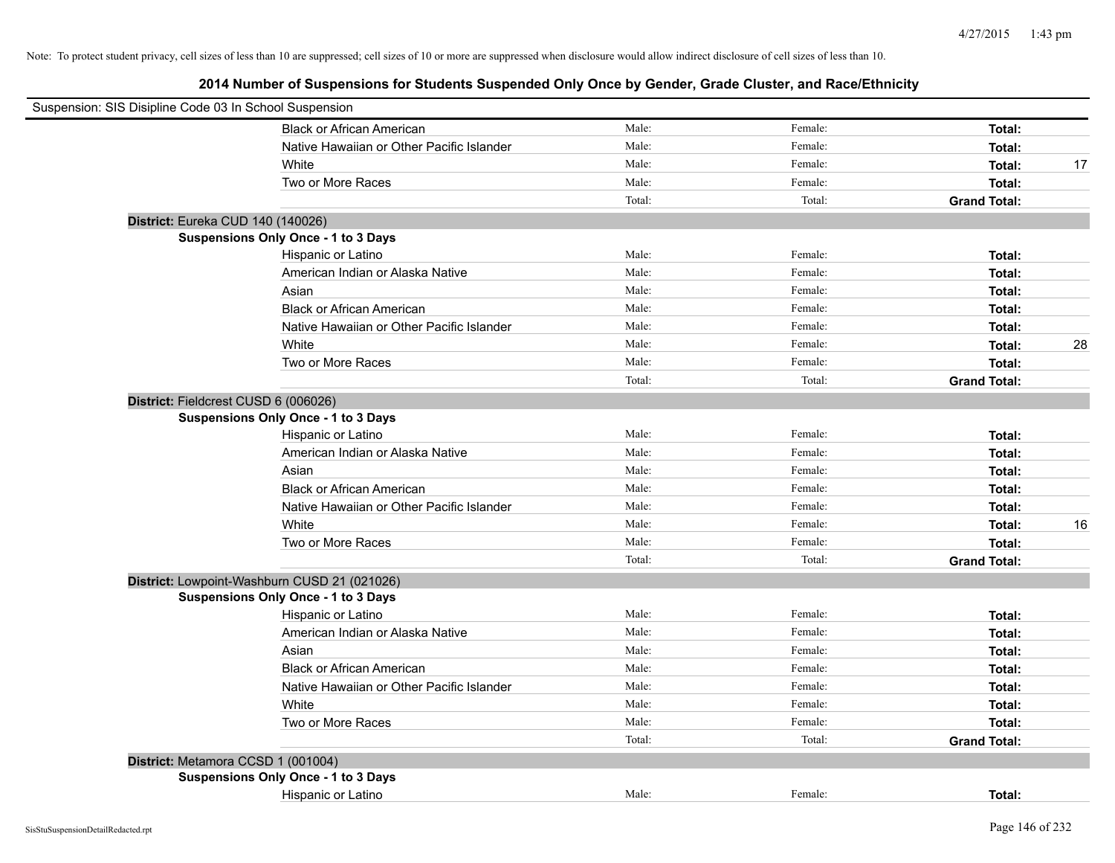| Suspension: SIS Disipline Code 03 In School Suspension |        |         |                     |    |
|--------------------------------------------------------|--------|---------|---------------------|----|
| <b>Black or African American</b>                       | Male:  | Female: | Total:              |    |
| Native Hawaiian or Other Pacific Islander              | Male:  | Female: | Total:              |    |
| White                                                  | Male:  | Female: | Total:              | 17 |
| Two or More Races                                      | Male:  | Female: | Total:              |    |
|                                                        | Total: | Total:  | <b>Grand Total:</b> |    |
| District: Eureka CUD 140 (140026)                      |        |         |                     |    |
| Suspensions Only Once - 1 to 3 Days                    |        |         |                     |    |
| Hispanic or Latino                                     | Male:  | Female: | Total:              |    |
| American Indian or Alaska Native                       | Male:  | Female: | Total:              |    |
| Asian                                                  | Male:  | Female: | Total:              |    |
| <b>Black or African American</b>                       | Male:  | Female: | Total:              |    |
| Native Hawaiian or Other Pacific Islander              | Male:  | Female: | Total:              |    |
| White                                                  | Male:  | Female: | Total:              | 28 |
| Two or More Races                                      | Male:  | Female: | Total:              |    |
|                                                        | Total: | Total:  | <b>Grand Total:</b> |    |
| District: Fieldcrest CUSD 6 (006026)                   |        |         |                     |    |
| <b>Suspensions Only Once - 1 to 3 Days</b>             |        |         |                     |    |
| Hispanic or Latino                                     | Male:  | Female: | Total:              |    |
| American Indian or Alaska Native                       | Male:  | Female: | Total:              |    |
| Asian                                                  | Male:  | Female: | Total:              |    |
| <b>Black or African American</b>                       | Male:  | Female: | Total:              |    |
| Native Hawaiian or Other Pacific Islander              | Male:  | Female: | Total:              |    |
| White                                                  | Male:  | Female: | Total:              | 16 |
| Two or More Races                                      | Male:  | Female: | Total:              |    |
|                                                        | Total: | Total:  | <b>Grand Total:</b> |    |
| District: Lowpoint-Washburn CUSD 21 (021026)           |        |         |                     |    |
| Suspensions Only Once - 1 to 3 Days                    |        |         |                     |    |
| Hispanic or Latino                                     | Male:  | Female: | Total:              |    |
| American Indian or Alaska Native                       | Male:  | Female: | Total:              |    |
| Asian                                                  | Male:  | Female: | Total:              |    |
| <b>Black or African American</b>                       | Male:  | Female: | Total:              |    |
| Native Hawaiian or Other Pacific Islander              | Male:  | Female: | Total:              |    |
| White                                                  | Male:  | Female: | Total:              |    |
| Two or More Races                                      | Male:  | Female: | Total:              |    |
|                                                        | Total: | Total:  | <b>Grand Total:</b> |    |
| District: Metamora CCSD 1 (001004)                     |        |         |                     |    |
| <b>Suspensions Only Once - 1 to 3 Days</b>             |        |         |                     |    |
| Hispanic or Latino                                     | Male:  | Female: | Total:              |    |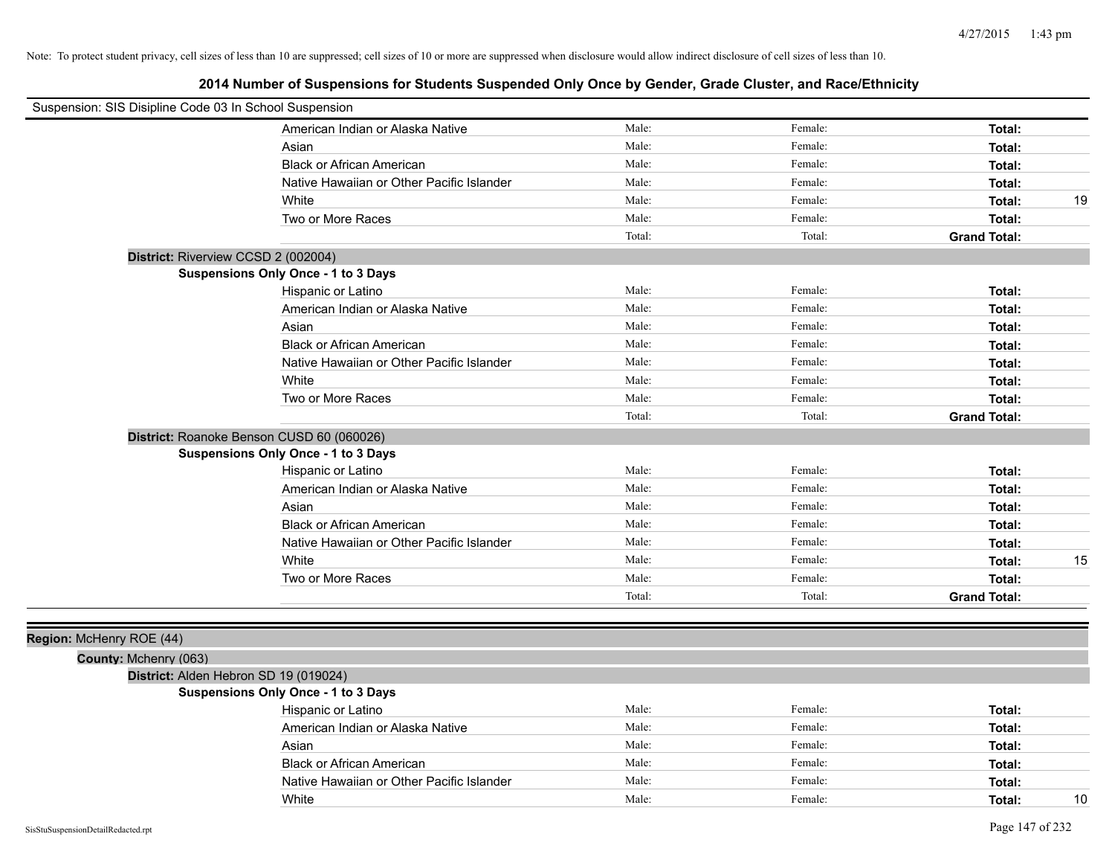| Suspension: SIS Disipline Code 03 In School Suspension |                                            |        |         |                     |    |
|--------------------------------------------------------|--------------------------------------------|--------|---------|---------------------|----|
|                                                        | American Indian or Alaska Native           | Male:  | Female: | Total:              |    |
|                                                        | Asian                                      | Male:  | Female: | Total:              |    |
|                                                        | <b>Black or African American</b>           | Male:  | Female: | Total:              |    |
|                                                        | Native Hawaiian or Other Pacific Islander  | Male:  | Female: | Total:              |    |
|                                                        | White                                      | Male:  | Female: | Total:              | 19 |
|                                                        | Two or More Races                          | Male:  | Female: | Total:              |    |
|                                                        |                                            | Total: | Total:  | <b>Grand Total:</b> |    |
|                                                        | District: Riverview CCSD 2 (002004)        |        |         |                     |    |
|                                                        | Suspensions Only Once - 1 to 3 Days        |        |         |                     |    |
|                                                        | Hispanic or Latino                         | Male:  | Female: | Total:              |    |
|                                                        | American Indian or Alaska Native           | Male:  | Female: | Total:              |    |
|                                                        | Asian                                      | Male:  | Female: | Total:              |    |
|                                                        | <b>Black or African American</b>           | Male:  | Female: | Total:              |    |
|                                                        | Native Hawaiian or Other Pacific Islander  | Male:  | Female: | Total:              |    |
|                                                        | White                                      | Male:  | Female: | Total:              |    |
|                                                        | Two or More Races                          | Male:  | Female: | Total:              |    |
|                                                        |                                            | Total: | Total:  | <b>Grand Total:</b> |    |
|                                                        | District: Roanoke Benson CUSD 60 (060026)  |        |         |                     |    |
|                                                        | <b>Suspensions Only Once - 1 to 3 Days</b> |        |         |                     |    |
|                                                        | Hispanic or Latino                         | Male:  | Female: | Total:              |    |
|                                                        | American Indian or Alaska Native           | Male:  | Female: | Total:              |    |
|                                                        | Asian                                      | Male:  | Female: | Total:              |    |
|                                                        | <b>Black or African American</b>           | Male:  | Female: | Total:              |    |
|                                                        | Native Hawaiian or Other Pacific Islander  | Male:  | Female: | Total:              |    |
|                                                        | White                                      | Male:  | Female: | Total:              | 15 |
|                                                        | Two or More Races                          | Male:  | Female: | Total:              |    |
|                                                        |                                            | Total: | Total:  | <b>Grand Total:</b> |    |
|                                                        |                                            |        |         |                     |    |
| Region: McHenry ROE (44)                               |                                            |        |         |                     |    |
| County: Mchenry (063)                                  |                                            |        |         |                     |    |
|                                                        | District: Alden Hebron SD 19 (019024)      |        |         |                     |    |
|                                                        | Suspensions Only Once - 1 to 3 Days        |        |         |                     |    |
|                                                        | Hispanic or Latino                         | Male:  | Female: | Total:              |    |
|                                                        | American Indian or Alaska Native           | Male:  | Female: | Total:              |    |
|                                                        | Asian                                      | Male:  | Female: | Total:              |    |
|                                                        | <b>Black or African American</b>           | Male:  | Female: | Total:              |    |
|                                                        | Native Hawaiian or Other Pacific Islander  | Male:  | Female: | Total:              |    |
|                                                        | White                                      | Male:  | Female: | Total:              | 10 |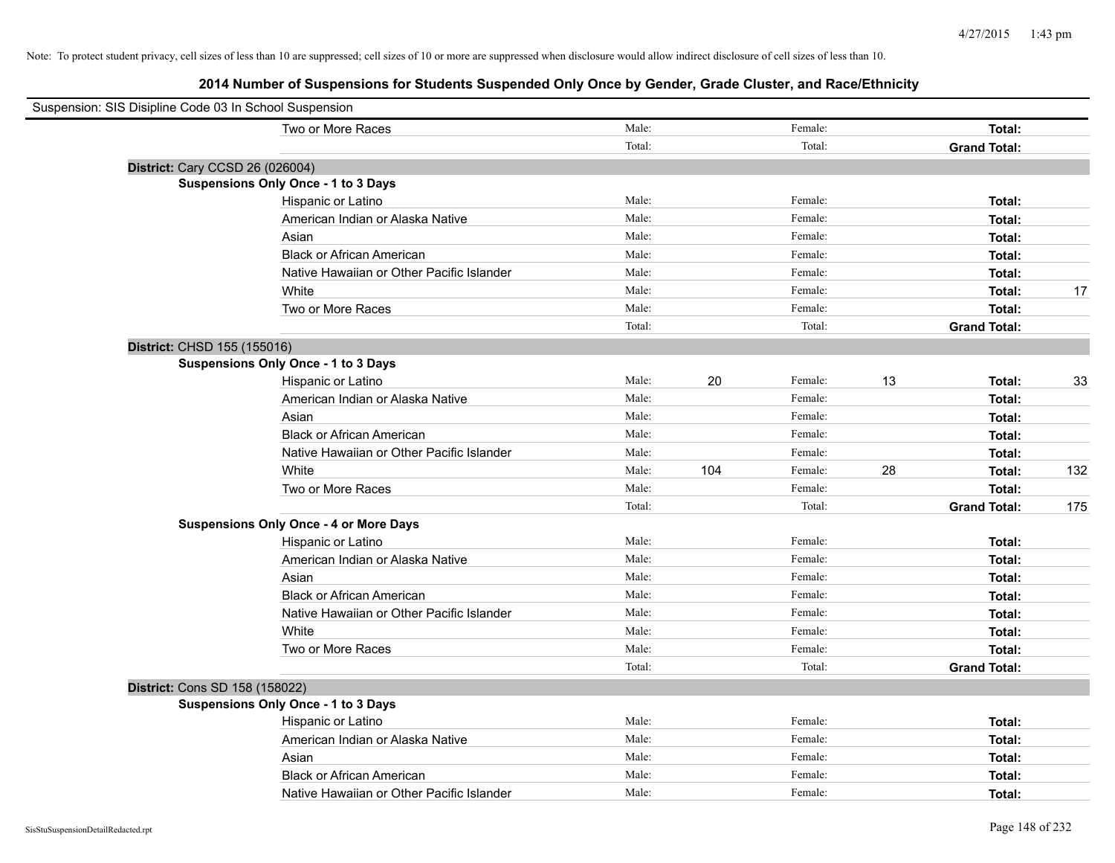| Suspension: SIS Disipline Code 03 In School Suspension |        |     |         |    |                     |     |
|--------------------------------------------------------|--------|-----|---------|----|---------------------|-----|
| Two or More Races                                      | Male:  |     | Female: |    | <b>Total:</b>       |     |
|                                                        | Total: |     | Total:  |    | <b>Grand Total:</b> |     |
| District: Cary CCSD 26 (026004)                        |        |     |         |    |                     |     |
| <b>Suspensions Only Once - 1 to 3 Days</b>             |        |     |         |    |                     |     |
| Hispanic or Latino                                     | Male:  |     | Female: |    | Total:              |     |
| American Indian or Alaska Native                       | Male:  |     | Female: |    | Total:              |     |
| Asian                                                  | Male:  |     | Female: |    | Total:              |     |
| <b>Black or African American</b>                       | Male:  |     | Female: |    | Total:              |     |
| Native Hawaiian or Other Pacific Islander              | Male:  |     | Female: |    | Total:              |     |
| White                                                  | Male:  |     | Female: |    | Total:              | 17  |
| Two or More Races                                      | Male:  |     | Female: |    | Total:              |     |
|                                                        | Total: |     | Total:  |    | <b>Grand Total:</b> |     |
| District: CHSD 155 (155016)                            |        |     |         |    |                     |     |
| Suspensions Only Once - 1 to 3 Days                    |        |     |         |    |                     |     |
| Hispanic or Latino                                     | Male:  | 20  | Female: | 13 | Total:              | 33  |
| American Indian or Alaska Native                       | Male:  |     | Female: |    | Total:              |     |
| Asian                                                  | Male:  |     | Female: |    | Total:              |     |
| <b>Black or African American</b>                       | Male:  |     | Female: |    | Total:              |     |
| Native Hawaiian or Other Pacific Islander              | Male:  |     | Female: |    | Total:              |     |
| White                                                  | Male:  | 104 | Female: | 28 | Total:              | 132 |
| Two or More Races                                      | Male:  |     | Female: |    | Total:              |     |
|                                                        | Total: |     | Total:  |    | <b>Grand Total:</b> | 175 |
| <b>Suspensions Only Once - 4 or More Days</b>          |        |     |         |    |                     |     |
| Hispanic or Latino                                     | Male:  |     | Female: |    | Total:              |     |
| American Indian or Alaska Native                       | Male:  |     | Female: |    | Total:              |     |
| Asian                                                  | Male:  |     | Female: |    | Total:              |     |
| <b>Black or African American</b>                       | Male:  |     | Female: |    | Total:              |     |
| Native Hawaiian or Other Pacific Islander              | Male:  |     | Female: |    | Total:              |     |
| White                                                  | Male:  |     | Female: |    | Total:              |     |
| Two or More Races                                      | Male:  |     | Female: |    | Total:              |     |
|                                                        | Total: |     | Total:  |    | <b>Grand Total:</b> |     |
| District: Cons SD 158 (158022)                         |        |     |         |    |                     |     |
| <b>Suspensions Only Once - 1 to 3 Days</b>             |        |     |         |    |                     |     |
| Hispanic or Latino                                     | Male:  |     | Female: |    | Total:              |     |
| American Indian or Alaska Native                       | Male:  |     | Female: |    | Total:              |     |
| Asian                                                  | Male:  |     | Female: |    | Total:              |     |
| <b>Black or African American</b>                       | Male:  |     | Female: |    | Total:              |     |
| Native Hawaiian or Other Pacific Islander              | Male:  |     | Female: |    | Total:              |     |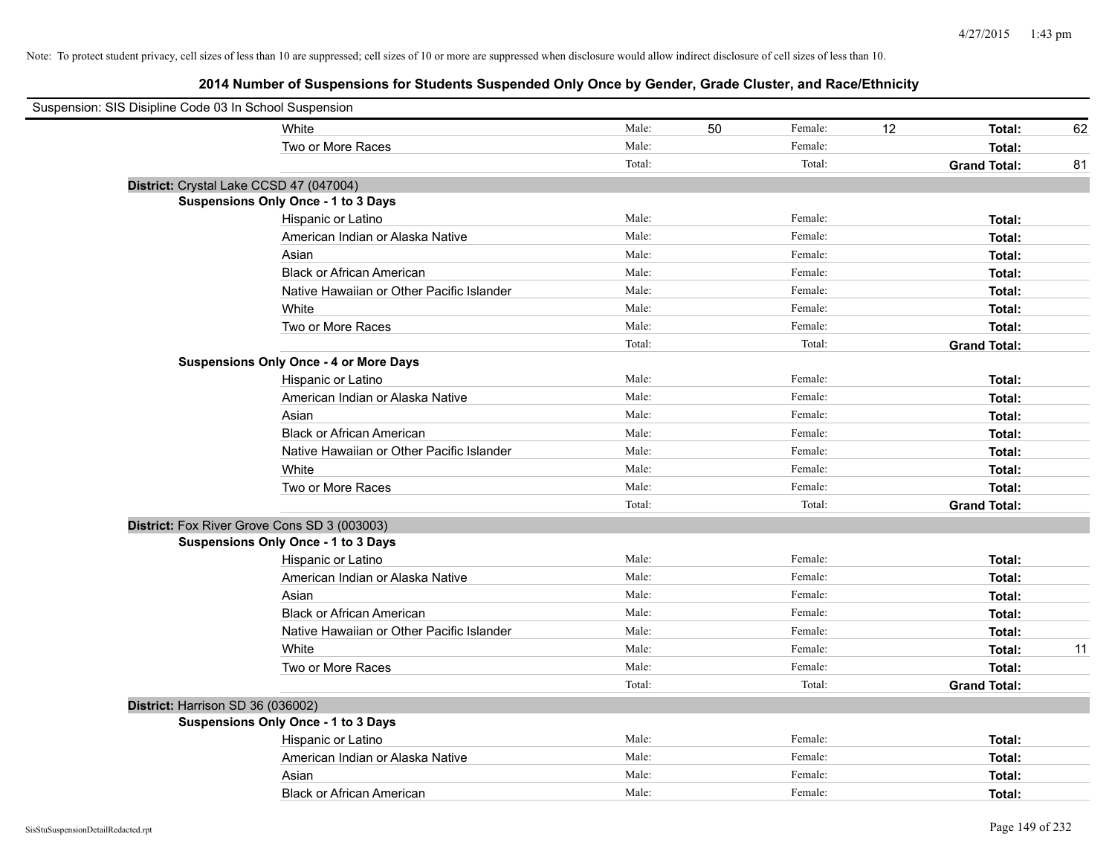| Suspension: SIS Disipline Code 03 In School Suspension |                                               |        |    |         |    |                     |    |
|--------------------------------------------------------|-----------------------------------------------|--------|----|---------|----|---------------------|----|
|                                                        | White                                         | Male:  | 50 | Female: | 12 | Total:              | 62 |
|                                                        | Two or More Races                             | Male:  |    | Female: |    | Total:              |    |
|                                                        |                                               | Total: |    | Total:  |    | <b>Grand Total:</b> | 81 |
| District: Crystal Lake CCSD 47 (047004)                |                                               |        |    |         |    |                     |    |
|                                                        | <b>Suspensions Only Once - 1 to 3 Days</b>    |        |    |         |    |                     |    |
|                                                        | Hispanic or Latino                            | Male:  |    | Female: |    | Total:              |    |
|                                                        | American Indian or Alaska Native              | Male:  |    | Female: |    | Total:              |    |
|                                                        | Asian                                         | Male:  |    | Female: |    | Total:              |    |
|                                                        | <b>Black or African American</b>              | Male:  |    | Female: |    | Total:              |    |
|                                                        | Native Hawaiian or Other Pacific Islander     | Male:  |    | Female: |    | Total:              |    |
|                                                        | White                                         | Male:  |    | Female: |    | Total:              |    |
|                                                        | Two or More Races                             | Male:  |    | Female: |    | Total:              |    |
|                                                        |                                               | Total: |    | Total:  |    | <b>Grand Total:</b> |    |
|                                                        | <b>Suspensions Only Once - 4 or More Days</b> |        |    |         |    |                     |    |
|                                                        | Hispanic or Latino                            | Male:  |    | Female: |    | Total:              |    |
|                                                        | American Indian or Alaska Native              | Male:  |    | Female: |    | Total:              |    |
|                                                        | Asian                                         | Male:  |    | Female: |    | Total:              |    |
|                                                        | <b>Black or African American</b>              | Male:  |    | Female: |    | Total:              |    |
|                                                        | Native Hawaiian or Other Pacific Islander     | Male:  |    | Female: |    | Total:              |    |
|                                                        | White                                         | Male:  |    | Female: |    | Total:              |    |
|                                                        | Two or More Races                             | Male:  |    | Female: |    | Total:              |    |
|                                                        |                                               | Total: |    | Total:  |    | <b>Grand Total:</b> |    |
|                                                        | District: Fox River Grove Cons SD 3 (003003)  |        |    |         |    |                     |    |
|                                                        | <b>Suspensions Only Once - 1 to 3 Days</b>    |        |    |         |    |                     |    |
|                                                        | Hispanic or Latino                            | Male:  |    | Female: |    | Total:              |    |
|                                                        | American Indian or Alaska Native              | Male:  |    | Female: |    | Total:              |    |
|                                                        | Asian                                         | Male:  |    | Female: |    | Total:              |    |
|                                                        | <b>Black or African American</b>              | Male:  |    | Female: |    | Total:              |    |
|                                                        | Native Hawaiian or Other Pacific Islander     | Male:  |    | Female: |    | Total:              |    |
|                                                        | White                                         | Male:  |    | Female: |    | Total:              | 11 |
|                                                        | Two or More Races                             | Male:  |    | Female: |    | Total:              |    |
|                                                        |                                               | Total: |    | Total:  |    | <b>Grand Total:</b> |    |
| District: Harrison SD 36 (036002)                      |                                               |        |    |         |    |                     |    |
|                                                        | <b>Suspensions Only Once - 1 to 3 Days</b>    |        |    |         |    |                     |    |
|                                                        | Hispanic or Latino                            | Male:  |    | Female: |    | Total:              |    |
|                                                        | American Indian or Alaska Native              | Male:  |    | Female: |    | Total:              |    |
|                                                        | Asian                                         | Male:  |    | Female: |    | Total:              |    |
|                                                        | <b>Black or African American</b>              | Male:  |    | Female: |    | Total:              |    |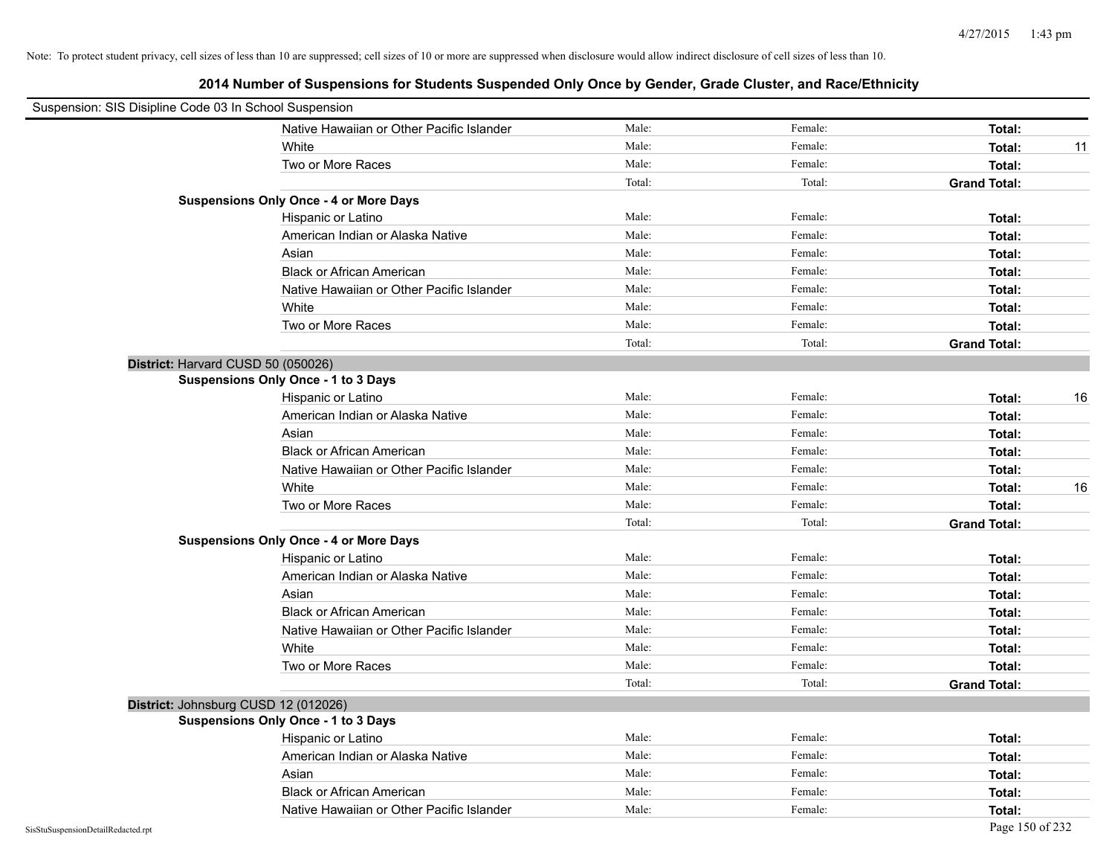| Suspension: SIS Disipline Code 03 In School Suspension |                                               |        |         |                     |
|--------------------------------------------------------|-----------------------------------------------|--------|---------|---------------------|
|                                                        | Native Hawaiian or Other Pacific Islander     | Male:  | Female: | Total:              |
|                                                        | White                                         | Male:  | Female: | Total:<br>11        |
|                                                        | Two or More Races                             | Male:  | Female: | Total:              |
|                                                        |                                               | Total: | Total:  | <b>Grand Total:</b> |
|                                                        | <b>Suspensions Only Once - 4 or More Days</b> |        |         |                     |
|                                                        | Hispanic or Latino                            | Male:  | Female: | Total:              |
|                                                        | American Indian or Alaska Native              | Male:  | Female: | Total:              |
|                                                        | Asian                                         | Male:  | Female: | Total:              |
|                                                        | <b>Black or African American</b>              | Male:  | Female: | Total:              |
|                                                        | Native Hawaiian or Other Pacific Islander     | Male:  | Female: | Total:              |
|                                                        | White                                         | Male:  | Female: | Total:              |
|                                                        | Two or More Races                             | Male:  | Female: | Total:              |
|                                                        |                                               | Total: | Total:  | <b>Grand Total:</b> |
|                                                        | District: Harvard CUSD 50 (050026)            |        |         |                     |
|                                                        | <b>Suspensions Only Once - 1 to 3 Days</b>    |        |         |                     |
|                                                        | Hispanic or Latino                            | Male:  | Female: | 16<br>Total:        |
|                                                        | American Indian or Alaska Native              | Male:  | Female: | Total:              |
|                                                        | Asian                                         | Male:  | Female: | Total:              |
|                                                        | <b>Black or African American</b>              | Male:  | Female: | Total:              |
|                                                        | Native Hawaiian or Other Pacific Islander     | Male:  | Female: | Total:              |
|                                                        | White                                         | Male:  | Female: | 16<br>Total:        |
|                                                        | Two or More Races                             | Male:  | Female: | Total:              |
|                                                        |                                               | Total: | Total:  | <b>Grand Total:</b> |
|                                                        | <b>Suspensions Only Once - 4 or More Days</b> |        |         |                     |
|                                                        | Hispanic or Latino                            | Male:  | Female: | Total:              |
|                                                        | American Indian or Alaska Native              | Male:  | Female: | Total:              |
|                                                        | Asian                                         | Male:  | Female: | Total:              |
|                                                        | <b>Black or African American</b>              | Male:  | Female: | Total:              |
|                                                        | Native Hawaiian or Other Pacific Islander     | Male:  | Female: | Total:              |
|                                                        | White                                         | Male:  | Female: | Total:              |
|                                                        | Two or More Races                             | Male:  | Female: | Total:              |
|                                                        |                                               | Total: | Total:  | <b>Grand Total:</b> |
|                                                        | District: Johnsburg CUSD 12 (012026)          |        |         |                     |
|                                                        | Suspensions Only Once - 1 to 3 Days           |        |         |                     |
|                                                        | Hispanic or Latino                            | Male:  | Female: | Total:              |
|                                                        | American Indian or Alaska Native              | Male:  | Female: | Total:              |
|                                                        | Asian                                         | Male:  | Female: | Total:              |
|                                                        | <b>Black or African American</b>              | Male:  | Female: | Total:              |
|                                                        | Native Hawaiian or Other Pacific Islander     | Male:  | Female: | Total:              |
| SisStuSuspensionDetailRedacted.rpt                     |                                               |        |         | Page 150 of 232     |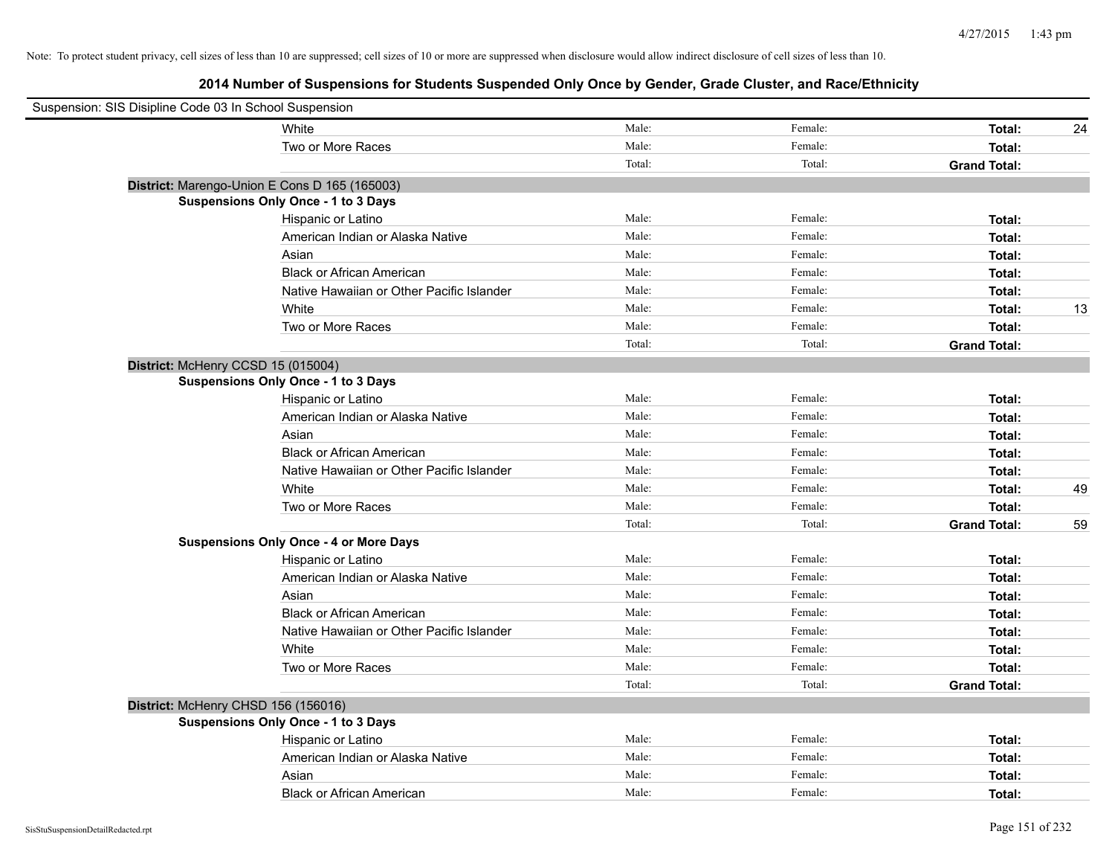| Suspension: SIS Disipline Code 03 In School Suspension |                                               |        |         |                     |    |
|--------------------------------------------------------|-----------------------------------------------|--------|---------|---------------------|----|
|                                                        | White                                         | Male:  | Female: | Total:              | 24 |
|                                                        | Two or More Races                             | Male:  | Female: | Total:              |    |
|                                                        |                                               | Total: | Total:  | <b>Grand Total:</b> |    |
|                                                        | District: Marengo-Union E Cons D 165 (165003) |        |         |                     |    |
|                                                        | <b>Suspensions Only Once - 1 to 3 Days</b>    |        |         |                     |    |
|                                                        | Hispanic or Latino                            | Male:  | Female: | Total:              |    |
|                                                        | American Indian or Alaska Native              | Male:  | Female: | Total:              |    |
|                                                        | Asian                                         | Male:  | Female: | Total:              |    |
|                                                        | <b>Black or African American</b>              | Male:  | Female: | Total:              |    |
|                                                        | Native Hawaiian or Other Pacific Islander     | Male:  | Female: | Total:              |    |
|                                                        | White                                         | Male:  | Female: | Total:              | 13 |
|                                                        | Two or More Races                             | Male:  | Female: | Total:              |    |
|                                                        |                                               | Total: | Total:  | <b>Grand Total:</b> |    |
|                                                        | District: McHenry CCSD 15 (015004)            |        |         |                     |    |
|                                                        | Suspensions Only Once - 1 to 3 Days           |        |         |                     |    |
|                                                        | Hispanic or Latino                            | Male:  | Female: | Total:              |    |
|                                                        | American Indian or Alaska Native              | Male:  | Female: | Total:              |    |
|                                                        | Asian                                         | Male:  | Female: | Total:              |    |
|                                                        | <b>Black or African American</b>              | Male:  | Female: | Total:              |    |
|                                                        | Native Hawaiian or Other Pacific Islander     | Male:  | Female: | Total:              |    |
|                                                        | White                                         | Male:  | Female: | Total:              | 49 |
|                                                        | Two or More Races                             | Male:  | Female: | Total:              |    |
|                                                        |                                               | Total: | Total:  | <b>Grand Total:</b> | 59 |
|                                                        | <b>Suspensions Only Once - 4 or More Days</b> |        |         |                     |    |
|                                                        | Hispanic or Latino                            | Male:  | Female: | Total:              |    |
|                                                        | American Indian or Alaska Native              | Male:  | Female: | Total:              |    |
|                                                        | Asian                                         | Male:  | Female: | Total:              |    |
|                                                        | <b>Black or African American</b>              | Male:  | Female: | Total:              |    |
|                                                        | Native Hawaiian or Other Pacific Islander     | Male:  | Female: | Total:              |    |
|                                                        | White                                         | Male:  | Female: | Total:              |    |
|                                                        | Two or More Races                             | Male:  | Female: | Total:              |    |
|                                                        |                                               | Total: | Total:  | <b>Grand Total:</b> |    |
|                                                        | District: McHenry CHSD 156 (156016)           |        |         |                     |    |
|                                                        | <b>Suspensions Only Once - 1 to 3 Days</b>    |        |         |                     |    |
|                                                        | Hispanic or Latino                            | Male:  | Female: | Total:              |    |
|                                                        | American Indian or Alaska Native              | Male:  | Female: | Total:              |    |
|                                                        | Asian                                         | Male:  | Female: | Total:              |    |
|                                                        | <b>Black or African American</b>              | Male:  | Female: | Total:              |    |
|                                                        |                                               |        |         |                     |    |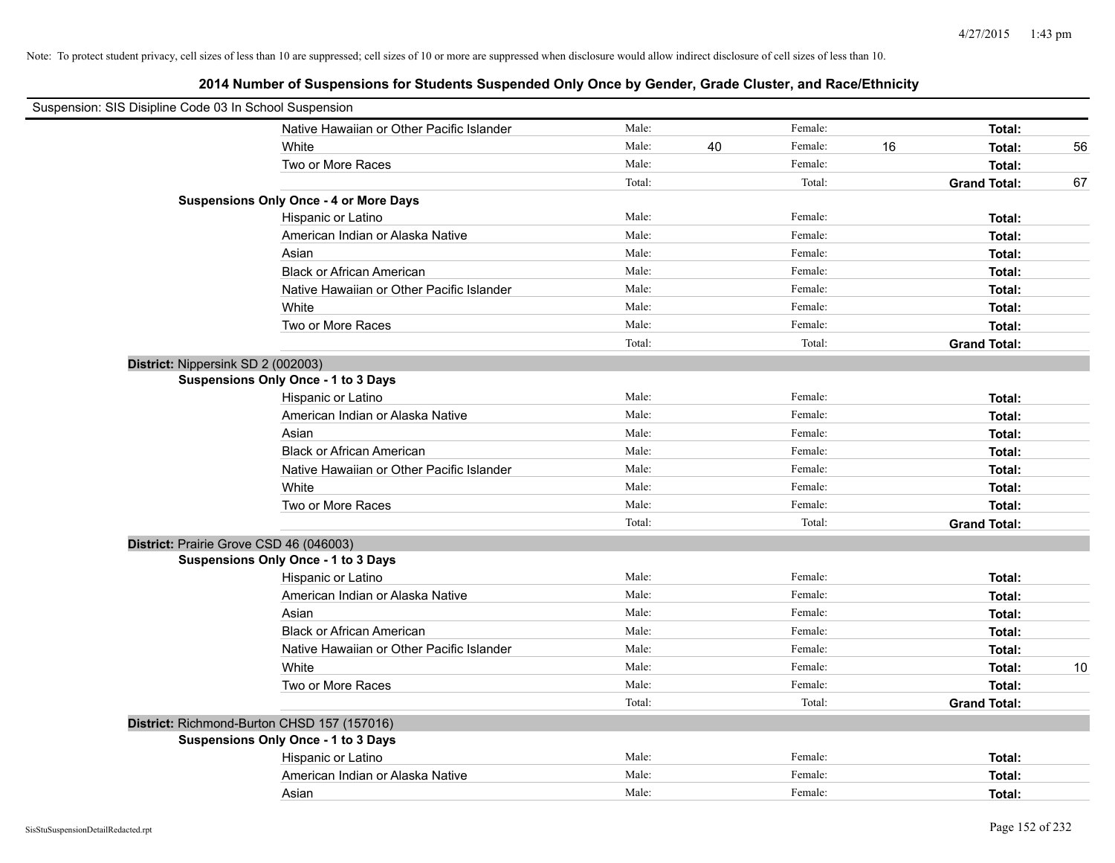| Suspension: SIS Disipline Code 03 In School Suspension |                                               |        |    |         |    |                     |    |
|--------------------------------------------------------|-----------------------------------------------|--------|----|---------|----|---------------------|----|
|                                                        | Native Hawaiian or Other Pacific Islander     | Male:  |    | Female: |    | Total:              |    |
|                                                        | White                                         | Male:  | 40 | Female: | 16 | Total:              | 56 |
|                                                        | Two or More Races                             | Male:  |    | Female: |    | Total:              |    |
|                                                        |                                               | Total: |    | Total:  |    | <b>Grand Total:</b> | 67 |
|                                                        | <b>Suspensions Only Once - 4 or More Days</b> |        |    |         |    |                     |    |
|                                                        | Hispanic or Latino                            | Male:  |    | Female: |    | Total:              |    |
|                                                        | American Indian or Alaska Native              | Male:  |    | Female: |    | Total:              |    |
|                                                        | Asian                                         | Male:  |    | Female: |    | Total:              |    |
|                                                        | <b>Black or African American</b>              | Male:  |    | Female: |    | Total:              |    |
|                                                        | Native Hawaiian or Other Pacific Islander     | Male:  |    | Female: |    | Total:              |    |
|                                                        | White                                         | Male:  |    | Female: |    | Total:              |    |
|                                                        | Two or More Races                             | Male:  |    | Female: |    | Total:              |    |
|                                                        |                                               | Total: |    | Total:  |    | <b>Grand Total:</b> |    |
| District: Nippersink SD 2 (002003)                     |                                               |        |    |         |    |                     |    |
|                                                        | Suspensions Only Once - 1 to 3 Days           |        |    |         |    |                     |    |
|                                                        | Hispanic or Latino                            | Male:  |    | Female: |    | Total:              |    |
|                                                        | American Indian or Alaska Native              | Male:  |    | Female: |    | Total:              |    |
|                                                        | Asian                                         | Male:  |    | Female: |    | Total:              |    |
|                                                        | <b>Black or African American</b>              | Male:  |    | Female: |    | Total:              |    |
|                                                        | Native Hawaiian or Other Pacific Islander     | Male:  |    | Female: |    | Total:              |    |
|                                                        | White                                         | Male:  |    | Female: |    | Total:              |    |
|                                                        | Two or More Races                             | Male:  |    | Female: |    | Total:              |    |
|                                                        |                                               | Total: |    | Total:  |    | <b>Grand Total:</b> |    |
| District: Prairie Grove CSD 46 (046003)                |                                               |        |    |         |    |                     |    |
|                                                        | Suspensions Only Once - 1 to 3 Days           |        |    |         |    |                     |    |
|                                                        | Hispanic or Latino                            | Male:  |    | Female: |    | Total:              |    |
|                                                        | American Indian or Alaska Native              | Male:  |    | Female: |    | Total:              |    |
|                                                        | Asian                                         | Male:  |    | Female: |    | Total:              |    |
|                                                        | <b>Black or African American</b>              | Male:  |    | Female: |    | Total:              |    |
|                                                        | Native Hawaiian or Other Pacific Islander     | Male:  |    | Female: |    | Total:              |    |
|                                                        | White                                         | Male:  |    | Female: |    | Total:              | 10 |
|                                                        | Two or More Races                             | Male:  |    | Female: |    | Total:              |    |
|                                                        |                                               | Total: |    | Total:  |    | <b>Grand Total:</b> |    |
| District: Richmond-Burton CHSD 157 (157016)            |                                               |        |    |         |    |                     |    |
|                                                        | <b>Suspensions Only Once - 1 to 3 Days</b>    |        |    |         |    |                     |    |
|                                                        | Hispanic or Latino                            | Male:  |    | Female: |    | Total:              |    |
|                                                        | American Indian or Alaska Native              | Male:  |    | Female: |    | Total:              |    |
|                                                        | Asian                                         | Male:  |    | Female: |    | Total:              |    |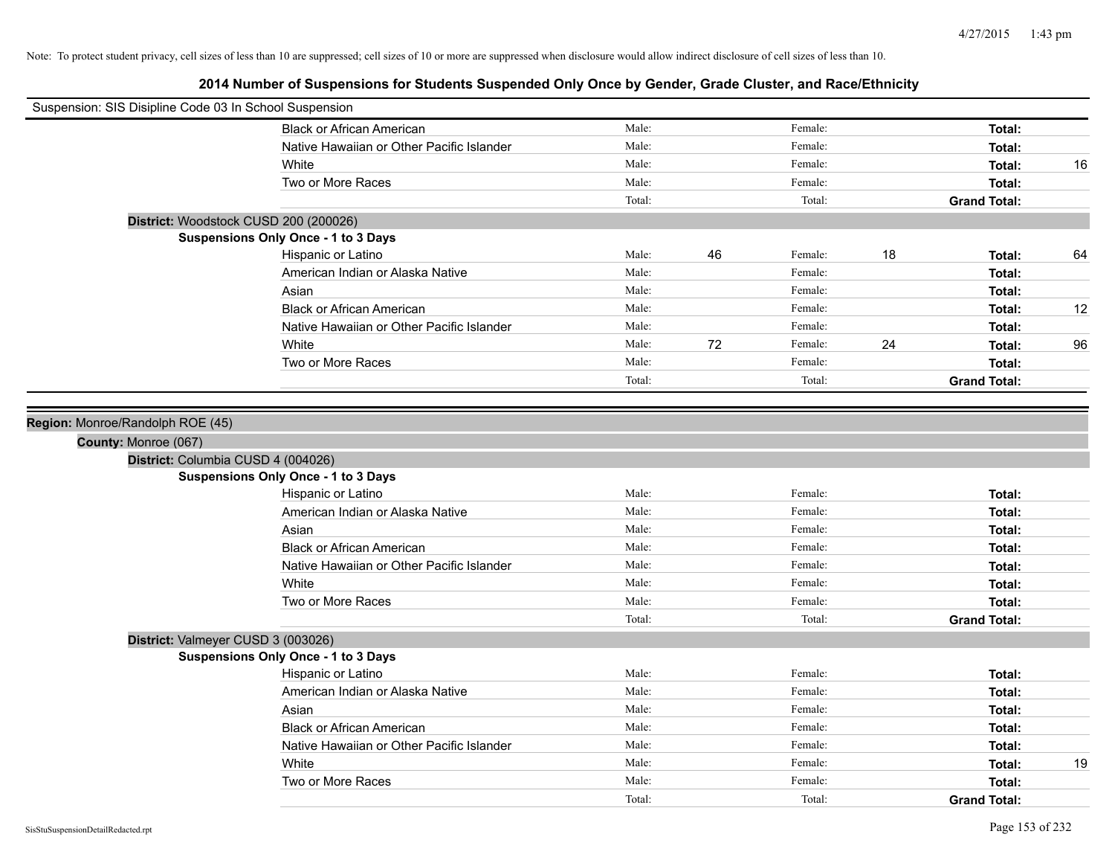| Suspension: SIS Disipline Code 03 In School Suspension |                                            |        |    |         |    |                     |    |
|--------------------------------------------------------|--------------------------------------------|--------|----|---------|----|---------------------|----|
|                                                        | <b>Black or African American</b>           | Male:  |    | Female: |    | Total:              |    |
|                                                        | Native Hawaiian or Other Pacific Islander  | Male:  |    | Female: |    | Total:              |    |
|                                                        | White                                      | Male:  |    | Female: |    | Total:              | 16 |
|                                                        | Two or More Races                          | Male:  |    | Female: |    | Total:              |    |
|                                                        |                                            | Total: |    | Total:  |    | <b>Grand Total:</b> |    |
| District: Woodstock CUSD 200 (200026)                  |                                            |        |    |         |    |                     |    |
|                                                        | Suspensions Only Once - 1 to 3 Days        |        |    |         |    |                     |    |
|                                                        | Hispanic or Latino                         | Male:  | 46 | Female: | 18 | Total:              | 64 |
|                                                        | American Indian or Alaska Native           | Male:  |    | Female: |    | Total:              |    |
|                                                        | Asian                                      | Male:  |    | Female: |    | Total:              |    |
|                                                        | <b>Black or African American</b>           | Male:  |    | Female: |    | Total:              | 12 |
|                                                        | Native Hawaiian or Other Pacific Islander  | Male:  |    | Female: |    | Total:              |    |
|                                                        | White                                      | Male:  | 72 | Female: | 24 | Total:              | 96 |
|                                                        | Two or More Races                          | Male:  |    | Female: |    | Total:              |    |
|                                                        |                                            | Total: |    | Total:  |    | <b>Grand Total:</b> |    |
|                                                        |                                            |        |    |         |    |                     |    |
| Region: Monroe/Randolph ROE (45)                       |                                            |        |    |         |    |                     |    |
| County: Monroe (067)                                   |                                            |        |    |         |    |                     |    |
| District: Columbia CUSD 4 (004026)                     |                                            |        |    |         |    |                     |    |
|                                                        | <b>Suspensions Only Once - 1 to 3 Days</b> |        |    |         |    |                     |    |
|                                                        | Hispanic or Latino                         | Male:  |    | Female: |    | Total:              |    |
|                                                        | American Indian or Alaska Native           | Male:  |    | Female: |    | Total:              |    |
|                                                        | Asian                                      | Male:  |    | Female: |    | Total:              |    |
|                                                        | <b>Black or African American</b>           | Male:  |    | Female: |    | Total:              |    |
|                                                        | Native Hawaiian or Other Pacific Islander  | Male:  |    | Female: |    | Total:              |    |
|                                                        | White                                      | Male:  |    | Female: |    | Total:              |    |
|                                                        | Two or More Races                          | Male:  |    | Female: |    | Total:              |    |
|                                                        |                                            | Total: |    | Total:  |    | <b>Grand Total:</b> |    |
| District: Valmeyer CUSD 3 (003026)                     |                                            |        |    |         |    |                     |    |
|                                                        | <b>Suspensions Only Once - 1 to 3 Days</b> |        |    |         |    |                     |    |
|                                                        | Hispanic or Latino                         | Male:  |    | Female: |    | Total:              |    |
|                                                        | American Indian or Alaska Native           | Male:  |    | Female: |    | Total:              |    |
|                                                        | Asian                                      | Male:  |    | Female: |    | Total:              |    |
|                                                        | <b>Black or African American</b>           | Male:  |    | Female: |    | Total:              |    |
|                                                        | Native Hawaiian or Other Pacific Islander  | Male:  |    | Female: |    | Total:              |    |
|                                                        | White                                      | Male:  |    | Female: |    | Total:              | 19 |
|                                                        | Two or More Races                          | Male:  |    | Female: |    | Total:              |    |
|                                                        |                                            | Total: |    | Total:  |    | <b>Grand Total:</b> |    |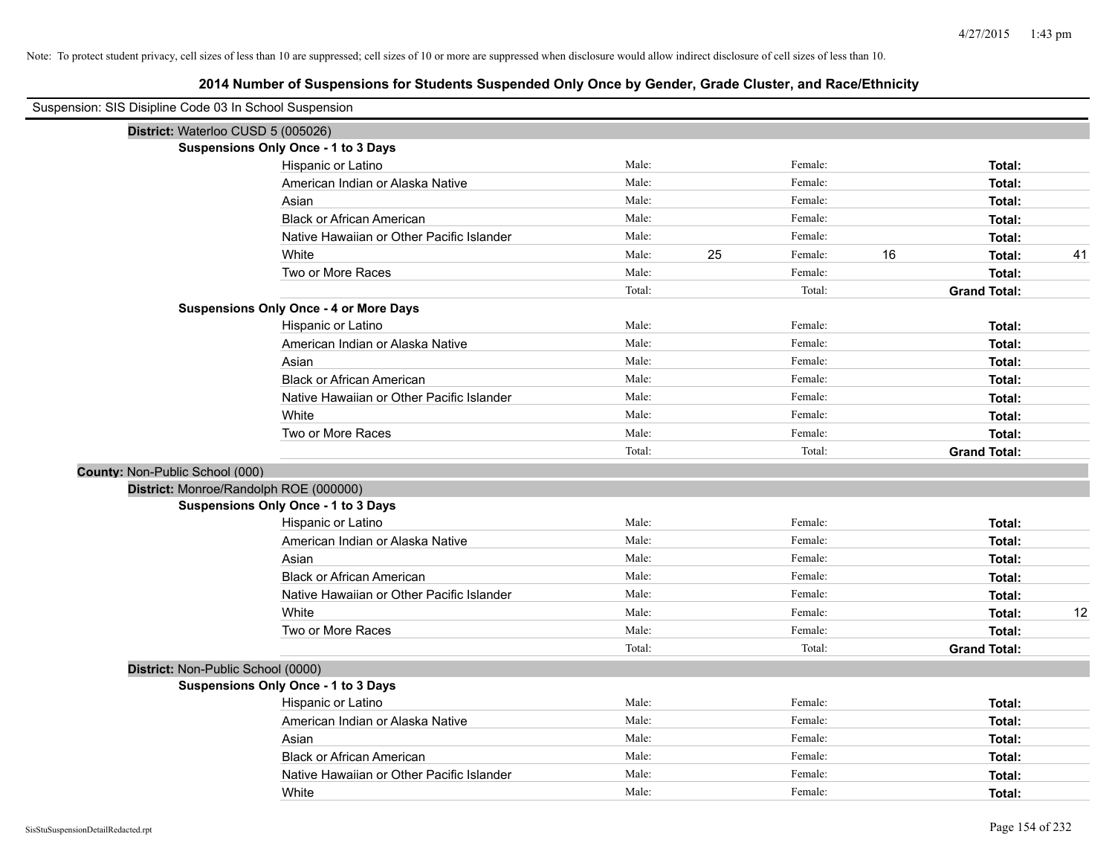| Suspension: SIS Disipline Code 03 In School Suspension |                                               |        |    |         |    |                     |    |
|--------------------------------------------------------|-----------------------------------------------|--------|----|---------|----|---------------------|----|
|                                                        | District: Waterloo CUSD 5 (005026)            |        |    |         |    |                     |    |
|                                                        | <b>Suspensions Only Once - 1 to 3 Days</b>    |        |    |         |    |                     |    |
|                                                        | Hispanic or Latino                            | Male:  |    | Female: |    | Total:              |    |
|                                                        | American Indian or Alaska Native              | Male:  |    | Female: |    | Total:              |    |
|                                                        | Asian                                         | Male:  |    | Female: |    | Total:              |    |
|                                                        | <b>Black or African American</b>              | Male:  |    | Female: |    | Total:              |    |
|                                                        | Native Hawaiian or Other Pacific Islander     | Male:  |    | Female: |    | Total:              |    |
|                                                        | White                                         | Male:  | 25 | Female: | 16 | Total:              | 41 |
|                                                        | Two or More Races                             | Male:  |    | Female: |    | Total:              |    |
|                                                        |                                               | Total: |    | Total:  |    | <b>Grand Total:</b> |    |
|                                                        | <b>Suspensions Only Once - 4 or More Days</b> |        |    |         |    |                     |    |
|                                                        | Hispanic or Latino                            | Male:  |    | Female: |    | Total:              |    |
|                                                        | American Indian or Alaska Native              | Male:  |    | Female: |    | Total:              |    |
|                                                        | Asian                                         | Male:  |    | Female: |    | Total:              |    |
|                                                        | <b>Black or African American</b>              | Male:  |    | Female: |    | Total:              |    |
|                                                        | Native Hawaiian or Other Pacific Islander     | Male:  |    | Female: |    | Total:              |    |
|                                                        | White                                         | Male:  |    | Female: |    | Total:              |    |
|                                                        | Two or More Races                             | Male:  |    | Female: |    | Total:              |    |
|                                                        |                                               | Total: |    | Total:  |    | <b>Grand Total:</b> |    |
| County: Non-Public School (000)                        |                                               |        |    |         |    |                     |    |
|                                                        | District: Monroe/Randolph ROE (000000)        |        |    |         |    |                     |    |
|                                                        | <b>Suspensions Only Once - 1 to 3 Days</b>    |        |    |         |    |                     |    |
|                                                        | Hispanic or Latino                            | Male:  |    | Female: |    | Total:              |    |
|                                                        | American Indian or Alaska Native              | Male:  |    | Female: |    | Total:              |    |
|                                                        | Asian                                         | Male:  |    | Female: |    | Total:              |    |
|                                                        | <b>Black or African American</b>              | Male:  |    | Female: |    | Total:              |    |
|                                                        | Native Hawaiian or Other Pacific Islander     | Male:  |    | Female: |    | Total:              |    |
|                                                        | White                                         | Male:  |    | Female: |    | Total:              | 12 |
|                                                        | Two or More Races                             | Male:  |    | Female: |    | Total:              |    |
|                                                        |                                               | Total: |    | Total:  |    | <b>Grand Total:</b> |    |
|                                                        | District: Non-Public School (0000)            |        |    |         |    |                     |    |
|                                                        | Suspensions Only Once - 1 to 3 Days           |        |    |         |    |                     |    |
|                                                        | Hispanic or Latino                            | Male:  |    | Female: |    | Total:              |    |
|                                                        | American Indian or Alaska Native              | Male:  |    | Female: |    | Total:              |    |
|                                                        | Asian                                         | Male:  |    | Female: |    | Total:              |    |
|                                                        | <b>Black or African American</b>              | Male:  |    | Female: |    | Total:              |    |
|                                                        | Native Hawaiian or Other Pacific Islander     | Male:  |    | Female: |    | Total:              |    |
|                                                        | White                                         | Male:  |    | Female: |    | Total:              |    |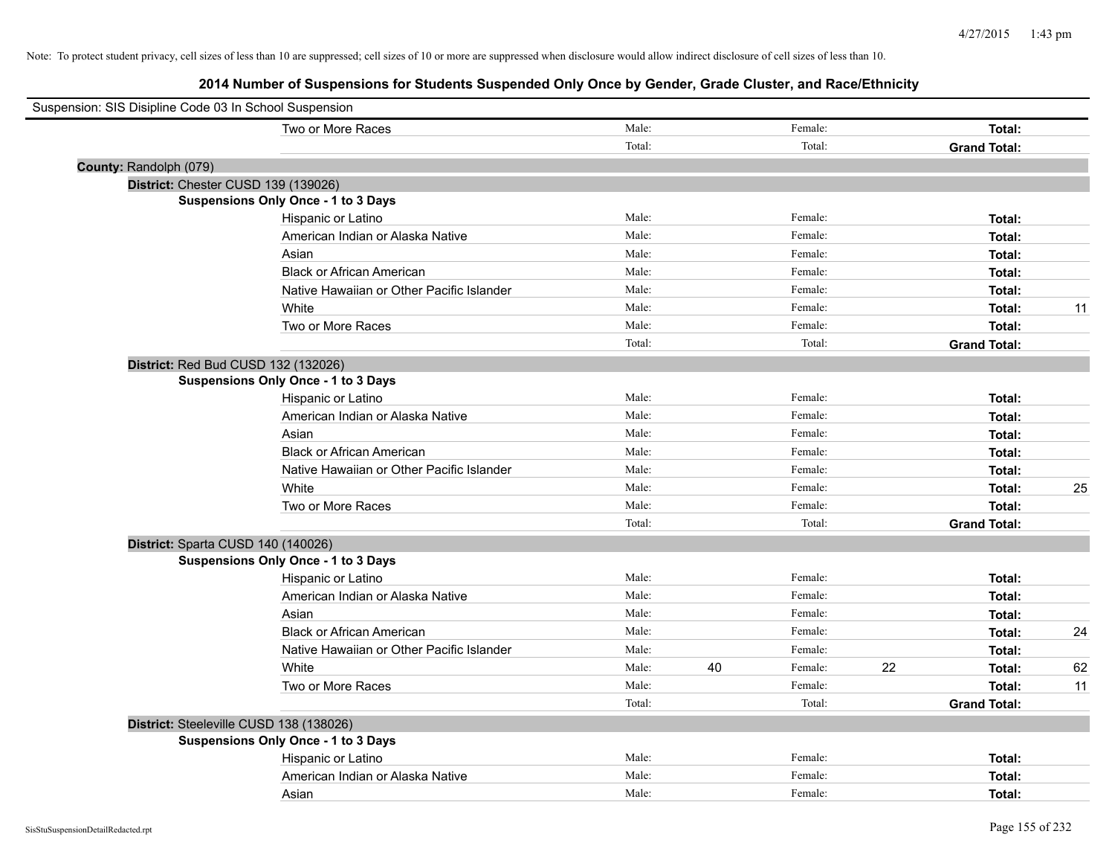| Suspension: SIS Disipline Code 03 In School Suspension |                                            |        |    |         |    |                     |    |
|--------------------------------------------------------|--------------------------------------------|--------|----|---------|----|---------------------|----|
|                                                        | Two or More Races                          | Male:  |    | Female: |    | Total:              |    |
|                                                        |                                            | Total: |    | Total:  |    | <b>Grand Total:</b> |    |
| County: Randolph (079)                                 |                                            |        |    |         |    |                     |    |
|                                                        | District: Chester CUSD 139 (139026)        |        |    |         |    |                     |    |
|                                                        | <b>Suspensions Only Once - 1 to 3 Days</b> |        |    |         |    |                     |    |
|                                                        | Hispanic or Latino                         | Male:  |    | Female: |    | Total:              |    |
|                                                        | American Indian or Alaska Native           | Male:  |    | Female: |    | Total:              |    |
|                                                        | Asian                                      | Male:  |    | Female: |    | Total:              |    |
|                                                        | <b>Black or African American</b>           | Male:  |    | Female: |    | Total:              |    |
|                                                        | Native Hawaiian or Other Pacific Islander  | Male:  |    | Female: |    | Total:              |    |
|                                                        | White                                      | Male:  |    | Female: |    | Total:              | 11 |
|                                                        | Two or More Races                          | Male:  |    | Female: |    | Total:              |    |
|                                                        |                                            | Total: |    | Total:  |    | <b>Grand Total:</b> |    |
|                                                        | District: Red Bud CUSD 132 (132026)        |        |    |         |    |                     |    |
|                                                        | Suspensions Only Once - 1 to 3 Days        |        |    |         |    |                     |    |
|                                                        | Hispanic or Latino                         | Male:  |    | Female: |    | Total:              |    |
|                                                        | American Indian or Alaska Native           | Male:  |    | Female: |    | Total:              |    |
|                                                        | Asian                                      | Male:  |    | Female: |    | Total:              |    |
|                                                        | <b>Black or African American</b>           | Male:  |    | Female: |    | Total:              |    |
|                                                        | Native Hawaiian or Other Pacific Islander  | Male:  |    | Female: |    | Total:              |    |
|                                                        | White                                      | Male:  |    | Female: |    | Total:              | 25 |
|                                                        | Two or More Races                          | Male:  |    | Female: |    | Total:              |    |
|                                                        |                                            | Total: |    | Total:  |    | <b>Grand Total:</b> |    |
|                                                        | District: Sparta CUSD 140 (140026)         |        |    |         |    |                     |    |
|                                                        | <b>Suspensions Only Once - 1 to 3 Days</b> |        |    |         |    |                     |    |
|                                                        | Hispanic or Latino                         | Male:  |    | Female: |    | Total:              |    |
|                                                        | American Indian or Alaska Native           | Male:  |    | Female: |    | Total:              |    |
|                                                        | Asian                                      | Male:  |    | Female: |    | Total:              |    |
|                                                        | <b>Black or African American</b>           | Male:  |    | Female: |    | Total:              | 24 |
|                                                        | Native Hawaiian or Other Pacific Islander  | Male:  |    | Female: |    | Total:              |    |
|                                                        | White                                      | Male:  | 40 | Female: | 22 | Total:              | 62 |
|                                                        | Two or More Races                          | Male:  |    | Female: |    | Total:              | 11 |
|                                                        |                                            | Total: |    | Total:  |    | <b>Grand Total:</b> |    |
|                                                        | District: Steeleville CUSD 138 (138026)    |        |    |         |    |                     |    |
|                                                        | <b>Suspensions Only Once - 1 to 3 Days</b> |        |    |         |    |                     |    |
|                                                        | Hispanic or Latino                         | Male:  |    | Female: |    | Total:              |    |
|                                                        | American Indian or Alaska Native           | Male:  |    | Female: |    | Total:              |    |
|                                                        | Asian                                      | Male:  |    | Female: |    | Total:              |    |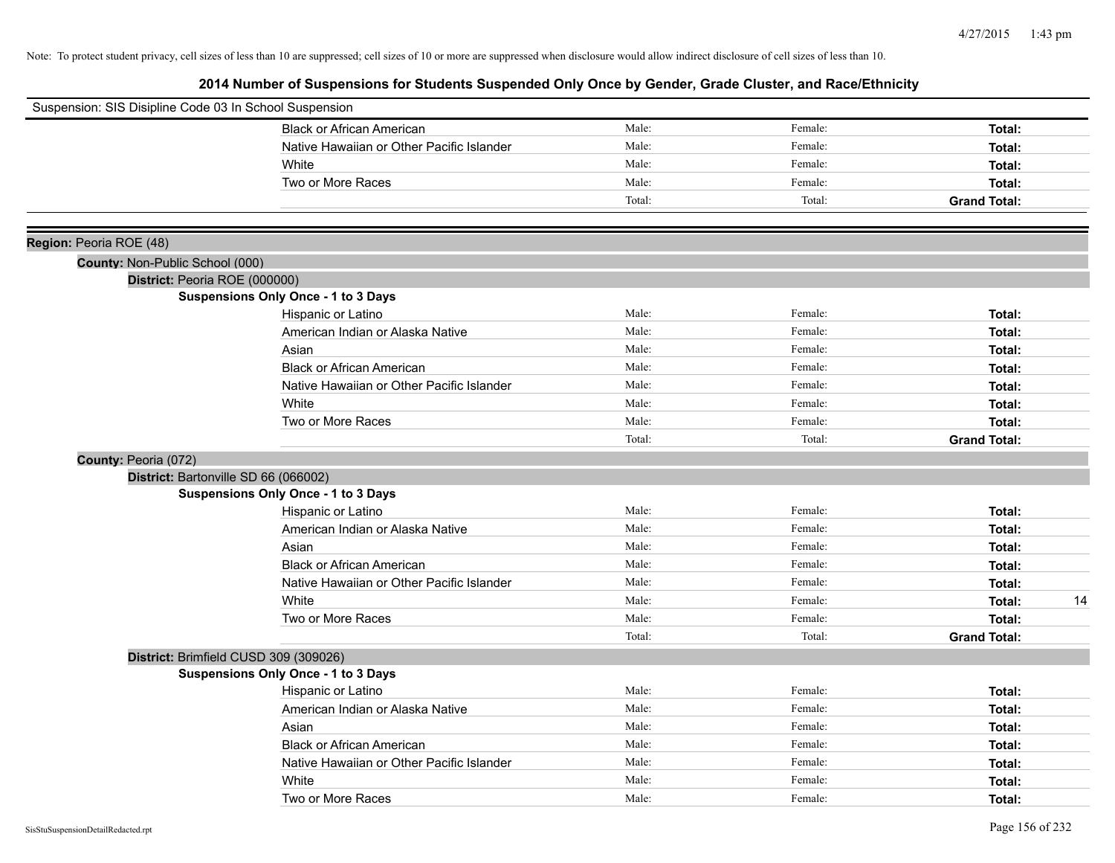| Suspension: SIS Disipline Code 03 In School Suspension |                                            |        |         |                     |
|--------------------------------------------------------|--------------------------------------------|--------|---------|---------------------|
|                                                        | <b>Black or African American</b>           | Male:  | Female: | Total:              |
|                                                        | Native Hawaiian or Other Pacific Islander  | Male:  | Female: | Total:              |
|                                                        | White                                      | Male:  | Female: | Total:              |
|                                                        | Two or More Races                          | Male:  | Female: | Total:              |
|                                                        |                                            | Total: | Total:  | <b>Grand Total:</b> |
| Region: Peoria ROE (48)                                |                                            |        |         |                     |
| County: Non-Public School (000)                        |                                            |        |         |                     |
| District: Peoria ROE (000000)                          |                                            |        |         |                     |
|                                                        | <b>Suspensions Only Once - 1 to 3 Days</b> |        |         |                     |
|                                                        | Hispanic or Latino                         | Male:  | Female: | Total:              |
|                                                        | American Indian or Alaska Native           | Male:  | Female: | Total:              |
|                                                        | Asian                                      | Male:  | Female: | Total:              |
|                                                        | <b>Black or African American</b>           | Male:  | Female: | Total:              |
|                                                        | Native Hawaiian or Other Pacific Islander  | Male:  | Female: | Total:              |
|                                                        | White                                      | Male:  | Female: | Total:              |
|                                                        | Two or More Races                          | Male:  | Female: | Total:              |
|                                                        |                                            | Total: | Total:  | <b>Grand Total:</b> |
| County: Peoria (072)                                   |                                            |        |         |                     |
|                                                        | District: Bartonville SD 66 (066002)       |        |         |                     |
|                                                        | Suspensions Only Once - 1 to 3 Days        |        |         |                     |
|                                                        | Hispanic or Latino                         | Male:  | Female: | Total:              |
|                                                        | American Indian or Alaska Native           | Male:  | Female: | Total:              |
|                                                        | Asian                                      | Male:  | Female: | Total:              |
|                                                        | <b>Black or African American</b>           | Male:  | Female: | Total:              |
|                                                        | Native Hawaiian or Other Pacific Islander  | Male:  | Female: | Total:              |
|                                                        | White                                      | Male:  | Female: | 14<br>Total:        |
|                                                        | Two or More Races                          | Male:  | Female: | Total:              |
|                                                        |                                            | Total: | Total:  | <b>Grand Total:</b> |
|                                                        | District: Brimfield CUSD 309 (309026)      |        |         |                     |
|                                                        | <b>Suspensions Only Once - 1 to 3 Days</b> |        |         |                     |
|                                                        | Hispanic or Latino                         | Male:  | Female: | Total:              |
|                                                        | American Indian or Alaska Native           | Male:  | Female: | Total:              |
|                                                        | Asian                                      | Male:  | Female: | Total:              |
|                                                        | <b>Black or African American</b>           | Male:  | Female: | Total:              |
|                                                        | Native Hawaiian or Other Pacific Islander  | Male:  | Female: | Total:              |
|                                                        | White                                      | Male:  | Female: | Total:              |
|                                                        | Two or More Races                          | Male:  | Female: | Total:              |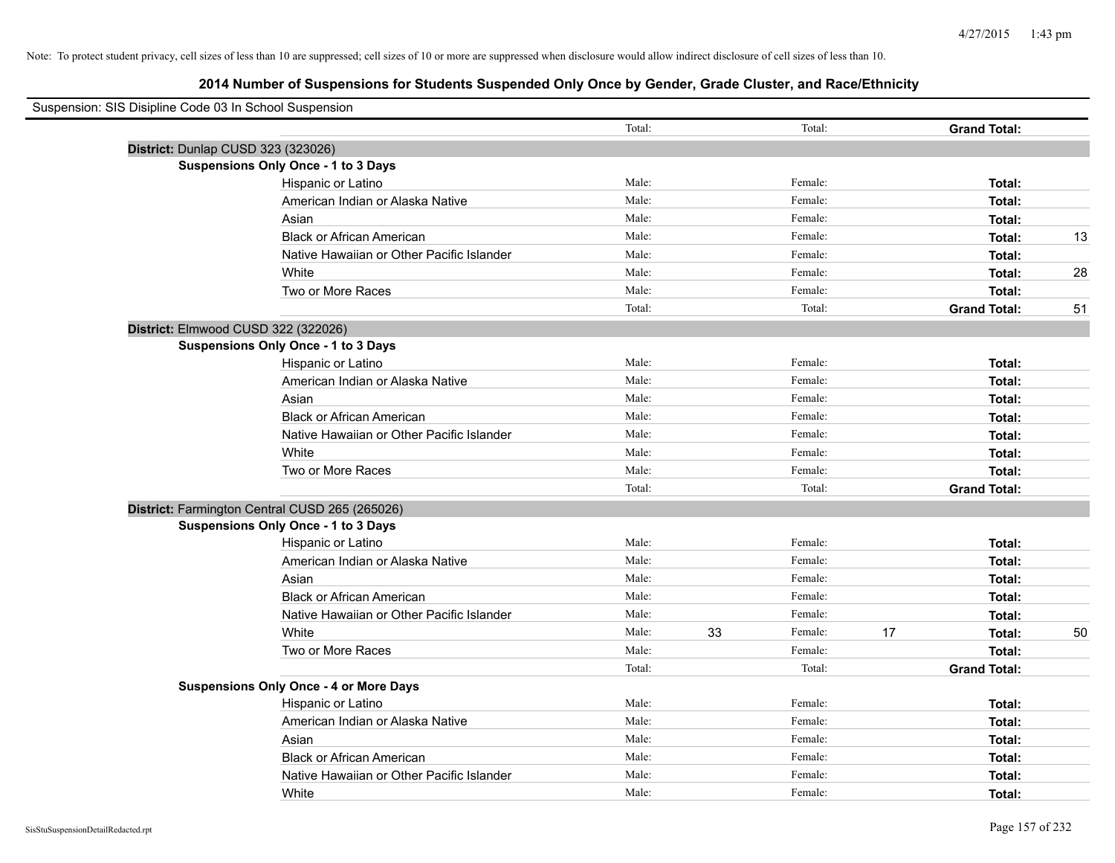| Suspension: SIS Disipline Code 03 In School Suspension |                                                |        |    |         |    |                     |    |
|--------------------------------------------------------|------------------------------------------------|--------|----|---------|----|---------------------|----|
|                                                        |                                                | Total: |    | Total:  |    | <b>Grand Total:</b> |    |
|                                                        | District: Dunlap CUSD 323 (323026)             |        |    |         |    |                     |    |
|                                                        | <b>Suspensions Only Once - 1 to 3 Days</b>     |        |    |         |    |                     |    |
|                                                        | Hispanic or Latino                             | Male:  |    | Female: |    | Total:              |    |
|                                                        | American Indian or Alaska Native               | Male:  |    | Female: |    | Total:              |    |
|                                                        | Asian                                          | Male:  |    | Female: |    | Total:              |    |
|                                                        | <b>Black or African American</b>               | Male:  |    | Female: |    | Total:              | 13 |
|                                                        | Native Hawaiian or Other Pacific Islander      | Male:  |    | Female: |    | Total:              |    |
|                                                        | White                                          | Male:  |    | Female: |    | Total:              | 28 |
|                                                        | Two or More Races                              | Male:  |    | Female: |    | Total:              |    |
|                                                        |                                                | Total: |    | Total:  |    | <b>Grand Total:</b> | 51 |
|                                                        | District: Elmwood CUSD 322 (322026)            |        |    |         |    |                     |    |
|                                                        | <b>Suspensions Only Once - 1 to 3 Days</b>     |        |    |         |    |                     |    |
|                                                        | Hispanic or Latino                             | Male:  |    | Female: |    | Total:              |    |
|                                                        | American Indian or Alaska Native               | Male:  |    | Female: |    | Total:              |    |
|                                                        | Asian                                          | Male:  |    | Female: |    | Total:              |    |
|                                                        | <b>Black or African American</b>               | Male:  |    | Female: |    | Total:              |    |
|                                                        | Native Hawaiian or Other Pacific Islander      | Male:  |    | Female: |    | Total:              |    |
|                                                        | White                                          | Male:  |    | Female: |    | Total:              |    |
|                                                        | Two or More Races                              | Male:  |    | Female: |    | Total:              |    |
|                                                        |                                                | Total: |    | Total:  |    | <b>Grand Total:</b> |    |
|                                                        | District: Farmington Central CUSD 265 (265026) |        |    |         |    |                     |    |
|                                                        | <b>Suspensions Only Once - 1 to 3 Days</b>     |        |    |         |    |                     |    |
|                                                        | Hispanic or Latino                             | Male:  |    | Female: |    | Total:              |    |
|                                                        | American Indian or Alaska Native               | Male:  |    | Female: |    | Total:              |    |
|                                                        | Asian                                          | Male:  |    | Female: |    | Total:              |    |
|                                                        | <b>Black or African American</b>               | Male:  |    | Female: |    | Total:              |    |
|                                                        | Native Hawaiian or Other Pacific Islander      | Male:  |    | Female: |    | Total:              |    |
|                                                        | White                                          | Male:  | 33 | Female: | 17 | Total:              | 50 |
|                                                        | Two or More Races                              | Male:  |    | Female: |    | Total:              |    |
|                                                        |                                                | Total: |    | Total:  |    | <b>Grand Total:</b> |    |
|                                                        | <b>Suspensions Only Once - 4 or More Days</b>  |        |    |         |    |                     |    |
|                                                        | Hispanic or Latino                             | Male:  |    | Female: |    | Total:              |    |
|                                                        | American Indian or Alaska Native               | Male:  |    | Female: |    | Total:              |    |
|                                                        | Asian                                          | Male:  |    | Female: |    | Total:              |    |
|                                                        | <b>Black or African American</b>               | Male:  |    | Female: |    | Total:              |    |
|                                                        | Native Hawaiian or Other Pacific Islander      | Male:  |    | Female: |    | Total:              |    |
|                                                        | White                                          | Male:  |    | Female: |    | Total:              |    |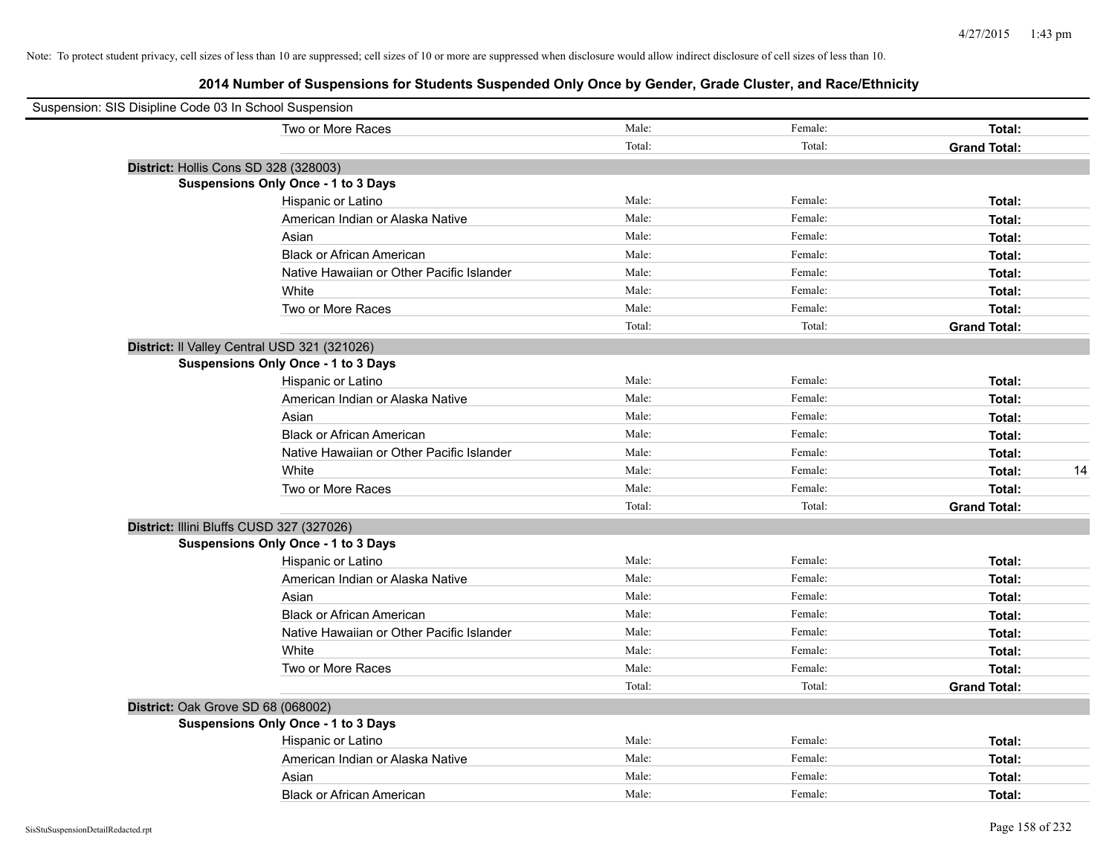| Suspension: SIS Disipline Code 03 In School Suspension |                                           |        |         |                     |    |
|--------------------------------------------------------|-------------------------------------------|--------|---------|---------------------|----|
| Two or More Races                                      |                                           | Male:  | Female: | Total:              |    |
|                                                        |                                           | Total: | Total:  | <b>Grand Total:</b> |    |
| District: Hollis Cons SD 328 (328003)                  |                                           |        |         |                     |    |
| Suspensions Only Once - 1 to 3 Days                    |                                           |        |         |                     |    |
| Hispanic or Latino                                     |                                           | Male:  | Female: | Total:              |    |
|                                                        | American Indian or Alaska Native          | Male:  | Female: | Total:              |    |
| Asian                                                  |                                           | Male:  | Female: | Total:              |    |
|                                                        | <b>Black or African American</b>          | Male:  | Female: | Total:              |    |
|                                                        | Native Hawaiian or Other Pacific Islander | Male:  | Female: | Total:              |    |
| White                                                  |                                           | Male:  | Female: | Total:              |    |
| Two or More Races                                      |                                           | Male:  | Female: | Total:              |    |
|                                                        |                                           | Total: | Total:  | <b>Grand Total:</b> |    |
| District: Il Valley Central USD 321 (321026)           |                                           |        |         |                     |    |
| <b>Suspensions Only Once - 1 to 3 Days</b>             |                                           |        |         |                     |    |
| Hispanic or Latino                                     |                                           | Male:  | Female: | Total:              |    |
|                                                        | American Indian or Alaska Native          | Male:  | Female: | Total:              |    |
| Asian                                                  |                                           | Male:  | Female: | Total:              |    |
|                                                        | <b>Black or African American</b>          | Male:  | Female: | Total:              |    |
|                                                        | Native Hawaiian or Other Pacific Islander | Male:  | Female: | Total:              |    |
| White                                                  |                                           | Male:  | Female: | Total:              | 14 |
| Two or More Races                                      |                                           | Male:  | Female: | Total:              |    |
|                                                        |                                           | Total: | Total:  | <b>Grand Total:</b> |    |
| District: Illini Bluffs CUSD 327 (327026)              |                                           |        |         |                     |    |
| <b>Suspensions Only Once - 1 to 3 Days</b>             |                                           |        |         |                     |    |
| Hispanic or Latino                                     |                                           | Male:  | Female: | Total:              |    |
|                                                        | American Indian or Alaska Native          | Male:  | Female: | Total:              |    |
| Asian                                                  |                                           | Male:  | Female: | Total:              |    |
|                                                        | <b>Black or African American</b>          | Male:  | Female: | Total:              |    |
|                                                        | Native Hawaiian or Other Pacific Islander | Male:  | Female: | Total:              |    |
| White                                                  |                                           | Male:  | Female: | Total:              |    |
| Two or More Races                                      |                                           | Male:  | Female: | Total:              |    |
|                                                        |                                           | Total: | Total:  | <b>Grand Total:</b> |    |
| District: Oak Grove SD 68 (068002)                     |                                           |        |         |                     |    |
| <b>Suspensions Only Once - 1 to 3 Days</b>             |                                           |        |         |                     |    |
| Hispanic or Latino                                     |                                           | Male:  | Female: | Total:              |    |
|                                                        | American Indian or Alaska Native          | Male:  | Female: | Total:              |    |
| Asian                                                  |                                           | Male:  | Female: | Total:              |    |
|                                                        | <b>Black or African American</b>          | Male:  | Female: | Total:              |    |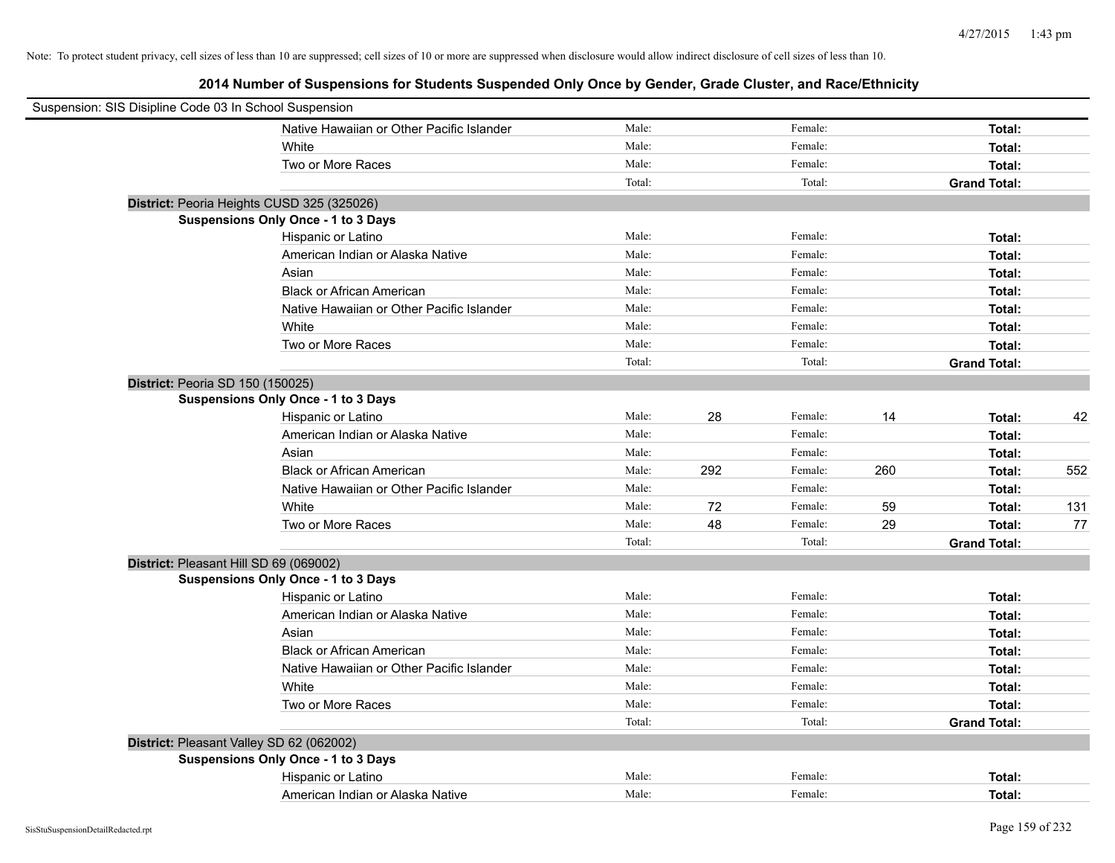| Suspension: SIS Disipline Code 03 In School Suspension |        |     |         |     |                     |     |
|--------------------------------------------------------|--------|-----|---------|-----|---------------------|-----|
| Native Hawaiian or Other Pacific Islander              | Male:  |     | Female: |     | Total:              |     |
| White                                                  | Male:  |     | Female: |     | Total:              |     |
| Two or More Races                                      | Male:  |     | Female: |     | Total:              |     |
|                                                        | Total: |     | Total:  |     | <b>Grand Total:</b> |     |
| District: Peoria Heights CUSD 325 (325026)             |        |     |         |     |                     |     |
| Suspensions Only Once - 1 to 3 Days                    |        |     |         |     |                     |     |
| Hispanic or Latino                                     | Male:  |     | Female: |     | Total:              |     |
| American Indian or Alaska Native                       | Male:  |     | Female: |     | Total:              |     |
| Asian                                                  | Male:  |     | Female: |     | Total:              |     |
| <b>Black or African American</b>                       | Male:  |     | Female: |     | Total:              |     |
| Native Hawaiian or Other Pacific Islander              | Male:  |     | Female: |     | Total:              |     |
| White                                                  | Male:  |     | Female: |     | Total:              |     |
| Two or More Races                                      | Male:  |     | Female: |     | Total:              |     |
|                                                        | Total: |     | Total:  |     | <b>Grand Total:</b> |     |
| District: Peoria SD 150 (150025)                       |        |     |         |     |                     |     |
| Suspensions Only Once - 1 to 3 Days                    |        |     |         |     |                     |     |
| Hispanic or Latino                                     | Male:  | 28  | Female: | 14  | Total:              | 42  |
| American Indian or Alaska Native                       | Male:  |     | Female: |     | Total:              |     |
| Asian                                                  | Male:  |     | Female: |     | Total:              |     |
| <b>Black or African American</b>                       | Male:  | 292 | Female: | 260 | Total:              | 552 |
| Native Hawaiian or Other Pacific Islander              | Male:  |     | Female: |     | Total:              |     |
| White                                                  | Male:  | 72  | Female: | 59  | Total:              | 131 |
| Two or More Races                                      | Male:  | 48  | Female: | 29  | Total:              | 77  |
|                                                        | Total: |     | Total:  |     | <b>Grand Total:</b> |     |
| District: Pleasant Hill SD 69 (069002)                 |        |     |         |     |                     |     |
| Suspensions Only Once - 1 to 3 Days                    |        |     |         |     |                     |     |
| Hispanic or Latino                                     | Male:  |     | Female: |     | Total:              |     |
| American Indian or Alaska Native                       | Male:  |     | Female: |     | Total:              |     |
| Asian                                                  | Male:  |     | Female: |     | Total:              |     |
| <b>Black or African American</b>                       | Male:  |     | Female: |     | Total:              |     |
| Native Hawaiian or Other Pacific Islander              | Male:  |     | Female: |     | Total:              |     |
| White                                                  | Male:  |     | Female: |     | Total:              |     |
| Two or More Races                                      | Male:  |     | Female: |     | Total:              |     |
|                                                        | Total: |     | Total:  |     | <b>Grand Total:</b> |     |
| District: Pleasant Valley SD 62 (062002)               |        |     |         |     |                     |     |
| Suspensions Only Once - 1 to 3 Days                    |        |     |         |     |                     |     |
| Hispanic or Latino                                     | Male:  |     | Female: |     | Total:              |     |
| American Indian or Alaska Native                       | Male:  |     | Female: |     | Total:              |     |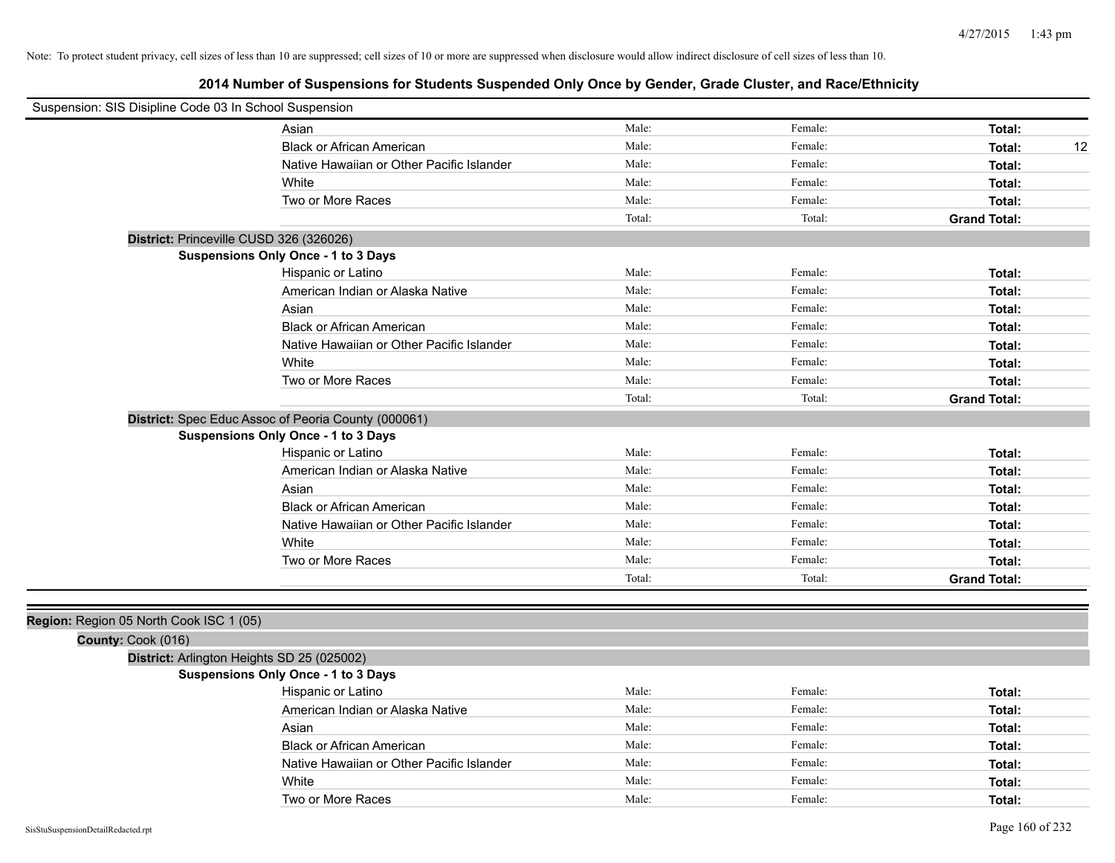| Suspension: SIS Disipline Code 03 In School Suspension |                                                     |        |         |                     |
|--------------------------------------------------------|-----------------------------------------------------|--------|---------|---------------------|
|                                                        | Asian                                               | Male:  | Female: | Total:              |
|                                                        | <b>Black or African American</b>                    | Male:  | Female: | Total:<br>12        |
|                                                        | Native Hawaiian or Other Pacific Islander           | Male:  | Female: | Total:              |
|                                                        | White                                               | Male:  | Female: | Total:              |
|                                                        | Two or More Races                                   | Male:  | Female: | Total:              |
|                                                        |                                                     | Total: | Total:  | <b>Grand Total:</b> |
|                                                        | District: Princeville CUSD 326 (326026)             |        |         |                     |
|                                                        | <b>Suspensions Only Once - 1 to 3 Days</b>          |        |         |                     |
|                                                        | Hispanic or Latino                                  | Male:  | Female: | Total:              |
|                                                        | American Indian or Alaska Native                    | Male:  | Female: | Total:              |
|                                                        | Asian                                               | Male:  | Female: | Total:              |
|                                                        | <b>Black or African American</b>                    | Male:  | Female: | Total:              |
|                                                        | Native Hawaiian or Other Pacific Islander           | Male:  | Female: | Total:              |
|                                                        | White                                               | Male:  | Female: | Total:              |
|                                                        | Two or More Races                                   | Male:  | Female: | Total:              |
|                                                        |                                                     | Total: | Total:  | <b>Grand Total:</b> |
|                                                        | District: Spec Educ Assoc of Peoria County (000061) |        |         |                     |
|                                                        | <b>Suspensions Only Once - 1 to 3 Days</b>          |        |         |                     |
|                                                        | Hispanic or Latino                                  | Male:  | Female: | Total:              |
|                                                        | American Indian or Alaska Native                    | Male:  | Female: | Total:              |
|                                                        | Asian                                               | Male:  | Female: | Total:              |
|                                                        | <b>Black or African American</b>                    | Male:  | Female: | Total:              |
|                                                        | Native Hawaiian or Other Pacific Islander           | Male:  | Female: | Total:              |
|                                                        | White                                               | Male:  | Female: | Total:              |
|                                                        | Two or More Races                                   | Male:  | Female: | Total:              |
|                                                        |                                                     | Total: | Total:  | <b>Grand Total:</b> |
|                                                        |                                                     |        |         |                     |
| Region: Region 05 North Cook ISC 1 (05)                |                                                     |        |         |                     |
| County: Cook (016)                                     |                                                     |        |         |                     |
|                                                        | District: Arlington Heights SD 25 (025002)          |        |         |                     |
|                                                        | <b>Suspensions Only Once - 1 to 3 Days</b>          |        |         |                     |
|                                                        | Hispanic or Latino                                  | Male:  | Female: | Total:              |
|                                                        | American Indian or Alaska Native                    | Male:  | Female: | Total:              |
|                                                        | Asian                                               | Male:  | Female: | Total:              |
|                                                        | <b>Black or African American</b>                    | Male:  | Female: | Total:              |
|                                                        | Native Hawaiian or Other Pacific Islander           | Male:  | Female: | Total:              |
|                                                        | White                                               | Male:  | Female: | Total:              |
|                                                        | Two or More Races                                   | Male:  | Female: | Total:              |
| SisStuSuspensionDetailRedacted.rpt                     |                                                     |        |         | Page 160 of 232     |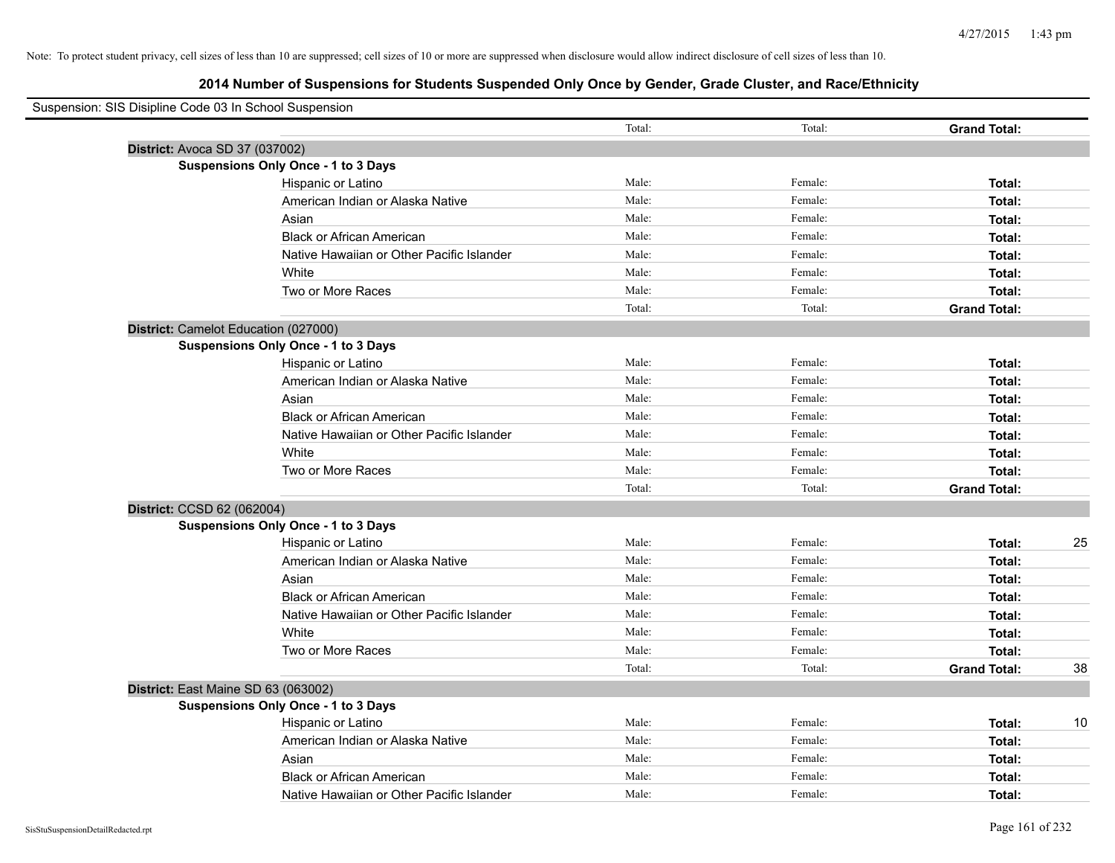| Suspension: SIS Disipline Code 03 In School Suspension |                                            |        |         |                     |    |
|--------------------------------------------------------|--------------------------------------------|--------|---------|---------------------|----|
|                                                        |                                            | Total: | Total:  | <b>Grand Total:</b> |    |
| District: Avoca SD 37 (037002)                         |                                            |        |         |                     |    |
|                                                        | <b>Suspensions Only Once - 1 to 3 Days</b> |        |         |                     |    |
|                                                        | Hispanic or Latino                         | Male:  | Female: | Total:              |    |
|                                                        | American Indian or Alaska Native           | Male:  | Female: | Total:              |    |
|                                                        | Asian                                      | Male:  | Female: | Total:              |    |
|                                                        | <b>Black or African American</b>           | Male:  | Female: | Total:              |    |
|                                                        | Native Hawaiian or Other Pacific Islander  | Male:  | Female: | Total:              |    |
|                                                        | White                                      | Male:  | Female: | Total:              |    |
|                                                        | Two or More Races                          | Male:  | Female: | Total:              |    |
|                                                        |                                            | Total: | Total:  | <b>Grand Total:</b> |    |
| District: Camelot Education (027000)                   |                                            |        |         |                     |    |
|                                                        | <b>Suspensions Only Once - 1 to 3 Days</b> |        |         |                     |    |
|                                                        | Hispanic or Latino                         | Male:  | Female: | Total:              |    |
|                                                        | American Indian or Alaska Native           | Male:  | Female: | Total:              |    |
|                                                        | Asian                                      | Male:  | Female: | Total:              |    |
|                                                        | <b>Black or African American</b>           | Male:  | Female: | Total:              |    |
|                                                        | Native Hawaiian or Other Pacific Islander  | Male:  | Female: | Total:              |    |
|                                                        | White                                      | Male:  | Female: | Total:              |    |
|                                                        | Two or More Races                          | Male:  | Female: | Total:              |    |
|                                                        |                                            | Total: | Total:  | <b>Grand Total:</b> |    |
| District: CCSD 62 (062004)                             |                                            |        |         |                     |    |
|                                                        | <b>Suspensions Only Once - 1 to 3 Days</b> |        |         |                     |    |
|                                                        | Hispanic or Latino                         | Male:  | Female: | Total:              | 25 |
|                                                        | American Indian or Alaska Native           | Male:  | Female: | Total:              |    |
|                                                        | Asian                                      | Male:  | Female: | Total:              |    |
|                                                        | <b>Black or African American</b>           | Male:  | Female: | Total:              |    |
|                                                        | Native Hawaiian or Other Pacific Islander  | Male:  | Female: | Total:              |    |
|                                                        | White                                      | Male:  | Female: | Total:              |    |
|                                                        | Two or More Races                          | Male:  | Female: | Total:              |    |
|                                                        |                                            | Total: | Total:  | <b>Grand Total:</b> | 38 |
| District: East Maine SD 63 (063002)                    |                                            |        |         |                     |    |
|                                                        | <b>Suspensions Only Once - 1 to 3 Days</b> |        |         |                     |    |
|                                                        | Hispanic or Latino                         | Male:  | Female: | Total:              | 10 |
|                                                        | American Indian or Alaska Native           | Male:  | Female: | Total:              |    |
|                                                        | Asian                                      | Male:  | Female: | Total:              |    |
|                                                        | <b>Black or African American</b>           | Male:  | Female: | Total:              |    |
|                                                        | Native Hawaiian or Other Pacific Islander  | Male:  | Female: | Total:              |    |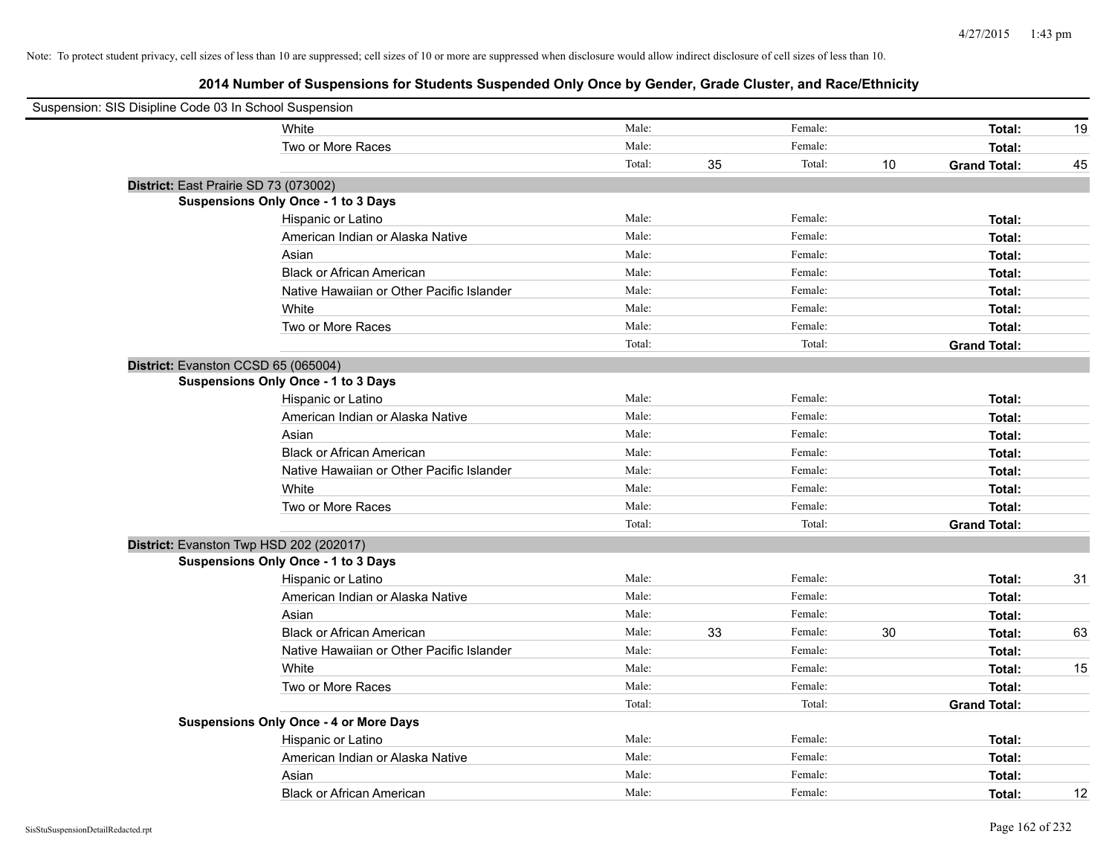| Suspension: SIS Disipline Code 03 In School Suspension |                                               |        |    |         |    |                     |    |
|--------------------------------------------------------|-----------------------------------------------|--------|----|---------|----|---------------------|----|
|                                                        | White                                         | Male:  |    | Female: |    | Total:              | 19 |
|                                                        | Two or More Races                             | Male:  |    | Female: |    | Total:              |    |
|                                                        |                                               | Total: | 35 | Total:  | 10 | <b>Grand Total:</b> | 45 |
|                                                        | District: East Prairie SD 73 (073002)         |        |    |         |    |                     |    |
|                                                        | Suspensions Only Once - 1 to 3 Days           |        |    |         |    |                     |    |
|                                                        | Hispanic or Latino                            | Male:  |    | Female: |    | Total:              |    |
|                                                        | American Indian or Alaska Native              | Male:  |    | Female: |    | Total:              |    |
|                                                        | Asian                                         | Male:  |    | Female: |    | Total:              |    |
|                                                        | <b>Black or African American</b>              | Male:  |    | Female: |    | Total:              |    |
|                                                        | Native Hawaiian or Other Pacific Islander     | Male:  |    | Female: |    | Total:              |    |
|                                                        | White                                         | Male:  |    | Female: |    | Total:              |    |
|                                                        | Two or More Races                             | Male:  |    | Female: |    | Total:              |    |
|                                                        |                                               | Total: |    | Total:  |    | <b>Grand Total:</b> |    |
|                                                        | District: Evanston CCSD 65 (065004)           |        |    |         |    |                     |    |
|                                                        | Suspensions Only Once - 1 to 3 Days           |        |    |         |    |                     |    |
|                                                        | Hispanic or Latino                            | Male:  |    | Female: |    | Total:              |    |
|                                                        | American Indian or Alaska Native              | Male:  |    | Female: |    | Total:              |    |
|                                                        | Asian                                         | Male:  |    | Female: |    | Total:              |    |
|                                                        | <b>Black or African American</b>              | Male:  |    | Female: |    | Total:              |    |
|                                                        | Native Hawaiian or Other Pacific Islander     | Male:  |    | Female: |    | Total:              |    |
|                                                        | White                                         | Male:  |    | Female: |    | Total:              |    |
|                                                        | Two or More Races                             | Male:  |    | Female: |    | Total:              |    |
|                                                        |                                               | Total: |    | Total:  |    | <b>Grand Total:</b> |    |
|                                                        | District: Evanston Twp HSD 202 (202017)       |        |    |         |    |                     |    |
|                                                        | <b>Suspensions Only Once - 1 to 3 Days</b>    |        |    |         |    |                     |    |
|                                                        | Hispanic or Latino                            | Male:  |    | Female: |    | Total:              | 31 |
|                                                        | American Indian or Alaska Native              | Male:  |    | Female: |    | Total:              |    |
|                                                        | Asian                                         | Male:  |    | Female: |    | Total:              |    |
|                                                        | <b>Black or African American</b>              | Male:  | 33 | Female: | 30 | Total:              | 63 |
|                                                        | Native Hawaiian or Other Pacific Islander     | Male:  |    | Female: |    | Total:              |    |
|                                                        | White                                         | Male:  |    | Female: |    | Total:              | 15 |
|                                                        | Two or More Races                             | Male:  |    | Female: |    | Total:              |    |
|                                                        |                                               | Total: |    | Total:  |    | <b>Grand Total:</b> |    |
|                                                        | <b>Suspensions Only Once - 4 or More Days</b> |        |    |         |    |                     |    |
|                                                        | Hispanic or Latino                            | Male:  |    | Female: |    | Total:              |    |
|                                                        | American Indian or Alaska Native              | Male:  |    | Female: |    | Total:              |    |
|                                                        | Asian                                         | Male:  |    | Female: |    | Total:              |    |
|                                                        | <b>Black or African American</b>              | Male:  |    | Female: |    | Total:              | 12 |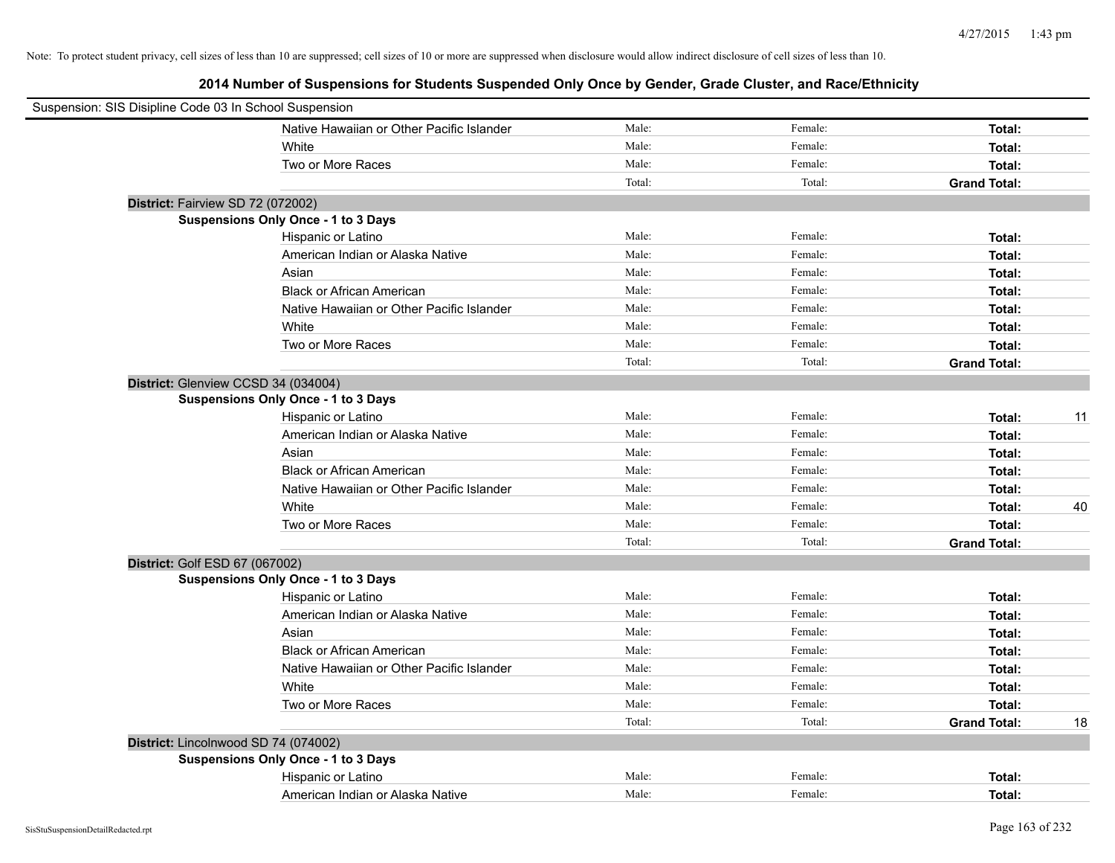|                                   | Suspension: SIS Disipline Code 03 In School Suspension |        |         |                     |    |
|-----------------------------------|--------------------------------------------------------|--------|---------|---------------------|----|
|                                   | Native Hawaiian or Other Pacific Islander              | Male:  | Female: | Total:              |    |
|                                   | White                                                  | Male:  | Female: | Total:              |    |
|                                   | Two or More Races                                      | Male:  | Female: | Total:              |    |
|                                   |                                                        | Total: | Total:  | <b>Grand Total:</b> |    |
| District: Fairview SD 72 (072002) |                                                        |        |         |                     |    |
|                                   | Suspensions Only Once - 1 to 3 Days                    |        |         |                     |    |
|                                   | Hispanic or Latino                                     | Male:  | Female: | Total:              |    |
|                                   | American Indian or Alaska Native                       | Male:  | Female: | Total:              |    |
|                                   | Asian                                                  | Male:  | Female: | Total:              |    |
|                                   | <b>Black or African American</b>                       | Male:  | Female: | Total:              |    |
|                                   | Native Hawaiian or Other Pacific Islander              | Male:  | Female: | Total:              |    |
|                                   | White                                                  | Male:  | Female: | Total:              |    |
|                                   | Two or More Races                                      | Male:  | Female: | Total:              |    |
|                                   |                                                        | Total: | Total:  | <b>Grand Total:</b> |    |
|                                   | District: Glenview CCSD 34 (034004)                    |        |         |                     |    |
|                                   | <b>Suspensions Only Once - 1 to 3 Days</b>             |        |         |                     |    |
|                                   | Hispanic or Latino                                     | Male:  | Female: | Total:              | 11 |
|                                   | American Indian or Alaska Native                       | Male:  | Female: | Total:              |    |
|                                   | Asian                                                  | Male:  | Female: | Total:              |    |
|                                   | <b>Black or African American</b>                       | Male:  | Female: | Total:              |    |
|                                   | Native Hawaiian or Other Pacific Islander              | Male:  | Female: | Total:              |    |
|                                   | White                                                  | Male:  | Female: | Total:              | 40 |
|                                   | Two or More Races                                      | Male:  | Female: | Total:              |    |
|                                   |                                                        | Total: | Total:  | <b>Grand Total:</b> |    |
| District: Golf ESD 67 (067002)    |                                                        |        |         |                     |    |
|                                   | Suspensions Only Once - 1 to 3 Days                    |        |         |                     |    |
|                                   | Hispanic or Latino                                     | Male:  | Female: | Total:              |    |
|                                   | American Indian or Alaska Native                       | Male:  | Female: | Total:              |    |
|                                   | Asian                                                  | Male:  | Female: | Total:              |    |
|                                   | <b>Black or African American</b>                       | Male:  | Female: | Total:              |    |
|                                   | Native Hawaiian or Other Pacific Islander              | Male:  | Female: | Total:              |    |
|                                   | White                                                  | Male:  | Female: | Total:              |    |
|                                   | Two or More Races                                      | Male:  | Female: | Total:              |    |
|                                   |                                                        | Total: | Total:  | <b>Grand Total:</b> | 18 |
|                                   | District: Lincolnwood SD 74 (074002)                   |        |         |                     |    |
|                                   | Suspensions Only Once - 1 to 3 Days                    |        |         |                     |    |
|                                   | Hispanic or Latino                                     | Male:  | Female: | Total:              |    |
|                                   | American Indian or Alaska Native                       | Male:  | Female: | Total:              |    |
|                                   |                                                        |        |         |                     |    |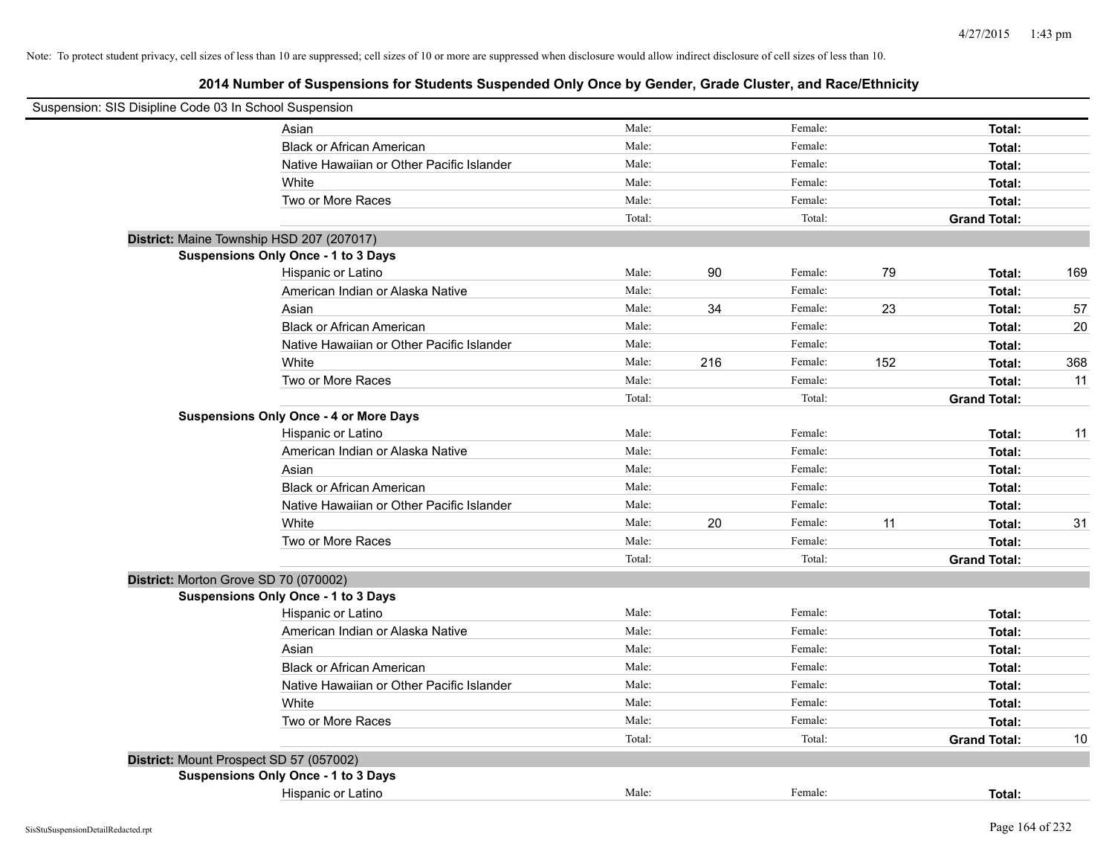| Suspension: SIS Disipline Code 03 In School Suspension |                                               |        |     |         |     |                     |     |
|--------------------------------------------------------|-----------------------------------------------|--------|-----|---------|-----|---------------------|-----|
|                                                        | Asian                                         | Male:  |     | Female: |     | Total:              |     |
|                                                        | <b>Black or African American</b>              | Male:  |     | Female: |     | Total:              |     |
|                                                        | Native Hawaiian or Other Pacific Islander     | Male:  |     | Female: |     | Total:              |     |
|                                                        | White                                         | Male:  |     | Female: |     | Total:              |     |
|                                                        | Two or More Races                             | Male:  |     | Female: |     | Total:              |     |
|                                                        |                                               | Total: |     | Total:  |     | <b>Grand Total:</b> |     |
|                                                        | District: Maine Township HSD 207 (207017)     |        |     |         |     |                     |     |
|                                                        | Suspensions Only Once - 1 to 3 Days           |        |     |         |     |                     |     |
|                                                        | Hispanic or Latino                            | Male:  | 90  | Female: | 79  | Total:              | 169 |
|                                                        | American Indian or Alaska Native              | Male:  |     | Female: |     | Total:              |     |
|                                                        | Asian                                         | Male:  | 34  | Female: | 23  | Total:              | 57  |
|                                                        | <b>Black or African American</b>              | Male:  |     | Female: |     | Total:              | 20  |
|                                                        | Native Hawaiian or Other Pacific Islander     | Male:  |     | Female: |     | Total:              |     |
|                                                        | White                                         | Male:  | 216 | Female: | 152 | Total:              | 368 |
|                                                        | Two or More Races                             | Male:  |     | Female: |     | Total:              | 11  |
|                                                        |                                               | Total: |     | Total:  |     | <b>Grand Total:</b> |     |
|                                                        | <b>Suspensions Only Once - 4 or More Days</b> |        |     |         |     |                     |     |
|                                                        | Hispanic or Latino                            | Male:  |     | Female: |     | Total:              | 11  |
|                                                        | American Indian or Alaska Native              | Male:  |     | Female: |     | Total:              |     |
|                                                        | Asian                                         | Male:  |     | Female: |     | Total:              |     |
|                                                        | <b>Black or African American</b>              | Male:  |     | Female: |     | Total:              |     |
|                                                        | Native Hawaiian or Other Pacific Islander     | Male:  |     | Female: |     | Total:              |     |
|                                                        | White                                         | Male:  | 20  | Female: | 11  | Total:              | 31  |
|                                                        | Two or More Races                             | Male:  |     | Female: |     | Total:              |     |
|                                                        |                                               | Total: |     | Total:  |     | <b>Grand Total:</b> |     |
| District: Morton Grove SD 70 (070002)                  |                                               |        |     |         |     |                     |     |
|                                                        | Suspensions Only Once - 1 to 3 Days           |        |     |         |     |                     |     |
|                                                        | Hispanic or Latino                            | Male:  |     | Female: |     | Total:              |     |
|                                                        | American Indian or Alaska Native              | Male:  |     | Female: |     | Total:              |     |
|                                                        | Asian                                         | Male:  |     | Female: |     | Total:              |     |
|                                                        | <b>Black or African American</b>              | Male:  |     | Female: |     | Total:              |     |
|                                                        | Native Hawaiian or Other Pacific Islander     | Male:  |     | Female: |     | Total:              |     |
|                                                        | White                                         | Male:  |     | Female: |     | Total:              |     |
|                                                        | Two or More Races                             | Male:  |     | Female: |     | Total:              |     |
|                                                        |                                               | Total: |     | Total:  |     | <b>Grand Total:</b> | 10  |
| District: Mount Prospect SD 57 (057002)                |                                               |        |     |         |     |                     |     |
|                                                        | Suspensions Only Once - 1 to 3 Days           |        |     |         |     |                     |     |
|                                                        | Hispanic or Latino                            | Male:  |     | Female: |     | Total:              |     |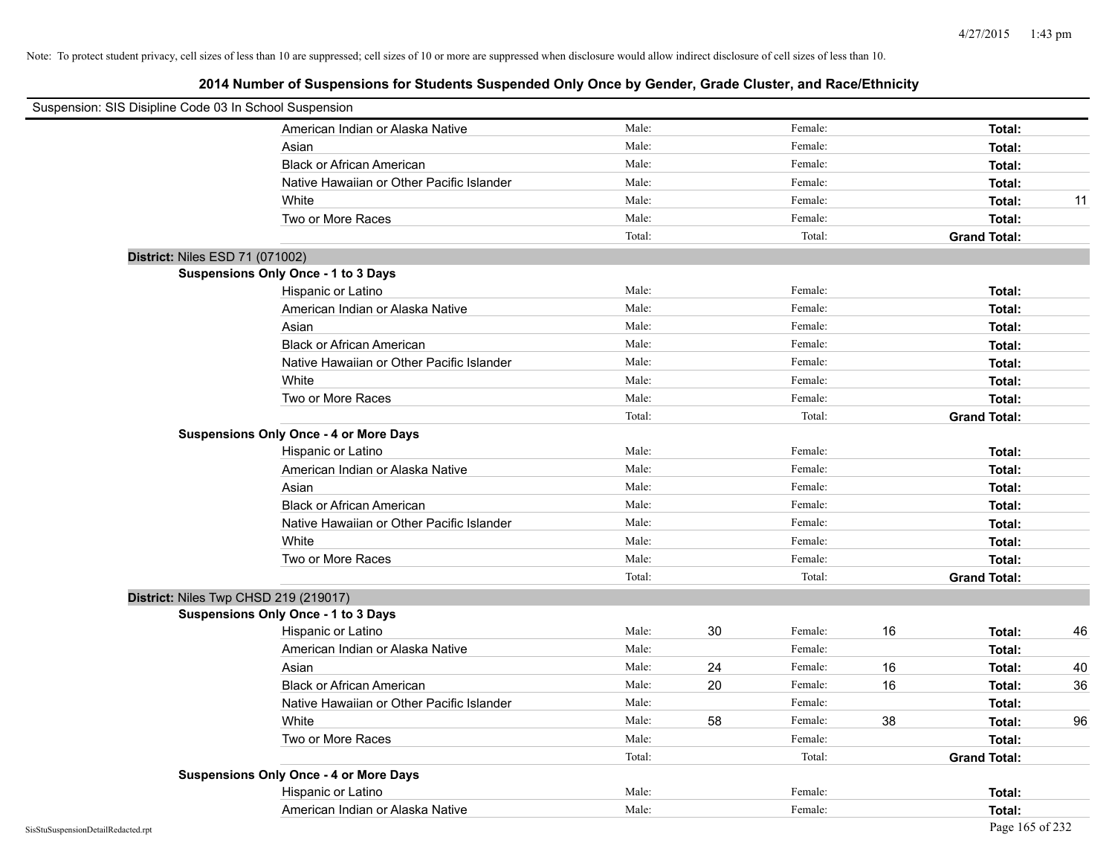| Suspension: SIS Disipline Code 03 In School Suspension |                                               |        |    |         |    |                     |    |
|--------------------------------------------------------|-----------------------------------------------|--------|----|---------|----|---------------------|----|
|                                                        | American Indian or Alaska Native              | Male:  |    | Female: |    | Total:              |    |
|                                                        | Asian                                         | Male:  |    | Female: |    | Total:              |    |
|                                                        | <b>Black or African American</b>              | Male:  |    | Female: |    | Total:              |    |
|                                                        | Native Hawaiian or Other Pacific Islander     | Male:  |    | Female: |    | Total:              |    |
|                                                        | White                                         | Male:  |    | Female: |    | Total:              | 11 |
|                                                        | Two or More Races                             | Male:  |    | Female: |    | Total:              |    |
|                                                        |                                               | Total: |    | Total:  |    | <b>Grand Total:</b> |    |
| District: Niles ESD 71 (071002)                        |                                               |        |    |         |    |                     |    |
|                                                        | Suspensions Only Once - 1 to 3 Days           |        |    |         |    |                     |    |
|                                                        | Hispanic or Latino                            | Male:  |    | Female: |    | Total:              |    |
|                                                        | American Indian or Alaska Native              | Male:  |    | Female: |    | Total:              |    |
|                                                        | Asian                                         | Male:  |    | Female: |    | Total:              |    |
|                                                        | <b>Black or African American</b>              | Male:  |    | Female: |    | Total:              |    |
|                                                        | Native Hawaiian or Other Pacific Islander     | Male:  |    | Female: |    | Total:              |    |
|                                                        | White                                         | Male:  |    | Female: |    | Total:              |    |
|                                                        | Two or More Races                             | Male:  |    | Female: |    | Total:              |    |
|                                                        |                                               | Total: |    | Total:  |    | <b>Grand Total:</b> |    |
|                                                        | <b>Suspensions Only Once - 4 or More Days</b> |        |    |         |    |                     |    |
|                                                        | Hispanic or Latino                            | Male:  |    | Female: |    | Total:              |    |
|                                                        | American Indian or Alaska Native              | Male:  |    | Female: |    | Total:              |    |
|                                                        | Asian                                         | Male:  |    | Female: |    | Total:              |    |
|                                                        | <b>Black or African American</b>              | Male:  |    | Female: |    | Total:              |    |
|                                                        | Native Hawaiian or Other Pacific Islander     | Male:  |    | Female: |    | Total:              |    |
|                                                        | White                                         | Male:  |    | Female: |    | Total:              |    |
|                                                        | Two or More Races                             | Male:  |    | Female: |    | Total:              |    |
|                                                        |                                               | Total: |    | Total:  |    | <b>Grand Total:</b> |    |
| District: Niles Twp CHSD 219 (219017)                  |                                               |        |    |         |    |                     |    |
|                                                        | Suspensions Only Once - 1 to 3 Days           |        |    |         |    |                     |    |
|                                                        | Hispanic or Latino                            | Male:  | 30 | Female: | 16 | Total:              | 46 |
|                                                        | American Indian or Alaska Native              | Male:  |    | Female: |    | Total:              |    |
|                                                        | Asian                                         | Male:  | 24 | Female: | 16 | Total:              | 40 |
|                                                        | <b>Black or African American</b>              | Male:  | 20 | Female: | 16 | Total:              | 36 |
|                                                        | Native Hawaiian or Other Pacific Islander     | Male:  |    | Female: |    | Total:              |    |
|                                                        | White                                         | Male:  | 58 | Female: | 38 | Total:              | 96 |
|                                                        | Two or More Races                             | Male:  |    | Female: |    | Total:              |    |
|                                                        |                                               | Total: |    | Total:  |    | <b>Grand Total:</b> |    |
|                                                        | <b>Suspensions Only Once - 4 or More Days</b> |        |    |         |    |                     |    |
|                                                        | Hispanic or Latino                            | Male:  |    | Female: |    | Total:              |    |
|                                                        | American Indian or Alaska Native              | Male:  |    | Female: |    | Total:              |    |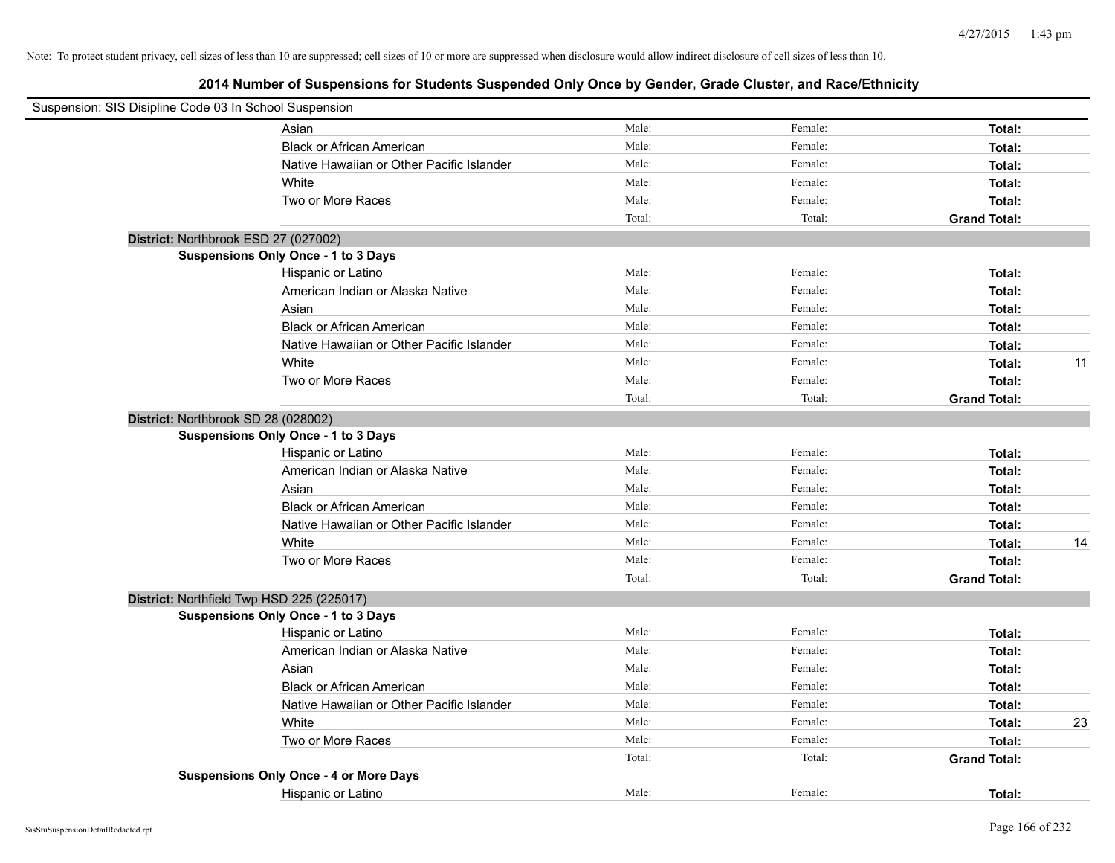| Suspension: SIS Disipline Code 03 In School Suspension |                                               |        |         |                     |    |
|--------------------------------------------------------|-----------------------------------------------|--------|---------|---------------------|----|
|                                                        | Asian                                         | Male:  | Female: | Total:              |    |
|                                                        | <b>Black or African American</b>              | Male:  | Female: | Total:              |    |
|                                                        | Native Hawaiian or Other Pacific Islander     | Male:  | Female: | Total:              |    |
|                                                        | White                                         | Male:  | Female: | Total:              |    |
|                                                        | Two or More Races                             | Male:  | Female: | Total:              |    |
|                                                        |                                               | Total: | Total:  | <b>Grand Total:</b> |    |
| District: Northbrook ESD 27 (027002)                   |                                               |        |         |                     |    |
|                                                        | <b>Suspensions Only Once - 1 to 3 Days</b>    |        |         |                     |    |
|                                                        | Hispanic or Latino                            | Male:  | Female: | Total:              |    |
|                                                        | American Indian or Alaska Native              | Male:  | Female: | Total:              |    |
|                                                        | Asian                                         | Male:  | Female: | Total:              |    |
|                                                        | <b>Black or African American</b>              | Male:  | Female: | Total:              |    |
|                                                        | Native Hawaiian or Other Pacific Islander     | Male:  | Female: | Total:              |    |
|                                                        | White                                         | Male:  | Female: | Total:              | 11 |
|                                                        | Two or More Races                             | Male:  | Female: | Total:              |    |
|                                                        |                                               | Total: | Total:  | <b>Grand Total:</b> |    |
| District: Northbrook SD 28 (028002)                    |                                               |        |         |                     |    |
|                                                        | <b>Suspensions Only Once - 1 to 3 Days</b>    |        |         |                     |    |
|                                                        | Hispanic or Latino                            | Male:  | Female: | Total:              |    |
|                                                        | American Indian or Alaska Native              | Male:  | Female: | Total:              |    |
|                                                        | Asian                                         | Male:  | Female: | Total:              |    |
|                                                        | <b>Black or African American</b>              | Male:  | Female: | Total:              |    |
|                                                        | Native Hawaiian or Other Pacific Islander     | Male:  | Female: | Total:              |    |
|                                                        | White                                         | Male:  | Female: | Total:              | 14 |
|                                                        | Two or More Races                             | Male:  | Female: | Total:              |    |
|                                                        |                                               | Total: | Total:  | <b>Grand Total:</b> |    |
| District: Northfield Twp HSD 225 (225017)              |                                               |        |         |                     |    |
|                                                        | <b>Suspensions Only Once - 1 to 3 Days</b>    |        |         |                     |    |
|                                                        | Hispanic or Latino                            | Male:  | Female: | Total:              |    |
|                                                        | American Indian or Alaska Native              | Male:  | Female: | Total:              |    |
|                                                        | Asian                                         | Male:  | Female: | Total:              |    |
|                                                        | <b>Black or African American</b>              | Male:  | Female: | Total:              |    |
|                                                        | Native Hawaiian or Other Pacific Islander     | Male:  | Female: | Total:              |    |
|                                                        | White                                         | Male:  | Female: | Total:              | 23 |
|                                                        | Two or More Races                             | Male:  | Female: | Total:              |    |
|                                                        |                                               | Total: | Total:  | <b>Grand Total:</b> |    |
|                                                        | <b>Suspensions Only Once - 4 or More Days</b> |        |         |                     |    |
|                                                        | Hispanic or Latino                            | Male:  | Female: | Total:              |    |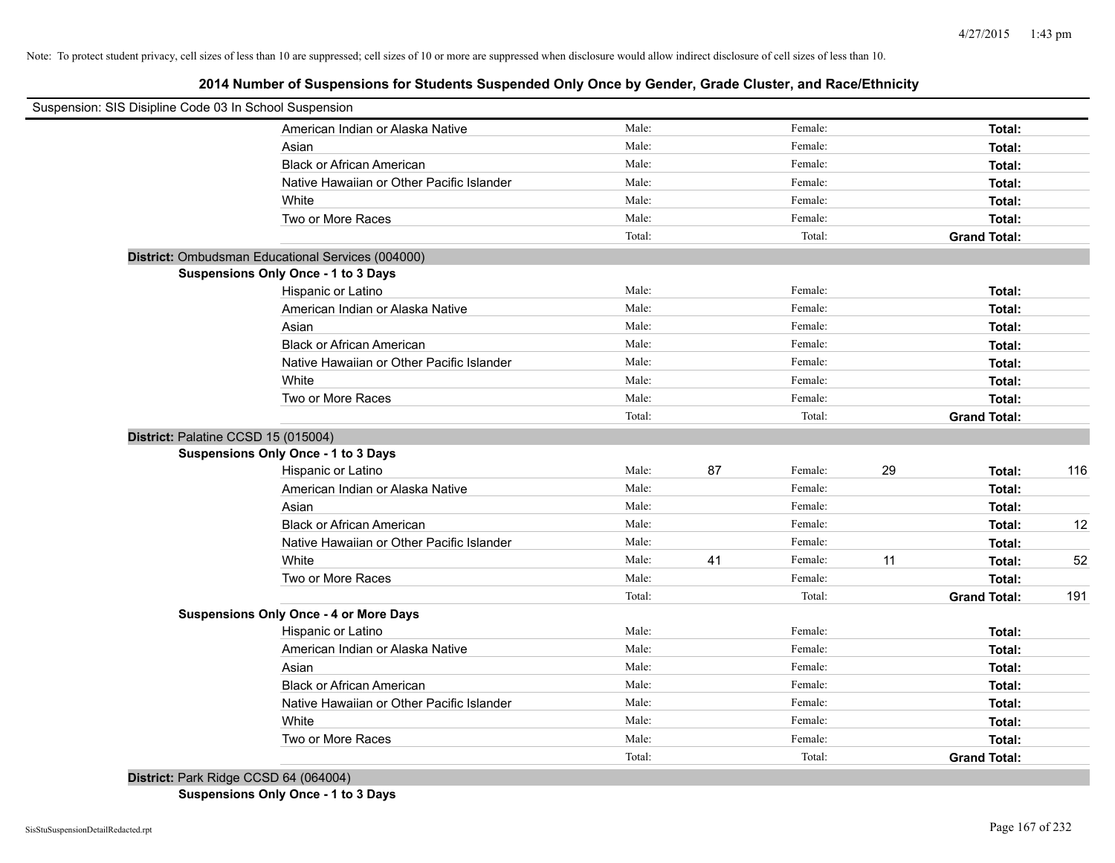**2014 Number of Suspensions for Students Suspended Only Once by Gender, Grade Cluster, and Race/Ethnicity**

| Male:<br>Female:<br>Total:<br>American Indian or Alaska Native<br>Male:<br>Female:<br>Asian<br>Total:<br>Male:<br>Female:<br><b>Black or African American</b><br>Total:<br>Male:<br>Female:<br>Native Hawaiian or Other Pacific Islander<br>Total:<br>Male:<br>Female:<br>White<br>Total:<br>Male:<br>Female:<br>Two or More Races<br>Total:<br>Total:<br>Total:<br><b>Grand Total:</b><br>District: Ombudsman Educational Services (004000)<br><b>Suspensions Only Once - 1 to 3 Days</b><br>Male:<br>Hispanic or Latino<br>Female:<br>Total:<br>Male:<br>Female:<br>American Indian or Alaska Native<br>Total:<br>Male:<br>Female:<br>Asian<br>Total:<br><b>Black or African American</b><br>Male:<br>Female:<br>Total:<br>Male:<br>Female:<br>Native Hawaiian or Other Pacific Islander<br>Total:<br>Male:<br>White<br>Female:<br>Total:<br>Two or More Races<br>Male:<br>Female:<br>Total:<br>Total:<br>Total:<br><b>Grand Total:</b><br>District: Palatine CCSD 15 (015004)<br><b>Suspensions Only Once - 1 to 3 Days</b><br>Male:<br>87<br>Female:<br>29<br>Hispanic or Latino<br>Total:<br>Male:<br>Female:<br>American Indian or Alaska Native<br>Total:<br>Male:<br>Female:<br>Asian<br>Total:<br>Male:<br>Female:<br><b>Black or African American</b><br>Total:<br>Male:<br>Female:<br>Native Hawaiian or Other Pacific Islander<br>Total:<br>Male:<br>41<br>Female:<br>11<br>White<br>Total:<br>Female:<br>Male:<br>Two or More Races<br>Total:<br>Total:<br>Total:<br><b>Grand Total:</b><br><b>Suspensions Only Once - 4 or More Days</b><br>Male:<br>Female:<br>Hispanic or Latino<br>Total:<br>Male:<br>Female:<br>American Indian or Alaska Native<br>Total:<br>Male:<br>Female:<br>Asian<br>Total:<br>Male:<br>Female:<br><b>Black or African American</b><br>Total:<br>Female:<br>Native Hawaiian or Other Pacific Islander<br>Male:<br>Total:<br>Male:<br>Female:<br>White<br>Total: | Suspension: SIS Disipline Code 03 In School Suspension |                   |       |         |        |     |
|---------------------------------------------------------------------------------------------------------------------------------------------------------------------------------------------------------------------------------------------------------------------------------------------------------------------------------------------------------------------------------------------------------------------------------------------------------------------------------------------------------------------------------------------------------------------------------------------------------------------------------------------------------------------------------------------------------------------------------------------------------------------------------------------------------------------------------------------------------------------------------------------------------------------------------------------------------------------------------------------------------------------------------------------------------------------------------------------------------------------------------------------------------------------------------------------------------------------------------------------------------------------------------------------------------------------------------------------------------------------------------------------------------------------------------------------------------------------------------------------------------------------------------------------------------------------------------------------------------------------------------------------------------------------------------------------------------------------------------------------------------------------------------------------------------------------------------------------------------------------------------------------------------|--------------------------------------------------------|-------------------|-------|---------|--------|-----|
|                                                                                                                                                                                                                                                                                                                                                                                                                                                                                                                                                                                                                                                                                                                                                                                                                                                                                                                                                                                                                                                                                                                                                                                                                                                                                                                                                                                                                                                                                                                                                                                                                                                                                                                                                                                                                                                                                                         |                                                        |                   |       |         |        |     |
|                                                                                                                                                                                                                                                                                                                                                                                                                                                                                                                                                                                                                                                                                                                                                                                                                                                                                                                                                                                                                                                                                                                                                                                                                                                                                                                                                                                                                                                                                                                                                                                                                                                                                                                                                                                                                                                                                                         |                                                        |                   |       |         |        |     |
|                                                                                                                                                                                                                                                                                                                                                                                                                                                                                                                                                                                                                                                                                                                                                                                                                                                                                                                                                                                                                                                                                                                                                                                                                                                                                                                                                                                                                                                                                                                                                                                                                                                                                                                                                                                                                                                                                                         |                                                        |                   |       |         |        |     |
|                                                                                                                                                                                                                                                                                                                                                                                                                                                                                                                                                                                                                                                                                                                                                                                                                                                                                                                                                                                                                                                                                                                                                                                                                                                                                                                                                                                                                                                                                                                                                                                                                                                                                                                                                                                                                                                                                                         |                                                        |                   |       |         |        |     |
|                                                                                                                                                                                                                                                                                                                                                                                                                                                                                                                                                                                                                                                                                                                                                                                                                                                                                                                                                                                                                                                                                                                                                                                                                                                                                                                                                                                                                                                                                                                                                                                                                                                                                                                                                                                                                                                                                                         |                                                        |                   |       |         |        |     |
|                                                                                                                                                                                                                                                                                                                                                                                                                                                                                                                                                                                                                                                                                                                                                                                                                                                                                                                                                                                                                                                                                                                                                                                                                                                                                                                                                                                                                                                                                                                                                                                                                                                                                                                                                                                                                                                                                                         |                                                        |                   |       |         |        |     |
|                                                                                                                                                                                                                                                                                                                                                                                                                                                                                                                                                                                                                                                                                                                                                                                                                                                                                                                                                                                                                                                                                                                                                                                                                                                                                                                                                                                                                                                                                                                                                                                                                                                                                                                                                                                                                                                                                                         |                                                        |                   |       |         |        |     |
|                                                                                                                                                                                                                                                                                                                                                                                                                                                                                                                                                                                                                                                                                                                                                                                                                                                                                                                                                                                                                                                                                                                                                                                                                                                                                                                                                                                                                                                                                                                                                                                                                                                                                                                                                                                                                                                                                                         |                                                        |                   |       |         |        |     |
|                                                                                                                                                                                                                                                                                                                                                                                                                                                                                                                                                                                                                                                                                                                                                                                                                                                                                                                                                                                                                                                                                                                                                                                                                                                                                                                                                                                                                                                                                                                                                                                                                                                                                                                                                                                                                                                                                                         |                                                        |                   |       |         |        |     |
|                                                                                                                                                                                                                                                                                                                                                                                                                                                                                                                                                                                                                                                                                                                                                                                                                                                                                                                                                                                                                                                                                                                                                                                                                                                                                                                                                                                                                                                                                                                                                                                                                                                                                                                                                                                                                                                                                                         |                                                        |                   |       |         |        |     |
|                                                                                                                                                                                                                                                                                                                                                                                                                                                                                                                                                                                                                                                                                                                                                                                                                                                                                                                                                                                                                                                                                                                                                                                                                                                                                                                                                                                                                                                                                                                                                                                                                                                                                                                                                                                                                                                                                                         |                                                        |                   |       |         |        |     |
|                                                                                                                                                                                                                                                                                                                                                                                                                                                                                                                                                                                                                                                                                                                                                                                                                                                                                                                                                                                                                                                                                                                                                                                                                                                                                                                                                                                                                                                                                                                                                                                                                                                                                                                                                                                                                                                                                                         |                                                        |                   |       |         |        |     |
|                                                                                                                                                                                                                                                                                                                                                                                                                                                                                                                                                                                                                                                                                                                                                                                                                                                                                                                                                                                                                                                                                                                                                                                                                                                                                                                                                                                                                                                                                                                                                                                                                                                                                                                                                                                                                                                                                                         |                                                        |                   |       |         |        |     |
|                                                                                                                                                                                                                                                                                                                                                                                                                                                                                                                                                                                                                                                                                                                                                                                                                                                                                                                                                                                                                                                                                                                                                                                                                                                                                                                                                                                                                                                                                                                                                                                                                                                                                                                                                                                                                                                                                                         |                                                        |                   |       |         |        |     |
|                                                                                                                                                                                                                                                                                                                                                                                                                                                                                                                                                                                                                                                                                                                                                                                                                                                                                                                                                                                                                                                                                                                                                                                                                                                                                                                                                                                                                                                                                                                                                                                                                                                                                                                                                                                                                                                                                                         |                                                        |                   |       |         |        |     |
|                                                                                                                                                                                                                                                                                                                                                                                                                                                                                                                                                                                                                                                                                                                                                                                                                                                                                                                                                                                                                                                                                                                                                                                                                                                                                                                                                                                                                                                                                                                                                                                                                                                                                                                                                                                                                                                                                                         |                                                        |                   |       |         |        |     |
|                                                                                                                                                                                                                                                                                                                                                                                                                                                                                                                                                                                                                                                                                                                                                                                                                                                                                                                                                                                                                                                                                                                                                                                                                                                                                                                                                                                                                                                                                                                                                                                                                                                                                                                                                                                                                                                                                                         |                                                        |                   |       |         |        |     |
|                                                                                                                                                                                                                                                                                                                                                                                                                                                                                                                                                                                                                                                                                                                                                                                                                                                                                                                                                                                                                                                                                                                                                                                                                                                                                                                                                                                                                                                                                                                                                                                                                                                                                                                                                                                                                                                                                                         |                                                        |                   |       |         |        |     |
|                                                                                                                                                                                                                                                                                                                                                                                                                                                                                                                                                                                                                                                                                                                                                                                                                                                                                                                                                                                                                                                                                                                                                                                                                                                                                                                                                                                                                                                                                                                                                                                                                                                                                                                                                                                                                                                                                                         |                                                        |                   |       |         |        |     |
|                                                                                                                                                                                                                                                                                                                                                                                                                                                                                                                                                                                                                                                                                                                                                                                                                                                                                                                                                                                                                                                                                                                                                                                                                                                                                                                                                                                                                                                                                                                                                                                                                                                                                                                                                                                                                                                                                                         |                                                        |                   |       |         |        | 116 |
|                                                                                                                                                                                                                                                                                                                                                                                                                                                                                                                                                                                                                                                                                                                                                                                                                                                                                                                                                                                                                                                                                                                                                                                                                                                                                                                                                                                                                                                                                                                                                                                                                                                                                                                                                                                                                                                                                                         |                                                        |                   |       |         |        |     |
|                                                                                                                                                                                                                                                                                                                                                                                                                                                                                                                                                                                                                                                                                                                                                                                                                                                                                                                                                                                                                                                                                                                                                                                                                                                                                                                                                                                                                                                                                                                                                                                                                                                                                                                                                                                                                                                                                                         |                                                        |                   |       |         |        |     |
|                                                                                                                                                                                                                                                                                                                                                                                                                                                                                                                                                                                                                                                                                                                                                                                                                                                                                                                                                                                                                                                                                                                                                                                                                                                                                                                                                                                                                                                                                                                                                                                                                                                                                                                                                                                                                                                                                                         |                                                        |                   |       |         |        | 12  |
|                                                                                                                                                                                                                                                                                                                                                                                                                                                                                                                                                                                                                                                                                                                                                                                                                                                                                                                                                                                                                                                                                                                                                                                                                                                                                                                                                                                                                                                                                                                                                                                                                                                                                                                                                                                                                                                                                                         |                                                        |                   |       |         |        |     |
|                                                                                                                                                                                                                                                                                                                                                                                                                                                                                                                                                                                                                                                                                                                                                                                                                                                                                                                                                                                                                                                                                                                                                                                                                                                                                                                                                                                                                                                                                                                                                                                                                                                                                                                                                                                                                                                                                                         |                                                        |                   |       |         |        | 52  |
|                                                                                                                                                                                                                                                                                                                                                                                                                                                                                                                                                                                                                                                                                                                                                                                                                                                                                                                                                                                                                                                                                                                                                                                                                                                                                                                                                                                                                                                                                                                                                                                                                                                                                                                                                                                                                                                                                                         |                                                        |                   |       |         |        |     |
|                                                                                                                                                                                                                                                                                                                                                                                                                                                                                                                                                                                                                                                                                                                                                                                                                                                                                                                                                                                                                                                                                                                                                                                                                                                                                                                                                                                                                                                                                                                                                                                                                                                                                                                                                                                                                                                                                                         |                                                        |                   |       |         |        | 191 |
|                                                                                                                                                                                                                                                                                                                                                                                                                                                                                                                                                                                                                                                                                                                                                                                                                                                                                                                                                                                                                                                                                                                                                                                                                                                                                                                                                                                                                                                                                                                                                                                                                                                                                                                                                                                                                                                                                                         |                                                        |                   |       |         |        |     |
|                                                                                                                                                                                                                                                                                                                                                                                                                                                                                                                                                                                                                                                                                                                                                                                                                                                                                                                                                                                                                                                                                                                                                                                                                                                                                                                                                                                                                                                                                                                                                                                                                                                                                                                                                                                                                                                                                                         |                                                        |                   |       |         |        |     |
|                                                                                                                                                                                                                                                                                                                                                                                                                                                                                                                                                                                                                                                                                                                                                                                                                                                                                                                                                                                                                                                                                                                                                                                                                                                                                                                                                                                                                                                                                                                                                                                                                                                                                                                                                                                                                                                                                                         |                                                        |                   |       |         |        |     |
|                                                                                                                                                                                                                                                                                                                                                                                                                                                                                                                                                                                                                                                                                                                                                                                                                                                                                                                                                                                                                                                                                                                                                                                                                                                                                                                                                                                                                                                                                                                                                                                                                                                                                                                                                                                                                                                                                                         |                                                        |                   |       |         |        |     |
|                                                                                                                                                                                                                                                                                                                                                                                                                                                                                                                                                                                                                                                                                                                                                                                                                                                                                                                                                                                                                                                                                                                                                                                                                                                                                                                                                                                                                                                                                                                                                                                                                                                                                                                                                                                                                                                                                                         |                                                        |                   |       |         |        |     |
|                                                                                                                                                                                                                                                                                                                                                                                                                                                                                                                                                                                                                                                                                                                                                                                                                                                                                                                                                                                                                                                                                                                                                                                                                                                                                                                                                                                                                                                                                                                                                                                                                                                                                                                                                                                                                                                                                                         |                                                        |                   |       |         |        |     |
|                                                                                                                                                                                                                                                                                                                                                                                                                                                                                                                                                                                                                                                                                                                                                                                                                                                                                                                                                                                                                                                                                                                                                                                                                                                                                                                                                                                                                                                                                                                                                                                                                                                                                                                                                                                                                                                                                                         |                                                        |                   |       |         |        |     |
|                                                                                                                                                                                                                                                                                                                                                                                                                                                                                                                                                                                                                                                                                                                                                                                                                                                                                                                                                                                                                                                                                                                                                                                                                                                                                                                                                                                                                                                                                                                                                                                                                                                                                                                                                                                                                                                                                                         |                                                        | Two or More Races | Male: | Female: | Total: |     |
| Total:<br>Total:<br><b>Grand Total:</b>                                                                                                                                                                                                                                                                                                                                                                                                                                                                                                                                                                                                                                                                                                                                                                                                                                                                                                                                                                                                                                                                                                                                                                                                                                                                                                                                                                                                                                                                                                                                                                                                                                                                                                                                                                                                                                                                 |                                                        |                   |       |         |        |     |

**District:** Park Ridge CCSD 64 (064004) **Suspensions Only Once - 1 to 3 Days**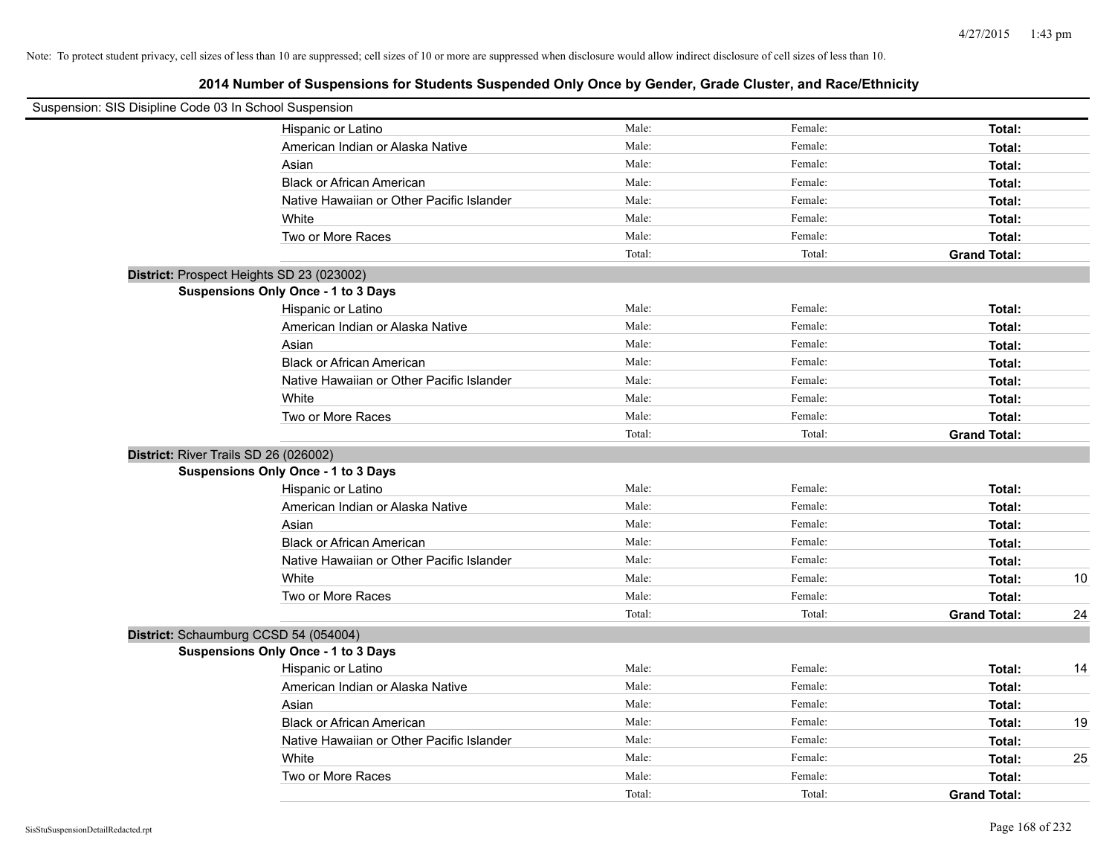| Suspension: SIS Disipline Code 03 In School Suspension |                                            |        |         |                     |    |
|--------------------------------------------------------|--------------------------------------------|--------|---------|---------------------|----|
|                                                        | Hispanic or Latino                         | Male:  | Female: | Total:              |    |
|                                                        | American Indian or Alaska Native           | Male:  | Female: | Total:              |    |
|                                                        | Asian                                      | Male:  | Female: | Total:              |    |
|                                                        | <b>Black or African American</b>           | Male:  | Female: | Total:              |    |
|                                                        | Native Hawaiian or Other Pacific Islander  | Male:  | Female: | Total:              |    |
|                                                        | White                                      | Male:  | Female: | Total:              |    |
|                                                        | Two or More Races                          | Male:  | Female: | Total:              |    |
|                                                        |                                            | Total: | Total:  | <b>Grand Total:</b> |    |
| District: Prospect Heights SD 23 (023002)              |                                            |        |         |                     |    |
|                                                        | Suspensions Only Once - 1 to 3 Days        |        |         |                     |    |
|                                                        | Hispanic or Latino                         | Male:  | Female: | Total:              |    |
|                                                        | American Indian or Alaska Native           | Male:  | Female: | Total:              |    |
|                                                        | Asian                                      | Male:  | Female: | Total:              |    |
|                                                        | <b>Black or African American</b>           | Male:  | Female: | Total:              |    |
|                                                        | Native Hawaiian or Other Pacific Islander  | Male:  | Female: | Total:              |    |
|                                                        | White                                      | Male:  | Female: | Total:              |    |
|                                                        | Two or More Races                          | Male:  | Female: | Total:              |    |
|                                                        |                                            | Total: | Total:  | <b>Grand Total:</b> |    |
| District: River Trails SD 26 (026002)                  |                                            |        |         |                     |    |
|                                                        | <b>Suspensions Only Once - 1 to 3 Days</b> |        |         |                     |    |
|                                                        | Hispanic or Latino                         | Male:  | Female: | Total:              |    |
|                                                        | American Indian or Alaska Native           | Male:  | Female: | Total:              |    |
|                                                        | Asian                                      | Male:  | Female: | Total:              |    |
|                                                        | <b>Black or African American</b>           | Male:  | Female: | Total:              |    |
|                                                        | Native Hawaiian or Other Pacific Islander  | Male:  | Female: | Total:              |    |
|                                                        | White                                      | Male:  | Female: | Total:              | 10 |
|                                                        | Two or More Races                          | Male:  | Female: | Total:              |    |
|                                                        |                                            | Total: | Total:  | <b>Grand Total:</b> | 24 |
| District: Schaumburg CCSD 54 (054004)                  |                                            |        |         |                     |    |
|                                                        | Suspensions Only Once - 1 to 3 Days        |        |         |                     |    |
|                                                        | Hispanic or Latino                         | Male:  | Female: | Total:              | 14 |
|                                                        | American Indian or Alaska Native           | Male:  | Female: | Total:              |    |
|                                                        | Asian                                      | Male:  | Female: | Total:              |    |
|                                                        | <b>Black or African American</b>           | Male:  | Female: | Total:              | 19 |
|                                                        | Native Hawaiian or Other Pacific Islander  | Male:  | Female: | Total:              |    |
|                                                        | White                                      | Male:  | Female: | Total:              | 25 |
|                                                        | Two or More Races                          | Male:  | Female: | Total:              |    |
|                                                        |                                            | Total: | Total:  | <b>Grand Total:</b> |    |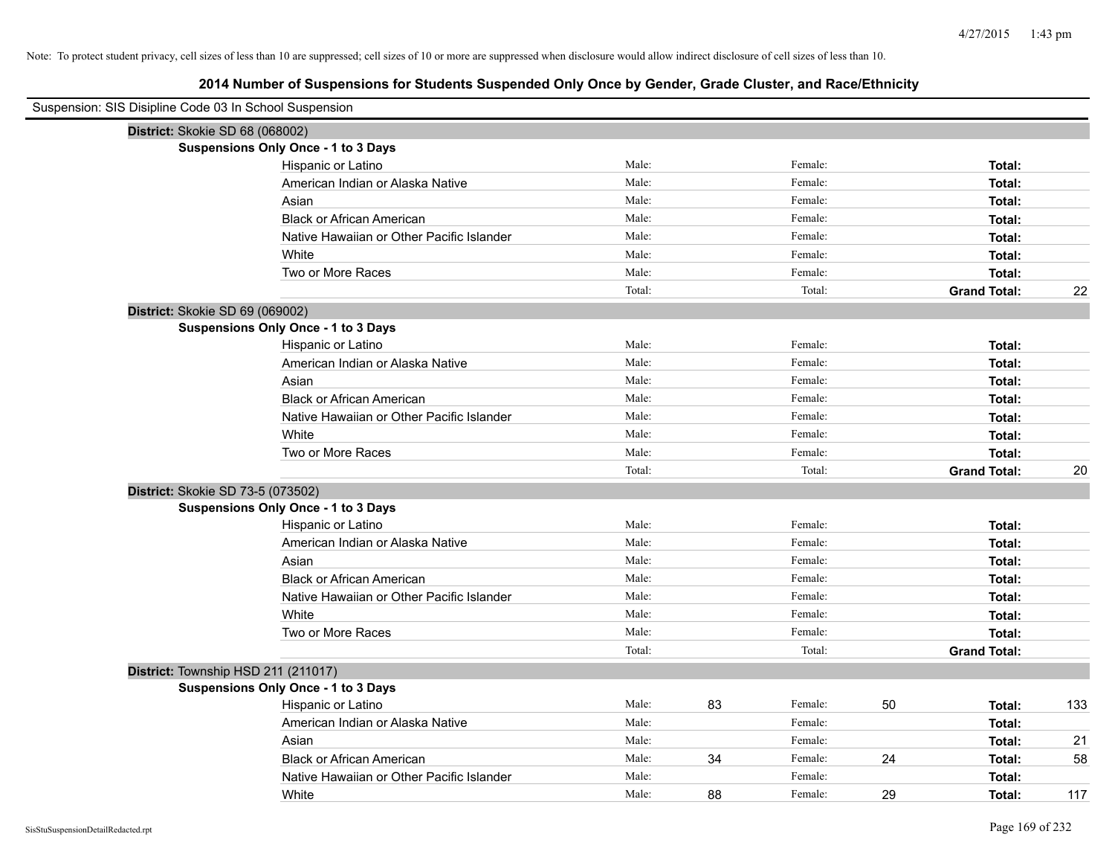| Suspension: SIS Disipline Code 03 In School Suspension |        |    |         |    |                     |     |
|--------------------------------------------------------|--------|----|---------|----|---------------------|-----|
| District: Skokie SD 68 (068002)                        |        |    |         |    |                     |     |
| <b>Suspensions Only Once - 1 to 3 Days</b>             |        |    |         |    |                     |     |
| Hispanic or Latino                                     | Male:  |    | Female: |    | Total:              |     |
| American Indian or Alaska Native                       | Male:  |    | Female: |    | Total:              |     |
| Asian                                                  | Male:  |    | Female: |    | Total:              |     |
| <b>Black or African American</b>                       | Male:  |    | Female: |    | Total:              |     |
| Native Hawaiian or Other Pacific Islander              | Male:  |    | Female: |    | Total:              |     |
| White                                                  | Male:  |    | Female: |    | Total:              |     |
| Two or More Races                                      | Male:  |    | Female: |    | Total:              |     |
|                                                        | Total: |    | Total:  |    | <b>Grand Total:</b> | 22  |
| District: Skokie SD 69 (069002)                        |        |    |         |    |                     |     |
| <b>Suspensions Only Once - 1 to 3 Days</b>             |        |    |         |    |                     |     |
| Hispanic or Latino                                     | Male:  |    | Female: |    | Total:              |     |
| American Indian or Alaska Native                       | Male:  |    | Female: |    | Total:              |     |
| Asian                                                  | Male:  |    | Female: |    | Total:              |     |
| <b>Black or African American</b>                       | Male:  |    | Female: |    | Total:              |     |
| Native Hawaiian or Other Pacific Islander              | Male:  |    | Female: |    | Total:              |     |
| White                                                  | Male:  |    | Female: |    | Total:              |     |
| Two or More Races                                      | Male:  |    | Female: |    | Total:              |     |
|                                                        | Total: |    | Total:  |    | <b>Grand Total:</b> | 20  |
| District: Skokie SD 73-5 (073502)                      |        |    |         |    |                     |     |
| <b>Suspensions Only Once - 1 to 3 Days</b>             |        |    |         |    |                     |     |
| Hispanic or Latino                                     | Male:  |    | Female: |    | Total:              |     |
| American Indian or Alaska Native                       | Male:  |    | Female: |    | Total:              |     |
| Asian                                                  | Male:  |    | Female: |    | Total:              |     |
| <b>Black or African American</b>                       | Male:  |    | Female: |    | Total:              |     |
| Native Hawaiian or Other Pacific Islander              | Male:  |    | Female: |    | Total:              |     |
| White                                                  | Male:  |    | Female: |    | Total:              |     |
| Two or More Races                                      | Male:  |    | Female: |    | Total:              |     |
|                                                        | Total: |    | Total:  |    | <b>Grand Total:</b> |     |
| District: Township HSD 211 (211017)                    |        |    |         |    |                     |     |
| <b>Suspensions Only Once - 1 to 3 Days</b>             |        |    |         |    |                     |     |
| Hispanic or Latino                                     | Male:  | 83 | Female: | 50 | Total:              | 133 |
| American Indian or Alaska Native                       | Male:  |    | Female: |    | Total:              |     |
| Asian                                                  | Male:  |    | Female: |    | Total:              | 21  |
| <b>Black or African American</b>                       | Male:  | 34 | Female: | 24 | Total:              | 58  |
| Native Hawaiian or Other Pacific Islander              | Male:  |    | Female: |    | Total:              |     |
| White                                                  | Male:  | 88 | Female: | 29 | Total:              | 117 |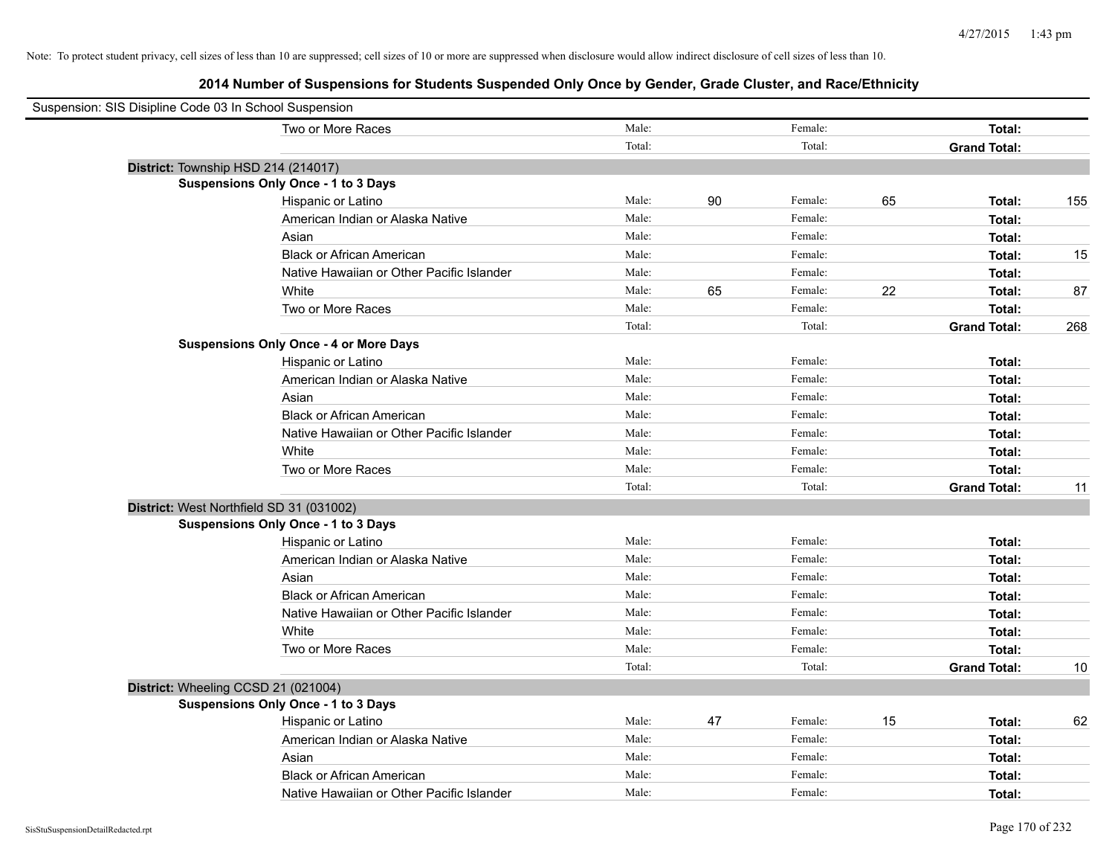| Suspension: SIS Disipline Code 03 In School Suspension |                                               |        |    |         |    |                     |     |
|--------------------------------------------------------|-----------------------------------------------|--------|----|---------|----|---------------------|-----|
|                                                        | Two or More Races                             | Male:  |    | Female: |    | Total:              |     |
|                                                        |                                               | Total: |    | Total:  |    | <b>Grand Total:</b> |     |
|                                                        | District: Township HSD 214 (214017)           |        |    |         |    |                     |     |
|                                                        | <b>Suspensions Only Once - 1 to 3 Days</b>    |        |    |         |    |                     |     |
|                                                        | Hispanic or Latino                            | Male:  | 90 | Female: | 65 | Total:              | 155 |
|                                                        | American Indian or Alaska Native              | Male:  |    | Female: |    | Total:              |     |
|                                                        | Asian                                         | Male:  |    | Female: |    | Total:              |     |
|                                                        | <b>Black or African American</b>              | Male:  |    | Female: |    | Total:              | 15  |
|                                                        | Native Hawaiian or Other Pacific Islander     | Male:  |    | Female: |    | Total:              |     |
|                                                        | White                                         | Male:  | 65 | Female: | 22 | Total:              | 87  |
|                                                        | Two or More Races                             | Male:  |    | Female: |    | Total:              |     |
|                                                        |                                               | Total: |    | Total:  |    | <b>Grand Total:</b> | 268 |
|                                                        | <b>Suspensions Only Once - 4 or More Days</b> |        |    |         |    |                     |     |
|                                                        | Hispanic or Latino                            | Male:  |    | Female: |    | Total:              |     |
|                                                        | American Indian or Alaska Native              | Male:  |    | Female: |    | Total:              |     |
|                                                        | Asian                                         | Male:  |    | Female: |    | Total:              |     |
|                                                        | <b>Black or African American</b>              | Male:  |    | Female: |    | Total:              |     |
|                                                        | Native Hawaiian or Other Pacific Islander     | Male:  |    | Female: |    | Total:              |     |
|                                                        | White                                         | Male:  |    | Female: |    | Total:              |     |
|                                                        | Two or More Races                             | Male:  |    | Female: |    | Total:              |     |
|                                                        |                                               | Total: |    | Total:  |    | <b>Grand Total:</b> | 11  |
|                                                        | District: West Northfield SD 31 (031002)      |        |    |         |    |                     |     |
|                                                        | Suspensions Only Once - 1 to 3 Days           |        |    |         |    |                     |     |
|                                                        | Hispanic or Latino                            | Male:  |    | Female: |    | Total:              |     |
|                                                        | American Indian or Alaska Native              | Male:  |    | Female: |    | Total:              |     |
|                                                        | Asian                                         | Male:  |    | Female: |    | Total:              |     |
|                                                        | <b>Black or African American</b>              | Male:  |    | Female: |    | Total:              |     |
|                                                        | Native Hawaiian or Other Pacific Islander     | Male:  |    | Female: |    | Total:              |     |
|                                                        | White                                         | Male:  |    | Female: |    | Total:              |     |
|                                                        | Two or More Races                             | Male:  |    | Female: |    | Total:              |     |
|                                                        |                                               | Total: |    | Total:  |    | <b>Grand Total:</b> | 10  |
|                                                        | District: Wheeling CCSD 21 (021004)           |        |    |         |    |                     |     |
|                                                        | <b>Suspensions Only Once - 1 to 3 Days</b>    |        |    |         |    |                     |     |
|                                                        | Hispanic or Latino                            | Male:  | 47 | Female: | 15 | Total:              | 62  |
|                                                        | American Indian or Alaska Native              | Male:  |    | Female: |    | Total:              |     |
|                                                        | Asian                                         | Male:  |    | Female: |    | Total:              |     |
|                                                        | <b>Black or African American</b>              | Male:  |    | Female: |    | Total:              |     |
|                                                        | Native Hawaiian or Other Pacific Islander     | Male:  |    | Female: |    | Total:              |     |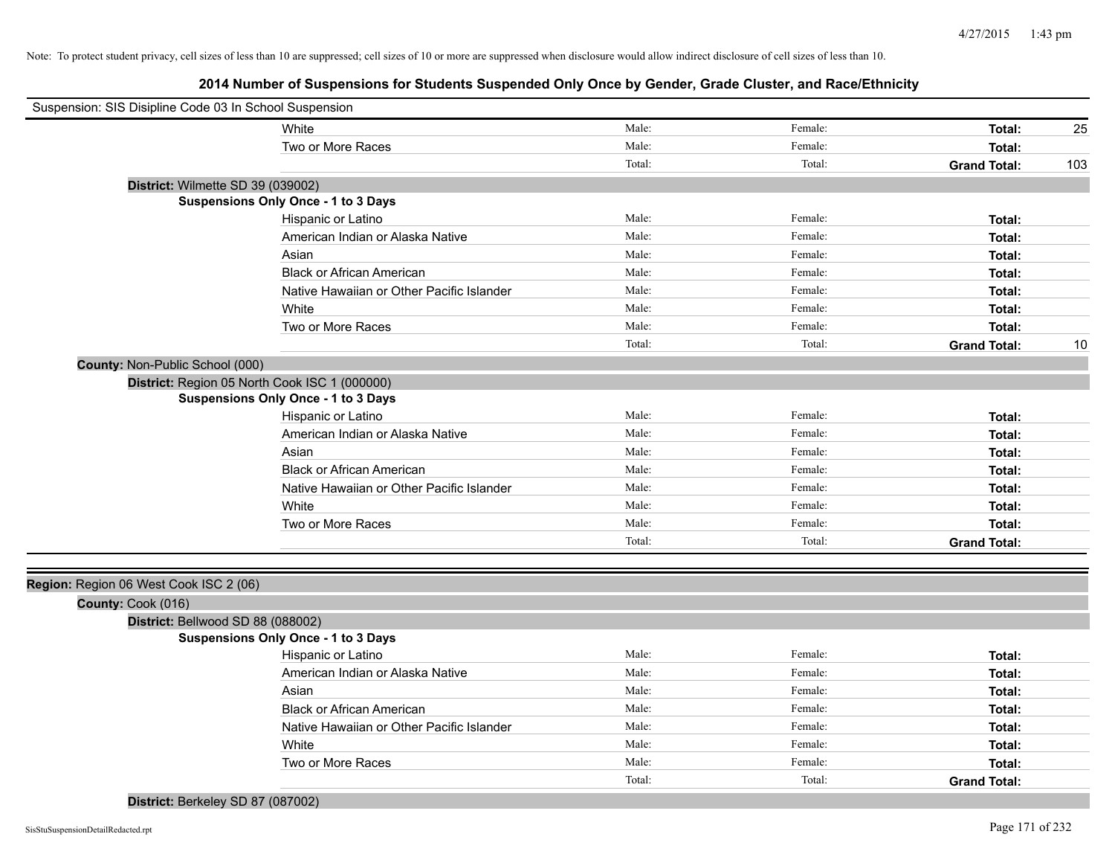| Suspension: SIS Disipline Code 03 In School Suspension |                                                        |        |         |                     |     |
|--------------------------------------------------------|--------------------------------------------------------|--------|---------|---------------------|-----|
| White                                                  |                                                        | Male:  | Female: | Total:              | 25  |
|                                                        | Two or More Races                                      | Male:  | Female: | Total:              |     |
|                                                        |                                                        | Total: | Total:  | <b>Grand Total:</b> | 103 |
| District: Wilmette SD 39 (039002)                      |                                                        |        |         |                     |     |
| <b>Suspensions Only Once - 1 to 3 Days</b>             |                                                        |        |         |                     |     |
|                                                        | Hispanic or Latino                                     | Male:  | Female: | Total:              |     |
|                                                        | American Indian or Alaska Native                       | Male:  | Female: | Total:              |     |
| Asian                                                  |                                                        | Male:  | Female: | Total:              |     |
|                                                        | <b>Black or African American</b>                       | Male:  | Female: | Total:              |     |
|                                                        | Native Hawaiian or Other Pacific Islander              | Male:  | Female: | Total:              |     |
| White                                                  |                                                        | Male:  | Female: | Total:              |     |
|                                                        | Two or More Races                                      | Male:  | Female: | Total:              |     |
|                                                        |                                                        | Total: | Total:  | <b>Grand Total:</b> | 10  |
| County: Non-Public School (000)                        |                                                        |        |         |                     |     |
| District: Region 05 North Cook ISC 1 (000000)          |                                                        |        |         |                     |     |
| <b>Suspensions Only Once - 1 to 3 Days</b>             |                                                        |        |         |                     |     |
|                                                        | Hispanic or Latino                                     | Male:  | Female: | Total:              |     |
|                                                        | American Indian or Alaska Native                       | Male:  | Female: | Total:              |     |
| Asian                                                  |                                                        | Male:  | Female: | Total:              |     |
|                                                        | <b>Black or African American</b>                       | Male:  | Female: | Total:              |     |
|                                                        | Native Hawaiian or Other Pacific Islander              | Male:  | Female: | Total:              |     |
| White                                                  |                                                        | Male:  | Female: | Total:              |     |
|                                                        | Two or More Races                                      | Male:  | Female: | Total:              |     |
|                                                        |                                                        | Total: | Total:  | <b>Grand Total:</b> |     |
|                                                        |                                                        |        |         |                     |     |
| Region: Region 06 West Cook ISC 2 (06)                 |                                                        |        |         |                     |     |
| County: Cook (016)                                     |                                                        |        |         |                     |     |
| District: Bellwood SD 88 (088002)                      |                                                        |        |         |                     |     |
| <b>Suspensions Only Once - 1 to 3 Days</b>             |                                                        | Male:  | Female: |                     |     |
|                                                        | Hispanic or Latino<br>American Indian or Alaska Native | Male:  | Female: | Total:              |     |
|                                                        |                                                        |        |         | Total:              |     |
| Asian                                                  |                                                        | Male:  | Female: | Total:              |     |
|                                                        | <b>Black or African American</b>                       | Male:  | Female: | Total:              |     |
|                                                        | Native Hawaiian or Other Pacific Islander              | Male:  | Female: | Total:              |     |
| White                                                  |                                                        | Male:  | Female: | Total:              |     |
|                                                        | Two or More Races                                      | Male:  | Female: | Total:              |     |
|                                                        |                                                        | Total: | Total:  | <b>Grand Total:</b> |     |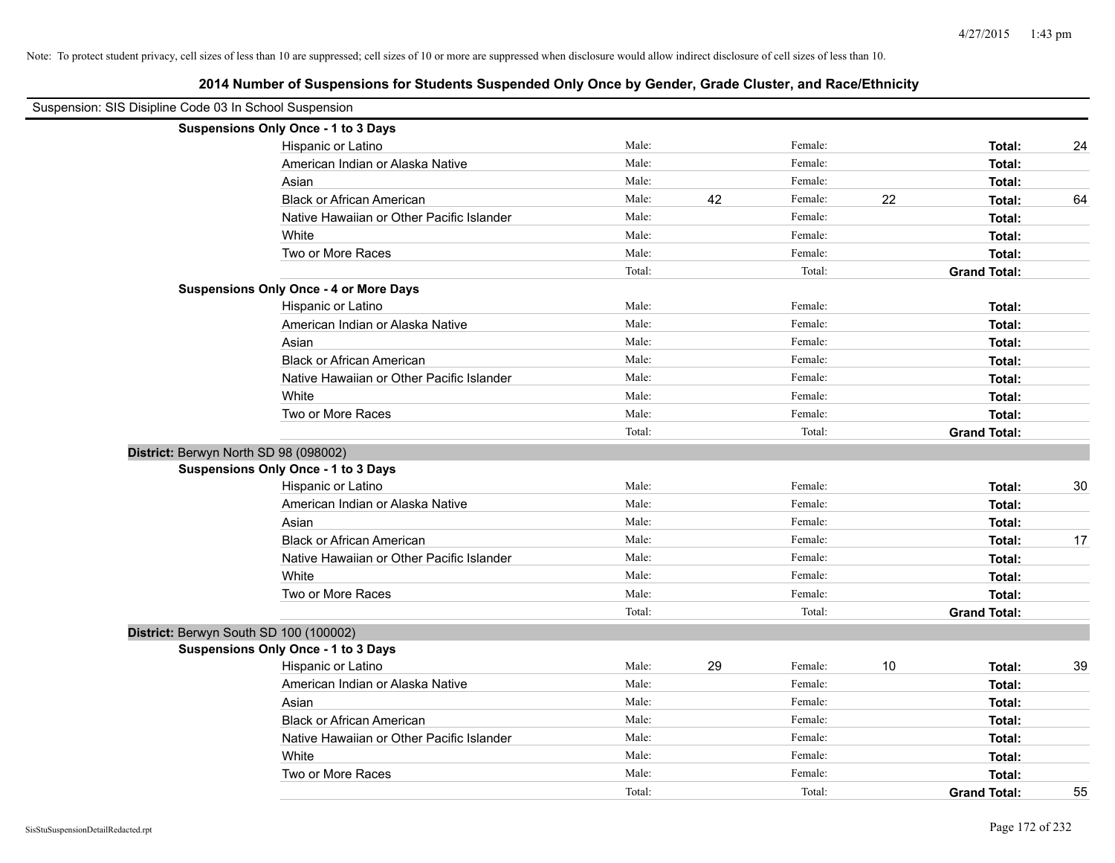|  | 2014 Number of Suspensions for Students Suspended Only Once by Gender, Grade Cluster, and Race/Ethnicity |  |  |  |  |
|--|----------------------------------------------------------------------------------------------------------|--|--|--|--|
|--|----------------------------------------------------------------------------------------------------------|--|--|--|--|

| Suspension: SIS Disipline Code 03 In School Suspension |                                               |        |    |         |    |                     |    |
|--------------------------------------------------------|-----------------------------------------------|--------|----|---------|----|---------------------|----|
|                                                        | Suspensions Only Once - 1 to 3 Days           |        |    |         |    |                     |    |
|                                                        | Hispanic or Latino                            | Male:  |    | Female: |    | Total:              | 24 |
|                                                        | American Indian or Alaska Native              | Male:  |    | Female: |    | Total:              |    |
|                                                        | Asian                                         | Male:  |    | Female: |    | Total:              |    |
|                                                        | <b>Black or African American</b>              | Male:  | 42 | Female: | 22 | Total:              | 64 |
|                                                        | Native Hawaiian or Other Pacific Islander     | Male:  |    | Female: |    | Total:              |    |
|                                                        | White                                         | Male:  |    | Female: |    | Total:              |    |
|                                                        | Two or More Races                             | Male:  |    | Female: |    | Total:              |    |
|                                                        |                                               | Total: |    | Total:  |    | <b>Grand Total:</b> |    |
|                                                        | <b>Suspensions Only Once - 4 or More Days</b> |        |    |         |    |                     |    |
|                                                        | Hispanic or Latino                            | Male:  |    | Female: |    | Total:              |    |
|                                                        | American Indian or Alaska Native              | Male:  |    | Female: |    | Total:              |    |
|                                                        | Asian                                         | Male:  |    | Female: |    | Total:              |    |
|                                                        | <b>Black or African American</b>              | Male:  |    | Female: |    | Total:              |    |
|                                                        | Native Hawaiian or Other Pacific Islander     | Male:  |    | Female: |    | Total:              |    |
|                                                        | White                                         | Male:  |    | Female: |    | Total:              |    |
|                                                        | Two or More Races                             | Male:  |    | Female: |    | Total:              |    |
|                                                        |                                               | Total: |    | Total:  |    | <b>Grand Total:</b> |    |
|                                                        | District: Berwyn North SD 98 (098002)         |        |    |         |    |                     |    |
|                                                        | <b>Suspensions Only Once - 1 to 3 Days</b>    |        |    |         |    |                     |    |
|                                                        | Hispanic or Latino                            | Male:  |    | Female: |    | Total:              | 30 |
|                                                        | American Indian or Alaska Native              | Male:  |    | Female: |    | Total:              |    |
|                                                        | Asian                                         | Male:  |    | Female: |    | Total:              |    |
|                                                        | <b>Black or African American</b>              | Male:  |    | Female: |    | Total:              | 17 |
|                                                        | Native Hawaiian or Other Pacific Islander     | Male:  |    | Female: |    | Total:              |    |
|                                                        | White                                         | Male:  |    | Female: |    | Total:              |    |
|                                                        | Two or More Races                             | Male:  |    | Female: |    | Total:              |    |
|                                                        |                                               | Total: |    | Total:  |    | <b>Grand Total:</b> |    |
|                                                        | District: Berwyn South SD 100 (100002)        |        |    |         |    |                     |    |
|                                                        | <b>Suspensions Only Once - 1 to 3 Days</b>    |        |    |         |    |                     |    |
|                                                        | Hispanic or Latino                            | Male:  | 29 | Female: | 10 | Total:              | 39 |
|                                                        | American Indian or Alaska Native              | Male:  |    | Female: |    | Total:              |    |
|                                                        | Asian                                         | Male:  |    | Female: |    | Total:              |    |
|                                                        | <b>Black or African American</b>              | Male:  |    | Female: |    | Total:              |    |
|                                                        | Native Hawaiian or Other Pacific Islander     | Male:  |    | Female: |    | Total:              |    |
|                                                        | White                                         | Male:  |    | Female: |    | Total:              |    |
|                                                        | Two or More Races                             | Male:  |    | Female: |    | Total:              |    |
|                                                        |                                               | Total: |    | Total:  |    | <b>Grand Total:</b> | 55 |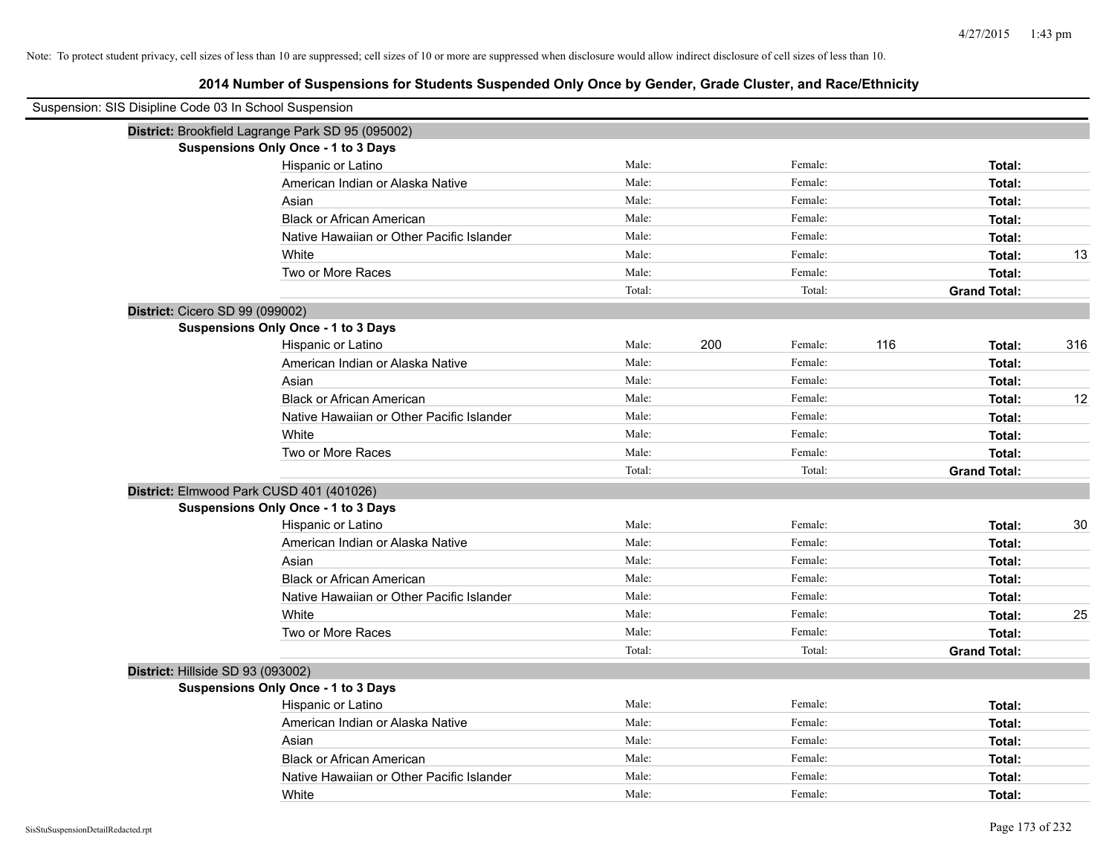| Suspension: SIS Disipline Code 03 In School Suspension |        |                |                     |     |
|--------------------------------------------------------|--------|----------------|---------------------|-----|
| District: Brookfield Lagrange Park SD 95 (095002)      |        |                |                     |     |
| <b>Suspensions Only Once - 1 to 3 Days</b>             |        |                |                     |     |
| Hispanic or Latino                                     | Male:  | Female:        | Total:              |     |
| American Indian or Alaska Native                       | Male:  | Female:        | Total:              |     |
| Asian                                                  | Male:  | Female:        | Total:              |     |
| <b>Black or African American</b>                       | Male:  | Female:        | Total:              |     |
| Native Hawaiian or Other Pacific Islander              | Male:  | Female:        | Total:              |     |
| White                                                  | Male:  | Female:        | Total:              | 13  |
| Two or More Races                                      | Male:  | Female:        | Total:              |     |
|                                                        | Total: | Total:         | <b>Grand Total:</b> |     |
| District: Cicero SD 99 (099002)                        |        |                |                     |     |
| <b>Suspensions Only Once - 1 to 3 Days</b>             |        |                |                     |     |
| Hispanic or Latino                                     | Male:  | 200<br>Female: | 116<br>Total:       | 316 |
| American Indian or Alaska Native                       | Male:  | Female:        | Total:              |     |
| Asian                                                  | Male:  | Female:        | Total:              |     |
| <b>Black or African American</b>                       | Male:  | Female:        | Total:              | 12  |
| Native Hawaiian or Other Pacific Islander              | Male:  | Female:        | Total:              |     |
| White                                                  | Male:  | Female:        | Total:              |     |
| Two or More Races                                      | Male:  | Female:        | Total:              |     |
|                                                        | Total: | Total:         | <b>Grand Total:</b> |     |
| District: Elmwood Park CUSD 401 (401026)               |        |                |                     |     |
| <b>Suspensions Only Once - 1 to 3 Days</b>             |        |                |                     |     |
| Hispanic or Latino                                     | Male:  | Female:        | Total:              | 30  |
| American Indian or Alaska Native                       | Male:  | Female:        | Total:              |     |
| Asian                                                  | Male:  | Female:        | Total:              |     |
| <b>Black or African American</b>                       | Male:  | Female:        | Total:              |     |
| Native Hawaiian or Other Pacific Islander              | Male:  | Female:        | Total:              |     |
| White                                                  | Male:  | Female:        | Total:              | 25  |
| Two or More Races                                      | Male:  | Female:        | Total:              |     |
|                                                        | Total: | Total:         | <b>Grand Total:</b> |     |
| District: Hillside SD 93 (093002)                      |        |                |                     |     |
| <b>Suspensions Only Once - 1 to 3 Days</b>             |        |                |                     |     |
| Hispanic or Latino                                     | Male:  | Female:        | Total:              |     |
| American Indian or Alaska Native                       | Male:  | Female:        | Total:              |     |
| Asian                                                  | Male:  | Female:        | Total:              |     |
| <b>Black or African American</b>                       | Male:  | Female:        | Total:              |     |
| Native Hawaiian or Other Pacific Islander              | Male:  | Female:        | Total:              |     |
| White                                                  | Male:  | Female:        | Total:              |     |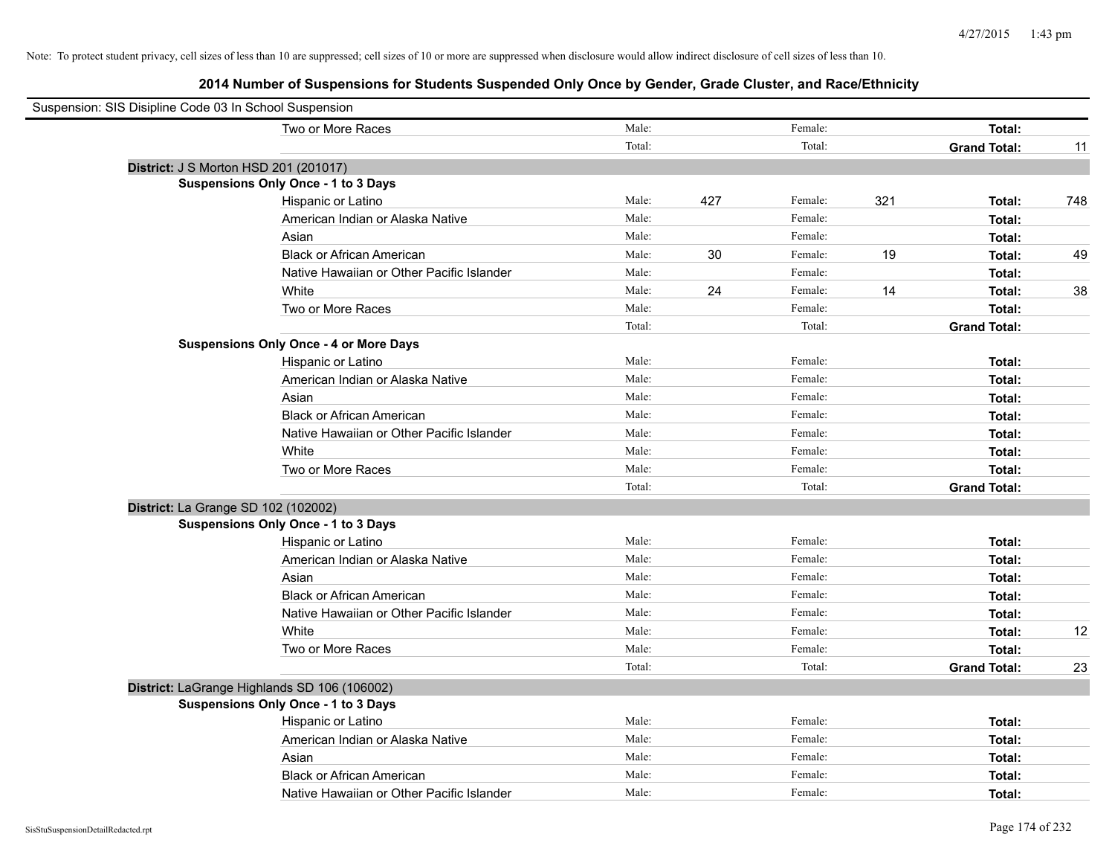| Suspension: SIS Disipline Code 03 In School Suspension |                                               |        |     |         |     |                     |     |
|--------------------------------------------------------|-----------------------------------------------|--------|-----|---------|-----|---------------------|-----|
|                                                        | Two or More Races                             | Male:  |     | Female: |     | Total:              |     |
|                                                        |                                               | Total: |     | Total:  |     | <b>Grand Total:</b> | 11  |
|                                                        | District: J S Morton HSD 201 (201017)         |        |     |         |     |                     |     |
|                                                        | <b>Suspensions Only Once - 1 to 3 Days</b>    |        |     |         |     |                     |     |
|                                                        | Hispanic or Latino                            | Male:  | 427 | Female: | 321 | Total:              | 748 |
|                                                        | American Indian or Alaska Native              | Male:  |     | Female: |     | Total:              |     |
|                                                        | Asian                                         | Male:  |     | Female: |     | Total:              |     |
|                                                        | <b>Black or African American</b>              | Male:  | 30  | Female: | 19  | Total:              | 49  |
|                                                        | Native Hawaiian or Other Pacific Islander     | Male:  |     | Female: |     | Total:              |     |
|                                                        | White                                         | Male:  | 24  | Female: | 14  | Total:              | 38  |
|                                                        | Two or More Races                             | Male:  |     | Female: |     | Total:              |     |
|                                                        |                                               | Total: |     | Total:  |     | <b>Grand Total:</b> |     |
|                                                        | <b>Suspensions Only Once - 4 or More Days</b> |        |     |         |     |                     |     |
|                                                        | Hispanic or Latino                            | Male:  |     | Female: |     | Total:              |     |
|                                                        | American Indian or Alaska Native              | Male:  |     | Female: |     | Total:              |     |
|                                                        | Asian                                         | Male:  |     | Female: |     | Total:              |     |
|                                                        | <b>Black or African American</b>              | Male:  |     | Female: |     | Total:              |     |
|                                                        | Native Hawaiian or Other Pacific Islander     | Male:  |     | Female: |     | Total:              |     |
|                                                        | White                                         | Male:  |     | Female: |     | Total:              |     |
|                                                        | Two or More Races                             | Male:  |     | Female: |     | Total:              |     |
|                                                        |                                               | Total: |     | Total:  |     | <b>Grand Total:</b> |     |
|                                                        | District: La Grange SD 102 (102002)           |        |     |         |     |                     |     |
|                                                        | <b>Suspensions Only Once - 1 to 3 Days</b>    |        |     |         |     |                     |     |
|                                                        | Hispanic or Latino                            | Male:  |     | Female: |     | Total:              |     |
|                                                        | American Indian or Alaska Native              | Male:  |     | Female: |     | Total:              |     |
|                                                        | Asian                                         | Male:  |     | Female: |     | Total:              |     |
|                                                        | <b>Black or African American</b>              | Male:  |     | Female: |     | Total:              |     |
|                                                        | Native Hawaiian or Other Pacific Islander     | Male:  |     | Female: |     | Total:              |     |
|                                                        | White                                         | Male:  |     | Female: |     | Total:              | 12  |
|                                                        | Two or More Races                             | Male:  |     | Female: |     | Total:              |     |
|                                                        |                                               | Total: |     | Total:  |     | <b>Grand Total:</b> | 23  |
|                                                        | District: LaGrange Highlands SD 106 (106002)  |        |     |         |     |                     |     |
|                                                        | <b>Suspensions Only Once - 1 to 3 Days</b>    |        |     |         |     |                     |     |
|                                                        | Hispanic or Latino                            | Male:  |     | Female: |     | Total:              |     |
|                                                        | American Indian or Alaska Native              | Male:  |     | Female: |     | Total:              |     |
|                                                        | Asian                                         | Male:  |     | Female: |     | Total:              |     |
|                                                        | <b>Black or African American</b>              | Male:  |     | Female: |     | Total:              |     |
|                                                        | Native Hawaiian or Other Pacific Islander     | Male:  |     | Female: |     | Total:              |     |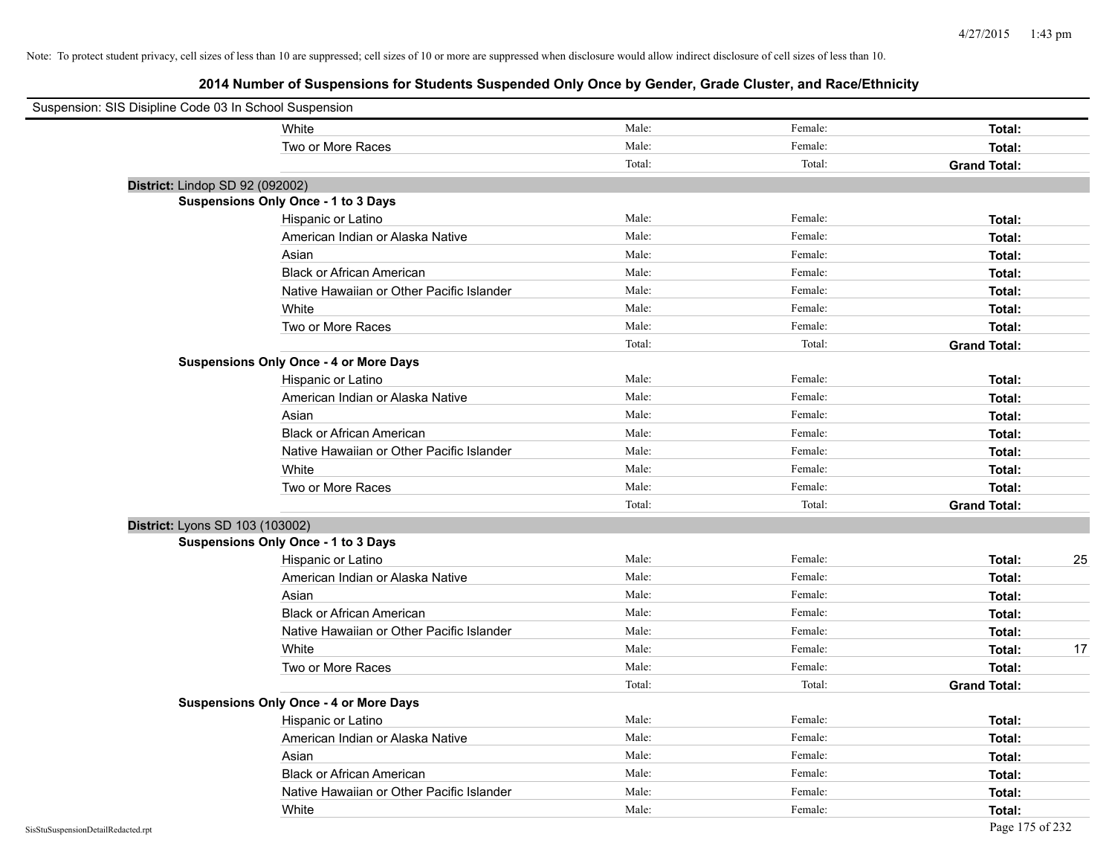| Suspension: SIS Disipline Code 03 In School Suspension |                                               |        |         |                     |    |
|--------------------------------------------------------|-----------------------------------------------|--------|---------|---------------------|----|
|                                                        | White                                         | Male:  | Female: | Total:              |    |
|                                                        | Two or More Races                             | Male:  | Female: | Total:              |    |
|                                                        |                                               | Total: | Total:  | <b>Grand Total:</b> |    |
| District: Lindop SD 92 (092002)                        |                                               |        |         |                     |    |
|                                                        | <b>Suspensions Only Once - 1 to 3 Days</b>    |        |         |                     |    |
|                                                        | Hispanic or Latino                            | Male:  | Female: | Total:              |    |
|                                                        | American Indian or Alaska Native              | Male:  | Female: | Total:              |    |
|                                                        | Asian                                         | Male:  | Female: | Total:              |    |
|                                                        | <b>Black or African American</b>              | Male:  | Female: | Total:              |    |
|                                                        | Native Hawaiian or Other Pacific Islander     | Male:  | Female: | Total:              |    |
|                                                        | White                                         | Male:  | Female: | Total:              |    |
|                                                        | Two or More Races                             | Male:  | Female: | Total:              |    |
|                                                        |                                               | Total: | Total:  | <b>Grand Total:</b> |    |
|                                                        | <b>Suspensions Only Once - 4 or More Days</b> |        |         |                     |    |
|                                                        | Hispanic or Latino                            | Male:  | Female: | Total:              |    |
|                                                        | American Indian or Alaska Native              | Male:  | Female: | Total:              |    |
|                                                        | Asian                                         | Male:  | Female: | Total:              |    |
|                                                        | <b>Black or African American</b>              | Male:  | Female: | Total:              |    |
|                                                        | Native Hawaiian or Other Pacific Islander     | Male:  | Female: | Total:              |    |
|                                                        | White                                         | Male:  | Female: | Total:              |    |
|                                                        | Two or More Races                             | Male:  | Female: | Total:              |    |
|                                                        |                                               | Total: | Total:  | <b>Grand Total:</b> |    |
| District: Lyons SD 103 (103002)                        |                                               |        |         |                     |    |
|                                                        | <b>Suspensions Only Once - 1 to 3 Days</b>    |        |         |                     |    |
|                                                        | Hispanic or Latino                            | Male:  | Female: | Total:              | 25 |
|                                                        | American Indian or Alaska Native              | Male:  | Female: | Total:              |    |
|                                                        | Asian                                         | Male:  | Female: | Total:              |    |
|                                                        | <b>Black or African American</b>              | Male:  | Female: | Total:              |    |
|                                                        | Native Hawaiian or Other Pacific Islander     | Male:  | Female: | Total:              |    |
|                                                        | White                                         | Male:  | Female: | Total:              | 17 |
|                                                        | Two or More Races                             | Male:  | Female: | Total:              |    |
|                                                        |                                               | Total: | Total:  | <b>Grand Total:</b> |    |
|                                                        | <b>Suspensions Only Once - 4 or More Days</b> |        |         |                     |    |
|                                                        | Hispanic or Latino                            | Male:  | Female: | Total:              |    |
|                                                        | American Indian or Alaska Native              | Male:  | Female: | Total:              |    |
|                                                        | Asian                                         | Male:  | Female: | Total:              |    |
|                                                        | <b>Black or African American</b>              | Male:  | Female: | Total:              |    |
|                                                        | Native Hawaiian or Other Pacific Islander     | Male:  | Female: | Total:              |    |
|                                                        | White                                         | Male:  | Female: | Total:              |    |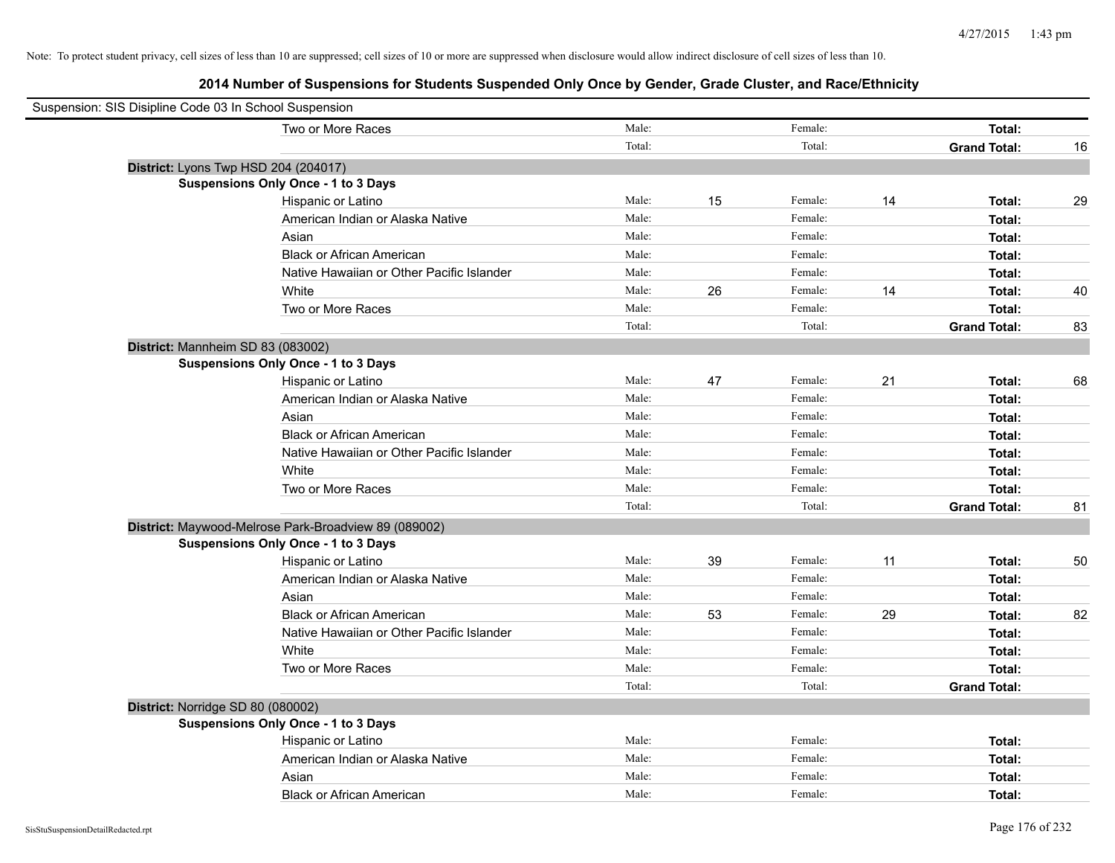| Suspension: SIS Disipline Code 03 In School Suspension |                                                      |        |    |         |    |                     |    |
|--------------------------------------------------------|------------------------------------------------------|--------|----|---------|----|---------------------|----|
|                                                        | Two or More Races                                    | Male:  |    | Female: |    | Total:              |    |
|                                                        |                                                      | Total: |    | Total:  |    | <b>Grand Total:</b> | 16 |
| District: Lyons Twp HSD 204 (204017)                   |                                                      |        |    |         |    |                     |    |
|                                                        | <b>Suspensions Only Once - 1 to 3 Days</b>           |        |    |         |    |                     |    |
|                                                        | Hispanic or Latino                                   | Male:  | 15 | Female: | 14 | Total:              | 29 |
|                                                        | American Indian or Alaska Native                     | Male:  |    | Female: |    | Total:              |    |
|                                                        | Asian                                                | Male:  |    | Female: |    | Total:              |    |
|                                                        | <b>Black or African American</b>                     | Male:  |    | Female: |    | Total:              |    |
|                                                        | Native Hawaiian or Other Pacific Islander            | Male:  |    | Female: |    | Total:              |    |
|                                                        | White                                                | Male:  | 26 | Female: | 14 | Total:              | 40 |
|                                                        | Two or More Races                                    | Male:  |    | Female: |    | Total:              |    |
|                                                        |                                                      | Total: |    | Total:  |    | <b>Grand Total:</b> | 83 |
| District: Mannheim SD 83 (083002)                      |                                                      |        |    |         |    |                     |    |
|                                                        | <b>Suspensions Only Once - 1 to 3 Days</b>           |        |    |         |    |                     |    |
|                                                        | Hispanic or Latino                                   | Male:  | 47 | Female: | 21 | Total:              | 68 |
|                                                        | American Indian or Alaska Native                     | Male:  |    | Female: |    | Total:              |    |
|                                                        | Asian                                                | Male:  |    | Female: |    | Total:              |    |
|                                                        | <b>Black or African American</b>                     | Male:  |    | Female: |    | Total:              |    |
|                                                        | Native Hawaiian or Other Pacific Islander            | Male:  |    | Female: |    | Total:              |    |
|                                                        | White                                                | Male:  |    | Female: |    | Total:              |    |
|                                                        | Two or More Races                                    | Male:  |    | Female: |    | Total:              |    |
|                                                        |                                                      | Total: |    | Total:  |    | <b>Grand Total:</b> | 81 |
|                                                        | District: Maywood-Melrose Park-Broadview 89 (089002) |        |    |         |    |                     |    |
|                                                        | <b>Suspensions Only Once - 1 to 3 Days</b>           |        |    |         |    |                     |    |
|                                                        | Hispanic or Latino                                   | Male:  | 39 | Female: | 11 | Total:              | 50 |
|                                                        | American Indian or Alaska Native                     | Male:  |    | Female: |    | Total:              |    |
|                                                        | Asian                                                | Male:  |    | Female: |    | Total:              |    |
|                                                        | <b>Black or African American</b>                     | Male:  | 53 | Female: | 29 | Total:              | 82 |
|                                                        | Native Hawaiian or Other Pacific Islander            | Male:  |    | Female: |    | Total:              |    |
|                                                        | White                                                | Male:  |    | Female: |    | Total:              |    |
|                                                        | Two or More Races                                    | Male:  |    | Female: |    | Total:              |    |
|                                                        |                                                      | Total: |    | Total:  |    | <b>Grand Total:</b> |    |
| District: Norridge SD 80 (080002)                      |                                                      |        |    |         |    |                     |    |
|                                                        | <b>Suspensions Only Once - 1 to 3 Days</b>           |        |    |         |    |                     |    |
|                                                        | Hispanic or Latino                                   | Male:  |    | Female: |    | Total:              |    |
|                                                        | American Indian or Alaska Native                     | Male:  |    | Female: |    | Total:              |    |
|                                                        | Asian                                                | Male:  |    | Female: |    | Total:              |    |
|                                                        | <b>Black or African American</b>                     | Male:  |    | Female: |    | Total:              |    |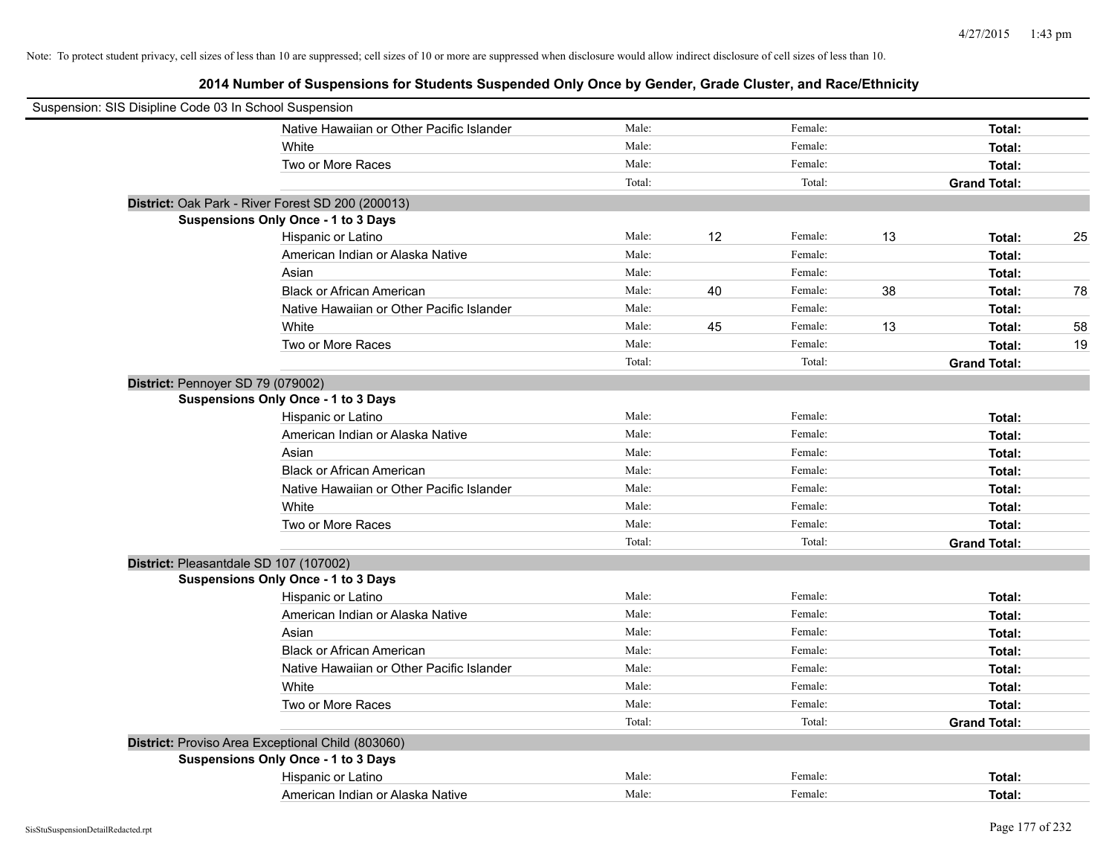|                                   | Suspension: SIS Disipline Code 03 In School Suspension |        |    |         |    |                     |    |
|-----------------------------------|--------------------------------------------------------|--------|----|---------|----|---------------------|----|
|                                   | Native Hawaiian or Other Pacific Islander              | Male:  |    | Female: |    | Total:              |    |
|                                   | White                                                  | Male:  |    | Female: |    | Total:              |    |
|                                   | Two or More Races                                      | Male:  |    | Female: |    | Total:              |    |
|                                   |                                                        | Total: |    | Total:  |    | <b>Grand Total:</b> |    |
|                                   | District: Oak Park - River Forest SD 200 (200013)      |        |    |         |    |                     |    |
|                                   | Suspensions Only Once - 1 to 3 Days                    |        |    |         |    |                     |    |
|                                   | Hispanic or Latino                                     | Male:  | 12 | Female: | 13 | Total:              | 25 |
|                                   | American Indian or Alaska Native                       | Male:  |    | Female: |    | Total:              |    |
|                                   | Asian                                                  | Male:  |    | Female: |    | Total:              |    |
|                                   | <b>Black or African American</b>                       | Male:  | 40 | Female: | 38 | Total:              | 78 |
|                                   | Native Hawaiian or Other Pacific Islander              | Male:  |    | Female: |    | Total:              |    |
|                                   | White                                                  | Male:  | 45 | Female: | 13 | Total:              | 58 |
|                                   | Two or More Races                                      | Male:  |    | Female: |    | Total:              | 19 |
|                                   |                                                        | Total: |    | Total:  |    | <b>Grand Total:</b> |    |
| District: Pennoyer SD 79 (079002) |                                                        |        |    |         |    |                     |    |
|                                   | Suspensions Only Once - 1 to 3 Days                    |        |    |         |    |                     |    |
|                                   | Hispanic or Latino                                     | Male:  |    | Female: |    | Total:              |    |
|                                   | American Indian or Alaska Native                       | Male:  |    | Female: |    | Total:              |    |
|                                   | Asian                                                  | Male:  |    | Female: |    | Total:              |    |
|                                   | <b>Black or African American</b>                       | Male:  |    | Female: |    | Total:              |    |
|                                   | Native Hawaiian or Other Pacific Islander              | Male:  |    | Female: |    | Total:              |    |
|                                   | White                                                  | Male:  |    | Female: |    | Total:              |    |
|                                   | Two or More Races                                      | Male:  |    | Female: |    | Total:              |    |
|                                   |                                                        | Total: |    | Total:  |    | <b>Grand Total:</b> |    |
|                                   | District: Pleasantdale SD 107 (107002)                 |        |    |         |    |                     |    |
|                                   | Suspensions Only Once - 1 to 3 Days                    |        |    |         |    |                     |    |
|                                   | Hispanic or Latino                                     | Male:  |    | Female: |    | Total:              |    |
|                                   | American Indian or Alaska Native                       | Male:  |    | Female: |    | Total:              |    |
|                                   | Asian                                                  | Male:  |    | Female: |    | Total:              |    |
|                                   | <b>Black or African American</b>                       | Male:  |    | Female: |    | Total:              |    |
|                                   | Native Hawaiian or Other Pacific Islander              | Male:  |    | Female: |    | Total:              |    |
|                                   | White                                                  | Male:  |    | Female: |    | Total:              |    |
|                                   | Two or More Races                                      | Male:  |    | Female: |    | Total:              |    |
|                                   |                                                        | Total: |    | Total:  |    | <b>Grand Total:</b> |    |
|                                   | District: Proviso Area Exceptional Child (803060)      |        |    |         |    |                     |    |
|                                   | <b>Suspensions Only Once - 1 to 3 Days</b>             |        |    |         |    |                     |    |
|                                   | Hispanic or Latino                                     | Male:  |    | Female: |    | Total:              |    |
|                                   | American Indian or Alaska Native                       | Male:  |    | Female: |    | Total:              |    |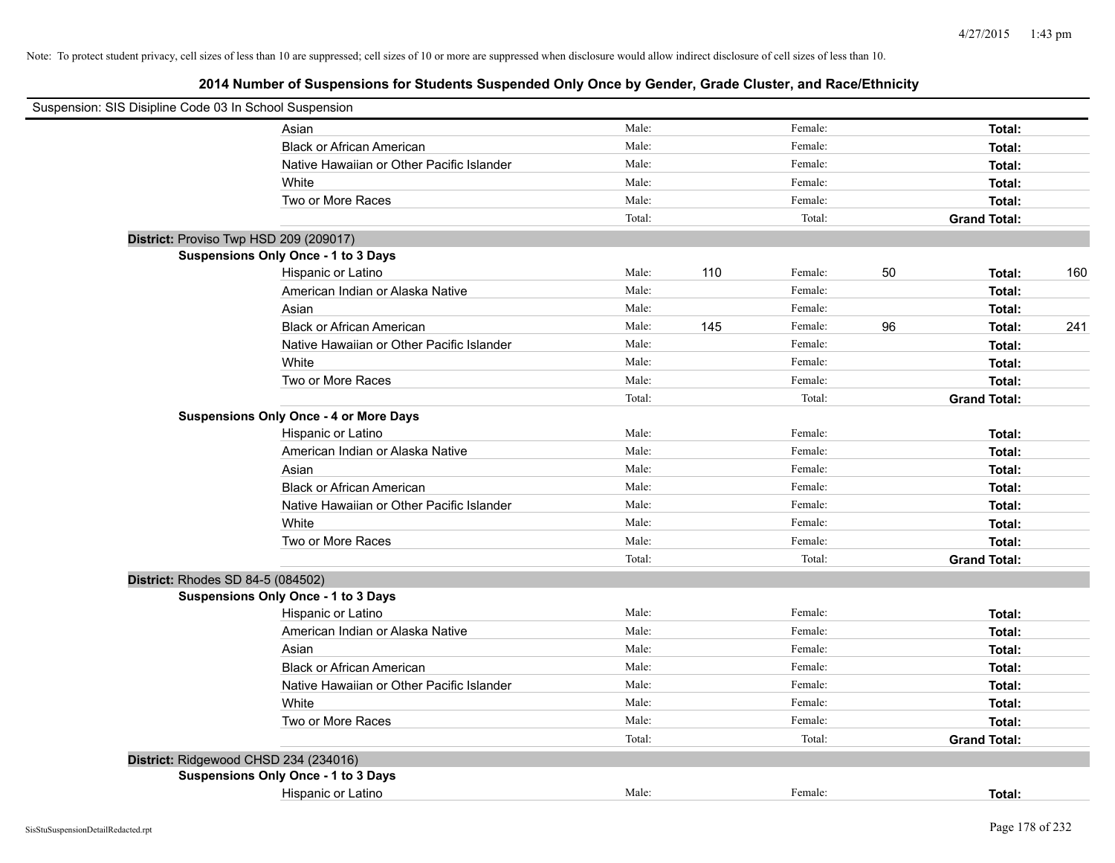| Suspension: SIS Disipline Code 03 In School Suspension |        |     |         |    |                     |     |
|--------------------------------------------------------|--------|-----|---------|----|---------------------|-----|
| Asian                                                  | Male:  |     | Female: |    | Total:              |     |
| <b>Black or African American</b>                       | Male:  |     | Female: |    | Total:              |     |
| Native Hawaiian or Other Pacific Islander              | Male:  |     | Female: |    | Total:              |     |
| White                                                  | Male:  |     | Female: |    | Total:              |     |
| Two or More Races                                      | Male:  |     | Female: |    | Total:              |     |
|                                                        | Total: |     | Total:  |    | <b>Grand Total:</b> |     |
| District: Proviso Twp HSD 209 (209017)                 |        |     |         |    |                     |     |
| Suspensions Only Once - 1 to 3 Days                    |        |     |         |    |                     |     |
| Hispanic or Latino                                     | Male:  | 110 | Female: | 50 | Total:              | 160 |
| American Indian or Alaska Native                       | Male:  |     | Female: |    | Total:              |     |
| Asian                                                  | Male:  |     | Female: |    | Total:              |     |
| <b>Black or African American</b>                       | Male:  | 145 | Female: | 96 | Total:              | 241 |
| Native Hawaiian or Other Pacific Islander              | Male:  |     | Female: |    | Total:              |     |
| White                                                  | Male:  |     | Female: |    | Total:              |     |
| Two or More Races                                      | Male:  |     | Female: |    | Total:              |     |
|                                                        | Total: |     | Total:  |    | <b>Grand Total:</b> |     |
| <b>Suspensions Only Once - 4 or More Days</b>          |        |     |         |    |                     |     |
| Hispanic or Latino                                     | Male:  |     | Female: |    | Total:              |     |
| American Indian or Alaska Native                       | Male:  |     | Female: |    | Total:              |     |
| Asian                                                  | Male:  |     | Female: |    | Total:              |     |
| <b>Black or African American</b>                       | Male:  |     | Female: |    | Total:              |     |
| Native Hawaiian or Other Pacific Islander              | Male:  |     | Female: |    | Total:              |     |
| White                                                  | Male:  |     | Female: |    | Total:              |     |
| Two or More Races                                      | Male:  |     | Female: |    | Total:              |     |
|                                                        | Total: |     | Total:  |    | <b>Grand Total:</b> |     |
| District: Rhodes SD 84-5 (084502)                      |        |     |         |    |                     |     |
| Suspensions Only Once - 1 to 3 Days                    |        |     |         |    |                     |     |
| Hispanic or Latino                                     | Male:  |     | Female: |    | Total:              |     |
| American Indian or Alaska Native                       | Male:  |     | Female: |    | Total:              |     |
| Asian                                                  | Male:  |     | Female: |    | Total:              |     |
| <b>Black or African American</b>                       | Male:  |     | Female: |    | Total:              |     |
| Native Hawaiian or Other Pacific Islander              | Male:  |     | Female: |    | Total:              |     |
| White                                                  | Male:  |     | Female: |    | Total:              |     |
| Two or More Races                                      | Male:  |     | Female: |    | Total:              |     |
|                                                        | Total: |     | Total:  |    | <b>Grand Total:</b> |     |
| District: Ridgewood CHSD 234 (234016)                  |        |     |         |    |                     |     |
| Suspensions Only Once - 1 to 3 Days                    |        |     |         |    |                     |     |
| Hispanic or Latino                                     | Male:  |     | Female: |    | Total:              |     |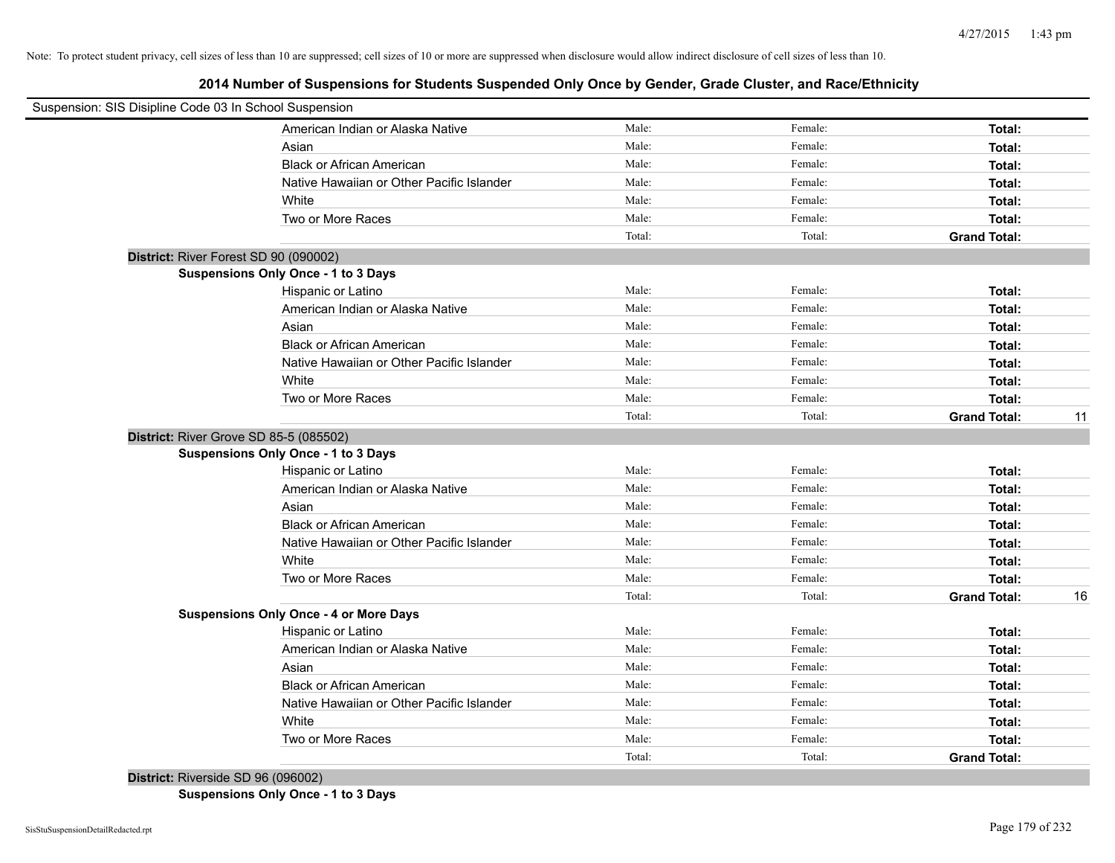**2014 Number of Suspensions for Students Suspended Only Once by Gender, Grade Cluster, and Race/Ethnicity**

| Suspension: SIS Disipline Code 03 In School Suspension |                                               |        |         |                     |    |
|--------------------------------------------------------|-----------------------------------------------|--------|---------|---------------------|----|
|                                                        | American Indian or Alaska Native              | Male:  | Female: | Total:              |    |
|                                                        | Asian                                         | Male:  | Female: | Total:              |    |
|                                                        | <b>Black or African American</b>              | Male:  | Female: | Total:              |    |
|                                                        | Native Hawaiian or Other Pacific Islander     | Male:  | Female: | Total:              |    |
|                                                        | White                                         | Male:  | Female: | Total:              |    |
|                                                        | Two or More Races                             | Male:  | Female: | Total:              |    |
|                                                        |                                               | Total: | Total:  | <b>Grand Total:</b> |    |
| District: River Forest SD 90 (090002)                  |                                               |        |         |                     |    |
|                                                        | <b>Suspensions Only Once - 1 to 3 Days</b>    |        |         |                     |    |
|                                                        | Hispanic or Latino                            | Male:  | Female: | Total:              |    |
|                                                        | American Indian or Alaska Native              | Male:  | Female: | Total:              |    |
|                                                        | Asian                                         | Male:  | Female: | Total:              |    |
|                                                        | <b>Black or African American</b>              | Male:  | Female: | Total:              |    |
|                                                        | Native Hawaiian or Other Pacific Islander     | Male:  | Female: | Total:              |    |
|                                                        | White                                         | Male:  | Female: | Total:              |    |
|                                                        | Two or More Races                             | Male:  | Female: | Total:              |    |
|                                                        |                                               | Total: | Total:  | <b>Grand Total:</b> | 11 |
| District: River Grove SD 85-5 (085502)                 |                                               |        |         |                     |    |
|                                                        | <b>Suspensions Only Once - 1 to 3 Days</b>    |        |         |                     |    |
|                                                        | Hispanic or Latino                            | Male:  | Female: | Total:              |    |
|                                                        | American Indian or Alaska Native              | Male:  | Female: | Total:              |    |
|                                                        | Asian                                         | Male:  | Female: | Total:              |    |
|                                                        | <b>Black or African American</b>              | Male:  | Female: | Total:              |    |
|                                                        | Native Hawaiian or Other Pacific Islander     | Male:  | Female: | Total:              |    |
|                                                        | White                                         | Male:  | Female: | Total:              |    |
|                                                        | Two or More Races                             | Male:  | Female: | Total:              |    |
|                                                        |                                               | Total: | Total:  | <b>Grand Total:</b> | 16 |
|                                                        | <b>Suspensions Only Once - 4 or More Days</b> |        |         |                     |    |
|                                                        | Hispanic or Latino                            | Male:  | Female: | Total:              |    |
|                                                        | American Indian or Alaska Native              | Male:  | Female: | Total:              |    |
|                                                        | Asian                                         | Male:  | Female: | Total:              |    |
|                                                        | <b>Black or African American</b>              | Male:  | Female: | Total:              |    |
|                                                        | Native Hawaiian or Other Pacific Islander     | Male:  | Female: | Total:              |    |
|                                                        | White                                         | Male:  | Female: | Total:              |    |
|                                                        | Two or More Races                             | Male:  | Female: | Total:              |    |
|                                                        |                                               | Total: | Total:  | <b>Grand Total:</b> |    |
| District: Riverside SD 96 (096002)                     |                                               |        |         |                     |    |

**Suspensions Only Once - 1 to 3 Days**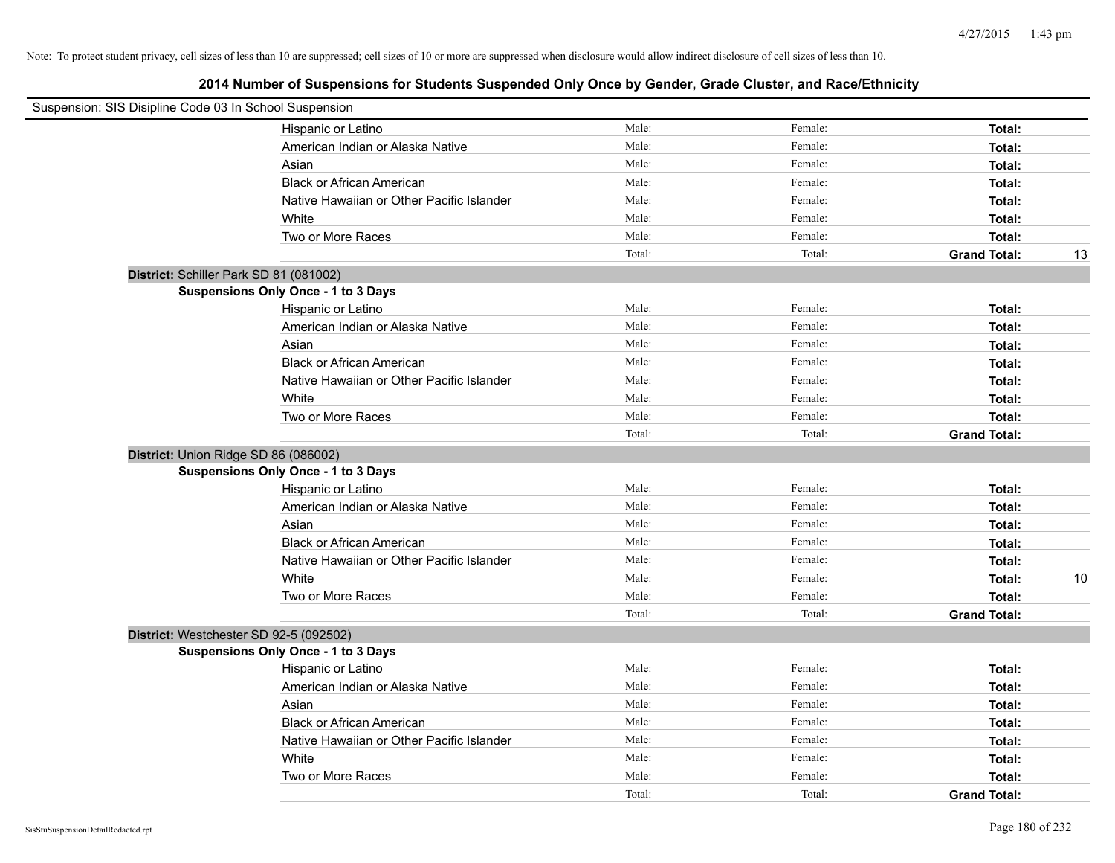| Suspension: SIS Disipline Code 03 In School Suspension |                                           |        |         |                           |
|--------------------------------------------------------|-------------------------------------------|--------|---------|---------------------------|
|                                                        | Hispanic or Latino                        | Male:  | Female: | Total:                    |
|                                                        | American Indian or Alaska Native          | Male:  | Female: | Total:                    |
| Asian                                                  |                                           | Male:  | Female: | Total:                    |
|                                                        | <b>Black or African American</b>          | Male:  | Female: | Total:                    |
|                                                        | Native Hawaiian or Other Pacific Islander | Male:  | Female: | Total:                    |
| White                                                  |                                           | Male:  | Female: | Total:                    |
|                                                        | Two or More Races                         | Male:  | Female: | Total:                    |
|                                                        |                                           | Total: | Total:  | <b>Grand Total:</b><br>13 |
| District: Schiller Park SD 81 (081002)                 |                                           |        |         |                           |
| <b>Suspensions Only Once - 1 to 3 Days</b>             |                                           |        |         |                           |
|                                                        | Hispanic or Latino                        | Male:  | Female: | Total:                    |
|                                                        | American Indian or Alaska Native          | Male:  | Female: | Total:                    |
| Asian                                                  |                                           | Male:  | Female: | Total:                    |
|                                                        | <b>Black or African American</b>          | Male:  | Female: | Total:                    |
|                                                        | Native Hawaiian or Other Pacific Islander | Male:  | Female: | Total:                    |
| White                                                  |                                           | Male:  | Female: | Total:                    |
|                                                        | Two or More Races                         | Male:  | Female: | Total:                    |
|                                                        |                                           | Total: | Total:  | <b>Grand Total:</b>       |
| District: Union Ridge SD 86 (086002)                   |                                           |        |         |                           |
| <b>Suspensions Only Once - 1 to 3 Days</b>             |                                           |        |         |                           |
|                                                        | Hispanic or Latino                        | Male:  | Female: | Total:                    |
|                                                        | American Indian or Alaska Native          | Male:  | Female: | Total:                    |
| Asian                                                  |                                           | Male:  | Female: | Total:                    |
|                                                        | <b>Black or African American</b>          | Male:  | Female: | Total:                    |
|                                                        | Native Hawaiian or Other Pacific Islander | Male:  | Female: | Total:                    |
| White                                                  |                                           | Male:  | Female: | 10<br>Total:              |
|                                                        | Two or More Races                         | Male:  | Female: | Total:                    |
|                                                        |                                           | Total: | Total:  | <b>Grand Total:</b>       |
| District: Westchester SD 92-5 (092502)                 |                                           |        |         |                           |
| <b>Suspensions Only Once - 1 to 3 Days</b>             |                                           |        |         |                           |
|                                                        | Hispanic or Latino                        | Male:  | Female: | Total:                    |
|                                                        | American Indian or Alaska Native          | Male:  | Female: | Total:                    |
| Asian                                                  |                                           | Male:  | Female: | Total:                    |
|                                                        | <b>Black or African American</b>          | Male:  | Female: | Total:                    |
|                                                        | Native Hawaiian or Other Pacific Islander | Male:  | Female: | Total:                    |
| White                                                  |                                           | Male:  | Female: | Total:                    |
|                                                        | Two or More Races                         | Male:  | Female: | Total:                    |
|                                                        |                                           | Total: | Total:  | <b>Grand Total:</b>       |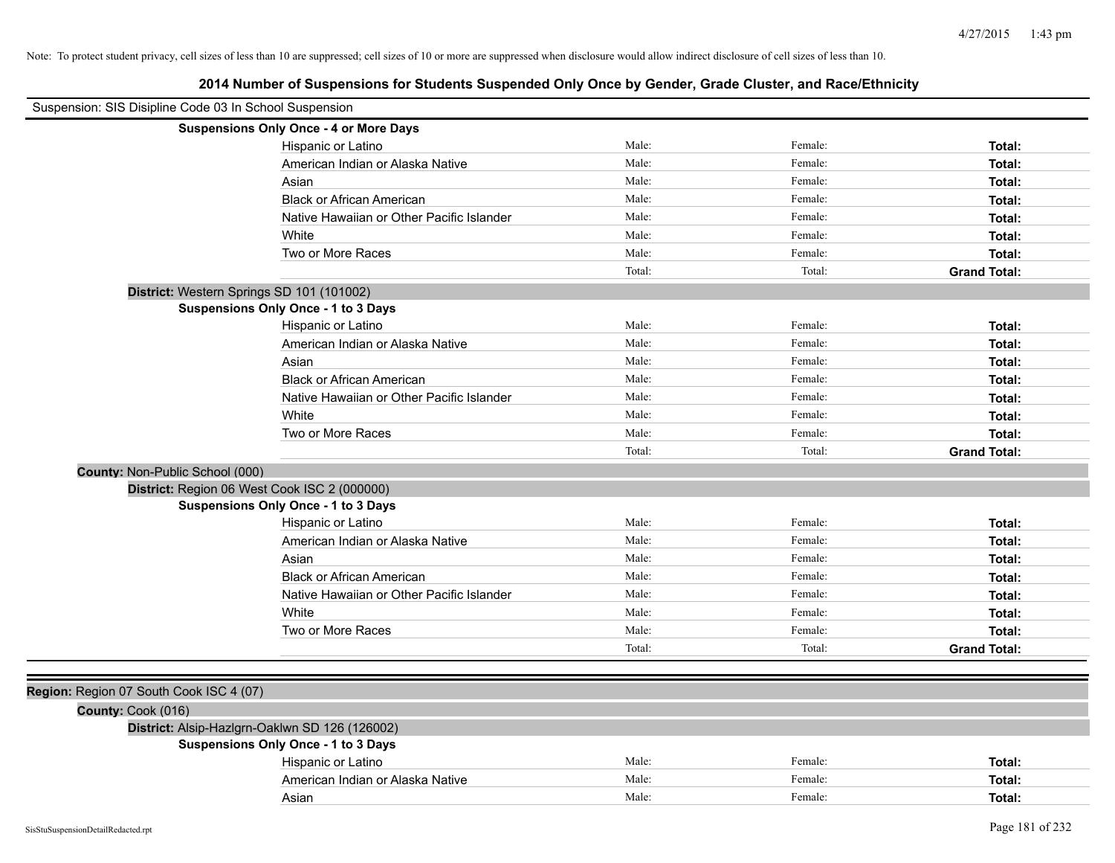| Suspension: SIS Disipline Code 03 In School Suspension |                                                |        |         |                     |
|--------------------------------------------------------|------------------------------------------------|--------|---------|---------------------|
|                                                        | <b>Suspensions Only Once - 4 or More Days</b>  |        |         |                     |
|                                                        | Hispanic or Latino                             | Male:  | Female: | Total:              |
|                                                        | American Indian or Alaska Native               | Male:  | Female: | Total:              |
|                                                        | Asian                                          | Male:  | Female: | Total:              |
|                                                        | <b>Black or African American</b>               | Male:  | Female: | Total:              |
|                                                        | Native Hawaiian or Other Pacific Islander      | Male:  | Female: | Total:              |
|                                                        | White                                          | Male:  | Female: | Total:              |
|                                                        | Two or More Races                              | Male:  | Female: | Total:              |
|                                                        |                                                | Total: | Total:  | <b>Grand Total:</b> |
|                                                        | District: Western Springs SD 101 (101002)      |        |         |                     |
|                                                        | <b>Suspensions Only Once - 1 to 3 Days</b>     |        |         |                     |
|                                                        | Hispanic or Latino                             | Male:  | Female: | Total:              |
|                                                        | American Indian or Alaska Native               | Male:  | Female: | Total:              |
|                                                        | Asian                                          | Male:  | Female: | Total:              |
|                                                        | <b>Black or African American</b>               | Male:  | Female: | Total:              |
|                                                        | Native Hawaiian or Other Pacific Islander      | Male:  | Female: | Total:              |
|                                                        | White                                          | Male:  | Female: | Total:              |
|                                                        | Two or More Races                              | Male:  | Female: | Total:              |
|                                                        |                                                | Total: | Total:  | <b>Grand Total:</b> |
| County: Non-Public School (000)                        |                                                |        |         |                     |
|                                                        | District: Region 06 West Cook ISC 2 (000000)   |        |         |                     |
|                                                        | <b>Suspensions Only Once - 1 to 3 Days</b>     |        |         |                     |
|                                                        | Hispanic or Latino                             | Male:  | Female: | Total:              |
|                                                        | American Indian or Alaska Native               | Male:  | Female: | Total:              |
|                                                        | Asian                                          | Male:  | Female: | Total:              |
|                                                        | <b>Black or African American</b>               | Male:  | Female: | Total:              |
|                                                        | Native Hawaiian or Other Pacific Islander      | Male:  | Female: | Total:              |
|                                                        | White                                          | Male:  | Female: | Total:              |
|                                                        | Two or More Races                              | Male:  | Female: | Total:              |
|                                                        |                                                | Total: | Total:  | <b>Grand Total:</b> |
|                                                        |                                                |        |         |                     |
| Region: Region 07 South Cook ISC 4 (07)                |                                                |        |         |                     |
| County: Cook (016)                                     |                                                |        |         |                     |
|                                                        | District: Alsip-Hazlgrn-Oaklwn SD 126 (126002) |        |         |                     |
|                                                        | <b>Suspensions Only Once - 1 to 3 Days</b>     |        |         |                     |
|                                                        | Hispanic or Latino                             | Male:  | Female: | Total:              |
|                                                        | American Indian or Alaska Native               | Male:  | Female: | Total:              |
|                                                        | Asian                                          | Male:  | Female: | Total:              |
|                                                        |                                                |        |         |                     |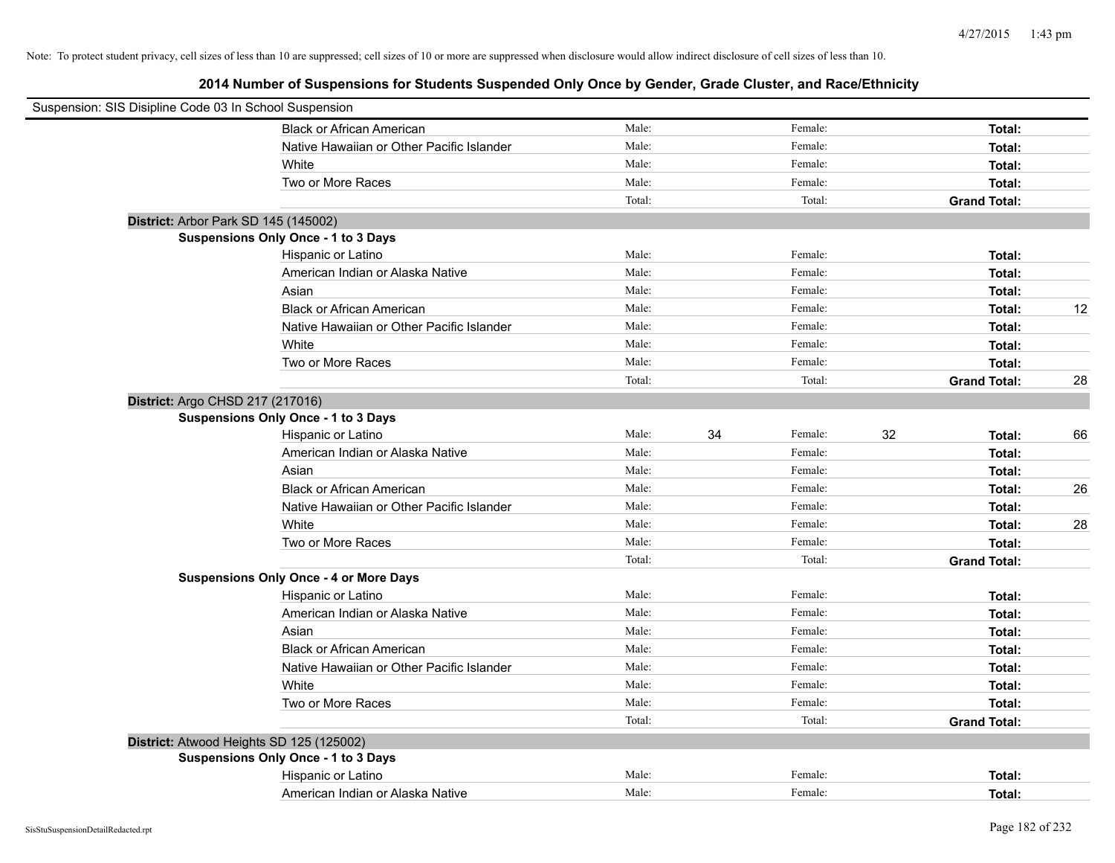| Suspension: SIS Disipline Code 03 In School Suspension |                                               |        |    |         |    |                     |    |
|--------------------------------------------------------|-----------------------------------------------|--------|----|---------|----|---------------------|----|
|                                                        | <b>Black or African American</b>              | Male:  |    | Female: |    | Total:              |    |
|                                                        | Native Hawaiian or Other Pacific Islander     | Male:  |    | Female: |    | Total:              |    |
|                                                        | White                                         | Male:  |    | Female: |    | Total:              |    |
|                                                        | Two or More Races                             | Male:  |    | Female: |    | Total:              |    |
|                                                        |                                               | Total: |    | Total:  |    | <b>Grand Total:</b> |    |
| District: Arbor Park SD 145 (145002)                   |                                               |        |    |         |    |                     |    |
|                                                        | Suspensions Only Once - 1 to 3 Days           |        |    |         |    |                     |    |
|                                                        | Hispanic or Latino                            | Male:  |    | Female: |    | Total:              |    |
|                                                        | American Indian or Alaska Native              | Male:  |    | Female: |    | Total:              |    |
|                                                        | Asian                                         | Male:  |    | Female: |    | Total:              |    |
|                                                        | <b>Black or African American</b>              | Male:  |    | Female: |    | Total:              | 12 |
|                                                        | Native Hawaiian or Other Pacific Islander     | Male:  |    | Female: |    | Total:              |    |
|                                                        | White                                         | Male:  |    | Female: |    | Total:              |    |
|                                                        | Two or More Races                             | Male:  |    | Female: |    | Total:              |    |
|                                                        |                                               | Total: |    | Total:  |    | <b>Grand Total:</b> | 28 |
| District: Argo CHSD 217 (217016)                       |                                               |        |    |         |    |                     |    |
|                                                        | Suspensions Only Once - 1 to 3 Days           |        |    |         |    |                     |    |
|                                                        | Hispanic or Latino                            | Male:  | 34 | Female: | 32 | Total:              | 66 |
|                                                        | American Indian or Alaska Native              | Male:  |    | Female: |    | Total:              |    |
|                                                        | Asian                                         | Male:  |    | Female: |    | Total:              |    |
|                                                        | <b>Black or African American</b>              | Male:  |    | Female: |    | Total:              | 26 |
|                                                        | Native Hawaiian or Other Pacific Islander     | Male:  |    | Female: |    | Total:              |    |
|                                                        | White                                         | Male:  |    | Female: |    | Total:              | 28 |
|                                                        | Two or More Races                             | Male:  |    | Female: |    | Total:              |    |
|                                                        |                                               | Total: |    | Total:  |    | <b>Grand Total:</b> |    |
|                                                        | <b>Suspensions Only Once - 4 or More Days</b> |        |    |         |    |                     |    |
|                                                        | Hispanic or Latino                            | Male:  |    | Female: |    | Total:              |    |
|                                                        | American Indian or Alaska Native              | Male:  |    | Female: |    | Total:              |    |
|                                                        | Asian                                         | Male:  |    | Female: |    | Total:              |    |
|                                                        | <b>Black or African American</b>              | Male:  |    | Female: |    | Total:              |    |
|                                                        | Native Hawaiian or Other Pacific Islander     | Male:  |    | Female: |    | Total:              |    |
|                                                        | White                                         | Male:  |    | Female: |    | Total:              |    |
|                                                        | Two or More Races                             | Male:  |    | Female: |    | Total:              |    |
|                                                        |                                               | Total: |    | Total:  |    | <b>Grand Total:</b> |    |
|                                                        | District: Atwood Heights SD 125 (125002)      |        |    |         |    |                     |    |
|                                                        | Suspensions Only Once - 1 to 3 Days           |        |    |         |    |                     |    |
|                                                        | Hispanic or Latino                            | Male:  |    | Female: |    | Total:              |    |
|                                                        | American Indian or Alaska Native              | Male:  |    | Female: |    | Total:              |    |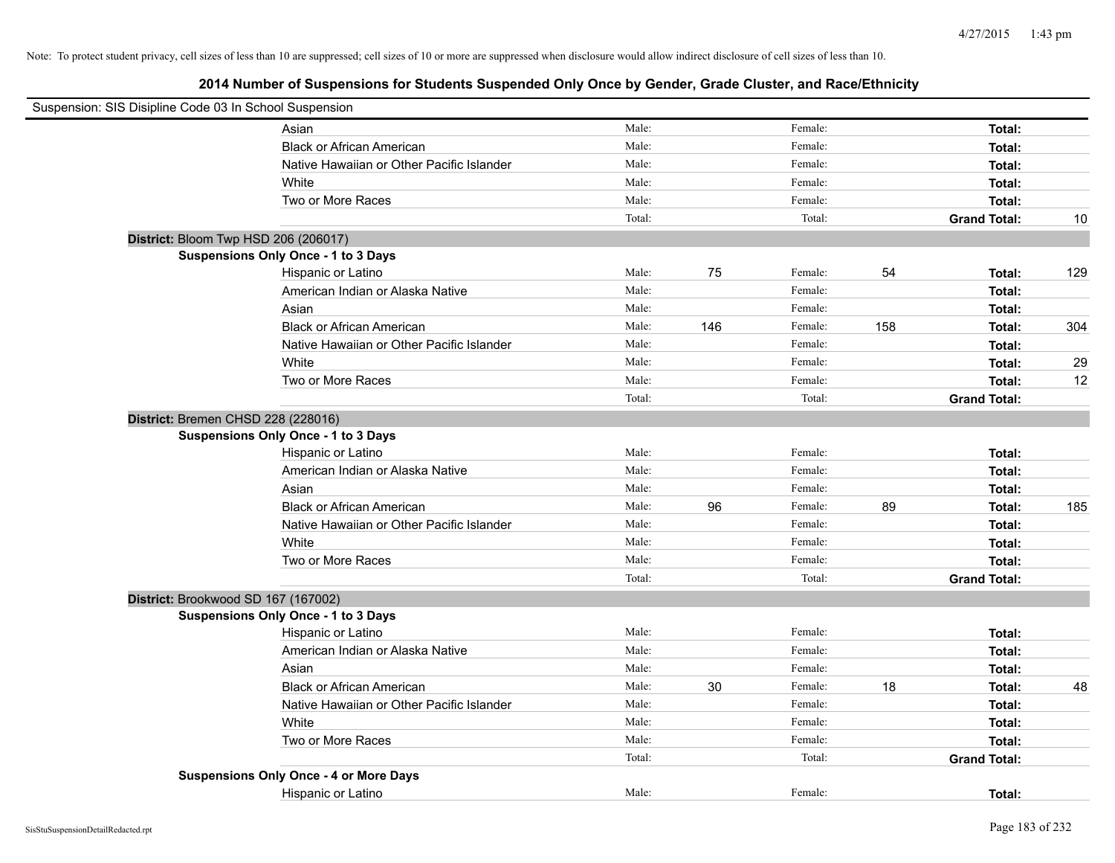| Suspension: SIS Disipline Code 03 In School Suspension |                                               |        |     |         |     |                     |     |
|--------------------------------------------------------|-----------------------------------------------|--------|-----|---------|-----|---------------------|-----|
|                                                        | Asian                                         | Male:  |     | Female: |     | Total:              |     |
|                                                        | <b>Black or African American</b>              | Male:  |     | Female: |     | Total:              |     |
|                                                        | Native Hawaiian or Other Pacific Islander     | Male:  |     | Female: |     | Total:              |     |
|                                                        | White                                         | Male:  |     | Female: |     | Total:              |     |
|                                                        | Two or More Races                             | Male:  |     | Female: |     | Total:              |     |
|                                                        |                                               | Total: |     | Total:  |     | <b>Grand Total:</b> | 10  |
|                                                        | District: Bloom Twp HSD 206 (206017)          |        |     |         |     |                     |     |
|                                                        | Suspensions Only Once - 1 to 3 Days           |        |     |         |     |                     |     |
|                                                        | Hispanic or Latino                            | Male:  | 75  | Female: | 54  | Total:              | 129 |
|                                                        | American Indian or Alaska Native              | Male:  |     | Female: |     | Total:              |     |
|                                                        | Asian                                         | Male:  |     | Female: |     | Total:              |     |
|                                                        | <b>Black or African American</b>              | Male:  | 146 | Female: | 158 | Total:              | 304 |
|                                                        | Native Hawaiian or Other Pacific Islander     | Male:  |     | Female: |     | Total:              |     |
|                                                        | White                                         | Male:  |     | Female: |     | Total:              | 29  |
|                                                        | Two or More Races                             | Male:  |     | Female: |     | Total:              | 12  |
|                                                        |                                               | Total: |     | Total:  |     | <b>Grand Total:</b> |     |
|                                                        | District: Bremen CHSD 228 (228016)            |        |     |         |     |                     |     |
|                                                        | Suspensions Only Once - 1 to 3 Days           |        |     |         |     |                     |     |
|                                                        | Hispanic or Latino                            | Male:  |     | Female: |     | Total:              |     |
|                                                        | American Indian or Alaska Native              | Male:  |     | Female: |     | Total:              |     |
|                                                        | Asian                                         | Male:  |     | Female: |     | Total:              |     |
|                                                        | <b>Black or African American</b>              | Male:  | 96  | Female: | 89  | Total:              | 185 |
|                                                        | Native Hawaiian or Other Pacific Islander     | Male:  |     | Female: |     | Total:              |     |
|                                                        | White                                         | Male:  |     | Female: |     | Total:              |     |
|                                                        | Two or More Races                             | Male:  |     | Female: |     | Total:              |     |
|                                                        |                                               | Total: |     | Total:  |     | <b>Grand Total:</b> |     |
|                                                        | District: Brookwood SD 167 (167002)           |        |     |         |     |                     |     |
|                                                        | Suspensions Only Once - 1 to 3 Days           |        |     |         |     |                     |     |
|                                                        | Hispanic or Latino                            | Male:  |     | Female: |     | Total:              |     |
|                                                        | American Indian or Alaska Native              | Male:  |     | Female: |     | Total:              |     |
|                                                        | Asian                                         | Male:  |     | Female: |     | Total:              |     |
|                                                        | <b>Black or African American</b>              | Male:  | 30  | Female: | 18  | Total:              | 48  |
|                                                        | Native Hawaiian or Other Pacific Islander     | Male:  |     | Female: |     | Total:              |     |
|                                                        | White                                         | Male:  |     | Female: |     | Total:              |     |
|                                                        | Two or More Races                             | Male:  |     | Female: |     | Total:              |     |
|                                                        |                                               | Total: |     | Total:  |     | <b>Grand Total:</b> |     |
|                                                        | <b>Suspensions Only Once - 4 or More Days</b> |        |     |         |     |                     |     |
|                                                        | Hispanic or Latino                            | Male:  |     | Female: |     | Total:              |     |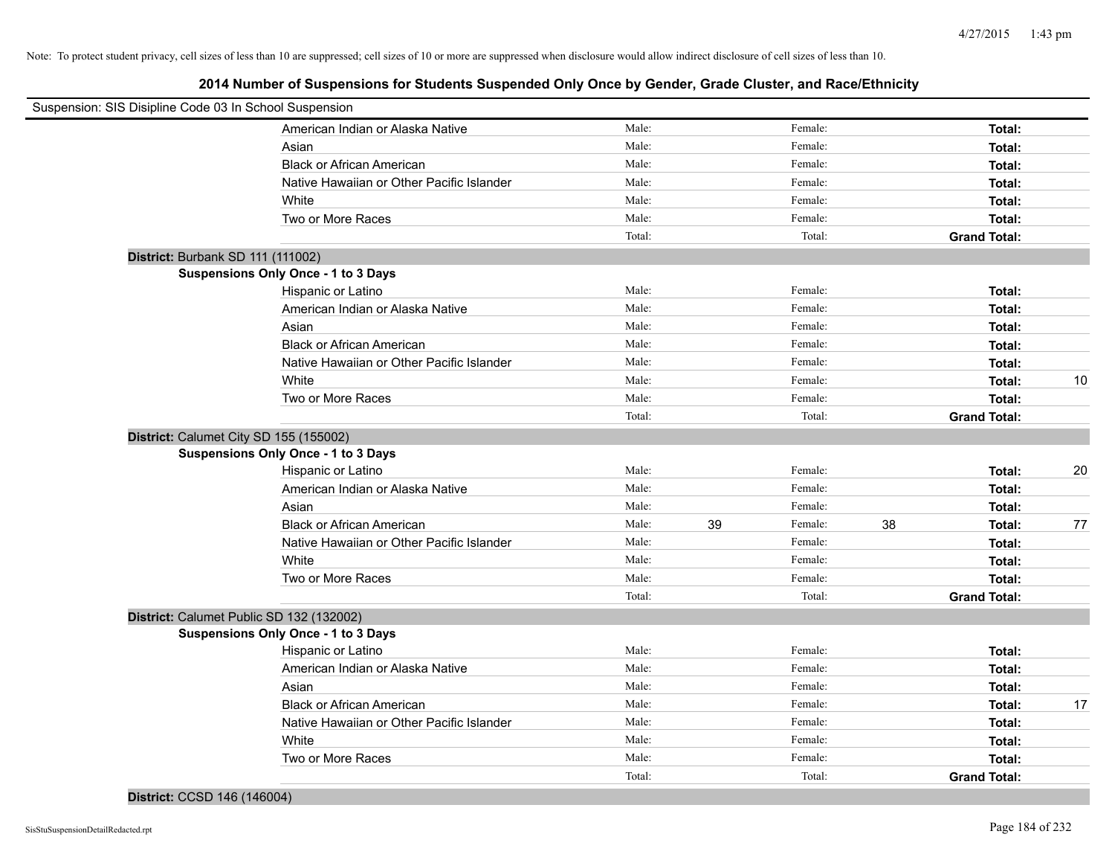**2014 Number of Suspensions for Students Suspended Only Once by Gender, Grade Cluster, and Race/Ethnicity**

| Suspension: SIS Disipline Code 03 In School Suspension |        |    |         |    |                     |    |
|--------------------------------------------------------|--------|----|---------|----|---------------------|----|
| American Indian or Alaska Native                       | Male:  |    | Female: |    | Total:              |    |
| Asian                                                  | Male:  |    | Female: |    | Total:              |    |
| <b>Black or African American</b>                       | Male:  |    | Female: |    | Total:              |    |
| Native Hawaiian or Other Pacific Islander              | Male:  |    | Female: |    | Total:              |    |
| White                                                  | Male:  |    | Female: |    | Total:              |    |
| Two or More Races                                      | Male:  |    | Female: |    | <b>Total:</b>       |    |
|                                                        | Total: |    | Total:  |    | <b>Grand Total:</b> |    |
| District: Burbank SD 111 (111002)                      |        |    |         |    |                     |    |
| <b>Suspensions Only Once - 1 to 3 Days</b>             |        |    |         |    |                     |    |
| Hispanic or Latino                                     | Male:  |    | Female: |    | Total:              |    |
| American Indian or Alaska Native                       | Male:  |    | Female: |    | Total:              |    |
| Asian                                                  | Male:  |    | Female: |    | Total:              |    |
| <b>Black or African American</b>                       | Male:  |    | Female: |    | Total:              |    |
| Native Hawaiian or Other Pacific Islander              | Male:  |    | Female: |    | Total:              |    |
| White                                                  | Male:  |    | Female: |    | Total:              | 10 |
| Two or More Races                                      | Male:  |    | Female: |    | Total:              |    |
|                                                        | Total: |    | Total:  |    | <b>Grand Total:</b> |    |
| District: Calumet City SD 155 (155002)                 |        |    |         |    |                     |    |
| <b>Suspensions Only Once - 1 to 3 Days</b>             |        |    |         |    |                     |    |
| Hispanic or Latino                                     | Male:  |    | Female: |    | Total:              | 20 |
| American Indian or Alaska Native                       | Male:  |    | Female: |    | Total:              |    |
| Asian                                                  | Male:  |    | Female: |    | Total:              |    |
| <b>Black or African American</b>                       | Male:  | 39 | Female: | 38 | Total:              | 77 |
| Native Hawaiian or Other Pacific Islander              | Male:  |    | Female: |    | Total:              |    |
| White                                                  | Male:  |    | Female: |    | Total:              |    |
| Two or More Races                                      | Male:  |    | Female: |    | Total:              |    |
|                                                        | Total: |    | Total:  |    | <b>Grand Total:</b> |    |
| District: Calumet Public SD 132 (132002)               |        |    |         |    |                     |    |
| <b>Suspensions Only Once - 1 to 3 Days</b>             |        |    |         |    |                     |    |
| Hispanic or Latino                                     | Male:  |    | Female: |    | Total:              |    |
| American Indian or Alaska Native                       | Male:  |    | Female: |    | Total:              |    |
| Asian                                                  | Male:  |    | Female: |    | Total:              |    |
| <b>Black or African American</b>                       | Male:  |    | Female: |    | Total:              | 17 |
| Native Hawaiian or Other Pacific Islander              | Male:  |    | Female: |    | Total:              |    |
| White                                                  | Male:  |    | Female: |    | Total:              |    |
| Two or More Races                                      | Male:  |    | Female: |    | Total:              |    |
|                                                        | Total: |    | Total:  |    | <b>Grand Total:</b> |    |
|                                                        |        |    |         |    |                     |    |

## **District:** CCSD 146 (146004)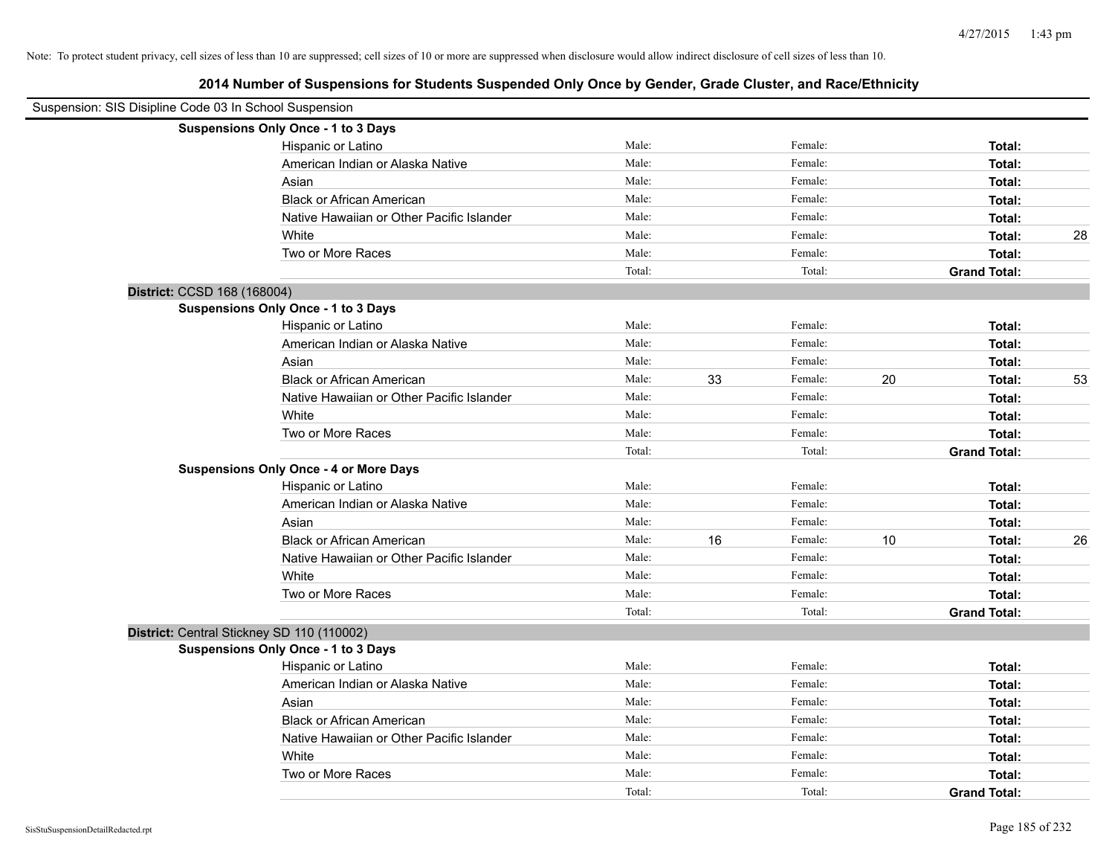| Suspension: SIS Disipline Code 03 In School Suspension |                                               |        |    |         |    |                     |    |
|--------------------------------------------------------|-----------------------------------------------|--------|----|---------|----|---------------------|----|
|                                                        | Suspensions Only Once - 1 to 3 Days           |        |    |         |    |                     |    |
|                                                        | Hispanic or Latino                            | Male:  |    | Female: |    | Total:              |    |
|                                                        | American Indian or Alaska Native              | Male:  |    | Female: |    | Total:              |    |
|                                                        | Asian                                         | Male:  |    | Female: |    | Total:              |    |
|                                                        | <b>Black or African American</b>              | Male:  |    | Female: |    | Total:              |    |
|                                                        | Native Hawaiian or Other Pacific Islander     | Male:  |    | Female: |    | Total:              |    |
|                                                        | White                                         | Male:  |    | Female: |    | Total:              | 28 |
|                                                        | Two or More Races                             | Male:  |    | Female: |    | Total:              |    |
|                                                        |                                               | Total: |    | Total:  |    | <b>Grand Total:</b> |    |
| District: CCSD 168 (168004)                            |                                               |        |    |         |    |                     |    |
|                                                        | <b>Suspensions Only Once - 1 to 3 Days</b>    |        |    |         |    |                     |    |
|                                                        | Hispanic or Latino                            | Male:  |    | Female: |    | Total:              |    |
|                                                        | American Indian or Alaska Native              | Male:  |    | Female: |    | Total:              |    |
|                                                        | Asian                                         | Male:  |    | Female: |    | Total:              |    |
|                                                        | <b>Black or African American</b>              | Male:  | 33 | Female: | 20 | Total:              | 53 |
|                                                        | Native Hawaiian or Other Pacific Islander     | Male:  |    | Female: |    | Total:              |    |
|                                                        | White                                         | Male:  |    | Female: |    | Total:              |    |
|                                                        | Two or More Races                             | Male:  |    | Female: |    | Total:              |    |
|                                                        |                                               | Total: |    | Total:  |    | <b>Grand Total:</b> |    |
|                                                        | <b>Suspensions Only Once - 4 or More Days</b> |        |    |         |    |                     |    |
|                                                        | Hispanic or Latino                            | Male:  |    | Female: |    | Total:              |    |
|                                                        | American Indian or Alaska Native              | Male:  |    | Female: |    | Total:              |    |
|                                                        | Asian                                         | Male:  |    | Female: |    | Total:              |    |
|                                                        | <b>Black or African American</b>              | Male:  | 16 | Female: | 10 | Total:              | 26 |
|                                                        | Native Hawaiian or Other Pacific Islander     | Male:  |    | Female: |    | Total:              |    |
|                                                        | White                                         | Male:  |    | Female: |    | Total:              |    |
|                                                        | Two or More Races                             | Male:  |    | Female: |    | Total:              |    |
|                                                        |                                               | Total: |    | Total:  |    | <b>Grand Total:</b> |    |
|                                                        | District: Central Stickney SD 110 (110002)    |        |    |         |    |                     |    |
|                                                        | Suspensions Only Once - 1 to 3 Days           |        |    |         |    |                     |    |
|                                                        | Hispanic or Latino                            | Male:  |    | Female: |    | Total:              |    |
|                                                        | American Indian or Alaska Native              | Male:  |    | Female: |    | Total:              |    |
|                                                        | Asian                                         | Male:  |    | Female: |    | Total:              |    |
|                                                        | <b>Black or African American</b>              | Male:  |    | Female: |    | Total:              |    |
|                                                        | Native Hawaiian or Other Pacific Islander     | Male:  |    | Female: |    | Total:              |    |
|                                                        | White                                         | Male:  |    | Female: |    | Total:              |    |
|                                                        | Two or More Races                             | Male:  |    | Female: |    | Total:              |    |
|                                                        |                                               | Total: |    | Total:  |    | <b>Grand Total:</b> |    |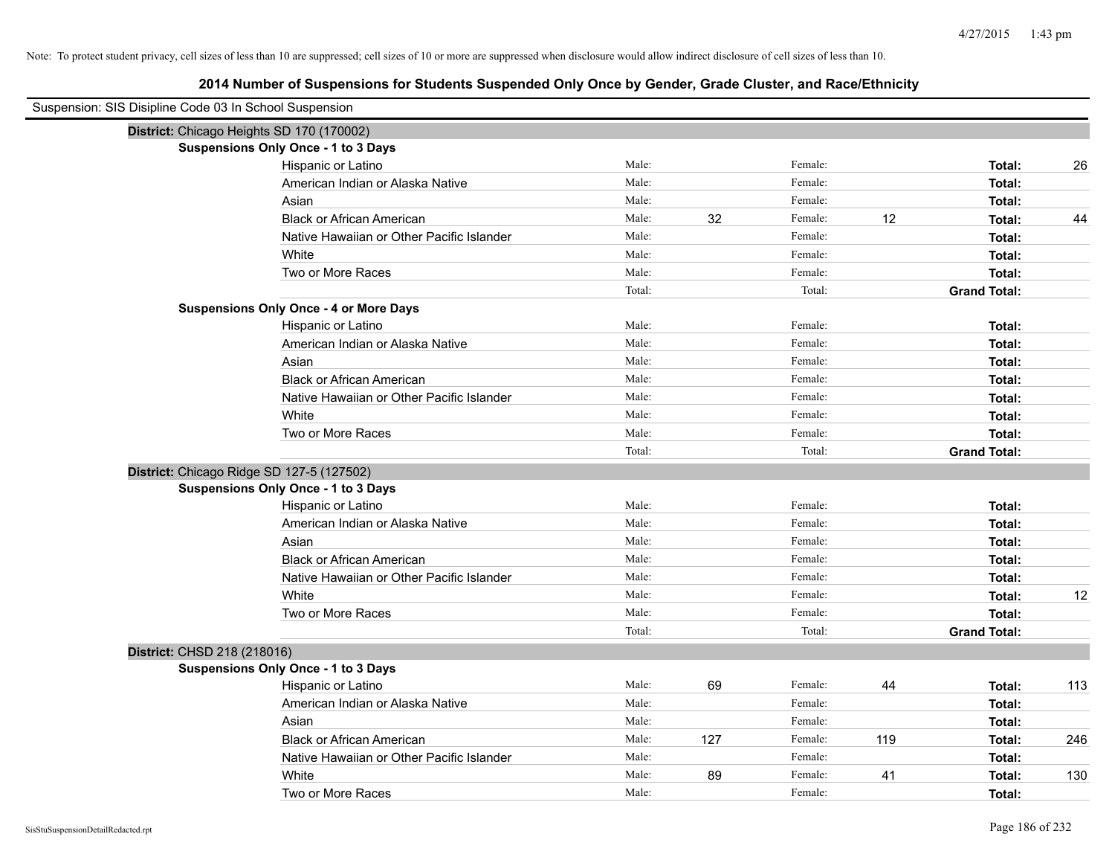| Suspension: SIS Disipline Code 03 In School Suspension |        |     |         |     |                     |     |
|--------------------------------------------------------|--------|-----|---------|-----|---------------------|-----|
| District: Chicago Heights SD 170 (170002)              |        |     |         |     |                     |     |
| Suspensions Only Once - 1 to 3 Days                    |        |     |         |     |                     |     |
| Hispanic or Latino                                     | Male:  |     | Female: |     | Total:              | 26  |
| American Indian or Alaska Native                       | Male:  |     | Female: |     | Total:              |     |
| Asian                                                  | Male:  |     | Female: |     | Total:              |     |
| <b>Black or African American</b>                       | Male:  | 32  | Female: | 12  | Total:              | 44  |
| Native Hawaiian or Other Pacific Islander              | Male:  |     | Female: |     | Total:              |     |
| White                                                  | Male:  |     | Female: |     | Total:              |     |
| Two or More Races                                      | Male:  |     | Female: |     | Total:              |     |
|                                                        | Total: |     | Total:  |     | <b>Grand Total:</b> |     |
| <b>Suspensions Only Once - 4 or More Days</b>          |        |     |         |     |                     |     |
| Hispanic or Latino                                     | Male:  |     | Female: |     | Total:              |     |
| American Indian or Alaska Native                       | Male:  |     | Female: |     | Total:              |     |
| Asian                                                  | Male:  |     | Female: |     | Total:              |     |
| <b>Black or African American</b>                       | Male:  |     | Female: |     | Total:              |     |
| Native Hawaiian or Other Pacific Islander              | Male:  |     | Female: |     | Total:              |     |
| White                                                  | Male:  |     | Female: |     | Total:              |     |
| Two or More Races                                      | Male:  |     | Female: |     | Total:              |     |
|                                                        | Total: |     | Total:  |     | <b>Grand Total:</b> |     |
| District: Chicago Ridge SD 127-5 (127502)              |        |     |         |     |                     |     |
| <b>Suspensions Only Once - 1 to 3 Days</b>             |        |     |         |     |                     |     |
| Hispanic or Latino                                     | Male:  |     | Female: |     | Total:              |     |
| American Indian or Alaska Native                       | Male:  |     | Female: |     | Total:              |     |
| Asian                                                  | Male:  |     | Female: |     | Total:              |     |
| <b>Black or African American</b>                       | Male:  |     | Female: |     | Total:              |     |
| Native Hawaiian or Other Pacific Islander              | Male:  |     | Female: |     | Total:              |     |
| White                                                  | Male:  |     | Female: |     | Total:              | 12  |
| Two or More Races                                      | Male:  |     | Female: |     | Total:              |     |
|                                                        | Total: |     | Total:  |     | <b>Grand Total:</b> |     |
| District: CHSD 218 (218016)                            |        |     |         |     |                     |     |
| <b>Suspensions Only Once - 1 to 3 Days</b>             |        |     |         |     |                     |     |
| Hispanic or Latino                                     | Male:  | 69  | Female: | 44  | Total:              | 113 |
| American Indian or Alaska Native                       | Male:  |     | Female: |     | Total:              |     |
| Asian                                                  | Male:  |     | Female: |     | Total:              |     |
| <b>Black or African American</b>                       | Male:  | 127 | Female: | 119 | Total:              | 246 |
| Native Hawaiian or Other Pacific Islander              | Male:  |     | Female: |     | Total:              |     |
| White                                                  | Male:  | 89  | Female: | 41  | Total:              | 130 |
| Two or More Races                                      | Male:  |     | Female: |     | Total:              |     |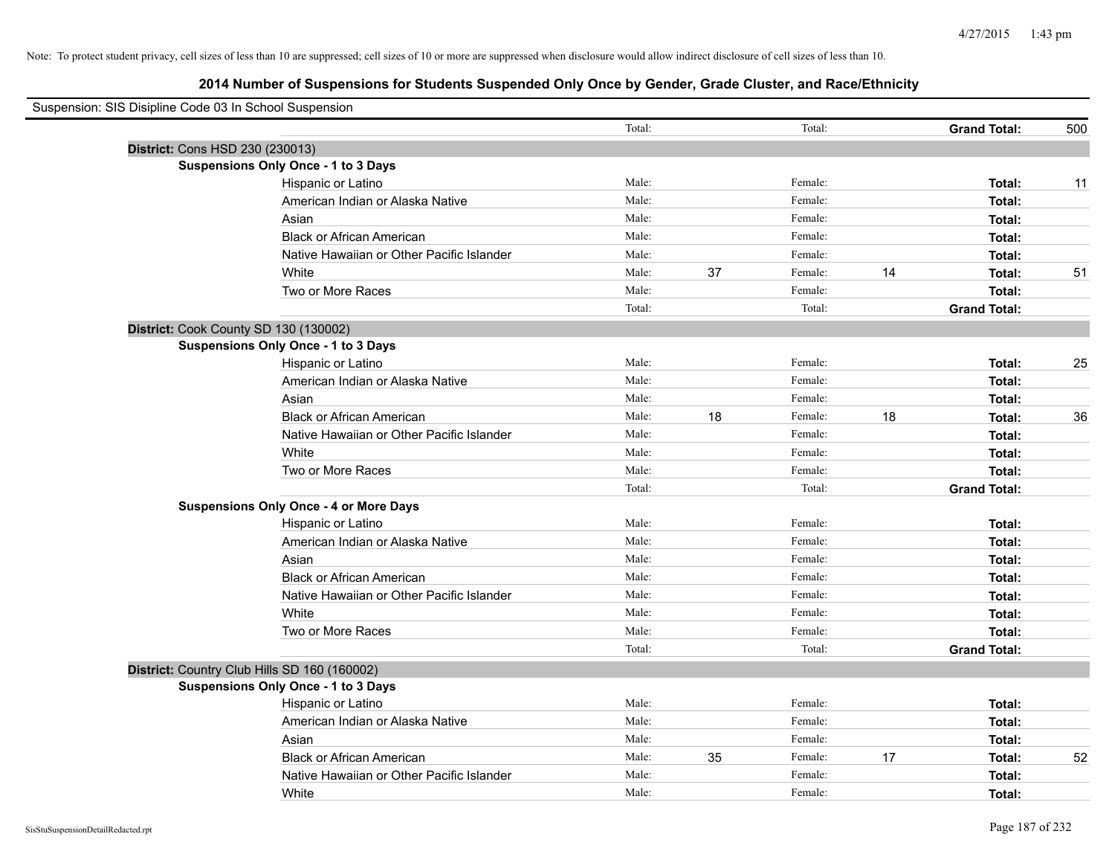| Suspension: SIS Disipline Code 03 In School Suspension |                                               |        |    |         |    |                     |     |
|--------------------------------------------------------|-----------------------------------------------|--------|----|---------|----|---------------------|-----|
|                                                        |                                               | Total: |    | Total:  |    | <b>Grand Total:</b> | 500 |
|                                                        | District: Cons HSD 230 (230013)               |        |    |         |    |                     |     |
|                                                        | <b>Suspensions Only Once - 1 to 3 Days</b>    |        |    |         |    |                     |     |
|                                                        | Hispanic or Latino                            | Male:  |    | Female: |    | Total:              | 11  |
|                                                        | American Indian or Alaska Native              | Male:  |    | Female: |    | Total:              |     |
|                                                        | Asian                                         | Male:  |    | Female: |    | Total:              |     |
|                                                        | <b>Black or African American</b>              | Male:  |    | Female: |    | Total:              |     |
|                                                        | Native Hawaiian or Other Pacific Islander     | Male:  |    | Female: |    | Total:              |     |
|                                                        | White                                         | Male:  | 37 | Female: | 14 | Total:              | 51  |
|                                                        | Two or More Races                             | Male:  |    | Female: |    | Total:              |     |
|                                                        |                                               | Total: |    | Total:  |    | <b>Grand Total:</b> |     |
|                                                        | District: Cook County SD 130 (130002)         |        |    |         |    |                     |     |
|                                                        | <b>Suspensions Only Once - 1 to 3 Days</b>    |        |    |         |    |                     |     |
|                                                        | Hispanic or Latino                            | Male:  |    | Female: |    | Total:              | 25  |
|                                                        | American Indian or Alaska Native              | Male:  |    | Female: |    | Total:              |     |
|                                                        | Asian                                         | Male:  |    | Female: |    | Total:              |     |
|                                                        | <b>Black or African American</b>              | Male:  | 18 | Female: | 18 | Total:              | 36  |
|                                                        | Native Hawaiian or Other Pacific Islander     | Male:  |    | Female: |    | Total:              |     |
|                                                        | White                                         | Male:  |    | Female: |    | Total:              |     |
|                                                        | Two or More Races                             | Male:  |    | Female: |    | Total:              |     |
|                                                        |                                               | Total: |    | Total:  |    | <b>Grand Total:</b> |     |
|                                                        | <b>Suspensions Only Once - 4 or More Days</b> |        |    |         |    |                     |     |
|                                                        | Hispanic or Latino                            | Male:  |    | Female: |    | Total:              |     |
|                                                        | American Indian or Alaska Native              | Male:  |    | Female: |    | Total:              |     |
|                                                        | Asian                                         | Male:  |    | Female: |    | Total:              |     |
|                                                        | <b>Black or African American</b>              | Male:  |    | Female: |    | Total:              |     |
|                                                        | Native Hawaiian or Other Pacific Islander     | Male:  |    | Female: |    | Total:              |     |
|                                                        | White                                         | Male:  |    | Female: |    | Total:              |     |
|                                                        | Two or More Races                             | Male:  |    | Female: |    | Total:              |     |
|                                                        |                                               | Total: |    | Total:  |    | <b>Grand Total:</b> |     |
|                                                        | District: Country Club Hills SD 160 (160002)  |        |    |         |    |                     |     |
|                                                        | <b>Suspensions Only Once - 1 to 3 Days</b>    |        |    |         |    |                     |     |
|                                                        | Hispanic or Latino                            | Male:  |    | Female: |    | Total:              |     |
|                                                        | American Indian or Alaska Native              | Male:  |    | Female: |    | Total:              |     |
|                                                        | Asian                                         | Male:  |    | Female: |    | Total:              |     |
|                                                        | <b>Black or African American</b>              | Male:  | 35 | Female: | 17 | Total:              | 52  |
|                                                        | Native Hawaiian or Other Pacific Islander     | Male:  |    | Female: |    | Total:              |     |
|                                                        | White                                         | Male:  |    | Female: |    | Total:              |     |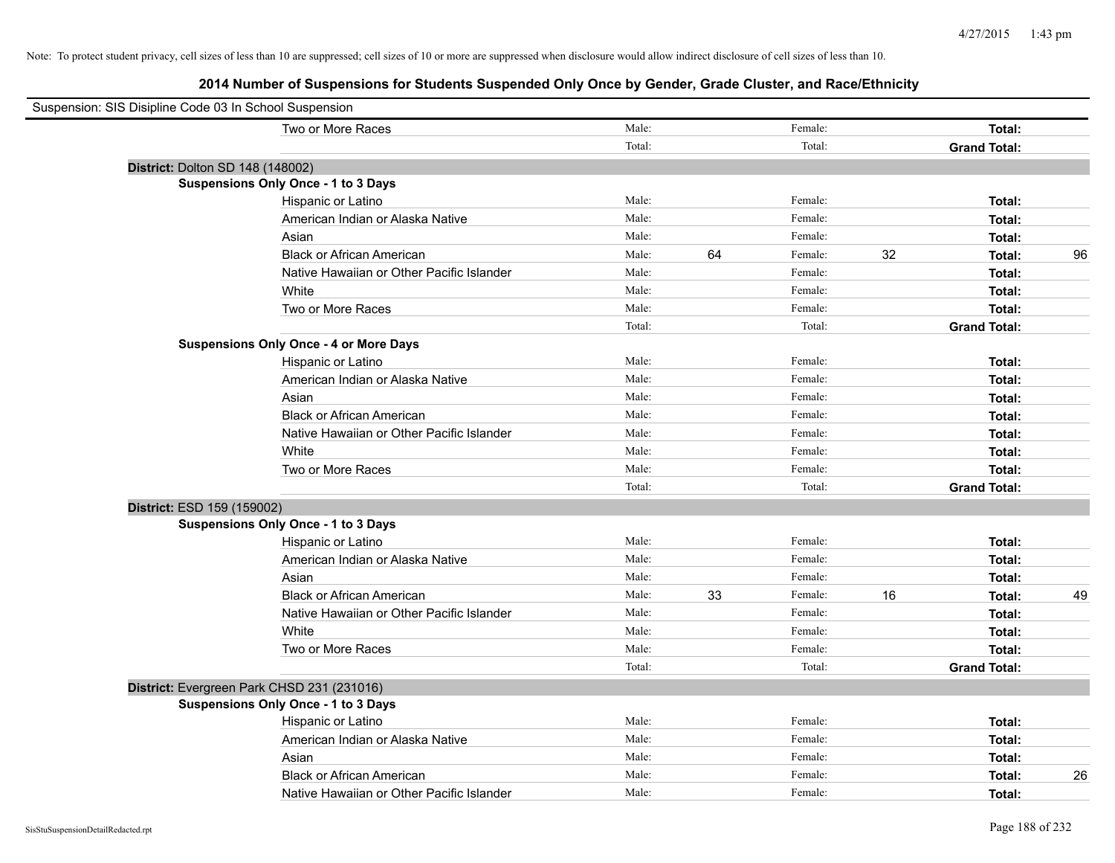| Suspension: SIS Disipline Code 03 In School Suspension |                                               |        |    |         |    |                     |    |
|--------------------------------------------------------|-----------------------------------------------|--------|----|---------|----|---------------------|----|
|                                                        | Two or More Races                             | Male:  |    | Female: |    | Total:              |    |
|                                                        |                                               | Total: |    | Total:  |    | <b>Grand Total:</b> |    |
| District: Dolton SD 148 (148002)                       |                                               |        |    |         |    |                     |    |
|                                                        | Suspensions Only Once - 1 to 3 Days           |        |    |         |    |                     |    |
|                                                        | Hispanic or Latino                            | Male:  |    | Female: |    | Total:              |    |
|                                                        | American Indian or Alaska Native              | Male:  |    | Female: |    | Total:              |    |
|                                                        | Asian                                         | Male:  |    | Female: |    | Total:              |    |
|                                                        | <b>Black or African American</b>              | Male:  | 64 | Female: | 32 | Total:              | 96 |
|                                                        | Native Hawaiian or Other Pacific Islander     | Male:  |    | Female: |    | Total:              |    |
|                                                        | White                                         | Male:  |    | Female: |    | Total:              |    |
|                                                        | Two or More Races                             | Male:  |    | Female: |    | Total:              |    |
|                                                        |                                               | Total: |    | Total:  |    | <b>Grand Total:</b> |    |
|                                                        | <b>Suspensions Only Once - 4 or More Days</b> |        |    |         |    |                     |    |
|                                                        | Hispanic or Latino                            | Male:  |    | Female: |    | Total:              |    |
|                                                        | American Indian or Alaska Native              | Male:  |    | Female: |    | Total:              |    |
|                                                        | Asian                                         | Male:  |    | Female: |    | Total:              |    |
|                                                        | <b>Black or African American</b>              | Male:  |    | Female: |    | Total:              |    |
|                                                        | Native Hawaiian or Other Pacific Islander     | Male:  |    | Female: |    | Total:              |    |
|                                                        | White                                         | Male:  |    | Female: |    | Total:              |    |
|                                                        | Two or More Races                             | Male:  |    | Female: |    | Total:              |    |
|                                                        |                                               | Total: |    | Total:  |    | <b>Grand Total:</b> |    |
| District: ESD 159 (159002)                             |                                               |        |    |         |    |                     |    |
|                                                        | <b>Suspensions Only Once - 1 to 3 Days</b>    |        |    |         |    |                     |    |
|                                                        | Hispanic or Latino                            | Male:  |    | Female: |    | Total:              |    |
|                                                        | American Indian or Alaska Native              | Male:  |    | Female: |    | Total:              |    |
|                                                        | Asian                                         | Male:  |    | Female: |    | Total:              |    |
|                                                        | <b>Black or African American</b>              | Male:  | 33 | Female: | 16 | Total:              | 49 |
|                                                        | Native Hawaiian or Other Pacific Islander     | Male:  |    | Female: |    | Total:              |    |
|                                                        | White                                         | Male:  |    | Female: |    | Total:              |    |
|                                                        | Two or More Races                             | Male:  |    | Female: |    | Total:              |    |
|                                                        |                                               | Total: |    | Total:  |    | <b>Grand Total:</b> |    |
|                                                        | District: Evergreen Park CHSD 231 (231016)    |        |    |         |    |                     |    |
|                                                        | <b>Suspensions Only Once - 1 to 3 Days</b>    |        |    |         |    |                     |    |
|                                                        | Hispanic or Latino                            | Male:  |    | Female: |    | Total:              |    |
|                                                        | American Indian or Alaska Native              | Male:  |    | Female: |    | Total:              |    |
|                                                        | Asian                                         | Male:  |    | Female: |    | Total:              |    |
|                                                        | <b>Black or African American</b>              | Male:  |    | Female: |    | Total:              | 26 |
|                                                        | Native Hawaiian or Other Pacific Islander     | Male:  |    | Female: |    | Total:              |    |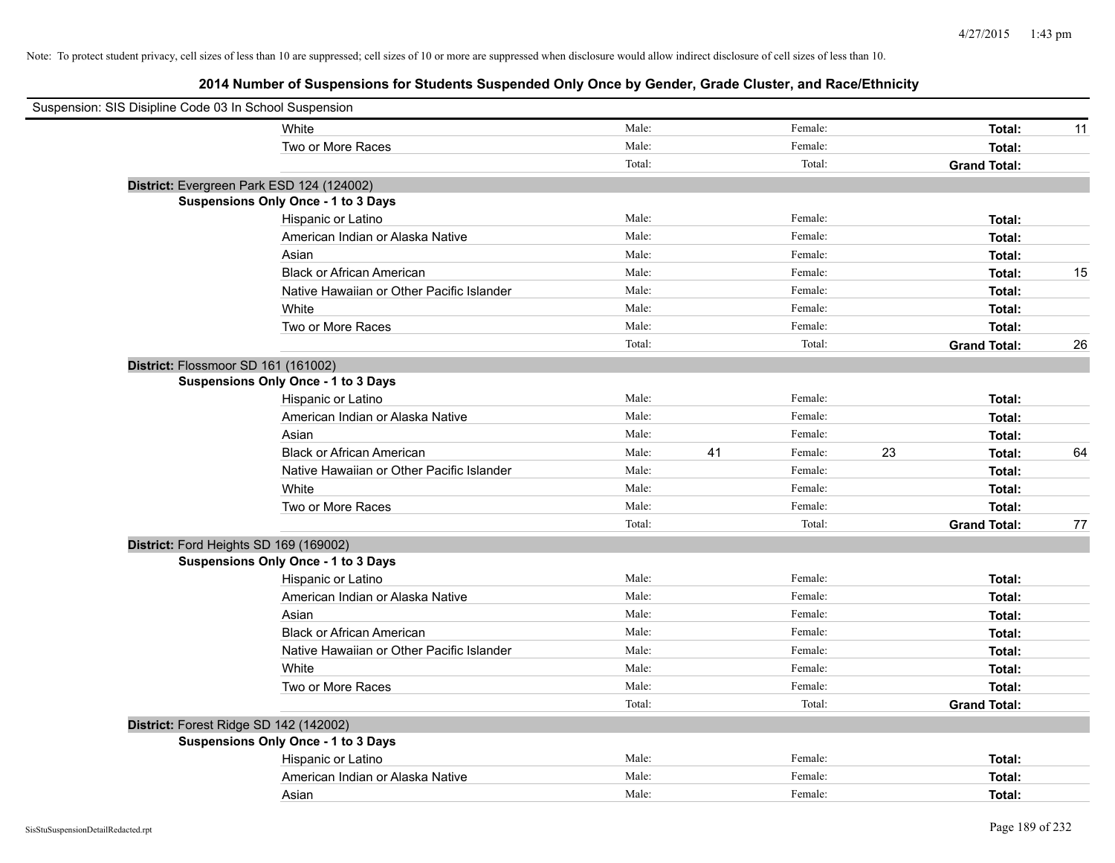| Suspension: SIS Disipline Code 03 In School Suspension |                                            |        |    |         |    |                     |    |
|--------------------------------------------------------|--------------------------------------------|--------|----|---------|----|---------------------|----|
|                                                        | White                                      | Male:  |    | Female: |    | Total:              | 11 |
|                                                        | Two or More Races                          | Male:  |    | Female: |    | Total:              |    |
|                                                        |                                            | Total: |    | Total:  |    | <b>Grand Total:</b> |    |
| District: Evergreen Park ESD 124 (124002)              |                                            |        |    |         |    |                     |    |
|                                                        | Suspensions Only Once - 1 to 3 Days        |        |    |         |    |                     |    |
|                                                        | Hispanic or Latino                         | Male:  |    | Female: |    | Total:              |    |
|                                                        | American Indian or Alaska Native           | Male:  |    | Female: |    | Total:              |    |
|                                                        | Asian                                      | Male:  |    | Female: |    | Total:              |    |
|                                                        | <b>Black or African American</b>           | Male:  |    | Female: |    | Total:              | 15 |
|                                                        | Native Hawaiian or Other Pacific Islander  | Male:  |    | Female: |    | Total:              |    |
|                                                        | White                                      | Male:  |    | Female: |    | Total:              |    |
|                                                        | Two or More Races                          | Male:  |    | Female: |    | Total:              |    |
|                                                        |                                            | Total: |    | Total:  |    | <b>Grand Total:</b> | 26 |
| District: Flossmoor SD 161 (161002)                    |                                            |        |    |         |    |                     |    |
|                                                        | Suspensions Only Once - 1 to 3 Days        |        |    |         |    |                     |    |
|                                                        | Hispanic or Latino                         | Male:  |    | Female: |    | Total:              |    |
|                                                        | American Indian or Alaska Native           | Male:  |    | Female: |    | Total:              |    |
|                                                        | Asian                                      | Male:  |    | Female: |    | Total:              |    |
|                                                        | <b>Black or African American</b>           | Male:  | 41 | Female: | 23 | Total:              | 64 |
|                                                        | Native Hawaiian or Other Pacific Islander  | Male:  |    | Female: |    | Total:              |    |
|                                                        | White                                      | Male:  |    | Female: |    | Total:              |    |
|                                                        | Two or More Races                          | Male:  |    | Female: |    | Total:              |    |
|                                                        |                                            | Total: |    | Total:  |    | <b>Grand Total:</b> | 77 |
| District: Ford Heights SD 169 (169002)                 |                                            |        |    |         |    |                     |    |
|                                                        | <b>Suspensions Only Once - 1 to 3 Days</b> |        |    |         |    |                     |    |
|                                                        | Hispanic or Latino                         | Male:  |    | Female: |    | Total:              |    |
|                                                        | American Indian or Alaska Native           | Male:  |    | Female: |    | Total:              |    |
|                                                        | Asian                                      | Male:  |    | Female: |    | Total:              |    |
|                                                        | <b>Black or African American</b>           | Male:  |    | Female: |    | Total:              |    |
|                                                        | Native Hawaiian or Other Pacific Islander  | Male:  |    | Female: |    | Total:              |    |
|                                                        | White                                      | Male:  |    | Female: |    | Total:              |    |
|                                                        | Two or More Races                          | Male:  |    | Female: |    | Total:              |    |
|                                                        |                                            | Total: |    | Total:  |    | <b>Grand Total:</b> |    |
| District: Forest Ridge SD 142 (142002)                 |                                            |        |    |         |    |                     |    |
|                                                        | <b>Suspensions Only Once - 1 to 3 Days</b> |        |    |         |    |                     |    |
|                                                        | Hispanic or Latino                         | Male:  |    | Female: |    | Total:              |    |
|                                                        | American Indian or Alaska Native           | Male:  |    | Female: |    | Total:              |    |
|                                                        | Asian                                      | Male:  |    | Female: |    | Total:              |    |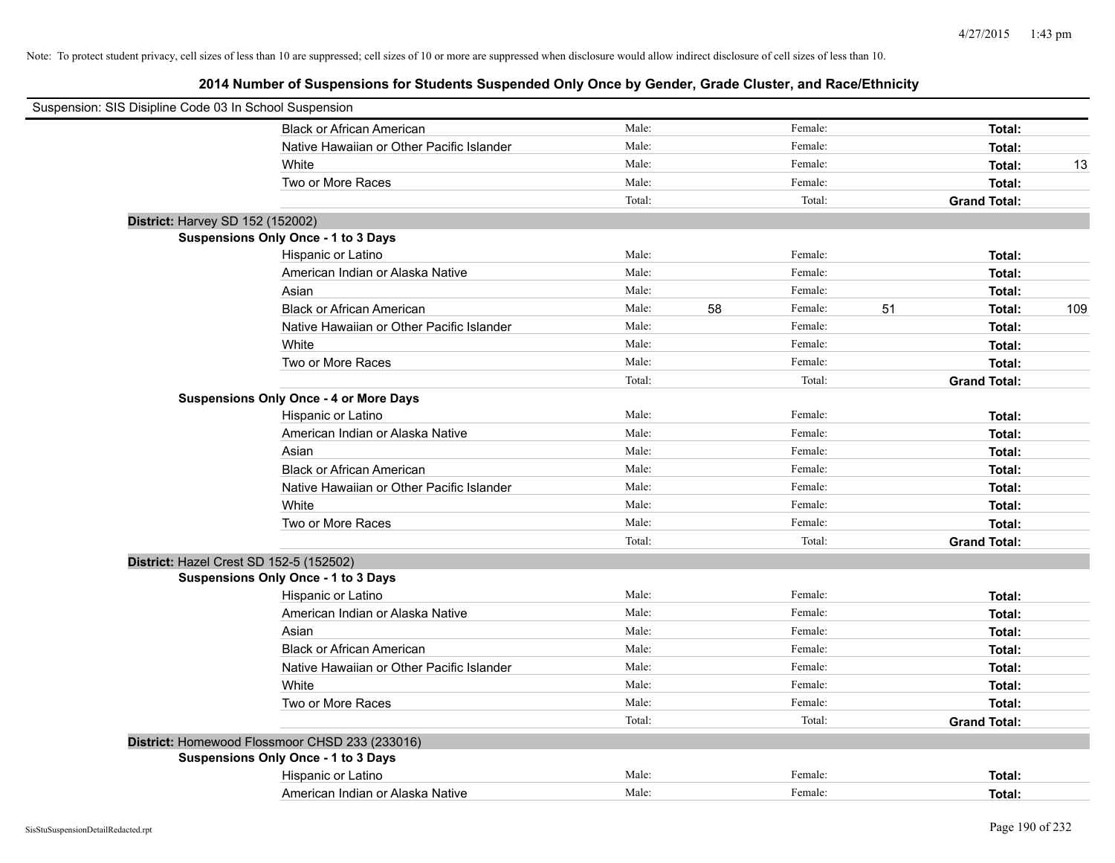| Suspension: SIS Disipline Code 03 In School Suspension |                                                |        |    |         |    |                     |     |
|--------------------------------------------------------|------------------------------------------------|--------|----|---------|----|---------------------|-----|
|                                                        | <b>Black or African American</b>               | Male:  |    | Female: |    | Total:              |     |
|                                                        | Native Hawaiian or Other Pacific Islander      | Male:  |    | Female: |    | Total:              |     |
|                                                        | White                                          | Male:  |    | Female: |    | Total:              | 13  |
|                                                        | Two or More Races                              | Male:  |    | Female: |    | Total:              |     |
|                                                        |                                                | Total: |    | Total:  |    | <b>Grand Total:</b> |     |
| District: Harvey SD 152 (152002)                       |                                                |        |    |         |    |                     |     |
|                                                        | Suspensions Only Once - 1 to 3 Days            |        |    |         |    |                     |     |
|                                                        | Hispanic or Latino                             | Male:  |    | Female: |    | Total:              |     |
|                                                        | American Indian or Alaska Native               | Male:  |    | Female: |    | Total:              |     |
|                                                        | Asian                                          | Male:  |    | Female: |    | Total:              |     |
|                                                        | <b>Black or African American</b>               | Male:  | 58 | Female: | 51 | Total:              | 109 |
|                                                        | Native Hawaiian or Other Pacific Islander      | Male:  |    | Female: |    | Total:              |     |
|                                                        | White                                          | Male:  |    | Female: |    | Total:              |     |
|                                                        | Two or More Races                              | Male:  |    | Female: |    | Total:              |     |
|                                                        |                                                | Total: |    | Total:  |    | <b>Grand Total:</b> |     |
|                                                        | <b>Suspensions Only Once - 4 or More Days</b>  |        |    |         |    |                     |     |
|                                                        | Hispanic or Latino                             | Male:  |    | Female: |    | Total:              |     |
|                                                        | American Indian or Alaska Native               | Male:  |    | Female: |    | Total:              |     |
|                                                        | Asian                                          | Male:  |    | Female: |    | Total:              |     |
|                                                        | <b>Black or African American</b>               | Male:  |    | Female: |    | Total:              |     |
|                                                        | Native Hawaiian or Other Pacific Islander      | Male:  |    | Female: |    | Total:              |     |
|                                                        | White                                          | Male:  |    | Female: |    | Total:              |     |
|                                                        | Two or More Races                              | Male:  |    | Female: |    | Total:              |     |
|                                                        |                                                | Total: |    | Total:  |    | <b>Grand Total:</b> |     |
| District: Hazel Crest SD 152-5 (152502)                |                                                |        |    |         |    |                     |     |
|                                                        | <b>Suspensions Only Once - 1 to 3 Days</b>     |        |    |         |    |                     |     |
|                                                        | Hispanic or Latino                             | Male:  |    | Female: |    | Total:              |     |
|                                                        | American Indian or Alaska Native               | Male:  |    | Female: |    | Total:              |     |
|                                                        | Asian                                          | Male:  |    | Female: |    | Total:              |     |
|                                                        | <b>Black or African American</b>               | Male:  |    | Female: |    | Total:              |     |
|                                                        | Native Hawaiian or Other Pacific Islander      | Male:  |    | Female: |    | Total:              |     |
|                                                        | White                                          | Male:  |    | Female: |    | Total:              |     |
|                                                        | Two or More Races                              | Male:  |    | Female: |    | Total:              |     |
|                                                        |                                                | Total: |    | Total:  |    | <b>Grand Total:</b> |     |
|                                                        | District: Homewood Flossmoor CHSD 233 (233016) |        |    |         |    |                     |     |
|                                                        | Suspensions Only Once - 1 to 3 Days            |        |    |         |    |                     |     |
|                                                        | Hispanic or Latino                             | Male:  |    | Female: |    | Total:              |     |
|                                                        | American Indian or Alaska Native               | Male:  |    | Female: |    | Total:              |     |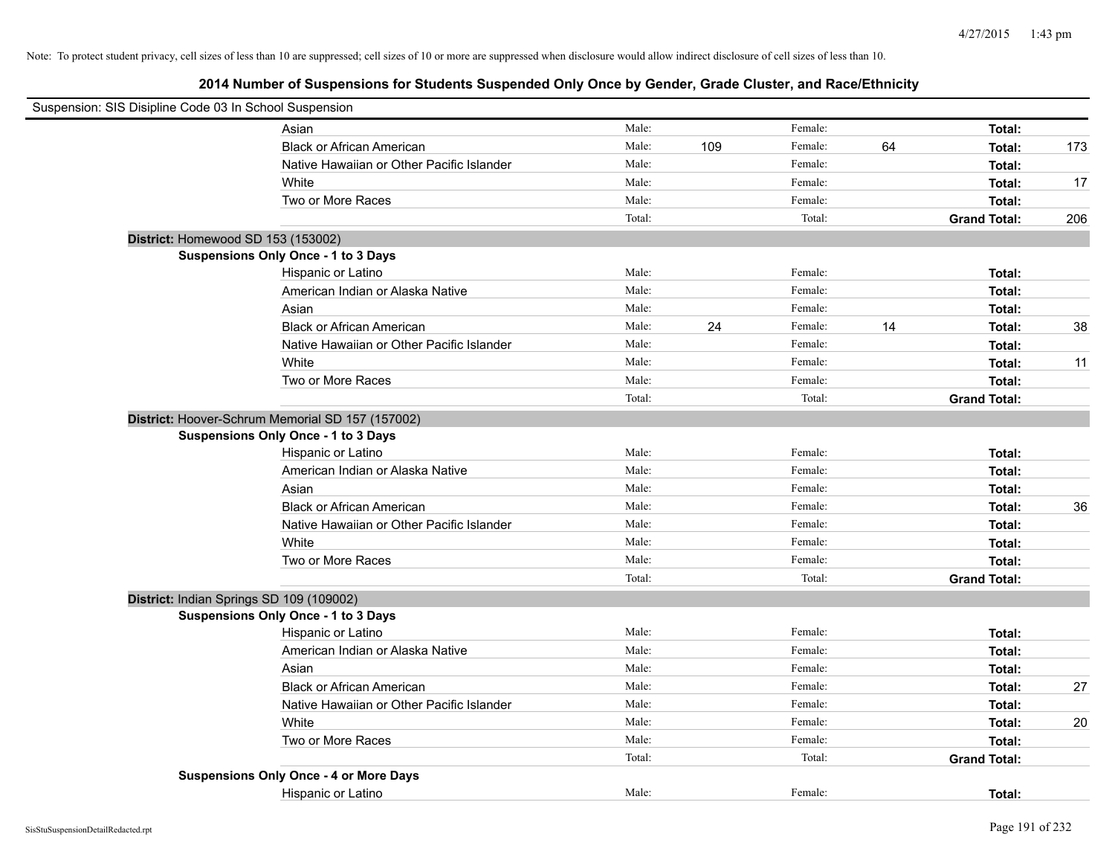| Suspension: SIS Disipline Code 03 In School Suspension |                                                  |        |     |         |    |                     |     |
|--------------------------------------------------------|--------------------------------------------------|--------|-----|---------|----|---------------------|-----|
|                                                        | Asian                                            | Male:  |     | Female: |    | Total:              |     |
|                                                        | <b>Black or African American</b>                 | Male:  | 109 | Female: | 64 | Total:              | 173 |
|                                                        | Native Hawaiian or Other Pacific Islander        | Male:  |     | Female: |    | Total:              |     |
|                                                        | White                                            | Male:  |     | Female: |    | Total:              | 17  |
|                                                        | Two or More Races                                | Male:  |     | Female: |    | Total:              |     |
|                                                        |                                                  | Total: |     | Total:  |    | <b>Grand Total:</b> | 206 |
| District: Homewood SD 153 (153002)                     |                                                  |        |     |         |    |                     |     |
|                                                        | Suspensions Only Once - 1 to 3 Days              |        |     |         |    |                     |     |
|                                                        | Hispanic or Latino                               | Male:  |     | Female: |    | Total:              |     |
|                                                        | American Indian or Alaska Native                 | Male:  |     | Female: |    | Total:              |     |
|                                                        | Asian                                            | Male:  |     | Female: |    | Total:              |     |
|                                                        | <b>Black or African American</b>                 | Male:  | 24  | Female: | 14 | Total:              | 38  |
|                                                        | Native Hawaiian or Other Pacific Islander        | Male:  |     | Female: |    | Total:              |     |
|                                                        | White                                            | Male:  |     | Female: |    | Total:              | 11  |
|                                                        | Two or More Races                                | Male:  |     | Female: |    | Total:              |     |
|                                                        |                                                  | Total: |     | Total:  |    | <b>Grand Total:</b> |     |
|                                                        | District: Hoover-Schrum Memorial SD 157 (157002) |        |     |         |    |                     |     |
|                                                        | Suspensions Only Once - 1 to 3 Days              |        |     |         |    |                     |     |
|                                                        | Hispanic or Latino                               | Male:  |     | Female: |    | Total:              |     |
|                                                        | American Indian or Alaska Native                 | Male:  |     | Female: |    | Total:              |     |
|                                                        | Asian                                            | Male:  |     | Female: |    | Total:              |     |
|                                                        | <b>Black or African American</b>                 | Male:  |     | Female: |    | Total:              | 36  |
|                                                        | Native Hawaiian or Other Pacific Islander        | Male:  |     | Female: |    | Total:              |     |
|                                                        | White                                            | Male:  |     | Female: |    | Total:              |     |
|                                                        | Two or More Races                                | Male:  |     | Female: |    | Total:              |     |
|                                                        |                                                  | Total: |     | Total:  |    | <b>Grand Total:</b> |     |
| District: Indian Springs SD 109 (109002)               |                                                  |        |     |         |    |                     |     |
|                                                        | Suspensions Only Once - 1 to 3 Days              |        |     |         |    |                     |     |
|                                                        | Hispanic or Latino                               | Male:  |     | Female: |    | Total:              |     |
|                                                        | American Indian or Alaska Native                 | Male:  |     | Female: |    | Total:              |     |
|                                                        | Asian                                            | Male:  |     | Female: |    | Total:              |     |
|                                                        | <b>Black or African American</b>                 | Male:  |     | Female: |    | Total:              | 27  |
|                                                        | Native Hawaiian or Other Pacific Islander        | Male:  |     | Female: |    | Total:              |     |
|                                                        | White                                            | Male:  |     | Female: |    | Total:              | 20  |
|                                                        | Two or More Races                                | Male:  |     | Female: |    | Total:              |     |
|                                                        |                                                  | Total: |     | Total:  |    | <b>Grand Total:</b> |     |
|                                                        | <b>Suspensions Only Once - 4 or More Days</b>    |        |     |         |    |                     |     |
|                                                        | Hispanic or Latino                               | Male:  |     | Female: |    | Total:              |     |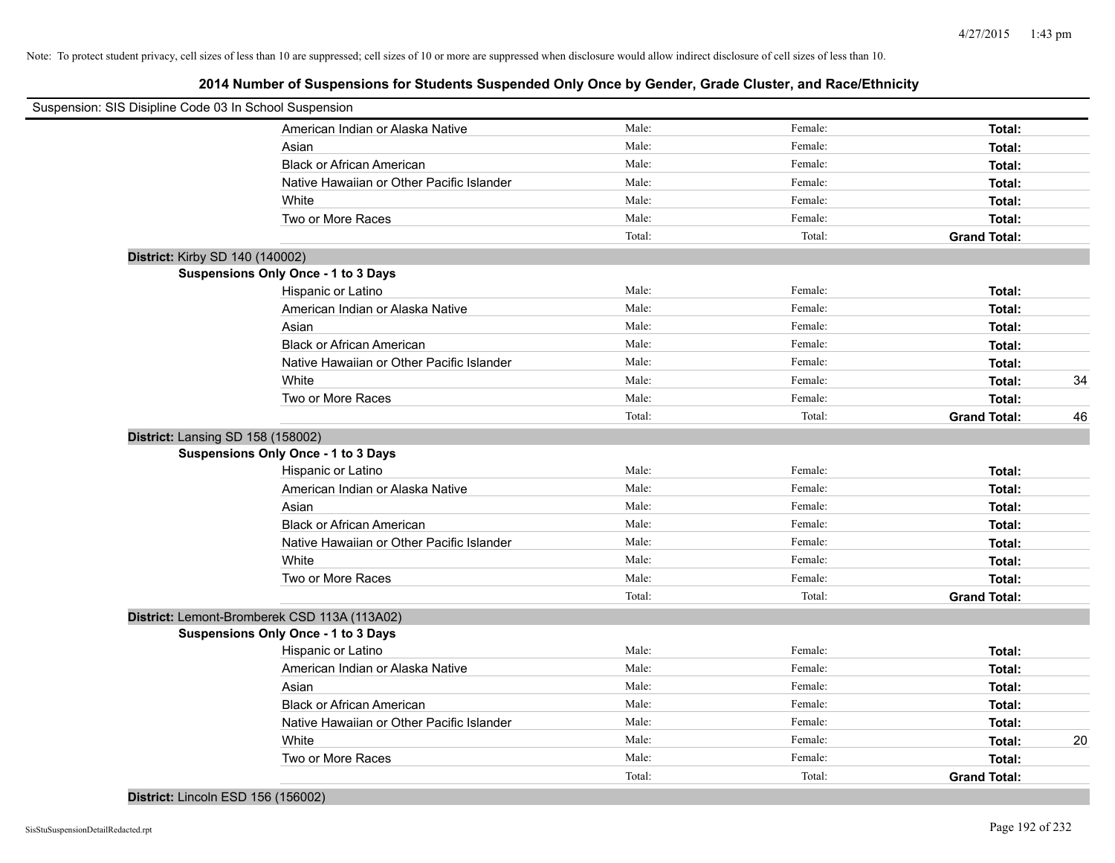| Suspension: SIS Disipline Code 03 In School Suspension |        |         |                     |    |
|--------------------------------------------------------|--------|---------|---------------------|----|
| American Indian or Alaska Native                       | Male:  | Female: | Total:              |    |
| Asian                                                  | Male:  | Female: | Total:              |    |
| <b>Black or African American</b>                       | Male:  | Female: | Total:              |    |
| Native Hawaiian or Other Pacific Islander              | Male:  | Female: | Total:              |    |
| White                                                  | Male:  | Female: | Total:              |    |
| Two or More Races                                      | Male:  | Female: | Total:              |    |
|                                                        | Total: | Total:  | <b>Grand Total:</b> |    |
| District: Kirby SD 140 (140002)                        |        |         |                     |    |
| <b>Suspensions Only Once - 1 to 3 Days</b>             |        |         |                     |    |
| Hispanic or Latino                                     | Male:  | Female: | Total:              |    |
| American Indian or Alaska Native                       | Male:  | Female: | Total:              |    |
| Asian                                                  | Male:  | Female: | Total:              |    |
| <b>Black or African American</b>                       | Male:  | Female: | Total:              |    |
| Native Hawaiian or Other Pacific Islander              | Male:  | Female: | Total:              |    |
| White                                                  | Male:  | Female: | Total:              | 34 |
| Two or More Races                                      | Male:  | Female: | Total:              |    |
|                                                        | Total: | Total:  | <b>Grand Total:</b> | 46 |
| District: Lansing SD 158 (158002)                      |        |         |                     |    |
| <b>Suspensions Only Once - 1 to 3 Days</b>             |        |         |                     |    |
| Hispanic or Latino                                     | Male:  | Female: | Total:              |    |
| American Indian or Alaska Native                       | Male:  | Female: | Total:              |    |
| Asian                                                  | Male:  | Female: | Total:              |    |
| <b>Black or African American</b>                       | Male:  | Female: | Total:              |    |
| Native Hawaiian or Other Pacific Islander              | Male:  | Female: | Total:              |    |
| White                                                  | Male:  | Female: | Total:              |    |
| Two or More Races                                      | Male:  | Female: | Total:              |    |
|                                                        | Total: | Total:  | <b>Grand Total:</b> |    |
| District: Lemont-Bromberek CSD 113A (113A02)           |        |         |                     |    |
| <b>Suspensions Only Once - 1 to 3 Days</b>             |        |         |                     |    |
| Hispanic or Latino                                     | Male:  | Female: | Total:              |    |
| American Indian or Alaska Native                       | Male:  | Female: | Total:              |    |
| Asian                                                  | Male:  | Female: | Total:              |    |
| <b>Black or African American</b>                       | Male:  | Female: | Total:              |    |
| Native Hawaiian or Other Pacific Islander              | Male:  | Female: | Total:              |    |
| White                                                  | Male:  | Female: | Total:              | 20 |
| Two or More Races                                      | Male:  | Female: | Total:              |    |
|                                                        | Total: | Total:  | <b>Grand Total:</b> |    |
| District: Lincoln ESD 156 (156002)                     |        |         |                     |    |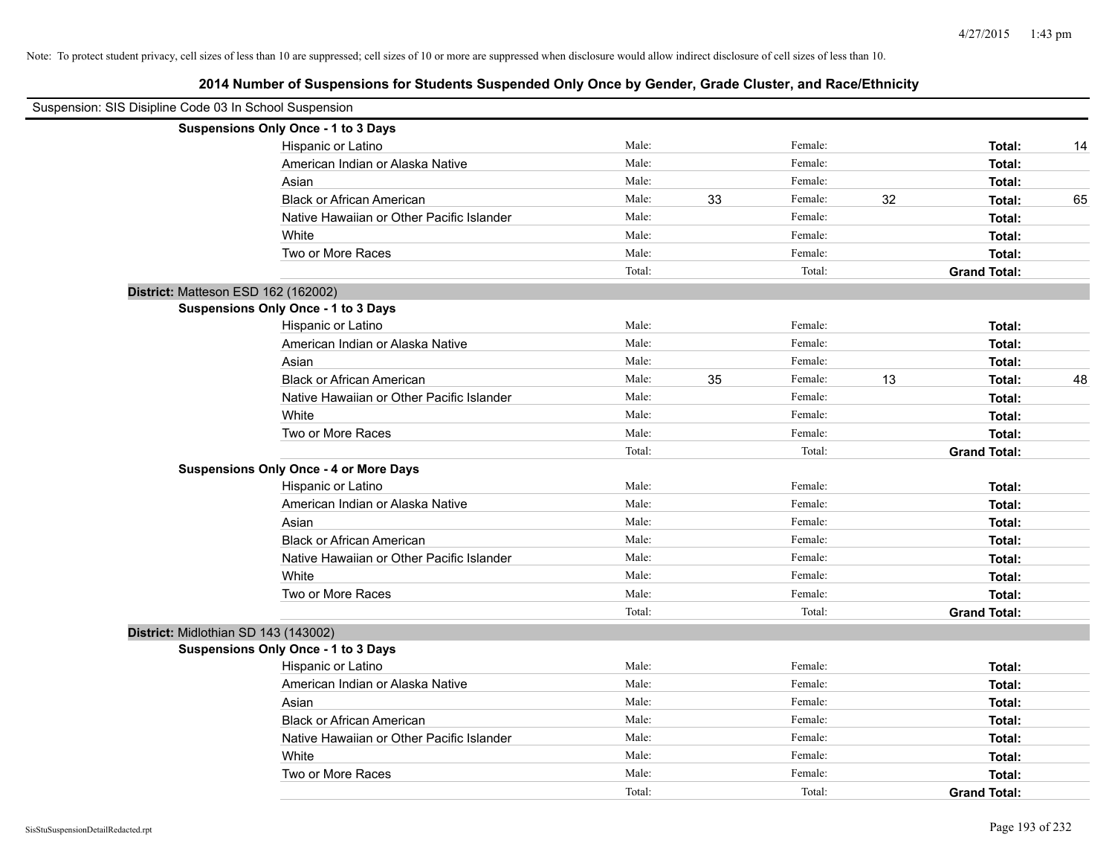| Suspension: SIS Disipline Code 03 In School Suspension |                                           |        |    |         |    |                     |    |
|--------------------------------------------------------|-------------------------------------------|--------|----|---------|----|---------------------|----|
| Suspensions Only Once - 1 to 3 Days                    |                                           |        |    |         |    |                     |    |
|                                                        | Hispanic or Latino                        | Male:  |    | Female: |    | Total:              | 14 |
|                                                        | American Indian or Alaska Native          | Male:  |    | Female: |    | Total:              |    |
| Asian                                                  |                                           | Male:  |    | Female: |    | Total:              |    |
|                                                        | <b>Black or African American</b>          | Male:  | 33 | Female: | 32 | Total:              | 65 |
|                                                        | Native Hawaiian or Other Pacific Islander | Male:  |    | Female: |    | Total:              |    |
| White                                                  |                                           | Male:  |    | Female: |    | Total:              |    |
|                                                        | Two or More Races                         | Male:  |    | Female: |    | Total:              |    |
|                                                        |                                           | Total: |    | Total:  |    | <b>Grand Total:</b> |    |
| District: Matteson ESD 162 (162002)                    |                                           |        |    |         |    |                     |    |
| Suspensions Only Once - 1 to 3 Days                    |                                           |        |    |         |    |                     |    |
|                                                        | Hispanic or Latino                        | Male:  |    | Female: |    | Total:              |    |
|                                                        | American Indian or Alaska Native          | Male:  |    | Female: |    | Total:              |    |
| Asian                                                  |                                           | Male:  |    | Female: |    | Total:              |    |
|                                                        | <b>Black or African American</b>          | Male:  | 35 | Female: | 13 | Total:              | 48 |
|                                                        | Native Hawaiian or Other Pacific Islander | Male:  |    | Female: |    | Total:              |    |
| White                                                  |                                           | Male:  |    | Female: |    | Total:              |    |
|                                                        | Two or More Races                         | Male:  |    | Female: |    | Total:              |    |
|                                                        |                                           | Total: |    | Total:  |    | <b>Grand Total:</b> |    |
| <b>Suspensions Only Once - 4 or More Days</b>          |                                           |        |    |         |    |                     |    |
|                                                        | Hispanic or Latino                        | Male:  |    | Female: |    | Total:              |    |
|                                                        | American Indian or Alaska Native          | Male:  |    | Female: |    | Total:              |    |
| Asian                                                  |                                           | Male:  |    | Female: |    | Total:              |    |
|                                                        | <b>Black or African American</b>          | Male:  |    | Female: |    | Total:              |    |
|                                                        | Native Hawaiian or Other Pacific Islander | Male:  |    | Female: |    | Total:              |    |
| White                                                  |                                           | Male:  |    | Female: |    | Total:              |    |
|                                                        | Two or More Races                         | Male:  |    | Female: |    | Total:              |    |
|                                                        |                                           | Total: |    | Total:  |    | <b>Grand Total:</b> |    |
| District: Midlothian SD 143 (143002)                   |                                           |        |    |         |    |                     |    |
| <b>Suspensions Only Once - 1 to 3 Days</b>             |                                           |        |    |         |    |                     |    |
|                                                        | Hispanic or Latino                        | Male:  |    | Female: |    | Total:              |    |
|                                                        | American Indian or Alaska Native          | Male:  |    | Female: |    | Total:              |    |
| Asian                                                  |                                           | Male:  |    | Female: |    | Total:              |    |
|                                                        | <b>Black or African American</b>          | Male:  |    | Female: |    | Total:              |    |
|                                                        | Native Hawaiian or Other Pacific Islander | Male:  |    | Female: |    | Total:              |    |
| White                                                  |                                           | Male:  |    | Female: |    | Total:              |    |
|                                                        | Two or More Races                         | Male:  |    | Female: |    | Total:              |    |
|                                                        |                                           | Total: |    | Total:  |    | <b>Grand Total:</b> |    |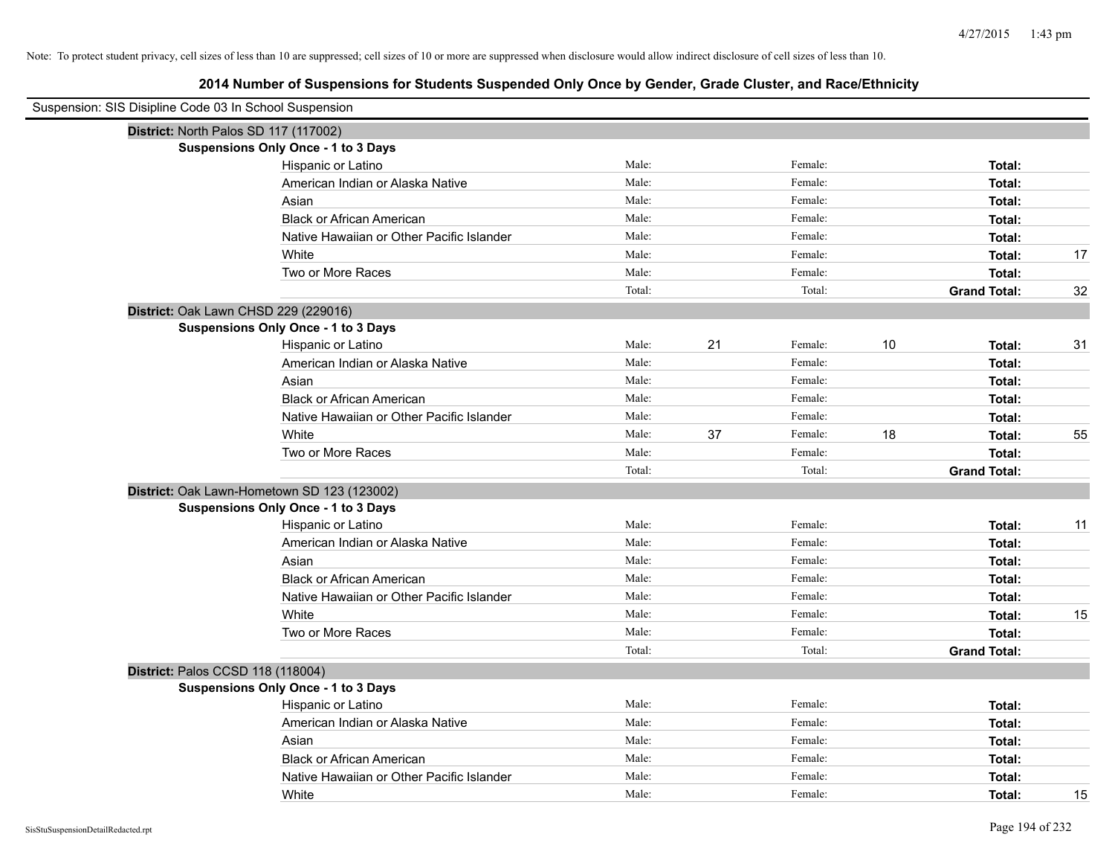# **2014 Number of Suspensions for Students Suspended Only Once by Gender, Grade Cluster, and Race/Ethnicity**

| Suspension: SIS Disipline Code 03 In School Suspension |        |    |         |    |                     |    |
|--------------------------------------------------------|--------|----|---------|----|---------------------|----|
| District: North Palos SD 117 (117002)                  |        |    |         |    |                     |    |
| <b>Suspensions Only Once - 1 to 3 Days</b>             |        |    |         |    |                     |    |
| Hispanic or Latino                                     | Male:  |    | Female: |    | Total:              |    |
| American Indian or Alaska Native                       | Male:  |    | Female: |    | Total:              |    |
| Asian                                                  | Male:  |    | Female: |    | Total:              |    |
| <b>Black or African American</b>                       | Male:  |    | Female: |    | Total:              |    |
| Native Hawaiian or Other Pacific Islander              | Male:  |    | Female: |    | Total:              |    |
| White                                                  | Male:  |    | Female: |    | Total:              | 17 |
| Two or More Races                                      | Male:  |    | Female: |    | Total:              |    |
|                                                        | Total: |    | Total:  |    | <b>Grand Total:</b> | 32 |
| District: Oak Lawn CHSD 229 (229016)                   |        |    |         |    |                     |    |
| <b>Suspensions Only Once - 1 to 3 Days</b>             |        |    |         |    |                     |    |
| Hispanic or Latino                                     | Male:  | 21 | Female: | 10 | Total:              | 31 |
| American Indian or Alaska Native                       | Male:  |    | Female: |    | Total:              |    |
| Asian                                                  | Male:  |    | Female: |    | Total:              |    |
| <b>Black or African American</b>                       | Male:  |    | Female: |    | Total:              |    |
| Native Hawaiian or Other Pacific Islander              | Male:  |    | Female: |    | Total:              |    |
| White                                                  | Male:  | 37 | Female: | 18 | Total:              | 55 |
| Two or More Races                                      | Male:  |    | Female: |    | Total:              |    |
|                                                        | Total: |    | Total:  |    | <b>Grand Total:</b> |    |
| District: Oak Lawn-Hometown SD 123 (123002)            |        |    |         |    |                     |    |
| <b>Suspensions Only Once - 1 to 3 Days</b>             |        |    |         |    |                     |    |
| Hispanic or Latino                                     | Male:  |    | Female: |    | Total:              | 11 |
| American Indian or Alaska Native                       | Male:  |    | Female: |    | Total:              |    |
| Asian                                                  | Male:  |    | Female: |    | Total:              |    |
| <b>Black or African American</b>                       | Male:  |    | Female: |    | Total:              |    |
| Native Hawaiian or Other Pacific Islander              | Male:  |    | Female: |    | Total:              |    |
| White                                                  | Male:  |    | Female: |    | Total:              | 15 |
| Two or More Races                                      | Male:  |    | Female: |    | Total:              |    |
|                                                        | Total: |    | Total:  |    | <b>Grand Total:</b> |    |
| District: Palos CCSD 118 (118004)                      |        |    |         |    |                     |    |
| <b>Suspensions Only Once - 1 to 3 Days</b>             |        |    |         |    |                     |    |
| Hispanic or Latino                                     | Male:  |    | Female: |    | Total:              |    |
| American Indian or Alaska Native                       | Male:  |    | Female: |    | Total:              |    |
| Asian                                                  | Male:  |    | Female: |    | Total:              |    |
| <b>Black or African American</b>                       | Male:  |    | Female: |    | Total:              |    |
| Native Hawaiian or Other Pacific Islander              | Male:  |    | Female: |    | Total:              |    |
| White                                                  | Male:  |    | Female: |    | Total:              | 15 |

 $\overline{\phantom{0}}$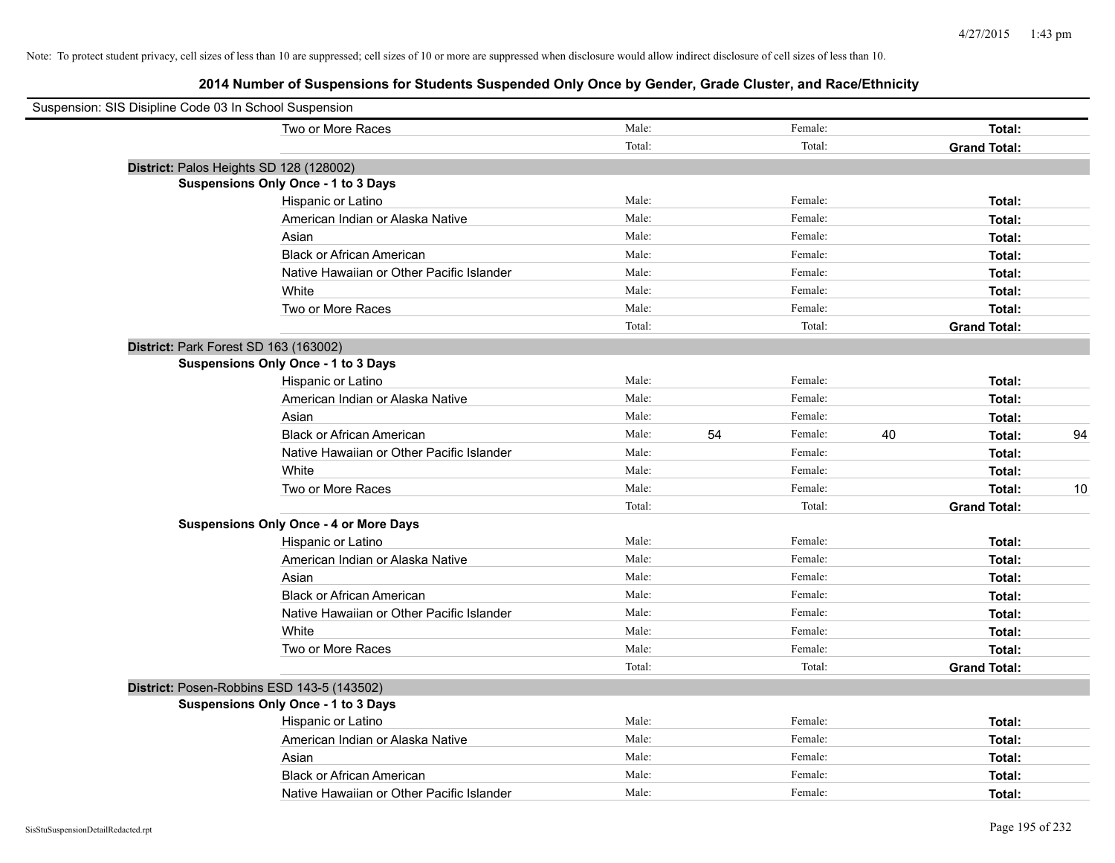| Suspension: SIS Disipline Code 03 In School Suspension |                                               |        |    |         |    |                     |    |
|--------------------------------------------------------|-----------------------------------------------|--------|----|---------|----|---------------------|----|
|                                                        | Two or More Races                             | Male:  |    | Female: |    | Total:              |    |
|                                                        |                                               | Total: |    | Total:  |    | <b>Grand Total:</b> |    |
|                                                        | District: Palos Heights SD 128 (128002)       |        |    |         |    |                     |    |
|                                                        | <b>Suspensions Only Once - 1 to 3 Days</b>    |        |    |         |    |                     |    |
|                                                        | Hispanic or Latino                            | Male:  |    | Female: |    | Total:              |    |
|                                                        | American Indian or Alaska Native              | Male:  |    | Female: |    | Total:              |    |
|                                                        | Asian                                         | Male:  |    | Female: |    | Total:              |    |
|                                                        | <b>Black or African American</b>              | Male:  |    | Female: |    | Total:              |    |
|                                                        | Native Hawaiian or Other Pacific Islander     | Male:  |    | Female: |    | Total:              |    |
|                                                        | White                                         | Male:  |    | Female: |    | Total:              |    |
|                                                        | Two or More Races                             | Male:  |    | Female: |    | Total:              |    |
|                                                        |                                               | Total: |    | Total:  |    | <b>Grand Total:</b> |    |
|                                                        | District: Park Forest SD 163 (163002)         |        |    |         |    |                     |    |
|                                                        | <b>Suspensions Only Once - 1 to 3 Days</b>    |        |    |         |    |                     |    |
|                                                        | Hispanic or Latino                            | Male:  |    | Female: |    | Total:              |    |
|                                                        | American Indian or Alaska Native              | Male:  |    | Female: |    | Total:              |    |
|                                                        | Asian                                         | Male:  |    | Female: |    | Total:              |    |
|                                                        | <b>Black or African American</b>              | Male:  | 54 | Female: | 40 | Total:              | 94 |
|                                                        | Native Hawaiian or Other Pacific Islander     | Male:  |    | Female: |    | Total:              |    |
|                                                        | White                                         | Male:  |    | Female: |    | Total:              |    |
|                                                        | Two or More Races                             | Male:  |    | Female: |    | Total:              | 10 |
|                                                        |                                               | Total: |    | Total:  |    | <b>Grand Total:</b> |    |
|                                                        | <b>Suspensions Only Once - 4 or More Days</b> |        |    |         |    |                     |    |
|                                                        | Hispanic or Latino                            | Male:  |    | Female: |    | Total:              |    |
|                                                        | American Indian or Alaska Native              | Male:  |    | Female: |    | Total:              |    |
|                                                        | Asian                                         | Male:  |    | Female: |    | Total:              |    |
|                                                        | <b>Black or African American</b>              | Male:  |    | Female: |    | Total:              |    |
|                                                        | Native Hawaiian or Other Pacific Islander     | Male:  |    | Female: |    | Total:              |    |
|                                                        | White                                         | Male:  |    | Female: |    | Total:              |    |
|                                                        | Two or More Races                             | Male:  |    | Female: |    | Total:              |    |
|                                                        |                                               | Total: |    | Total:  |    | <b>Grand Total:</b> |    |
|                                                        | District: Posen-Robbins ESD 143-5 (143502)    |        |    |         |    |                     |    |
|                                                        | Suspensions Only Once - 1 to 3 Days           |        |    |         |    |                     |    |
|                                                        | Hispanic or Latino                            | Male:  |    | Female: |    | Total:              |    |
|                                                        | American Indian or Alaska Native              | Male:  |    | Female: |    | Total:              |    |
|                                                        | Asian                                         | Male:  |    | Female: |    | Total:              |    |
|                                                        | <b>Black or African American</b>              | Male:  |    | Female: |    | Total:              |    |
|                                                        | Native Hawaiian or Other Pacific Islander     | Male:  |    | Female: |    | Total:              |    |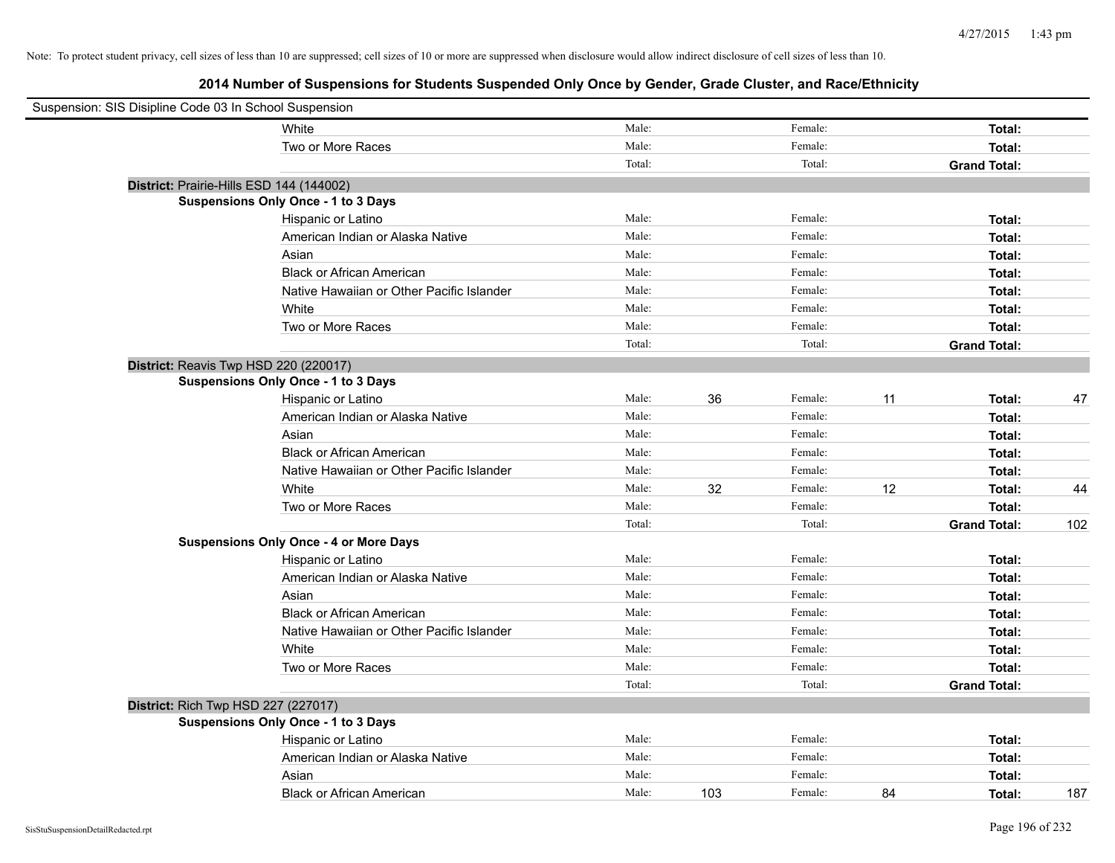| Suspension: SIS Disipline Code 03 In School Suspension |                                               |        |     |         |    |                     |     |
|--------------------------------------------------------|-----------------------------------------------|--------|-----|---------|----|---------------------|-----|
|                                                        | White                                         | Male:  |     | Female: |    | Total:              |     |
|                                                        | Two or More Races                             | Male:  |     | Female: |    | Total:              |     |
|                                                        |                                               | Total: |     | Total:  |    | <b>Grand Total:</b> |     |
| District: Prairie-Hills ESD 144 (144002)               |                                               |        |     |         |    |                     |     |
|                                                        | Suspensions Only Once - 1 to 3 Days           |        |     |         |    |                     |     |
|                                                        | Hispanic or Latino                            | Male:  |     | Female: |    | Total:              |     |
|                                                        | American Indian or Alaska Native              | Male:  |     | Female: |    | Total:              |     |
|                                                        | Asian                                         | Male:  |     | Female: |    | Total:              |     |
|                                                        | <b>Black or African American</b>              | Male:  |     | Female: |    | Total:              |     |
|                                                        | Native Hawaiian or Other Pacific Islander     | Male:  |     | Female: |    | Total:              |     |
|                                                        | White                                         | Male:  |     | Female: |    | Total:              |     |
|                                                        | Two or More Races                             | Male:  |     | Female: |    | Total:              |     |
|                                                        |                                               | Total: |     | Total:  |    | <b>Grand Total:</b> |     |
| District: Reavis Twp HSD 220 (220017)                  |                                               |        |     |         |    |                     |     |
|                                                        | <b>Suspensions Only Once - 1 to 3 Days</b>    |        |     |         |    |                     |     |
|                                                        | Hispanic or Latino                            | Male:  | 36  | Female: | 11 | Total:              | 47  |
|                                                        | American Indian or Alaska Native              | Male:  |     | Female: |    | Total:              |     |
|                                                        | Asian                                         | Male:  |     | Female: |    | Total:              |     |
|                                                        | <b>Black or African American</b>              | Male:  |     | Female: |    | Total:              |     |
|                                                        | Native Hawaiian or Other Pacific Islander     | Male:  |     | Female: |    | Total:              |     |
|                                                        | White                                         | Male:  | 32  | Female: | 12 | Total:              | 44  |
|                                                        | Two or More Races                             | Male:  |     | Female: |    | Total:              |     |
|                                                        |                                               | Total: |     | Total:  |    | <b>Grand Total:</b> | 102 |
|                                                        | <b>Suspensions Only Once - 4 or More Days</b> |        |     |         |    |                     |     |
|                                                        | Hispanic or Latino                            | Male:  |     | Female: |    | Total:              |     |
|                                                        | American Indian or Alaska Native              | Male:  |     | Female: |    | Total:              |     |
|                                                        | Asian                                         | Male:  |     | Female: |    | Total:              |     |
|                                                        | <b>Black or African American</b>              | Male:  |     | Female: |    | Total:              |     |
|                                                        | Native Hawaiian or Other Pacific Islander     | Male:  |     | Female: |    | Total:              |     |
|                                                        | White                                         | Male:  |     | Female: |    | Total:              |     |
|                                                        | Two or More Races                             | Male:  |     | Female: |    | Total:              |     |
|                                                        |                                               | Total: |     | Total:  |    | <b>Grand Total:</b> |     |
| District: Rich Twp HSD 227 (227017)                    |                                               |        |     |         |    |                     |     |
|                                                        | <b>Suspensions Only Once - 1 to 3 Days</b>    |        |     |         |    |                     |     |
|                                                        | Hispanic or Latino                            | Male:  |     | Female: |    | Total:              |     |
|                                                        | American Indian or Alaska Native              | Male:  |     | Female: |    | Total:              |     |
|                                                        | Asian                                         | Male:  |     | Female: |    | Total:              |     |
|                                                        | <b>Black or African American</b>              | Male:  | 103 | Female: | 84 | Total:              | 187 |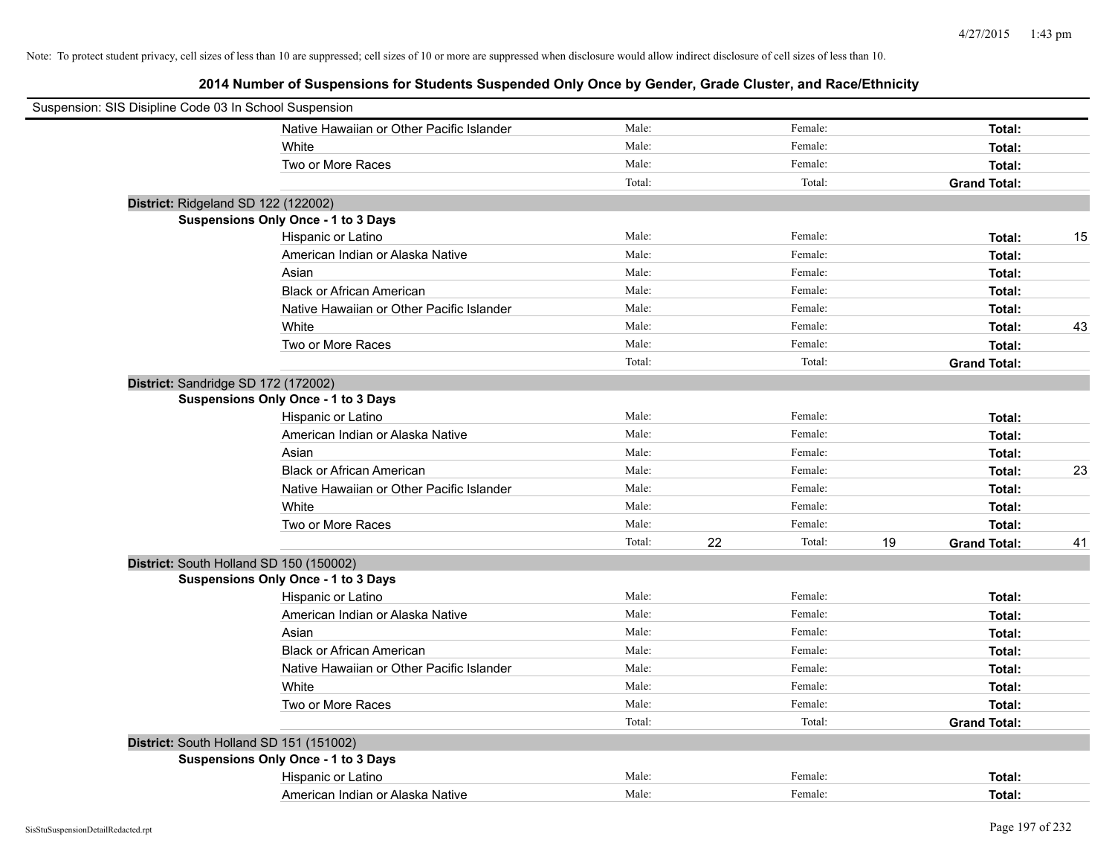| Suspension: SIS Disipline Code 03 In School Suspension |        |    |         |    |                     |    |
|--------------------------------------------------------|--------|----|---------|----|---------------------|----|
| Native Hawaiian or Other Pacific Islander              | Male:  |    | Female: |    | Total:              |    |
| White                                                  | Male:  |    | Female: |    | Total:              |    |
| Two or More Races                                      | Male:  |    | Female: |    | Total:              |    |
|                                                        | Total: |    | Total:  |    | <b>Grand Total:</b> |    |
| District: Ridgeland SD 122 (122002)                    |        |    |         |    |                     |    |
| <b>Suspensions Only Once - 1 to 3 Days</b>             |        |    |         |    |                     |    |
| Hispanic or Latino                                     | Male:  |    | Female: |    | Total:              | 15 |
| American Indian or Alaska Native                       | Male:  |    | Female: |    | Total:              |    |
| Asian                                                  | Male:  |    | Female: |    | Total:              |    |
| <b>Black or African American</b>                       | Male:  |    | Female: |    | Total:              |    |
| Native Hawaiian or Other Pacific Islander              | Male:  |    | Female: |    | Total:              |    |
| White                                                  | Male:  |    | Female: |    | Total:              | 43 |
| Two or More Races                                      | Male:  |    | Female: |    | Total:              |    |
|                                                        | Total: |    | Total:  |    | <b>Grand Total:</b> |    |
| District: Sandridge SD 172 (172002)                    |        |    |         |    |                     |    |
| Suspensions Only Once - 1 to 3 Days                    |        |    |         |    |                     |    |
| Hispanic or Latino                                     | Male:  |    | Female: |    | Total:              |    |
| American Indian or Alaska Native                       | Male:  |    | Female: |    | Total:              |    |
| Asian                                                  | Male:  |    | Female: |    | Total:              |    |
| <b>Black or African American</b>                       | Male:  |    | Female: |    | Total:              | 23 |
| Native Hawaiian or Other Pacific Islander              | Male:  |    | Female: |    | Total:              |    |
| White                                                  | Male:  |    | Female: |    | Total:              |    |
| Two or More Races                                      | Male:  |    | Female: |    | Total:              |    |
|                                                        | Total: | 22 | Total:  | 19 | <b>Grand Total:</b> | 41 |
| District: South Holland SD 150 (150002)                |        |    |         |    |                     |    |
| Suspensions Only Once - 1 to 3 Days                    |        |    |         |    |                     |    |
| Hispanic or Latino                                     | Male:  |    | Female: |    | Total:              |    |
| American Indian or Alaska Native                       | Male:  |    | Female: |    | Total:              |    |
| Asian                                                  | Male:  |    | Female: |    | Total:              |    |
| <b>Black or African American</b>                       | Male:  |    | Female: |    | Total:              |    |
| Native Hawaiian or Other Pacific Islander              | Male:  |    | Female: |    | Total:              |    |
| White                                                  | Male:  |    | Female: |    | Total:              |    |
| Two or More Races                                      | Male:  |    | Female: |    | Total:              |    |
|                                                        | Total: |    | Total:  |    | <b>Grand Total:</b> |    |
| District: South Holland SD 151 (151002)                |        |    |         |    |                     |    |
| Suspensions Only Once - 1 to 3 Days                    |        |    |         |    |                     |    |
| Hispanic or Latino                                     | Male:  |    | Female: |    | Total:              |    |
| American Indian or Alaska Native                       | Male:  |    | Female: |    | Total:              |    |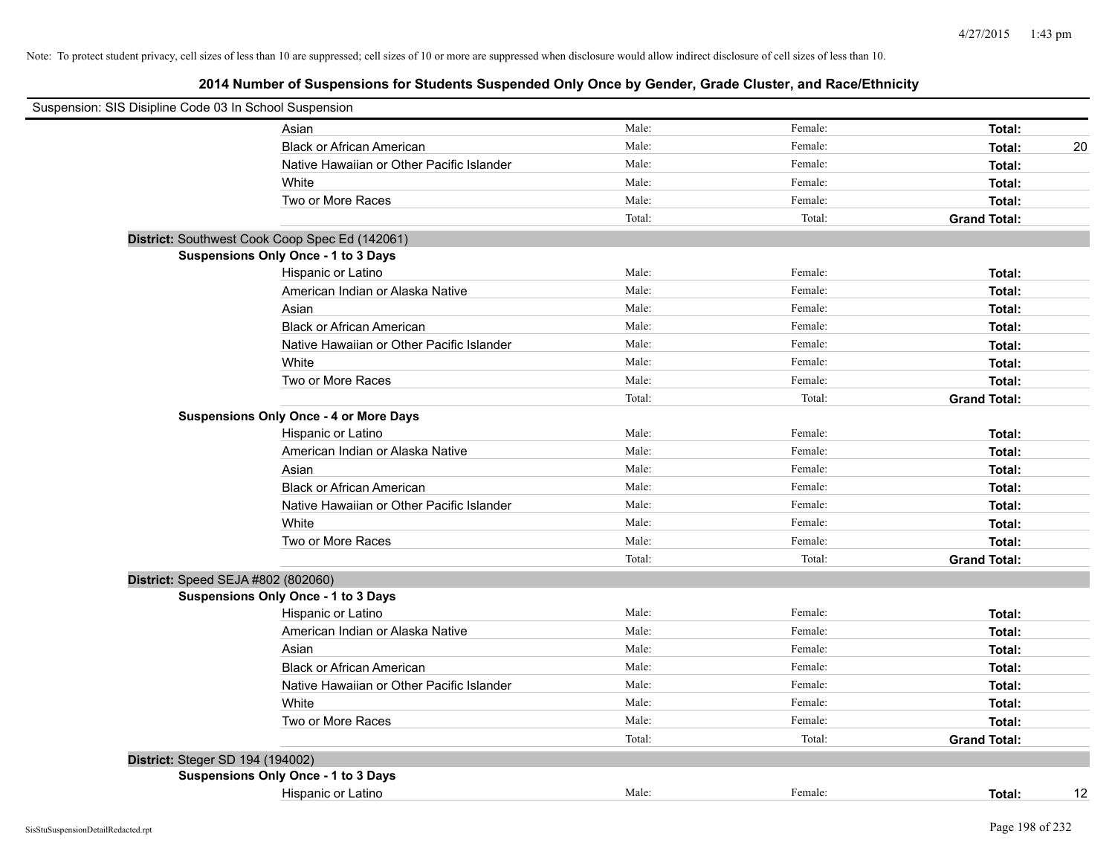| Suspension: SIS Disipline Code 03 In School Suspension |                                                |        |         |                     |
|--------------------------------------------------------|------------------------------------------------|--------|---------|---------------------|
|                                                        | Asian                                          | Male:  | Female: | Total:              |
|                                                        | <b>Black or African American</b>               | Male:  | Female: | Total:<br>20        |
|                                                        | Native Hawaiian or Other Pacific Islander      | Male:  | Female: | Total:              |
|                                                        | White                                          | Male:  | Female: | Total:              |
|                                                        | Two or More Races                              | Male:  | Female: | Total:              |
|                                                        |                                                | Total: | Total:  | <b>Grand Total:</b> |
|                                                        | District: Southwest Cook Coop Spec Ed (142061) |        |         |                     |
|                                                        | <b>Suspensions Only Once - 1 to 3 Days</b>     |        |         |                     |
|                                                        | Hispanic or Latino                             | Male:  | Female: | Total:              |
|                                                        | American Indian or Alaska Native               | Male:  | Female: | Total:              |
|                                                        | Asian                                          | Male:  | Female: | Total:              |
|                                                        | <b>Black or African American</b>               | Male:  | Female: | Total:              |
|                                                        | Native Hawaiian or Other Pacific Islander      | Male:  | Female: | Total:              |
|                                                        | White                                          | Male:  | Female: | Total:              |
|                                                        | Two or More Races                              | Male:  | Female: | Total:              |
|                                                        |                                                | Total: | Total:  | <b>Grand Total:</b> |
|                                                        | <b>Suspensions Only Once - 4 or More Days</b>  |        |         |                     |
|                                                        | Hispanic or Latino                             | Male:  | Female: | Total:              |
|                                                        | American Indian or Alaska Native               | Male:  | Female: | Total:              |
|                                                        | Asian                                          | Male:  | Female: | Total:              |
|                                                        | <b>Black or African American</b>               | Male:  | Female: | Total:              |
|                                                        | Native Hawaiian or Other Pacific Islander      | Male:  | Female: | Total:              |
|                                                        | White                                          | Male:  | Female: | Total:              |
|                                                        | Two or More Races                              | Male:  | Female: | Total:              |
|                                                        |                                                | Total: | Total:  | <b>Grand Total:</b> |
| District: Speed SEJA #802 (802060)                     |                                                |        |         |                     |
|                                                        | Suspensions Only Once - 1 to 3 Days            |        |         |                     |
|                                                        | Hispanic or Latino                             | Male:  | Female: | Total:              |
|                                                        | American Indian or Alaska Native               | Male:  | Female: | Total:              |
|                                                        | Asian                                          | Male:  | Female: | Total:              |
|                                                        | <b>Black or African American</b>               | Male:  | Female: | Total:              |
|                                                        | Native Hawaiian or Other Pacific Islander      | Male:  | Female: | Total:              |
|                                                        | White                                          | Male:  | Female: | Total:              |
|                                                        | Two or More Races                              | Male:  | Female: | Total:              |
|                                                        |                                                | Total: | Total:  | <b>Grand Total:</b> |
| District: Steger SD 194 (194002)                       |                                                |        |         |                     |
|                                                        | Suspensions Only Once - 1 to 3 Days            |        |         |                     |
|                                                        | Hispanic or Latino                             | Male:  | Female: | 12<br>Total:        |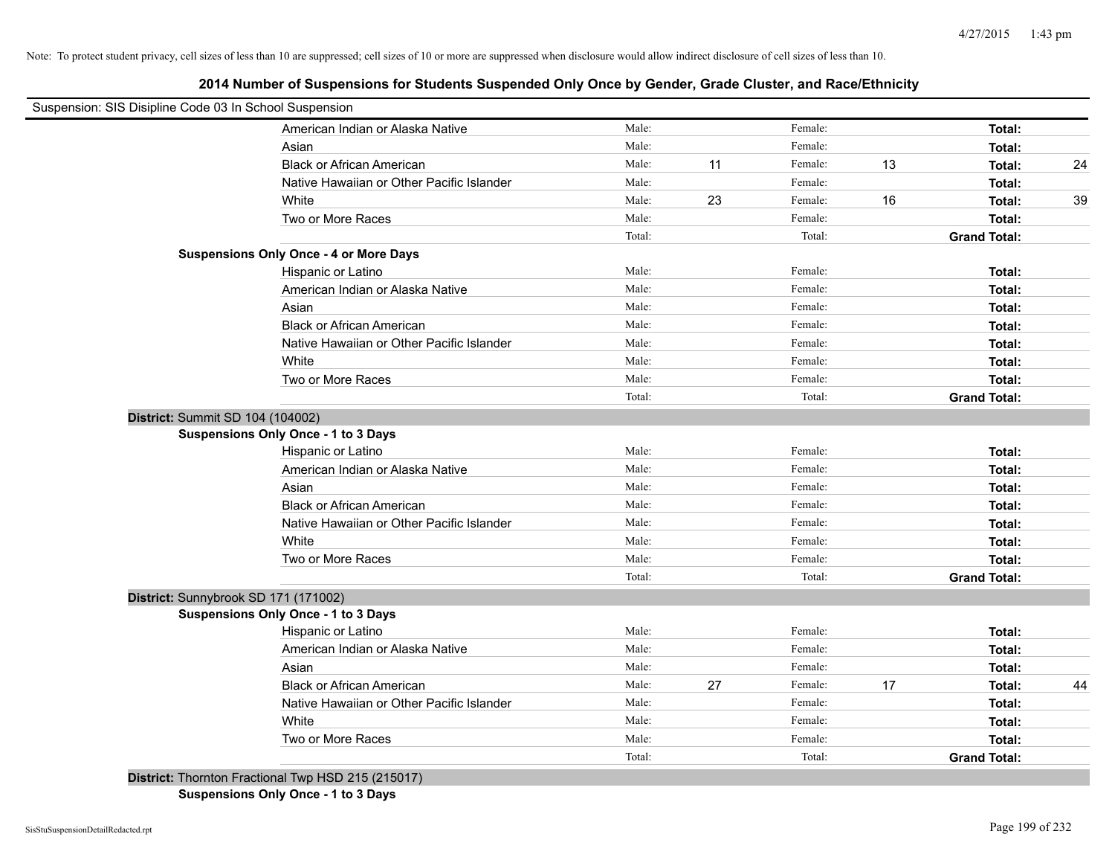**2014 Number of Suspensions for Students Suspended Only Once by Gender, Grade Cluster, and Race/Ethnicity**

| Suspension: SIS Disipline Code 03 In School Suspension |                                                    |        |    |         |    |                     |    |
|--------------------------------------------------------|----------------------------------------------------|--------|----|---------|----|---------------------|----|
|                                                        | American Indian or Alaska Native                   | Male:  |    | Female: |    | Total:              |    |
|                                                        | Asian                                              | Male:  |    | Female: |    | Total:              |    |
|                                                        | <b>Black or African American</b>                   | Male:  | 11 | Female: | 13 | Total:              | 24 |
|                                                        | Native Hawaiian or Other Pacific Islander          | Male:  |    | Female: |    | Total:              |    |
|                                                        | White                                              | Male:  | 23 | Female: | 16 | Total:              | 39 |
|                                                        | Two or More Races                                  | Male:  |    | Female: |    | Total:              |    |
|                                                        |                                                    | Total: |    | Total:  |    | <b>Grand Total:</b> |    |
|                                                        | <b>Suspensions Only Once - 4 or More Days</b>      |        |    |         |    |                     |    |
|                                                        | Hispanic or Latino                                 | Male:  |    | Female: |    | Total:              |    |
|                                                        | American Indian or Alaska Native                   | Male:  |    | Female: |    | Total:              |    |
|                                                        | Asian                                              | Male:  |    | Female: |    | Total:              |    |
|                                                        | <b>Black or African American</b>                   | Male:  |    | Female: |    | Total:              |    |
|                                                        | Native Hawaiian or Other Pacific Islander          | Male:  |    | Female: |    | Total:              |    |
|                                                        | White                                              | Male:  |    | Female: |    | Total:              |    |
|                                                        | Two or More Races                                  | Male:  |    | Female: |    | Total:              |    |
|                                                        |                                                    | Total: |    | Total:  |    | <b>Grand Total:</b> |    |
| District: Summit SD 104 (104002)                       |                                                    |        |    |         |    |                     |    |
|                                                        | <b>Suspensions Only Once - 1 to 3 Days</b>         |        |    |         |    |                     |    |
|                                                        | Hispanic or Latino                                 | Male:  |    | Female: |    | Total:              |    |
|                                                        | American Indian or Alaska Native                   | Male:  |    | Female: |    | Total:              |    |
|                                                        | Asian                                              | Male:  |    | Female: |    | Total:              |    |
|                                                        | <b>Black or African American</b>                   | Male:  |    | Female: |    | Total:              |    |
|                                                        | Native Hawaiian or Other Pacific Islander          | Male:  |    | Female: |    | Total:              |    |
|                                                        | White                                              | Male:  |    | Female: |    | Total:              |    |
|                                                        | Two or More Races                                  | Male:  |    | Female: |    | Total:              |    |
|                                                        |                                                    | Total: |    | Total:  |    | <b>Grand Total:</b> |    |
| District: Sunnybrook SD 171 (171002)                   |                                                    |        |    |         |    |                     |    |
|                                                        | Suspensions Only Once - 1 to 3 Days                |        |    |         |    |                     |    |
|                                                        | Hispanic or Latino                                 | Male:  |    | Female: |    | Total:              |    |
|                                                        | American Indian or Alaska Native                   | Male:  |    | Female: |    | Total:              |    |
|                                                        | Asian                                              | Male:  |    | Female: |    | Total:              |    |
|                                                        | <b>Black or African American</b>                   | Male:  | 27 | Female: | 17 | Total:              | 44 |
|                                                        | Native Hawaiian or Other Pacific Islander          | Male:  |    | Female: |    | Total:              |    |
|                                                        | White                                              | Male:  |    | Female: |    | Total:              |    |
|                                                        | Two or More Races                                  | Male:  |    | Female: |    | Total:              |    |
|                                                        |                                                    | Total: |    | Total:  |    | <b>Grand Total:</b> |    |
|                                                        | District: Thornton Fractional Twp HSD 215 (215017) |        |    |         |    |                     |    |

**Suspensions Only Once - 1 to 3 Days**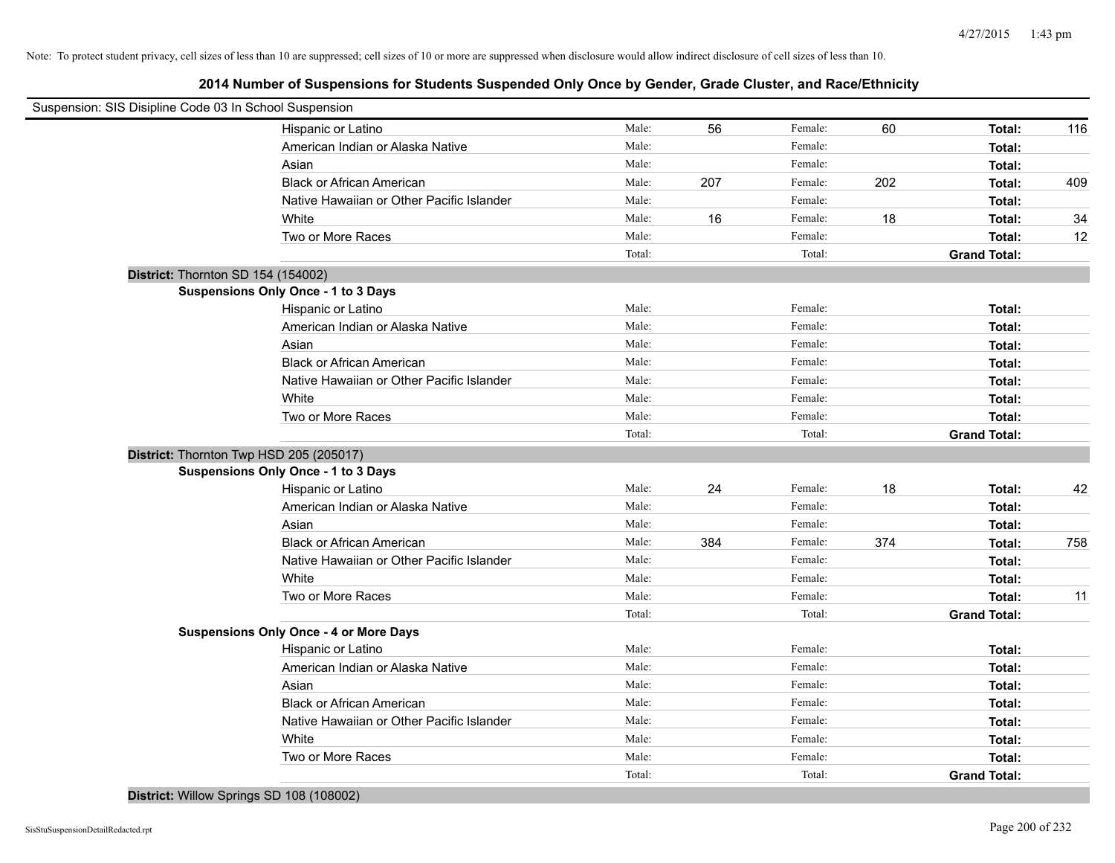| Suspension: SIS Disipline Code 03 In School Suspension |                                               |        |     |         |     |                     |     |
|--------------------------------------------------------|-----------------------------------------------|--------|-----|---------|-----|---------------------|-----|
|                                                        | Hispanic or Latino                            | Male:  | 56  | Female: | 60  | Total:              | 116 |
|                                                        | American Indian or Alaska Native              | Male:  |     | Female: |     | Total:              |     |
|                                                        | Asian                                         | Male:  |     | Female: |     | Total:              |     |
|                                                        | <b>Black or African American</b>              | Male:  | 207 | Female: | 202 | Total:              | 409 |
|                                                        | Native Hawaiian or Other Pacific Islander     | Male:  |     | Female: |     | Total:              |     |
|                                                        | White                                         | Male:  | 16  | Female: | 18  | Total:              | 34  |
|                                                        | Two or More Races                             | Male:  |     | Female: |     | Total:              | 12  |
|                                                        |                                               | Total: |     | Total:  |     | <b>Grand Total:</b> |     |
| District: Thornton SD 154 (154002)                     |                                               |        |     |         |     |                     |     |
|                                                        | <b>Suspensions Only Once - 1 to 3 Days</b>    |        |     |         |     |                     |     |
|                                                        | Hispanic or Latino                            | Male:  |     | Female: |     | Total:              |     |
|                                                        | American Indian or Alaska Native              | Male:  |     | Female: |     | Total:              |     |
|                                                        | Asian                                         | Male:  |     | Female: |     | Total:              |     |
|                                                        | <b>Black or African American</b>              | Male:  |     | Female: |     | Total:              |     |
|                                                        | Native Hawaiian or Other Pacific Islander     | Male:  |     | Female: |     | Total:              |     |
|                                                        | White                                         | Male:  |     | Female: |     | Total:              |     |
|                                                        | Two or More Races                             | Male:  |     | Female: |     | Total:              |     |
|                                                        |                                               | Total: |     | Total:  |     | <b>Grand Total:</b> |     |
| District: Thornton Twp HSD 205 (205017)                |                                               |        |     |         |     |                     |     |
|                                                        | Suspensions Only Once - 1 to 3 Days           |        |     |         |     |                     |     |
|                                                        | Hispanic or Latino                            | Male:  | 24  | Female: | 18  | Total:              | 42  |
|                                                        | American Indian or Alaska Native              | Male:  |     | Female: |     | Total:              |     |
|                                                        | Asian                                         | Male:  |     | Female: |     | Total:              |     |
|                                                        | <b>Black or African American</b>              | Male:  | 384 | Female: | 374 | Total:              | 758 |
|                                                        | Native Hawaiian or Other Pacific Islander     | Male:  |     | Female: |     | Total:              |     |
|                                                        | White                                         | Male:  |     | Female: |     | Total:              |     |
|                                                        | Two or More Races                             | Male:  |     | Female: |     | Total:              | 11  |
|                                                        |                                               | Total: |     | Total:  |     | <b>Grand Total:</b> |     |
|                                                        | <b>Suspensions Only Once - 4 or More Days</b> |        |     |         |     |                     |     |
|                                                        | Hispanic or Latino                            | Male:  |     | Female: |     | Total:              |     |
|                                                        | American Indian or Alaska Native              | Male:  |     | Female: |     | Total:              |     |
|                                                        | Asian                                         | Male:  |     | Female: |     | Total:              |     |
|                                                        | <b>Black or African American</b>              | Male:  |     | Female: |     | Total:              |     |
|                                                        | Native Hawaiian or Other Pacific Islander     | Male:  |     | Female: |     | Total:              |     |
|                                                        | White                                         | Male:  |     | Female: |     | Total:              |     |
|                                                        | Two or More Races                             | Male:  |     | Female: |     | Total:              |     |
|                                                        |                                               | Total: |     | Total:  |     | <b>Grand Total:</b> |     |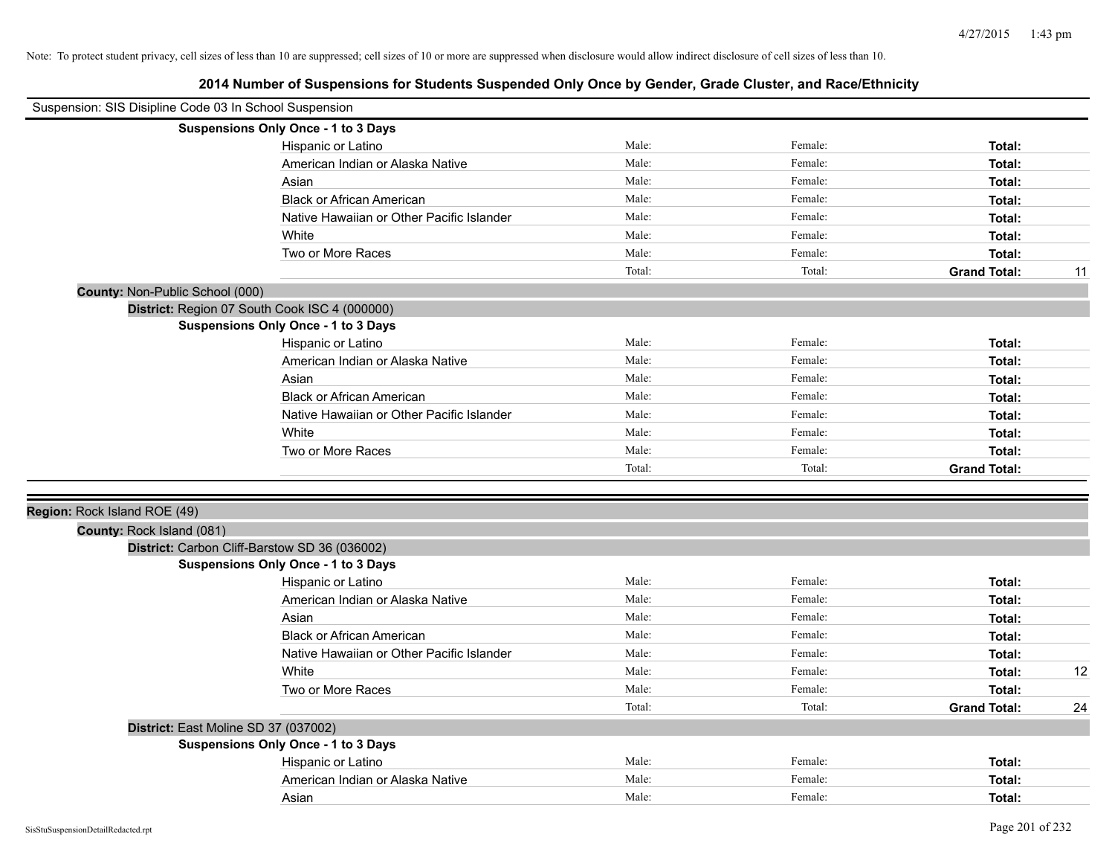| Suspension: SIS Disipline Code 03 In School Suspension |                                               |        |         |                     |    |
|--------------------------------------------------------|-----------------------------------------------|--------|---------|---------------------|----|
|                                                        | Suspensions Only Once - 1 to 3 Days           |        |         |                     |    |
|                                                        | Hispanic or Latino                            | Male:  | Female: | Total:              |    |
|                                                        | American Indian or Alaska Native              | Male:  | Female: | Total:              |    |
|                                                        | Asian                                         | Male:  | Female: | Total:              |    |
|                                                        | <b>Black or African American</b>              | Male:  | Female: | Total:              |    |
|                                                        | Native Hawaiian or Other Pacific Islander     | Male:  | Female: | Total:              |    |
|                                                        | White                                         | Male:  | Female: | Total:              |    |
|                                                        | Two or More Races                             | Male:  | Female: | Total:              |    |
|                                                        |                                               | Total: | Total:  | <b>Grand Total:</b> | 11 |
| County: Non-Public School (000)                        |                                               |        |         |                     |    |
|                                                        | District: Region 07 South Cook ISC 4 (000000) |        |         |                     |    |
|                                                        | <b>Suspensions Only Once - 1 to 3 Days</b>    |        |         |                     |    |
|                                                        | Hispanic or Latino                            | Male:  | Female: | Total:              |    |
|                                                        | American Indian or Alaska Native              | Male:  | Female: | Total:              |    |
|                                                        | Asian                                         | Male:  | Female: | Total:              |    |
|                                                        | <b>Black or African American</b>              | Male:  | Female: | Total:              |    |
|                                                        | Native Hawaiian or Other Pacific Islander     | Male:  | Female: | Total:              |    |
|                                                        | White                                         | Male:  | Female: | Total:              |    |
|                                                        | Two or More Races                             | Male:  | Female: | Total:              |    |
|                                                        |                                               | Total: | Total:  | <b>Grand Total:</b> |    |
| Region: Rock Island ROE (49)                           |                                               |        |         |                     |    |
| County: Rock Island (081)                              |                                               |        |         |                     |    |
|                                                        | District: Carbon Cliff-Barstow SD 36 (036002) |        |         |                     |    |
|                                                        | <b>Suspensions Only Once - 1 to 3 Days</b>    |        |         |                     |    |
|                                                        | Hispanic or Latino                            | Male:  | Female: | Total:              |    |
|                                                        | American Indian or Alaska Native              | Male:  | Female: | Total:              |    |
|                                                        | Asian                                         | Male:  | Female: | Total:              |    |
|                                                        | <b>Black or African American</b>              | Male:  | Female: | Total:              |    |
|                                                        | Native Hawaiian or Other Pacific Islander     | Male:  | Female: | Total:              |    |
|                                                        | White                                         | Male:  | Female: | Total:              | 12 |
|                                                        | Two or More Races                             | Male:  | Female: | Total:              |    |
|                                                        |                                               | Total: | Total:  | <b>Grand Total:</b> | 24 |
|                                                        | District: East Moline SD 37 (037002)          |        |         |                     |    |
|                                                        | <b>Suspensions Only Once - 1 to 3 Days</b>    |        |         |                     |    |
|                                                        | Hispanic or Latino                            | Male:  | Female: | Total:              |    |
|                                                        | American Indian or Alaska Native              | Male:  | Female: | Total:              |    |
|                                                        | Asian                                         | Male:  | Female: | Total:              |    |
|                                                        |                                               |        |         |                     |    |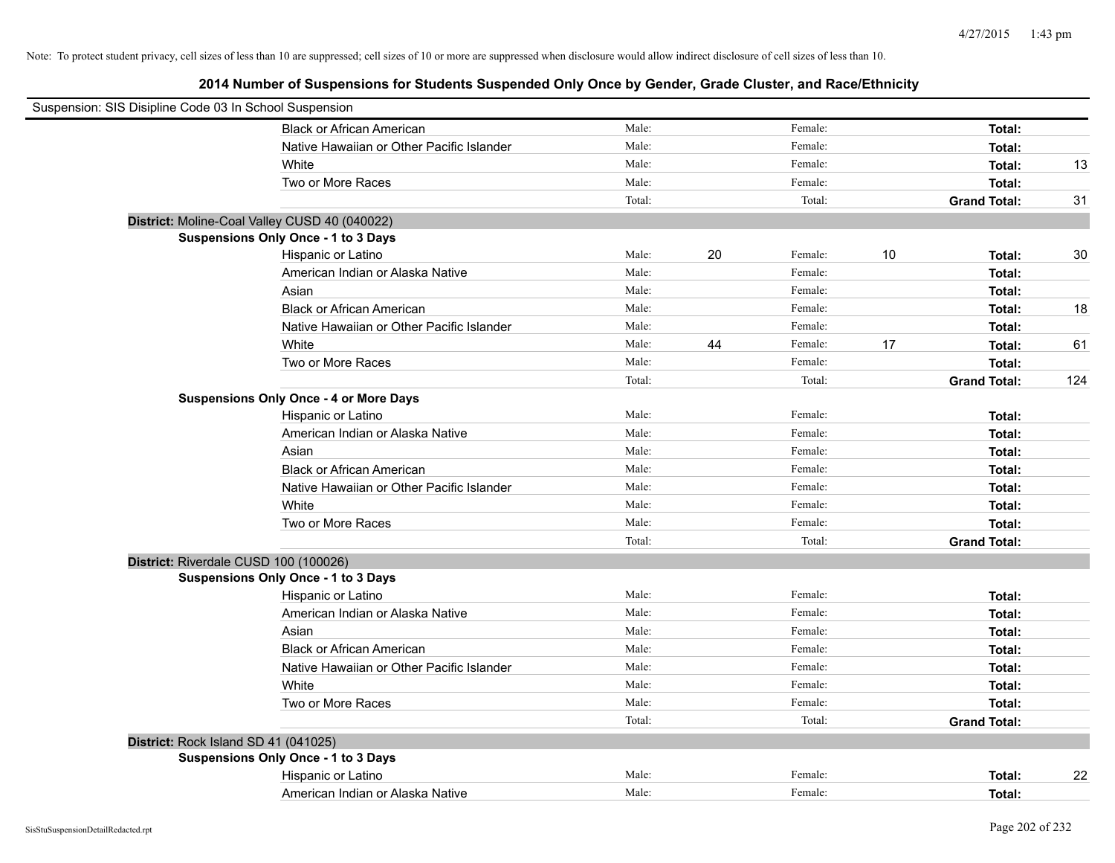| Suspension: SIS Disipline Code 03 In School Suspension |                                               |        |    |         |    |                     |     |
|--------------------------------------------------------|-----------------------------------------------|--------|----|---------|----|---------------------|-----|
|                                                        | <b>Black or African American</b>              | Male:  |    | Female: |    | Total:              |     |
|                                                        | Native Hawaiian or Other Pacific Islander     | Male:  |    | Female: |    | Total:              |     |
|                                                        | White                                         | Male:  |    | Female: |    | Total:              | 13  |
|                                                        | Two or More Races                             | Male:  |    | Female: |    | Total:              |     |
|                                                        |                                               | Total: |    | Total:  |    | <b>Grand Total:</b> | 31  |
|                                                        | District: Moline-Coal Valley CUSD 40 (040022) |        |    |         |    |                     |     |
|                                                        | Suspensions Only Once - 1 to 3 Days           |        |    |         |    |                     |     |
|                                                        | Hispanic or Latino                            | Male:  | 20 | Female: | 10 | Total:              | 30  |
|                                                        | American Indian or Alaska Native              | Male:  |    | Female: |    | Total:              |     |
|                                                        | Asian                                         | Male:  |    | Female: |    | Total:              |     |
|                                                        | <b>Black or African American</b>              | Male:  |    | Female: |    | Total:              | 18  |
|                                                        | Native Hawaiian or Other Pacific Islander     | Male:  |    | Female: |    | Total:              |     |
|                                                        | White                                         | Male:  | 44 | Female: | 17 | Total:              | 61  |
|                                                        | Two or More Races                             | Male:  |    | Female: |    | Total:              |     |
|                                                        |                                               | Total: |    | Total:  |    | <b>Grand Total:</b> | 124 |
|                                                        | <b>Suspensions Only Once - 4 or More Days</b> |        |    |         |    |                     |     |
|                                                        | Hispanic or Latino                            | Male:  |    | Female: |    | Total:              |     |
|                                                        | American Indian or Alaska Native              | Male:  |    | Female: |    | Total:              |     |
|                                                        | Asian                                         | Male:  |    | Female: |    | Total:              |     |
|                                                        | <b>Black or African American</b>              | Male:  |    | Female: |    | Total:              |     |
|                                                        | Native Hawaiian or Other Pacific Islander     | Male:  |    | Female: |    | Total:              |     |
|                                                        | White                                         | Male:  |    | Female: |    | Total:              |     |
|                                                        | Two or More Races                             | Male:  |    | Female: |    | Total:              |     |
|                                                        |                                               | Total: |    | Total:  |    | <b>Grand Total:</b> |     |
|                                                        | District: Riverdale CUSD 100 (100026)         |        |    |         |    |                     |     |
|                                                        | Suspensions Only Once - 1 to 3 Days           |        |    |         |    |                     |     |
|                                                        | Hispanic or Latino                            | Male:  |    | Female: |    | Total:              |     |
|                                                        | American Indian or Alaska Native              | Male:  |    | Female: |    | Total:              |     |
|                                                        | Asian                                         | Male:  |    | Female: |    | Total:              |     |
|                                                        | <b>Black or African American</b>              | Male:  |    | Female: |    | Total:              |     |
|                                                        | Native Hawaiian or Other Pacific Islander     | Male:  |    | Female: |    | Total:              |     |
|                                                        | White                                         | Male:  |    | Female: |    | Total:              |     |
|                                                        | Two or More Races                             | Male:  |    | Female: |    | Total:              |     |
|                                                        |                                               | Total: |    | Total:  |    | <b>Grand Total:</b> |     |
|                                                        | District: Rock Island SD 41 (041025)          |        |    |         |    |                     |     |
|                                                        | Suspensions Only Once - 1 to 3 Days           |        |    |         |    |                     |     |
|                                                        | Hispanic or Latino                            | Male:  |    | Female: |    | Total:              | 22  |
|                                                        | American Indian or Alaska Native              | Male:  |    | Female: |    | Total:              |     |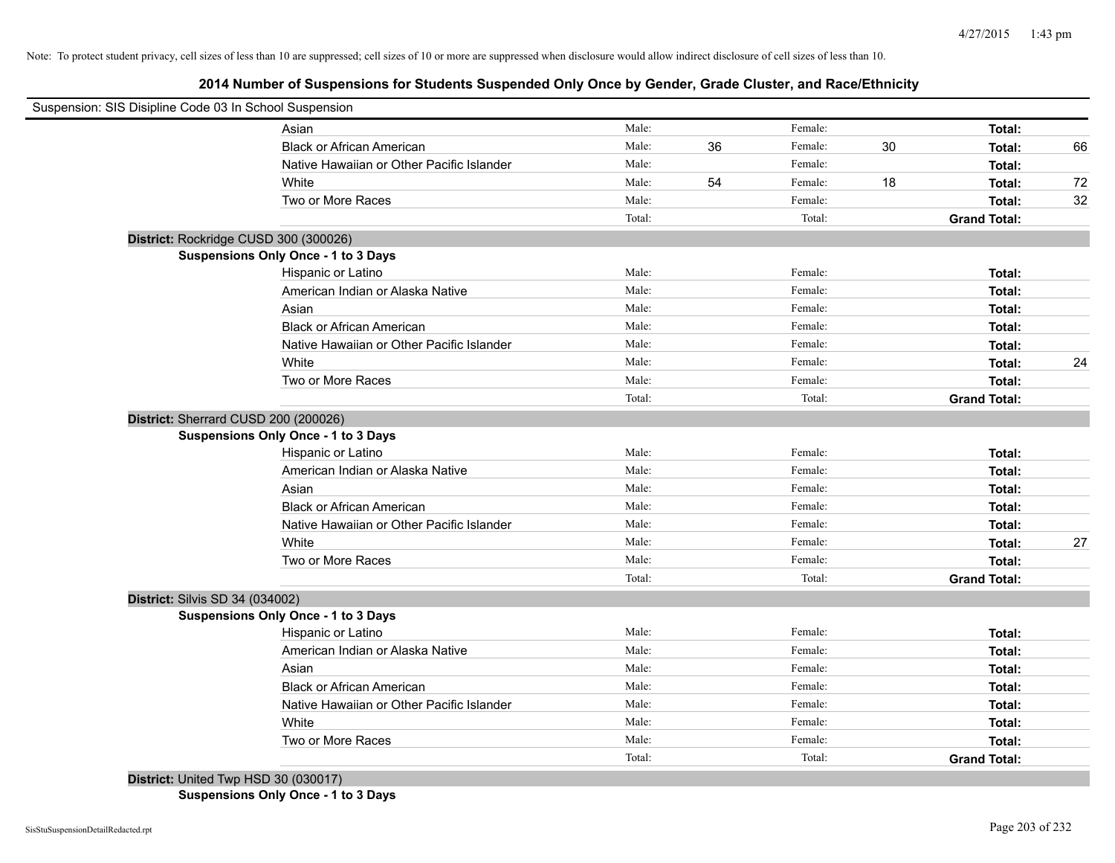**2014 Number of Suspensions for Students Suspended Only Once by Gender, Grade Cluster, and Race/Ethnicity**

| Suspension: SIS Disipline Code 03 In School Suspension |                                            |        |    |         |    |                     |    |
|--------------------------------------------------------|--------------------------------------------|--------|----|---------|----|---------------------|----|
|                                                        | Asian                                      | Male:  |    | Female: |    | Total:              |    |
|                                                        | <b>Black or African American</b>           | Male:  | 36 | Female: | 30 | Total:              | 66 |
|                                                        | Native Hawaiian or Other Pacific Islander  | Male:  |    | Female: |    | Total:              |    |
|                                                        | White                                      | Male:  | 54 | Female: | 18 | Total:              | 72 |
|                                                        | Two or More Races                          | Male:  |    | Female: |    | Total:              | 32 |
|                                                        |                                            | Total: |    | Total:  |    | <b>Grand Total:</b> |    |
| District: Rockridge CUSD 300 (300026)                  |                                            |        |    |         |    |                     |    |
|                                                        | <b>Suspensions Only Once - 1 to 3 Days</b> |        |    |         |    |                     |    |
|                                                        | Hispanic or Latino                         | Male:  |    | Female: |    | Total:              |    |
|                                                        | American Indian or Alaska Native           | Male:  |    | Female: |    | Total:              |    |
|                                                        | Asian                                      | Male:  |    | Female: |    | Total:              |    |
|                                                        | <b>Black or African American</b>           | Male:  |    | Female: |    | Total:              |    |
|                                                        | Native Hawaiian or Other Pacific Islander  | Male:  |    | Female: |    | Total:              |    |
|                                                        | White                                      | Male:  |    | Female: |    | Total:              | 24 |
|                                                        | Two or More Races                          | Male:  |    | Female: |    | Total:              |    |
|                                                        |                                            | Total: |    | Total:  |    | <b>Grand Total:</b> |    |
| District: Sherrard CUSD 200 (200026)                   |                                            |        |    |         |    |                     |    |
|                                                        | <b>Suspensions Only Once - 1 to 3 Days</b> |        |    |         |    |                     |    |
|                                                        | Hispanic or Latino                         | Male:  |    | Female: |    | Total:              |    |
|                                                        | American Indian or Alaska Native           | Male:  |    | Female: |    | Total:              |    |
|                                                        | Asian                                      | Male:  |    | Female: |    | Total:              |    |
|                                                        | <b>Black or African American</b>           | Male:  |    | Female: |    | Total:              |    |
|                                                        | Native Hawaiian or Other Pacific Islander  | Male:  |    | Female: |    | Total:              |    |
|                                                        | White                                      | Male:  |    | Female: |    | Total:              | 27 |
|                                                        | Two or More Races                          | Male:  |    | Female: |    | Total:              |    |
|                                                        |                                            | Total: |    | Total:  |    | <b>Grand Total:</b> |    |
| District: Silvis SD 34 (034002)                        |                                            |        |    |         |    |                     |    |
|                                                        | Suspensions Only Once - 1 to 3 Days        |        |    |         |    |                     |    |
|                                                        | Hispanic or Latino                         | Male:  |    | Female: |    | Total:              |    |
|                                                        | American Indian or Alaska Native           | Male:  |    | Female: |    | Total:              |    |
|                                                        | Asian                                      | Male:  |    | Female: |    | Total:              |    |
|                                                        | <b>Black or African American</b>           | Male:  |    | Female: |    | Total:              |    |
|                                                        | Native Hawaiian or Other Pacific Islander  | Male:  |    | Female: |    | Total:              |    |
|                                                        | White                                      | Male:  |    | Female: |    | Total:              |    |
|                                                        | Two or More Races                          | Male:  |    | Female: |    | Total:              |    |
|                                                        |                                            |        |    |         |    |                     |    |

**Suspensions Only Once - 1 to 3 Days**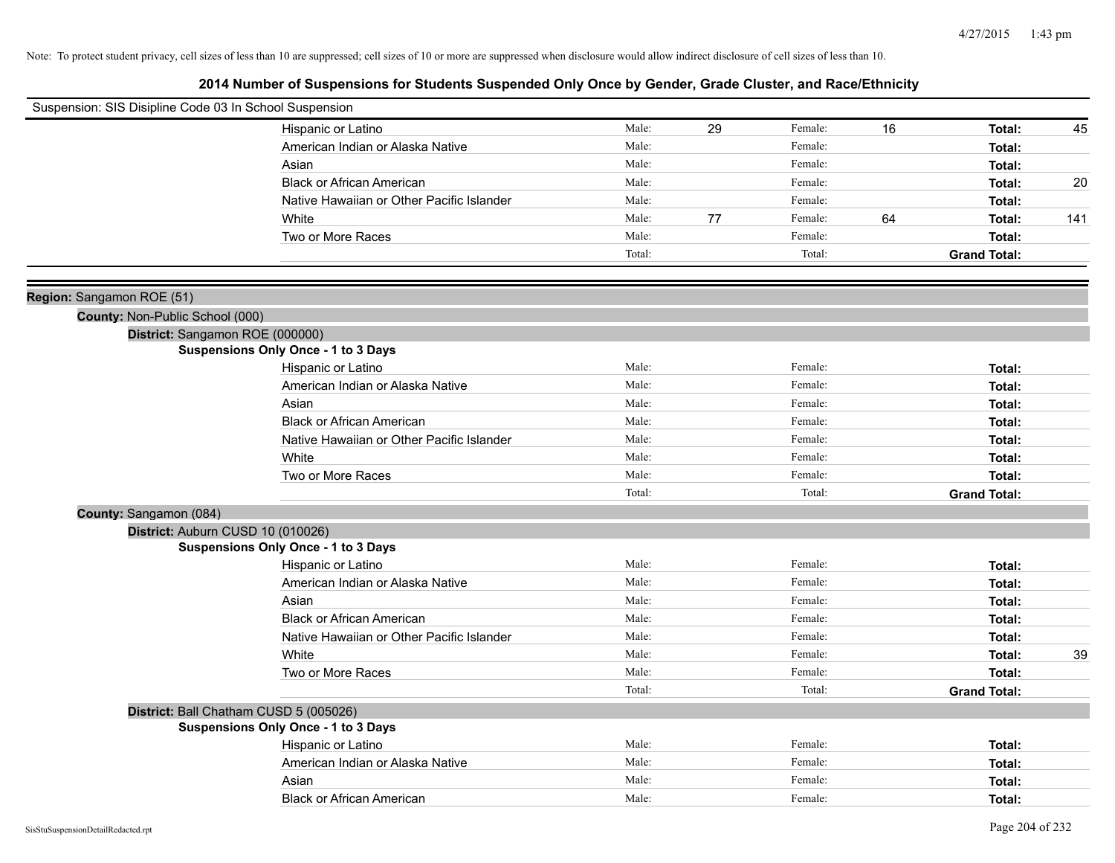| Suspension: SIS Disipline Code 03 In School Suspension |                                            |        |    |         |    |                     |     |
|--------------------------------------------------------|--------------------------------------------|--------|----|---------|----|---------------------|-----|
|                                                        | Hispanic or Latino                         | Male:  | 29 | Female: | 16 | Total:              | 45  |
|                                                        | American Indian or Alaska Native           | Male:  |    | Female: |    | Total:              |     |
|                                                        | Asian                                      | Male:  |    | Female: |    | Total:              |     |
|                                                        | <b>Black or African American</b>           | Male:  |    | Female: |    | Total:              | 20  |
|                                                        | Native Hawaiian or Other Pacific Islander  | Male:  |    | Female: |    | Total:              |     |
|                                                        | White                                      | Male:  | 77 | Female: | 64 | Total:              | 141 |
|                                                        | Two or More Races                          | Male:  |    | Female: |    | Total:              |     |
|                                                        |                                            | Total: |    | Total:  |    | <b>Grand Total:</b> |     |
| Region: Sangamon ROE (51)                              |                                            |        |    |         |    |                     |     |
| County: Non-Public School (000)                        |                                            |        |    |         |    |                     |     |
|                                                        | District: Sangamon ROE (000000)            |        |    |         |    |                     |     |
|                                                        | <b>Suspensions Only Once - 1 to 3 Days</b> |        |    |         |    |                     |     |
|                                                        | Hispanic or Latino                         | Male:  |    | Female: |    | Total:              |     |
|                                                        | American Indian or Alaska Native           | Male:  |    | Female: |    | Total:              |     |
|                                                        | Asian                                      | Male:  |    | Female: |    | Total:              |     |
|                                                        | <b>Black or African American</b>           | Male:  |    | Female: |    | Total:              |     |
|                                                        | Native Hawaiian or Other Pacific Islander  | Male:  |    | Female: |    | Total:              |     |
|                                                        | White                                      | Male:  |    | Female: |    | Total:              |     |
|                                                        | Two or More Races                          | Male:  |    | Female: |    | Total:              |     |
|                                                        |                                            | Total: |    | Total:  |    | <b>Grand Total:</b> |     |
| County: Sangamon (084)                                 |                                            |        |    |         |    |                     |     |
|                                                        | District: Auburn CUSD 10 (010026)          |        |    |         |    |                     |     |
|                                                        | <b>Suspensions Only Once - 1 to 3 Days</b> |        |    |         |    |                     |     |
|                                                        | Hispanic or Latino                         | Male:  |    | Female: |    | Total:              |     |
|                                                        | American Indian or Alaska Native           | Male:  |    | Female: |    | Total:              |     |
|                                                        | Asian                                      | Male:  |    | Female: |    | Total:              |     |
|                                                        | <b>Black or African American</b>           | Male:  |    | Female: |    | Total:              |     |
|                                                        | Native Hawaiian or Other Pacific Islander  | Male:  |    | Female: |    | Total:              |     |
|                                                        | White                                      | Male:  |    | Female: |    | Total:              | 39  |
|                                                        | Two or More Races                          | Male:  |    | Female: |    | Total:              |     |
|                                                        |                                            | Total: |    | Total:  |    | <b>Grand Total:</b> |     |
|                                                        | District: Ball Chatham CUSD 5 (005026)     |        |    |         |    |                     |     |
|                                                        | <b>Suspensions Only Once - 1 to 3 Days</b> |        |    |         |    |                     |     |
|                                                        | Hispanic or Latino                         | Male:  |    | Female: |    | Total:              |     |
|                                                        | American Indian or Alaska Native           | Male:  |    | Female: |    | Total:              |     |
|                                                        | Asian                                      | Male:  |    | Female: |    | Total:              |     |
|                                                        | <b>Black or African American</b>           | Male:  |    | Female: |    | Total:              |     |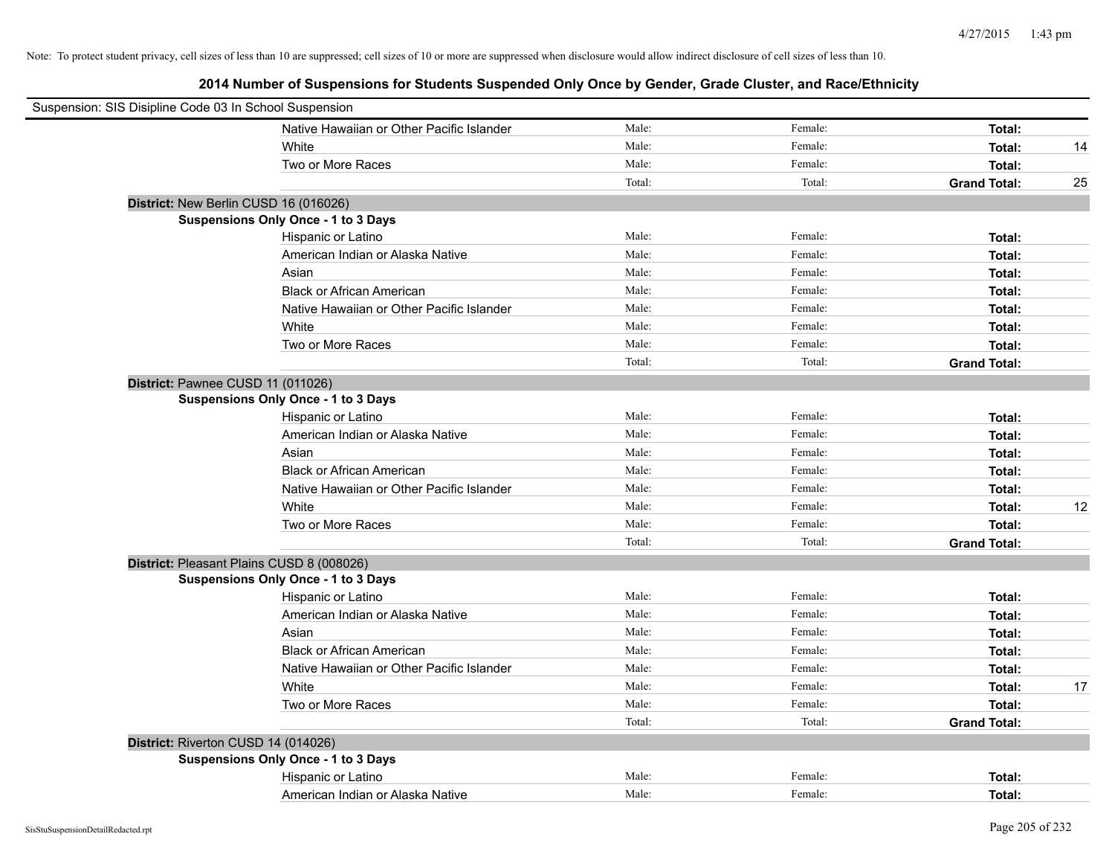| Suspension: SIS Disipline Code 03 In School Suspension |                                           |        |         |                     |    |
|--------------------------------------------------------|-------------------------------------------|--------|---------|---------------------|----|
|                                                        | Native Hawaiian or Other Pacific Islander | Male:  | Female: | Total:              |    |
|                                                        | White                                     | Male:  | Female: | Total:              | 14 |
|                                                        | Two or More Races                         | Male:  | Female: | Total:              |    |
|                                                        |                                           | Total: | Total:  | <b>Grand Total:</b> | 25 |
|                                                        | District: New Berlin CUSD 16 (016026)     |        |         |                     |    |
|                                                        | Suspensions Only Once - 1 to 3 Days       |        |         |                     |    |
|                                                        | Hispanic or Latino                        | Male:  | Female: | Total:              |    |
|                                                        | American Indian or Alaska Native          | Male:  | Female: | Total:              |    |
|                                                        | Asian                                     | Male:  | Female: | Total:              |    |
|                                                        | <b>Black or African American</b>          | Male:  | Female: | Total:              |    |
|                                                        | Native Hawaiian or Other Pacific Islander | Male:  | Female: | Total:              |    |
|                                                        | White                                     | Male:  | Female: | Total:              |    |
|                                                        | Two or More Races                         | Male:  | Female: | Total:              |    |
|                                                        |                                           | Total: | Total:  | <b>Grand Total:</b> |    |
| District: Pawnee CUSD 11 (011026)                      |                                           |        |         |                     |    |
|                                                        | Suspensions Only Once - 1 to 3 Days       |        |         |                     |    |
|                                                        | Hispanic or Latino                        | Male:  | Female: | Total:              |    |
|                                                        | American Indian or Alaska Native          | Male:  | Female: | Total:              |    |
|                                                        | Asian                                     | Male:  | Female: | Total:              |    |
|                                                        | <b>Black or African American</b>          | Male:  | Female: | Total:              |    |
|                                                        | Native Hawaiian or Other Pacific Islander | Male:  | Female: | Total:              |    |
|                                                        | White                                     | Male:  | Female: | Total:              | 12 |
|                                                        | Two or More Races                         | Male:  | Female: | Total:              |    |
|                                                        |                                           | Total: | Total:  | <b>Grand Total:</b> |    |
|                                                        | District: Pleasant Plains CUSD 8 (008026) |        |         |                     |    |
|                                                        | Suspensions Only Once - 1 to 3 Days       |        |         |                     |    |
|                                                        | Hispanic or Latino                        | Male:  | Female: | Total:              |    |
|                                                        | American Indian or Alaska Native          | Male:  | Female: | Total:              |    |
|                                                        | Asian                                     | Male:  | Female: | Total:              |    |
|                                                        | <b>Black or African American</b>          | Male:  | Female: | Total:              |    |
|                                                        | Native Hawaiian or Other Pacific Islander | Male:  | Female: | Total:              |    |
|                                                        | White                                     | Male:  | Female: | Total:              | 17 |
|                                                        | Two or More Races                         | Male:  | Female: | Total:              |    |
|                                                        |                                           | Total: | Total:  | <b>Grand Total:</b> |    |
| District: Riverton CUSD 14 (014026)                    |                                           |        |         |                     |    |
|                                                        | Suspensions Only Once - 1 to 3 Days       |        |         |                     |    |
|                                                        | Hispanic or Latino                        | Male:  | Female: | Total:              |    |
|                                                        | American Indian or Alaska Native          | Male:  | Female: | Total:              |    |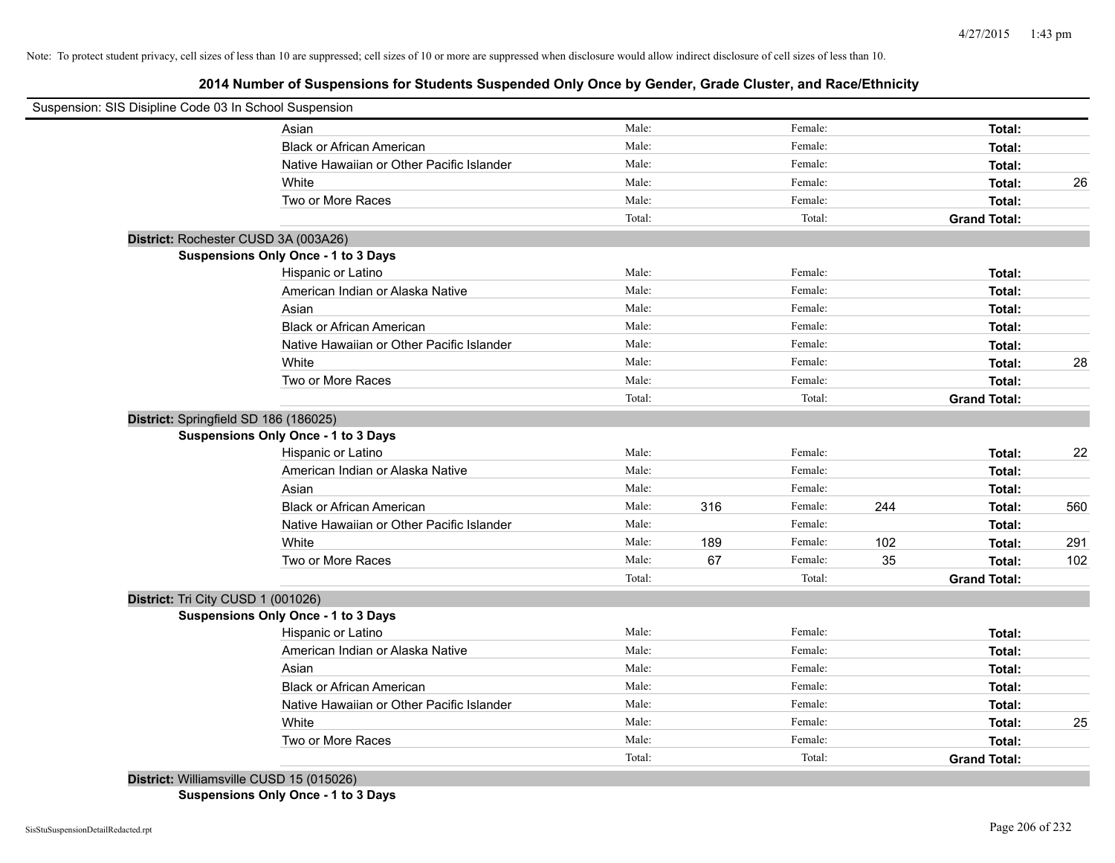# **2014 Number of Suspensions for Students Suspended Only Once by Gender, Grade Cluster, and Race/Ethnicity**

| Suspension: SIS Disipline Code 03 In School Suspension |                                           |        |     |         |     |                     |     |
|--------------------------------------------------------|-------------------------------------------|--------|-----|---------|-----|---------------------|-----|
|                                                        | Asian                                     | Male:  |     | Female: |     | Total:              |     |
|                                                        | <b>Black or African American</b>          | Male:  |     | Female: |     | Total:              |     |
|                                                        | Native Hawaiian or Other Pacific Islander | Male:  |     | Female: |     | Total:              |     |
|                                                        | White                                     | Male:  |     | Female: |     | Total:              | 26  |
|                                                        | Two or More Races                         | Male:  |     | Female: |     | Total:              |     |
|                                                        |                                           | Total: |     | Total:  |     | <b>Grand Total:</b> |     |
| District: Rochester CUSD 3A (003A26)                   |                                           |        |     |         |     |                     |     |
|                                                        | Suspensions Only Once - 1 to 3 Days       |        |     |         |     |                     |     |
|                                                        | Hispanic or Latino                        | Male:  |     | Female: |     | Total:              |     |
|                                                        | American Indian or Alaska Native          | Male:  |     | Female: |     | Total:              |     |
|                                                        | Asian                                     | Male:  |     | Female: |     | Total:              |     |
|                                                        | <b>Black or African American</b>          | Male:  |     | Female: |     | Total:              |     |
|                                                        | Native Hawaiian or Other Pacific Islander | Male:  |     | Female: |     | Total:              |     |
|                                                        | White                                     | Male:  |     | Female: |     | Total:              | 28  |
|                                                        | Two or More Races                         | Male:  |     | Female: |     | Total:              |     |
|                                                        |                                           | Total: |     | Total:  |     | <b>Grand Total:</b> |     |
| District: Springfield SD 186 (186025)                  |                                           |        |     |         |     |                     |     |
|                                                        | Suspensions Only Once - 1 to 3 Days       |        |     |         |     |                     |     |
|                                                        | Hispanic or Latino                        | Male:  |     | Female: |     | Total:              | 22  |
|                                                        | American Indian or Alaska Native          | Male:  |     | Female: |     | Total:              |     |
|                                                        | Asian                                     | Male:  |     | Female: |     | Total:              |     |
|                                                        | <b>Black or African American</b>          | Male:  | 316 | Female: | 244 | Total:              | 560 |
|                                                        | Native Hawaiian or Other Pacific Islander | Male:  |     | Female: |     | Total:              |     |
|                                                        | White                                     | Male:  | 189 | Female: | 102 | Total:              | 291 |
|                                                        | Two or More Races                         | Male:  | 67  | Female: | 35  | Total:              | 102 |
|                                                        |                                           | Total: |     | Total:  |     | <b>Grand Total:</b> |     |
| District: Tri City CUSD 1 (001026)                     |                                           |        |     |         |     |                     |     |
|                                                        | Suspensions Only Once - 1 to 3 Days       |        |     |         |     |                     |     |
|                                                        | Hispanic or Latino                        | Male:  |     | Female: |     | Total:              |     |
|                                                        | American Indian or Alaska Native          | Male:  |     | Female: |     | Total:              |     |
|                                                        | Asian                                     | Male:  |     | Female: |     | Total:              |     |
|                                                        | <b>Black or African American</b>          | Male:  |     | Female: |     | Total:              |     |
|                                                        | Native Hawaiian or Other Pacific Islander | Male:  |     | Female: |     | Total:              |     |
|                                                        | White                                     | Male:  |     | Female: |     | Total:              | 25  |
|                                                        | Two or More Races                         | Male:  |     | Female: |     | Total:              |     |
|                                                        |                                           | Total: |     | Total:  |     | <b>Grand Total:</b> |     |

**Suspensions Only Once - 1 to 3 Days**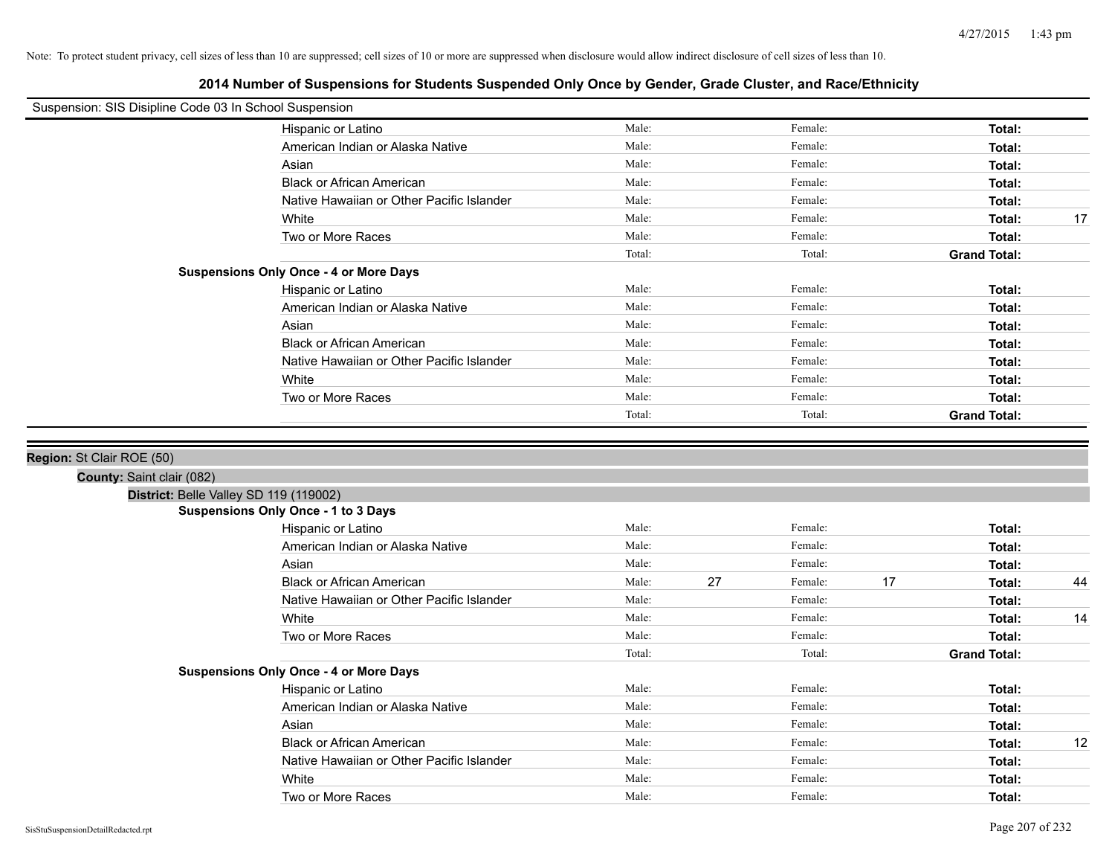| Suspension: SIS Disipline Code 03 In School Suspension |                                               |                |    |                    |    |                     |    |
|--------------------------------------------------------|-----------------------------------------------|----------------|----|--------------------|----|---------------------|----|
|                                                        | Hispanic or Latino                            | Male:          |    | Female:            |    | Total:              |    |
|                                                        | American Indian or Alaska Native              | Male:          |    | Female:            |    | Total:              |    |
|                                                        | Asian                                         | Male:          |    | Female:            |    | Total:              |    |
|                                                        | <b>Black or African American</b>              | Male:          |    | Female:            |    | Total:              |    |
|                                                        | Native Hawaiian or Other Pacific Islander     | Male:          |    | Female:            |    | Total:              |    |
|                                                        | White                                         | Male:          |    | Female:            |    | Total:              | 17 |
|                                                        | Two or More Races                             | Male:          |    | Female:            |    | Total:              |    |
|                                                        |                                               | Total:         |    | Total:             |    | <b>Grand Total:</b> |    |
|                                                        | <b>Suspensions Only Once - 4 or More Days</b> |                |    |                    |    |                     |    |
|                                                        | Hispanic or Latino                            | Male:          |    | Female:            |    | Total:              |    |
|                                                        | American Indian or Alaska Native              | Male:          |    | Female:            |    | Total:              |    |
|                                                        | Asian                                         | Male:          |    | Female:            |    | Total:              |    |
|                                                        | <b>Black or African American</b>              | Male:          |    | Female:            |    | Total:              |    |
|                                                        | Native Hawaiian or Other Pacific Islander     | Male:          |    | Female:            |    | Total:              |    |
|                                                        | White                                         | Male:          |    | Female:            |    | Total:              |    |
|                                                        | Two or More Races                             | Male:          |    | Female:            |    | Total:              |    |
|                                                        |                                               | Total:         |    | Total:             |    | <b>Grand Total:</b> |    |
| County: Saint clair (082)                              |                                               |                |    |                    |    |                     |    |
| District: Belle Valley SD 119 (119002)                 |                                               |                |    |                    |    |                     |    |
|                                                        | Suspensions Only Once - 1 to 3 Days           | Male:          |    | Female:            |    |                     |    |
|                                                        | Hispanic or Latino                            |                |    |                    |    | Total:              |    |
|                                                        | American Indian or Alaska Native              | Male:          |    | Female:            |    | Total:              |    |
|                                                        | Asian                                         | Male:<br>Male: |    | Female:<br>Female: |    | Total:              |    |
|                                                        | <b>Black or African American</b>              | Male:          | 27 |                    | 17 | Total:              | 44 |
|                                                        | Native Hawaiian or Other Pacific Islander     |                |    | Female:            |    | Total:              |    |
|                                                        | White                                         | Male:<br>Male: |    | Female:            |    | Total:              | 14 |
|                                                        | Two or More Races                             |                |    | Female:<br>Total:  |    | Total:              |    |
|                                                        | <b>Suspensions Only Once - 4 or More Days</b> | Total:         |    |                    |    | <b>Grand Total:</b> |    |
|                                                        | Hispanic or Latino                            | Male:          |    | Female:            |    | Total:              |    |
|                                                        | American Indian or Alaska Native              | Male:          |    | Female:            |    | Total:              |    |
|                                                        | Asian                                         | Male:          |    | Female:            |    | Total:              |    |
|                                                        | <b>Black or African American</b>              | Male:          |    | Female:            |    | Total:              | 12 |
|                                                        | Native Hawaiian or Other Pacific Islander     | Male:          |    | Female:            |    | Total:              |    |
|                                                        |                                               | Male:          |    | Female:            |    |                     |    |
|                                                        |                                               |                |    |                    |    |                     |    |
|                                                        | White<br>Two or More Races                    | Male:          |    | Female:            |    | Total:<br>Total:    |    |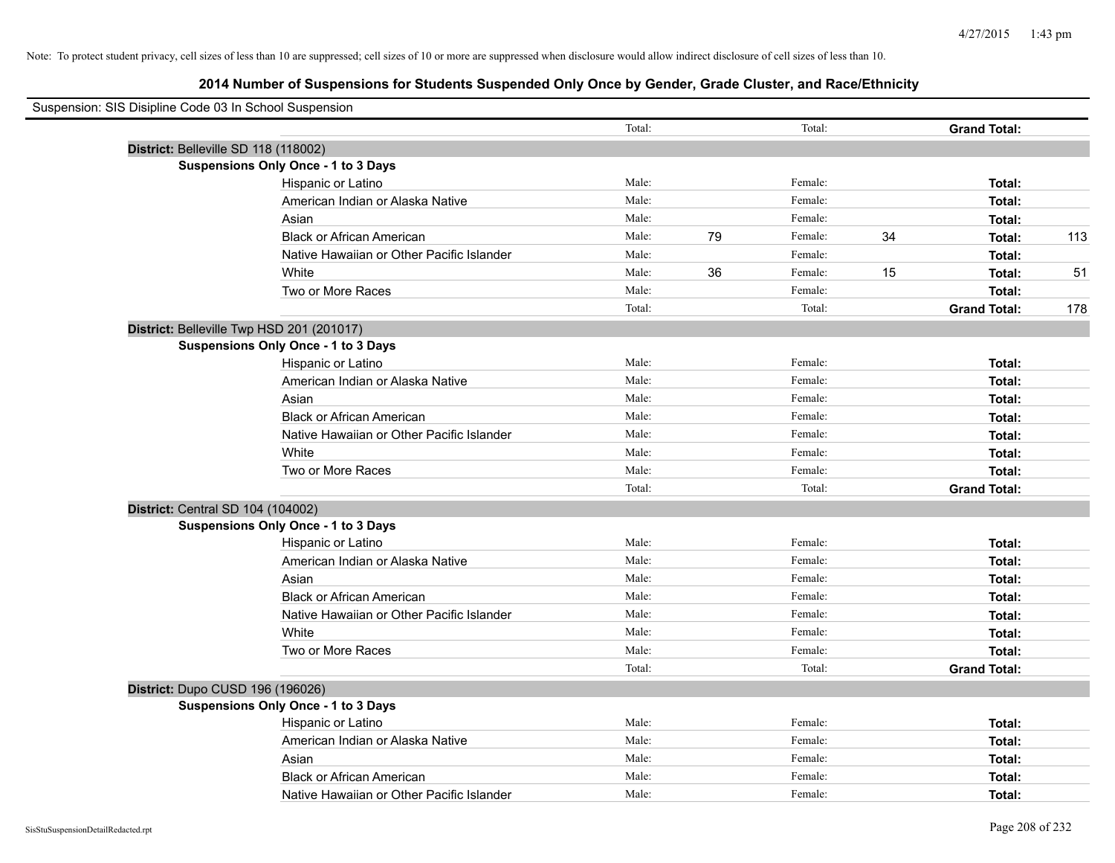| Suspension: SIS Disipline Code 03 In School Suspension |        |    |         |    |                     |     |
|--------------------------------------------------------|--------|----|---------|----|---------------------|-----|
|                                                        | Total: |    | Total:  |    | <b>Grand Total:</b> |     |
| District: Belleville SD 118 (118002)                   |        |    |         |    |                     |     |
| <b>Suspensions Only Once - 1 to 3 Days</b>             |        |    |         |    |                     |     |
| Hispanic or Latino                                     | Male:  |    | Female: |    | Total:              |     |
| American Indian or Alaska Native                       | Male:  |    | Female: |    | Total:              |     |
| Asian                                                  | Male:  |    | Female: |    | Total:              |     |
| <b>Black or African American</b>                       | Male:  | 79 | Female: | 34 | Total:              | 113 |
| Native Hawaiian or Other Pacific Islander              | Male:  |    | Female: |    | Total:              |     |
| White                                                  | Male:  | 36 | Female: | 15 | Total:              | 51  |
| Two or More Races                                      | Male:  |    | Female: |    | Total:              |     |
|                                                        | Total: |    | Total:  |    | <b>Grand Total:</b> | 178 |
| District: Belleville Twp HSD 201 (201017)              |        |    |         |    |                     |     |
| Suspensions Only Once - 1 to 3 Days                    |        |    |         |    |                     |     |
| Hispanic or Latino                                     | Male:  |    | Female: |    | Total:              |     |
| American Indian or Alaska Native                       | Male:  |    | Female: |    | Total:              |     |
| Asian                                                  | Male:  |    | Female: |    | Total:              |     |
| <b>Black or African American</b>                       | Male:  |    | Female: |    | Total:              |     |
| Native Hawaiian or Other Pacific Islander              | Male:  |    | Female: |    | Total:              |     |
| White                                                  | Male:  |    | Female: |    | Total:              |     |
| Two or More Races                                      | Male:  |    | Female: |    | Total:              |     |
|                                                        | Total: |    | Total:  |    | <b>Grand Total:</b> |     |
| District: Central SD 104 (104002)                      |        |    |         |    |                     |     |
| <b>Suspensions Only Once - 1 to 3 Days</b>             |        |    |         |    |                     |     |
| Hispanic or Latino                                     | Male:  |    | Female: |    | Total:              |     |
| American Indian or Alaska Native                       | Male:  |    | Female: |    | Total:              |     |
| Asian                                                  | Male:  |    | Female: |    | Total:              |     |
| <b>Black or African American</b>                       | Male:  |    | Female: |    | Total:              |     |
| Native Hawaiian or Other Pacific Islander              | Male:  |    | Female: |    | Total:              |     |
| White                                                  | Male:  |    | Female: |    | Total:              |     |
| Two or More Races                                      | Male:  |    | Female: |    | Total:              |     |
|                                                        | Total: |    | Total:  |    | <b>Grand Total:</b> |     |
| District: Dupo CUSD 196 (196026)                       |        |    |         |    |                     |     |
| <b>Suspensions Only Once - 1 to 3 Days</b>             |        |    |         |    |                     |     |
| Hispanic or Latino                                     | Male:  |    | Female: |    | Total:              |     |
| American Indian or Alaska Native                       | Male:  |    | Female: |    | Total:              |     |
| Asian                                                  | Male:  |    | Female: |    | Total:              |     |
| <b>Black or African American</b>                       | Male:  |    | Female: |    | Total:              |     |
| Native Hawaiian or Other Pacific Islander              | Male:  |    | Female: |    | Total:              |     |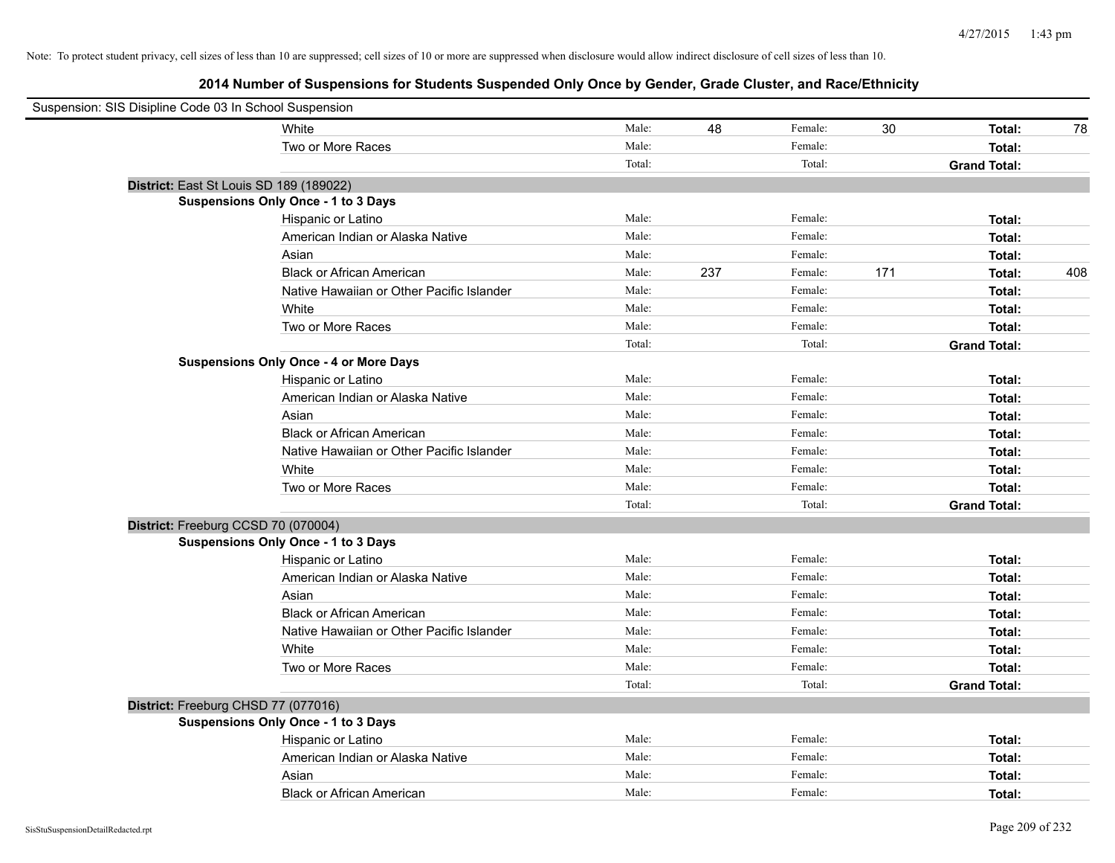| Suspension: SIS Disipline Code 03 In School Suspension |                                               |        |     |         |     |                     |     |
|--------------------------------------------------------|-----------------------------------------------|--------|-----|---------|-----|---------------------|-----|
|                                                        | White                                         | Male:  | 48  | Female: | 30  | Total:              | 78  |
|                                                        | Two or More Races                             | Male:  |     | Female: |     | Total:              |     |
|                                                        |                                               | Total: |     | Total:  |     | <b>Grand Total:</b> |     |
| District: East St Louis SD 189 (189022)                |                                               |        |     |         |     |                     |     |
|                                                        | <b>Suspensions Only Once - 1 to 3 Days</b>    |        |     |         |     |                     |     |
|                                                        | Hispanic or Latino                            | Male:  |     | Female: |     | Total:              |     |
|                                                        | American Indian or Alaska Native              | Male:  |     | Female: |     | Total:              |     |
|                                                        | Asian                                         | Male:  |     | Female: |     | Total:              |     |
|                                                        | <b>Black or African American</b>              | Male:  | 237 | Female: | 171 | Total:              | 408 |
|                                                        | Native Hawaiian or Other Pacific Islander     | Male:  |     | Female: |     | Total:              |     |
|                                                        | White                                         | Male:  |     | Female: |     | Total:              |     |
|                                                        | Two or More Races                             | Male:  |     | Female: |     | Total:              |     |
|                                                        |                                               | Total: |     | Total:  |     | <b>Grand Total:</b> |     |
|                                                        | <b>Suspensions Only Once - 4 or More Days</b> |        |     |         |     |                     |     |
|                                                        | Hispanic or Latino                            | Male:  |     | Female: |     | Total:              |     |
|                                                        | American Indian or Alaska Native              | Male:  |     | Female: |     | Total:              |     |
|                                                        | Asian                                         | Male:  |     | Female: |     | Total:              |     |
|                                                        | <b>Black or African American</b>              | Male:  |     | Female: |     | Total:              |     |
|                                                        | Native Hawaiian or Other Pacific Islander     | Male:  |     | Female: |     | Total:              |     |
|                                                        | White                                         | Male:  |     | Female: |     | Total:              |     |
|                                                        | Two or More Races                             | Male:  |     | Female: |     | Total:              |     |
|                                                        |                                               | Total: |     | Total:  |     | <b>Grand Total:</b> |     |
| District: Freeburg CCSD 70 (070004)                    |                                               |        |     |         |     |                     |     |
|                                                        | <b>Suspensions Only Once - 1 to 3 Days</b>    |        |     |         |     |                     |     |
|                                                        | Hispanic or Latino                            | Male:  |     | Female: |     | Total:              |     |
|                                                        | American Indian or Alaska Native              | Male:  |     | Female: |     | Total:              |     |
|                                                        | Asian                                         | Male:  |     | Female: |     | Total:              |     |
|                                                        | <b>Black or African American</b>              | Male:  |     | Female: |     | Total:              |     |
|                                                        | Native Hawaiian or Other Pacific Islander     | Male:  |     | Female: |     | Total:              |     |
|                                                        | White                                         | Male:  |     | Female: |     | Total:              |     |
|                                                        | Two or More Races                             | Male:  |     | Female: |     | Total:              |     |
|                                                        |                                               | Total: |     | Total:  |     | <b>Grand Total:</b> |     |
| District: Freeburg CHSD 77 (077016)                    |                                               |        |     |         |     |                     |     |
|                                                        | <b>Suspensions Only Once - 1 to 3 Days</b>    |        |     |         |     |                     |     |
|                                                        | Hispanic or Latino                            | Male:  |     | Female: |     | Total:              |     |
|                                                        | American Indian or Alaska Native              | Male:  |     | Female: |     | Total:              |     |
|                                                        | Asian                                         | Male:  |     | Female: |     | Total:              |     |
|                                                        | <b>Black or African American</b>              | Male:  |     | Female: |     | Total:              |     |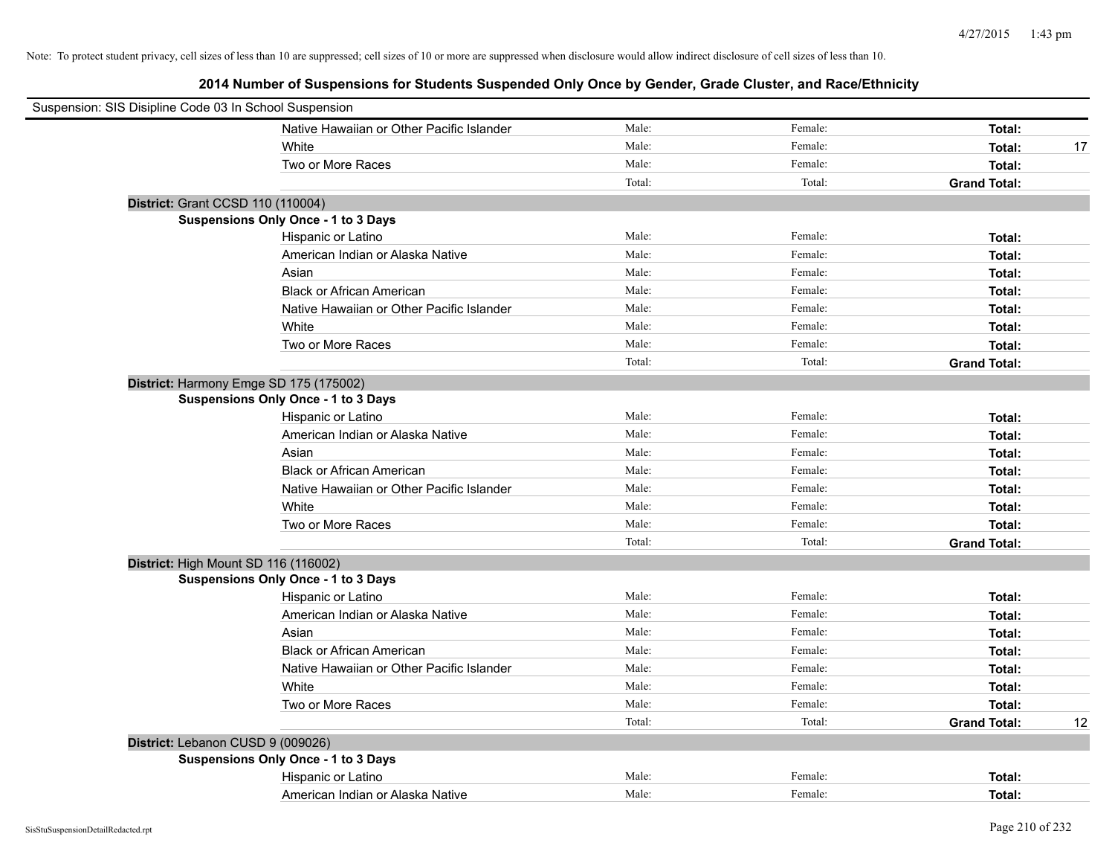| Suspension: SIS Disipline Code 03 In School Suspension |        |         |                     |    |
|--------------------------------------------------------|--------|---------|---------------------|----|
| Native Hawaiian or Other Pacific Islander              | Male:  | Female: | Total:              |    |
| White                                                  | Male:  | Female: | Total:              | 17 |
| Two or More Races                                      | Male:  | Female: | Total:              |    |
|                                                        | Total: | Total:  | <b>Grand Total:</b> |    |
| District: Grant CCSD 110 (110004)                      |        |         |                     |    |
| Suspensions Only Once - 1 to 3 Days                    |        |         |                     |    |
| Hispanic or Latino                                     | Male:  | Female: | Total:              |    |
| American Indian or Alaska Native                       | Male:  | Female: | Total:              |    |
| Asian                                                  | Male:  | Female: | Total:              |    |
| <b>Black or African American</b>                       | Male:  | Female: | Total:              |    |
| Native Hawaiian or Other Pacific Islander              | Male:  | Female: | Total:              |    |
| White                                                  | Male:  | Female: | Total:              |    |
| Two or More Races                                      | Male:  | Female: | Total:              |    |
|                                                        | Total: | Total:  | <b>Grand Total:</b> |    |
| District: Harmony Emge SD 175 (175002)                 |        |         |                     |    |
| Suspensions Only Once - 1 to 3 Days                    |        |         |                     |    |
| Hispanic or Latino                                     | Male:  | Female: | Total:              |    |
| American Indian or Alaska Native                       | Male:  | Female: | Total:              |    |
| Asian                                                  | Male:  | Female: | Total:              |    |
| <b>Black or African American</b>                       | Male:  | Female: | Total:              |    |
| Native Hawaiian or Other Pacific Islander              | Male:  | Female: | Total:              |    |
| White                                                  | Male:  | Female: | Total:              |    |
| Two or More Races                                      | Male:  | Female: | Total:              |    |
|                                                        | Total: | Total:  | <b>Grand Total:</b> |    |
| District: High Mount SD 116 (116002)                   |        |         |                     |    |
| <b>Suspensions Only Once - 1 to 3 Days</b>             |        |         |                     |    |
| Hispanic or Latino                                     | Male:  | Female: | Total:              |    |
| American Indian or Alaska Native                       | Male:  | Female: | Total:              |    |
| Asian                                                  | Male:  | Female: | Total:              |    |
| <b>Black or African American</b>                       | Male:  | Female: | Total:              |    |
| Native Hawaiian or Other Pacific Islander              | Male:  | Female: | Total:              |    |
| White                                                  | Male:  | Female: | Total:              |    |
| Two or More Races                                      | Male:  | Female: | Total:              |    |
|                                                        | Total: | Total:  | <b>Grand Total:</b> | 12 |
| District: Lebanon CUSD 9 (009026)                      |        |         |                     |    |
| Suspensions Only Once - 1 to 3 Days                    |        |         |                     |    |
| Hispanic or Latino                                     | Male:  | Female: | Total:              |    |
| American Indian or Alaska Native                       | Male:  | Female: | Total:              |    |
|                                                        |        |         |                     |    |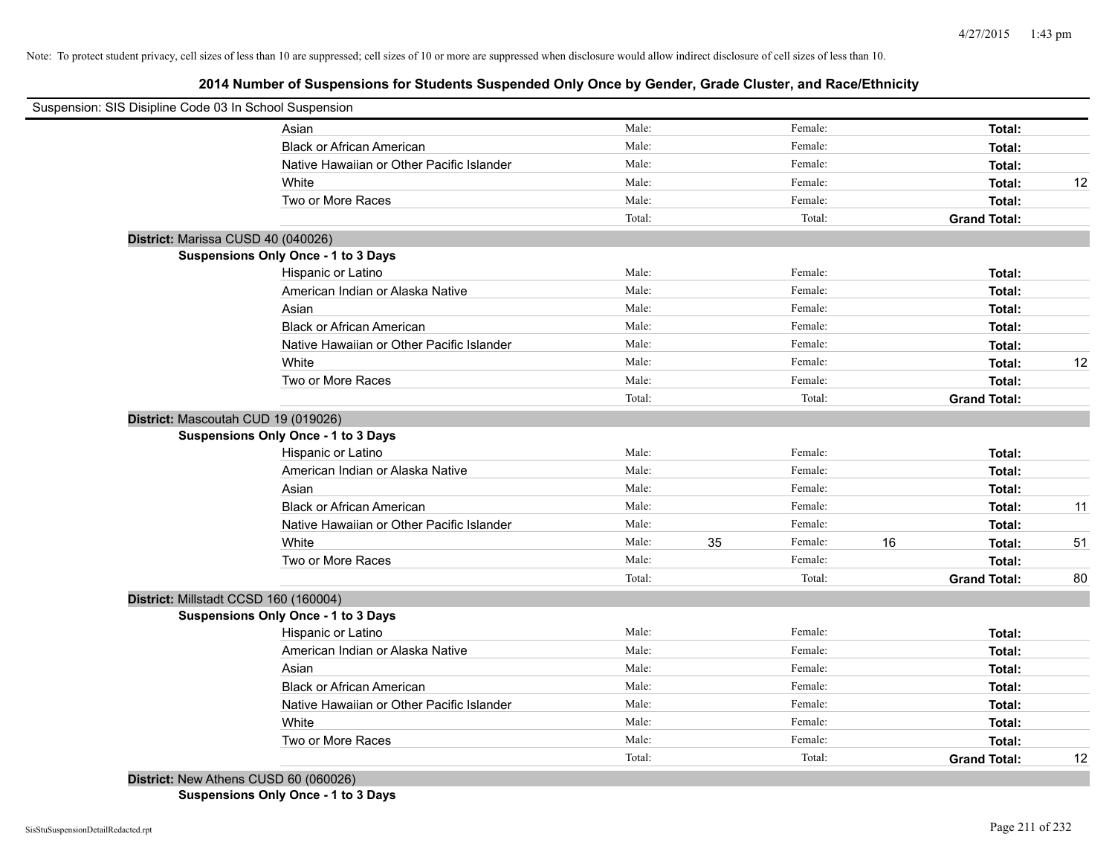# **2014 Number of Suspensions for Students Suspended Only Once by Gender, Grade Cluster, and Race/Ethnicity**

| Suspension: SIS Disipline Code 03 In School Suspension |                                            |        |    |         |    |                     |    |
|--------------------------------------------------------|--------------------------------------------|--------|----|---------|----|---------------------|----|
|                                                        | Asian                                      | Male:  |    | Female: |    | Total:              |    |
|                                                        | <b>Black or African American</b>           | Male:  |    | Female: |    | Total:              |    |
|                                                        | Native Hawaiian or Other Pacific Islander  | Male:  |    | Female: |    | Total:              |    |
|                                                        | White                                      | Male:  |    | Female: |    | Total:              | 12 |
|                                                        | Two or More Races                          | Male:  |    | Female: |    | Total:              |    |
|                                                        |                                            | Total: |    | Total:  |    | <b>Grand Total:</b> |    |
| District: Marissa CUSD 40 (040026)                     |                                            |        |    |         |    |                     |    |
|                                                        | Suspensions Only Once - 1 to 3 Days        |        |    |         |    |                     |    |
|                                                        | Hispanic or Latino                         | Male:  |    | Female: |    | Total:              |    |
|                                                        | American Indian or Alaska Native           | Male:  |    | Female: |    | Total:              |    |
|                                                        | Asian                                      | Male:  |    | Female: |    | Total:              |    |
|                                                        | <b>Black or African American</b>           | Male:  |    | Female: |    | Total:              |    |
|                                                        | Native Hawaiian or Other Pacific Islander  | Male:  |    | Female: |    | Total:              |    |
|                                                        | White                                      | Male:  |    | Female: |    | Total:              | 12 |
|                                                        | Two or More Races                          | Male:  |    | Female: |    | Total:              |    |
|                                                        |                                            | Total: |    | Total:  |    | <b>Grand Total:</b> |    |
| District: Mascoutah CUD 19 (019026)                    |                                            |        |    |         |    |                     |    |
|                                                        | <b>Suspensions Only Once - 1 to 3 Days</b> |        |    |         |    |                     |    |
|                                                        | Hispanic or Latino                         | Male:  |    | Female: |    | Total:              |    |
|                                                        | American Indian or Alaska Native           | Male:  |    | Female: |    | Total:              |    |
|                                                        | Asian                                      | Male:  |    | Female: |    | Total:              |    |
|                                                        | <b>Black or African American</b>           | Male:  |    | Female: |    | Total:              | 11 |
|                                                        | Native Hawaiian or Other Pacific Islander  | Male:  |    | Female: |    | Total:              |    |
|                                                        | White                                      | Male:  | 35 | Female: | 16 | Total:              | 51 |
|                                                        | Two or More Races                          | Male:  |    | Female: |    | Total:              |    |
|                                                        |                                            | Total: |    | Total:  |    | <b>Grand Total:</b> | 80 |
| District: Millstadt CCSD 160 (160004)                  |                                            |        |    |         |    |                     |    |
|                                                        | Suspensions Only Once - 1 to 3 Days        |        |    |         |    |                     |    |
|                                                        | Hispanic or Latino                         | Male:  |    | Female: |    | Total:              |    |
|                                                        | American Indian or Alaska Native           | Male:  |    | Female: |    | Total:              |    |
|                                                        | Asian                                      | Male:  |    | Female: |    | Total:              |    |
|                                                        | <b>Black or African American</b>           | Male:  |    | Female: |    | Total:              |    |
|                                                        | Native Hawaiian or Other Pacific Islander  | Male:  |    | Female: |    | Total:              |    |
|                                                        | White                                      | Male:  |    | Female: |    | Total:              |    |
|                                                        | Two or More Races                          | Male:  |    | Female: |    | Total:              |    |
|                                                        |                                            | Total: |    | Total:  |    | <b>Grand Total:</b> | 12 |
| District: New Athens CUSD 60 (060026)                  |                                            |        |    |         |    |                     |    |

**Suspensions Only Once - 1 to 3 Days**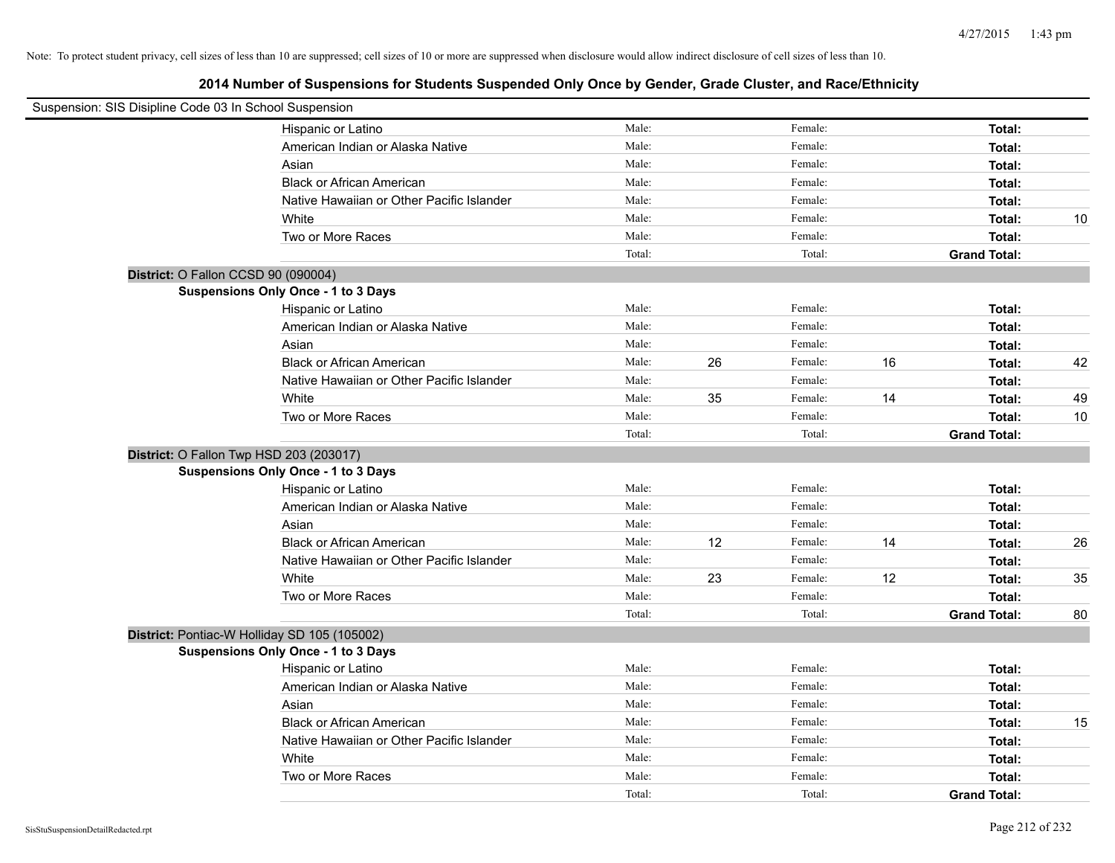| Suspension: SIS Disipline Code 03 In School Suspension |                                            |        |    |         |    |                     |    |
|--------------------------------------------------------|--------------------------------------------|--------|----|---------|----|---------------------|----|
|                                                        | Hispanic or Latino                         | Male:  |    | Female: |    | Total:              |    |
|                                                        | American Indian or Alaska Native           | Male:  |    | Female: |    | Total:              |    |
|                                                        | Asian                                      | Male:  |    | Female: |    | Total:              |    |
|                                                        | <b>Black or African American</b>           | Male:  |    | Female: |    | Total:              |    |
|                                                        | Native Hawaiian or Other Pacific Islander  | Male:  |    | Female: |    | Total:              |    |
|                                                        | White                                      | Male:  |    | Female: |    | Total:              | 10 |
|                                                        | Two or More Races                          | Male:  |    | Female: |    | Total:              |    |
|                                                        |                                            | Total: |    | Total:  |    | <b>Grand Total:</b> |    |
| District: O Fallon CCSD 90 (090004)                    |                                            |        |    |         |    |                     |    |
|                                                        | Suspensions Only Once - 1 to 3 Days        |        |    |         |    |                     |    |
|                                                        | Hispanic or Latino                         | Male:  |    | Female: |    | Total:              |    |
|                                                        | American Indian or Alaska Native           | Male:  |    | Female: |    | Total:              |    |
|                                                        | Asian                                      | Male:  |    | Female: |    | Total:              |    |
|                                                        | <b>Black or African American</b>           | Male:  | 26 | Female: | 16 | Total:              | 42 |
|                                                        | Native Hawaiian or Other Pacific Islander  | Male:  |    | Female: |    | Total:              |    |
|                                                        | White                                      | Male:  | 35 | Female: | 14 | Total:              | 49 |
|                                                        | Two or More Races                          | Male:  |    | Female: |    | Total:              | 10 |
|                                                        |                                            | Total: |    | Total:  |    | <b>Grand Total:</b> |    |
| District: O Fallon Twp HSD 203 (203017)                |                                            |        |    |         |    |                     |    |
|                                                        | <b>Suspensions Only Once - 1 to 3 Days</b> |        |    |         |    |                     |    |
|                                                        | Hispanic or Latino                         | Male:  |    | Female: |    | Total:              |    |
|                                                        | American Indian or Alaska Native           | Male:  |    | Female: |    | Total:              |    |
|                                                        | Asian                                      | Male:  |    | Female: |    | Total:              |    |
|                                                        | <b>Black or African American</b>           | Male:  | 12 | Female: | 14 | Total:              | 26 |
|                                                        | Native Hawaiian or Other Pacific Islander  | Male:  |    | Female: |    | Total:              |    |
|                                                        | White                                      | Male:  | 23 | Female: | 12 | Total:              | 35 |
|                                                        | Two or More Races                          | Male:  |    | Female: |    | Total:              |    |
|                                                        |                                            | Total: |    | Total:  |    | <b>Grand Total:</b> | 80 |
| District: Pontiac-W Holliday SD 105 (105002)           |                                            |        |    |         |    |                     |    |
|                                                        | <b>Suspensions Only Once - 1 to 3 Days</b> |        |    |         |    |                     |    |
|                                                        | Hispanic or Latino                         | Male:  |    | Female: |    | Total:              |    |
|                                                        | American Indian or Alaska Native           | Male:  |    | Female: |    | Total:              |    |
|                                                        | Asian                                      | Male:  |    | Female: |    | Total:              |    |
|                                                        | <b>Black or African American</b>           | Male:  |    | Female: |    | Total:              | 15 |
|                                                        | Native Hawaiian or Other Pacific Islander  | Male:  |    | Female: |    | Total:              |    |
|                                                        | White                                      | Male:  |    | Female: |    | Total:              |    |
|                                                        | Two or More Races                          | Male:  |    | Female: |    | Total:              |    |
|                                                        |                                            | Total: |    | Total:  |    | <b>Grand Total:</b> |    |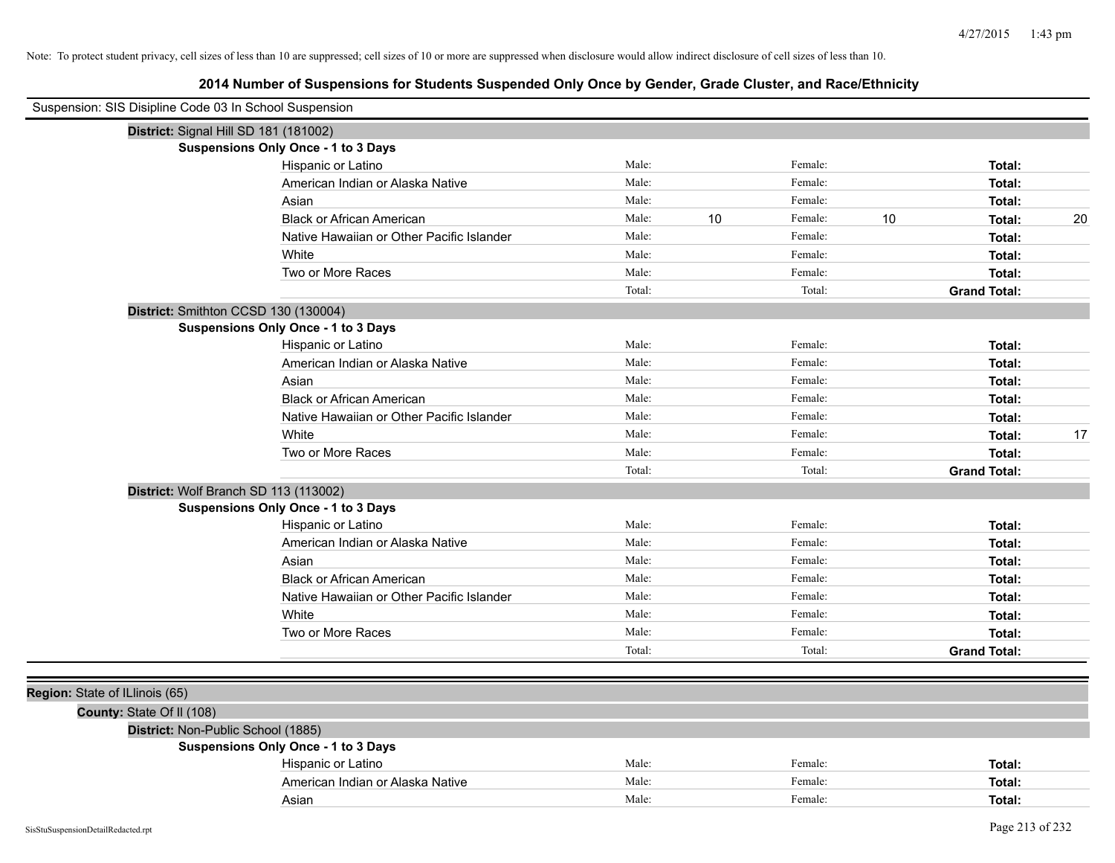| Suspension: SIS Disipline Code 03 In School Suspension |                                            |        |    |         |    |                     |    |
|--------------------------------------------------------|--------------------------------------------|--------|----|---------|----|---------------------|----|
| District: Signal Hill SD 181 (181002)                  |                                            |        |    |         |    |                     |    |
|                                                        | Suspensions Only Once - 1 to 3 Days        |        |    |         |    |                     |    |
|                                                        | Hispanic or Latino                         | Male:  |    | Female: |    | Total:              |    |
|                                                        | American Indian or Alaska Native           | Male:  |    | Female: |    | Total:              |    |
|                                                        | Asian                                      | Male:  |    | Female: |    | Total:              |    |
|                                                        | <b>Black or African American</b>           | Male:  | 10 | Female: | 10 | Total:              | 20 |
|                                                        | Native Hawaiian or Other Pacific Islander  | Male:  |    | Female: |    | Total:              |    |
|                                                        | White                                      | Male:  |    | Female: |    | Total:              |    |
|                                                        | Two or More Races                          | Male:  |    | Female: |    | Total:              |    |
|                                                        |                                            | Total: |    | Total:  |    | <b>Grand Total:</b> |    |
| District: Smithton CCSD 130 (130004)                   |                                            |        |    |         |    |                     |    |
|                                                        | <b>Suspensions Only Once - 1 to 3 Days</b> |        |    |         |    |                     |    |
|                                                        | Hispanic or Latino                         | Male:  |    | Female: |    | Total:              |    |
|                                                        | American Indian or Alaska Native           | Male:  |    | Female: |    | Total:              |    |
|                                                        | Asian                                      | Male:  |    | Female: |    | Total:              |    |
|                                                        | <b>Black or African American</b>           | Male:  |    | Female: |    | Total:              |    |
|                                                        | Native Hawaiian or Other Pacific Islander  | Male:  |    | Female: |    | Total:              |    |
|                                                        | White                                      | Male:  |    | Female: |    | Total:              | 17 |
|                                                        | Two or More Races                          | Male:  |    | Female: |    | Total:              |    |
|                                                        |                                            | Total: |    | Total:  |    | <b>Grand Total:</b> |    |
| District: Wolf Branch SD 113 (113002)                  |                                            |        |    |         |    |                     |    |
|                                                        | <b>Suspensions Only Once - 1 to 3 Days</b> |        |    |         |    |                     |    |
|                                                        | Hispanic or Latino                         | Male:  |    | Female: |    | Total:              |    |
|                                                        | American Indian or Alaska Native           | Male:  |    | Female: |    | Total:              |    |
|                                                        | Asian                                      | Male:  |    | Female: |    | Total:              |    |
|                                                        | <b>Black or African American</b>           | Male:  |    | Female: |    | Total:              |    |
|                                                        | Native Hawaiian or Other Pacific Islander  | Male:  |    | Female: |    | Total:              |    |
|                                                        | White                                      | Male:  |    | Female: |    | Total:              |    |
|                                                        | Two or More Races                          | Male:  |    | Female: |    | Total:              |    |
|                                                        |                                            | Total: |    | Total:  |    | <b>Grand Total:</b> |    |
|                                                        |                                            |        |    |         |    |                     |    |
| Region: State of ILlinois (65)                         |                                            |        |    |         |    |                     |    |
| County: State Of II (108)                              |                                            |        |    |         |    |                     |    |
| District: Non-Public School (1885)                     |                                            |        |    |         |    |                     |    |
|                                                        | Suspensions Only Once - 1 to 3 Days        |        |    |         |    |                     |    |
|                                                        | Hispanic or Latino                         | Male:  |    | Female: |    | Total:              |    |
|                                                        | American Indian or Alaska Native           | Male:  |    | Female: |    | Total:              |    |
|                                                        | Asian                                      | Male:  |    | Female: |    | Total:              |    |
|                                                        |                                            |        |    |         |    |                     |    |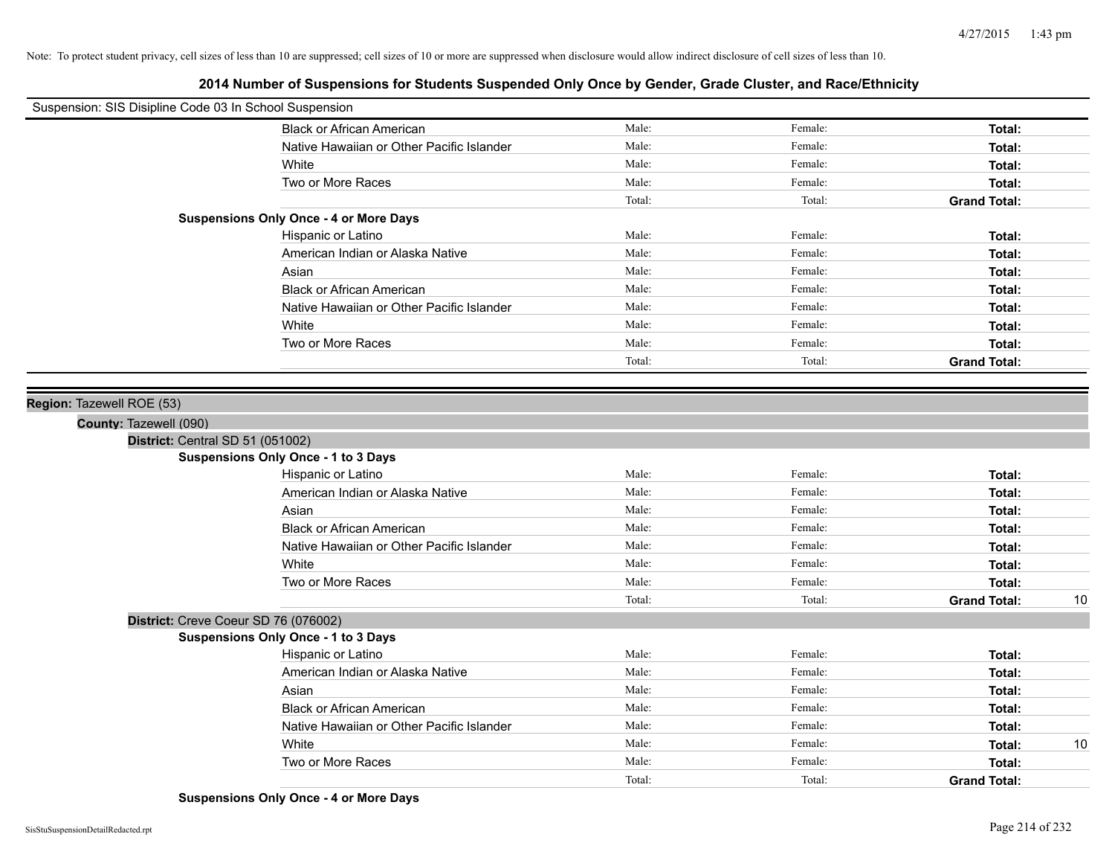# **2014 Number of Suspensions for Students Suspended Only Once by Gender, Grade Cluster, and Race/Ethnicity**

| Suspension: SIS Disipline Code 03 In School Suspension |                                               |        |         |                     |    |
|--------------------------------------------------------|-----------------------------------------------|--------|---------|---------------------|----|
|                                                        | <b>Black or African American</b>              | Male:  | Female: | Total:              |    |
|                                                        | Native Hawaiian or Other Pacific Islander     | Male:  | Female: | Total:              |    |
|                                                        | White                                         | Male:  | Female: | Total:              |    |
|                                                        | Two or More Races                             | Male:  | Female: | Total:              |    |
|                                                        |                                               | Total: | Total:  | <b>Grand Total:</b> |    |
|                                                        | <b>Suspensions Only Once - 4 or More Days</b> |        |         |                     |    |
|                                                        | Hispanic or Latino                            | Male:  | Female: | Total:              |    |
|                                                        | American Indian or Alaska Native              | Male:  | Female: | Total:              |    |
|                                                        | Asian                                         | Male:  | Female: | Total:              |    |
|                                                        | <b>Black or African American</b>              | Male:  | Female: | Total:              |    |
|                                                        | Native Hawaiian or Other Pacific Islander     | Male:  | Female: | Total:              |    |
|                                                        | White                                         | Male:  | Female: | Total:              |    |
|                                                        | Two or More Races                             | Male:  | Female: | Total:              |    |
|                                                        |                                               | Total: | Total:  | <b>Grand Total:</b> |    |
|                                                        |                                               |        |         |                     |    |
| Region: Tazewell ROE (53)                              |                                               |        |         |                     |    |
| County: Tazewell (090)                                 |                                               |        |         |                     |    |
| District: Central SD 51 (051002)                       |                                               |        |         |                     |    |
|                                                        | Suspensions Only Once - 1 to 3 Days           |        |         |                     |    |
|                                                        | Hispanic or Latino                            | Male:  | Female: | Total:              |    |
|                                                        | American Indian or Alaska Native              | Male:  | Female: | Total:              |    |
|                                                        | Asian                                         | Male:  | Female: | Total:              |    |
|                                                        | <b>Black or African American</b>              | Male:  | Female: | Total:              |    |
|                                                        | Native Hawaiian or Other Pacific Islander     | Male:  | Female: | Total:              |    |
|                                                        | White                                         | Male:  | Female: | Total:              |    |
|                                                        | Two or More Races                             | Male:  | Female: | Total:              |    |
|                                                        |                                               | Total: | Total:  | <b>Grand Total:</b> | 10 |
|                                                        | District: Creve Coeur SD 76 (076002)          |        |         |                     |    |
|                                                        | Suspensions Only Once - 1 to 3 Days           |        |         |                     |    |
|                                                        | Hispanic or Latino                            | Male:  | Female: | Total:              |    |
|                                                        | American Indian or Alaska Native              | Male:  | Female: | Total:              |    |
|                                                        | Asian                                         | Male:  | Female: | Total:              |    |
|                                                        | <b>Black or African American</b>              | Male:  | Female: | Total:              |    |
|                                                        | Native Hawaiian or Other Pacific Islander     | Male:  | Female: | Total:              |    |
|                                                        | White                                         | Male:  | Female: | Total:              | 10 |
|                                                        | Two or More Races                             | Male:  | Female: | Total:              |    |
|                                                        |                                               | Total: | Total:  | <b>Grand Total:</b> |    |

**Suspensions Only Once - 4 or More Days**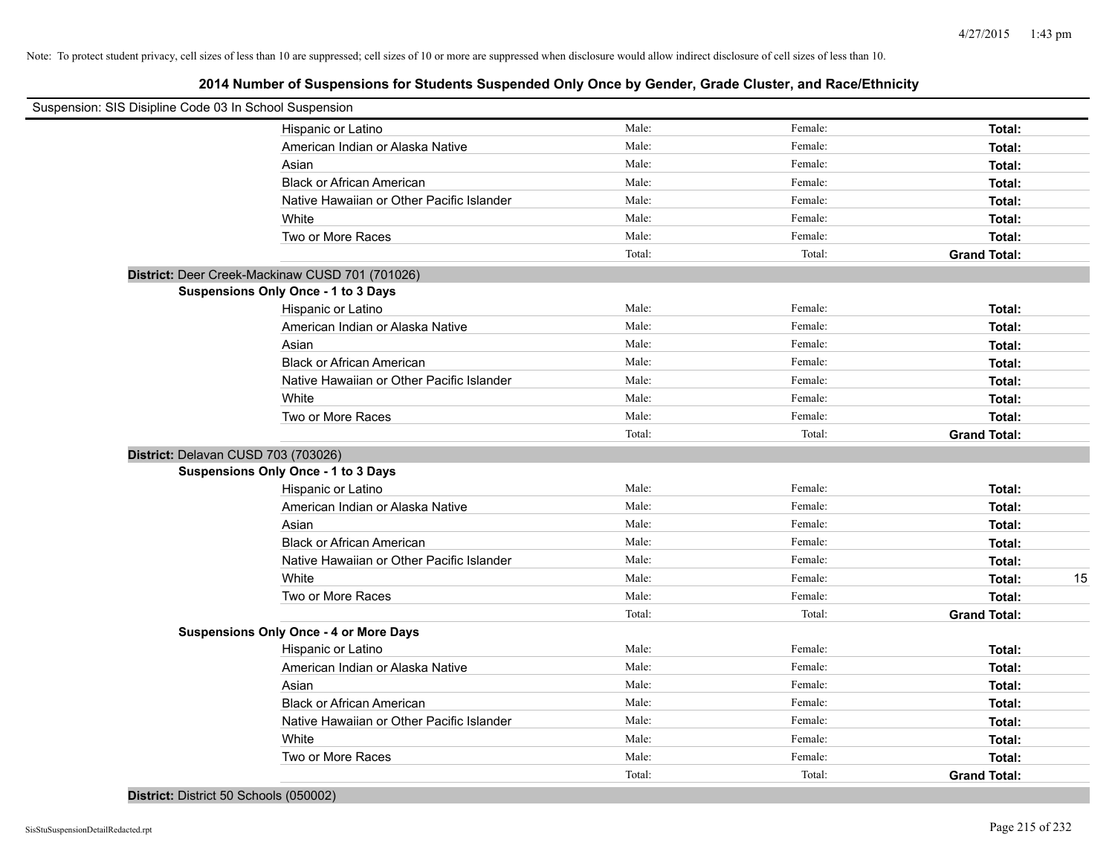| Suspension: SIS Disipline Code 03 In School Suspension |                                                 |        |         |                     |    |
|--------------------------------------------------------|-------------------------------------------------|--------|---------|---------------------|----|
|                                                        | Hispanic or Latino                              | Male:  | Female: | Total:              |    |
|                                                        | American Indian or Alaska Native                | Male:  | Female: | Total:              |    |
|                                                        | Asian                                           | Male:  | Female: | Total:              |    |
|                                                        | <b>Black or African American</b>                | Male:  | Female: | Total:              |    |
|                                                        | Native Hawaiian or Other Pacific Islander       | Male:  | Female: | Total:              |    |
|                                                        | White                                           | Male:  | Female: | Total:              |    |
|                                                        | Two or More Races                               | Male:  | Female: | Total:              |    |
|                                                        |                                                 | Total: | Total:  | <b>Grand Total:</b> |    |
|                                                        | District: Deer Creek-Mackinaw CUSD 701 (701026) |        |         |                     |    |
|                                                        | Suspensions Only Once - 1 to 3 Days             |        |         |                     |    |
|                                                        | Hispanic or Latino                              | Male:  | Female: | Total:              |    |
|                                                        | American Indian or Alaska Native                | Male:  | Female: | Total:              |    |
|                                                        | Asian                                           | Male:  | Female: | Total:              |    |
|                                                        | <b>Black or African American</b>                | Male:  | Female: | Total:              |    |
|                                                        | Native Hawaiian or Other Pacific Islander       | Male:  | Female: | Total:              |    |
|                                                        | White                                           | Male:  | Female: | Total:              |    |
|                                                        | Two or More Races                               | Male:  | Female: | Total:              |    |
|                                                        |                                                 | Total: | Total:  | <b>Grand Total:</b> |    |
| District: Delavan CUSD 703 (703026)                    |                                                 |        |         |                     |    |
|                                                        | <b>Suspensions Only Once - 1 to 3 Days</b>      |        |         |                     |    |
|                                                        | Hispanic or Latino                              | Male:  | Female: | Total:              |    |
|                                                        | American Indian or Alaska Native                | Male:  | Female: | Total:              |    |
|                                                        | Asian                                           | Male:  | Female: | Total:              |    |
|                                                        | <b>Black or African American</b>                | Male:  | Female: | Total:              |    |
|                                                        | Native Hawaiian or Other Pacific Islander       | Male:  | Female: | Total:              |    |
|                                                        | White                                           | Male:  | Female: | Total:              | 15 |
|                                                        | Two or More Races                               | Male:  | Female: | Total:              |    |
|                                                        |                                                 | Total: | Total:  | <b>Grand Total:</b> |    |
|                                                        | <b>Suspensions Only Once - 4 or More Days</b>   |        |         |                     |    |
|                                                        | Hispanic or Latino                              | Male:  | Female: | Total:              |    |
|                                                        | American Indian or Alaska Native                | Male:  | Female: | Total:              |    |
|                                                        | Asian                                           | Male:  | Female: | Total:              |    |
|                                                        | <b>Black or African American</b>                | Male:  | Female: | Total:              |    |
|                                                        | Native Hawaiian or Other Pacific Islander       | Male:  | Female: | Total:              |    |
|                                                        | White                                           | Male:  | Female: | Total:              |    |
|                                                        | Two or More Races                               | Male:  | Female: | Total:              |    |
|                                                        |                                                 | Total: | Total:  | <b>Grand Total:</b> |    |
| District: District 50 Schools (050002)                 |                                                 |        |         |                     |    |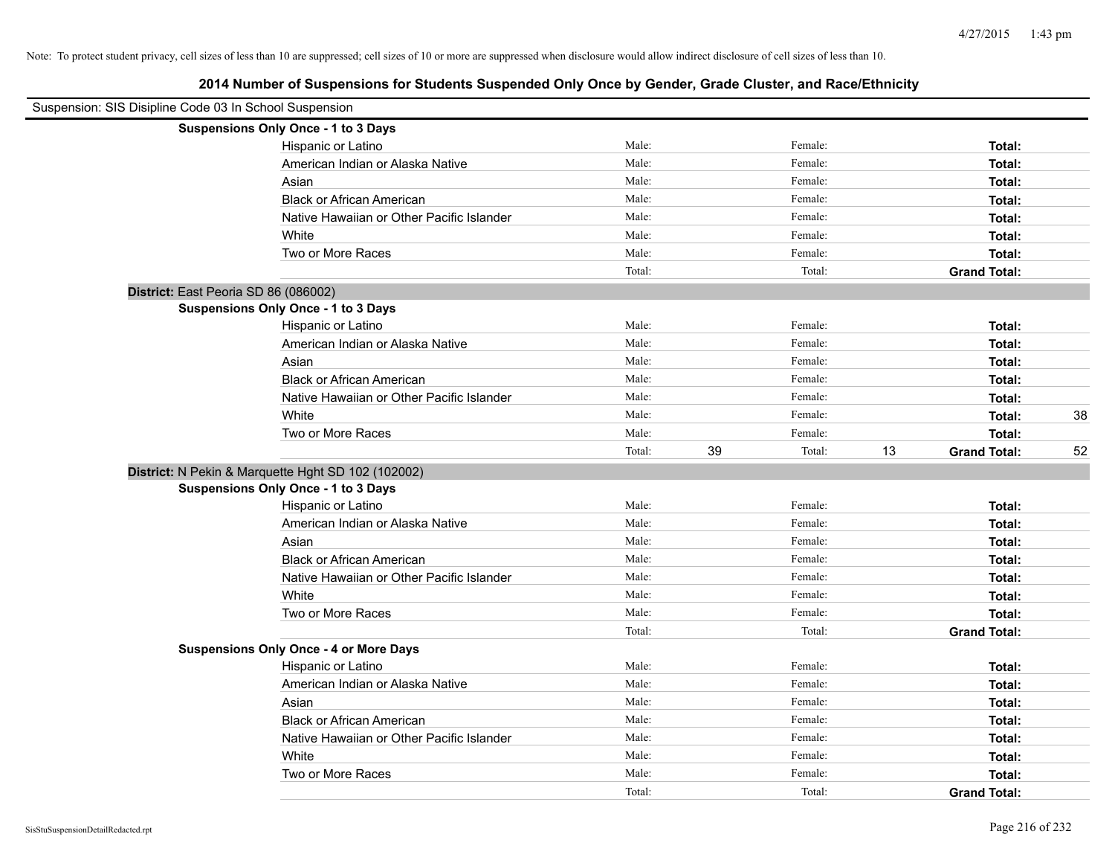| Suspension: SIS Disipline Code 03 In School Suspension |                                                    |        |              |                           |    |
|--------------------------------------------------------|----------------------------------------------------|--------|--------------|---------------------------|----|
|                                                        | Suspensions Only Once - 1 to 3 Days                |        |              |                           |    |
|                                                        | Hispanic or Latino                                 | Male:  | Female:      | Total:                    |    |
|                                                        | American Indian or Alaska Native                   | Male:  | Female:      | Total:                    |    |
|                                                        | Asian                                              | Male:  | Female:      | Total:                    |    |
|                                                        | <b>Black or African American</b>                   | Male:  | Female:      | Total:                    |    |
|                                                        | Native Hawaiian or Other Pacific Islander          | Male:  | Female:      | Total:                    |    |
|                                                        | White                                              | Male:  | Female:      | Total:                    |    |
|                                                        | Two or More Races                                  | Male:  | Female:      | Total:                    |    |
|                                                        |                                                    | Total: | Total:       | <b>Grand Total:</b>       |    |
|                                                        | District: East Peoria SD 86 (086002)               |        |              |                           |    |
|                                                        | <b>Suspensions Only Once - 1 to 3 Days</b>         |        |              |                           |    |
|                                                        | Hispanic or Latino                                 | Male:  | Female:      | Total:                    |    |
|                                                        | American Indian or Alaska Native                   | Male:  | Female:      | Total:                    |    |
|                                                        | Asian                                              | Male:  | Female:      | Total:                    |    |
|                                                        | <b>Black or African American</b>                   | Male:  | Female:      | Total:                    |    |
|                                                        | Native Hawaiian or Other Pacific Islander          | Male:  | Female:      | Total:                    |    |
|                                                        | White                                              | Male:  | Female:      | Total:                    | 38 |
|                                                        | Two or More Races                                  | Male:  | Female:      | Total:                    |    |
|                                                        |                                                    | Total: | 39<br>Total: | 13<br><b>Grand Total:</b> | 52 |
|                                                        | District: N Pekin & Marquette Hght SD 102 (102002) |        |              |                           |    |
|                                                        | Suspensions Only Once - 1 to 3 Days                |        |              |                           |    |
|                                                        | Hispanic or Latino                                 | Male:  | Female:      | Total:                    |    |
|                                                        | American Indian or Alaska Native                   | Male:  | Female:      | Total:                    |    |
|                                                        | Asian                                              | Male:  | Female:      | Total:                    |    |
|                                                        | <b>Black or African American</b>                   | Male:  | Female:      | Total:                    |    |
|                                                        | Native Hawaiian or Other Pacific Islander          | Male:  | Female:      | Total:                    |    |
|                                                        | White                                              | Male:  | Female:      | Total:                    |    |
|                                                        | Two or More Races                                  | Male:  | Female:      | Total:                    |    |
|                                                        |                                                    | Total: | Total:       | <b>Grand Total:</b>       |    |
|                                                        | <b>Suspensions Only Once - 4 or More Days</b>      |        |              |                           |    |
|                                                        | Hispanic or Latino                                 | Male:  | Female:      | Total:                    |    |
|                                                        | American Indian or Alaska Native                   | Male:  | Female:      | Total:                    |    |
|                                                        | Asian                                              | Male:  | Female:      | Total:                    |    |
|                                                        | <b>Black or African American</b>                   | Male:  | Female:      | Total:                    |    |
|                                                        | Native Hawaiian or Other Pacific Islander          | Male:  | Female:      | Total:                    |    |
|                                                        | White                                              | Male:  | Female:      | Total:                    |    |
|                                                        | Two or More Races                                  | Male:  | Female:      | Total:                    |    |
|                                                        |                                                    | Total: | Total:       | <b>Grand Total:</b>       |    |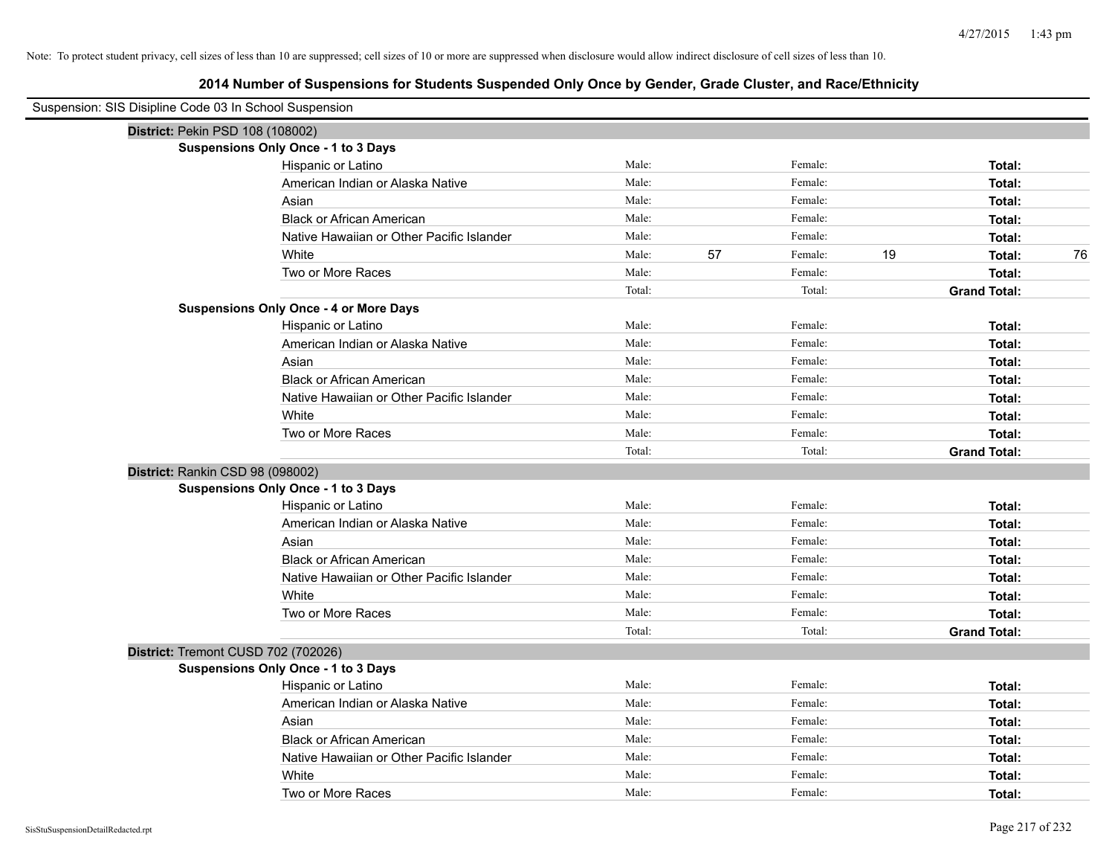| Suspension: SIS Disipline Code 03 In School Suspension |                                               |        |               |                     |
|--------------------------------------------------------|-----------------------------------------------|--------|---------------|---------------------|
|                                                        | District: Pekin PSD 108 (108002)              |        |               |                     |
|                                                        | <b>Suspensions Only Once - 1 to 3 Days</b>    |        |               |                     |
|                                                        | Hispanic or Latino                            | Male:  | Female:       | Total:              |
|                                                        | American Indian or Alaska Native              | Male:  | Female:       | Total:              |
|                                                        | Asian                                         | Male:  | Female:       | Total:              |
|                                                        | <b>Black or African American</b>              | Male:  | Female:       | Total:              |
|                                                        | Native Hawaiian or Other Pacific Islander     | Male:  | Female:       | Total:              |
|                                                        | White                                         | Male:  | 57<br>Female: | 19<br>76<br>Total:  |
|                                                        | Two or More Races                             | Male:  | Female:       | Total:              |
|                                                        |                                               | Total: | Total:        | <b>Grand Total:</b> |
|                                                        | <b>Suspensions Only Once - 4 or More Days</b> |        |               |                     |
|                                                        | Hispanic or Latino                            | Male:  | Female:       | Total:              |
|                                                        | American Indian or Alaska Native              | Male:  | Female:       | Total:              |
|                                                        | Asian                                         | Male:  | Female:       | Total:              |
|                                                        | <b>Black or African American</b>              | Male:  | Female:       | Total:              |
|                                                        | Native Hawaiian or Other Pacific Islander     | Male:  | Female:       | Total:              |
|                                                        | White                                         | Male:  | Female:       | Total:              |
|                                                        | Two or More Races                             | Male:  | Female:       | Total:              |
|                                                        |                                               | Total: | Total:        | <b>Grand Total:</b> |
|                                                        | District: Rankin CSD 98 (098002)              |        |               |                     |
|                                                        | <b>Suspensions Only Once - 1 to 3 Days</b>    |        |               |                     |
|                                                        | Hispanic or Latino                            | Male:  | Female:       | Total:              |
|                                                        | American Indian or Alaska Native              | Male:  | Female:       | Total:              |
|                                                        | Asian                                         | Male:  | Female:       | Total:              |
|                                                        | <b>Black or African American</b>              | Male:  | Female:       | Total:              |
|                                                        | Native Hawaiian or Other Pacific Islander     | Male:  | Female:       | Total:              |
|                                                        | White                                         | Male:  | Female:       | Total:              |
|                                                        | Two or More Races                             | Male:  | Female:       | Total:              |
|                                                        |                                               | Total: | Total:        | <b>Grand Total:</b> |
|                                                        | District: Tremont CUSD 702 (702026)           |        |               |                     |
|                                                        | <b>Suspensions Only Once - 1 to 3 Days</b>    |        |               |                     |
|                                                        | Hispanic or Latino                            | Male:  | Female:       | Total:              |
|                                                        | American Indian or Alaska Native              | Male:  | Female:       | Total:              |
|                                                        | Asian                                         | Male:  | Female:       | Total:              |
|                                                        | <b>Black or African American</b>              | Male:  | Female:       | Total:              |
|                                                        | Native Hawaiian or Other Pacific Islander     | Male:  | Female:       | Total:              |
|                                                        | White                                         | Male:  | Female:       | Total:              |
|                                                        | Two or More Races                             | Male:  | Female:       | Total:              |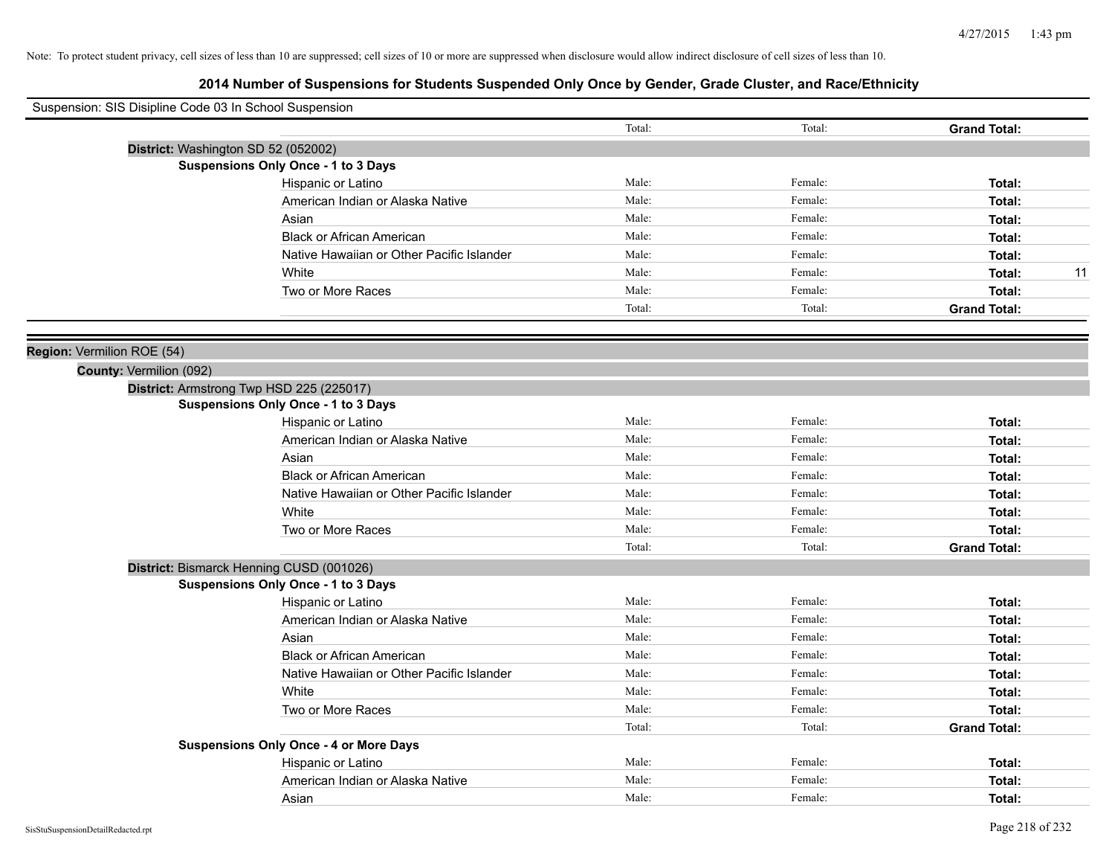| Suspension: SIS Disipline Code 03 In School Suspension |        |         |                     |
|--------------------------------------------------------|--------|---------|---------------------|
|                                                        | Total: | Total:  | <b>Grand Total:</b> |
| District: Washington SD 52 (052002)                    |        |         |                     |
| <b>Suspensions Only Once - 1 to 3 Days</b>             |        |         |                     |
| Hispanic or Latino                                     | Male:  | Female: | Total:              |
| American Indian or Alaska Native                       | Male:  | Female: | Total:              |
| Asian                                                  | Male:  | Female: | Total:              |
| <b>Black or African American</b>                       | Male:  | Female: | Total:              |
| Native Hawaiian or Other Pacific Islander              | Male:  | Female: | Total:              |
| White                                                  | Male:  | Female: | 11<br>Total:        |
| Two or More Races                                      | Male:  | Female: | Total:              |
|                                                        | Total: | Total:  | <b>Grand Total:</b> |
| Region: Vermilion ROE (54)                             |        |         |                     |
| County: Vermilion (092)                                |        |         |                     |
| District: Armstrong Twp HSD 225 (225017)               |        |         |                     |
| Suspensions Only Once - 1 to 3 Days                    |        |         |                     |
| Hispanic or Latino                                     | Male:  | Female: | Total:              |
| American Indian or Alaska Native                       | Male:  | Female: | Total:              |
| Asian                                                  | Male:  | Female: | Total:              |
| <b>Black or African American</b>                       | Male:  | Female: | Total:              |
| Native Hawaiian or Other Pacific Islander              | Male:  | Female: | Total:              |
| White                                                  | Male:  | Female: | Total:              |
| Two or More Races                                      | Male:  | Female: | Total:              |
|                                                        | Total: | Total:  | <b>Grand Total:</b> |
| District: Bismarck Henning CUSD (001026)               |        |         |                     |
| <b>Suspensions Only Once - 1 to 3 Days</b>             |        |         |                     |
| Hispanic or Latino                                     | Male:  | Female: | Total:              |
| American Indian or Alaska Native                       | Male:  | Female: | Total:              |
| Asian                                                  | Male:  | Female: | Total:              |
| <b>Black or African American</b>                       | Male:  | Female: | Total:              |
| Native Hawaiian or Other Pacific Islander              | Male:  | Female: | Total:              |
| White                                                  | Male:  | Female: | Total:              |
| Two or More Races                                      | Male:  | Female: | Total:              |
|                                                        | Total: | Total:  | <b>Grand Total:</b> |
| <b>Suspensions Only Once - 4 or More Days</b>          |        |         |                     |
| Hispanic or Latino                                     | Male:  | Female: | Total:              |
| American Indian or Alaska Native                       | Male:  | Female: | Total:              |
| Asian                                                  | Male:  | Female: | Total:              |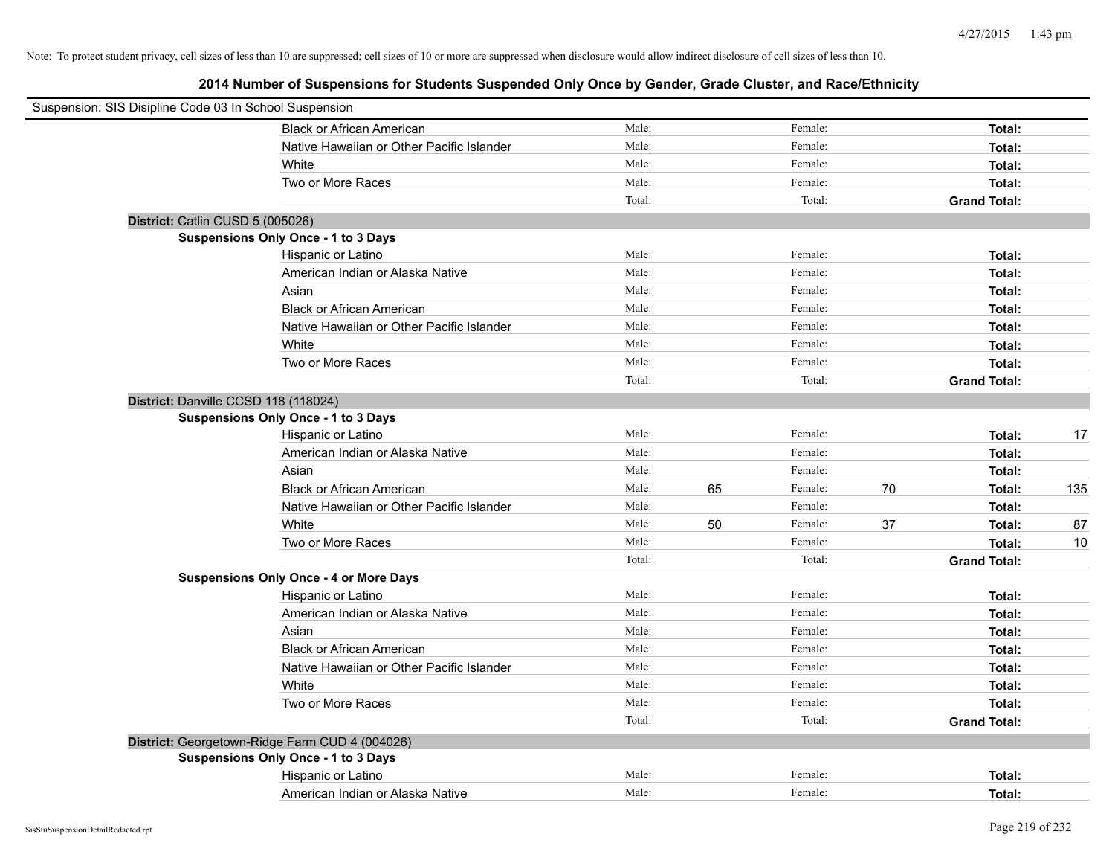| Suspension: SIS Disipline Code 03 In School Suspension |        |    |         |    |                     |     |
|--------------------------------------------------------|--------|----|---------|----|---------------------|-----|
| <b>Black or African American</b>                       | Male:  |    | Female: |    | Total:              |     |
| Native Hawaiian or Other Pacific Islander              | Male:  |    | Female: |    | Total:              |     |
| White                                                  | Male:  |    | Female: |    | Total:              |     |
| Two or More Races                                      | Male:  |    | Female: |    | Total:              |     |
|                                                        | Total: |    | Total:  |    | <b>Grand Total:</b> |     |
| District: Catlin CUSD 5 (005026)                       |        |    |         |    |                     |     |
| Suspensions Only Once - 1 to 3 Days                    |        |    |         |    |                     |     |
| Hispanic or Latino                                     | Male:  |    | Female: |    | Total:              |     |
| American Indian or Alaska Native                       | Male:  |    | Female: |    | Total:              |     |
| Asian                                                  | Male:  |    | Female: |    | Total:              |     |
| <b>Black or African American</b>                       | Male:  |    | Female: |    | Total:              |     |
| Native Hawaiian or Other Pacific Islander              | Male:  |    | Female: |    | Total:              |     |
| White                                                  | Male:  |    | Female: |    | Total:              |     |
| Two or More Races                                      | Male:  |    | Female: |    | Total:              |     |
|                                                        | Total: |    | Total:  |    | <b>Grand Total:</b> |     |
| District: Danville CCSD 118 (118024)                   |        |    |         |    |                     |     |
| Suspensions Only Once - 1 to 3 Days                    |        |    |         |    |                     |     |
| Hispanic or Latino                                     | Male:  |    | Female: |    | Total:              | 17  |
| American Indian or Alaska Native                       | Male:  |    | Female: |    | Total:              |     |
| Asian                                                  | Male:  |    | Female: |    | Total:              |     |
| <b>Black or African American</b>                       | Male:  | 65 | Female: | 70 | Total:              | 135 |
| Native Hawaiian or Other Pacific Islander              | Male:  |    | Female: |    | Total:              |     |
| White                                                  | Male:  | 50 | Female: | 37 | Total:              | 87  |
| Two or More Races                                      | Male:  |    | Female: |    | Total:              | 10  |
|                                                        | Total: |    | Total:  |    | <b>Grand Total:</b> |     |
| <b>Suspensions Only Once - 4 or More Days</b>          |        |    |         |    |                     |     |
| Hispanic or Latino                                     | Male:  |    | Female: |    | Total:              |     |
| American Indian or Alaska Native                       | Male:  |    | Female: |    | Total:              |     |
| Asian                                                  | Male:  |    | Female: |    | Total:              |     |
| <b>Black or African American</b>                       | Male:  |    | Female: |    | Total:              |     |
| Native Hawaiian or Other Pacific Islander              | Male:  |    | Female: |    | Total:              |     |
| White                                                  | Male:  |    | Female: |    | Total:              |     |
| Two or More Races                                      | Male:  |    | Female: |    | Total:              |     |
|                                                        | Total: |    | Total:  |    | <b>Grand Total:</b> |     |
| District: Georgetown-Ridge Farm CUD 4 (004026)         |        |    |         |    |                     |     |
| <b>Suspensions Only Once - 1 to 3 Days</b>             |        |    |         |    |                     |     |
| Hispanic or Latino                                     | Male:  |    | Female: |    | Total:              |     |
| American Indian or Alaska Native                       | Male:  |    | Female: |    | Total:              |     |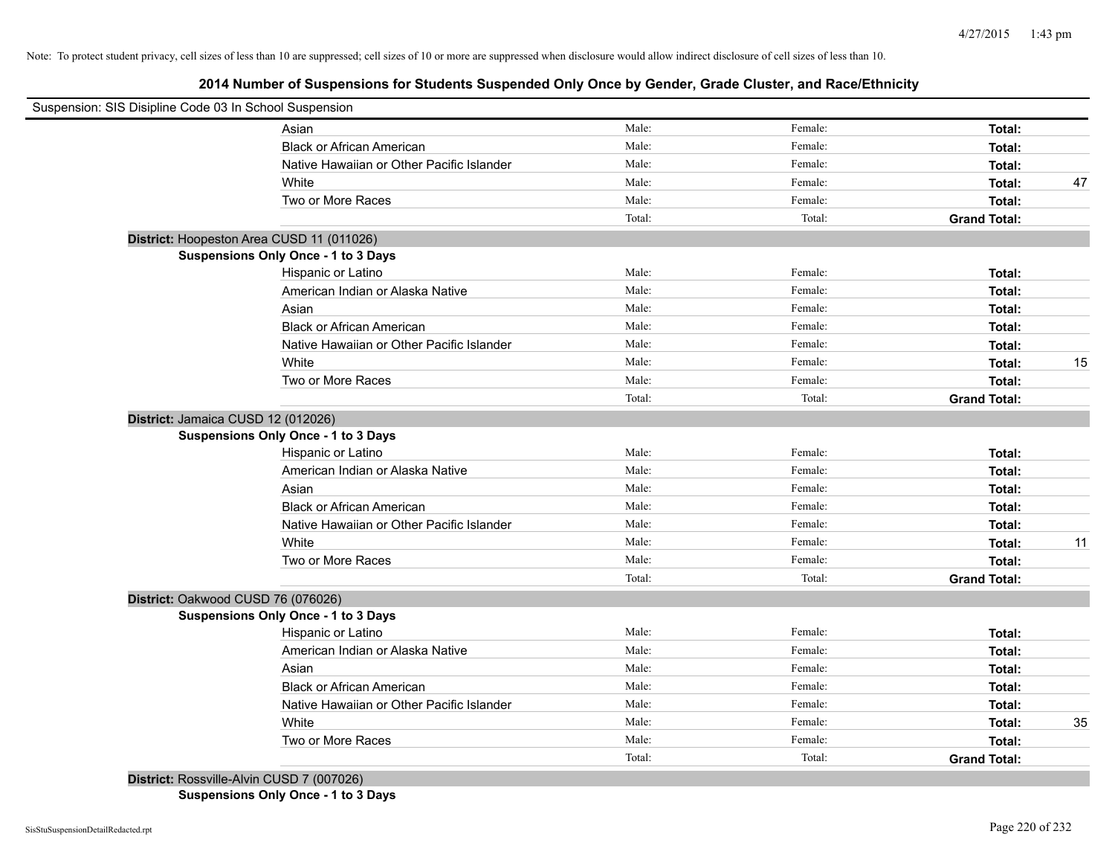# **2014 Number of Suspensions for Students Suspended Only Once by Gender, Grade Cluster, and Race/Ethnicity**

| Suspension: SIS Disipline Code 03 In School Suspension |                                            |        |         |                     |    |
|--------------------------------------------------------|--------------------------------------------|--------|---------|---------------------|----|
|                                                        | Asian                                      | Male:  | Female: | Total:              |    |
|                                                        | <b>Black or African American</b>           | Male:  | Female: | Total:              |    |
|                                                        | Native Hawaiian or Other Pacific Islander  | Male:  | Female: | Total:              |    |
|                                                        | White                                      | Male:  | Female: | Total:              | 47 |
|                                                        | Two or More Races                          | Male:  | Female: | Total:              |    |
|                                                        |                                            | Total: | Total:  | <b>Grand Total:</b> |    |
| District: Hoopeston Area CUSD 11 (011026)              |                                            |        |         |                     |    |
|                                                        | Suspensions Only Once - 1 to 3 Days        |        |         |                     |    |
|                                                        | Hispanic or Latino                         | Male:  | Female: | Total:              |    |
|                                                        | American Indian or Alaska Native           | Male:  | Female: | Total:              |    |
|                                                        | Asian                                      | Male:  | Female: | Total:              |    |
|                                                        | <b>Black or African American</b>           | Male:  | Female: | Total:              |    |
|                                                        | Native Hawaiian or Other Pacific Islander  | Male:  | Female: | Total:              |    |
|                                                        | White                                      | Male:  | Female: | Total:              | 15 |
|                                                        | Two or More Races                          | Male:  | Female: | Total:              |    |
|                                                        |                                            | Total: | Total:  | <b>Grand Total:</b> |    |
| District: Jamaica CUSD 12 (012026)                     |                                            |        |         |                     |    |
|                                                        | <b>Suspensions Only Once - 1 to 3 Days</b> |        |         |                     |    |
|                                                        | Hispanic or Latino                         | Male:  | Female: | Total:              |    |
|                                                        | American Indian or Alaska Native           | Male:  | Female: | Total:              |    |
|                                                        | Asian                                      | Male:  | Female: | Total:              |    |
|                                                        | <b>Black or African American</b>           | Male:  | Female: | Total:              |    |
|                                                        | Native Hawaiian or Other Pacific Islander  | Male:  | Female: | Total:              |    |
|                                                        | White                                      | Male:  | Female: | Total:              | 11 |
|                                                        | Two or More Races                          | Male:  | Female: | Total:              |    |
|                                                        |                                            | Total: | Total:  | <b>Grand Total:</b> |    |
| District: Oakwood CUSD 76 (076026)                     |                                            |        |         |                     |    |
|                                                        | Suspensions Only Once - 1 to 3 Days        |        |         |                     |    |
|                                                        | Hispanic or Latino                         | Male:  | Female: | Total:              |    |
|                                                        | American Indian or Alaska Native           | Male:  | Female: | Total:              |    |
|                                                        | Asian                                      | Male:  | Female: | Total:              |    |
|                                                        | <b>Black or African American</b>           | Male:  | Female: | Total:              |    |
|                                                        | Native Hawaiian or Other Pacific Islander  | Male:  | Female: | Total:              |    |
|                                                        | White                                      | Male:  | Female: | Total:              | 35 |
|                                                        | Two or More Races                          | Male:  | Female: | Total:              |    |
|                                                        |                                            | Total: | Total:  | <b>Grand Total:</b> |    |
| District: Rossville-Alvin CUSD 7 (007026)              |                                            |        |         |                     |    |

**Suspensions Only Once - 1 to 3 Days**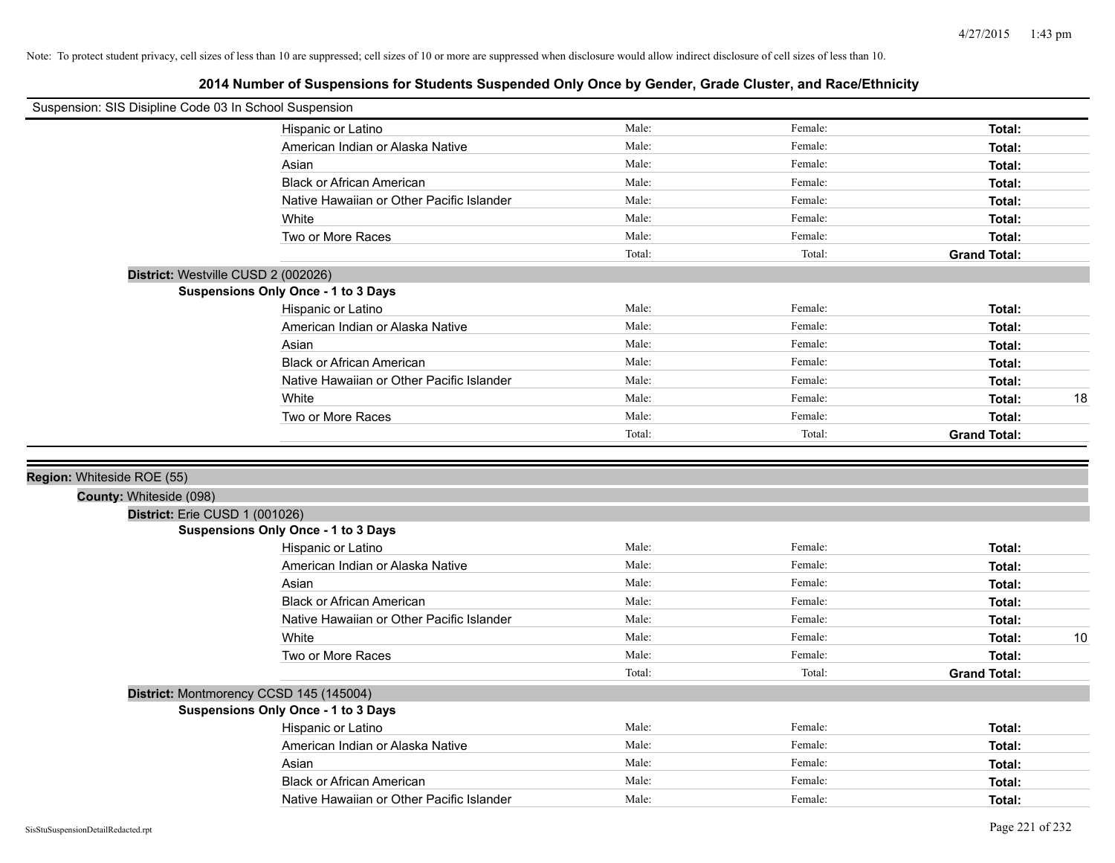| Suspension: SIS Disipline Code 03 In School Suspension    |                                            |        |         |                     |    |
|-----------------------------------------------------------|--------------------------------------------|--------|---------|---------------------|----|
|                                                           | Hispanic or Latino                         | Male:  | Female: | Total:              |    |
|                                                           | American Indian or Alaska Native           | Male:  | Female: | Total:              |    |
|                                                           | Asian                                      | Male:  | Female: | Total:              |    |
|                                                           | <b>Black or African American</b>           | Male:  | Female: | Total:              |    |
|                                                           | Native Hawaiian or Other Pacific Islander  | Male:  | Female: | Total:              |    |
|                                                           | White                                      | Male:  | Female: | Total:              |    |
|                                                           | Two or More Races                          | Male:  | Female: | Total:              |    |
|                                                           |                                            | Total: | Total:  | <b>Grand Total:</b> |    |
|                                                           | District: Westville CUSD 2 (002026)        |        |         |                     |    |
|                                                           | <b>Suspensions Only Once - 1 to 3 Days</b> |        |         |                     |    |
|                                                           | Hispanic or Latino                         | Male:  | Female: | Total:              |    |
|                                                           | American Indian or Alaska Native           | Male:  | Female: | Total:              |    |
|                                                           | Asian                                      | Male:  | Female: | Total:              |    |
|                                                           | <b>Black or African American</b>           | Male:  | Female: | Total:              |    |
|                                                           | Native Hawaiian or Other Pacific Islander  | Male:  | Female: | Total:              |    |
|                                                           | White                                      | Male:  | Female: | Total:              | 18 |
|                                                           | Two or More Races                          | Male:  | Female: | Total:              |    |
|                                                           |                                            | Total: | Total:  | <b>Grand Total:</b> |    |
| County: Whiteside (098)<br>District: Erie CUSD 1 (001026) |                                            |        |         |                     |    |
|                                                           | Suspensions Only Once - 1 to 3 Days        |        |         |                     |    |
|                                                           | Hispanic or Latino                         | Male:  | Female: | Total:              |    |
|                                                           | American Indian or Alaska Native           | Male:  | Female: | Total:              |    |
|                                                           | Asian                                      | Male:  | Female: | Total:              |    |
|                                                           | <b>Black or African American</b>           | Male:  | Female: | Total:              |    |
|                                                           | Native Hawaiian or Other Pacific Islander  | Male:  | Female: | Total:              |    |
|                                                           | White                                      | Male:  | Female: | Total:              | 10 |
|                                                           | Two or More Races                          | Male:  | Female: | Total:              |    |
|                                                           |                                            | Total: | Total:  | <b>Grand Total:</b> |    |
|                                                           | District: Montmorency CCSD 145 (145004)    |        |         |                     |    |
|                                                           | Suspensions Only Once - 1 to 3 Days        |        |         |                     |    |
|                                                           | Hispanic or Latino                         | Male:  | Female: | Total:              |    |
|                                                           | American Indian or Alaska Native           | Male:  | Female: | Total:              |    |
|                                                           | Asian                                      | Male:  | Female: | Total:              |    |
|                                                           | <b>Black or African American</b>           | Male:  | Female: | Total:              |    |
|                                                           | Native Hawaiian or Other Pacific Islander  | Male:  | Female: | Total:              |    |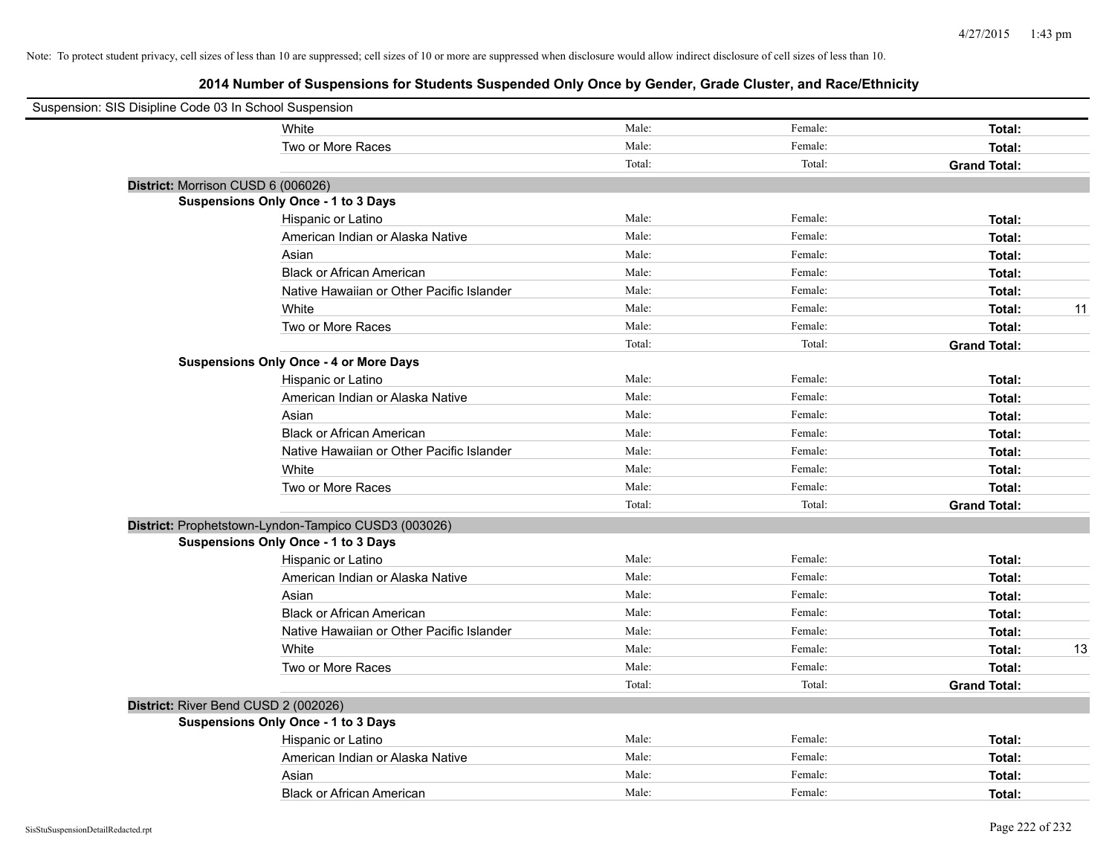| Suspension: SIS Disipline Code 03 In School Suspension |                                                      |        |         |                     |    |
|--------------------------------------------------------|------------------------------------------------------|--------|---------|---------------------|----|
|                                                        | White                                                | Male:  | Female: | Total:              |    |
|                                                        | Two or More Races                                    | Male:  | Female: | Total:              |    |
|                                                        |                                                      | Total: | Total:  | <b>Grand Total:</b> |    |
| District: Morrison CUSD 6 (006026)                     |                                                      |        |         |                     |    |
|                                                        | Suspensions Only Once - 1 to 3 Days                  |        |         |                     |    |
|                                                        | Hispanic or Latino                                   | Male:  | Female: | Total:              |    |
|                                                        | American Indian or Alaska Native                     | Male:  | Female: | Total:              |    |
|                                                        | Asian                                                | Male:  | Female: | Total:              |    |
|                                                        | <b>Black or African American</b>                     | Male:  | Female: | Total:              |    |
|                                                        | Native Hawaiian or Other Pacific Islander            | Male:  | Female: | Total:              |    |
|                                                        | White                                                | Male:  | Female: | Total:              | 11 |
|                                                        | Two or More Races                                    | Male:  | Female: | Total:              |    |
|                                                        |                                                      | Total: | Total:  | <b>Grand Total:</b> |    |
|                                                        | <b>Suspensions Only Once - 4 or More Days</b>        |        |         |                     |    |
|                                                        | Hispanic or Latino                                   | Male:  | Female: | Total:              |    |
|                                                        | American Indian or Alaska Native                     | Male:  | Female: | Total:              |    |
|                                                        | Asian                                                | Male:  | Female: | Total:              |    |
|                                                        | <b>Black or African American</b>                     | Male:  | Female: | Total:              |    |
|                                                        | Native Hawaiian or Other Pacific Islander            | Male:  | Female: | Total:              |    |
|                                                        | White                                                | Male:  | Female: | Total:              |    |
|                                                        | Two or More Races                                    | Male:  | Female: | Total:              |    |
|                                                        |                                                      | Total: | Total:  | <b>Grand Total:</b> |    |
|                                                        | District: Prophetstown-Lyndon-Tampico CUSD3 (003026) |        |         |                     |    |
|                                                        | <b>Suspensions Only Once - 1 to 3 Days</b>           |        |         |                     |    |
|                                                        | Hispanic or Latino                                   | Male:  | Female: | Total:              |    |
|                                                        | American Indian or Alaska Native                     | Male:  | Female: | Total:              |    |
|                                                        | Asian                                                | Male:  | Female: | Total:              |    |
|                                                        | <b>Black or African American</b>                     | Male:  | Female: | Total:              |    |
|                                                        | Native Hawaiian or Other Pacific Islander            | Male:  | Female: | Total:              |    |
|                                                        | White                                                | Male:  | Female: | Total:              | 13 |
|                                                        | Two or More Races                                    | Male:  | Female: | Total:              |    |
|                                                        |                                                      | Total: | Total:  | <b>Grand Total:</b> |    |
| District: River Bend CUSD 2 (002026)                   |                                                      |        |         |                     |    |
|                                                        | <b>Suspensions Only Once - 1 to 3 Days</b>           |        |         |                     |    |
|                                                        | Hispanic or Latino                                   | Male:  | Female: | Total:              |    |
|                                                        | American Indian or Alaska Native                     | Male:  | Female: | Total:              |    |
|                                                        | Asian                                                | Male:  | Female: | Total:              |    |
|                                                        | <b>Black or African American</b>                     | Male:  | Female: | Total:              |    |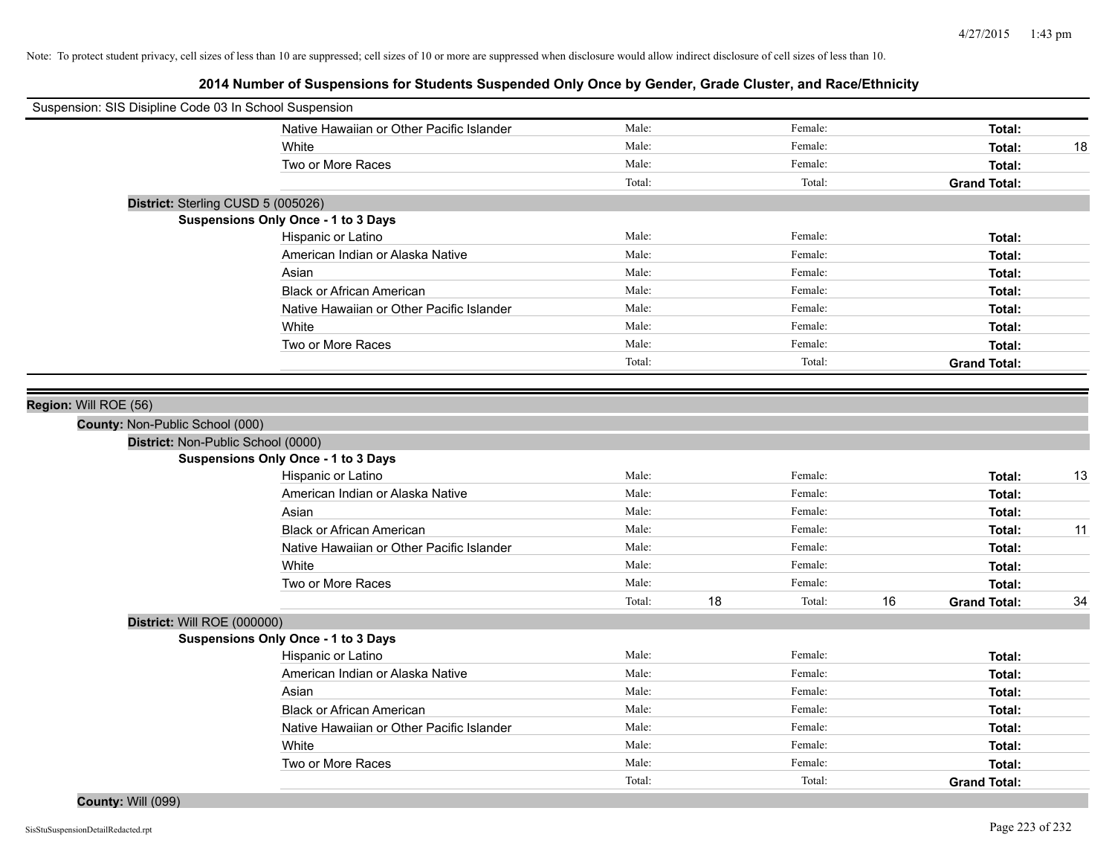**2014 Number of Suspensions for Students Suspended Only Once by Gender, Grade Cluster, and Race/Ethnicity**

| Male:<br>Native Hawaiian or Other Pacific Islander<br>Female:<br>Total:<br>Male:<br>Female:<br>White<br>Total:<br>Male:<br>Female:<br>Two or More Races<br>Total:<br>Total:<br>Total:<br><b>Grand Total:</b><br>District: Sterling CUSD 5 (005026)<br>Suspensions Only Once - 1 to 3 Days<br>Male:<br>Female:<br>Hispanic or Latino<br>Total:<br>Male:<br>Female:<br>American Indian or Alaska Native<br>Total:<br>Male:<br>Female:<br>Asian<br>Total:<br><b>Black or African American</b><br>Male:<br>Female:<br>Total:<br>Native Hawaiian or Other Pacific Islander<br>Male:<br>Female:<br>Total:<br>White<br>Male:<br>Female:<br>Total:<br>Two or More Races<br>Male:<br>Female:<br>Total:<br>Total:<br>Total:<br><b>Grand Total:</b><br>Region: Will ROE (56)<br>County: Non-Public School (000)<br>District: Non-Public School (0000)<br><b>Suspensions Only Once - 1 to 3 Days</b><br>Male:<br>Female:<br>Hispanic or Latino<br>Total:<br>Male:<br>American Indian or Alaska Native<br>Female:<br>Total:<br>Male:<br>Asian<br>Female:<br>Total:<br><b>Black or African American</b><br>Male:<br>Female:<br>Total:<br>Male:<br>Native Hawaiian or Other Pacific Islander<br>Female:<br>Total:<br>Male:<br>White<br>Female:<br>Total:<br>Two or More Races<br>Male:<br>Female:<br>Total:<br>Total:<br>18<br>Total:<br>16<br><b>Grand Total:</b><br>District: Will ROE (000000)<br><b>Suspensions Only Once - 1 to 3 Days</b><br>Male:<br>Female:<br>Hispanic or Latino<br>Total:<br>Male:<br>Female:<br>American Indian or Alaska Native<br>Total:<br>Male:<br>Female:<br>Asian<br>Total:<br>Male:<br>Female:<br><b>Black or African American</b><br>Total:<br>Male:<br>Native Hawaiian or Other Pacific Islander<br>Female:<br>Total:<br>White<br>Male:<br>Female:<br>Total:<br>Male:<br>Female:<br>Two or More Races<br>Total:<br>Total:<br>Total:<br><b>Grand Total:</b> | Suspension: SIS Disipline Code 03 In School Suspension |  |  |    |
|---------------------------------------------------------------------------------------------------------------------------------------------------------------------------------------------------------------------------------------------------------------------------------------------------------------------------------------------------------------------------------------------------------------------------------------------------------------------------------------------------------------------------------------------------------------------------------------------------------------------------------------------------------------------------------------------------------------------------------------------------------------------------------------------------------------------------------------------------------------------------------------------------------------------------------------------------------------------------------------------------------------------------------------------------------------------------------------------------------------------------------------------------------------------------------------------------------------------------------------------------------------------------------------------------------------------------------------------------------------------------------------------------------------------------------------------------------------------------------------------------------------------------------------------------------------------------------------------------------------------------------------------------------------------------------------------------------------------------------------------------------------------------------------------------------------------------------------------------------------------------------|--------------------------------------------------------|--|--|----|
|                                                                                                                                                                                                                                                                                                                                                                                                                                                                                                                                                                                                                                                                                                                                                                                                                                                                                                                                                                                                                                                                                                                                                                                                                                                                                                                                                                                                                                                                                                                                                                                                                                                                                                                                                                                                                                                                                 |                                                        |  |  |    |
|                                                                                                                                                                                                                                                                                                                                                                                                                                                                                                                                                                                                                                                                                                                                                                                                                                                                                                                                                                                                                                                                                                                                                                                                                                                                                                                                                                                                                                                                                                                                                                                                                                                                                                                                                                                                                                                                                 |                                                        |  |  | 18 |
|                                                                                                                                                                                                                                                                                                                                                                                                                                                                                                                                                                                                                                                                                                                                                                                                                                                                                                                                                                                                                                                                                                                                                                                                                                                                                                                                                                                                                                                                                                                                                                                                                                                                                                                                                                                                                                                                                 |                                                        |  |  |    |
|                                                                                                                                                                                                                                                                                                                                                                                                                                                                                                                                                                                                                                                                                                                                                                                                                                                                                                                                                                                                                                                                                                                                                                                                                                                                                                                                                                                                                                                                                                                                                                                                                                                                                                                                                                                                                                                                                 |                                                        |  |  |    |
|                                                                                                                                                                                                                                                                                                                                                                                                                                                                                                                                                                                                                                                                                                                                                                                                                                                                                                                                                                                                                                                                                                                                                                                                                                                                                                                                                                                                                                                                                                                                                                                                                                                                                                                                                                                                                                                                                 |                                                        |  |  |    |
|                                                                                                                                                                                                                                                                                                                                                                                                                                                                                                                                                                                                                                                                                                                                                                                                                                                                                                                                                                                                                                                                                                                                                                                                                                                                                                                                                                                                                                                                                                                                                                                                                                                                                                                                                                                                                                                                                 |                                                        |  |  |    |
|                                                                                                                                                                                                                                                                                                                                                                                                                                                                                                                                                                                                                                                                                                                                                                                                                                                                                                                                                                                                                                                                                                                                                                                                                                                                                                                                                                                                                                                                                                                                                                                                                                                                                                                                                                                                                                                                                 |                                                        |  |  |    |
|                                                                                                                                                                                                                                                                                                                                                                                                                                                                                                                                                                                                                                                                                                                                                                                                                                                                                                                                                                                                                                                                                                                                                                                                                                                                                                                                                                                                                                                                                                                                                                                                                                                                                                                                                                                                                                                                                 |                                                        |  |  |    |
|                                                                                                                                                                                                                                                                                                                                                                                                                                                                                                                                                                                                                                                                                                                                                                                                                                                                                                                                                                                                                                                                                                                                                                                                                                                                                                                                                                                                                                                                                                                                                                                                                                                                                                                                                                                                                                                                                 |                                                        |  |  |    |
|                                                                                                                                                                                                                                                                                                                                                                                                                                                                                                                                                                                                                                                                                                                                                                                                                                                                                                                                                                                                                                                                                                                                                                                                                                                                                                                                                                                                                                                                                                                                                                                                                                                                                                                                                                                                                                                                                 |                                                        |  |  |    |
|                                                                                                                                                                                                                                                                                                                                                                                                                                                                                                                                                                                                                                                                                                                                                                                                                                                                                                                                                                                                                                                                                                                                                                                                                                                                                                                                                                                                                                                                                                                                                                                                                                                                                                                                                                                                                                                                                 |                                                        |  |  |    |
|                                                                                                                                                                                                                                                                                                                                                                                                                                                                                                                                                                                                                                                                                                                                                                                                                                                                                                                                                                                                                                                                                                                                                                                                                                                                                                                                                                                                                                                                                                                                                                                                                                                                                                                                                                                                                                                                                 |                                                        |  |  |    |
|                                                                                                                                                                                                                                                                                                                                                                                                                                                                                                                                                                                                                                                                                                                                                                                                                                                                                                                                                                                                                                                                                                                                                                                                                                                                                                                                                                                                                                                                                                                                                                                                                                                                                                                                                                                                                                                                                 |                                                        |  |  |    |
|                                                                                                                                                                                                                                                                                                                                                                                                                                                                                                                                                                                                                                                                                                                                                                                                                                                                                                                                                                                                                                                                                                                                                                                                                                                                                                                                                                                                                                                                                                                                                                                                                                                                                                                                                                                                                                                                                 |                                                        |  |  |    |
|                                                                                                                                                                                                                                                                                                                                                                                                                                                                                                                                                                                                                                                                                                                                                                                                                                                                                                                                                                                                                                                                                                                                                                                                                                                                                                                                                                                                                                                                                                                                                                                                                                                                                                                                                                                                                                                                                 |                                                        |  |  |    |
|                                                                                                                                                                                                                                                                                                                                                                                                                                                                                                                                                                                                                                                                                                                                                                                                                                                                                                                                                                                                                                                                                                                                                                                                                                                                                                                                                                                                                                                                                                                                                                                                                                                                                                                                                                                                                                                                                 |                                                        |  |  |    |
|                                                                                                                                                                                                                                                                                                                                                                                                                                                                                                                                                                                                                                                                                                                                                                                                                                                                                                                                                                                                                                                                                                                                                                                                                                                                                                                                                                                                                                                                                                                                                                                                                                                                                                                                                                                                                                                                                 |                                                        |  |  |    |
|                                                                                                                                                                                                                                                                                                                                                                                                                                                                                                                                                                                                                                                                                                                                                                                                                                                                                                                                                                                                                                                                                                                                                                                                                                                                                                                                                                                                                                                                                                                                                                                                                                                                                                                                                                                                                                                                                 |                                                        |  |  |    |
|                                                                                                                                                                                                                                                                                                                                                                                                                                                                                                                                                                                                                                                                                                                                                                                                                                                                                                                                                                                                                                                                                                                                                                                                                                                                                                                                                                                                                                                                                                                                                                                                                                                                                                                                                                                                                                                                                 |                                                        |  |  |    |
|                                                                                                                                                                                                                                                                                                                                                                                                                                                                                                                                                                                                                                                                                                                                                                                                                                                                                                                                                                                                                                                                                                                                                                                                                                                                                                                                                                                                                                                                                                                                                                                                                                                                                                                                                                                                                                                                                 |                                                        |  |  | 13 |
|                                                                                                                                                                                                                                                                                                                                                                                                                                                                                                                                                                                                                                                                                                                                                                                                                                                                                                                                                                                                                                                                                                                                                                                                                                                                                                                                                                                                                                                                                                                                                                                                                                                                                                                                                                                                                                                                                 |                                                        |  |  |    |
|                                                                                                                                                                                                                                                                                                                                                                                                                                                                                                                                                                                                                                                                                                                                                                                                                                                                                                                                                                                                                                                                                                                                                                                                                                                                                                                                                                                                                                                                                                                                                                                                                                                                                                                                                                                                                                                                                 |                                                        |  |  |    |
|                                                                                                                                                                                                                                                                                                                                                                                                                                                                                                                                                                                                                                                                                                                                                                                                                                                                                                                                                                                                                                                                                                                                                                                                                                                                                                                                                                                                                                                                                                                                                                                                                                                                                                                                                                                                                                                                                 |                                                        |  |  | 11 |
|                                                                                                                                                                                                                                                                                                                                                                                                                                                                                                                                                                                                                                                                                                                                                                                                                                                                                                                                                                                                                                                                                                                                                                                                                                                                                                                                                                                                                                                                                                                                                                                                                                                                                                                                                                                                                                                                                 |                                                        |  |  |    |
|                                                                                                                                                                                                                                                                                                                                                                                                                                                                                                                                                                                                                                                                                                                                                                                                                                                                                                                                                                                                                                                                                                                                                                                                                                                                                                                                                                                                                                                                                                                                                                                                                                                                                                                                                                                                                                                                                 |                                                        |  |  |    |
|                                                                                                                                                                                                                                                                                                                                                                                                                                                                                                                                                                                                                                                                                                                                                                                                                                                                                                                                                                                                                                                                                                                                                                                                                                                                                                                                                                                                                                                                                                                                                                                                                                                                                                                                                                                                                                                                                 |                                                        |  |  |    |
|                                                                                                                                                                                                                                                                                                                                                                                                                                                                                                                                                                                                                                                                                                                                                                                                                                                                                                                                                                                                                                                                                                                                                                                                                                                                                                                                                                                                                                                                                                                                                                                                                                                                                                                                                                                                                                                                                 |                                                        |  |  | 34 |
|                                                                                                                                                                                                                                                                                                                                                                                                                                                                                                                                                                                                                                                                                                                                                                                                                                                                                                                                                                                                                                                                                                                                                                                                                                                                                                                                                                                                                                                                                                                                                                                                                                                                                                                                                                                                                                                                                 |                                                        |  |  |    |
|                                                                                                                                                                                                                                                                                                                                                                                                                                                                                                                                                                                                                                                                                                                                                                                                                                                                                                                                                                                                                                                                                                                                                                                                                                                                                                                                                                                                                                                                                                                                                                                                                                                                                                                                                                                                                                                                                 |                                                        |  |  |    |
|                                                                                                                                                                                                                                                                                                                                                                                                                                                                                                                                                                                                                                                                                                                                                                                                                                                                                                                                                                                                                                                                                                                                                                                                                                                                                                                                                                                                                                                                                                                                                                                                                                                                                                                                                                                                                                                                                 |                                                        |  |  |    |
|                                                                                                                                                                                                                                                                                                                                                                                                                                                                                                                                                                                                                                                                                                                                                                                                                                                                                                                                                                                                                                                                                                                                                                                                                                                                                                                                                                                                                                                                                                                                                                                                                                                                                                                                                                                                                                                                                 |                                                        |  |  |    |
|                                                                                                                                                                                                                                                                                                                                                                                                                                                                                                                                                                                                                                                                                                                                                                                                                                                                                                                                                                                                                                                                                                                                                                                                                                                                                                                                                                                                                                                                                                                                                                                                                                                                                                                                                                                                                                                                                 |                                                        |  |  |    |
|                                                                                                                                                                                                                                                                                                                                                                                                                                                                                                                                                                                                                                                                                                                                                                                                                                                                                                                                                                                                                                                                                                                                                                                                                                                                                                                                                                                                                                                                                                                                                                                                                                                                                                                                                                                                                                                                                 |                                                        |  |  |    |
|                                                                                                                                                                                                                                                                                                                                                                                                                                                                                                                                                                                                                                                                                                                                                                                                                                                                                                                                                                                                                                                                                                                                                                                                                                                                                                                                                                                                                                                                                                                                                                                                                                                                                                                                                                                                                                                                                 |                                                        |  |  |    |
|                                                                                                                                                                                                                                                                                                                                                                                                                                                                                                                                                                                                                                                                                                                                                                                                                                                                                                                                                                                                                                                                                                                                                                                                                                                                                                                                                                                                                                                                                                                                                                                                                                                                                                                                                                                                                                                                                 |                                                        |  |  |    |
|                                                                                                                                                                                                                                                                                                                                                                                                                                                                                                                                                                                                                                                                                                                                                                                                                                                                                                                                                                                                                                                                                                                                                                                                                                                                                                                                                                                                                                                                                                                                                                                                                                                                                                                                                                                                                                                                                 |                                                        |  |  |    |
|                                                                                                                                                                                                                                                                                                                                                                                                                                                                                                                                                                                                                                                                                                                                                                                                                                                                                                                                                                                                                                                                                                                                                                                                                                                                                                                                                                                                                                                                                                                                                                                                                                                                                                                                                                                                                                                                                 |                                                        |  |  |    |

**County:** Will (099)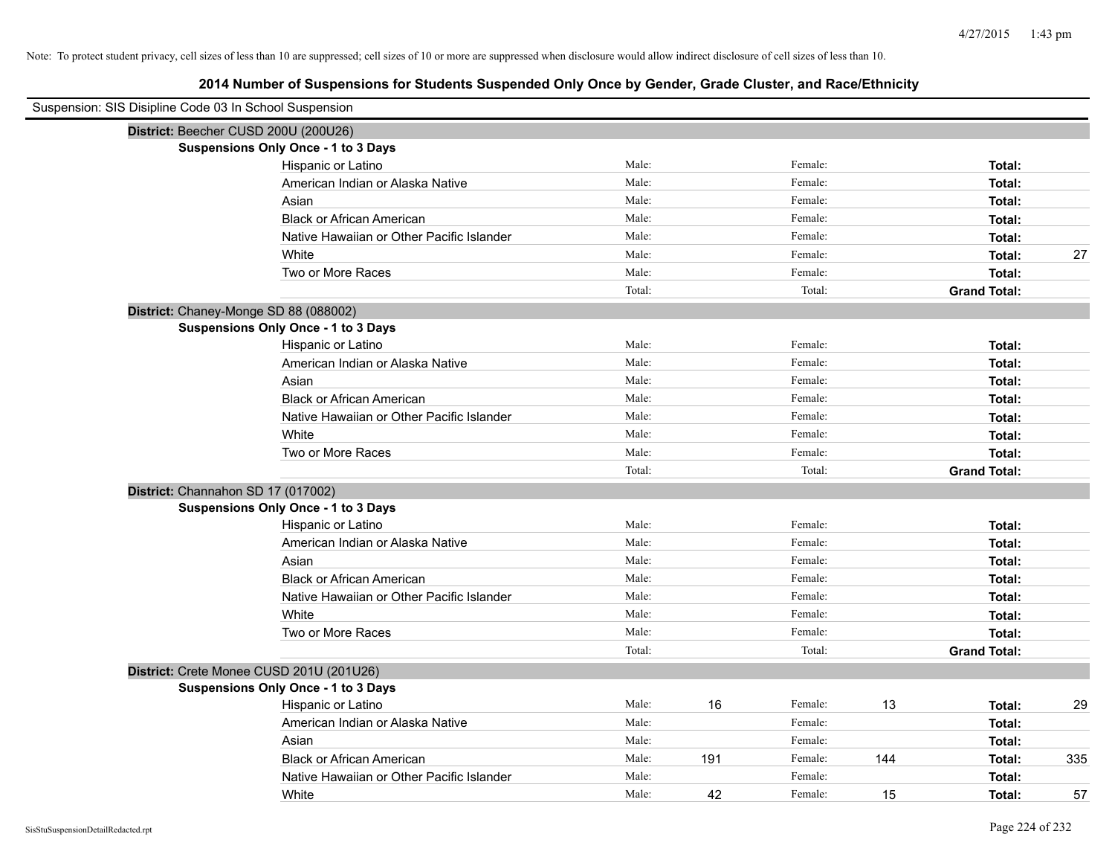| Suspension: SIS Disipline Code 03 In School Suspension |                                            |        |     |         |     |                     |     |
|--------------------------------------------------------|--------------------------------------------|--------|-----|---------|-----|---------------------|-----|
| District: Beecher CUSD 200U (200U26)                   |                                            |        |     |         |     |                     |     |
|                                                        | Suspensions Only Once - 1 to 3 Days        |        |     |         |     |                     |     |
|                                                        | Hispanic or Latino                         | Male:  |     | Female: |     | Total:              |     |
|                                                        | American Indian or Alaska Native           | Male:  |     | Female: |     | Total:              |     |
|                                                        | Asian                                      | Male:  |     | Female: |     | Total:              |     |
|                                                        | <b>Black or African American</b>           | Male:  |     | Female: |     | Total:              |     |
|                                                        | Native Hawaiian or Other Pacific Islander  | Male:  |     | Female: |     | Total:              |     |
|                                                        | White                                      | Male:  |     | Female: |     | Total:              | 27  |
|                                                        | Two or More Races                          | Male:  |     | Female: |     | Total:              |     |
|                                                        |                                            | Total: |     | Total:  |     | <b>Grand Total:</b> |     |
| District: Chaney-Monge SD 88 (088002)                  |                                            |        |     |         |     |                     |     |
|                                                        | Suspensions Only Once - 1 to 3 Days        |        |     |         |     |                     |     |
|                                                        | Hispanic or Latino                         | Male:  |     | Female: |     | Total:              |     |
|                                                        | American Indian or Alaska Native           | Male:  |     | Female: |     | Total:              |     |
|                                                        | Asian                                      | Male:  |     | Female: |     | Total:              |     |
|                                                        | <b>Black or African American</b>           | Male:  |     | Female: |     | Total:              |     |
|                                                        | Native Hawaiian or Other Pacific Islander  | Male:  |     | Female: |     | Total:              |     |
|                                                        | White                                      | Male:  |     | Female: |     | Total:              |     |
|                                                        | Two or More Races                          | Male:  |     | Female: |     | Total:              |     |
|                                                        |                                            | Total: |     | Total:  |     | <b>Grand Total:</b> |     |
| District: Channahon SD 17 (017002)                     |                                            |        |     |         |     |                     |     |
|                                                        | <b>Suspensions Only Once - 1 to 3 Days</b> |        |     |         |     |                     |     |
|                                                        | Hispanic or Latino                         | Male:  |     | Female: |     | Total:              |     |
|                                                        | American Indian or Alaska Native           | Male:  |     | Female: |     | Total:              |     |
|                                                        | Asian                                      | Male:  |     | Female: |     | Total:              |     |
|                                                        | <b>Black or African American</b>           | Male:  |     | Female: |     | Total:              |     |
|                                                        | Native Hawaiian or Other Pacific Islander  | Male:  |     | Female: |     | Total:              |     |
|                                                        | White                                      | Male:  |     | Female: |     | Total:              |     |
|                                                        | Two or More Races                          | Male:  |     | Female: |     | Total:              |     |
|                                                        |                                            | Total: |     | Total:  |     | <b>Grand Total:</b> |     |
|                                                        | District: Crete Monee CUSD 201U (201U26)   |        |     |         |     |                     |     |
|                                                        | <b>Suspensions Only Once - 1 to 3 Days</b> |        |     |         |     |                     |     |
|                                                        | Hispanic or Latino                         | Male:  | 16  | Female: | 13  | Total:              | 29  |
|                                                        | American Indian or Alaska Native           | Male:  |     | Female: |     | Total:              |     |
|                                                        | Asian                                      | Male:  |     | Female: |     | Total:              |     |
|                                                        | <b>Black or African American</b>           | Male:  | 191 | Female: | 144 | Total:              | 335 |
|                                                        | Native Hawaiian or Other Pacific Islander  | Male:  |     | Female: |     | Total:              |     |
|                                                        | White                                      | Male:  | 42  | Female: | 15  | Total:              | 57  |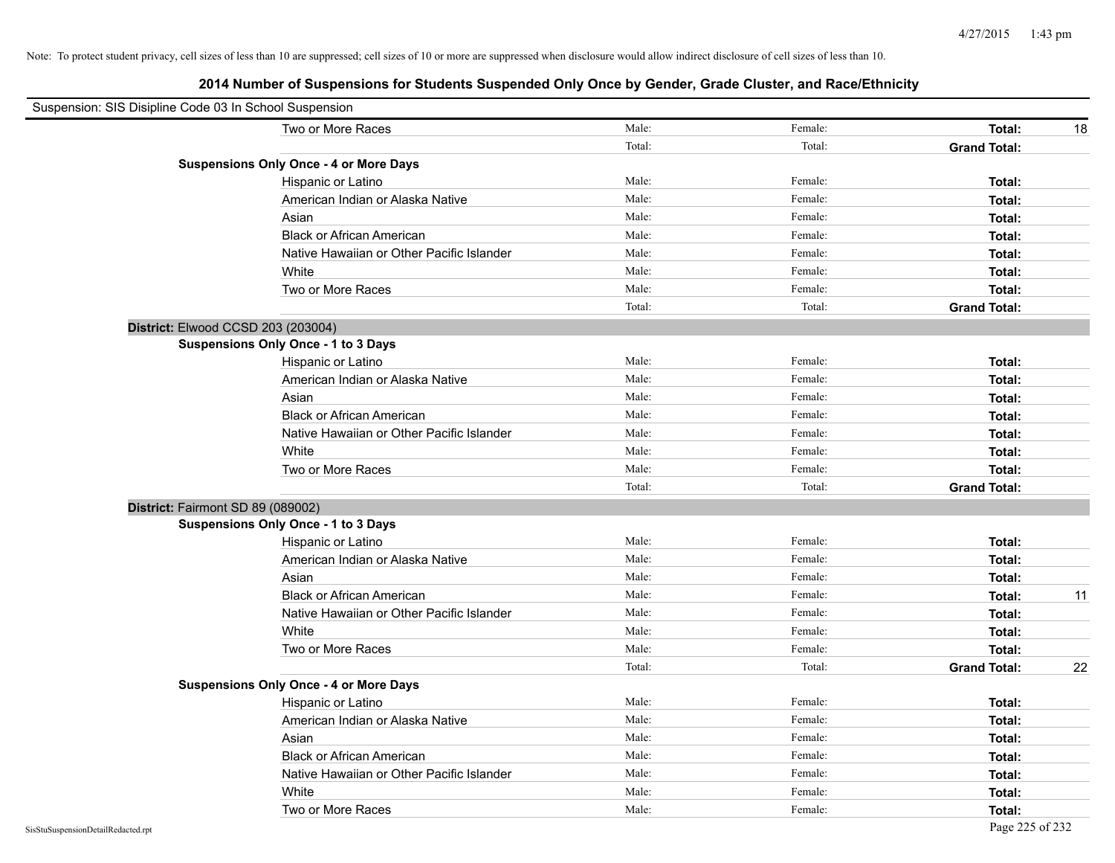| Suspension: SIS Disipline Code 03 In School Suspension |                                               |        |         |                     |    |
|--------------------------------------------------------|-----------------------------------------------|--------|---------|---------------------|----|
|                                                        | Two or More Races                             | Male:  | Female: | Total:              | 18 |
|                                                        |                                               | Total: | Total:  | <b>Grand Total:</b> |    |
|                                                        | <b>Suspensions Only Once - 4 or More Days</b> |        |         |                     |    |
|                                                        | Hispanic or Latino                            | Male:  | Female: | Total:              |    |
|                                                        | American Indian or Alaska Native              | Male:  | Female: | Total:              |    |
|                                                        | Asian                                         | Male:  | Female: | Total:              |    |
|                                                        | <b>Black or African American</b>              | Male:  | Female: | Total:              |    |
|                                                        | Native Hawaiian or Other Pacific Islander     | Male:  | Female: | Total:              |    |
|                                                        | White                                         | Male:  | Female: | Total:              |    |
|                                                        | Two or More Races                             | Male:  | Female: | Total:              |    |
|                                                        |                                               | Total: | Total:  | <b>Grand Total:</b> |    |
| District: Elwood CCSD 203 (203004)                     |                                               |        |         |                     |    |
|                                                        | <b>Suspensions Only Once - 1 to 3 Days</b>    |        |         |                     |    |
|                                                        | Hispanic or Latino                            | Male:  | Female: | Total:              |    |
|                                                        | American Indian or Alaska Native              | Male:  | Female: | Total:              |    |
|                                                        | Asian                                         | Male:  | Female: | Total:              |    |
|                                                        | <b>Black or African American</b>              | Male:  | Female: | Total:              |    |
|                                                        | Native Hawaiian or Other Pacific Islander     | Male:  | Female: | Total:              |    |
|                                                        | White                                         | Male:  | Female: | Total:              |    |
|                                                        | Two or More Races                             | Male:  | Female: | Total:              |    |
|                                                        |                                               | Total: | Total:  | <b>Grand Total:</b> |    |
| District: Fairmont SD 89 (089002)                      |                                               |        |         |                     |    |
|                                                        | Suspensions Only Once - 1 to 3 Days           |        |         |                     |    |
|                                                        | Hispanic or Latino                            | Male:  | Female: | Total:              |    |
|                                                        | American Indian or Alaska Native              | Male:  | Female: | Total:              |    |
|                                                        | Asian                                         | Male:  | Female: | Total:              |    |
|                                                        | <b>Black or African American</b>              | Male:  | Female: | Total:              | 11 |
|                                                        | Native Hawaiian or Other Pacific Islander     | Male:  | Female: | Total:              |    |
|                                                        | White                                         | Male:  | Female: | Total:              |    |
|                                                        | Two or More Races                             | Male:  | Female: | Total:              |    |
|                                                        |                                               | Total: | Total:  | <b>Grand Total:</b> | 22 |
|                                                        | <b>Suspensions Only Once - 4 or More Days</b> |        |         |                     |    |
|                                                        | Hispanic or Latino                            | Male:  | Female: | Total:              |    |
|                                                        | American Indian or Alaska Native              | Male:  | Female: | Total:              |    |
|                                                        | Asian                                         | Male:  | Female: | Total:              |    |
|                                                        | <b>Black or African American</b>              | Male:  | Female: | Total:              |    |
|                                                        | Native Hawaiian or Other Pacific Islander     | Male:  | Female: | Total:              |    |
|                                                        | White                                         | Male:  | Female: | Total:              |    |
|                                                        | Two or More Races                             | Male:  | Female: | Total:              |    |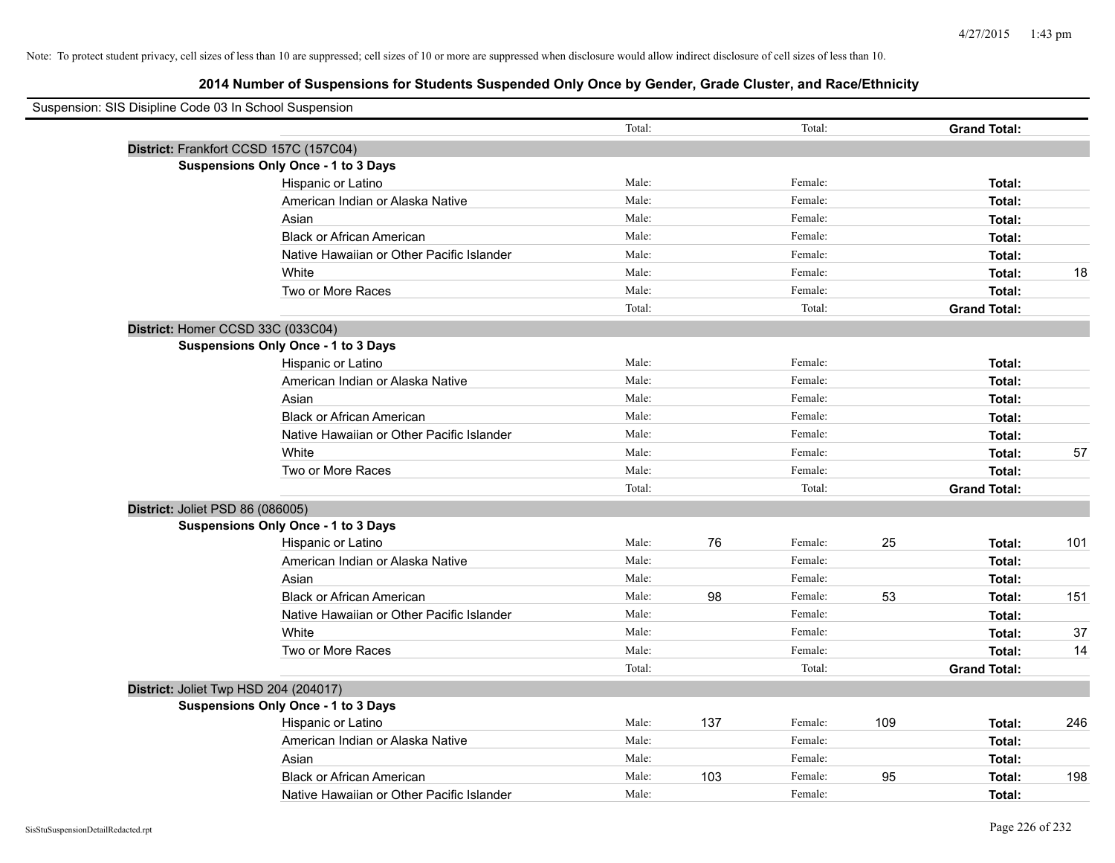| Suspension: SIS Disipline Code 03 In School Suspension |                                            |        |     |         |     |                     |     |
|--------------------------------------------------------|--------------------------------------------|--------|-----|---------|-----|---------------------|-----|
|                                                        |                                            | Total: |     | Total:  |     | <b>Grand Total:</b> |     |
|                                                        | District: Frankfort CCSD 157C (157C04)     |        |     |         |     |                     |     |
|                                                        | <b>Suspensions Only Once - 1 to 3 Days</b> |        |     |         |     |                     |     |
|                                                        | Hispanic or Latino                         | Male:  |     | Female: |     | Total:              |     |
|                                                        | American Indian or Alaska Native           | Male:  |     | Female: |     | Total:              |     |
|                                                        | Asian                                      | Male:  |     | Female: |     | Total:              |     |
|                                                        | <b>Black or African American</b>           | Male:  |     | Female: |     | Total:              |     |
|                                                        | Native Hawaiian or Other Pacific Islander  | Male:  |     | Female: |     | Total:              |     |
|                                                        | White                                      | Male:  |     | Female: |     | Total:              | 18  |
|                                                        | Two or More Races                          | Male:  |     | Female: |     | Total:              |     |
|                                                        |                                            | Total: |     | Total:  |     | <b>Grand Total:</b> |     |
|                                                        | District: Homer CCSD 33C (033C04)          |        |     |         |     |                     |     |
|                                                        | <b>Suspensions Only Once - 1 to 3 Days</b> |        |     |         |     |                     |     |
|                                                        | Hispanic or Latino                         | Male:  |     | Female: |     | Total:              |     |
|                                                        | American Indian or Alaska Native           | Male:  |     | Female: |     | Total:              |     |
|                                                        | Asian                                      | Male:  |     | Female: |     | Total:              |     |
|                                                        | <b>Black or African American</b>           | Male:  |     | Female: |     | Total:              |     |
|                                                        | Native Hawaiian or Other Pacific Islander  | Male:  |     | Female: |     | Total:              |     |
|                                                        | White                                      | Male:  |     | Female: |     | Total:              | 57  |
|                                                        | Two or More Races                          | Male:  |     | Female: |     | Total:              |     |
|                                                        |                                            | Total: |     | Total:  |     | <b>Grand Total:</b> |     |
| District: Joliet PSD 86 (086005)                       |                                            |        |     |         |     |                     |     |
|                                                        | <b>Suspensions Only Once - 1 to 3 Days</b> |        |     |         |     |                     |     |
|                                                        | Hispanic or Latino                         | Male:  | 76  | Female: | 25  | Total:              | 101 |
|                                                        | American Indian or Alaska Native           | Male:  |     | Female: |     | Total:              |     |
|                                                        | Asian                                      | Male:  |     | Female: |     | Total:              |     |
|                                                        | <b>Black or African American</b>           | Male:  | 98  | Female: | 53  | Total:              | 151 |
|                                                        | Native Hawaiian or Other Pacific Islander  | Male:  |     | Female: |     | Total:              |     |
|                                                        | White                                      | Male:  |     | Female: |     | Total:              | 37  |
|                                                        | Two or More Races                          | Male:  |     | Female: |     | Total:              | 14  |
|                                                        |                                            | Total: |     | Total:  |     | <b>Grand Total:</b> |     |
|                                                        | District: Joliet Twp HSD 204 (204017)      |        |     |         |     |                     |     |
|                                                        | <b>Suspensions Only Once - 1 to 3 Days</b> |        |     |         |     |                     |     |
|                                                        | Hispanic or Latino                         | Male:  | 137 | Female: | 109 | Total:              | 246 |
|                                                        | American Indian or Alaska Native           | Male:  |     | Female: |     | Total:              |     |
|                                                        | Asian                                      | Male:  |     | Female: |     | Total:              |     |
|                                                        | <b>Black or African American</b>           | Male:  | 103 | Female: | 95  | Total:              | 198 |
|                                                        | Native Hawaiian or Other Pacific Islander  | Male:  |     | Female: |     | Total:              |     |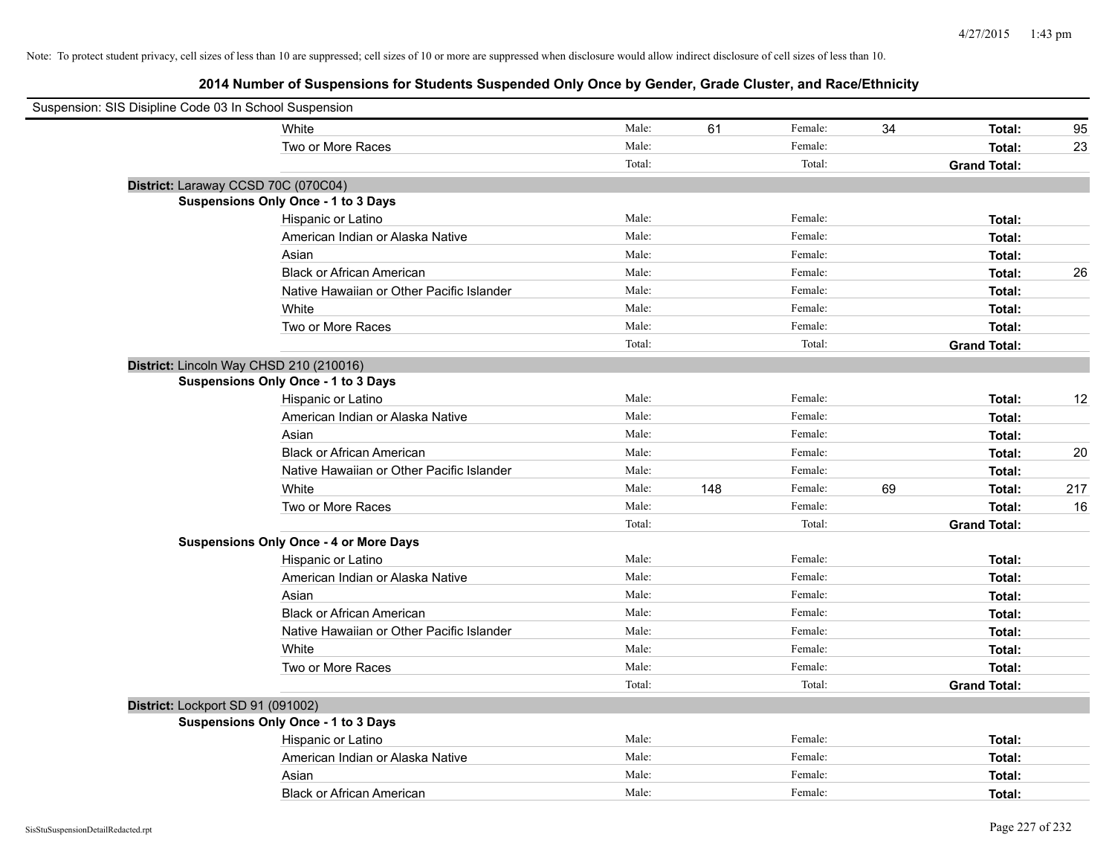| Suspension: SIS Disipline Code 03 In School Suspension |                                               |        |     |         |    |                     |     |
|--------------------------------------------------------|-----------------------------------------------|--------|-----|---------|----|---------------------|-----|
|                                                        | White                                         | Male:  | 61  | Female: | 34 | Total:              | 95  |
|                                                        | Two or More Races                             | Male:  |     | Female: |    | Total:              | 23  |
|                                                        |                                               | Total: |     | Total:  |    | <b>Grand Total:</b> |     |
|                                                        | District: Laraway CCSD 70C (070C04)           |        |     |         |    |                     |     |
|                                                        | <b>Suspensions Only Once - 1 to 3 Days</b>    |        |     |         |    |                     |     |
|                                                        | Hispanic or Latino                            | Male:  |     | Female: |    | Total:              |     |
|                                                        | American Indian or Alaska Native              | Male:  |     | Female: |    | Total:              |     |
|                                                        | Asian                                         | Male:  |     | Female: |    | Total:              |     |
|                                                        | <b>Black or African American</b>              | Male:  |     | Female: |    | Total:              | 26  |
|                                                        | Native Hawaiian or Other Pacific Islander     | Male:  |     | Female: |    | Total:              |     |
|                                                        | White                                         | Male:  |     | Female: |    | Total:              |     |
|                                                        | Two or More Races                             | Male:  |     | Female: |    | Total:              |     |
|                                                        |                                               | Total: |     | Total:  |    | <b>Grand Total:</b> |     |
|                                                        | District: Lincoln Way CHSD 210 (210016)       |        |     |         |    |                     |     |
|                                                        | Suspensions Only Once - 1 to 3 Days           |        |     |         |    |                     |     |
|                                                        | Hispanic or Latino                            | Male:  |     | Female: |    | Total:              | 12  |
|                                                        | American Indian or Alaska Native              | Male:  |     | Female: |    | Total:              |     |
|                                                        | Asian                                         | Male:  |     | Female: |    | Total:              |     |
|                                                        | <b>Black or African American</b>              | Male:  |     | Female: |    | Total:              | 20  |
|                                                        | Native Hawaiian or Other Pacific Islander     | Male:  |     | Female: |    | Total:              |     |
|                                                        | White                                         | Male:  | 148 | Female: | 69 | Total:              | 217 |
|                                                        | Two or More Races                             | Male:  |     | Female: |    | Total:              | 16  |
|                                                        |                                               | Total: |     | Total:  |    | <b>Grand Total:</b> |     |
|                                                        | <b>Suspensions Only Once - 4 or More Days</b> |        |     |         |    |                     |     |
|                                                        | Hispanic or Latino                            | Male:  |     | Female: |    | Total:              |     |
|                                                        | American Indian or Alaska Native              | Male:  |     | Female: |    | Total:              |     |
|                                                        | Asian                                         | Male:  |     | Female: |    | Total:              |     |
|                                                        | <b>Black or African American</b>              | Male:  |     | Female: |    | Total:              |     |
|                                                        | Native Hawaiian or Other Pacific Islander     | Male:  |     | Female: |    | Total:              |     |
|                                                        | White                                         | Male:  |     | Female: |    | Total:              |     |
|                                                        | Two or More Races                             | Male:  |     | Female: |    | Total:              |     |
|                                                        |                                               | Total: |     | Total:  |    | <b>Grand Total:</b> |     |
| District: Lockport SD 91 (091002)                      |                                               |        |     |         |    |                     |     |
|                                                        | <b>Suspensions Only Once - 1 to 3 Days</b>    |        |     |         |    |                     |     |
|                                                        | Hispanic or Latino                            | Male:  |     | Female: |    | Total:              |     |
|                                                        | American Indian or Alaska Native              | Male:  |     | Female: |    | Total:              |     |
|                                                        | Asian                                         | Male:  |     | Female: |    | Total:              |     |
|                                                        | <b>Black or African American</b>              | Male:  |     | Female: |    | Total:              |     |
|                                                        |                                               |        |     |         |    |                     |     |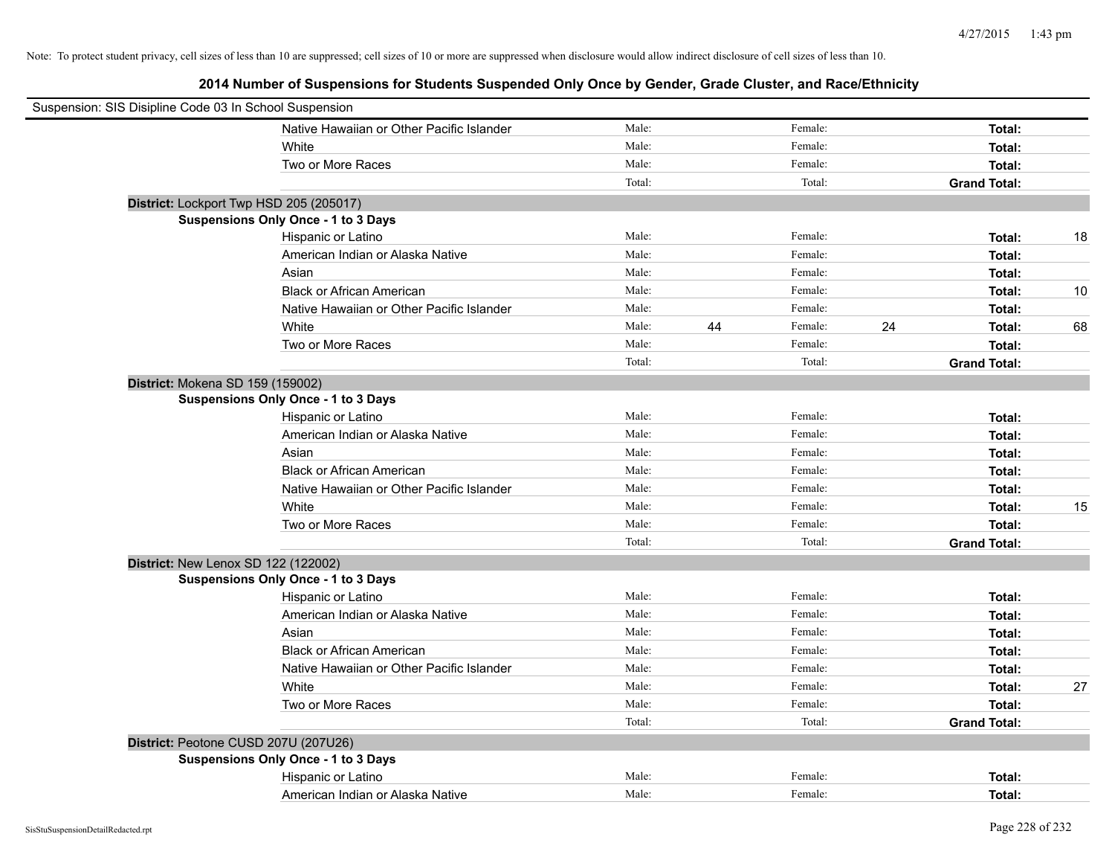|                                  | Suspension: SIS Disipline Code 03 In School Suspension |        |    |         |    |                     |    |
|----------------------------------|--------------------------------------------------------|--------|----|---------|----|---------------------|----|
|                                  | Native Hawaiian or Other Pacific Islander              | Male:  |    | Female: |    | Total:              |    |
|                                  | White                                                  | Male:  |    | Female: |    | Total:              |    |
|                                  | Two or More Races                                      | Male:  |    | Female: |    | Total:              |    |
|                                  |                                                        | Total: |    | Total:  |    | <b>Grand Total:</b> |    |
|                                  | District: Lockport Twp HSD 205 (205017)                |        |    |         |    |                     |    |
|                                  | Suspensions Only Once - 1 to 3 Days                    |        |    |         |    |                     |    |
|                                  | Hispanic or Latino                                     | Male:  |    | Female: |    | Total:              | 18 |
|                                  | American Indian or Alaska Native                       | Male:  |    | Female: |    | Total:              |    |
|                                  | Asian                                                  | Male:  |    | Female: |    | Total:              |    |
|                                  | <b>Black or African American</b>                       | Male:  |    | Female: |    | Total:              | 10 |
|                                  | Native Hawaiian or Other Pacific Islander              | Male:  |    | Female: |    | Total:              |    |
|                                  | White                                                  | Male:  | 44 | Female: | 24 | Total:              | 68 |
|                                  | Two or More Races                                      | Male:  |    | Female: |    | Total:              |    |
|                                  |                                                        | Total: |    | Total:  |    | <b>Grand Total:</b> |    |
| District: Mokena SD 159 (159002) |                                                        |        |    |         |    |                     |    |
|                                  | Suspensions Only Once - 1 to 3 Days                    |        |    |         |    |                     |    |
|                                  | Hispanic or Latino                                     | Male:  |    | Female: |    | Total:              |    |
|                                  | American Indian or Alaska Native                       | Male:  |    | Female: |    | Total:              |    |
|                                  | Asian                                                  | Male:  |    | Female: |    | Total:              |    |
|                                  | <b>Black or African American</b>                       | Male:  |    | Female: |    | Total:              |    |
|                                  | Native Hawaiian or Other Pacific Islander              | Male:  |    | Female: |    | Total:              |    |
|                                  | White                                                  | Male:  |    | Female: |    | Total:              | 15 |
|                                  | Two or More Races                                      | Male:  |    | Female: |    | Total:              |    |
|                                  |                                                        | Total: |    | Total:  |    | <b>Grand Total:</b> |    |
|                                  | District: New Lenox SD 122 (122002)                    |        |    |         |    |                     |    |
|                                  | <b>Suspensions Only Once - 1 to 3 Days</b>             |        |    |         |    |                     |    |
|                                  | Hispanic or Latino                                     | Male:  |    | Female: |    | Total:              |    |
|                                  | American Indian or Alaska Native                       | Male:  |    | Female: |    | Total:              |    |
|                                  | Asian                                                  | Male:  |    | Female: |    | Total:              |    |
|                                  | <b>Black or African American</b>                       | Male:  |    | Female: |    | Total:              |    |
|                                  | Native Hawaiian or Other Pacific Islander              | Male:  |    | Female: |    | Total:              |    |
|                                  | White                                                  | Male:  |    | Female: |    | Total:              | 27 |
|                                  | Two or More Races                                      | Male:  |    | Female: |    | Total:              |    |
|                                  |                                                        | Total: |    | Total:  |    | <b>Grand Total:</b> |    |
|                                  | District: Peotone CUSD 207U (207U26)                   |        |    |         |    |                     |    |
|                                  | Suspensions Only Once - 1 to 3 Days                    |        |    |         |    |                     |    |
|                                  | Hispanic or Latino                                     | Male:  |    | Female: |    | Total:              |    |
|                                  | American Indian or Alaska Native                       | Male:  |    | Female: |    | Total:              |    |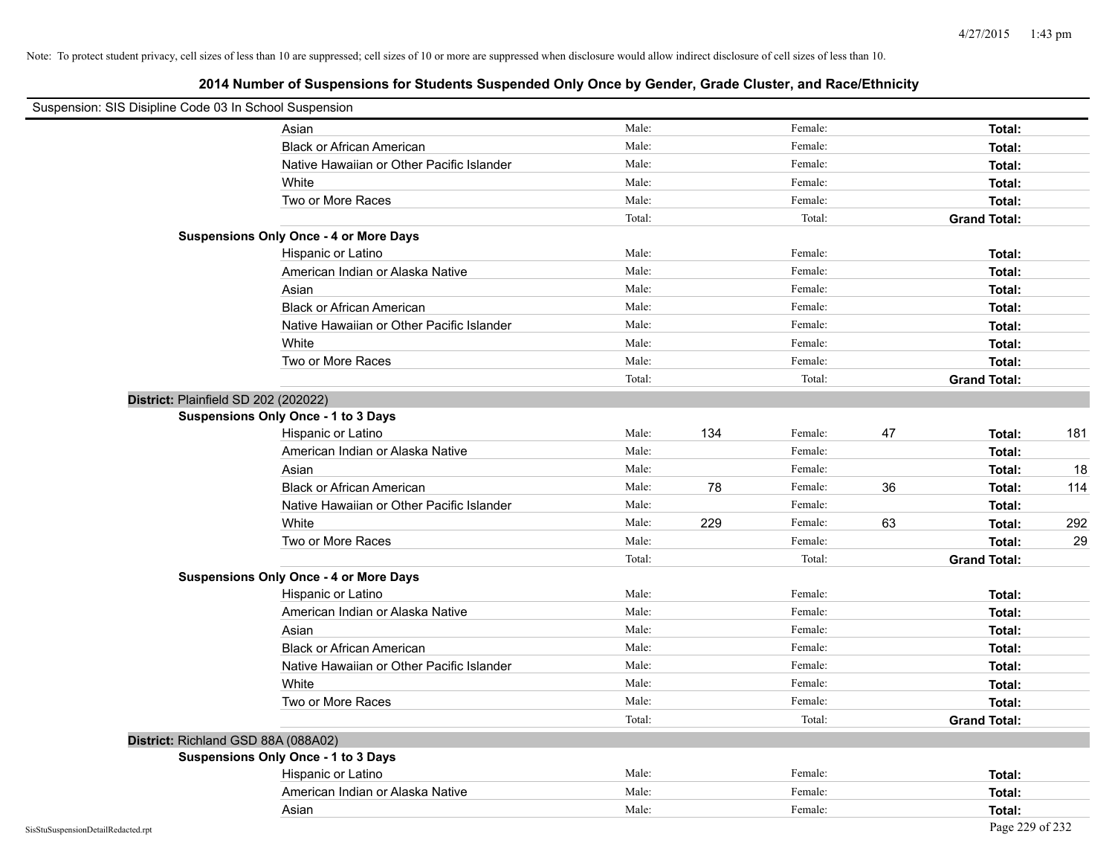| Suspension: SIS Disipline Code 03 In School Suspension |                                               |        |     |         |    |                     |     |
|--------------------------------------------------------|-----------------------------------------------|--------|-----|---------|----|---------------------|-----|
|                                                        | Asian                                         | Male:  |     | Female: |    | Total:              |     |
|                                                        | <b>Black or African American</b>              | Male:  |     | Female: |    | Total:              |     |
|                                                        | Native Hawaiian or Other Pacific Islander     | Male:  |     | Female: |    | Total:              |     |
|                                                        | White                                         | Male:  |     | Female: |    | Total:              |     |
|                                                        | Two or More Races                             | Male:  |     | Female: |    | Total:              |     |
|                                                        |                                               | Total: |     | Total:  |    | <b>Grand Total:</b> |     |
|                                                        | <b>Suspensions Only Once - 4 or More Days</b> |        |     |         |    |                     |     |
|                                                        | Hispanic or Latino                            | Male:  |     | Female: |    | Total:              |     |
|                                                        | American Indian or Alaska Native              | Male:  |     | Female: |    | Total:              |     |
|                                                        | Asian                                         | Male:  |     | Female: |    | Total:              |     |
|                                                        | <b>Black or African American</b>              | Male:  |     | Female: |    | Total:              |     |
|                                                        | Native Hawaiian or Other Pacific Islander     | Male:  |     | Female: |    | Total:              |     |
|                                                        | White                                         | Male:  |     | Female: |    | Total:              |     |
|                                                        | Two or More Races                             | Male:  |     | Female: |    | Total:              |     |
|                                                        |                                               | Total: |     | Total:  |    | <b>Grand Total:</b> |     |
| District: Plainfield SD 202 (202022)                   |                                               |        |     |         |    |                     |     |
|                                                        | Suspensions Only Once - 1 to 3 Days           |        |     |         |    |                     |     |
|                                                        | Hispanic or Latino                            | Male:  | 134 | Female: | 47 | Total:              | 181 |
|                                                        | American Indian or Alaska Native              | Male:  |     | Female: |    | Total:              |     |
|                                                        | Asian                                         | Male:  |     | Female: |    | Total:              | 18  |
|                                                        | <b>Black or African American</b>              | Male:  | 78  | Female: | 36 | Total:              | 114 |
|                                                        | Native Hawaiian or Other Pacific Islander     | Male:  |     | Female: |    | Total:              |     |
|                                                        | White                                         | Male:  | 229 | Female: | 63 | Total:              | 292 |
|                                                        | Two or More Races                             | Male:  |     | Female: |    | Total:              | 29  |
|                                                        |                                               | Total: |     | Total:  |    | <b>Grand Total:</b> |     |
|                                                        | <b>Suspensions Only Once - 4 or More Days</b> |        |     |         |    |                     |     |
|                                                        | Hispanic or Latino                            | Male:  |     | Female: |    | Total:              |     |
|                                                        | American Indian or Alaska Native              | Male:  |     | Female: |    | Total:              |     |
|                                                        | Asian                                         | Male:  |     | Female: |    | Total:              |     |
|                                                        | <b>Black or African American</b>              | Male:  |     | Female: |    | Total:              |     |
|                                                        | Native Hawaiian or Other Pacific Islander     | Male:  |     | Female: |    | Total:              |     |
|                                                        | White                                         | Male:  |     | Female: |    | Total:              |     |
|                                                        | Two or More Races                             | Male:  |     | Female: |    | Total:              |     |
|                                                        |                                               | Total: |     | Total:  |    | <b>Grand Total:</b> |     |
| District: Richland GSD 88A (088A02)                    |                                               |        |     |         |    |                     |     |
|                                                        | <b>Suspensions Only Once - 1 to 3 Days</b>    |        |     |         |    |                     |     |
|                                                        | Hispanic or Latino                            | Male:  |     | Female: |    | Total:              |     |
|                                                        | American Indian or Alaska Native              | Male:  |     | Female: |    | Total:              |     |
|                                                        | Asian                                         | Male:  |     | Female: |    | Total:              |     |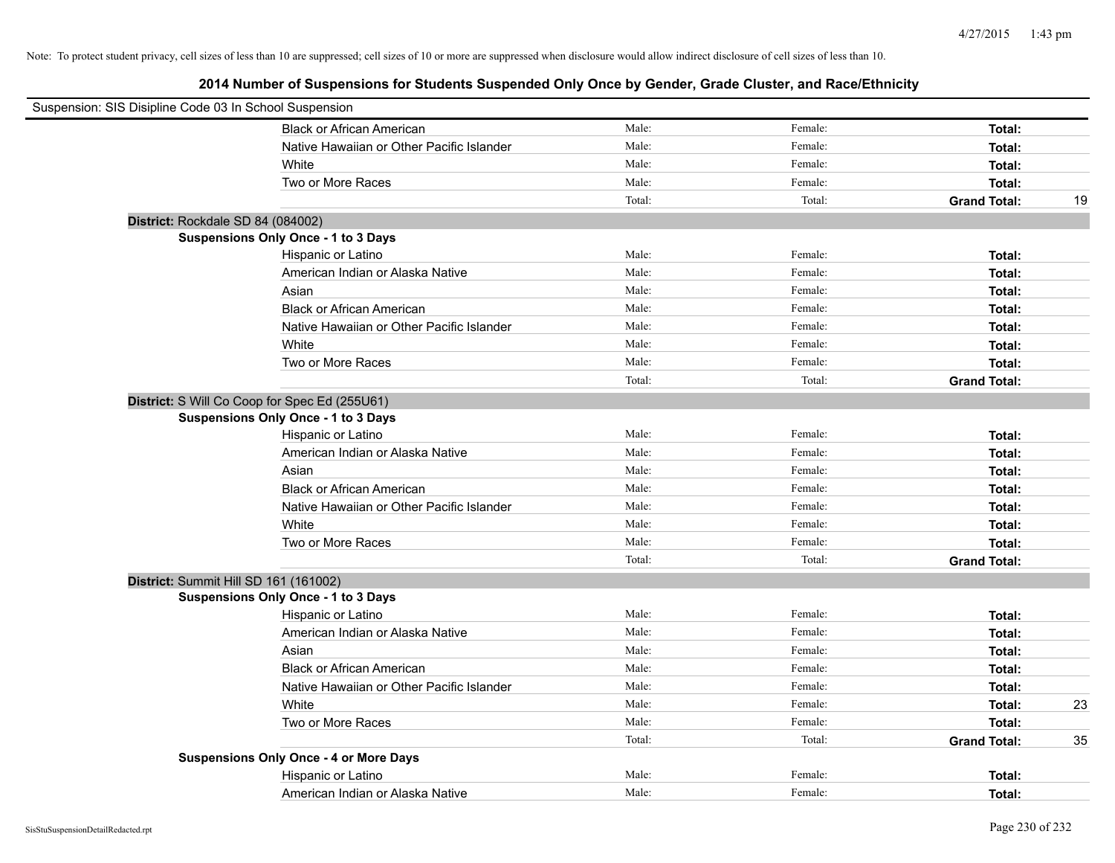| Suspension: SIS Disipline Code 03 In School Suspension |                                               |        |         |                     |    |
|--------------------------------------------------------|-----------------------------------------------|--------|---------|---------------------|----|
|                                                        | <b>Black or African American</b>              | Male:  | Female: | Total:              |    |
|                                                        | Native Hawaiian or Other Pacific Islander     | Male:  | Female: | Total:              |    |
|                                                        | White                                         | Male:  | Female: | Total:              |    |
|                                                        | Two or More Races                             | Male:  | Female: | Total:              |    |
|                                                        |                                               | Total: | Total:  | <b>Grand Total:</b> | 19 |
| District: Rockdale SD 84 (084002)                      |                                               |        |         |                     |    |
|                                                        | <b>Suspensions Only Once - 1 to 3 Days</b>    |        |         |                     |    |
|                                                        | Hispanic or Latino                            | Male:  | Female: | Total:              |    |
|                                                        | American Indian or Alaska Native              | Male:  | Female: | Total:              |    |
|                                                        | Asian                                         | Male:  | Female: | Total:              |    |
|                                                        | <b>Black or African American</b>              | Male:  | Female: | Total:              |    |
|                                                        | Native Hawaiian or Other Pacific Islander     | Male:  | Female: | Total:              |    |
|                                                        | White                                         | Male:  | Female: | Total:              |    |
|                                                        | Two or More Races                             | Male:  | Female: | Total:              |    |
|                                                        |                                               | Total: | Total:  | <b>Grand Total:</b> |    |
| District: S Will Co Coop for Spec Ed (255U61)          |                                               |        |         |                     |    |
|                                                        | <b>Suspensions Only Once - 1 to 3 Days</b>    |        |         |                     |    |
|                                                        | Hispanic or Latino                            | Male:  | Female: | Total:              |    |
|                                                        | American Indian or Alaska Native              | Male:  | Female: | Total:              |    |
|                                                        | Asian                                         | Male:  | Female: | Total:              |    |
|                                                        | <b>Black or African American</b>              | Male:  | Female: | Total:              |    |
|                                                        | Native Hawaiian or Other Pacific Islander     | Male:  | Female: | Total:              |    |
|                                                        | White                                         | Male:  | Female: | Total:              |    |
|                                                        | Two or More Races                             | Male:  | Female: | Total:              |    |
|                                                        |                                               | Total: | Total:  | <b>Grand Total:</b> |    |
| District: Summit Hill SD 161 (161002)                  |                                               |        |         |                     |    |
|                                                        | <b>Suspensions Only Once - 1 to 3 Days</b>    |        |         |                     |    |
|                                                        | Hispanic or Latino                            | Male:  | Female: | Total:              |    |
|                                                        | American Indian or Alaska Native              | Male:  | Female: | Total:              |    |
|                                                        | Asian                                         | Male:  | Female: | Total:              |    |
|                                                        | <b>Black or African American</b>              | Male:  | Female: | Total:              |    |
|                                                        | Native Hawaiian or Other Pacific Islander     | Male:  | Female: | Total:              |    |
|                                                        | White                                         | Male:  | Female: | Total:              | 23 |
|                                                        | Two or More Races                             | Male:  | Female: | Total:              |    |
|                                                        |                                               | Total: | Total:  | <b>Grand Total:</b> | 35 |
|                                                        | <b>Suspensions Only Once - 4 or More Days</b> |        |         |                     |    |
|                                                        | Hispanic or Latino                            | Male:  | Female: | Total:              |    |
|                                                        | American Indian or Alaska Native              | Male:  | Female: | Total:              |    |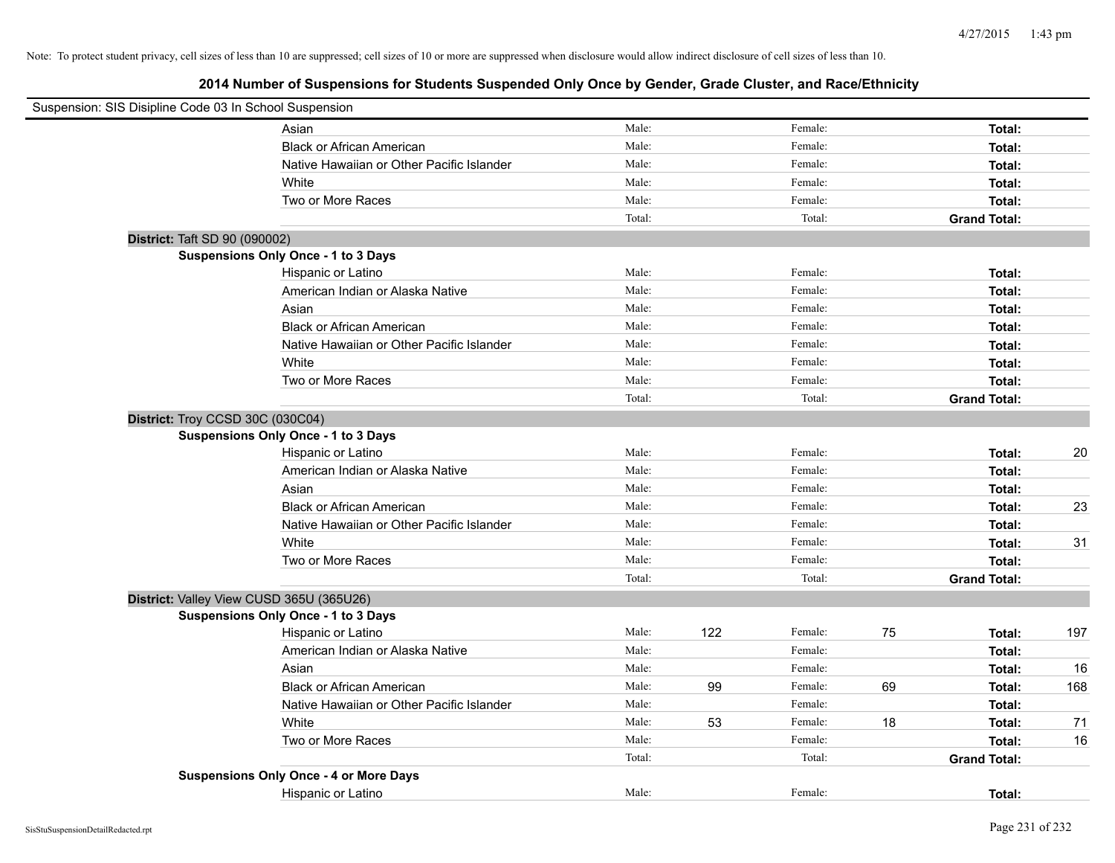| Suspension: SIS Disipline Code 03 In School Suspension |                                               |        |     |         |    |                     |     |
|--------------------------------------------------------|-----------------------------------------------|--------|-----|---------|----|---------------------|-----|
|                                                        | Asian                                         | Male:  |     | Female: |    | Total:              |     |
|                                                        | <b>Black or African American</b>              | Male:  |     | Female: |    | Total:              |     |
|                                                        | Native Hawaiian or Other Pacific Islander     | Male:  |     | Female: |    | Total:              |     |
|                                                        | White                                         | Male:  |     | Female: |    | Total:              |     |
|                                                        | Two or More Races                             | Male:  |     | Female: |    | Total:              |     |
|                                                        |                                               | Total: |     | Total:  |    | <b>Grand Total:</b> |     |
| District: Taft SD 90 (090002)                          |                                               |        |     |         |    |                     |     |
|                                                        | <b>Suspensions Only Once - 1 to 3 Days</b>    |        |     |         |    |                     |     |
|                                                        | Hispanic or Latino                            | Male:  |     | Female: |    | Total:              |     |
|                                                        | American Indian or Alaska Native              | Male:  |     | Female: |    | Total:              |     |
|                                                        | Asian                                         | Male:  |     | Female: |    | Total:              |     |
|                                                        | <b>Black or African American</b>              | Male:  |     | Female: |    | Total:              |     |
|                                                        | Native Hawaiian or Other Pacific Islander     | Male:  |     | Female: |    | Total:              |     |
|                                                        | White                                         | Male:  |     | Female: |    | Total:              |     |
|                                                        | Two or More Races                             | Male:  |     | Female: |    | Total:              |     |
|                                                        |                                               | Total: |     | Total:  |    | <b>Grand Total:</b> |     |
| District: Troy CCSD 30C (030C04)                       |                                               |        |     |         |    |                     |     |
|                                                        | <b>Suspensions Only Once - 1 to 3 Days</b>    |        |     |         |    |                     |     |
|                                                        | Hispanic or Latino                            | Male:  |     | Female: |    | Total:              | 20  |
|                                                        | American Indian or Alaska Native              | Male:  |     | Female: |    | Total:              |     |
|                                                        | Asian                                         | Male:  |     | Female: |    | Total:              |     |
|                                                        | <b>Black or African American</b>              | Male:  |     | Female: |    | Total:              | 23  |
|                                                        | Native Hawaiian or Other Pacific Islander     | Male:  |     | Female: |    | Total:              |     |
|                                                        | White                                         | Male:  |     | Female: |    | Total:              | 31  |
|                                                        | Two or More Races                             | Male:  |     | Female: |    | Total:              |     |
|                                                        |                                               | Total: |     | Total:  |    | <b>Grand Total:</b> |     |
| District: Valley View CUSD 365U (365U26)               |                                               |        |     |         |    |                     |     |
|                                                        | Suspensions Only Once - 1 to 3 Days           |        |     |         |    |                     |     |
|                                                        | Hispanic or Latino                            | Male:  | 122 | Female: | 75 | Total:              | 197 |
|                                                        | American Indian or Alaska Native              | Male:  |     | Female: |    | Total:              |     |
|                                                        | Asian                                         | Male:  |     | Female: |    | Total:              | 16  |
|                                                        | <b>Black or African American</b>              | Male:  | 99  | Female: | 69 | Total:              | 168 |
|                                                        | Native Hawaiian or Other Pacific Islander     | Male:  |     | Female: |    | Total:              |     |
|                                                        | White                                         | Male:  | 53  | Female: | 18 | Total:              | 71  |
|                                                        | Two or More Races                             | Male:  |     | Female: |    | Total:              | 16  |
|                                                        |                                               | Total: |     | Total:  |    | <b>Grand Total:</b> |     |
|                                                        | <b>Suspensions Only Once - 4 or More Days</b> |        |     |         |    |                     |     |
|                                                        | Hispanic or Latino                            | Male:  |     | Female: |    | Total:              |     |